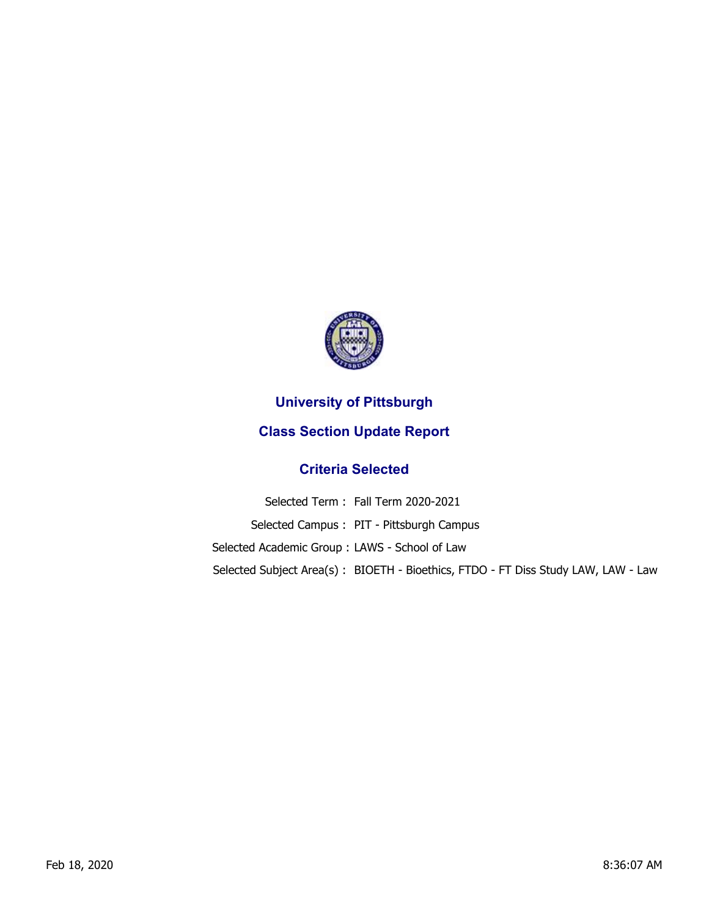

## **University of Pittsburgh**

## **Class Section Update Report**

## **Criteria Selected**

Selected Term : Fall Term 2020-2021 Selected Campus : PIT - Pittsburgh Campus Selected Academic Group : LAWS - School of Law Selected Subject Area(s) : BIOETH - Bioethics, FTDO - FT Diss Study LAW, LAW - Law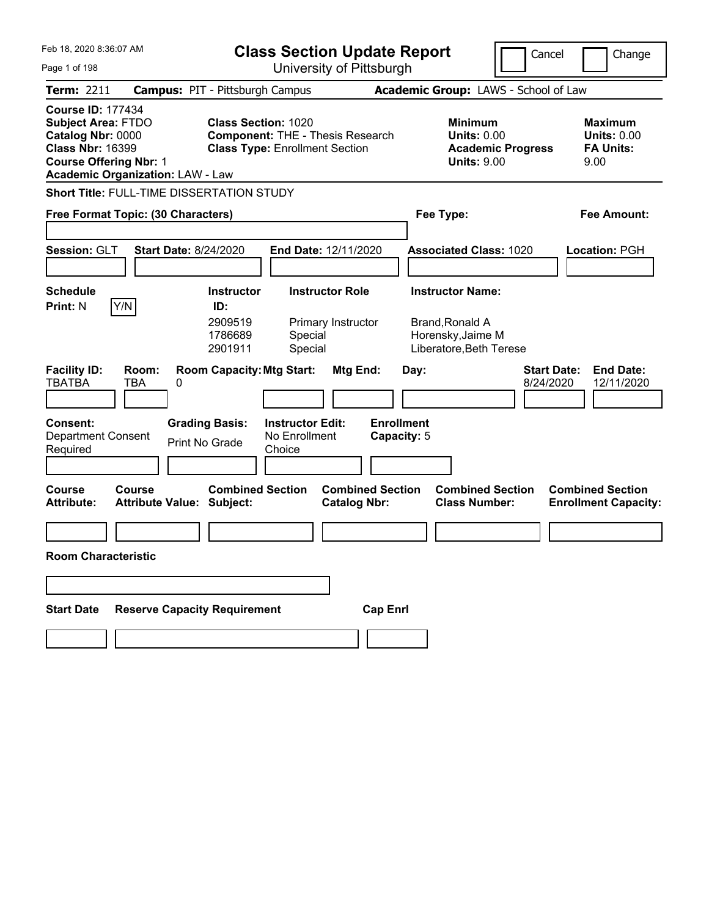| Feb 18, 2020 8:36:07 AM                                                                                                                |                                            |                                                           | <b>Class Section Update Report</b>                                               |                                                |                                                                                            | Cancel                               | Change                                                           |
|----------------------------------------------------------------------------------------------------------------------------------------|--------------------------------------------|-----------------------------------------------------------|----------------------------------------------------------------------------------|------------------------------------------------|--------------------------------------------------------------------------------------------|--------------------------------------|------------------------------------------------------------------|
| Page 1 of 198                                                                                                                          |                                            |                                                           | University of Pittsburgh                                                         |                                                |                                                                                            |                                      |                                                                  |
| <b>Term: 2211</b>                                                                                                                      | <b>Campus: PIT - Pittsburgh Campus</b>     |                                                           |                                                                                  |                                                |                                                                                            | Academic Group: LAWS - School of Law |                                                                  |
| <b>Course ID: 177434</b><br><b>Subject Area: FTDO</b><br>Catalog Nbr: 0000<br><b>Class Nbr: 16399</b><br><b>Course Offering Nbr: 1</b> | <b>Academic Organization: LAW - Law</b>    | <b>Class Section: 1020</b>                                | <b>Component: THE - Thesis Research</b><br><b>Class Type: Enrollment Section</b> |                                                | <b>Minimum</b><br><b>Units: 0.00</b><br><b>Units: 9.00</b>                                 | <b>Academic Progress</b>             | <b>Maximum</b><br><b>Units: 0.00</b><br><b>FA Units:</b><br>9.00 |
|                                                                                                                                        | Short Title: FULL-TIME DISSERTATION STUDY  |                                                           |                                                                                  |                                                |                                                                                            |                                      |                                                                  |
|                                                                                                                                        | Free Format Topic: (30 Characters)         |                                                           |                                                                                  |                                                | Fee Type:                                                                                  |                                      | Fee Amount:                                                      |
| Session: GLT                                                                                                                           | <b>Start Date: 8/24/2020</b>               |                                                           | End Date: 12/11/2020                                                             |                                                | <b>Associated Class: 1020</b>                                                              |                                      | Location: PGH                                                    |
| <b>Schedule</b><br><b>Print: N</b>                                                                                                     | Y/N                                        | <b>Instructor</b><br>ID:<br>2909519<br>1786689<br>2901911 | <b>Instructor Role</b><br>Primary Instructor<br>Special<br>Special               |                                                | <b>Instructor Name:</b><br>Brand, Ronald A<br>Horensky, Jaime M<br>Liberatore, Beth Terese |                                      |                                                                  |
| <b>Facility ID:</b><br><b>TBATBA</b>                                                                                                   | Room:<br><b>TBA</b><br>0                   | <b>Room Capacity: Mtg Start:</b>                          |                                                                                  | Mtg End:                                       | Day:                                                                                       | <b>Start Date:</b><br>8/24/2020      | <b>End Date:</b><br>12/11/2020                                   |
| Consent:<br><b>Department Consent</b><br>Required                                                                                      |                                            | <b>Grading Basis:</b><br>Print No Grade                   | <b>Instructor Edit:</b><br>No Enrollment<br>Choice                               | <b>Enrollment</b><br>Capacity: 5               |                                                                                            |                                      |                                                                  |
| <b>Course</b><br><b>Attribute:</b>                                                                                                     | Course<br><b>Attribute Value: Subject:</b> | <b>Combined Section</b>                                   |                                                                                  | <b>Combined Section</b><br><b>Catalog Nbr:</b> | <b>Class Number:</b>                                                                       | <b>Combined Section</b>              | <b>Combined Section</b><br><b>Enrollment Capacity:</b>           |
|                                                                                                                                        |                                            |                                                           |                                                                                  |                                                |                                                                                            |                                      |                                                                  |
| Room Characteristic                                                                                                                    |                                            |                                                           |                                                                                  |                                                |                                                                                            |                                      |                                                                  |
|                                                                                                                                        |                                            |                                                           |                                                                                  |                                                |                                                                                            |                                      |                                                                  |
| <b>Start Date</b>                                                                                                                      | <b>Reserve Capacity Requirement</b>        |                                                           |                                                                                  | <b>Cap Enrl</b>                                |                                                                                            |                                      |                                                                  |
|                                                                                                                                        |                                            |                                                           |                                                                                  |                                                |                                                                                            |                                      |                                                                  |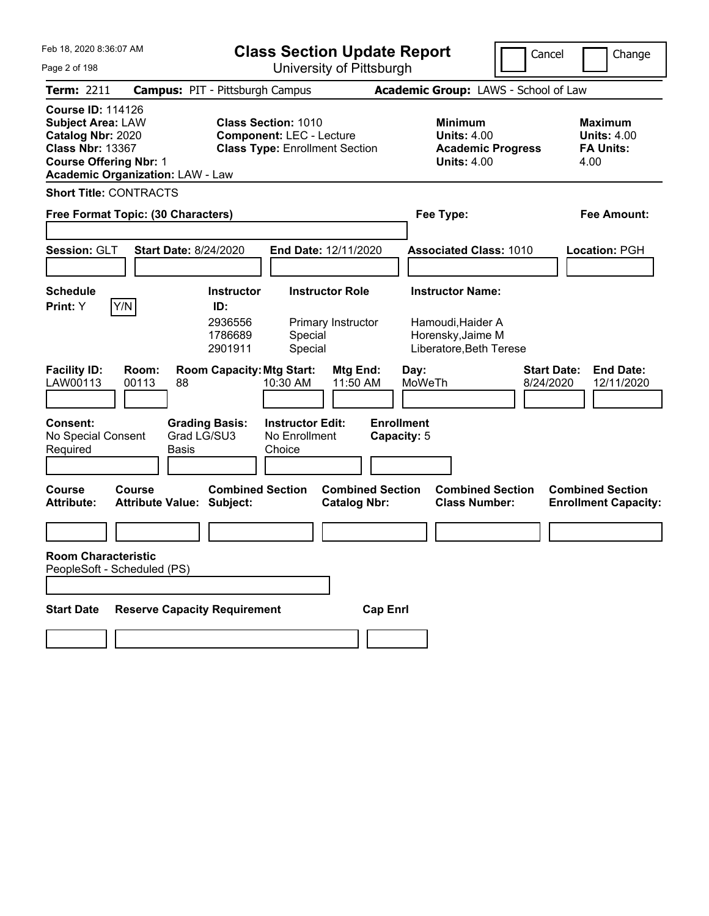| Feb 18, 2020 8:36:07 AM                                                                                                                                                          | <b>Class Section Update Report</b>                                                                     | Cancel                                                                                 | Change                                                           |
|----------------------------------------------------------------------------------------------------------------------------------------------------------------------------------|--------------------------------------------------------------------------------------------------------|----------------------------------------------------------------------------------------|------------------------------------------------------------------|
| Page 2 of 198                                                                                                                                                                    | University of Pittsburgh                                                                               |                                                                                        |                                                                  |
| Term: 2211                                                                                                                                                                       | <b>Campus: PIT - Pittsburgh Campus</b>                                                                 | Academic Group: LAWS - School of Law                                                   |                                                                  |
| <b>Course ID: 114126</b><br><b>Subject Area: LAW</b><br>Catalog Nbr: 2020<br><b>Class Nbr: 13367</b><br><b>Course Offering Nbr: 1</b><br><b>Academic Organization: LAW - Law</b> | <b>Class Section: 1010</b><br><b>Component: LEC - Lecture</b><br><b>Class Type: Enrollment Section</b> | <b>Minimum</b><br><b>Units: 4.00</b><br><b>Academic Progress</b><br><b>Units: 4.00</b> | <b>Maximum</b><br><b>Units: 4.00</b><br><b>FA Units:</b><br>4.00 |
| <b>Short Title: CONTRACTS</b>                                                                                                                                                    |                                                                                                        |                                                                                        |                                                                  |
| Free Format Topic: (30 Characters)                                                                                                                                               |                                                                                                        | Fee Type:                                                                              | Fee Amount:                                                      |
| Session: GLT<br><b>Start Date: 8/24/2020</b>                                                                                                                                     | End Date: 12/11/2020                                                                                   | <b>Associated Class: 1010</b>                                                          | Location: PGH                                                    |
| <b>Schedule</b>                                                                                                                                                                  | <b>Instructor Role</b><br><b>Instructor</b>                                                            | <b>Instructor Name:</b>                                                                |                                                                  |
| Y/N<br>Print: Y                                                                                                                                                                  | ID:<br>2936556<br>Primary Instructor<br>Special<br>1786689<br>2901911<br>Special                       | Hamoudi, Haider A<br>Horensky, Jaime M<br>Liberatore, Beth Terese                      |                                                                  |
| <b>Facility ID:</b><br>Room:<br>LAW00113<br>00113<br>88                                                                                                                          | <b>Room Capacity: Mtg Start:</b><br>Mtg End:<br>11:50 AM<br>10:30 AM                                   | <b>Start Date:</b><br>Day:<br>MoWeTh<br>8/24/2020                                      | <b>End Date:</b><br>12/11/2020                                   |
| Consent:<br><b>Grading Basis:</b><br>Grad LG/SU3<br>No Special Consent<br>Required<br><b>Basis</b>                                                                               | <b>Instructor Edit:</b><br>No Enrollment<br>Choice                                                     | <b>Enrollment</b><br>Capacity: 5                                                       |                                                                  |
| <b>Course</b><br>Course<br><b>Attribute:</b><br><b>Attribute Value: Subject:</b>                                                                                                 | <b>Combined Section</b><br><b>Combined Section</b><br><b>Catalog Nbr:</b>                              | <b>Combined Section</b><br><b>Class Number:</b>                                        | <b>Combined Section</b><br><b>Enrollment Capacity:</b>           |
|                                                                                                                                                                                  |                                                                                                        |                                                                                        |                                                                  |
| <b>Room Characteristic</b><br>PeopleSoft - Scheduled (PS)                                                                                                                        |                                                                                                        |                                                                                        |                                                                  |
| <b>Reserve Capacity Requirement</b><br><b>Start Date</b>                                                                                                                         | <b>Cap Enrl</b>                                                                                        |                                                                                        |                                                                  |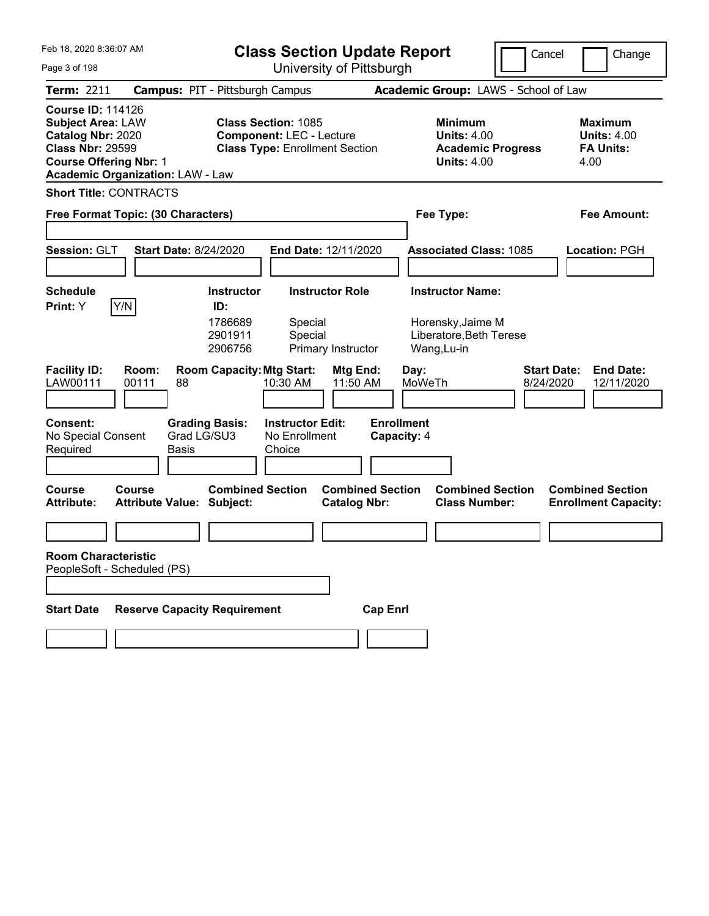| Feb 18, 2020 8:36:07 AM                                                                                                                                                          | <b>Class Section Update Report</b>                                                                     | Cancel                                                                                 | Change                                                           |
|----------------------------------------------------------------------------------------------------------------------------------------------------------------------------------|--------------------------------------------------------------------------------------------------------|----------------------------------------------------------------------------------------|------------------------------------------------------------------|
| Page 3 of 198                                                                                                                                                                    | University of Pittsburgh                                                                               |                                                                                        |                                                                  |
| Term: 2211                                                                                                                                                                       | <b>Campus: PIT - Pittsburgh Campus</b>                                                                 | Academic Group: LAWS - School of Law                                                   |                                                                  |
| <b>Course ID: 114126</b><br><b>Subject Area: LAW</b><br>Catalog Nbr: 2020<br><b>Class Nbr: 29599</b><br><b>Course Offering Nbr: 1</b><br><b>Academic Organization: LAW - Law</b> | <b>Class Section: 1085</b><br><b>Component: LEC - Lecture</b><br><b>Class Type: Enrollment Section</b> | <b>Minimum</b><br><b>Units: 4.00</b><br><b>Academic Progress</b><br><b>Units: 4.00</b> | <b>Maximum</b><br><b>Units: 4.00</b><br><b>FA Units:</b><br>4.00 |
| <b>Short Title: CONTRACTS</b>                                                                                                                                                    |                                                                                                        |                                                                                        |                                                                  |
| Free Format Topic: (30 Characters)                                                                                                                                               |                                                                                                        | Fee Type:                                                                              | Fee Amount:                                                      |
| Session: GLT<br><b>Start Date: 8/24/2020</b>                                                                                                                                     | End Date: 12/11/2020                                                                                   | <b>Associated Class: 1085</b>                                                          | Location: PGH                                                    |
| <b>Schedule</b>                                                                                                                                                                  | <b>Instructor Role</b><br><b>Instructor</b>                                                            | <b>Instructor Name:</b>                                                                |                                                                  |
| Y/N<br>Print: Y                                                                                                                                                                  | ID:<br>1786689<br>Special<br>2901911<br>Special<br>2906756<br>Primary Instructor                       | Horensky, Jaime M<br>Liberatore, Beth Terese<br>Wang, Lu-in                            |                                                                  |
| <b>Facility ID:</b><br>Room:<br>LAW00111<br>00111<br>88                                                                                                                          | <b>Room Capacity: Mtg Start:</b><br>Mtg End:<br>11:50 AM<br>10:30 AM                                   | <b>Start Date:</b><br>Day:<br>MoWeTh<br>8/24/2020                                      | <b>End Date:</b><br>12/11/2020                                   |
| Consent:<br>Grad LG/SU3<br>No Special Consent<br>Required<br><b>Basis</b>                                                                                                        | <b>Instructor Edit:</b><br><b>Grading Basis:</b><br>No Enrollment<br>Choice                            | <b>Enrollment</b><br>Capacity: 4                                                       |                                                                  |
| <b>Course</b><br>Course<br><b>Attribute Value: Subject:</b><br><b>Attribute:</b>                                                                                                 | <b>Combined Section</b><br><b>Combined Section</b><br><b>Catalog Nbr:</b>                              | <b>Combined Section</b><br><b>Class Number:</b>                                        | <b>Combined Section</b><br><b>Enrollment Capacity:</b>           |
|                                                                                                                                                                                  |                                                                                                        |                                                                                        |                                                                  |
| <b>Room Characteristic</b><br>PeopleSoft - Scheduled (PS)<br><b>Reserve Capacity Requirement</b><br><b>Start Date</b>                                                            | <b>Cap Enrl</b>                                                                                        |                                                                                        |                                                                  |
|                                                                                                                                                                                  |                                                                                                        |                                                                                        |                                                                  |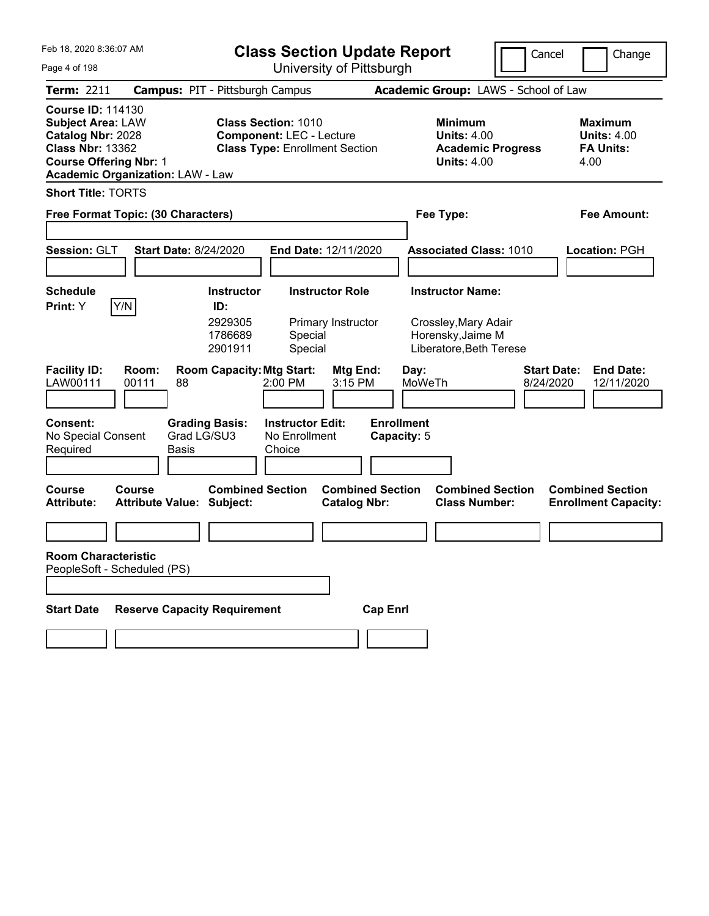| Feb 18, 2020 8:36:07 AM                                                                                                                                                          | <b>Class Section Update Report</b>                                                                     |                                                                        | Cancel                          | Change                                                           |
|----------------------------------------------------------------------------------------------------------------------------------------------------------------------------------|--------------------------------------------------------------------------------------------------------|------------------------------------------------------------------------|---------------------------------|------------------------------------------------------------------|
| Page 4 of 198                                                                                                                                                                    | University of Pittsburgh                                                                               |                                                                        |                                 |                                                                  |
| <b>Term: 2211</b>                                                                                                                                                                | <b>Campus: PIT - Pittsburgh Campus</b>                                                                 | Academic Group: LAWS - School of Law                                   |                                 |                                                                  |
| <b>Course ID: 114130</b><br><b>Subject Area: LAW</b><br>Catalog Nbr: 2028<br><b>Class Nbr: 13362</b><br><b>Course Offering Nbr: 1</b><br><b>Academic Organization: LAW - Law</b> | <b>Class Section: 1010</b><br><b>Component: LEC - Lecture</b><br><b>Class Type: Enrollment Section</b> | <b>Minimum</b><br><b>Units: 4.00</b><br><b>Units: 4.00</b>             | <b>Academic Progress</b>        | <b>Maximum</b><br><b>Units: 4.00</b><br><b>FA Units:</b><br>4.00 |
| <b>Short Title: TORTS</b>                                                                                                                                                        |                                                                                                        |                                                                        |                                 |                                                                  |
| Free Format Topic: (30 Characters)                                                                                                                                               |                                                                                                        | Fee Type:                                                              |                                 | Fee Amount:                                                      |
| Session: GLT<br><b>Start Date: 8/24/2020</b>                                                                                                                                     | End Date: 12/11/2020                                                                                   | <b>Associated Class: 1010</b>                                          |                                 | Location: PGH                                                    |
| <b>Schedule</b>                                                                                                                                                                  | <b>Instructor Role</b><br><b>Instructor</b>                                                            | <b>Instructor Name:</b>                                                |                                 |                                                                  |
| Print: Y<br>Y/N                                                                                                                                                                  | ID:<br>2929305<br>Primary Instructor<br>1786689<br>Special<br>Special<br>2901911                       | Crossley, Mary Adair<br>Horensky, Jaime M<br>Liberatore, Beth Terese   |                                 |                                                                  |
| <b>Facility ID:</b><br>Room:<br>LAW00111<br>00111<br>88                                                                                                                          | <b>Room Capacity: Mtg Start:</b><br>$2:00$ PM                                                          | Mtg End:<br>Day:<br>3:15 PM<br>MoWeTh                                  | <b>Start Date:</b><br>8/24/2020 | <b>End Date:</b><br>12/11/2020                                   |
| Consent:<br>No Special Consent<br>Required<br>Basis                                                                                                                              | <b>Grading Basis:</b><br><b>Instructor Edit:</b><br>Grad LG/SU3<br>No Enrollment<br>Choice             | <b>Enrollment</b><br>Capacity: 5                                       |                                 |                                                                  |
| Course<br><b>Course</b><br><b>Attribute:</b><br>Attribute Value: Subject:                                                                                                        | <b>Combined Section</b>                                                                                | <b>Combined Section</b><br><b>Class Number:</b><br><b>Catalog Nbr:</b> | <b>Combined Section</b>         | <b>Combined Section</b><br><b>Enrollment Capacity:</b>           |
|                                                                                                                                                                                  |                                                                                                        |                                                                        |                                 |                                                                  |
| <b>Room Characteristic</b><br>PeopleSoft - Scheduled (PS)                                                                                                                        |                                                                                                        |                                                                        |                                 |                                                                  |
| <b>Reserve Capacity Requirement</b><br><b>Start Date</b>                                                                                                                         |                                                                                                        | <b>Cap Enrl</b>                                                        |                                 |                                                                  |
|                                                                                                                                                                                  |                                                                                                        |                                                                        |                                 |                                                                  |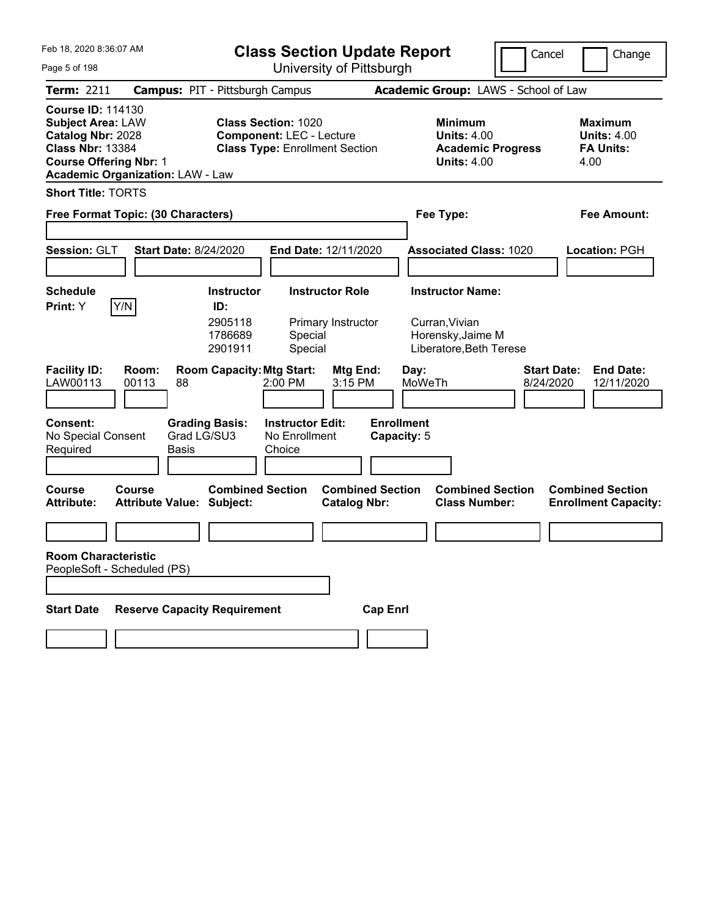| Feb 18, 2020 8:36:07 AM                                                                                                                                                          | <b>Class Section Update Report</b>                                                                     | Cancel                                                                                 | Change                                                           |
|----------------------------------------------------------------------------------------------------------------------------------------------------------------------------------|--------------------------------------------------------------------------------------------------------|----------------------------------------------------------------------------------------|------------------------------------------------------------------|
| Page 5 of 198                                                                                                                                                                    | University of Pittsburgh                                                                               |                                                                                        |                                                                  |
| <b>Term: 2211</b>                                                                                                                                                                | <b>Campus: PIT - Pittsburgh Campus</b>                                                                 | Academic Group: LAWS - School of Law                                                   |                                                                  |
| <b>Course ID: 114130</b><br><b>Subject Area: LAW</b><br>Catalog Nbr: 2028<br><b>Class Nbr: 13384</b><br><b>Course Offering Nbr: 1</b><br><b>Academic Organization: LAW - Law</b> | <b>Class Section: 1020</b><br><b>Component: LEC - Lecture</b><br><b>Class Type: Enrollment Section</b> | <b>Minimum</b><br><b>Units: 4.00</b><br><b>Academic Progress</b><br><b>Units: 4.00</b> | <b>Maximum</b><br><b>Units: 4.00</b><br><b>FA Units:</b><br>4.00 |
| <b>Short Title: TORTS</b>                                                                                                                                                        |                                                                                                        |                                                                                        |                                                                  |
| Free Format Topic: (30 Characters)                                                                                                                                               |                                                                                                        | Fee Type:                                                                              | Fee Amount:                                                      |
| Session: GLT<br><b>Start Date: 8/24/2020</b>                                                                                                                                     | End Date: 12/11/2020                                                                                   | <b>Associated Class: 1020</b>                                                          | Location: PGH                                                    |
| Schedule                                                                                                                                                                         | <b>Instructor</b><br><b>Instructor Role</b>                                                            | <b>Instructor Name:</b>                                                                |                                                                  |
| Print: Y<br>Y/N                                                                                                                                                                  | ID:<br>2905118<br>Primary Instructor<br>1786689<br>Special<br>Special<br>2901911                       | Curran, Vivian<br>Horensky, Jaime M<br>Liberatore, Beth Terese                         |                                                                  |
| <b>Facility ID:</b><br>Room:<br>LAW00113<br>00113<br>88                                                                                                                          | <b>Room Capacity: Mtg Start:</b><br>Mtg End:<br>2:00 PM<br>3:15 PM                                     | Day:<br>MoWeTh<br>8/24/2020                                                            | <b>Start Date:</b><br><b>End Date:</b><br>12/11/2020             |
| Consent:<br><b>Grading Basis:</b><br>Grad LG/SU3<br>No Special Consent<br>Required<br><b>Basis</b>                                                                               | <b>Instructor Edit:</b><br>No Enrollment<br>Choice                                                     | <b>Enrollment</b><br>Capacity: 5                                                       |                                                                  |
| Course<br>Course<br><b>Attribute:</b><br><b>Attribute Value: Subject:</b>                                                                                                        | <b>Combined Section</b><br><b>Combined Section</b><br><b>Catalog Nbr:</b>                              | <b>Combined Section</b><br><b>Class Number:</b>                                        | <b>Combined Section</b><br><b>Enrollment Capacity:</b>           |
|                                                                                                                                                                                  |                                                                                                        |                                                                                        |                                                                  |
| <b>Room Characteristic</b><br>PeopleSoft - Scheduled (PS)                                                                                                                        |                                                                                                        |                                                                                        |                                                                  |
| <b>Reserve Capacity Requirement</b><br><b>Start Date</b>                                                                                                                         | <b>Cap Enrl</b>                                                                                        |                                                                                        |                                                                  |
|                                                                                                                                                                                  |                                                                                                        |                                                                                        |                                                                  |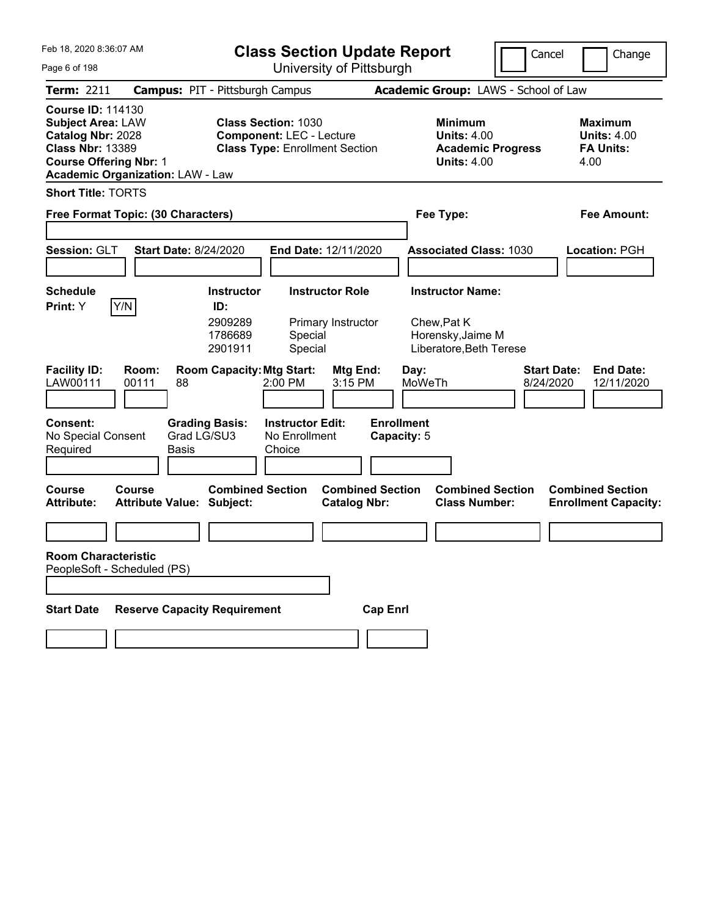| Feb 18, 2020 8:36:07 AM                                                                                                                                                          | <b>Class Section Update Report</b>                                                                     |                                                            | Cancel                                          | Change                                                           |
|----------------------------------------------------------------------------------------------------------------------------------------------------------------------------------|--------------------------------------------------------------------------------------------------------|------------------------------------------------------------|-------------------------------------------------|------------------------------------------------------------------|
| Page 6 of 198                                                                                                                                                                    | University of Pittsburgh                                                                               |                                                            |                                                 |                                                                  |
| <b>Term: 2211</b>                                                                                                                                                                | <b>Campus: PIT - Pittsburgh Campus</b>                                                                 | Academic Group: LAWS - School of Law                       |                                                 |                                                                  |
| <b>Course ID: 114130</b><br><b>Subject Area: LAW</b><br>Catalog Nbr: 2028<br><b>Class Nbr: 13389</b><br><b>Course Offering Nbr: 1</b><br><b>Academic Organization: LAW - Law</b> | <b>Class Section: 1030</b><br><b>Component: LEC - Lecture</b><br><b>Class Type: Enrollment Section</b> | <b>Minimum</b><br><b>Units: 4.00</b><br><b>Units: 4.00</b> | <b>Academic Progress</b>                        | <b>Maximum</b><br><b>Units: 4.00</b><br><b>FA Units:</b><br>4.00 |
| <b>Short Title: TORTS</b>                                                                                                                                                        |                                                                                                        |                                                            |                                                 |                                                                  |
| Free Format Topic: (30 Characters)                                                                                                                                               |                                                                                                        | Fee Type:                                                  |                                                 | Fee Amount:                                                      |
| Session: GLT<br><b>Start Date: 8/24/2020</b>                                                                                                                                     | End Date: 12/11/2020                                                                                   |                                                            | <b>Associated Class: 1030</b>                   | Location: PGH                                                    |
| <b>Schedule</b>                                                                                                                                                                  | <b>Instructor Role</b><br><b>Instructor</b>                                                            | <b>Instructor Name:</b>                                    |                                                 |                                                                  |
| Print: Y<br>Y/N                                                                                                                                                                  | ID:<br>2909289<br>Primary Instructor<br>1786689<br>Special<br>Special<br>2901911                       | Chew, Pat K<br>Horensky, Jaime M                           | Liberatore, Beth Terese                         |                                                                  |
| <b>Facility ID:</b><br>Room:<br>LAW00111<br>00111<br>88                                                                                                                          | <b>Room Capacity: Mtg Start:</b><br>$2:00$ PM                                                          | Mtg End:<br>Day:<br>3:15 PM<br>MoWeTh                      | <b>Start Date:</b><br>8/24/2020                 | <b>End Date:</b><br>12/11/2020                                   |
| Consent:<br>No Special Consent<br>Required<br><b>Basis</b>                                                                                                                       | <b>Grading Basis:</b><br><b>Instructor Edit:</b><br>Grad LG/SU3<br>No Enrollment<br>Choice             | <b>Enrollment</b><br>Capacity: 5                           |                                                 |                                                                  |
| Course<br><b>Course</b><br><b>Attribute:</b><br><b>Attribute Value: Subject:</b>                                                                                                 | <b>Combined Section</b>                                                                                | <b>Combined Section</b><br><b>Catalog Nbr:</b>             | <b>Combined Section</b><br><b>Class Number:</b> | <b>Combined Section</b><br><b>Enrollment Capacity:</b>           |
|                                                                                                                                                                                  |                                                                                                        |                                                            |                                                 |                                                                  |
| <b>Room Characteristic</b><br>PeopleSoft - Scheduled (PS)                                                                                                                        |                                                                                                        |                                                            |                                                 |                                                                  |
| <b>Start Date</b>                                                                                                                                                                | <b>Reserve Capacity Requirement</b>                                                                    | <b>Cap Enrl</b>                                            |                                                 |                                                                  |
|                                                                                                                                                                                  |                                                                                                        |                                                            |                                                 |                                                                  |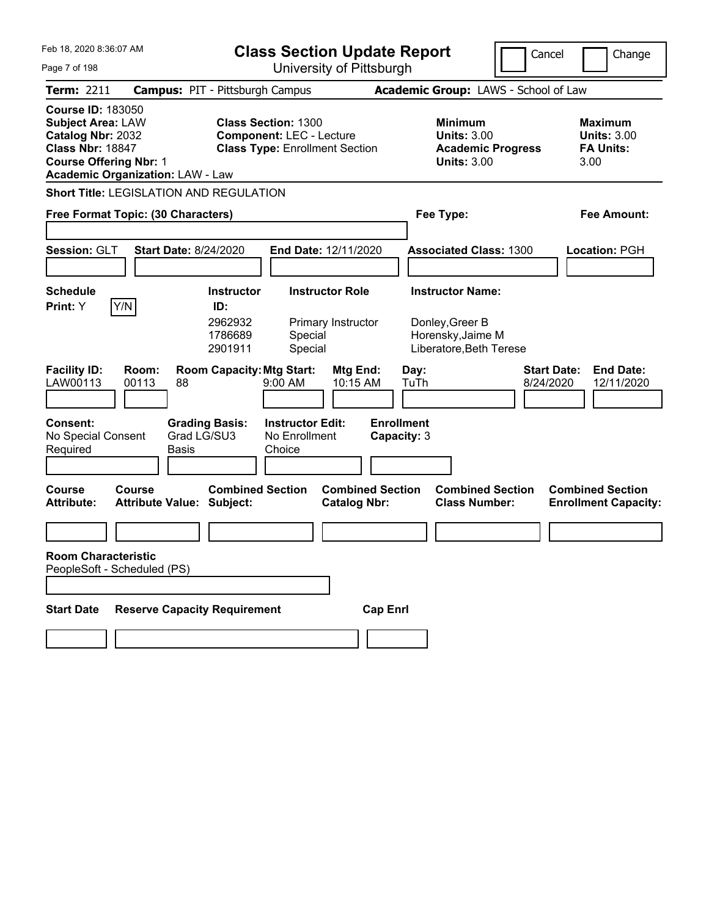| Feb 18, 2020 8:36:07 AM                                                                                                                                                          | <b>Class Section Update Report</b>                                                                     | Cancel                                                                                 | Change                                                           |
|----------------------------------------------------------------------------------------------------------------------------------------------------------------------------------|--------------------------------------------------------------------------------------------------------|----------------------------------------------------------------------------------------|------------------------------------------------------------------|
| Page 7 of 198                                                                                                                                                                    | University of Pittsburgh                                                                               |                                                                                        |                                                                  |
| Term: 2211                                                                                                                                                                       | <b>Campus: PIT - Pittsburgh Campus</b>                                                                 | Academic Group: LAWS - School of Law                                                   |                                                                  |
| <b>Course ID: 183050</b><br><b>Subject Area: LAW</b><br>Catalog Nbr: 2032<br><b>Class Nbr: 18847</b><br><b>Course Offering Nbr: 1</b><br><b>Academic Organization: LAW - Law</b> | <b>Class Section: 1300</b><br><b>Component: LEC - Lecture</b><br><b>Class Type: Enrollment Section</b> | <b>Minimum</b><br><b>Units: 3.00</b><br><b>Academic Progress</b><br><b>Units: 3.00</b> | <b>Maximum</b><br><b>Units: 3.00</b><br><b>FA Units:</b><br>3.00 |
| <b>Short Title: LEGISLATION AND REGULATION</b>                                                                                                                                   |                                                                                                        |                                                                                        |                                                                  |
| Free Format Topic: (30 Characters)                                                                                                                                               |                                                                                                        | Fee Type:                                                                              | Fee Amount:                                                      |
| Session: GLT<br><b>Start Date: 8/24/2020</b>                                                                                                                                     | End Date: 12/11/2020                                                                                   | <b>Associated Class: 1300</b>                                                          | Location: PGH                                                    |
| <b>Schedule</b>                                                                                                                                                                  | <b>Instructor Role</b><br><b>Instructor</b>                                                            | <b>Instructor Name:</b>                                                                |                                                                  |
| Y/N<br>Print: Y                                                                                                                                                                  | ID:<br>2962932<br>Primary Instructor<br>1786689<br>Special<br>2901911<br>Special                       | Donley, Greer B<br>Horensky, Jaime M<br>Liberatore, Beth Terese                        |                                                                  |
| <b>Facility ID:</b><br>Room:<br>LAW00113<br>00113<br>88                                                                                                                          | <b>Room Capacity: Mtg Start:</b><br>Mtg End:<br>10:15 AM<br>$9:00$ AM                                  | Day:<br>TuTh<br>8/24/2020                                                              | <b>Start Date:</b><br><b>End Date:</b><br>12/11/2020             |
| Consent:<br>Grad LG/SU3<br>No Special Consent<br>Required<br><b>Basis</b>                                                                                                        | <b>Instructor Edit:</b><br><b>Grading Basis:</b><br>No Enrollment<br>Choice                            | <b>Enrollment</b><br>Capacity: 3                                                       |                                                                  |
| <b>Course</b><br>Course<br><b>Attribute:</b><br><b>Attribute Value: Subject:</b>                                                                                                 | <b>Combined Section</b><br><b>Combined Section</b><br><b>Catalog Nbr:</b>                              | <b>Combined Section</b><br><b>Class Number:</b>                                        | <b>Combined Section</b><br><b>Enrollment Capacity:</b>           |
|                                                                                                                                                                                  |                                                                                                        |                                                                                        |                                                                  |
| <b>Room Characteristic</b><br>PeopleSoft - Scheduled (PS)                                                                                                                        |                                                                                                        |                                                                                        |                                                                  |
| <b>Reserve Capacity Requirement</b><br><b>Start Date</b>                                                                                                                         | <b>Cap Enrl</b>                                                                                        |                                                                                        |                                                                  |
|                                                                                                                                                                                  |                                                                                                        |                                                                                        |                                                                  |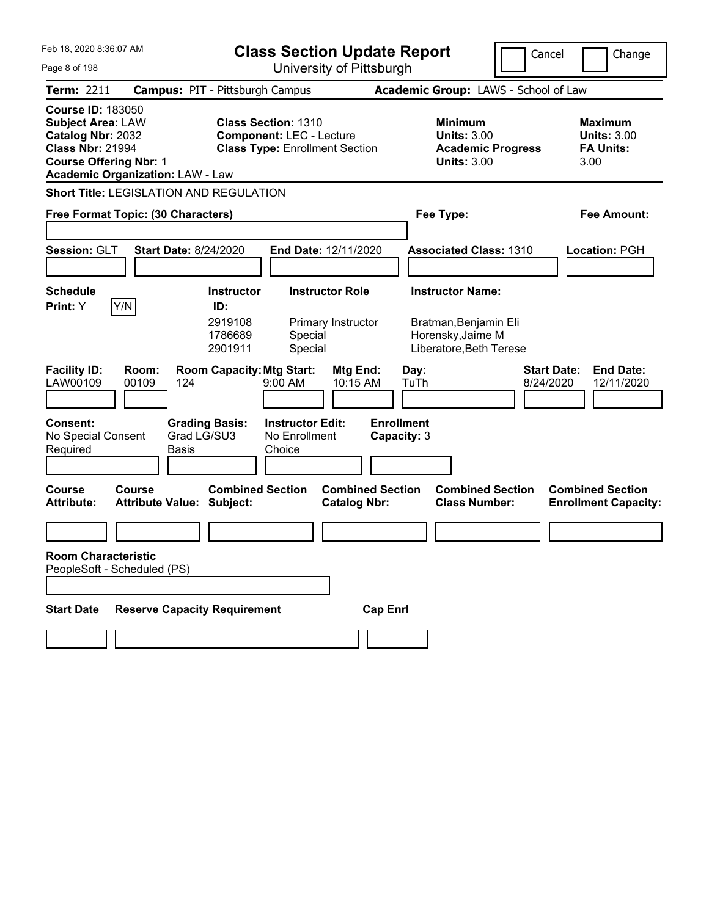| Feb 18, 2020 8:36:07 AM                                                                                                                                                          | <b>Class Section Update Report</b>                                                                     | Cancel                                                                                 | Change                                                           |
|----------------------------------------------------------------------------------------------------------------------------------------------------------------------------------|--------------------------------------------------------------------------------------------------------|----------------------------------------------------------------------------------------|------------------------------------------------------------------|
| Page 8 of 198                                                                                                                                                                    | University of Pittsburgh                                                                               |                                                                                        |                                                                  |
| <b>Term: 2211</b>                                                                                                                                                                | <b>Campus: PIT - Pittsburgh Campus</b>                                                                 | Academic Group: LAWS - School of Law                                                   |                                                                  |
| <b>Course ID: 183050</b><br><b>Subject Area: LAW</b><br>Catalog Nbr: 2032<br><b>Class Nbr: 21994</b><br><b>Course Offering Nbr: 1</b><br><b>Academic Organization: LAW - Law</b> | <b>Class Section: 1310</b><br><b>Component: LEC - Lecture</b><br><b>Class Type: Enrollment Section</b> | <b>Minimum</b><br><b>Units: 3.00</b><br><b>Academic Progress</b><br><b>Units: 3.00</b> | <b>Maximum</b><br><b>Units: 3.00</b><br><b>FA Units:</b><br>3.00 |
| <b>Short Title: LEGISLATION AND REGULATION</b>                                                                                                                                   |                                                                                                        |                                                                                        |                                                                  |
| Free Format Topic: (30 Characters)                                                                                                                                               |                                                                                                        | Fee Type:                                                                              | Fee Amount:                                                      |
| Session: GLT<br><b>Start Date: 8/24/2020</b>                                                                                                                                     | End Date: 12/11/2020                                                                                   | <b>Associated Class: 1310</b>                                                          | Location: PGH                                                    |
| Schedule                                                                                                                                                                         | <b>Instructor</b><br><b>Instructor Role</b>                                                            | <b>Instructor Name:</b>                                                                |                                                                  |
| Print: Y<br>Y/N                                                                                                                                                                  | ID:                                                                                                    |                                                                                        |                                                                  |
|                                                                                                                                                                                  | 2919108<br>Primary Instructor<br>1786689<br>Special<br>Special<br>2901911                              | Bratman, Benjamin Eli<br>Horensky, Jaime M<br>Liberatore, Beth Terese                  |                                                                  |
| <b>Facility ID:</b><br>Room:<br>LAW00109<br>00109<br>124                                                                                                                         | <b>Room Capacity: Mtg Start:</b><br>Mtg End:<br>9:00 AM<br>10:15 AM                                    | <b>Start Date:</b><br>Day:<br>TuTh<br>8/24/2020                                        | <b>End Date:</b><br>12/11/2020                                   |
| Consent:<br>Grad LG/SU3<br>No Special Consent<br>Required<br><b>Basis</b>                                                                                                        | <b>Instructor Edit:</b><br><b>Grading Basis:</b><br>No Enrollment<br>Choice                            | <b>Enrollment</b><br>Capacity: 3                                                       |                                                                  |
| Course<br>Course<br><b>Attribute:</b><br><b>Attribute Value: Subject:</b>                                                                                                        | <b>Combined Section</b><br><b>Combined Section</b><br><b>Catalog Nbr:</b>                              | <b>Combined Section</b><br><b>Class Number:</b>                                        | <b>Combined Section</b><br><b>Enrollment Capacity:</b>           |
|                                                                                                                                                                                  |                                                                                                        |                                                                                        |                                                                  |
| <b>Room Characteristic</b><br>PeopleSoft - Scheduled (PS)                                                                                                                        |                                                                                                        |                                                                                        |                                                                  |
| <b>Reserve Capacity Requirement</b><br><b>Start Date</b>                                                                                                                         | <b>Cap Enrl</b>                                                                                        |                                                                                        |                                                                  |
|                                                                                                                                                                                  |                                                                                                        |                                                                                        |                                                                  |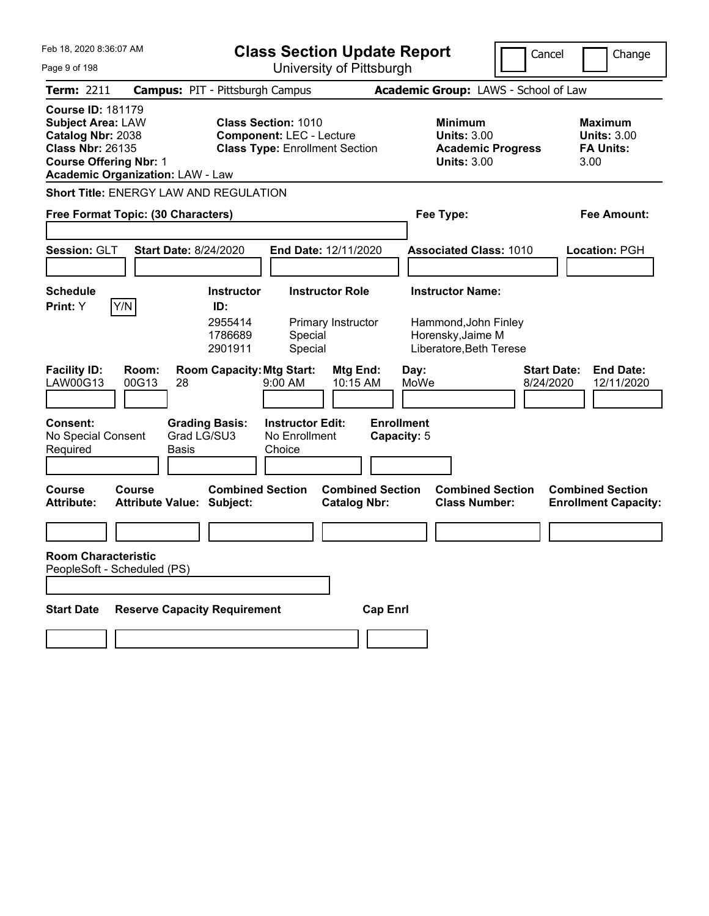| Feb 18, 2020 8:36:07 AM                                                                                                                                                          | <b>Class Section Update Report</b>                                                              | Cancel                                                                                 | Change                                                           |
|----------------------------------------------------------------------------------------------------------------------------------------------------------------------------------|-------------------------------------------------------------------------------------------------|----------------------------------------------------------------------------------------|------------------------------------------------------------------|
| Page 9 of 198                                                                                                                                                                    | University of Pittsburgh                                                                        |                                                                                        |                                                                  |
| <b>Term: 2211</b>                                                                                                                                                                | <b>Campus: PIT - Pittsburgh Campus</b>                                                          | Academic Group: LAWS - School of Law                                                   |                                                                  |
| <b>Course ID: 181179</b><br><b>Subject Area: LAW</b><br>Catalog Nbr: 2038<br><b>Class Nbr: 26135</b><br><b>Course Offering Nbr: 1</b><br><b>Academic Organization: LAW - Law</b> | Class Section: 1010<br><b>Component: LEC - Lecture</b><br><b>Class Type: Enrollment Section</b> | <b>Minimum</b><br><b>Units: 3.00</b><br><b>Academic Progress</b><br><b>Units: 3.00</b> | <b>Maximum</b><br><b>Units: 3.00</b><br><b>FA Units:</b><br>3.00 |
| <b>Short Title: ENERGY LAW AND REGULATION</b>                                                                                                                                    |                                                                                                 |                                                                                        |                                                                  |
| Free Format Topic: (30 Characters)                                                                                                                                               |                                                                                                 | Fee Type:                                                                              | Fee Amount:                                                      |
| Session: GLT<br><b>Start Date: 8/24/2020</b>                                                                                                                                     | End Date: 12/11/2020                                                                            | <b>Associated Class: 1010</b>                                                          | Location: PGH                                                    |
| Schedule                                                                                                                                                                         | <b>Instructor</b><br><b>Instructor Role</b>                                                     | <b>Instructor Name:</b>                                                                |                                                                  |
| Print: Y<br>Y/N                                                                                                                                                                  | ID:                                                                                             |                                                                                        |                                                                  |
|                                                                                                                                                                                  | 2955414<br>Primary Instructor<br>1786689<br>Special<br>Special<br>2901911                       | Hammond, John Finley<br>Horensky, Jaime M<br>Liberatore, Beth Terese                   |                                                                  |
| <b>Facility ID:</b><br>Room:<br>LAW00G13<br>00G13<br>28                                                                                                                          | <b>Room Capacity: Mtg Start:</b><br>Mtg End:<br>9:00 AM<br>10:15 AM                             | Day:<br>MoWe<br>8/24/2020                                                              | <b>Start Date:</b><br><b>End Date:</b><br>12/11/2020             |
| Consent:<br><b>Grading Basis:</b><br>Grad LG/SU3<br>No Special Consent<br>Required<br><b>Basis</b>                                                                               | <b>Instructor Edit:</b><br>No Enrollment<br>Choice                                              | <b>Enrollment</b><br>Capacity: 5                                                       |                                                                  |
| Course<br>Course<br><b>Attribute:</b><br><b>Attribute Value: Subject:</b>                                                                                                        | <b>Combined Section</b><br><b>Combined Section</b><br><b>Catalog Nbr:</b>                       | <b>Combined Section</b><br><b>Class Number:</b>                                        | <b>Combined Section</b><br><b>Enrollment Capacity:</b>           |
|                                                                                                                                                                                  |                                                                                                 |                                                                                        |                                                                  |
| <b>Room Characteristic</b><br>PeopleSoft - Scheduled (PS)                                                                                                                        |                                                                                                 |                                                                                        |                                                                  |
| <b>Reserve Capacity Requirement</b><br><b>Start Date</b>                                                                                                                         | <b>Cap Enrl</b>                                                                                 |                                                                                        |                                                                  |
|                                                                                                                                                                                  |                                                                                                 |                                                                                        |                                                                  |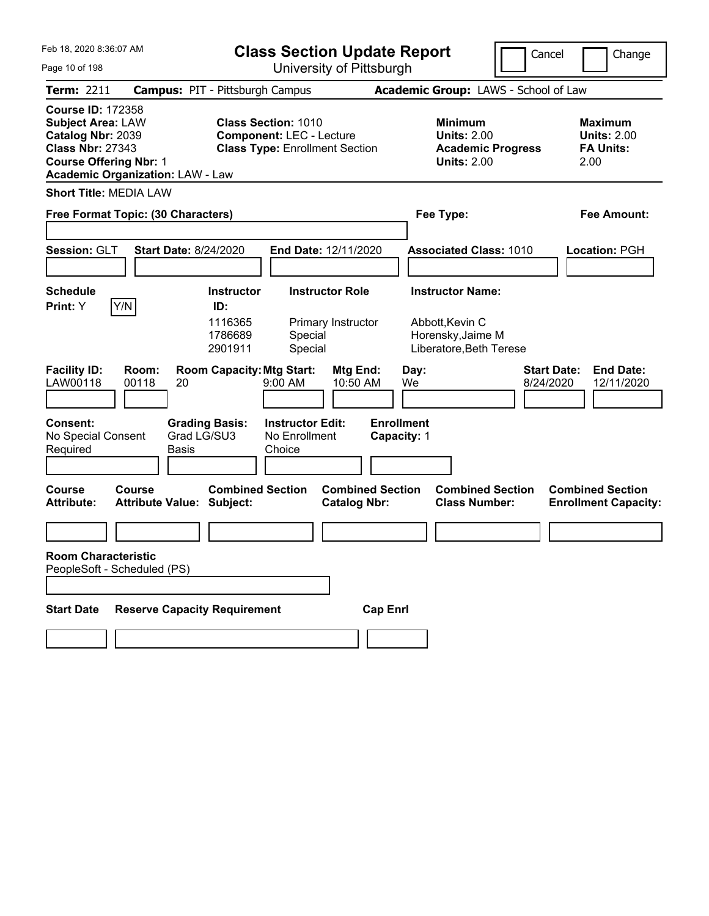| Feb 18, 2020 8:36:07 AM<br>Page 10 of 198                                                                                                                                        | <b>Class Section Update Report</b><br>University of Pittsburgh                                         |                                                                                        | Cancel<br>Change                                                  |
|----------------------------------------------------------------------------------------------------------------------------------------------------------------------------------|--------------------------------------------------------------------------------------------------------|----------------------------------------------------------------------------------------|-------------------------------------------------------------------|
| <b>Term: 2211</b>                                                                                                                                                                | <b>Campus: PIT - Pittsburgh Campus</b>                                                                 | Academic Group: LAWS - School of Law                                                   |                                                                   |
| <b>Course ID: 172358</b><br><b>Subject Area: LAW</b><br>Catalog Nbr: 2039<br><b>Class Nbr: 27343</b><br><b>Course Offering Nbr: 1</b><br><b>Academic Organization: LAW - Law</b> | <b>Class Section: 1010</b><br><b>Component: LEC - Lecture</b><br><b>Class Type: Enrollment Section</b> | <b>Minimum</b><br><b>Units: 2.00</b><br><b>Academic Progress</b><br><b>Units: 2.00</b> | <b>Maximum</b><br><b>Units: 2.00</b><br><b>FA Units:</b><br>2.00  |
| <b>Short Title: MEDIA LAW</b>                                                                                                                                                    |                                                                                                        |                                                                                        |                                                                   |
| Free Format Topic: (30 Characters)                                                                                                                                               |                                                                                                        | Fee Type:                                                                              | <b>Fee Amount:</b>                                                |
| Session: GLT<br><b>Start Date: 8/24/2020</b>                                                                                                                                     | End Date: 12/11/2020                                                                                   | <b>Associated Class: 1010</b>                                                          | Location: PGH                                                     |
| <b>Schedule</b>                                                                                                                                                                  | <b>Instructor</b><br><b>Instructor Role</b>                                                            | <b>Instructor Name:</b>                                                                |                                                                   |
| Y/N<br>Print: Y                                                                                                                                                                  | ID:<br>1116365<br>Primary Instructor<br>1786689<br>Special<br>2901911<br>Special                       | Abbott, Kevin C<br>Horensky, Jaime M<br>Liberatore, Beth Terese                        |                                                                   |
| <b>Facility ID:</b><br>Room:<br>LAW00118<br>00118<br>20                                                                                                                          | <b>Room Capacity: Mtg Start:</b><br>Mtg End:<br>9:00 AM<br>10:50 AM                                    | Day:<br>We                                                                             | <b>Start Date:</b><br><b>End Date:</b><br>8/24/2020<br>12/11/2020 |
| <b>Consent:</b><br>No Special Consent<br>Required<br>Basis                                                                                                                       | <b>Grading Basis:</b><br><b>Instructor Edit:</b><br>Grad LG/SU3<br>No Enrollment<br>Choice             | <b>Enrollment</b><br>Capacity: 1                                                       |                                                                   |
| <b>Course</b><br>Course<br><b>Attribute Value: Subject:</b><br><b>Attribute:</b>                                                                                                 | <b>Combined Section</b><br><b>Combined Section</b><br><b>Catalog Nbr:</b>                              | <b>Combined Section</b><br><b>Class Number:</b>                                        | <b>Combined Section</b><br><b>Enrollment Capacity:</b>            |
|                                                                                                                                                                                  |                                                                                                        |                                                                                        |                                                                   |
| <b>Room Characteristic</b><br>PeopleSoft - Scheduled (PS)                                                                                                                        |                                                                                                        |                                                                                        |                                                                   |
| <b>Reserve Capacity Requirement</b><br><b>Start Date</b>                                                                                                                         |                                                                                                        | <b>Cap Enrl</b>                                                                        |                                                                   |
|                                                                                                                                                                                  |                                                                                                        |                                                                                        |                                                                   |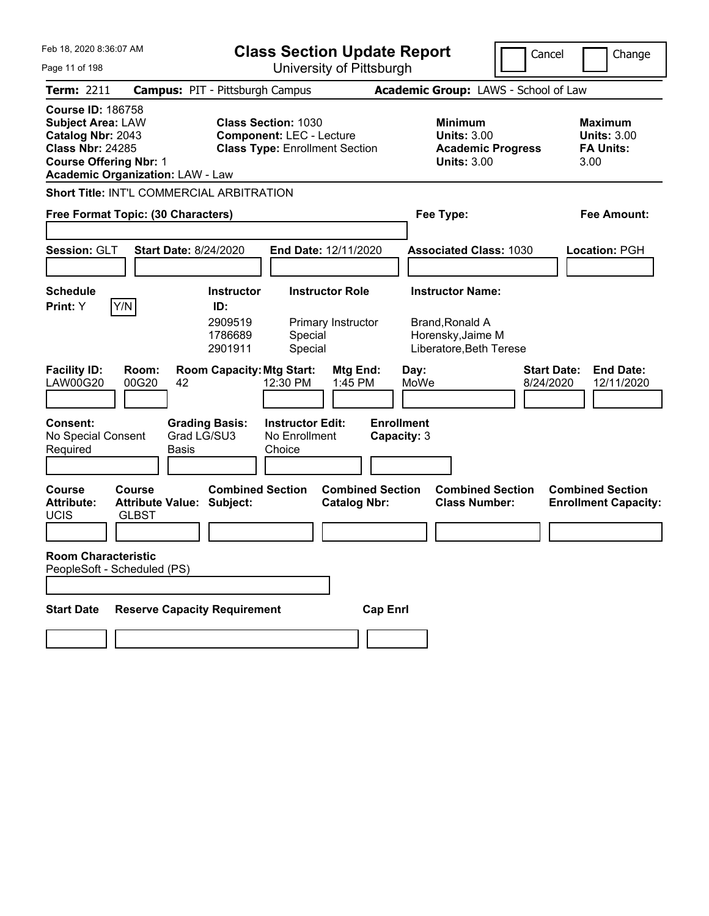| Feb 18, 2020 8:36:07 AM                                                                                                                                                          | <b>Class Section Update Report</b>                                                                     | Cancel                                                                                 | Change                                                            |
|----------------------------------------------------------------------------------------------------------------------------------------------------------------------------------|--------------------------------------------------------------------------------------------------------|----------------------------------------------------------------------------------------|-------------------------------------------------------------------|
| Page 11 of 198                                                                                                                                                                   | University of Pittsburgh                                                                               |                                                                                        |                                                                   |
| <b>Term: 2211</b>                                                                                                                                                                | <b>Campus: PIT - Pittsburgh Campus</b>                                                                 | Academic Group: LAWS - School of Law                                                   |                                                                   |
| <b>Course ID: 186758</b><br><b>Subject Area: LAW</b><br>Catalog Nbr: 2043<br><b>Class Nbr: 24285</b><br><b>Course Offering Nbr: 1</b><br><b>Academic Organization: LAW - Law</b> | <b>Class Section: 1030</b><br><b>Component: LEC - Lecture</b><br><b>Class Type: Enrollment Section</b> | <b>Minimum</b><br><b>Units: 3.00</b><br><b>Academic Progress</b><br><b>Units: 3.00</b> | <b>Maximum</b><br><b>Units: 3.00</b><br><b>FA Units:</b><br>3.00  |
| <b>Short Title: INT'L COMMERCIAL ARBITRATION</b>                                                                                                                                 |                                                                                                        |                                                                                        |                                                                   |
| Free Format Topic: (30 Characters)                                                                                                                                               |                                                                                                        | Fee Type:                                                                              | <b>Fee Amount:</b>                                                |
|                                                                                                                                                                                  |                                                                                                        |                                                                                        |                                                                   |
| Session: GLT<br><b>Start Date: 8/24/2020</b>                                                                                                                                     | End Date: 12/11/2020                                                                                   | <b>Associated Class: 1030</b>                                                          | Location: PGH                                                     |
| <b>Schedule</b>                                                                                                                                                                  | <b>Instructor</b><br><b>Instructor Role</b>                                                            | <b>Instructor Name:</b>                                                                |                                                                   |
| Y/N<br>Print: Y                                                                                                                                                                  | ID:                                                                                                    |                                                                                        |                                                                   |
|                                                                                                                                                                                  | 2909519<br>Primary Instructor<br>1786689<br>Special<br>2901911<br>Special                              | <b>Brand, Ronald A</b><br>Horensky, Jaime M<br>Liberatore, Beth Terese                 |                                                                   |
| <b>Facility ID:</b><br>Room:<br><b>LAW00G20</b><br>00G20<br>42                                                                                                                   | <b>Room Capacity: Mtg Start:</b><br>Mtg End:<br>12:30 PM<br>1:45 PM                                    | Day:<br>MoWe                                                                           | <b>Start Date:</b><br><b>End Date:</b><br>8/24/2020<br>12/11/2020 |
| <b>Consent:</b><br><b>Grading Basis:</b><br>Grad LG/SU3<br>No Special Consent<br>Required<br>Basis                                                                               | <b>Instructor Edit:</b><br>No Enrollment<br>Choice                                                     | <b>Enrollment</b><br>Capacity: 3                                                       |                                                                   |
| <b>Course</b><br>Course<br><b>Attribute:</b><br><b>Attribute Value: Subject:</b><br><b>UCIS</b><br><b>GLBST</b>                                                                  | <b>Combined Section</b><br><b>Combined Section</b><br><b>Catalog Nbr:</b>                              | <b>Combined Section</b><br><b>Class Number:</b>                                        | <b>Combined Section</b><br><b>Enrollment Capacity:</b>            |
|                                                                                                                                                                                  |                                                                                                        |                                                                                        |                                                                   |
| <b>Room Characteristic</b><br>PeopleSoft - Scheduled (PS)                                                                                                                        |                                                                                                        |                                                                                        |                                                                   |
|                                                                                                                                                                                  |                                                                                                        |                                                                                        |                                                                   |
| <b>Reserve Capacity Requirement</b><br><b>Start Date</b>                                                                                                                         | <b>Cap Enrl</b>                                                                                        |                                                                                        |                                                                   |
|                                                                                                                                                                                  |                                                                                                        |                                                                                        |                                                                   |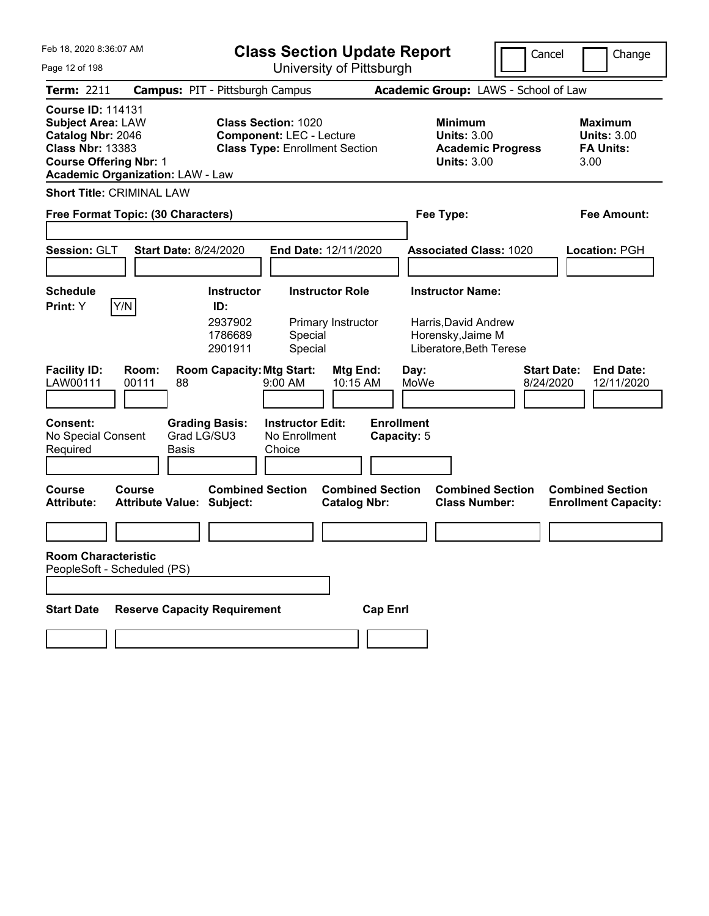| Feb 18, 2020 8:36:07 AM                                                                                                                                                          | <b>Class Section Update Report</b>                                                                     |                                                                                        | Cancel<br>Change                                                  |
|----------------------------------------------------------------------------------------------------------------------------------------------------------------------------------|--------------------------------------------------------------------------------------------------------|----------------------------------------------------------------------------------------|-------------------------------------------------------------------|
| Page 12 of 198                                                                                                                                                                   | University of Pittsburgh                                                                               |                                                                                        |                                                                   |
| Term: 2211                                                                                                                                                                       | <b>Campus: PIT - Pittsburgh Campus</b>                                                                 | Academic Group: LAWS - School of Law                                                   |                                                                   |
| <b>Course ID: 114131</b><br><b>Subject Area: LAW</b><br>Catalog Nbr: 2046<br><b>Class Nbr: 13383</b><br><b>Course Offering Nbr: 1</b><br><b>Academic Organization: LAW - Law</b> | <b>Class Section: 1020</b><br><b>Component: LEC - Lecture</b><br><b>Class Type: Enrollment Section</b> | <b>Minimum</b><br><b>Units: 3.00</b><br><b>Academic Progress</b><br><b>Units: 3.00</b> | <b>Maximum</b><br><b>Units: 3.00</b><br><b>FA Units:</b><br>3.00  |
| <b>Short Title: CRIMINAL LAW</b>                                                                                                                                                 |                                                                                                        |                                                                                        |                                                                   |
| Free Format Topic: (30 Characters)                                                                                                                                               |                                                                                                        | Fee Type:                                                                              | <b>Fee Amount:</b>                                                |
|                                                                                                                                                                                  |                                                                                                        |                                                                                        |                                                                   |
| Session: GLT<br><b>Start Date: 8/24/2020</b>                                                                                                                                     | End Date: 12/11/2020                                                                                   | <b>Associated Class: 1020</b>                                                          | Location: PGH                                                     |
|                                                                                                                                                                                  |                                                                                                        |                                                                                        |                                                                   |
| <b>Schedule</b>                                                                                                                                                                  | <b>Instructor Role</b><br><b>Instructor</b>                                                            | <b>Instructor Name:</b>                                                                |                                                                   |
| Y/N<br>Print: Y                                                                                                                                                                  | ID:<br>2937902<br>Primary Instructor<br>1786689<br>Special<br>2901911<br>Special                       | Harris, David Andrew<br>Horensky, Jaime M<br>Liberatore, Beth Terese                   |                                                                   |
| <b>Facility ID:</b><br>Room:<br>LAW00111<br>00111<br>88                                                                                                                          | <b>Room Capacity: Mtg Start:</b><br>Mtg End:<br>9:00 AM<br>10:15 AM                                    | Day:<br>MoWe                                                                           | <b>Start Date:</b><br><b>End Date:</b><br>8/24/2020<br>12/11/2020 |
| <b>Consent:</b><br>Grad LG/SU3<br>No Special Consent<br>Required<br>Basis                                                                                                        | <b>Instructor Edit:</b><br><b>Grading Basis:</b><br>No Enrollment<br>Choice                            | <b>Enrollment</b><br>Capacity: 5                                                       |                                                                   |
| <b>Course</b><br>Course<br><b>Attribute Value: Subject:</b><br><b>Attribute:</b>                                                                                                 | <b>Combined Section</b><br><b>Combined Section</b><br><b>Catalog Nbr:</b>                              | <b>Combined Section</b><br><b>Class Number:</b>                                        | <b>Combined Section</b><br><b>Enrollment Capacity:</b>            |
|                                                                                                                                                                                  |                                                                                                        |                                                                                        |                                                                   |
| <b>Room Characteristic</b><br>PeopleSoft - Scheduled (PS)                                                                                                                        |                                                                                                        |                                                                                        |                                                                   |
| <b>Reserve Capacity Requirement</b><br><b>Start Date</b>                                                                                                                         | <b>Cap Enrl</b>                                                                                        |                                                                                        |                                                                   |
|                                                                                                                                                                                  |                                                                                                        |                                                                                        |                                                                   |
|                                                                                                                                                                                  |                                                                                                        |                                                                                        |                                                                   |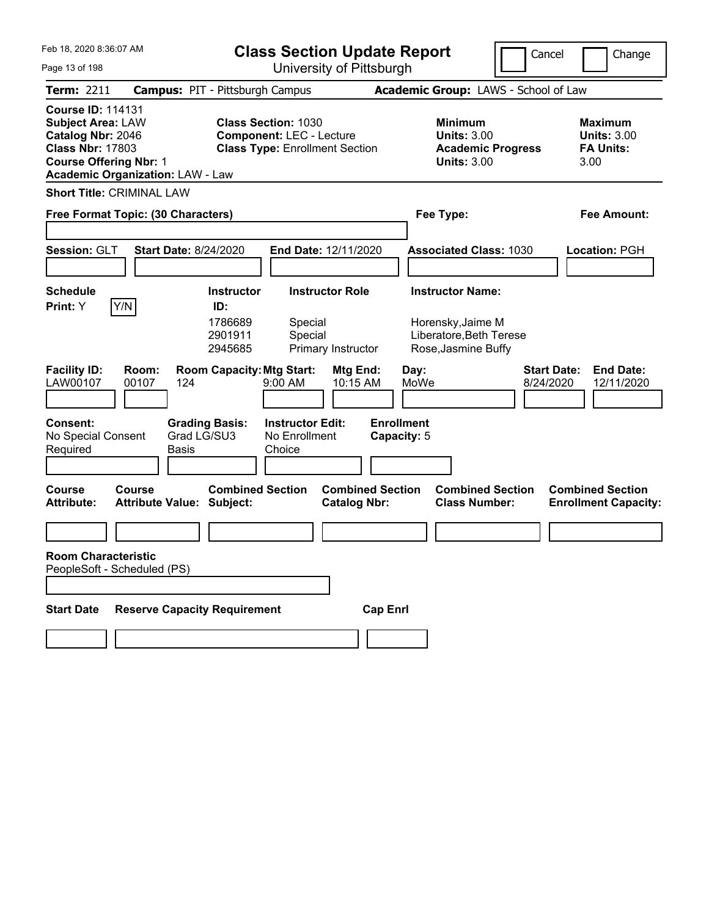| Feb 18, 2020 8:36:07 AM                                                                                                                                                          | <b>Class Section Update Report</b>                                                                     | Cancel                                                                                 | Change                                                            |
|----------------------------------------------------------------------------------------------------------------------------------------------------------------------------------|--------------------------------------------------------------------------------------------------------|----------------------------------------------------------------------------------------|-------------------------------------------------------------------|
| Page 13 of 198                                                                                                                                                                   | University of Pittsburgh                                                                               |                                                                                        |                                                                   |
| <b>Term: 2211</b>                                                                                                                                                                | <b>Campus: PIT - Pittsburgh Campus</b>                                                                 | Academic Group: LAWS - School of Law                                                   |                                                                   |
| <b>Course ID: 114131</b><br><b>Subject Area: LAW</b><br>Catalog Nbr: 2046<br><b>Class Nbr: 17803</b><br><b>Course Offering Nbr: 1</b><br><b>Academic Organization: LAW - Law</b> | <b>Class Section: 1030</b><br><b>Component: LEC - Lecture</b><br><b>Class Type: Enrollment Section</b> | <b>Minimum</b><br><b>Units: 3.00</b><br><b>Academic Progress</b><br><b>Units: 3.00</b> | <b>Maximum</b><br><b>Units: 3.00</b><br><b>FA Units:</b><br>3.00  |
| <b>Short Title: CRIMINAL LAW</b>                                                                                                                                                 |                                                                                                        |                                                                                        |                                                                   |
| Free Format Topic: (30 Characters)                                                                                                                                               |                                                                                                        | Fee Type:                                                                              | Fee Amount:                                                       |
|                                                                                                                                                                                  |                                                                                                        |                                                                                        |                                                                   |
| Session: GLT<br><b>Start Date: 8/24/2020</b>                                                                                                                                     | End Date: 12/11/2020                                                                                   | <b>Associated Class: 1030</b>                                                          | Location: PGH                                                     |
|                                                                                                                                                                                  |                                                                                                        |                                                                                        |                                                                   |
| <b>Schedule</b>                                                                                                                                                                  | <b>Instructor Role</b><br><b>Instructor</b>                                                            | <b>Instructor Name:</b>                                                                |                                                                   |
| Y/N<br>Print: Y                                                                                                                                                                  | ID:<br>1786689<br>Special<br>2901911<br>Special<br>2945685<br>Primary Instructor                       | Horensky, Jaime M<br>Liberatore, Beth Terese<br>Rose, Jasmine Buffy                    |                                                                   |
| <b>Facility ID:</b><br>Room:<br>LAW00107<br>00107<br>124                                                                                                                         | <b>Room Capacity: Mtg Start:</b><br>Mtg End:<br>10:15 AM<br>$9:00$ AM                                  | Day:<br>MoWe                                                                           | <b>Start Date:</b><br><b>End Date:</b><br>8/24/2020<br>12/11/2020 |
| <b>Consent:</b><br>No Special Consent<br>Required<br>Basis                                                                                                                       | <b>Instructor Edit:</b><br><b>Grading Basis:</b><br>Grad LG/SU3<br>No Enrollment<br>Choice             | <b>Enrollment</b><br>Capacity: 5                                                       |                                                                   |
| <b>Course</b><br>Course<br><b>Attribute Value: Subject:</b><br><b>Attribute:</b>                                                                                                 | <b>Combined Section</b><br><b>Combined Section</b><br><b>Catalog Nbr:</b>                              | <b>Combined Section</b><br><b>Class Number:</b>                                        | <b>Combined Section</b><br><b>Enrollment Capacity:</b>            |
|                                                                                                                                                                                  |                                                                                                        |                                                                                        |                                                                   |
| <b>Room Characteristic</b><br>PeopleSoft - Scheduled (PS)                                                                                                                        |                                                                                                        |                                                                                        |                                                                   |
| <b>Reserve Capacity Requirement</b><br><b>Start Date</b>                                                                                                                         | <b>Cap Enrl</b>                                                                                        |                                                                                        |                                                                   |
|                                                                                                                                                                                  |                                                                                                        |                                                                                        |                                                                   |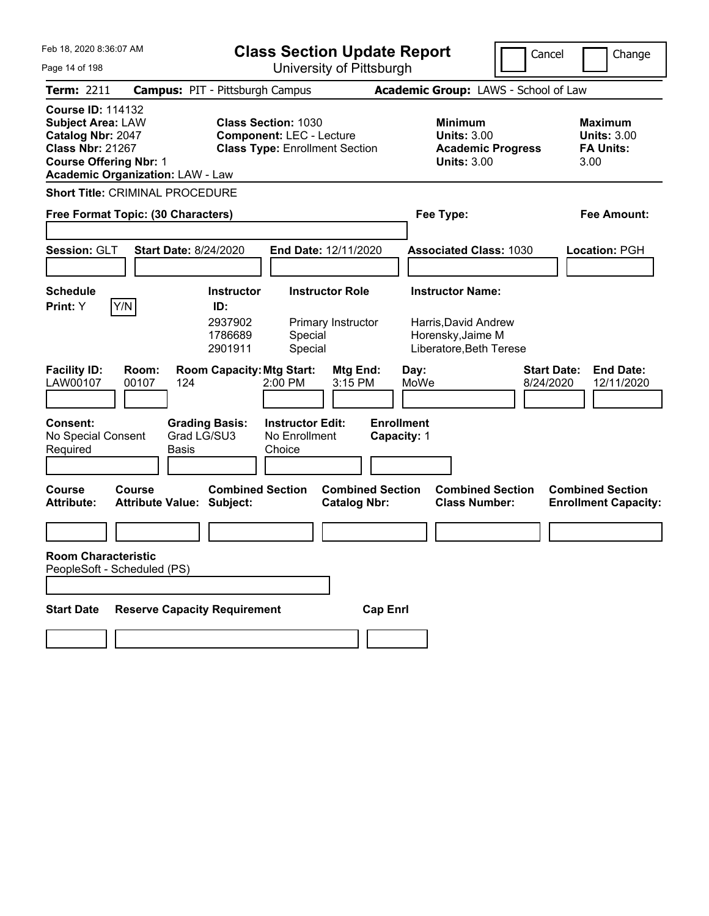| Feb 18. 2020 8:36:07 AM                                                                                                                                                          | <b>Class Section Update Report</b>                                                                     |                                                                                 | Cancel<br>Change                                                  |
|----------------------------------------------------------------------------------------------------------------------------------------------------------------------------------|--------------------------------------------------------------------------------------------------------|---------------------------------------------------------------------------------|-------------------------------------------------------------------|
| Page 14 of 198                                                                                                                                                                   | University of Pittsburgh                                                                               |                                                                                 |                                                                   |
| <b>Term: 2211</b>                                                                                                                                                                | <b>Campus: PIT - Pittsburgh Campus</b>                                                                 | Academic Group: LAWS - School of Law                                            |                                                                   |
| <b>Course ID: 114132</b><br><b>Subject Area: LAW</b><br>Catalog Nbr: 2047<br><b>Class Nbr: 21267</b><br><b>Course Offering Nbr: 1</b><br><b>Academic Organization: LAW - Law</b> | <b>Class Section: 1030</b><br><b>Component: LEC - Lecture</b><br><b>Class Type: Enrollment Section</b> | Minimum<br><b>Units: 3.00</b><br><b>Academic Progress</b><br><b>Units: 3.00</b> | Maximum<br><b>Units: 3.00</b><br><b>FA Units:</b><br>3.00         |
| <b>Short Title: CRIMINAL PROCEDURE</b>                                                                                                                                           |                                                                                                        |                                                                                 |                                                                   |
| Free Format Topic: (30 Characters)                                                                                                                                               |                                                                                                        | Fee Type:                                                                       | Fee Amount:                                                       |
|                                                                                                                                                                                  |                                                                                                        |                                                                                 |                                                                   |
| Session: GLT                                                                                                                                                                     | <b>Start Date: 8/24/2020</b><br>End Date: 12/11/2020                                                   | <b>Associated Class: 1030</b>                                                   | Location: PGH                                                     |
|                                                                                                                                                                                  |                                                                                                        |                                                                                 |                                                                   |
| <b>Schedule</b>                                                                                                                                                                  | <b>Instructor Role</b><br><b>Instructor</b>                                                            | <b>Instructor Name:</b>                                                         |                                                                   |
| Y/N<br><b>Print:</b> Y                                                                                                                                                           | ID:<br>2937902<br>Primary Instructor<br>1786689<br>Special<br>Special<br>2901911                       | Harris, David Andrew<br>Horensky, Jaime M<br>Liberatore, Beth Terese            |                                                                   |
| <b>Facility ID:</b><br>Room:<br>LAW00107<br>00107<br>124                                                                                                                         | <b>Room Capacity: Mtg Start:</b><br>Mtg End:<br>2:00 PM<br>3:15 PM                                     | Day:<br>MoWe                                                                    | <b>Start Date:</b><br><b>End Date:</b><br>8/24/2020<br>12/11/2020 |
| <b>Consent:</b><br>No Special Consent<br>Required<br>Basis                                                                                                                       | <b>Grading Basis:</b><br><b>Instructor Edit:</b><br>Grad LG/SU3<br>No Enrollment<br>Choice             | <b>Enrollment</b><br>Capacity: 1                                                |                                                                   |
| Course<br>Course<br><b>Attribute:</b><br><b>Attribute Value: Subject:</b>                                                                                                        | <b>Combined Section</b><br><b>Combined Section</b><br><b>Catalog Nbr:</b>                              | <b>Combined Section</b><br><b>Class Number:</b>                                 | <b>Combined Section</b><br><b>Enrollment Capacity:</b>            |
|                                                                                                                                                                                  |                                                                                                        |                                                                                 |                                                                   |
| <b>Room Characteristic</b><br>PeopleSoft - Scheduled (PS)                                                                                                                        |                                                                                                        |                                                                                 |                                                                   |
|                                                                                                                                                                                  |                                                                                                        |                                                                                 |                                                                   |
| <b>Start Date</b>                                                                                                                                                                | <b>Reserve Capacity Requirement</b><br><b>Cap Enrl</b>                                                 |                                                                                 |                                                                   |
|                                                                                                                                                                                  |                                                                                                        |                                                                                 |                                                                   |
|                                                                                                                                                                                  |                                                                                                        |                                                                                 |                                                                   |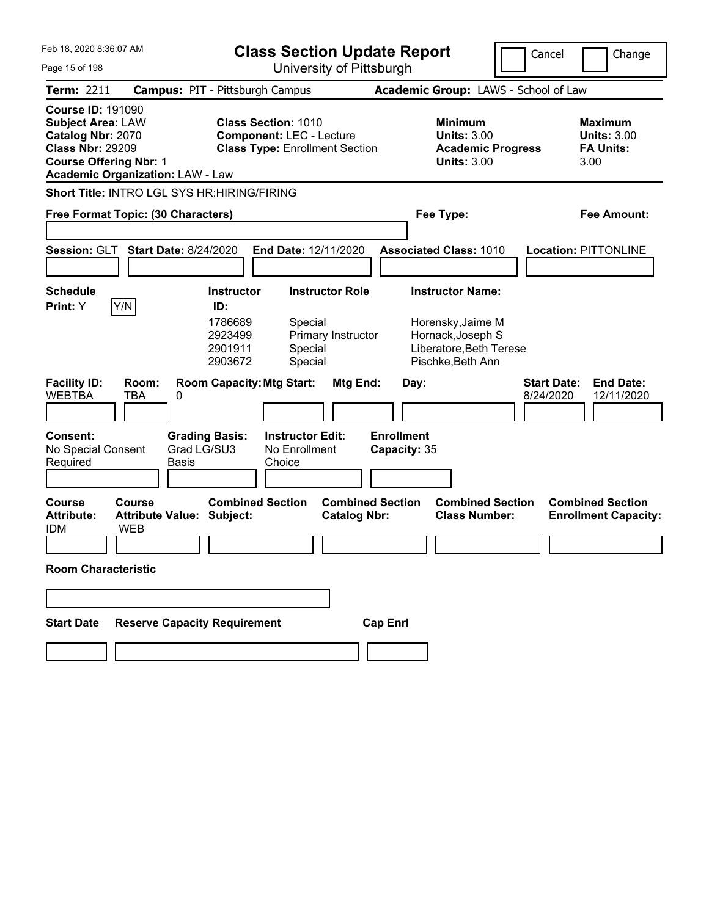| Feb 18, 2020 8:36:07 AM                                                                                                               |                                                          | <b>Class Section Update Report</b>                            |                                                                    |                                   | Cancel                                                                                       | Change                               |                                                           |
|---------------------------------------------------------------------------------------------------------------------------------------|----------------------------------------------------------|---------------------------------------------------------------|--------------------------------------------------------------------|-----------------------------------|----------------------------------------------------------------------------------------------|--------------------------------------|-----------------------------------------------------------|
| Page 15 of 198                                                                                                                        |                                                          |                                                               | University of Pittsburgh                                           |                                   |                                                                                              |                                      |                                                           |
| <b>Term: 2211</b>                                                                                                                     |                                                          | <b>Campus: PIT - Pittsburgh Campus</b>                        |                                                                    |                                   |                                                                                              | Academic Group: LAWS - School of Law |                                                           |
| <b>Course ID: 191090</b><br><b>Subject Area: LAW</b><br>Catalog Nbr: 2070<br><b>Class Nbr: 29209</b><br><b>Course Offering Nbr: 1</b> | <b>Academic Organization: LAW - Law</b>                  | <b>Class Section: 1010</b><br><b>Component: LEC - Lecture</b> | <b>Class Type: Enrollment Section</b>                              |                                   | Minimum<br><b>Units: 3.00</b><br><b>Academic Progress</b><br><b>Units: 3.00</b>              |                                      | Maximum<br><b>Units: 3.00</b><br><b>FA Units:</b><br>3.00 |
|                                                                                                                                       | <b>Short Title: INTRO LGL SYS HR: HIRING/FIRING</b>      |                                                               |                                                                    |                                   |                                                                                              |                                      |                                                           |
|                                                                                                                                       | Free Format Topic: (30 Characters)                       |                                                               |                                                                    |                                   | Fee Type:                                                                                    |                                      | Fee Amount:                                               |
| Session: GLT                                                                                                                          | <b>Start Date: 8/24/2020</b>                             |                                                               | End Date: 12/11/2020                                               |                                   | <b>Associated Class: 1010</b>                                                                |                                      | <b>Location: PITTONLINE</b>                               |
| <b>Schedule</b><br>Print: Y                                                                                                           | Y/N                                                      | <b>Instructor</b><br>ID:<br>1786689<br>2923499<br>2901911     | <b>Instructor Role</b><br>Special<br>Primary Instructor<br>Special |                                   | <b>Instructor Name:</b><br>Horensky, Jaime M<br>Hornack, Joseph S<br>Liberatore, Beth Terese |                                      |                                                           |
| <b>Facility ID:</b><br><b>WEBTBA</b>                                                                                                  | Room:<br>TBA<br>0                                        | 2903672<br><b>Room Capacity: Mtg Start:</b>                   | Special<br>Mtg End:                                                | Day:                              | Pischke, Beth Ann                                                                            | <b>Start Date:</b><br>8/24/2020      | <b>End Date:</b><br>12/11/2020                            |
| <b>Consent:</b><br>No Special Consent<br>Required                                                                                     | <b>Grading Basis:</b><br>Grad LG/SU3<br><b>Basis</b>     | Choice                                                        | <b>Instructor Edit:</b><br>No Enrollment                           | <b>Enrollment</b><br>Capacity: 35 |                                                                                              |                                      |                                                           |
| Course<br><b>Attribute:</b><br><b>IDM</b>                                                                                             | Course<br><b>Attribute Value: Subject:</b><br><b>WEB</b> | <b>Combined Section</b>                                       | <b>Catalog Nbr:</b>                                                | <b>Combined Section</b>           | <b>Combined Section</b><br><b>Class Number:</b>                                              |                                      | <b>Combined Section</b><br><b>Enrollment Capacity:</b>    |
| <b>Room Characteristic</b>                                                                                                            |                                                          |                                                               |                                                                    |                                   |                                                                                              |                                      |                                                           |
|                                                                                                                                       |                                                          |                                                               |                                                                    |                                   |                                                                                              |                                      |                                                           |
| <b>Start Date</b>                                                                                                                     | <b>Reserve Capacity Requirement</b>                      |                                                               |                                                                    | <b>Cap Enrl</b>                   |                                                                                              |                                      |                                                           |
|                                                                                                                                       |                                                          |                                                               |                                                                    |                                   |                                                                                              |                                      |                                                           |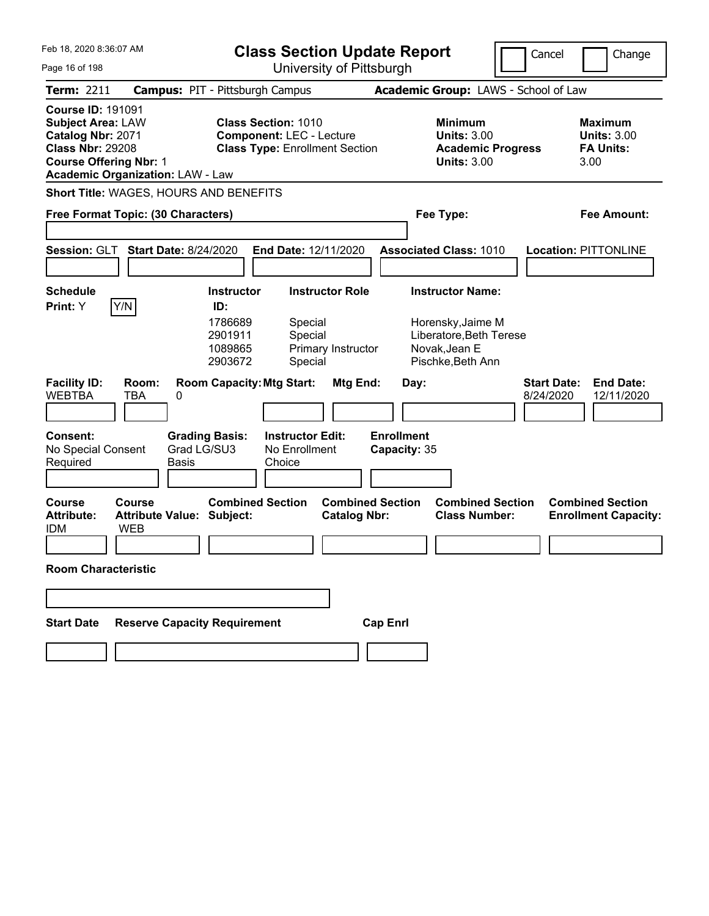| Feb 18, 2020 8:36:07 AM                                                                                                               |                                                          | <b>Class Section Update Report</b>                                                                     |                                                |                                                                                                               | Cancel                          | Change                                                           |
|---------------------------------------------------------------------------------------------------------------------------------------|----------------------------------------------------------|--------------------------------------------------------------------------------------------------------|------------------------------------------------|---------------------------------------------------------------------------------------------------------------|---------------------------------|------------------------------------------------------------------|
| Page 16 of 198                                                                                                                        |                                                          |                                                                                                        | University of Pittsburgh                       |                                                                                                               |                                 |                                                                  |
| Term: 2211                                                                                                                            |                                                          | <b>Campus: PIT - Pittsburgh Campus</b>                                                                 |                                                | Academic Group: LAWS - School of Law                                                                          |                                 |                                                                  |
| <b>Course ID: 191091</b><br><b>Subject Area: LAW</b><br>Catalog Nbr: 2071<br><b>Class Nbr: 29208</b><br><b>Course Offering Nbr: 1</b> | <b>Academic Organization: LAW - Law</b>                  | <b>Class Section: 1010</b><br><b>Component: LEC - Lecture</b><br><b>Class Type: Enrollment Section</b> |                                                | <b>Minimum</b><br><b>Units: 3.00</b><br><b>Academic Progress</b><br><b>Units: 3.00</b>                        |                                 | <b>Maximum</b><br><b>Units: 3.00</b><br><b>FA Units:</b><br>3.00 |
|                                                                                                                                       | Short Title: WAGES, HOURS AND BENEFITS                   |                                                                                                        |                                                |                                                                                                               |                                 |                                                                  |
|                                                                                                                                       | Free Format Topic: (30 Characters)                       |                                                                                                        |                                                | Fee Type:                                                                                                     |                                 | <b>Fee Amount:</b>                                               |
|                                                                                                                                       | Session: GLT Start Date: 8/24/2020                       | End Date: 12/11/2020                                                                                   |                                                | <b>Associated Class: 1010</b>                                                                                 |                                 | <b>Location: PITTONLINE</b>                                      |
| <b>Schedule</b><br><b>Print:</b> Y                                                                                                    | Y/N                                                      | <b>Instructor</b><br>ID:<br>1786689<br>Special<br>2901911<br>Special<br>1089865<br>2903672<br>Special  | <b>Instructor Role</b><br>Primary Instructor   | <b>Instructor Name:</b><br>Horensky, Jaime M<br>Liberatore, Beth Terese<br>Novak, Jean E<br>Pischke, Beth Ann |                                 |                                                                  |
| <b>Facility ID:</b><br><b>WEBTBA</b>                                                                                                  | Room:<br>TBA<br>0                                        | <b>Room Capacity: Mtg Start:</b>                                                                       | Mtg End:                                       | Day:                                                                                                          | <b>Start Date:</b><br>8/24/2020 | <b>End Date:</b><br>12/11/2020                                   |
| <b>Consent:</b><br>No Special Consent<br>Required                                                                                     | <b>Grading Basis:</b><br>Grad LG/SU3<br>Basis            | <b>Instructor Edit:</b><br>No Enrollment<br>Choice                                                     | <b>Enrollment</b>                              | Capacity: 35                                                                                                  |                                 |                                                                  |
| <b>Course</b><br><b>Attribute:</b><br><b>IDM</b>                                                                                      | Course<br><b>Attribute Value: Subject:</b><br><b>WEB</b> | <b>Combined Section</b>                                                                                | <b>Combined Section</b><br><b>Catalog Nbr:</b> | <b>Combined Section</b><br><b>Class Number:</b>                                                               |                                 | <b>Combined Section</b><br><b>Enrollment Capacity:</b>           |
| <b>Room Characteristic</b>                                                                                                            |                                                          |                                                                                                        |                                                |                                                                                                               |                                 |                                                                  |
|                                                                                                                                       |                                                          |                                                                                                        |                                                |                                                                                                               |                                 |                                                                  |
| <b>Start Date</b>                                                                                                                     | <b>Reserve Capacity Requirement</b>                      |                                                                                                        | <b>Cap Enrl</b>                                |                                                                                                               |                                 |                                                                  |
|                                                                                                                                       |                                                          |                                                                                                        |                                                |                                                                                                               |                                 |                                                                  |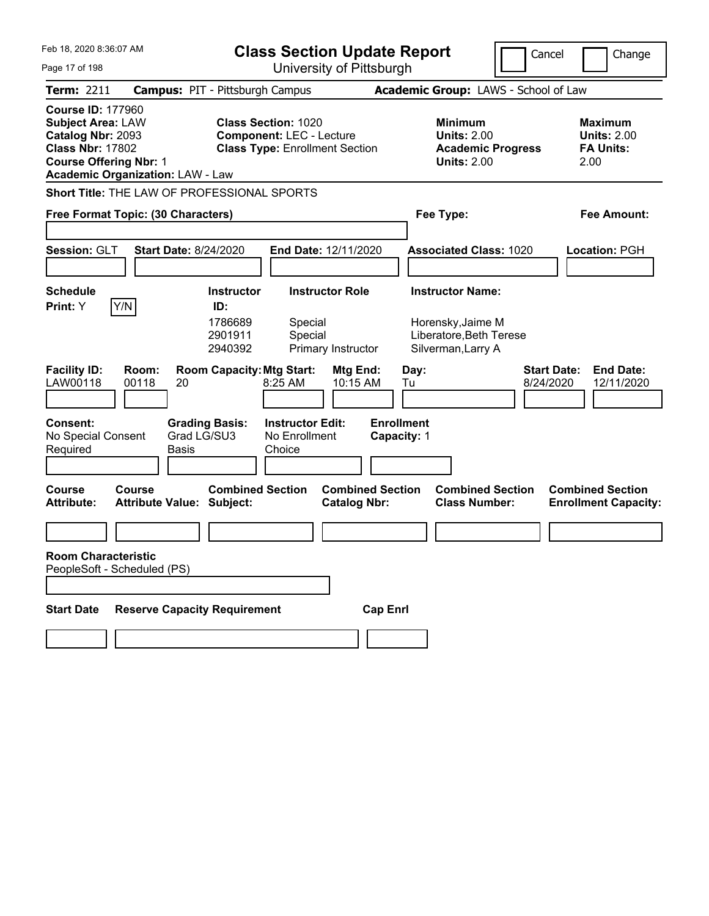| Feb 18, 2020 8:36:07 AM                                                                                                                                                          |                                                                                                        | <b>Class Section Update Report</b>             |                                                                                        | Cancel                          | Change                                                           |
|----------------------------------------------------------------------------------------------------------------------------------------------------------------------------------|--------------------------------------------------------------------------------------------------------|------------------------------------------------|----------------------------------------------------------------------------------------|---------------------------------|------------------------------------------------------------------|
| Page 17 of 198                                                                                                                                                                   | University of Pittsburgh                                                                               |                                                |                                                                                        |                                 |                                                                  |
| <b>Term: 2211</b>                                                                                                                                                                | <b>Campus: PIT - Pittsburgh Campus</b>                                                                 |                                                | Academic Group: LAWS - School of Law                                                   |                                 |                                                                  |
| <b>Course ID: 177960</b><br><b>Subject Area: LAW</b><br>Catalog Nbr: 2093<br><b>Class Nbr: 17802</b><br><b>Course Offering Nbr: 1</b><br><b>Academic Organization: LAW - Law</b> | <b>Class Section: 1020</b><br><b>Component: LEC - Lecture</b><br><b>Class Type: Enrollment Section</b> |                                                | <b>Minimum</b><br><b>Units: 2.00</b><br><b>Academic Progress</b><br><b>Units: 2.00</b> |                                 | <b>Maximum</b><br><b>Units: 2.00</b><br><b>FA Units:</b><br>2.00 |
| Short Title: THE LAW OF PROFESSIONAL SPORTS                                                                                                                                      |                                                                                                        |                                                |                                                                                        |                                 |                                                                  |
| Free Format Topic: (30 Characters)                                                                                                                                               |                                                                                                        |                                                | Fee Type:                                                                              |                                 | Fee Amount:                                                      |
| Session: GLT<br><b>Start Date: 8/24/2020</b>                                                                                                                                     | End Date: 12/11/2020                                                                                   |                                                | <b>Associated Class: 1020</b>                                                          |                                 | Location: PGH                                                    |
| <b>Schedule</b>                                                                                                                                                                  | <b>Instructor Role</b><br><b>Instructor</b>                                                            |                                                | <b>Instructor Name:</b>                                                                |                                 |                                                                  |
| Y/N<br>Print: Y                                                                                                                                                                  | ID:<br>1786689<br>Special<br>2901911<br>Special<br>2940392<br>Primary Instructor                       |                                                | Horensky, Jaime M<br>Liberatore, Beth Terese<br>Silverman, Larry A                     |                                 |                                                                  |
| <b>Facility ID:</b><br>Room:<br>LAW00118<br>00118<br>20                                                                                                                          | <b>Room Capacity: Mtg Start:</b><br>8:25 AM                                                            | Mtg End:<br>Day:<br>10:15 AM<br>Tu             |                                                                                        | <b>Start Date:</b><br>8/24/2020 | <b>End Date:</b><br>12/11/2020                                   |
| <b>Consent:</b><br>Grad LG/SU3<br>No Special Consent<br>Required<br><b>Basis</b>                                                                                                 | <b>Grading Basis:</b><br><b>Instructor Edit:</b><br>No Enrollment<br>Choice                            | <b>Enrollment</b><br>Capacity: 1               |                                                                                        |                                 |                                                                  |
| Course<br>Course<br><b>Attribute Value: Subject:</b><br><b>Attribute:</b>                                                                                                        | <b>Combined Section</b>                                                                                | <b>Combined Section</b><br><b>Catalog Nbr:</b> | <b>Combined Section</b><br><b>Class Number:</b>                                        |                                 | <b>Combined Section</b><br><b>Enrollment Capacity:</b>           |
|                                                                                                                                                                                  |                                                                                                        |                                                |                                                                                        |                                 |                                                                  |
| <b>Room Characteristic</b><br>PeopleSoft - Scheduled (PS)                                                                                                                        |                                                                                                        |                                                |                                                                                        |                                 |                                                                  |
| <b>Reserve Capacity Requirement</b><br><b>Start Date</b>                                                                                                                         |                                                                                                        | <b>Cap Enrl</b>                                |                                                                                        |                                 |                                                                  |
|                                                                                                                                                                                  |                                                                                                        |                                                |                                                                                        |                                 |                                                                  |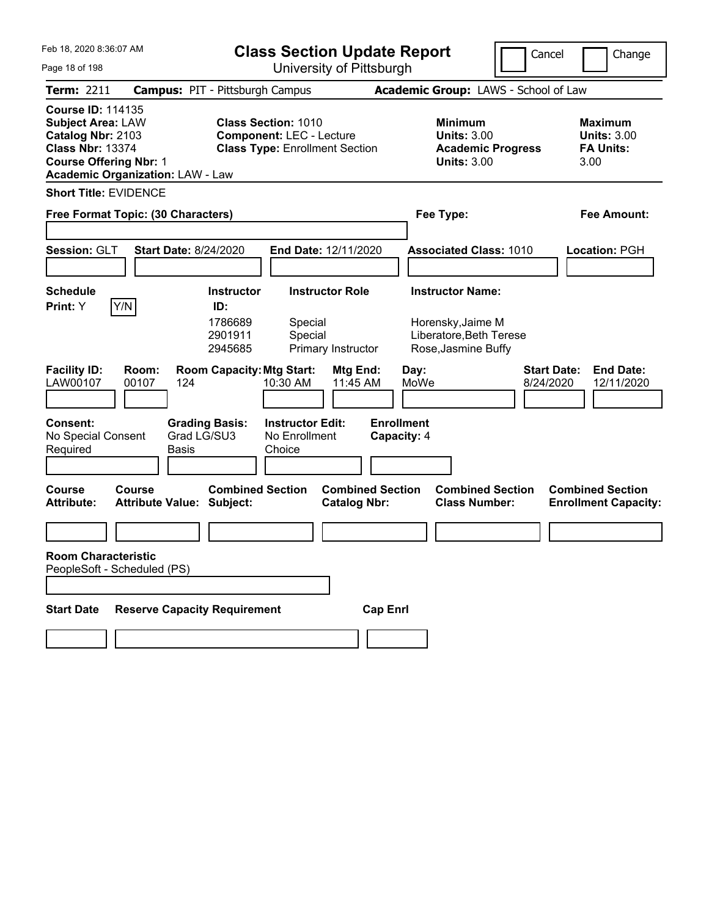| Feb 18, 2020 8:36:07 AM<br>Page 18 of 198                                                                                                                                        |                                                                                                        | <b>Class Section Update Report</b><br>University of Pittsburgh | Cancel                                                                                 | Change                                                           |
|----------------------------------------------------------------------------------------------------------------------------------------------------------------------------------|--------------------------------------------------------------------------------------------------------|----------------------------------------------------------------|----------------------------------------------------------------------------------------|------------------------------------------------------------------|
| <b>Term: 2211</b>                                                                                                                                                                | <b>Campus: PIT - Pittsburgh Campus</b>                                                                 |                                                                | Academic Group: LAWS - School of Law                                                   |                                                                  |
| <b>Course ID: 114135</b><br><b>Subject Area: LAW</b><br>Catalog Nbr: 2103<br><b>Class Nbr: 13374</b><br><b>Course Offering Nbr: 1</b><br><b>Academic Organization: LAW - Law</b> | <b>Class Section: 1010</b><br><b>Component: LEC - Lecture</b><br><b>Class Type: Enrollment Section</b> |                                                                | <b>Minimum</b><br><b>Units: 3.00</b><br><b>Academic Progress</b><br><b>Units: 3.00</b> | <b>Maximum</b><br><b>Units: 3.00</b><br><b>FA Units:</b><br>3.00 |
| <b>Short Title: EVIDENCE</b>                                                                                                                                                     |                                                                                                        |                                                                |                                                                                        |                                                                  |
| Free Format Topic: (30 Characters)                                                                                                                                               |                                                                                                        | Fee Type:                                                      |                                                                                        | <b>Fee Amount:</b>                                               |
| Session: GLT                                                                                                                                                                     | <b>Start Date: 8/24/2020</b><br>End Date: 12/11/2020                                                   |                                                                | <b>Associated Class: 1010</b>                                                          | Location: PGH                                                    |
| <b>Schedule</b>                                                                                                                                                                  | <b>Instructor</b><br><b>Instructor Role</b>                                                            |                                                                | <b>Instructor Name:</b>                                                                |                                                                  |
| Y/N <br>Print: Y                                                                                                                                                                 | ID:<br>1786689<br>Special<br>2901911<br>Special<br>2945685<br>Primary Instructor                       |                                                                | Horensky, Jaime M<br>Liberatore, Beth Terese<br>Rose, Jasmine Buffy                    |                                                                  |
| <b>Facility ID:</b><br>Room:<br>LAW00107<br>00107                                                                                                                                | <b>Room Capacity: Mtg Start:</b><br>10:30 AM<br>124                                                    | Mtg End:<br>Day:<br>11:45 AM<br>MoWe                           | 8/24/2020                                                                              | <b>Start Date:</b><br><b>End Date:</b><br>12/11/2020             |
| <b>Consent:</b><br>No Special Consent<br>Required                                                                                                                                | <b>Grading Basis:</b><br><b>Instructor Edit:</b><br>Grad LG/SU3<br>No Enrollment<br>Basis<br>Choice    | <b>Enrollment</b><br>Capacity: 4                               |                                                                                        |                                                                  |
| <b>Course</b><br>Course<br><b>Attribute:</b>                                                                                                                                     | <b>Combined Section</b><br><b>Attribute Value: Subject:</b>                                            | <b>Combined Section</b><br><b>Catalog Nbr:</b>                 | <b>Combined Section</b><br><b>Class Number:</b>                                        | <b>Combined Section</b><br><b>Enrollment Capacity:</b>           |
|                                                                                                                                                                                  |                                                                                                        |                                                                |                                                                                        |                                                                  |
| <b>Room Characteristic</b><br>PeopleSoft - Scheduled (PS)                                                                                                                        |                                                                                                        |                                                                |                                                                                        |                                                                  |
| <b>Start Date</b>                                                                                                                                                                | <b>Reserve Capacity Requirement</b>                                                                    | <b>Cap Enrl</b>                                                |                                                                                        |                                                                  |
|                                                                                                                                                                                  |                                                                                                        |                                                                |                                                                                        |                                                                  |
|                                                                                                                                                                                  |                                                                                                        |                                                                |                                                                                        |                                                                  |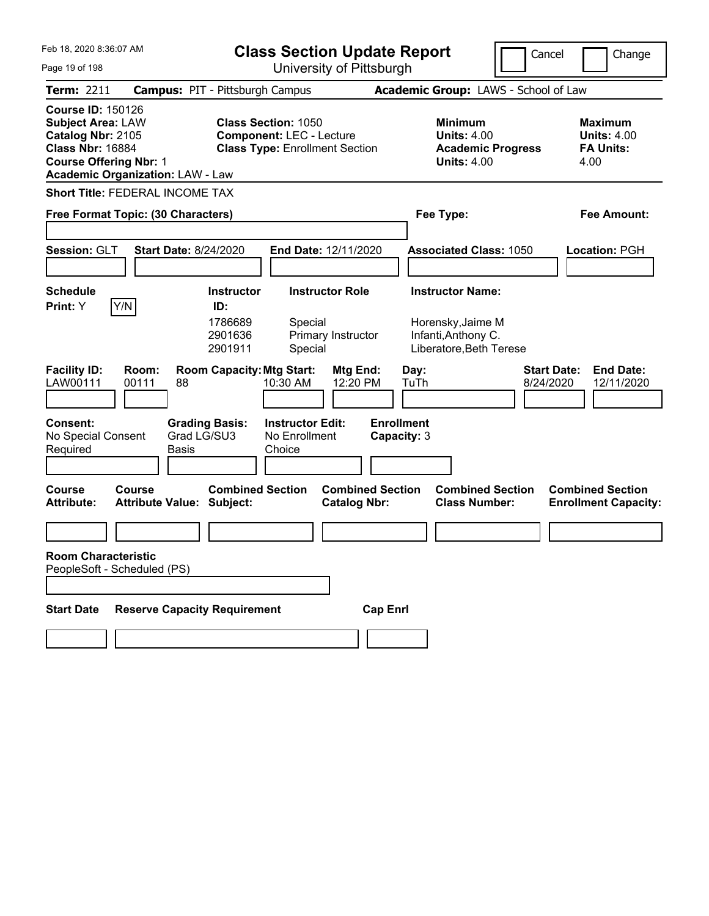| Feb 18, 2020 8:36:07 AM                                                                                                                                                          | <b>Class Section Update Report</b>                                                                     | Cancel                                                                          | Change                                                            |
|----------------------------------------------------------------------------------------------------------------------------------------------------------------------------------|--------------------------------------------------------------------------------------------------------|---------------------------------------------------------------------------------|-------------------------------------------------------------------|
| Page 19 of 198                                                                                                                                                                   | University of Pittsburgh                                                                               |                                                                                 |                                                                   |
| Term: 2211                                                                                                                                                                       | <b>Campus: PIT - Pittsburgh Campus</b>                                                                 | Academic Group: LAWS - School of Law                                            |                                                                   |
| <b>Course ID: 150126</b><br><b>Subject Area: LAW</b><br>Catalog Nbr: 2105<br><b>Class Nbr: 16884</b><br><b>Course Offering Nbr: 1</b><br><b>Academic Organization: LAW - Law</b> | <b>Class Section: 1050</b><br><b>Component: LEC - Lecture</b><br><b>Class Type: Enrollment Section</b> | Minimum<br><b>Units: 4.00</b><br><b>Academic Progress</b><br><b>Units: 4.00</b> | <b>Maximum</b><br><b>Units: 4.00</b><br><b>FA Units:</b><br>4.00  |
| <b>Short Title: FEDERAL INCOME TAX</b>                                                                                                                                           |                                                                                                        |                                                                                 |                                                                   |
| Free Format Topic: (30 Characters)                                                                                                                                               |                                                                                                        | Fee Type:                                                                       | Fee Amount:                                                       |
|                                                                                                                                                                                  |                                                                                                        |                                                                                 |                                                                   |
| Session: GLT<br><b>Start Date: 8/24/2020</b>                                                                                                                                     | End Date: 12/11/2020                                                                                   | <b>Associated Class: 1050</b>                                                   | Location: PGH                                                     |
|                                                                                                                                                                                  |                                                                                                        |                                                                                 |                                                                   |
| <b>Schedule</b>                                                                                                                                                                  | <b>Instructor Role</b><br><b>Instructor</b>                                                            | <b>Instructor Name:</b>                                                         |                                                                   |
| Y/N<br>Print: Y                                                                                                                                                                  | ID:<br>1786689<br>Special<br>2901636<br>Primary Instructor<br>2901911<br>Special                       | Horensky, Jaime M<br>Infanti, Anthony C.<br>Liberatore, Beth Terese             |                                                                   |
| <b>Facility ID:</b><br>Room:<br>LAW00111<br>00111<br>88                                                                                                                          | <b>Room Capacity: Mtg Start:</b><br>Mtg End:<br>12:20 PM<br>10:30 AM                                   | Day:<br>TuTh                                                                    | <b>Start Date:</b><br><b>End Date:</b><br>8/24/2020<br>12/11/2020 |
| <b>Consent:</b><br><b>Grading Basis:</b><br>Grad LG/SU3<br>No Special Consent<br>Required<br>Basis                                                                               | <b>Instructor Edit:</b><br><b>Enrollment</b><br>No Enrollment<br>Capacity: 3<br>Choice                 |                                                                                 |                                                                   |
| <b>Course</b><br>Course<br><b>Attribute Value: Subject:</b><br><b>Attribute:</b>                                                                                                 | <b>Combined Section</b><br><b>Combined Section</b><br><b>Catalog Nbr:</b>                              | <b>Combined Section</b><br><b>Class Number:</b>                                 | <b>Combined Section</b><br><b>Enrollment Capacity:</b>            |
|                                                                                                                                                                                  |                                                                                                        |                                                                                 |                                                                   |
| <b>Room Characteristic</b><br>PeopleSoft - Scheduled (PS)                                                                                                                        |                                                                                                        |                                                                                 |                                                                   |
| <b>Reserve Capacity Requirement</b><br><b>Start Date</b>                                                                                                                         | <b>Cap Enrl</b>                                                                                        |                                                                                 |                                                                   |
|                                                                                                                                                                                  |                                                                                                        |                                                                                 |                                                                   |
|                                                                                                                                                                                  |                                                                                                        |                                                                                 |                                                                   |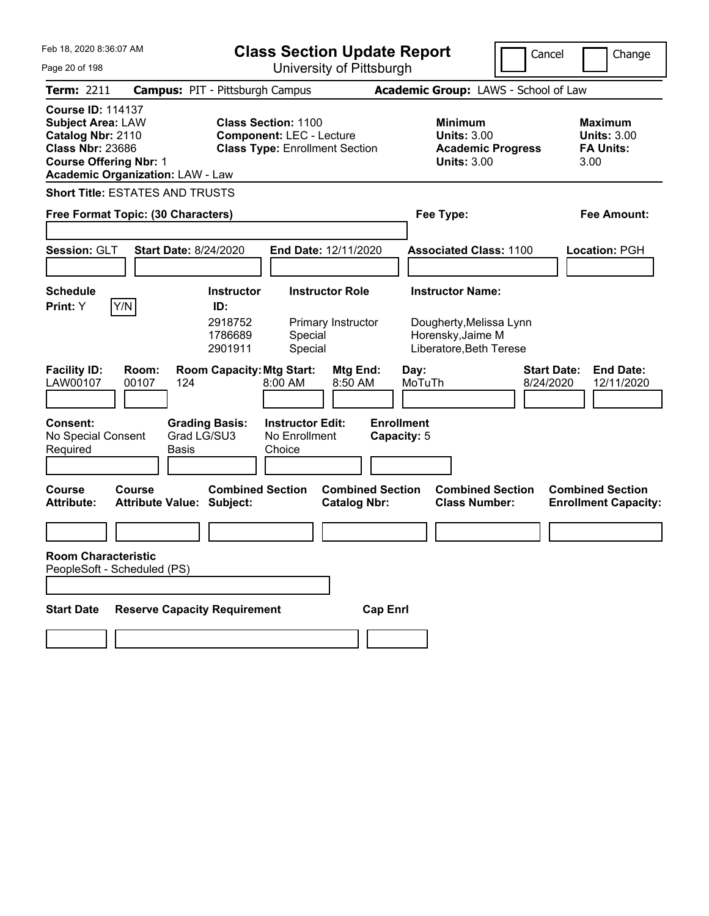| Feb 18, 2020 8:36:07 AM                                                                                                                                                          | <b>Class Section Update Report</b>                                                                     | Cancel                                                                                 | Change                                                           |
|----------------------------------------------------------------------------------------------------------------------------------------------------------------------------------|--------------------------------------------------------------------------------------------------------|----------------------------------------------------------------------------------------|------------------------------------------------------------------|
| Page 20 of 198                                                                                                                                                                   | University of Pittsburgh                                                                               |                                                                                        |                                                                  |
| Term: 2211                                                                                                                                                                       | <b>Campus: PIT - Pittsburgh Campus</b>                                                                 | Academic Group: LAWS - School of Law                                                   |                                                                  |
| <b>Course ID: 114137</b><br><b>Subject Area: LAW</b><br>Catalog Nbr: 2110<br><b>Class Nbr: 23686</b><br><b>Course Offering Nbr: 1</b><br><b>Academic Organization: LAW - Law</b> | <b>Class Section: 1100</b><br><b>Component: LEC - Lecture</b><br><b>Class Type: Enrollment Section</b> | <b>Minimum</b><br><b>Units: 3.00</b><br><b>Academic Progress</b><br><b>Units: 3.00</b> | <b>Maximum</b><br><b>Units: 3.00</b><br><b>FA Units:</b><br>3.00 |
| <b>Short Title: ESTATES AND TRUSTS</b>                                                                                                                                           |                                                                                                        |                                                                                        |                                                                  |
| Free Format Topic: (30 Characters)                                                                                                                                               |                                                                                                        | Fee Type:                                                                              | <b>Fee Amount:</b>                                               |
|                                                                                                                                                                                  |                                                                                                        |                                                                                        |                                                                  |
| Session: GLT<br><b>Start Date: 8/24/2020</b>                                                                                                                                     | End Date: 12/11/2020                                                                                   | <b>Associated Class: 1100</b>                                                          | Location: PGH                                                    |
|                                                                                                                                                                                  |                                                                                                        |                                                                                        |                                                                  |
| <b>Schedule</b>                                                                                                                                                                  | <b>Instructor Role</b><br><b>Instructor</b>                                                            | <b>Instructor Name:</b>                                                                |                                                                  |
| Y/N<br>Print: Y                                                                                                                                                                  | ID:<br>2918752<br>Primary Instructor<br>1786689<br>Special<br>2901911<br>Special                       | Dougherty, Melissa Lynn<br>Horensky, Jaime M<br>Liberatore, Beth Terese                |                                                                  |
| <b>Facility ID:</b><br>Room:<br>LAW00107<br>00107<br>124                                                                                                                         | <b>Room Capacity: Mtg Start:</b><br><b>Mtg End:</b><br>8:00 AM<br>8:50 AM                              | <b>Start Date:</b><br>Day:<br>MoTuTh<br>8/24/2020                                      | <b>End Date:</b><br>12/11/2020                                   |
| <b>Consent:</b><br><b>Grading Basis:</b><br>Grad LG/SU3<br>No Special Consent<br>Required<br>Basis                                                                               | <b>Instructor Edit:</b><br>No Enrollment<br>Choice                                                     | <b>Enrollment</b><br>Capacity: 5                                                       |                                                                  |
| <b>Course</b><br>Course<br><b>Attribute Value: Subject:</b><br><b>Attribute:</b>                                                                                                 | <b>Combined Section</b><br><b>Combined Section</b><br><b>Catalog Nbr:</b>                              | <b>Combined Section</b><br><b>Class Number:</b>                                        | <b>Combined Section</b><br><b>Enrollment Capacity:</b>           |
|                                                                                                                                                                                  |                                                                                                        |                                                                                        |                                                                  |
| <b>Room Characteristic</b><br>PeopleSoft - Scheduled (PS)                                                                                                                        |                                                                                                        |                                                                                        |                                                                  |
| <b>Reserve Capacity Requirement</b><br><b>Start Date</b>                                                                                                                         | <b>Cap Enrl</b>                                                                                        |                                                                                        |                                                                  |
|                                                                                                                                                                                  |                                                                                                        |                                                                                        |                                                                  |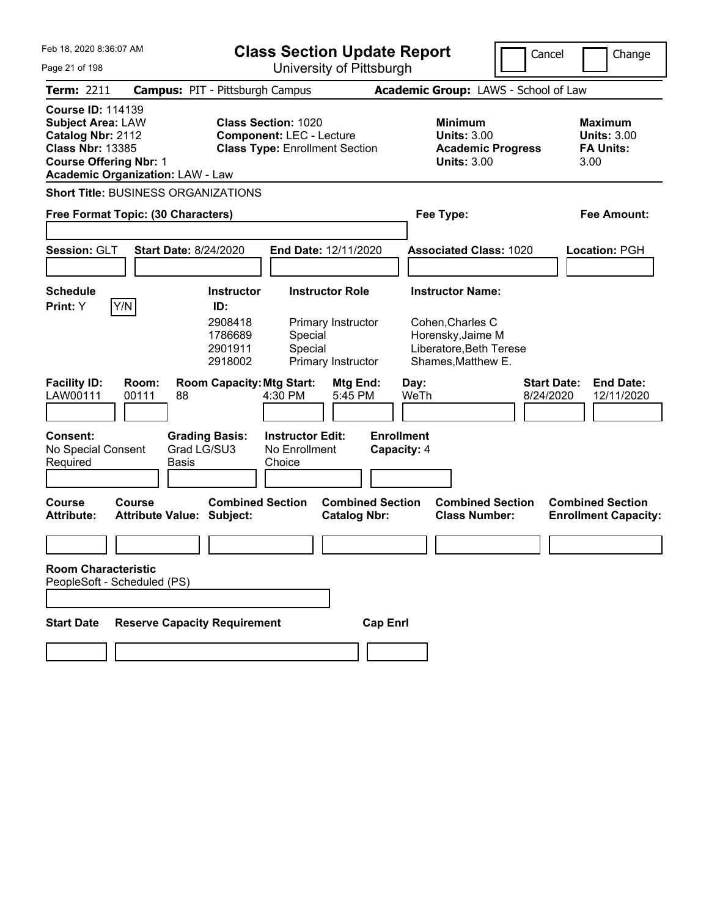| Feb 18, 2020 8:36:07 AM                                                                                                               |                                                      | <b>Class Section Update Report</b>                                                                     |                                                                    |                                                                                                                   | Cancel                          | Change                                                    |
|---------------------------------------------------------------------------------------------------------------------------------------|------------------------------------------------------|--------------------------------------------------------------------------------------------------------|--------------------------------------------------------------------|-------------------------------------------------------------------------------------------------------------------|---------------------------------|-----------------------------------------------------------|
| Page 21 of 198                                                                                                                        |                                                      |                                                                                                        | University of Pittsburgh                                           |                                                                                                                   |                                 |                                                           |
| <b>Term: 2211</b>                                                                                                                     |                                                      | <b>Campus: PIT - Pittsburgh Campus</b>                                                                 |                                                                    | Academic Group: LAWS - School of Law                                                                              |                                 |                                                           |
| <b>Course ID: 114139</b><br><b>Subject Area: LAW</b><br>Catalog Nbr: 2112<br><b>Class Nbr: 13385</b><br><b>Course Offering Nbr: 1</b> | <b>Academic Organization: LAW - Law</b>              | <b>Class Section: 1020</b><br><b>Component: LEC - Lecture</b><br><b>Class Type: Enrollment Section</b> |                                                                    | Minimum<br><b>Units: 3.00</b><br><b>Academic Progress</b><br><b>Units: 3.00</b>                                   |                                 | Maximum<br><b>Units: 3.00</b><br><b>FA Units:</b><br>3.00 |
|                                                                                                                                       | <b>Short Title: BUSINESS ORGANIZATIONS</b>           |                                                                                                        |                                                                    |                                                                                                                   |                                 |                                                           |
|                                                                                                                                       | Free Format Topic: (30 Characters)                   |                                                                                                        |                                                                    | Fee Type:                                                                                                         |                                 | Fee Amount:                                               |
| Session: GLT                                                                                                                          | <b>Start Date: 8/24/2020</b>                         |                                                                                                        | End Date: 12/11/2020                                               | <b>Associated Class: 1020</b>                                                                                     |                                 | Location: PGH                                             |
| Schedule<br>Print: Y                                                                                                                  | Y/N                                                  | <b>Instructor</b><br>ID:<br>2908418<br>1786689<br>Special<br>Special<br>2901911<br>2918002             | <b>Instructor Role</b><br>Primary Instructor<br>Primary Instructor | <b>Instructor Name:</b><br>Cohen, Charles C<br>Horensky, Jaime M<br>Liberatore, Beth Terese<br>Shames, Matthew E. |                                 |                                                           |
| <b>Facility ID:</b><br>LAW00111                                                                                                       | Room:<br>00111<br>88                                 | <b>Room Capacity: Mtg Start:</b><br>4:30 PM                                                            | Mtg End:<br>5:45 PM                                                | Day:<br>WeTh                                                                                                      | <b>Start Date:</b><br>8/24/2020 | <b>End Date:</b><br>12/11/2020                            |
| <b>Consent:</b><br>No Special Consent<br>Required                                                                                     | <b>Grading Basis:</b><br>Grad LG/SU3<br><b>Basis</b> | <b>Instructor Edit:</b><br>No Enrollment<br>Choice                                                     | <b>Enrollment</b><br>Capacity: 4                                   |                                                                                                                   |                                 |                                                           |
| Course<br><b>Attribute:</b>                                                                                                           | Course<br>Attribute Value: Subject:                  | <b>Combined Section</b>                                                                                | <b>Combined Section</b><br><b>Catalog Nbr:</b>                     | <b>Combined Section</b><br><b>Class Number:</b>                                                                   |                                 | <b>Combined Section</b><br><b>Enrollment Capacity:</b>    |
|                                                                                                                                       |                                                      |                                                                                                        |                                                                    |                                                                                                                   |                                 |                                                           |
| <b>Room Characteristic</b>                                                                                                            | PeopleSoft - Scheduled (PS)                          |                                                                                                        |                                                                    |                                                                                                                   |                                 |                                                           |
|                                                                                                                                       |                                                      |                                                                                                        |                                                                    |                                                                                                                   |                                 |                                                           |
| <b>Start Date</b>                                                                                                                     | <b>Reserve Capacity Requirement</b>                  |                                                                                                        | <b>Cap Enrl</b>                                                    |                                                                                                                   |                                 |                                                           |
|                                                                                                                                       |                                                      |                                                                                                        |                                                                    |                                                                                                                   |                                 |                                                           |
|                                                                                                                                       |                                                      |                                                                                                        |                                                                    |                                                                                                                   |                                 |                                                           |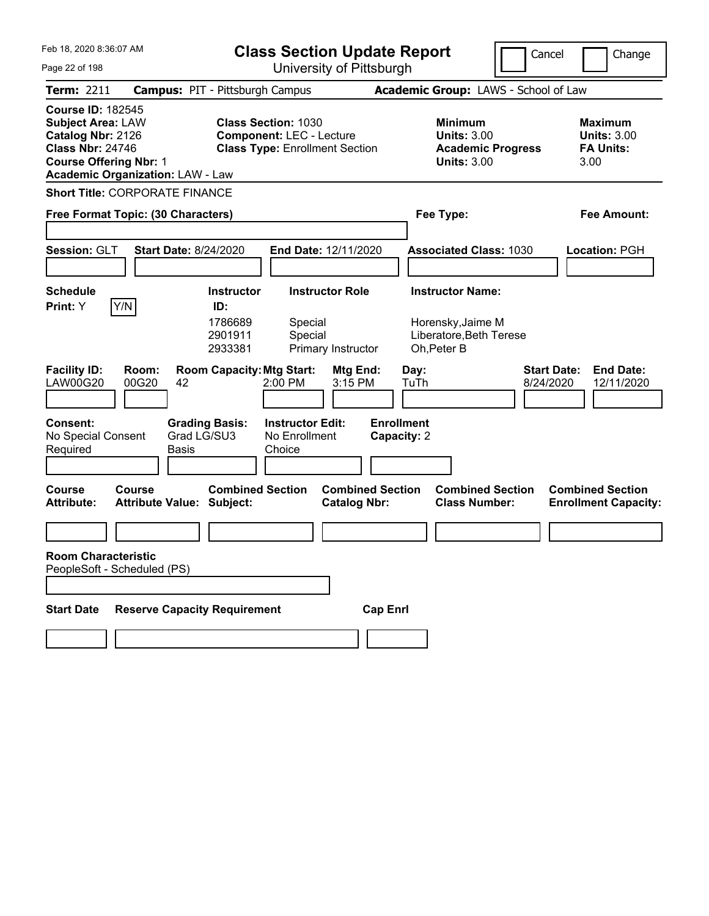| Feb 18. 2020 8:36:07 AM                                                                                                                                                          | <b>Class Section Update Report</b>                                                                     |                                                                                        | Cancel<br>Change                                                  |
|----------------------------------------------------------------------------------------------------------------------------------------------------------------------------------|--------------------------------------------------------------------------------------------------------|----------------------------------------------------------------------------------------|-------------------------------------------------------------------|
| Page 22 of 198                                                                                                                                                                   | University of Pittsburgh                                                                               |                                                                                        |                                                                   |
| Term: 2211                                                                                                                                                                       | <b>Campus: PIT - Pittsburgh Campus</b>                                                                 | Academic Group: LAWS - School of Law                                                   |                                                                   |
| <b>Course ID: 182545</b><br><b>Subject Area: LAW</b><br>Catalog Nbr: 2126<br><b>Class Nbr: 24746</b><br><b>Course Offering Nbr: 1</b><br><b>Academic Organization: LAW - Law</b> | <b>Class Section: 1030</b><br><b>Component: LEC - Lecture</b><br><b>Class Type: Enrollment Section</b> | <b>Minimum</b><br><b>Units: 3.00</b><br><b>Academic Progress</b><br><b>Units: 3.00</b> | <b>Maximum</b><br><b>Units: 3.00</b><br><b>FA Units:</b><br>3.00  |
| <b>Short Title: CORPORATE FINANCE</b>                                                                                                                                            |                                                                                                        |                                                                                        |                                                                   |
| Free Format Topic: (30 Characters)                                                                                                                                               |                                                                                                        | Fee Type:                                                                              | Fee Amount:                                                       |
|                                                                                                                                                                                  |                                                                                                        |                                                                                        |                                                                   |
| Session: GLT<br><b>Start Date: 8/24/2020</b>                                                                                                                                     | End Date: 12/11/2020                                                                                   | <b>Associated Class: 1030</b>                                                          | Location: PGH                                                     |
|                                                                                                                                                                                  |                                                                                                        |                                                                                        |                                                                   |
| <b>Schedule</b>                                                                                                                                                                  | <b>Instructor Role</b><br><b>Instructor</b>                                                            | <b>Instructor Name:</b>                                                                |                                                                   |
| Y/N<br>Print: Y                                                                                                                                                                  | ID:<br>1786689<br>Special<br>2901911<br>Special<br>2933381<br>Primary Instructor                       | Horensky, Jaime M<br>Liberatore, Beth Terese<br>Oh, Peter B                            |                                                                   |
| <b>Facility ID:</b><br>Room:<br><b>LAW00G20</b><br>00G20<br>42                                                                                                                   | <b>Room Capacity: Mtg Start:</b><br>Mtg End:<br>2:00 PM<br>3:15 PM                                     | Day:<br>TuTh                                                                           | <b>Start Date:</b><br><b>End Date:</b><br>8/24/2020<br>12/11/2020 |
| <b>Consent:</b><br><b>Grading Basis:</b><br>Grad LG/SU3<br>No Special Consent<br>Required<br>Basis                                                                               | <b>Instructor Edit:</b><br>No Enrollment<br>Choice                                                     | <b>Enrollment</b><br>Capacity: 2                                                       |                                                                   |
| <b>Course</b><br>Course<br><b>Attribute Value: Subject:</b><br><b>Attribute:</b>                                                                                                 | <b>Combined Section</b><br><b>Combined Section</b><br><b>Catalog Nbr:</b>                              | <b>Combined Section</b><br><b>Class Number:</b>                                        | <b>Combined Section</b><br><b>Enrollment Capacity:</b>            |
|                                                                                                                                                                                  |                                                                                                        |                                                                                        |                                                                   |
| <b>Room Characteristic</b><br>PeopleSoft - Scheduled (PS)                                                                                                                        |                                                                                                        |                                                                                        |                                                                   |
| <b>Reserve Capacity Requirement</b><br><b>Start Date</b>                                                                                                                         | <b>Cap Enrl</b>                                                                                        |                                                                                        |                                                                   |
|                                                                                                                                                                                  |                                                                                                        |                                                                                        |                                                                   |
|                                                                                                                                                                                  |                                                                                                        |                                                                                        |                                                                   |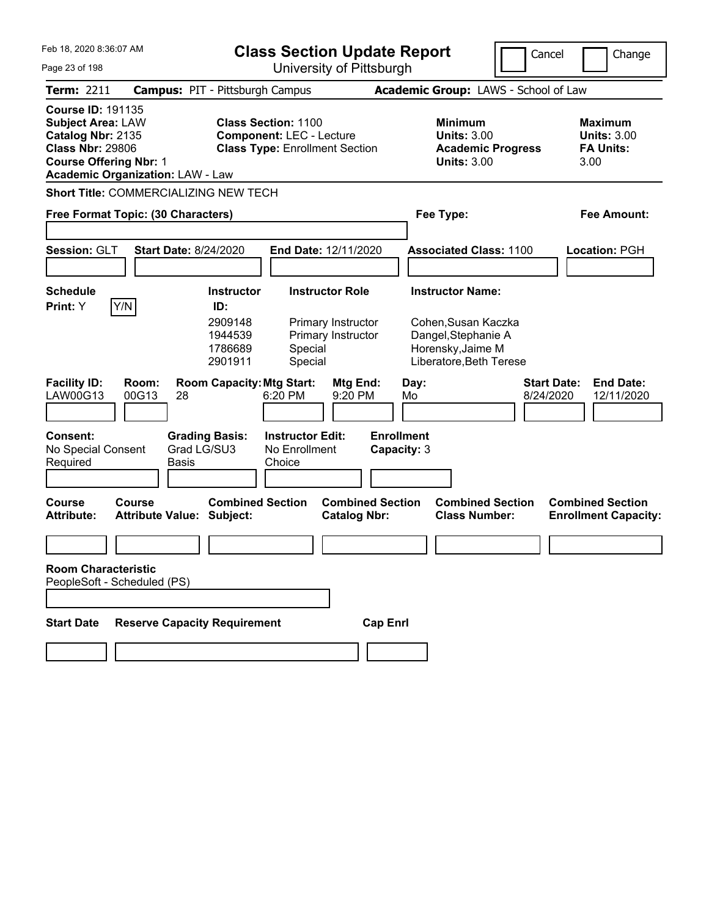| Feb 18, 2020 8:36:07 AM<br>Page 23 of 198                                                                                                                                        | <b>Class Section Update Report</b><br>University of Pittsburgh                                                                                                   |                                                |                                                                                                                       | Cancel<br>Change                                                  |
|----------------------------------------------------------------------------------------------------------------------------------------------------------------------------------|------------------------------------------------------------------------------------------------------------------------------------------------------------------|------------------------------------------------|-----------------------------------------------------------------------------------------------------------------------|-------------------------------------------------------------------|
| <b>Term: 2211</b>                                                                                                                                                                | <b>Campus: PIT - Pittsburgh Campus</b>                                                                                                                           |                                                | Academic Group: LAWS - School of Law                                                                                  |                                                                   |
| <b>Course ID: 191135</b><br><b>Subject Area: LAW</b><br>Catalog Nbr: 2135<br><b>Class Nbr: 29806</b><br><b>Course Offering Nbr: 1</b><br><b>Academic Organization: LAW - Law</b> | <b>Class Section: 1100</b><br><b>Component: LEC - Lecture</b><br><b>Class Type: Enrollment Section</b>                                                           |                                                | <b>Minimum</b><br><b>Units: 3.00</b><br><b>Academic Progress</b><br><b>Units: 3.00</b>                                | <b>Maximum</b><br><b>Units: 3.00</b><br><b>FA Units:</b><br>3.00  |
| <b>Short Title: COMMERCIALIZING NEW TECH</b>                                                                                                                                     |                                                                                                                                                                  |                                                |                                                                                                                       |                                                                   |
| Free Format Topic: (30 Characters)                                                                                                                                               |                                                                                                                                                                  |                                                | Fee Type:                                                                                                             | <b>Fee Amount:</b>                                                |
| <b>Start Date: 8/24/2020</b><br><b>Session: GLT</b>                                                                                                                              | End Date: 12/11/2020                                                                                                                                             |                                                | <b>Associated Class: 1100</b>                                                                                         | <b>Location: PGH</b>                                              |
| <b>Schedule</b><br>Y/N<br>Print: Y                                                                                                                                               | <b>Instructor Role</b><br><b>Instructor</b><br>ID:<br>2909148<br>Primary Instructor<br>1944539<br>Primary Instructor<br>1786689<br>Special<br>2901911<br>Special |                                                | <b>Instructor Name:</b><br>Cohen, Susan Kaczka<br>Dangel, Stephanie A<br>Horensky, Jaime M<br>Liberatore, Beth Terese |                                                                   |
| <b>Facility ID:</b><br>Room:<br>LAW00G13<br>00G13<br>28                                                                                                                          | <b>Room Capacity: Mtg Start:</b><br>6:20 PM                                                                                                                      | Mtg End:<br>Day:<br>9:20 PM<br>Mo              |                                                                                                                       | <b>End Date:</b><br><b>Start Date:</b><br>8/24/2020<br>12/11/2020 |
| <b>Consent:</b><br>No Special Consent<br>Required<br><b>Basis</b>                                                                                                                | <b>Grading Basis:</b><br><b>Instructor Edit:</b><br>Grad LG/SU3<br>No Enrollment<br>Choice                                                                       | <b>Enrollment</b><br>Capacity: 3               |                                                                                                                       |                                                                   |
| Course<br>Course<br><b>Attribute:</b><br><b>Attribute Value: Subject:</b>                                                                                                        | <b>Combined Section</b>                                                                                                                                          | <b>Combined Section</b><br><b>Catalog Nbr:</b> | <b>Combined Section</b><br><b>Class Number:</b>                                                                       | <b>Combined Section</b><br><b>Enrollment Capacity:</b>            |
|                                                                                                                                                                                  |                                                                                                                                                                  |                                                |                                                                                                                       |                                                                   |
| <b>Room Characteristic</b><br>PeopleSoft - Scheduled (PS)                                                                                                                        |                                                                                                                                                                  |                                                |                                                                                                                       |                                                                   |
|                                                                                                                                                                                  |                                                                                                                                                                  |                                                |                                                                                                                       |                                                                   |
| <b>Reserve Capacity Requirement</b><br><b>Start Date</b>                                                                                                                         |                                                                                                                                                                  | <b>Cap Enrl</b>                                |                                                                                                                       |                                                                   |
|                                                                                                                                                                                  |                                                                                                                                                                  |                                                |                                                                                                                       |                                                                   |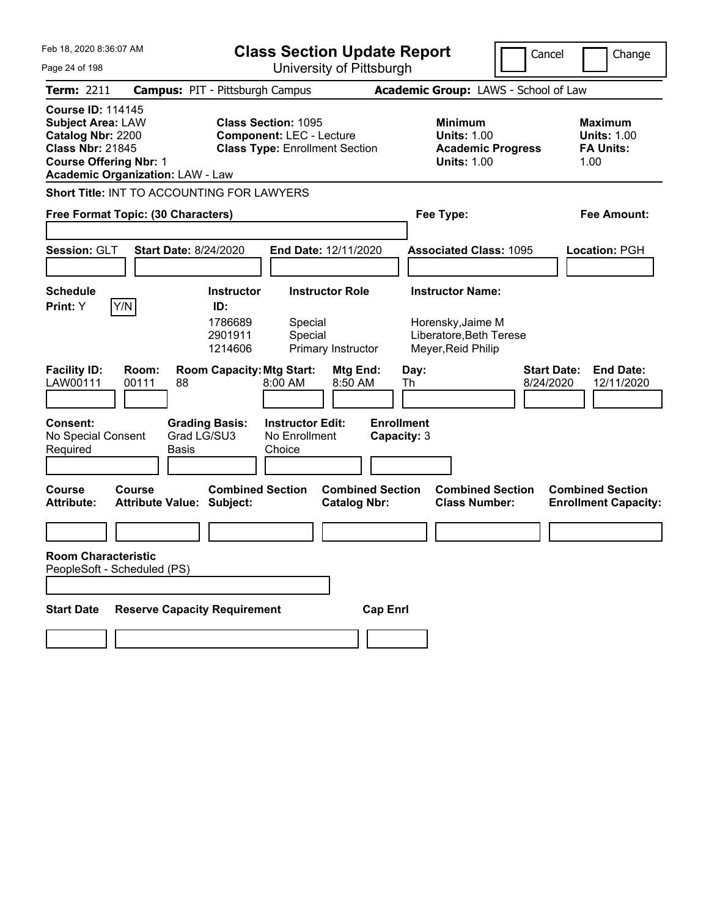| Feb 18, 2020 8:36:07 AM<br>Page 24 of 198                                                                                             |                                            | <b>Class Section Update Report</b><br>University of Pittsburgh |                                                                          |                                                |                                                                    | Cancel                                          | Change                                                            |
|---------------------------------------------------------------------------------------------------------------------------------------|--------------------------------------------|----------------------------------------------------------------|--------------------------------------------------------------------------|------------------------------------------------|--------------------------------------------------------------------|-------------------------------------------------|-------------------------------------------------------------------|
| <b>Term: 2211</b>                                                                                                                     |                                            | <b>Campus: PIT - Pittsburgh Campus</b>                         |                                                                          |                                                |                                                                    | Academic Group: LAWS - School of Law            |                                                                   |
| <b>Course ID: 114145</b><br><b>Subject Area: LAW</b><br>Catalog Nbr: 2200<br><b>Class Nbr: 21845</b><br><b>Course Offering Nbr: 1</b> | <b>Academic Organization: LAW - Law</b>    | <b>Class Section: 1095</b>                                     | <b>Component: LEC - Lecture</b><br><b>Class Type: Enrollment Section</b> |                                                | <b>Minimum</b><br><b>Units: 1.00</b><br><b>Units: 1.00</b>         | <b>Academic Progress</b>                        | <b>Maximum</b><br><b>Units: 1.00</b><br><b>FA Units:</b><br>1.00  |
|                                                                                                                                       | Short Title: INT TO ACCOUNTING FOR LAWYERS |                                                                |                                                                          |                                                |                                                                    |                                                 |                                                                   |
|                                                                                                                                       | Free Format Topic: (30 Characters)         |                                                                |                                                                          |                                                | Fee Type:                                                          |                                                 | <b>Fee Amount:</b>                                                |
| Session: GLT                                                                                                                          | <b>Start Date: 8/24/2020</b>               |                                                                | End Date: 12/11/2020                                                     |                                                |                                                                    | <b>Associated Class: 1095</b>                   | Location: PGH                                                     |
| <b>Schedule</b>                                                                                                                       |                                            | <b>Instructor</b>                                              | <b>Instructor Role</b>                                                   |                                                | <b>Instructor Name:</b>                                            |                                                 |                                                                   |
| Print: Y                                                                                                                              | Y/N                                        | ID:<br>1786689<br>2901911<br>1214606                           | Special<br>Special<br>Primary Instructor                                 |                                                | Horensky, Jaime M<br>Liberatore, Beth Terese<br>Meyer, Reid Philip |                                                 |                                                                   |
| <b>Facility ID:</b><br>LAW00111                                                                                                       | Room:<br>88<br>00111                       | <b>Room Capacity: Mtg Start:</b>                               | 8:00 AM                                                                  | Mtg End:<br>8:50 AM                            | Day:<br>Th                                                         |                                                 | <b>Start Date:</b><br><b>End Date:</b><br>8/24/2020<br>12/11/2020 |
| <b>Consent:</b><br>No Special Consent<br>Required                                                                                     | Basis                                      | <b>Grading Basis:</b><br>Grad LG/SU3                           | <b>Instructor Edit:</b><br>No Enrollment<br>Choice                       | <b>Enrollment</b><br>Capacity: 3               |                                                                    |                                                 |                                                                   |
| Course<br><b>Attribute:</b>                                                                                                           | Course<br><b>Attribute Value: Subject:</b> | <b>Combined Section</b>                                        |                                                                          | <b>Combined Section</b><br><b>Catalog Nbr:</b> |                                                                    | <b>Combined Section</b><br><b>Class Number:</b> | <b>Combined Section</b><br><b>Enrollment Capacity:</b>            |
|                                                                                                                                       |                                            |                                                                |                                                                          |                                                |                                                                    |                                                 |                                                                   |
| <b>Room Characteristic</b>                                                                                                            | PeopleSoft - Scheduled (PS)                |                                                                |                                                                          |                                                |                                                                    |                                                 |                                                                   |
| <b>Start Date</b>                                                                                                                     | <b>Reserve Capacity Requirement</b>        |                                                                |                                                                          | <b>Cap Enrl</b>                                |                                                                    |                                                 |                                                                   |
|                                                                                                                                       |                                            |                                                                |                                                                          |                                                |                                                                    |                                                 |                                                                   |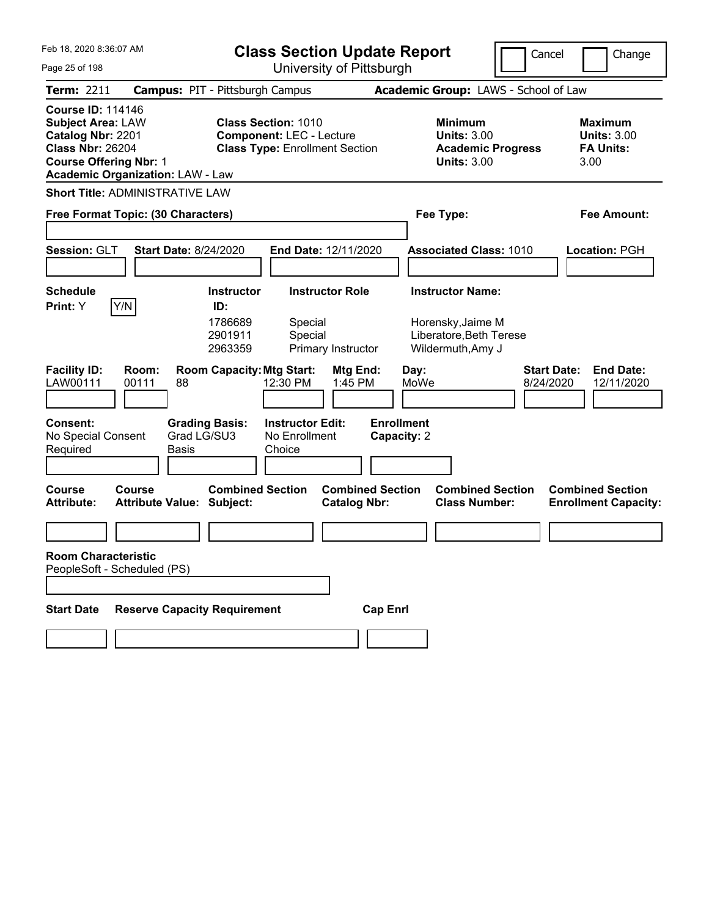| Feb 18, 2020 8:36:07 AM<br>Page 25 of 198                                                                                                                                        | <b>Class Section Update Report</b><br>University of Pittsburgh                                         |                                                                                        | Cancel<br>Change                                                  |
|----------------------------------------------------------------------------------------------------------------------------------------------------------------------------------|--------------------------------------------------------------------------------------------------------|----------------------------------------------------------------------------------------|-------------------------------------------------------------------|
| <b>Term: 2211</b>                                                                                                                                                                | <b>Campus: PIT - Pittsburgh Campus</b>                                                                 | Academic Group: LAWS - School of Law                                                   |                                                                   |
| <b>Course ID: 114146</b><br><b>Subject Area: LAW</b><br>Catalog Nbr: 2201<br><b>Class Nbr: 26204</b><br><b>Course Offering Nbr: 1</b><br><b>Academic Organization: LAW - Law</b> | <b>Class Section: 1010</b><br><b>Component: LEC - Lecture</b><br><b>Class Type: Enrollment Section</b> | <b>Minimum</b><br><b>Units: 3.00</b><br><b>Academic Progress</b><br><b>Units: 3.00</b> | <b>Maximum</b><br><b>Units: 3.00</b><br><b>FA Units:</b><br>3.00  |
| <b>Short Title: ADMINISTRATIVE LAW</b>                                                                                                                                           |                                                                                                        |                                                                                        |                                                                   |
| Free Format Topic: (30 Characters)                                                                                                                                               |                                                                                                        | Fee Type:                                                                              | <b>Fee Amount:</b>                                                |
| Session: GLT<br><b>Start Date: 8/24/2020</b>                                                                                                                                     | End Date: 12/11/2020                                                                                   | <b>Associated Class: 1010</b>                                                          | Location: PGH                                                     |
| <b>Schedule</b>                                                                                                                                                                  | <b>Instructor</b><br><b>Instructor Role</b>                                                            | <b>Instructor Name:</b>                                                                |                                                                   |
| Y/N<br>Print: Y                                                                                                                                                                  | ID:<br>1786689<br>Special<br>2901911<br>Special<br>2963359<br>Primary Instructor                       | Horensky, Jaime M<br>Liberatore, Beth Terese<br>Wildermuth, Amy J                      |                                                                   |
| <b>Facility ID:</b><br>Room:<br>LAW00111<br>00111<br>88                                                                                                                          | <b>Room Capacity: Mtg Start:</b><br>Mtg End:<br>12:30 PM<br>1:45 PM                                    | Day:<br>MoWe                                                                           | <b>Start Date:</b><br><b>End Date:</b><br>8/24/2020<br>12/11/2020 |
| <b>Consent:</b><br>Grad LG/SU3<br>No Special Consent<br>Required<br>Basis                                                                                                        | <b>Grading Basis:</b><br><b>Instructor Edit:</b><br>No Enrollment<br>Choice                            | <b>Enrollment</b><br>Capacity: 2                                                       |                                                                   |
| <b>Course</b><br>Course<br><b>Attribute Value: Subject:</b><br><b>Attribute:</b>                                                                                                 | <b>Combined Section</b><br><b>Combined Section</b><br><b>Catalog Nbr:</b>                              | <b>Combined Section</b><br><b>Class Number:</b>                                        | <b>Combined Section</b><br><b>Enrollment Capacity:</b>            |
|                                                                                                                                                                                  |                                                                                                        |                                                                                        |                                                                   |
| <b>Room Characteristic</b><br>PeopleSoft - Scheduled (PS)                                                                                                                        |                                                                                                        |                                                                                        |                                                                   |
| <b>Reserve Capacity Requirement</b><br><b>Start Date</b>                                                                                                                         |                                                                                                        | <b>Cap Enrl</b>                                                                        |                                                                   |
|                                                                                                                                                                                  |                                                                                                        |                                                                                        |                                                                   |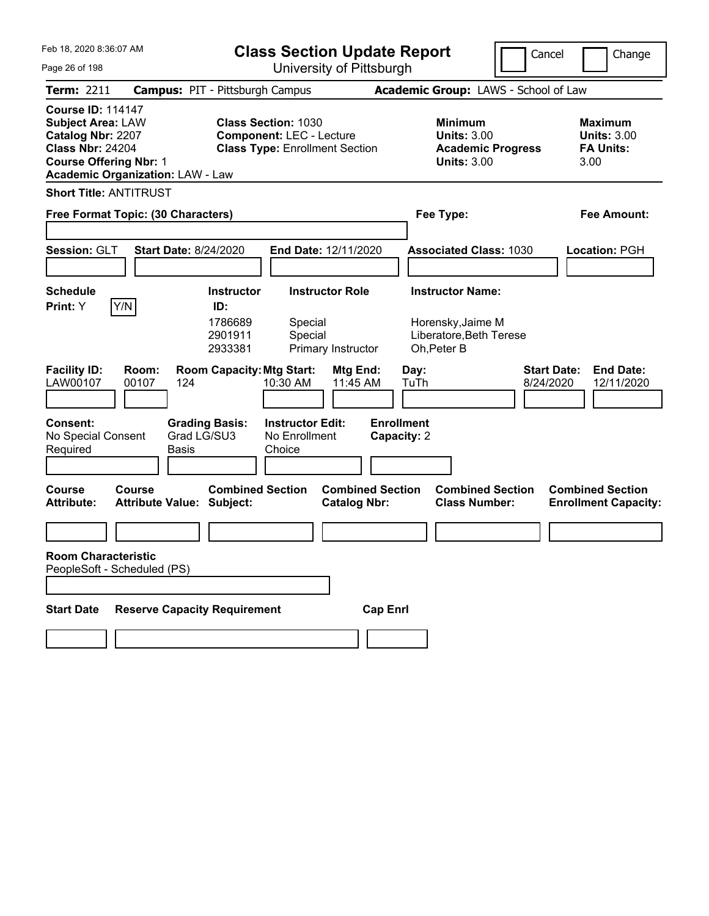| Feb 18, 2020 8:36:07 AM                                                                                                                                                          | <b>Class Section Update Report</b>                                                                     |                                                                                        | Cancel<br>Change                                                  |
|----------------------------------------------------------------------------------------------------------------------------------------------------------------------------------|--------------------------------------------------------------------------------------------------------|----------------------------------------------------------------------------------------|-------------------------------------------------------------------|
| Page 26 of 198                                                                                                                                                                   | University of Pittsburgh                                                                               |                                                                                        |                                                                   |
| Term: 2211                                                                                                                                                                       | <b>Campus: PIT - Pittsburgh Campus</b>                                                                 | Academic Group: LAWS - School of Law                                                   |                                                                   |
| <b>Course ID: 114147</b><br><b>Subject Area: LAW</b><br>Catalog Nbr: 2207<br><b>Class Nbr: 24204</b><br><b>Course Offering Nbr: 1</b><br><b>Academic Organization: LAW - Law</b> | <b>Class Section: 1030</b><br><b>Component: LEC - Lecture</b><br><b>Class Type: Enrollment Section</b> | <b>Minimum</b><br><b>Units: 3.00</b><br><b>Academic Progress</b><br><b>Units: 3.00</b> | <b>Maximum</b><br><b>Units: 3.00</b><br><b>FA Units:</b><br>3.00  |
| <b>Short Title: ANTITRUST</b>                                                                                                                                                    |                                                                                                        |                                                                                        |                                                                   |
| Free Format Topic: (30 Characters)                                                                                                                                               |                                                                                                        | Fee Type:                                                                              | Fee Amount:                                                       |
|                                                                                                                                                                                  |                                                                                                        |                                                                                        |                                                                   |
| Session: GLT<br><b>Start Date: 8/24/2020</b>                                                                                                                                     | End Date: 12/11/2020                                                                                   | <b>Associated Class: 1030</b>                                                          | Location: PGH                                                     |
|                                                                                                                                                                                  |                                                                                                        |                                                                                        |                                                                   |
| <b>Schedule</b>                                                                                                                                                                  | <b>Instructor Role</b><br><b>Instructor</b>                                                            | <b>Instructor Name:</b>                                                                |                                                                   |
| Y/N<br>Print: Y                                                                                                                                                                  | ID:<br>1786689<br>Special<br>2901911<br>Special<br>2933381<br>Primary Instructor                       | Horensky, Jaime M<br>Liberatore, Beth Terese<br>Oh, Peter B                            |                                                                   |
| <b>Facility ID:</b><br>Room:<br>LAW00107<br>00107<br>124                                                                                                                         | <b>Room Capacity: Mtg Start:</b><br>Mtg End:<br>11:45 AM<br>10:30 AM                                   | Day:<br>TuTh                                                                           | <b>Start Date:</b><br><b>End Date:</b><br>8/24/2020<br>12/11/2020 |
| <b>Consent:</b><br>Grad LG/SU3<br>No Special Consent<br>Required<br>Basis                                                                                                        | <b>Instructor Edit:</b><br><b>Grading Basis:</b><br>No Enrollment<br>Choice                            | <b>Enrollment</b><br>Capacity: 2                                                       |                                                                   |
| <b>Course</b><br>Course<br><b>Attribute Value: Subject:</b><br><b>Attribute:</b>                                                                                                 | <b>Combined Section</b><br><b>Combined Section</b><br><b>Catalog Nbr:</b>                              | <b>Combined Section</b><br><b>Class Number:</b>                                        | <b>Combined Section</b><br><b>Enrollment Capacity:</b>            |
|                                                                                                                                                                                  |                                                                                                        |                                                                                        |                                                                   |
| <b>Room Characteristic</b><br>PeopleSoft - Scheduled (PS)                                                                                                                        |                                                                                                        |                                                                                        |                                                                   |
| <b>Reserve Capacity Requirement</b><br><b>Start Date</b>                                                                                                                         | <b>Cap Enrl</b>                                                                                        |                                                                                        |                                                                   |
|                                                                                                                                                                                  |                                                                                                        |                                                                                        |                                                                   |
|                                                                                                                                                                                  |                                                                                                        |                                                                                        |                                                                   |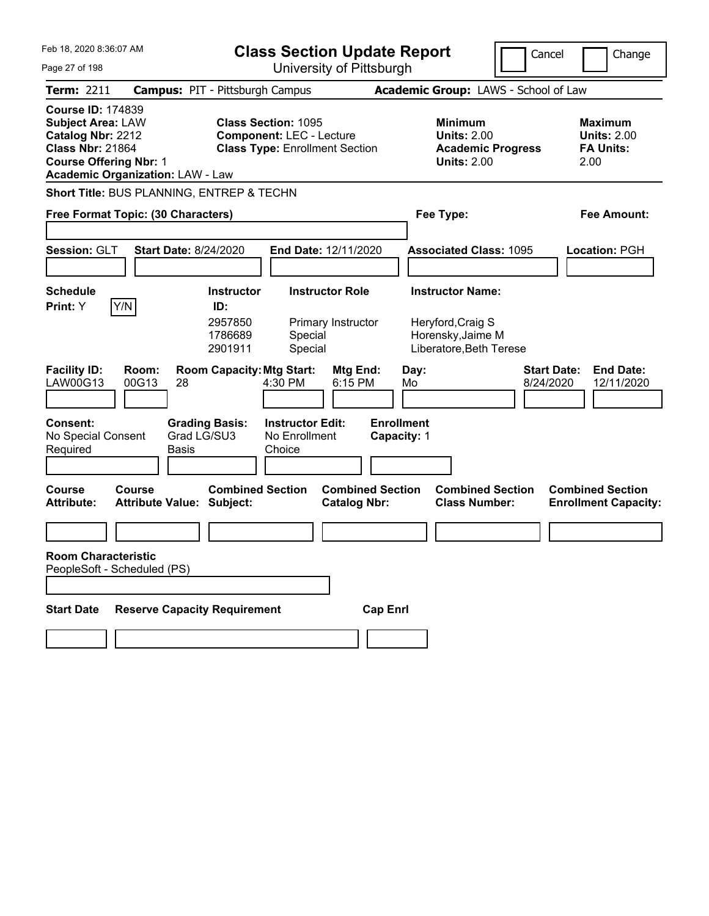| Feb 18, 2020 8:36:07 AM                                                                                                                                                          | <b>Class Section Update Report</b>                                                                     |                                                |                                                                                        | Cancel                          | Change                                                           |
|----------------------------------------------------------------------------------------------------------------------------------------------------------------------------------|--------------------------------------------------------------------------------------------------------|------------------------------------------------|----------------------------------------------------------------------------------------|---------------------------------|------------------------------------------------------------------|
| Page 27 of 198                                                                                                                                                                   | University of Pittsburgh                                                                               |                                                |                                                                                        |                                 |                                                                  |
| <b>Term: 2211</b>                                                                                                                                                                | <b>Campus: PIT - Pittsburgh Campus</b>                                                                 |                                                | Academic Group: LAWS - School of Law                                                   |                                 |                                                                  |
| <b>Course ID: 174839</b><br><b>Subject Area: LAW</b><br>Catalog Nbr: 2212<br><b>Class Nbr: 21864</b><br><b>Course Offering Nbr: 1</b><br><b>Academic Organization: LAW - Law</b> | <b>Class Section: 1095</b><br><b>Component: LEC - Lecture</b><br><b>Class Type: Enrollment Section</b> |                                                | <b>Minimum</b><br><b>Units: 2.00</b><br><b>Academic Progress</b><br><b>Units: 2.00</b> |                                 | <b>Maximum</b><br><b>Units: 2.00</b><br><b>FA Units:</b><br>2.00 |
| Short Title: BUS PLANNING, ENTREP & TECHN                                                                                                                                        |                                                                                                        |                                                |                                                                                        |                                 |                                                                  |
| Free Format Topic: (30 Characters)                                                                                                                                               |                                                                                                        |                                                | Fee Type:                                                                              |                                 | Fee Amount:                                                      |
| Session: GLT<br><b>Start Date: 8/24/2020</b>                                                                                                                                     | End Date: 12/11/2020                                                                                   |                                                | <b>Associated Class: 1095</b>                                                          |                                 | Location: PGH                                                    |
| <b>Schedule</b>                                                                                                                                                                  | <b>Instructor Role</b><br><b>Instructor</b>                                                            |                                                | <b>Instructor Name:</b>                                                                |                                 |                                                                  |
| Y/N<br>Print: Y                                                                                                                                                                  | ID:<br>2957850<br>Primary Instructor<br>1786689<br>Special<br>2901911<br>Special                       |                                                | Heryford, Craig S<br>Horensky, Jaime M<br>Liberatore, Beth Terese                      |                                 |                                                                  |
| <b>Facility ID:</b><br>Room:<br>LAW00G13<br>00G13<br>28                                                                                                                          | <b>Room Capacity: Mtg Start:</b><br>4:30 PM                                                            | Mtg End:<br>Day:<br>6:15 PM<br>Mo              |                                                                                        | <b>Start Date:</b><br>8/24/2020 | <b>End Date:</b><br>12/11/2020                                   |
| <b>Consent:</b><br>No Special Consent<br>Required<br><b>Basis</b>                                                                                                                | <b>Grading Basis:</b><br><b>Instructor Edit:</b><br>Grad LG/SU3<br>No Enrollment<br>Choice             | <b>Enrollment</b><br>Capacity: 1               |                                                                                        |                                 |                                                                  |
| Course<br>Course<br><b>Attribute Value: Subject:</b><br><b>Attribute:</b>                                                                                                        | <b>Combined Section</b>                                                                                | <b>Combined Section</b><br><b>Catalog Nbr:</b> | <b>Combined Section</b><br><b>Class Number:</b>                                        |                                 | <b>Combined Section</b><br><b>Enrollment Capacity:</b>           |
|                                                                                                                                                                                  |                                                                                                        |                                                |                                                                                        |                                 |                                                                  |
| <b>Room Characteristic</b><br>PeopleSoft - Scheduled (PS)                                                                                                                        |                                                                                                        |                                                |                                                                                        |                                 |                                                                  |
| <b>Start Date</b>                                                                                                                                                                | <b>Reserve Capacity Requirement</b>                                                                    | <b>Cap Enrl</b>                                |                                                                                        |                                 |                                                                  |
|                                                                                                                                                                                  |                                                                                                        |                                                |                                                                                        |                                 |                                                                  |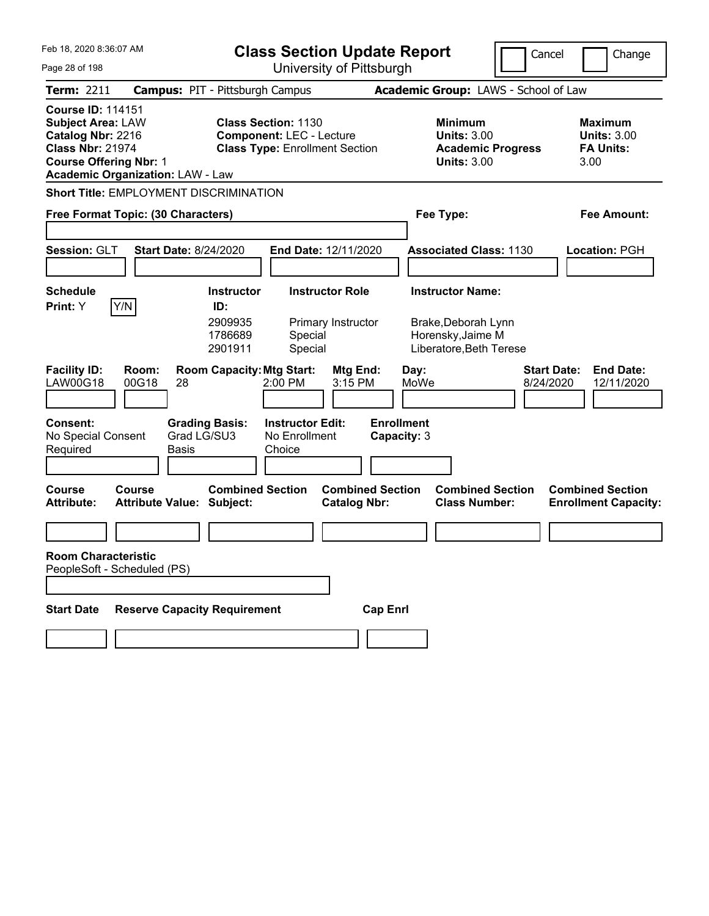| Feb 18. 2020 8:36:07 AM                                                                                                                                                          |                                               |                                                                                                        | <b>Class Section Update Report</b>                 |                                                                                 |                                  |              |                                                                     | Cancel |                                                   | Change |                                                        |
|----------------------------------------------------------------------------------------------------------------------------------------------------------------------------------|-----------------------------------------------|--------------------------------------------------------------------------------------------------------|----------------------------------------------------|---------------------------------------------------------------------------------|----------------------------------|--------------|---------------------------------------------------------------------|--------|---------------------------------------------------|--------|--------------------------------------------------------|
| Page 28 of 198                                                                                                                                                                   | University of Pittsburgh                      |                                                                                                        |                                                    |                                                                                 |                                  |              |                                                                     |        |                                                   |        |                                                        |
| <b>Term: 2211</b>                                                                                                                                                                | <b>Campus: PIT - Pittsburgh Campus</b>        |                                                                                                        |                                                    |                                                                                 |                                  |              | Academic Group: LAWS - School of Law                                |        |                                                   |        |                                                        |
| <b>Course ID: 114151</b><br><b>Subject Area: LAW</b><br>Catalog Nbr: 2216<br><b>Class Nbr: 21974</b><br><b>Course Offering Nbr: 1</b><br><b>Academic Organization: LAW - Law</b> |                                               | <b>Class Section: 1130</b><br><b>Component: LEC - Lecture</b><br><b>Class Type: Enrollment Section</b> |                                                    | Minimum<br><b>Units: 3.00</b><br><b>Academic Progress</b><br><b>Units: 3.00</b> |                                  |              |                                                                     | 3.00   | Maximum<br><b>Units: 3.00</b><br><b>FA Units:</b> |        |                                                        |
|                                                                                                                                                                                  | Short Title: EMPLOYMENT DISCRIMINATION        |                                                                                                        |                                                    |                                                                                 |                                  |              |                                                                     |        |                                                   |        |                                                        |
|                                                                                                                                                                                  | Free Format Topic: (30 Characters)            |                                                                                                        |                                                    |                                                                                 |                                  |              | Fee Type:                                                           |        |                                                   |        | Fee Amount:                                            |
|                                                                                                                                                                                  |                                               |                                                                                                        |                                                    |                                                                                 |                                  |              |                                                                     |        |                                                   |        |                                                        |
| Session: GLT                                                                                                                                                                     | <b>Start Date: 8/24/2020</b>                  |                                                                                                        | End Date: 12/11/2020                               |                                                                                 |                                  |              | <b>Associated Class: 1130</b>                                       |        |                                                   |        | Location: PGH                                          |
|                                                                                                                                                                                  |                                               |                                                                                                        |                                                    |                                                                                 |                                  |              |                                                                     |        |                                                   |        |                                                        |
| <b>Schedule</b>                                                                                                                                                                  |                                               | <b>Instructor</b>                                                                                      |                                                    | <b>Instructor Role</b>                                                          |                                  |              | <b>Instructor Name:</b>                                             |        |                                                   |        |                                                        |
| Print: Y                                                                                                                                                                         | Y/N                                           | ID:<br>2909935<br>1786689<br>2901911                                                                   | Special<br>Special                                 | Primary Instructor                                                              |                                  |              | Brake, Deborah Lynn<br>Horensky, Jaime M<br>Liberatore, Beth Terese |        |                                                   |        |                                                        |
| <b>Facility ID:</b><br>LAW00G18                                                                                                                                                  | Room:<br>00G18<br>28                          | <b>Room Capacity: Mtg Start:</b>                                                                       | 2:00 PM                                            | Mtg End:<br>3:15 PM                                                             |                                  | Day:<br>MoWe |                                                                     |        | <b>Start Date:</b><br>8/24/2020                   |        | <b>End Date:</b><br>12/11/2020                         |
| <b>Consent:</b><br>No Special Consent<br>Required                                                                                                                                | <b>Grading Basis:</b><br>Grad LG/SU3<br>Basis |                                                                                                        | <b>Instructor Edit:</b><br>No Enrollment<br>Choice |                                                                                 | <b>Enrollment</b><br>Capacity: 3 |              |                                                                     |        |                                                   |        |                                                        |
| Course<br><b>Attribute:</b>                                                                                                                                                      | Course<br><b>Attribute Value: Subject:</b>    | <b>Combined Section</b>                                                                                |                                                    | <b>Combined Section</b><br><b>Catalog Nbr:</b>                                  |                                  |              | <b>Combined Section</b><br><b>Class Number:</b>                     |        |                                                   |        | <b>Combined Section</b><br><b>Enrollment Capacity:</b> |
|                                                                                                                                                                                  |                                               |                                                                                                        |                                                    |                                                                                 |                                  |              |                                                                     |        |                                                   |        |                                                        |
| <b>Room Characteristic</b><br>PeopleSoft - Scheduled (PS)                                                                                                                        |                                               |                                                                                                        |                                                    |                                                                                 |                                  |              |                                                                     |        |                                                   |        |                                                        |
|                                                                                                                                                                                  |                                               |                                                                                                        |                                                    |                                                                                 |                                  |              |                                                                     |        |                                                   |        |                                                        |
| <b>Start Date</b>                                                                                                                                                                | <b>Reserve Capacity Requirement</b>           |                                                                                                        |                                                    |                                                                                 | <b>Cap Enrl</b>                  |              |                                                                     |        |                                                   |        |                                                        |
|                                                                                                                                                                                  |                                               |                                                                                                        |                                                    |                                                                                 |                                  |              |                                                                     |        |                                                   |        |                                                        |
|                                                                                                                                                                                  |                                               |                                                                                                        |                                                    |                                                                                 |                                  |              |                                                                     |        |                                                   |        |                                                        |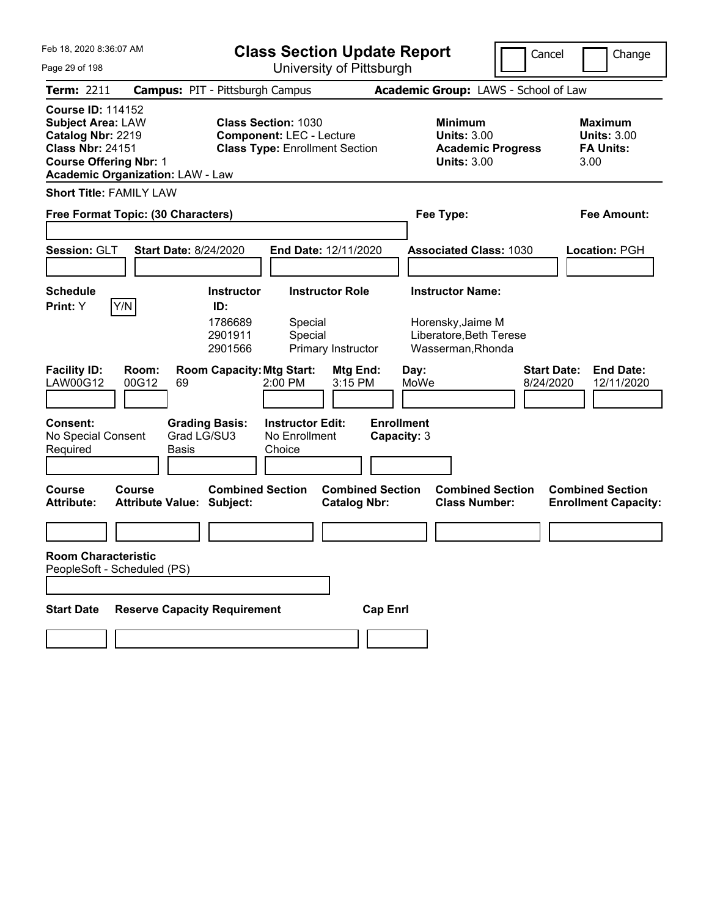| Feb 18, 2020 8:36:07 AM<br>Page 29 of 198                                                                                                                                        | <b>Class Section Update Report</b><br>University of Pittsburgh                                         |                                                                                        | Cancel<br>Change                                                  |
|----------------------------------------------------------------------------------------------------------------------------------------------------------------------------------|--------------------------------------------------------------------------------------------------------|----------------------------------------------------------------------------------------|-------------------------------------------------------------------|
| <b>Term: 2211</b>                                                                                                                                                                | <b>Campus: PIT - Pittsburgh Campus</b>                                                                 | Academic Group: LAWS - School of Law                                                   |                                                                   |
| <b>Course ID: 114152</b><br><b>Subject Area: LAW</b><br>Catalog Nbr: 2219<br><b>Class Nbr: 24151</b><br><b>Course Offering Nbr: 1</b><br><b>Academic Organization: LAW - Law</b> | <b>Class Section: 1030</b><br><b>Component: LEC - Lecture</b><br><b>Class Type: Enrollment Section</b> | <b>Minimum</b><br><b>Units: 3.00</b><br><b>Academic Progress</b><br><b>Units: 3.00</b> | <b>Maximum</b><br><b>Units: 3.00</b><br><b>FA Units:</b><br>3.00  |
| <b>Short Title: FAMILY LAW</b>                                                                                                                                                   |                                                                                                        |                                                                                        |                                                                   |
| Free Format Topic: (30 Characters)                                                                                                                                               |                                                                                                        | Fee Type:                                                                              | <b>Fee Amount:</b>                                                |
| Session: GLT<br><b>Start Date: 8/24/2020</b>                                                                                                                                     | End Date: 12/11/2020                                                                                   | <b>Associated Class: 1030</b>                                                          | Location: PGH                                                     |
| <b>Schedule</b>                                                                                                                                                                  | <b>Instructor</b><br><b>Instructor Role</b>                                                            | <b>Instructor Name:</b>                                                                |                                                                   |
| Y/N<br>Print: Y                                                                                                                                                                  | ID:<br>1786689<br>Special<br>2901911<br>Special<br>2901566<br>Primary Instructor                       | Horensky, Jaime M<br>Liberatore, Beth Terese<br>Wasserman, Rhonda                      |                                                                   |
| <b>Facility ID:</b><br>Room:<br>LAW00G12<br>00G12<br>69                                                                                                                          | <b>Room Capacity: Mtg Start:</b><br>Mtg End:<br>3:15 PM<br>2:00 PM                                     | Day:<br>MoWe                                                                           | <b>Start Date:</b><br><b>End Date:</b><br>8/24/2020<br>12/11/2020 |
| <b>Consent:</b><br>No Special Consent<br>Required<br>Basis                                                                                                                       | <b>Grading Basis:</b><br><b>Instructor Edit:</b><br>Grad LG/SU3<br>No Enrollment<br>Choice             | <b>Enrollment</b><br>Capacity: 3                                                       |                                                                   |
| <b>Course</b><br>Course<br><b>Attribute Value: Subject:</b><br><b>Attribute:</b>                                                                                                 | <b>Combined Section</b><br><b>Combined Section</b><br><b>Catalog Nbr:</b>                              | <b>Combined Section</b><br><b>Class Number:</b>                                        | <b>Combined Section</b><br><b>Enrollment Capacity:</b>            |
|                                                                                                                                                                                  |                                                                                                        |                                                                                        |                                                                   |
| <b>Room Characteristic</b><br>PeopleSoft - Scheduled (PS)                                                                                                                        |                                                                                                        |                                                                                        |                                                                   |
| <b>Reserve Capacity Requirement</b><br><b>Start Date</b>                                                                                                                         |                                                                                                        | <b>Cap Enrl</b>                                                                        |                                                                   |
|                                                                                                                                                                                  |                                                                                                        |                                                                                        |                                                                   |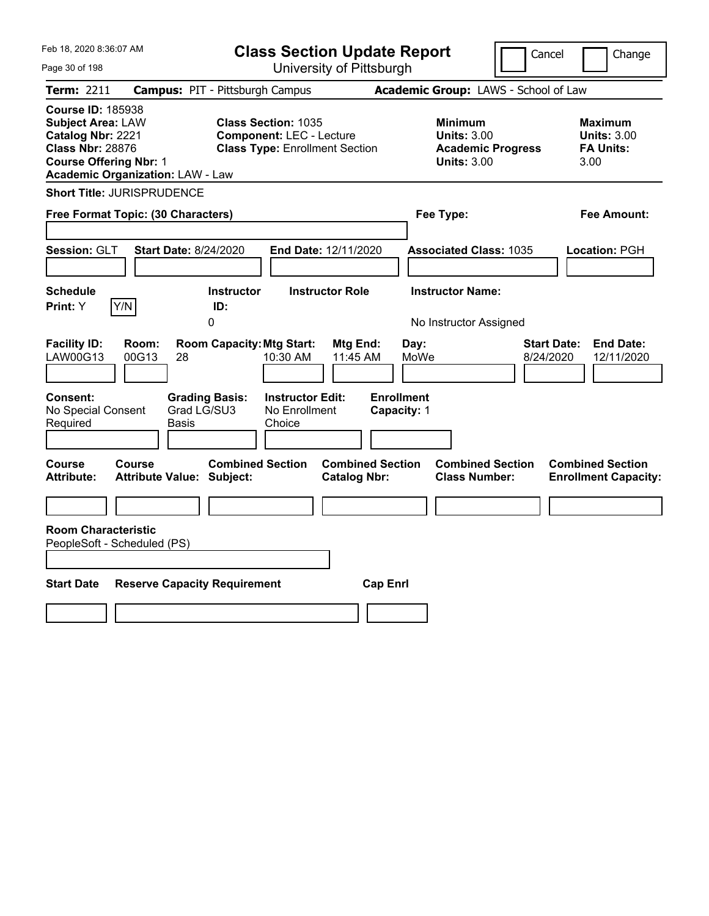| Feb 18, 2020 8:36:07 AM<br><b>Class Section Update Report</b>                                                                                                                    |                                                                                                                                                           |                                                                          |                                                                                        | Cancel<br>Change                                                  |
|----------------------------------------------------------------------------------------------------------------------------------------------------------------------------------|-----------------------------------------------------------------------------------------------------------------------------------------------------------|--------------------------------------------------------------------------|----------------------------------------------------------------------------------------|-------------------------------------------------------------------|
| Page 30 of 198                                                                                                                                                                   |                                                                                                                                                           | University of Pittsburgh                                                 |                                                                                        |                                                                   |
| <b>Term: 2211</b>                                                                                                                                                                | <b>Campus: PIT - Pittsburgh Campus</b>                                                                                                                    |                                                                          | Academic Group: LAWS - School of Law                                                   |                                                                   |
| <b>Course ID: 185938</b><br><b>Subject Area: LAW</b><br>Catalog Nbr: 2221<br><b>Class Nbr: 28876</b><br><b>Course Offering Nbr: 1</b><br><b>Academic Organization: LAW - Law</b> | <b>Class Section: 1035</b><br><b>Component: LEC - Lecture</b><br><b>Class Type: Enrollment Section</b>                                                    |                                                                          | <b>Minimum</b><br><b>Units: 3.00</b><br><b>Academic Progress</b><br><b>Units: 3.00</b> | <b>Maximum</b><br><b>Units: 3.00</b><br><b>FA Units:</b><br>3.00  |
| <b>Short Title: JURISPRUDENCE</b>                                                                                                                                                |                                                                                                                                                           |                                                                          |                                                                                        |                                                                   |
| Free Format Topic: (30 Characters)                                                                                                                                               |                                                                                                                                                           |                                                                          | Fee Type:                                                                              | <b>Fee Amount:</b>                                                |
| <b>Session: GLT</b>                                                                                                                                                              | <b>Start Date: 8/24/2020</b>                                                                                                                              | End Date: 12/11/2020                                                     | <b>Associated Class: 1035</b>                                                          | Location: PGH                                                     |
| <b>Schedule</b>                                                                                                                                                                  | <b>Instructor</b>                                                                                                                                         | <b>Instructor Role</b>                                                   | <b>Instructor Name:</b>                                                                |                                                                   |
| Print: Y<br>Y/N                                                                                                                                                                  | ID:<br>0                                                                                                                                                  |                                                                          | No Instructor Assigned                                                                 |                                                                   |
| <b>Facility ID:</b><br>Room:<br>LAW00G13<br>00G13<br>Consent:<br>No Special Consent<br>Required                                                                                  | <b>Room Capacity: Mtg Start:</b><br>28<br>10:30 AM<br><b>Instructor Edit:</b><br><b>Grading Basis:</b><br>Grad LG/SU3<br>No Enrollment<br>Choice<br>Basis | Mtg End:<br>Day:<br>11:45 AM<br>MoWe<br><b>Enrollment</b><br>Capacity: 1 |                                                                                        | <b>Start Date:</b><br><b>End Date:</b><br>8/24/2020<br>12/11/2020 |
| Course<br>Course<br><b>Attribute:</b>                                                                                                                                            | <b>Combined Section</b><br><b>Attribute Value: Subject:</b>                                                                                               | <b>Combined Section</b><br><b>Catalog Nbr:</b>                           | <b>Combined Section</b><br><b>Class Number:</b>                                        | <b>Combined Section</b><br><b>Enrollment Capacity:</b>            |
|                                                                                                                                                                                  |                                                                                                                                                           |                                                                          |                                                                                        |                                                                   |
| <b>Room Characteristic</b><br>PeopleSoft - Scheduled (PS)                                                                                                                        |                                                                                                                                                           |                                                                          |                                                                                        |                                                                   |
| <b>Start Date</b>                                                                                                                                                                | <b>Reserve Capacity Requirement</b>                                                                                                                       | <b>Cap Enrl</b>                                                          |                                                                                        |                                                                   |
|                                                                                                                                                                                  |                                                                                                                                                           |                                                                          |                                                                                        |                                                                   |
|                                                                                                                                                                                  |                                                                                                                                                           |                                                                          |                                                                                        |                                                                   |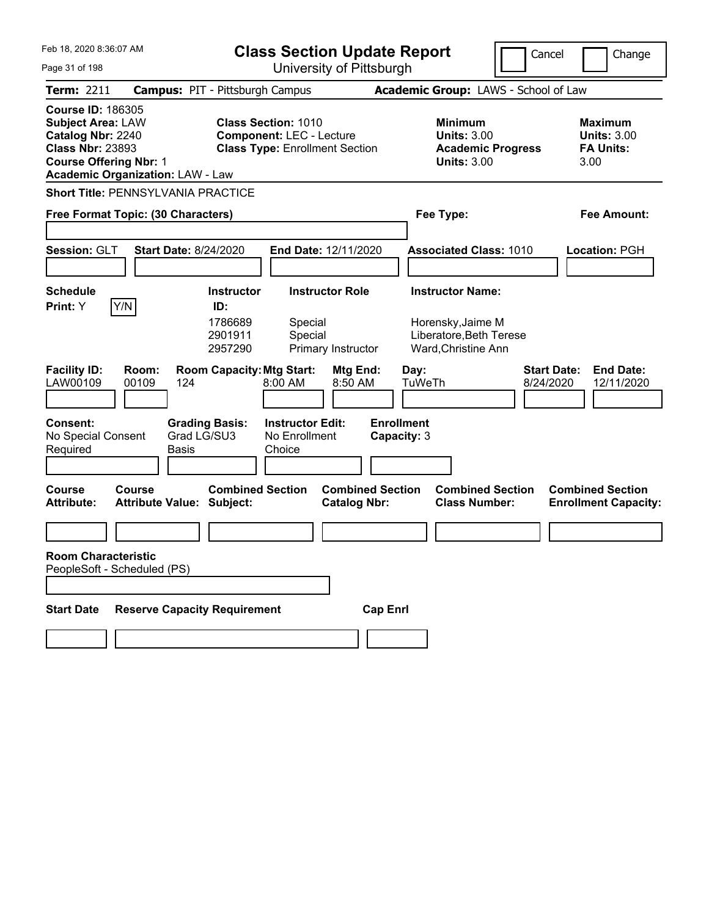| Feb 18, 2020 8:36:07 AM                                                                                                                                                          | <b>Class Section Update Report</b>                          | Cancel                                                                                                 | Change                                                              |                                 |                                                                  |
|----------------------------------------------------------------------------------------------------------------------------------------------------------------------------------|-------------------------------------------------------------|--------------------------------------------------------------------------------------------------------|---------------------------------------------------------------------|---------------------------------|------------------------------------------------------------------|
| Page 31 of 198                                                                                                                                                                   | University of Pittsburgh                                    |                                                                                                        |                                                                     |                                 |                                                                  |
| <b>Term: 2211</b>                                                                                                                                                                | <b>Campus: PIT - Pittsburgh Campus</b>                      | Academic Group: LAWS - School of Law                                                                   |                                                                     |                                 |                                                                  |
| <b>Course ID: 186305</b><br><b>Subject Area: LAW</b><br>Catalog Nbr: 2240<br><b>Class Nbr: 23893</b><br><b>Course Offering Nbr: 1</b><br><b>Academic Organization: LAW - Law</b> |                                                             | <b>Class Section: 1010</b><br><b>Component: LEC - Lecture</b><br><b>Class Type: Enrollment Section</b> | <b>Minimum</b><br><b>Units: 3.00</b><br><b>Units: 3.00</b>          | <b>Academic Progress</b>        | <b>Maximum</b><br><b>Units: 3.00</b><br><b>FA Units:</b><br>3.00 |
| <b>Short Title: PENNSYLVANIA PRACTICE</b>                                                                                                                                        |                                                             |                                                                                                        |                                                                     |                                 |                                                                  |
| Free Format Topic: (30 Characters)                                                                                                                                               |                                                             |                                                                                                        | Fee Type:                                                           |                                 | Fee Amount:                                                      |
|                                                                                                                                                                                  |                                                             |                                                                                                        |                                                                     |                                 |                                                                  |
| Session: GLT                                                                                                                                                                     | <b>Start Date: 8/24/2020</b>                                | End Date: 12/11/2020                                                                                   | <b>Associated Class: 1010</b>                                       |                                 | Location: PGH                                                    |
|                                                                                                                                                                                  |                                                             |                                                                                                        |                                                                     |                                 |                                                                  |
| <b>Schedule</b>                                                                                                                                                                  | <b>Instructor</b>                                           | <b>Instructor Role</b>                                                                                 | <b>Instructor Name:</b>                                             |                                 |                                                                  |
| Y/N<br>Print: Y                                                                                                                                                                  | ID:<br>1786689<br>2901911<br>2957290                        | Special<br>Special<br>Primary Instructor                                                               | Horensky, Jaime M<br>Liberatore, Beth Terese<br>Ward, Christine Ann |                                 |                                                                  |
| <b>Facility ID:</b><br>Room:<br>00109<br>LAW00109                                                                                                                                | <b>Room Capacity: Mtg Start:</b><br>124                     | Mtg End:<br>8:00 AM<br>8:50 AM                                                                         | Day:<br>TuWeTh                                                      | <b>Start Date:</b><br>8/24/2020 | <b>End Date:</b><br>12/11/2020                                   |
| Consent:<br>No Special Consent<br>Required                                                                                                                                       | <b>Grading Basis:</b><br>Grad LG/SU3<br>Basis               | <b>Instructor Edit:</b><br>No Enrollment<br>Choice                                                     | <b>Enrollment</b><br>Capacity: 3                                    |                                 |                                                                  |
| <b>Course</b><br>Course<br><b>Attribute:</b>                                                                                                                                     | <b>Combined Section</b><br><b>Attribute Value: Subject:</b> | <b>Combined Section</b><br><b>Catalog Nbr:</b>                                                         | <b>Class Number:</b>                                                | <b>Combined Section</b>         | <b>Combined Section</b><br><b>Enrollment Capacity:</b>           |
|                                                                                                                                                                                  |                                                             |                                                                                                        |                                                                     |                                 |                                                                  |
| <b>Room Characteristic</b><br>PeopleSoft - Scheduled (PS)                                                                                                                        |                                                             |                                                                                                        |                                                                     |                                 |                                                                  |
| <b>Start Date</b>                                                                                                                                                                | <b>Reserve Capacity Requirement</b>                         |                                                                                                        | <b>Cap Enrl</b>                                                     |                                 |                                                                  |
|                                                                                                                                                                                  |                                                             |                                                                                                        |                                                                     |                                 |                                                                  |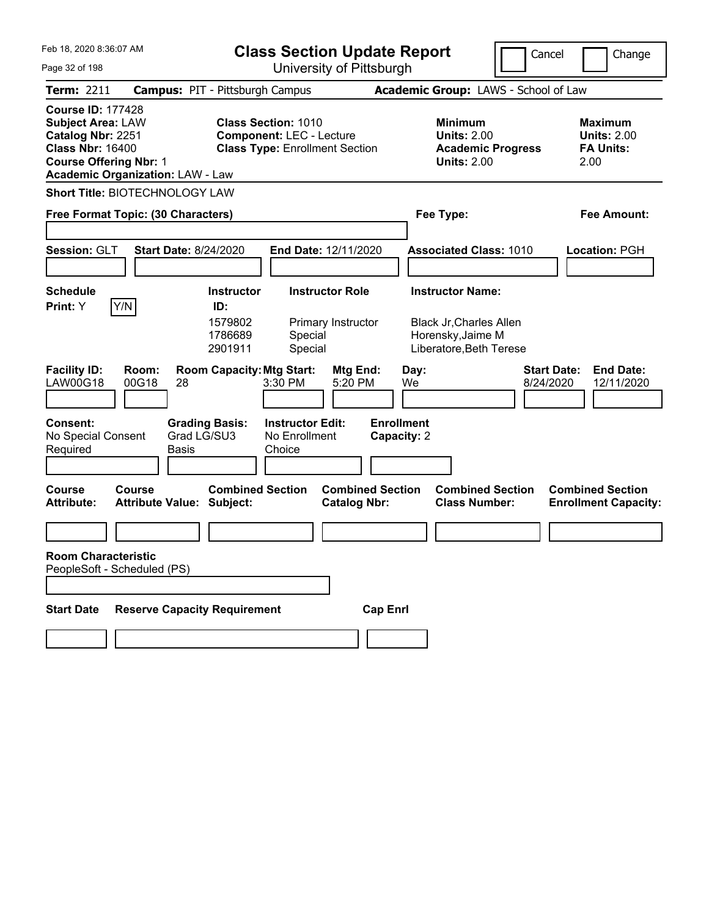| Feb 18, 2020 8:36:07 AM                                                                                                                                                          | <b>Class Section Update Report</b>                                                                     |                                                                                        | Cancel<br>Change                                                  |
|----------------------------------------------------------------------------------------------------------------------------------------------------------------------------------|--------------------------------------------------------------------------------------------------------|----------------------------------------------------------------------------------------|-------------------------------------------------------------------|
| Page 32 of 198                                                                                                                                                                   | University of Pittsburgh                                                                               |                                                                                        |                                                                   |
| Term: 2211                                                                                                                                                                       | <b>Campus: PIT - Pittsburgh Campus</b>                                                                 | Academic Group: LAWS - School of Law                                                   |                                                                   |
| <b>Course ID: 177428</b><br><b>Subject Area: LAW</b><br>Catalog Nbr: 2251<br><b>Class Nbr: 16400</b><br><b>Course Offering Nbr: 1</b><br><b>Academic Organization: LAW - Law</b> | <b>Class Section: 1010</b><br><b>Component: LEC - Lecture</b><br><b>Class Type: Enrollment Section</b> | <b>Minimum</b><br><b>Units: 2.00</b><br><b>Academic Progress</b><br><b>Units: 2.00</b> | <b>Maximum</b><br><b>Units: 2.00</b><br><b>FA Units:</b><br>2.00  |
| Short Title: BIOTECHNOLOGY LAW                                                                                                                                                   |                                                                                                        |                                                                                        |                                                                   |
| Free Format Topic: (30 Characters)                                                                                                                                               |                                                                                                        | Fee Type:                                                                              | Fee Amount:                                                       |
|                                                                                                                                                                                  |                                                                                                        |                                                                                        |                                                                   |
| Session: GLT                                                                                                                                                                     | <b>Start Date: 8/24/2020</b><br>End Date: 12/11/2020                                                   | <b>Associated Class: 1010</b>                                                          | Location: PGH                                                     |
|                                                                                                                                                                                  |                                                                                                        |                                                                                        |                                                                   |
| <b>Schedule</b>                                                                                                                                                                  | <b>Instructor Role</b><br><b>Instructor</b>                                                            | <b>Instructor Name:</b>                                                                |                                                                   |
| Y/N<br>Print: Y                                                                                                                                                                  | ID:<br>1579802<br>Primary Instructor<br>1786689<br>Special<br>2901911<br>Special                       | <b>Black Jr, Charles Allen</b><br>Horensky, Jaime M<br>Liberatore, Beth Terese         |                                                                   |
| <b>Facility ID:</b><br>Room:<br>LAW00G18<br>00G18<br>28                                                                                                                          | <b>Room Capacity: Mtg Start:</b><br>Mtg End:<br>3:30 PM<br>5:20 PM                                     | Day:<br>We                                                                             | <b>Start Date:</b><br><b>End Date:</b><br>8/24/2020<br>12/11/2020 |
| <b>Consent:</b><br>No Special Consent<br>Required<br>Basis                                                                                                                       | <b>Instructor Edit:</b><br><b>Grading Basis:</b><br>Grad LG/SU3<br>No Enrollment<br>Choice             | <b>Enrollment</b><br>Capacity: 2                                                       |                                                                   |
| <b>Course</b><br>Course<br><b>Attribute:</b><br><b>Attribute Value: Subject:</b>                                                                                                 | <b>Combined Section</b><br><b>Catalog Nbr:</b>                                                         | <b>Combined Section</b><br><b>Combined Section</b><br><b>Class Number:</b>             | <b>Combined Section</b><br><b>Enrollment Capacity:</b>            |
|                                                                                                                                                                                  |                                                                                                        |                                                                                        |                                                                   |
| <b>Room Characteristic</b><br>PeopleSoft - Scheduled (PS)                                                                                                                        |                                                                                                        |                                                                                        |                                                                   |
| <b>Start Date</b>                                                                                                                                                                | <b>Reserve Capacity Requirement</b>                                                                    | <b>Cap Enrl</b>                                                                        |                                                                   |
|                                                                                                                                                                                  |                                                                                                        |                                                                                        |                                                                   |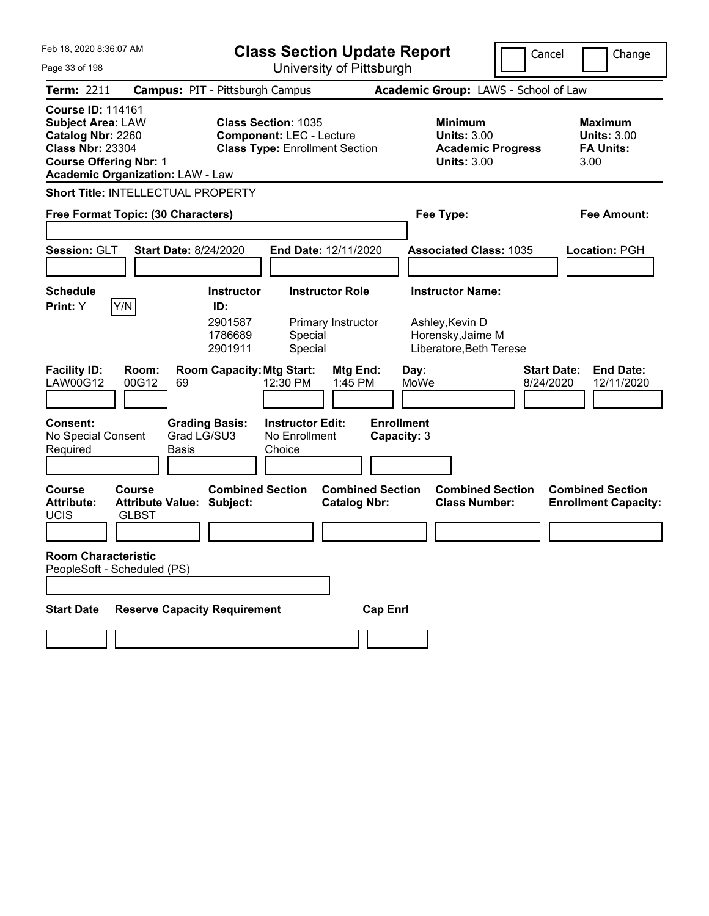| Feb 18. 2020 8:36:07 AM<br><b>Class Section Update Report</b><br>University of Pittsburgh<br>Page 33 of 198                                                                      |                                                             |                                                                                                        |                                  | Cancel                                                                                 | Change                                                            |
|----------------------------------------------------------------------------------------------------------------------------------------------------------------------------------|-------------------------------------------------------------|--------------------------------------------------------------------------------------------------------|----------------------------------|----------------------------------------------------------------------------------------|-------------------------------------------------------------------|
| Term: 2211                                                                                                                                                                       | <b>Campus: PIT - Pittsburgh Campus</b>                      |                                                                                                        |                                  | Academic Group: LAWS - School of Law                                                   |                                                                   |
| <b>Course ID: 114161</b><br><b>Subject Area: LAW</b><br>Catalog Nbr: 2260<br><b>Class Nbr: 23304</b><br><b>Course Offering Nbr: 1</b><br><b>Academic Organization: LAW - Law</b> |                                                             | <b>Class Section: 1035</b><br><b>Component: LEC - Lecture</b><br><b>Class Type: Enrollment Section</b> |                                  | <b>Minimum</b><br><b>Units: 3.00</b><br><b>Academic Progress</b><br><b>Units: 3.00</b> | <b>Maximum</b><br><b>Units: 3.00</b><br><b>FA Units:</b><br>3.00  |
| <b>Short Title: INTELLECTUAL PROPERTY</b>                                                                                                                                        |                                                             |                                                                                                        |                                  |                                                                                        |                                                                   |
| Free Format Topic: (30 Characters)                                                                                                                                               |                                                             |                                                                                                        | Fee Type:                        |                                                                                        | <b>Fee Amount:</b>                                                |
| Session: GLT                                                                                                                                                                     | <b>Start Date: 8/24/2020</b>                                | End Date: 12/11/2020                                                                                   |                                  | <b>Associated Class: 1035</b>                                                          | Location: PGH                                                     |
| <b>Schedule</b>                                                                                                                                                                  | <b>Instructor</b>                                           | <b>Instructor Role</b>                                                                                 |                                  | <b>Instructor Name:</b>                                                                |                                                                   |
| Y/N<br>Print: Y                                                                                                                                                                  | ID:<br>2901587<br>1786689<br>2901911                        | Primary Instructor<br>Special<br>Special                                                               |                                  | Ashley, Kevin D<br>Horensky, Jaime M<br>Liberatore, Beth Terese                        |                                                                   |
| <b>Facility ID:</b><br>Room:<br>00G12<br>LAW00G12                                                                                                                                | <b>Room Capacity: Mtg Start:</b><br>69                      | Mtg End:<br>12:30 PM<br>1:45 PM                                                                        | Day:<br>MoWe                     |                                                                                        | <b>End Date:</b><br><b>Start Date:</b><br>8/24/2020<br>12/11/2020 |
| <b>Consent:</b><br>No Special Consent<br>Required                                                                                                                                | <b>Grading Basis:</b><br>Grad LG/SU3<br><b>Basis</b>        | <b>Instructor Edit:</b><br>No Enrollment<br>Choice                                                     | <b>Enrollment</b><br>Capacity: 3 |                                                                                        |                                                                   |
| <b>Course</b><br>Course<br><b>Attribute:</b><br>UCIS<br><b>GLBST</b>                                                                                                             | <b>Combined Section</b><br><b>Attribute Value: Subject:</b> | <b>Catalog Nbr:</b>                                                                                    | <b>Combined Section</b>          | <b>Combined Section</b><br><b>Class Number:</b>                                        | <b>Combined Section</b><br><b>Enrollment Capacity:</b>            |
| <b>Room Characteristic</b><br>PeopleSoft - Scheduled (PS)                                                                                                                        |                                                             |                                                                                                        |                                  |                                                                                        |                                                                   |
| <b>Start Date</b>                                                                                                                                                                | <b>Reserve Capacity Requirement</b>                         |                                                                                                        | <b>Cap Enrl</b>                  |                                                                                        |                                                                   |
|                                                                                                                                                                                  |                                                             |                                                                                                        |                                  |                                                                                        |                                                                   |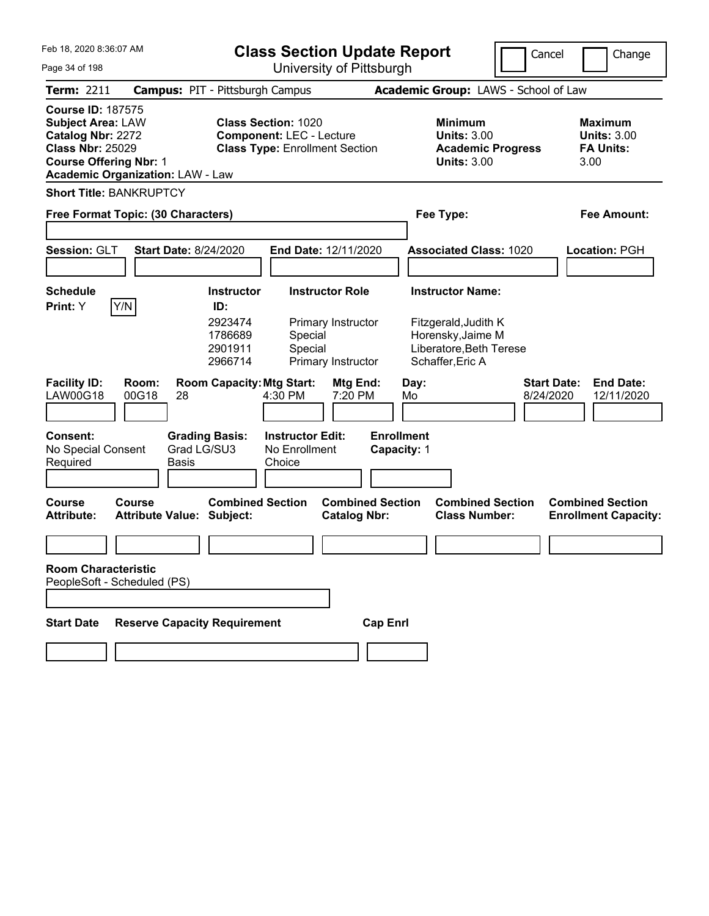| Feb 18, 2020 8:36:07 AM<br>Page 34 of 198                                                                                                                                        | <b>Class Section Update Report</b><br>University of Pittsburgh                                                                                            | Cancel                                                                                                              | Change                                                           |
|----------------------------------------------------------------------------------------------------------------------------------------------------------------------------------|-----------------------------------------------------------------------------------------------------------------------------------------------------------|---------------------------------------------------------------------------------------------------------------------|------------------------------------------------------------------|
| <b>Campus: PIT - Pittsburgh Campus</b><br><b>Term: 2211</b>                                                                                                                      |                                                                                                                                                           | Academic Group: LAWS - School of Law                                                                                |                                                                  |
| <b>Course ID: 187575</b><br><b>Subject Area: LAW</b><br>Catalog Nbr: 2272<br><b>Class Nbr: 25029</b><br><b>Course Offering Nbr: 1</b><br><b>Academic Organization: LAW - Law</b> | <b>Class Section: 1020</b><br><b>Component: LEC - Lecture</b><br><b>Class Type: Enrollment Section</b>                                                    | <b>Minimum</b><br><b>Units: 3.00</b><br><b>Academic Progress</b><br><b>Units: 3.00</b>                              | <b>Maximum</b><br><b>Units: 3.00</b><br><b>FA Units:</b><br>3.00 |
| <b>Short Title: BANKRUPTCY</b>                                                                                                                                                   |                                                                                                                                                           |                                                                                                                     |                                                                  |
| Free Format Topic: (30 Characters)                                                                                                                                               |                                                                                                                                                           | Fee Type:                                                                                                           | <b>Fee Amount:</b>                                               |
| Session: GLT<br><b>Start Date: 8/24/2020</b>                                                                                                                                     | End Date: 12/11/2020                                                                                                                                      | <b>Associated Class: 1020</b>                                                                                       | Location: PGH                                                    |
| <b>Schedule</b><br> Y/N <br>Print: Y<br>ID:                                                                                                                                      | <b>Instructor</b><br><b>Instructor Role</b><br>2923474<br>Primary Instructor<br>1786689<br>Special<br>2901911<br>Special<br>2966714<br>Primary Instructor | <b>Instructor Name:</b><br>Fitzgerald, Judith K<br>Horensky, Jaime M<br>Liberatore, Beth Terese<br>Schaffer, Eric A |                                                                  |
| <b>Facility ID:</b><br>Room:<br><b>LAW00G18</b><br>00G18<br>28                                                                                                                   | <b>Room Capacity: Mtg Start:</b><br>Mtg End:<br>4:30 PM<br>7:20 PM                                                                                        | <b>Start Date:</b><br>Day:<br>8/24/2020<br>Mo                                                                       | <b>End Date:</b><br>12/11/2020                                   |
| <b>Consent:</b><br><b>Grading Basis:</b><br>Grad LG/SU3<br>No Special Consent<br>Required<br><b>Basis</b>                                                                        | <b>Instructor Edit:</b><br>No Enrollment<br>Choice                                                                                                        | <b>Enrollment</b><br>Capacity: 1                                                                                    |                                                                  |
| <b>Course</b><br>Course<br><b>Attribute:</b><br><b>Attribute Value: Subject:</b>                                                                                                 | <b>Combined Section</b><br><b>Combined Section</b><br><b>Catalog Nbr:</b>                                                                                 | <b>Combined Section</b><br><b>Class Number:</b>                                                                     | <b>Combined Section</b><br><b>Enrollment Capacity:</b>           |
|                                                                                                                                                                                  |                                                                                                                                                           |                                                                                                                     |                                                                  |
| <b>Room Characteristic</b><br>PeopleSoft - Scheduled (PS)                                                                                                                        |                                                                                                                                                           |                                                                                                                     |                                                                  |
|                                                                                                                                                                                  |                                                                                                                                                           |                                                                                                                     |                                                                  |
| <b>Start Date</b><br><b>Reserve Capacity Requirement</b>                                                                                                                         | <b>Cap Enrl</b>                                                                                                                                           |                                                                                                                     |                                                                  |
|                                                                                                                                                                                  |                                                                                                                                                           |                                                                                                                     |                                                                  |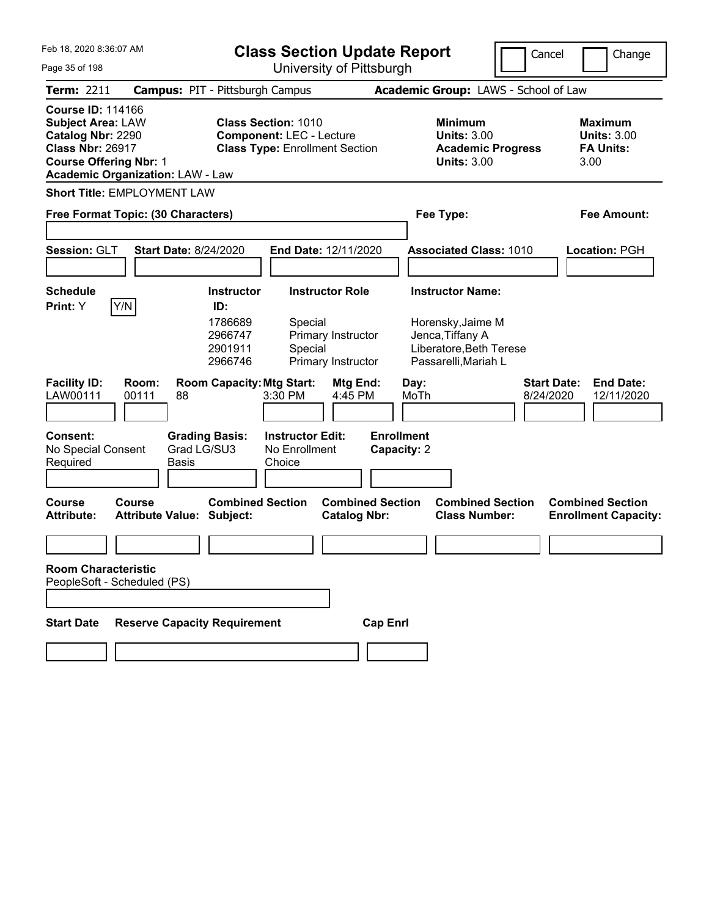| Feb 18, 2020 8:36:07 AM<br><b>Class Section Update Report</b><br>University of Pittsburgh                                             |                                            |                                                                      |                                                                                                        |                                                                    |                                  | Cancel       |                                                                                                                     | Change                          |      |                                                          |
|---------------------------------------------------------------------------------------------------------------------------------------|--------------------------------------------|----------------------------------------------------------------------|--------------------------------------------------------------------------------------------------------|--------------------------------------------------------------------|----------------------------------|--------------|---------------------------------------------------------------------------------------------------------------------|---------------------------------|------|----------------------------------------------------------|
| Page 35 of 198                                                                                                                        |                                            |                                                                      |                                                                                                        |                                                                    |                                  |              |                                                                                                                     |                                 |      |                                                          |
| <b>Term: 2211</b>                                                                                                                     | <b>Campus: PIT - Pittsburgh Campus</b>     |                                                                      |                                                                                                        |                                                                    |                                  |              | Academic Group: LAWS - School of Law                                                                                |                                 |      |                                                          |
| <b>Course ID: 114166</b><br><b>Subject Area: LAW</b><br>Catalog Nbr: 2290<br><b>Class Nbr: 26917</b><br><b>Course Offering Nbr: 1</b> | <b>Academic Organization: LAW - Law</b>    |                                                                      | <b>Class Section: 1010</b><br><b>Component: LEC - Lecture</b><br><b>Class Type: Enrollment Section</b> |                                                                    |                                  |              | <b>Minimum</b><br><b>Units: 3.00</b><br><b>Academic Progress</b><br><b>Units: 3.00</b>                              |                                 | 3.00 | <b>Maximum</b><br><b>Units: 3.00</b><br><b>FA Units:</b> |
|                                                                                                                                       | <b>Short Title: EMPLOYMENT LAW</b>         |                                                                      |                                                                                                        |                                                                    |                                  |              |                                                                                                                     |                                 |      |                                                          |
|                                                                                                                                       | Free Format Topic: (30 Characters)         |                                                                      |                                                                                                        |                                                                    |                                  |              | Fee Type:                                                                                                           |                                 |      | <b>Fee Amount:</b>                                       |
| Session: GLT                                                                                                                          | <b>Start Date: 8/24/2020</b>               |                                                                      | End Date: 12/11/2020                                                                                   |                                                                    |                                  |              | <b>Associated Class: 1010</b>                                                                                       |                                 |      | Location: PGH                                            |
| <b>Schedule</b><br>Print: Y                                                                                                           | Y/N                                        | <b>Instructor</b><br>ID:<br>1786689<br>2966747<br>2901911<br>2966746 | Special<br>Special                                                                                     | <b>Instructor Role</b><br>Primary Instructor<br>Primary Instructor |                                  |              | <b>Instructor Name:</b><br>Horensky, Jaime M<br>Jenca, Tiffany A<br>Liberatore, Beth Terese<br>Passarelli, Mariah L |                                 |      |                                                          |
| <b>Facility ID:</b><br>LAW00111                                                                                                       | Room:<br>00111<br>88                       | <b>Room Capacity: Mtg Start:</b>                                     | 3:30 PM                                                                                                | Mtg End:<br>4:45 PM                                                |                                  | Day:<br>MoTh |                                                                                                                     | <b>Start Date:</b><br>8/24/2020 |      | <b>End Date:</b><br>12/11/2020                           |
| <b>Consent:</b><br>No Special Consent<br>Required                                                                                     | Grad LG/SU3<br><b>Basis</b>                | <b>Grading Basis:</b>                                                | <b>Instructor Edit:</b><br>No Enrollment<br>Choice                                                     |                                                                    | <b>Enrollment</b><br>Capacity: 2 |              |                                                                                                                     |                                 |      |                                                          |
| <b>Course</b><br><b>Attribute:</b>                                                                                                    | Course<br><b>Attribute Value: Subject:</b> | <b>Combined Section</b>                                              |                                                                                                        | <b>Combined Section</b><br><b>Catalog Nbr:</b>                     |                                  |              | <b>Combined Section</b><br><b>Class Number:</b>                                                                     |                                 |      | <b>Combined Section</b><br><b>Enrollment Capacity:</b>   |
|                                                                                                                                       |                                            |                                                                      |                                                                                                        |                                                                    |                                  |              |                                                                                                                     |                                 |      |                                                          |
| <b>Room Characteristic</b>                                                                                                            | PeopleSoft - Scheduled (PS)                |                                                                      |                                                                                                        |                                                                    |                                  |              |                                                                                                                     |                                 |      |                                                          |
|                                                                                                                                       |                                            |                                                                      |                                                                                                        |                                                                    |                                  |              |                                                                                                                     |                                 |      |                                                          |
| <b>Start Date</b>                                                                                                                     | <b>Reserve Capacity Requirement</b>        |                                                                      |                                                                                                        |                                                                    | <b>Cap Enrl</b>                  |              |                                                                                                                     |                                 |      |                                                          |
|                                                                                                                                       |                                            |                                                                      |                                                                                                        |                                                                    |                                  |              |                                                                                                                     |                                 |      |                                                          |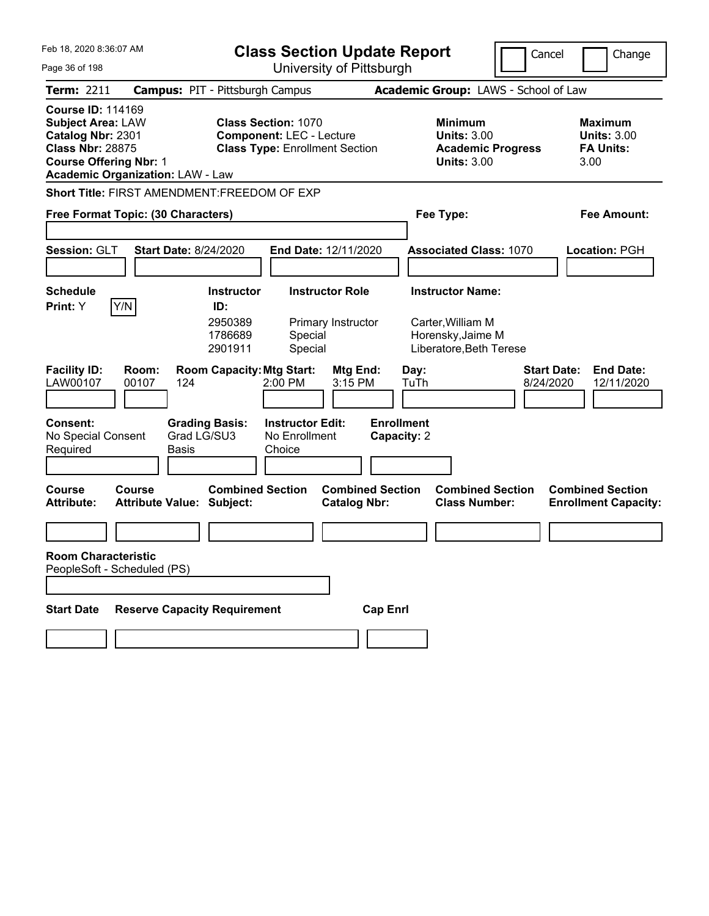| Feb 18, 2020 8:36:07 AM<br>Page 36 of 198                                                                                                                                        |                                                             | <b>Class Section Update Report</b><br>University of Pittsburgh           |                                                                                        | Cancel<br>Change                                                  |
|----------------------------------------------------------------------------------------------------------------------------------------------------------------------------------|-------------------------------------------------------------|--------------------------------------------------------------------------|----------------------------------------------------------------------------------------|-------------------------------------------------------------------|
| Term: 2211                                                                                                                                                                       | <b>Campus: PIT - Pittsburgh Campus</b>                      |                                                                          | Academic Group: LAWS - School of Law                                                   |                                                                   |
| <b>Course ID: 114169</b><br><b>Subject Area: LAW</b><br>Catalog Nbr: 2301<br><b>Class Nbr: 28875</b><br><b>Course Offering Nbr: 1</b><br><b>Academic Organization: LAW - Law</b> | <b>Class Section: 1070</b>                                  | <b>Component: LEC - Lecture</b><br><b>Class Type: Enrollment Section</b> | <b>Minimum</b><br><b>Units: 3.00</b><br><b>Academic Progress</b><br><b>Units: 3.00</b> | <b>Maximum</b><br><b>Units: 3.00</b><br><b>FA Units:</b><br>3.00  |
| <b>Short Title: FIRST AMENDMENT:FREEDOM OF EXP</b>                                                                                                                               |                                                             |                                                                          |                                                                                        |                                                                   |
| Free Format Topic: (30 Characters)                                                                                                                                               |                                                             | Fee Type:                                                                | Fee Amount:                                                                            |                                                                   |
| Session: GLT                                                                                                                                                                     | <b>Start Date: 8/24/2020</b>                                | End Date: 12/11/2020                                                     | <b>Associated Class: 1070</b>                                                          | Location: PGH                                                     |
| <b>Schedule</b>                                                                                                                                                                  | <b>Instructor</b>                                           | <b>Instructor Role</b>                                                   | <b>Instructor Name:</b>                                                                |                                                                   |
| Y/N<br>Print: Y                                                                                                                                                                  | ID:<br>2950389<br>1786689<br>2901911                        | Primary Instructor<br>Special<br>Special                                 | Carter, William M<br>Horensky, Jaime M<br>Liberatore, Beth Terese                      |                                                                   |
| <b>Facility ID:</b><br>Room:<br>LAW00107<br>00107                                                                                                                                | <b>Room Capacity: Mtg Start:</b><br>124                     | Mtg End:<br>2:00 PM<br>3:15 PM                                           | Day:<br>TuTh                                                                           | <b>Start Date:</b><br><b>End Date:</b><br>8/24/2020<br>12/11/2020 |
| <b>Consent:</b><br>No Special Consent<br>Required                                                                                                                                | <b>Grading Basis:</b><br>Grad LG/SU3<br><b>Basis</b>        | <b>Instructor Edit:</b><br>No Enrollment<br>Choice                       | <b>Enrollment</b><br>Capacity: 2                                                       |                                                                   |
| <b>Course</b><br>Course<br><b>Attribute:</b>                                                                                                                                     | <b>Combined Section</b><br><b>Attribute Value: Subject:</b> | <b>Combined Section</b><br><b>Catalog Nbr:</b>                           | <b>Combined Section</b><br><b>Class Number:</b>                                        | <b>Combined Section</b><br><b>Enrollment Capacity:</b>            |
|                                                                                                                                                                                  |                                                             |                                                                          |                                                                                        |                                                                   |
| <b>Room Characteristic</b><br>PeopleSoft - Scheduled (PS)                                                                                                                        |                                                             |                                                                          |                                                                                        |                                                                   |
| <b>Start Date</b>                                                                                                                                                                | <b>Reserve Capacity Requirement</b>                         | <b>Cap Enrl</b>                                                          |                                                                                        |                                                                   |
|                                                                                                                                                                                  |                                                             |                                                                          |                                                                                        |                                                                   |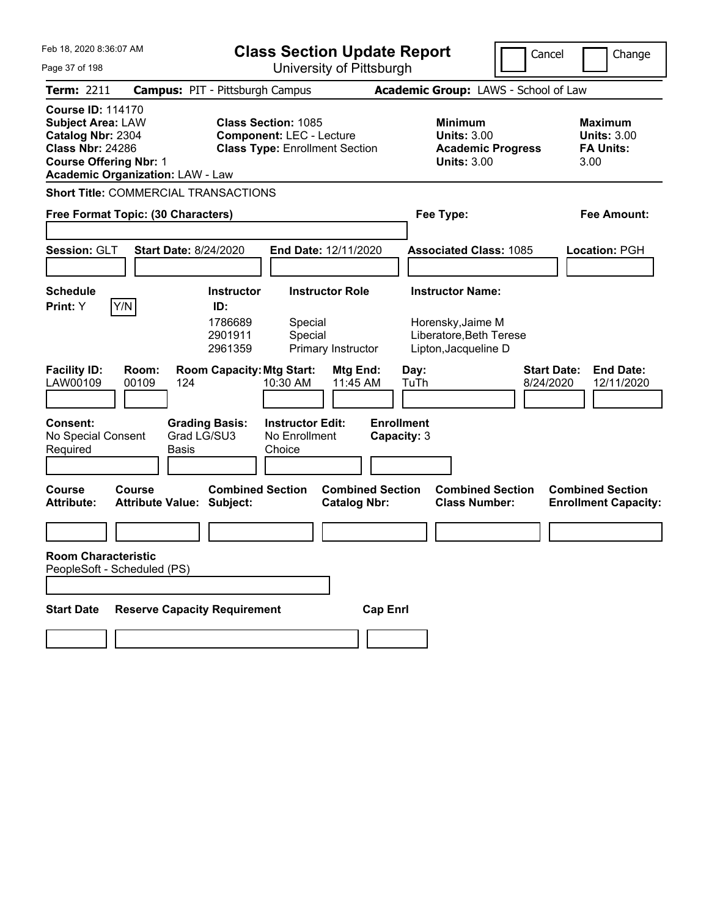| Feb 18, 2020 8:36:07 AM<br>Page 37 of 198                                                                                                                                        |                                                                                                                   | <b>Class Section Update Report</b><br>University of Pittsburgh                                          |                                                                                                           | Cancel<br>Change                                                  |
|----------------------------------------------------------------------------------------------------------------------------------------------------------------------------------|-------------------------------------------------------------------------------------------------------------------|---------------------------------------------------------------------------------------------------------|-----------------------------------------------------------------------------------------------------------|-------------------------------------------------------------------|
| <b>Term: 2211</b>                                                                                                                                                                | <b>Campus: PIT - Pittsburgh Campus</b>                                                                            |                                                                                                         | Academic Group: LAWS - School of Law                                                                      |                                                                   |
| <b>Course ID: 114170</b><br><b>Subject Area: LAW</b><br>Catalog Nbr: 2304<br><b>Class Nbr: 24286</b><br><b>Course Offering Nbr: 1</b><br><b>Academic Organization: LAW - Law</b> |                                                                                                                   | <b>Class Section: 1085</b><br><b>Component: LEC - Lecture</b><br><b>Class Type: Enrollment Section</b>  | <b>Minimum</b><br><b>Units: 3.00</b><br><b>Academic Progress</b><br><b>Units: 3.00</b>                    | <b>Maximum</b><br><b>Units: 3.00</b><br><b>FA Units:</b><br>3.00  |
|                                                                                                                                                                                  | <b>Short Title: COMMERCIAL TRANSACTIONS</b>                                                                       |                                                                                                         |                                                                                                           |                                                                   |
| Free Format Topic: (30 Characters)                                                                                                                                               |                                                                                                                   | Fee Type:                                                                                               | Fee Amount:                                                                                               |                                                                   |
| Session: GLT                                                                                                                                                                     | <b>Start Date: 8/24/2020</b>                                                                                      | End Date: 12/11/2020                                                                                    | <b>Associated Class: 1085</b>                                                                             | Location: PGH                                                     |
| <b>Schedule</b>                                                                                                                                                                  | <b>Instructor</b>                                                                                                 | <b>Instructor Role</b>                                                                                  | <b>Instructor Name:</b>                                                                                   |                                                                   |
| Y/N<br>Print: Y<br><b>Facility ID:</b><br>00109<br>LAW00109<br>Consent:                                                                                                          | ID:<br>1786689<br>2901911<br>2961359<br><b>Room Capacity: Mtg Start:</b><br>Room:<br>124<br><b>Grading Basis:</b> | Special<br>Special<br>Primary Instructor<br>Mtg End:<br>11:45 AM<br>10:30 AM<br><b>Instructor Edit:</b> | Horensky, Jaime M<br>Liberatore, Beth Terese<br>Lipton, Jacqueline D<br>Day:<br>TuTh<br><b>Enrollment</b> | <b>Start Date:</b><br><b>End Date:</b><br>8/24/2020<br>12/11/2020 |
| No Special Consent<br>Required                                                                                                                                                   | Grad LG/SU3<br>Basis                                                                                              | No Enrollment<br>Choice                                                                                 | Capacity: 3                                                                                               |                                                                   |
| <b>Course</b><br>Course<br><b>Attribute:</b>                                                                                                                                     | <b>Combined Section</b><br><b>Attribute Value: Subject:</b>                                                       | <b>Combined Section</b><br><b>Catalog Nbr:</b>                                                          | <b>Combined Section</b><br><b>Class Number:</b>                                                           | <b>Combined Section</b><br><b>Enrollment Capacity:</b>            |
| <b>Room Characteristic</b><br>PeopleSoft - Scheduled (PS)                                                                                                                        |                                                                                                                   |                                                                                                         |                                                                                                           |                                                                   |
| <b>Start Date</b>                                                                                                                                                                | <b>Reserve Capacity Requirement</b>                                                                               | <b>Cap Enrl</b>                                                                                         |                                                                                                           |                                                                   |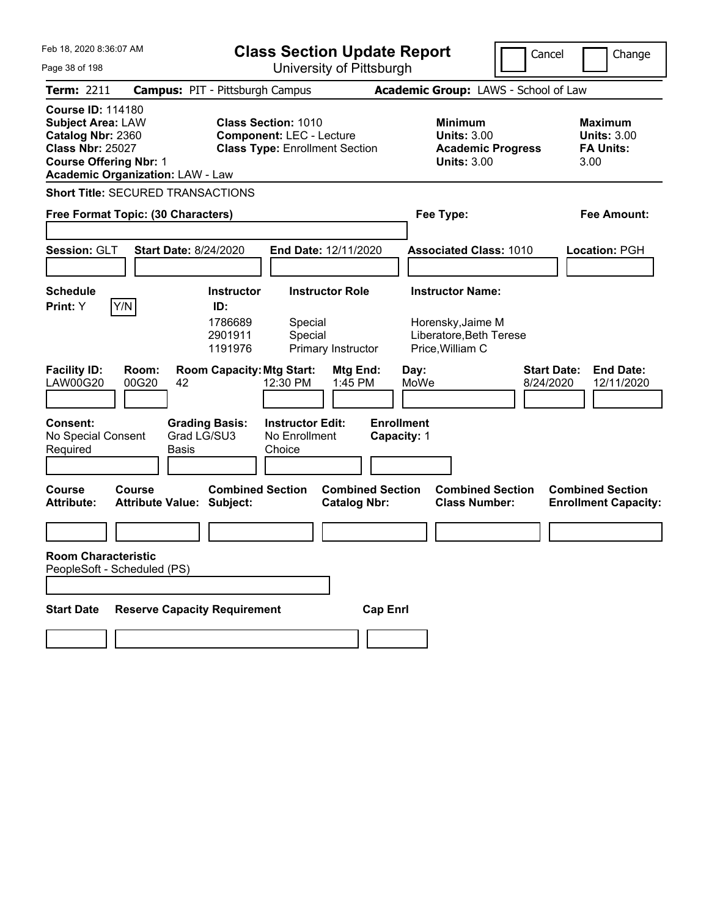| Feb 18, 2020 8:36:07 AM<br>Page 38 of 198                                                                                                                                        | <b>Class Section Update Report</b><br>University of Pittsburgh                                                                                                                                                                                        | Cancel                                                                                                                                                  | Change                                                           |
|----------------------------------------------------------------------------------------------------------------------------------------------------------------------------------|-------------------------------------------------------------------------------------------------------------------------------------------------------------------------------------------------------------------------------------------------------|---------------------------------------------------------------------------------------------------------------------------------------------------------|------------------------------------------------------------------|
| <b>Term: 2211</b>                                                                                                                                                                | <b>Campus: PIT - Pittsburgh Campus</b>                                                                                                                                                                                                                | Academic Group: LAWS - School of Law                                                                                                                    |                                                                  |
| <b>Course ID: 114180</b><br><b>Subject Area: LAW</b><br>Catalog Nbr: 2360<br><b>Class Nbr: 25027</b><br><b>Course Offering Nbr: 1</b><br><b>Academic Organization: LAW - Law</b> | <b>Class Section: 1010</b><br><b>Component: LEC - Lecture</b><br><b>Class Type: Enrollment Section</b>                                                                                                                                                | <b>Minimum</b><br><b>Units: 3.00</b><br><b>Academic Progress</b><br><b>Units: 3.00</b>                                                                  | <b>Maximum</b><br><b>Units: 3.00</b><br><b>FA Units:</b><br>3.00 |
| <b>Short Title: SECURED TRANSACTIONS</b>                                                                                                                                         |                                                                                                                                                                                                                                                       |                                                                                                                                                         |                                                                  |
| Free Format Topic: (30 Characters)                                                                                                                                               |                                                                                                                                                                                                                                                       | Fee Type:                                                                                                                                               | Fee Amount:                                                      |
| Session: GLT                                                                                                                                                                     | <b>Start Date: 8/24/2020</b><br>End Date: 12/11/2020                                                                                                                                                                                                  | <b>Associated Class: 1010</b>                                                                                                                           | Location: PGH                                                    |
| <b>Schedule</b>                                                                                                                                                                  | <b>Instructor Role</b><br><b>Instructor</b>                                                                                                                                                                                                           | <b>Instructor Name:</b>                                                                                                                                 |                                                                  |
| Y/N<br>Print: Y<br><b>Facility ID:</b><br>Room:<br>00G20<br><b>LAW00G20</b><br>42<br>Consent:<br>No Special Consent<br>Required<br>Basis                                         | ID:<br>1786689<br>Special<br>2901911<br>Special<br>1191976<br>Primary Instructor<br><b>Room Capacity: Mtg Start:</b><br>Mtg End:<br>12:30 PM<br>1:45 PM<br><b>Grading Basis:</b><br><b>Instructor Edit:</b><br>Grad LG/SU3<br>No Enrollment<br>Choice | Horensky, Jaime M<br>Liberatore, Beth Terese<br>Price, William C<br><b>Start Date:</b><br>Day:<br>MoWe<br>8/24/2020<br><b>Enrollment</b><br>Capacity: 1 | <b>End Date:</b><br>12/11/2020                                   |
| <b>Course</b><br>Course<br><b>Attribute:</b><br><b>Attribute Value: Subject:</b>                                                                                                 | <b>Combined Section</b><br><b>Combined Section</b><br><b>Catalog Nbr:</b>                                                                                                                                                                             | <b>Combined Section</b><br><b>Class Number:</b>                                                                                                         | <b>Combined Section</b><br><b>Enrollment Capacity:</b>           |
| <b>Room Characteristic</b><br>PeopleSoft - Scheduled (PS)                                                                                                                        |                                                                                                                                                                                                                                                       |                                                                                                                                                         |                                                                  |
| <b>Start Date</b>                                                                                                                                                                | <b>Reserve Capacity Requirement</b><br><b>Cap Enrl</b>                                                                                                                                                                                                |                                                                                                                                                         |                                                                  |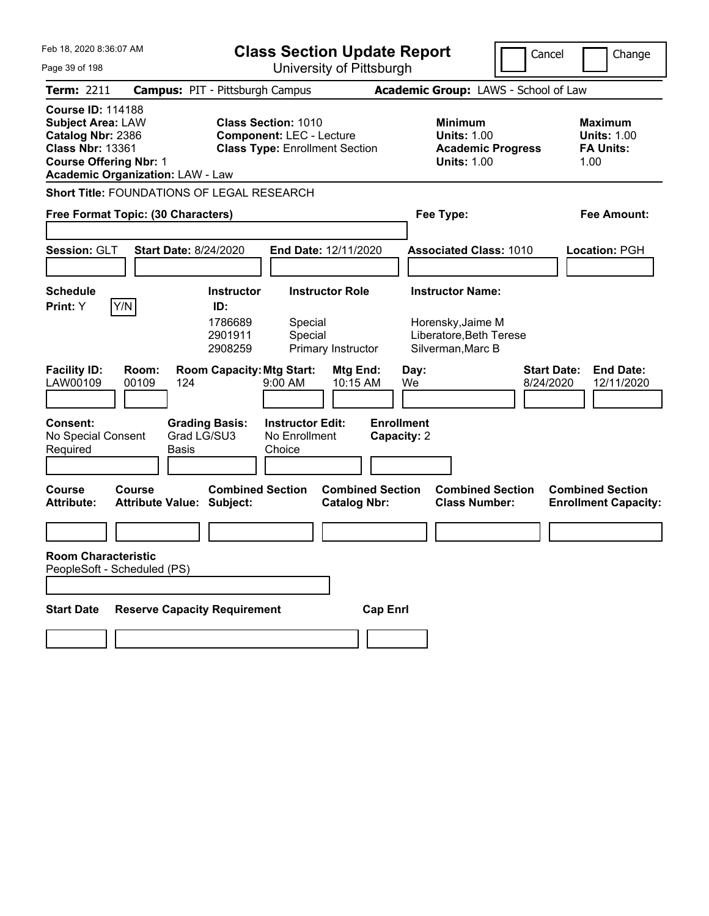| Feb 18, 2020 8:36:07 AM<br><b>Class Section Update Report</b>                                                                         |                                                   |                                                                          |                                                                                                        |                                                |                                  |                                                                                        | Cancel             | Change                                                           |  |
|---------------------------------------------------------------------------------------------------------------------------------------|---------------------------------------------------|--------------------------------------------------------------------------|--------------------------------------------------------------------------------------------------------|------------------------------------------------|----------------------------------|----------------------------------------------------------------------------------------|--------------------|------------------------------------------------------------------|--|
| Page 39 of 198                                                                                                                        |                                                   |                                                                          |                                                                                                        | University of Pittsburgh                       |                                  |                                                                                        |                    |                                                                  |  |
| Term: 2211                                                                                                                            |                                                   | <b>Campus: PIT - Pittsburgh Campus</b>                                   |                                                                                                        |                                                |                                  | Academic Group: LAWS - School of Law                                                   |                    |                                                                  |  |
| <b>Course ID: 114188</b><br><b>Subject Area: LAW</b><br>Catalog Nbr: 2386<br><b>Class Nbr: 13361</b><br><b>Course Offering Nbr: 1</b> | <b>Academic Organization: LAW - Law</b>           |                                                                          | <b>Class Section: 1010</b><br><b>Component: LEC - Lecture</b><br><b>Class Type: Enrollment Section</b> |                                                |                                  | <b>Minimum</b><br><b>Units: 1.00</b><br><b>Academic Progress</b><br><b>Units: 1.00</b> |                    | <b>Maximum</b><br><b>Units: 1.00</b><br><b>FA Units:</b><br>1.00 |  |
|                                                                                                                                       | Short Title: FOUNDATIONS OF LEGAL RESEARCH        |                                                                          |                                                                                                        |                                                |                                  |                                                                                        |                    |                                                                  |  |
|                                                                                                                                       | Free Format Topic: (30 Characters)                |                                                                          |                                                                                                        |                                                |                                  | Fee Type:                                                                              |                    | <b>Fee Amount:</b>                                               |  |
| Session: GLT                                                                                                                          | <b>Start Date: 8/24/2020</b>                      |                                                                          | End Date: 12/11/2020                                                                                   |                                                |                                  | <b>Associated Class: 1010</b>                                                          |                    | Location: PGH                                                    |  |
| <b>Schedule</b>                                                                                                                       |                                                   | <b>Instructor</b>                                                        | <b>Instructor Role</b>                                                                                 |                                                |                                  | <b>Instructor Name:</b>                                                                |                    |                                                                  |  |
| Print: Y<br><b>Facility ID:</b>                                                                                                       | Y/N<br>Room:                                      | ID:<br>1786689<br>2901911<br>2908259<br><b>Room Capacity: Mtg Start:</b> | Special<br>Special                                                                                     | Primary Instructor<br>Mtg End:                 | Day:                             | Horensky, Jaime M<br>Liberatore, Beth Terese<br>Silverman, Marc B                      | <b>Start Date:</b> | <b>End Date:</b>                                                 |  |
| LAW00109                                                                                                                              | 00109<br>124                                      |                                                                          | 9:00 AM                                                                                                | 10:15 AM                                       | We                               |                                                                                        | 8/24/2020          | 12/11/2020                                                       |  |
| <b>Consent:</b><br>No Special Consent<br>Required                                                                                     | Basis                                             | <b>Grading Basis:</b><br>Grad LG/SU3                                     | <b>Instructor Edit:</b><br>No Enrollment<br>Choice                                                     |                                                | <b>Enrollment</b><br>Capacity: 2 |                                                                                        |                    |                                                                  |  |
| <b>Course</b><br><b>Attribute:</b>                                                                                                    | <b>Course</b><br><b>Attribute Value: Subject:</b> | <b>Combined Section</b>                                                  |                                                                                                        | <b>Combined Section</b><br><b>Catalog Nbr:</b> |                                  | <b>Combined Section</b><br><b>Class Number:</b>                                        |                    | <b>Combined Section</b><br><b>Enrollment Capacity:</b>           |  |
|                                                                                                                                       |                                                   |                                                                          |                                                                                                        |                                                |                                  |                                                                                        |                    |                                                                  |  |
| <b>Room Characteristic</b>                                                                                                            | PeopleSoft - Scheduled (PS)                       |                                                                          |                                                                                                        |                                                |                                  |                                                                                        |                    |                                                                  |  |
| <b>Start Date</b>                                                                                                                     | <b>Reserve Capacity Requirement</b>               |                                                                          |                                                                                                        | <b>Cap Enrl</b>                                |                                  |                                                                                        |                    |                                                                  |  |
|                                                                                                                                       |                                                   |                                                                          |                                                                                                        |                                                |                                  |                                                                                        |                    |                                                                  |  |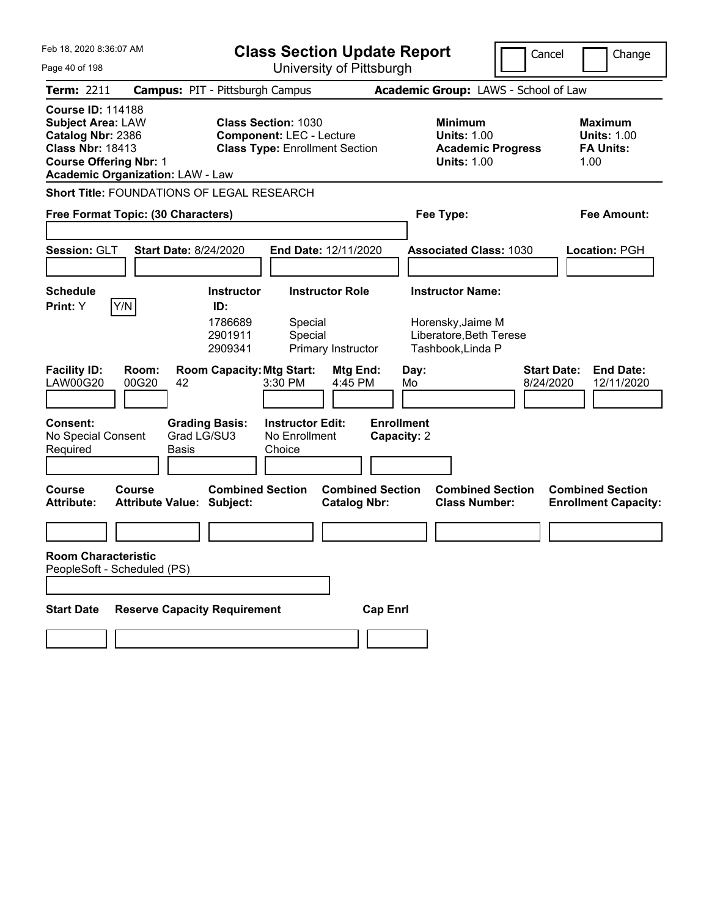| Feb 18, 2020 8:36:07 AM<br><b>Class Section Update Report</b>                                                                                                                    |                                                   |                                                                                                   |                                                                                                        |                                                |                                                      | Cancel                                                                                 | Change                          |                                                                  |
|----------------------------------------------------------------------------------------------------------------------------------------------------------------------------------|---------------------------------------------------|---------------------------------------------------------------------------------------------------|--------------------------------------------------------------------------------------------------------|------------------------------------------------|------------------------------------------------------|----------------------------------------------------------------------------------------|---------------------------------|------------------------------------------------------------------|
| Page 40 of 198                                                                                                                                                                   |                                                   | University of Pittsburgh                                                                          |                                                                                                        |                                                |                                                      |                                                                                        |                                 |                                                                  |
| Term: 2211                                                                                                                                                                       |                                                   | <b>Campus: PIT - Pittsburgh Campus</b>                                                            |                                                                                                        |                                                |                                                      | Academic Group: LAWS - School of Law                                                   |                                 |                                                                  |
| <b>Course ID: 114188</b><br><b>Subject Area: LAW</b><br>Catalog Nbr: 2386<br><b>Class Nbr: 18413</b><br><b>Course Offering Nbr: 1</b><br><b>Academic Organization: LAW - Law</b> |                                                   |                                                                                                   | <b>Class Section: 1030</b><br><b>Component: LEC - Lecture</b><br><b>Class Type: Enrollment Section</b> |                                                |                                                      | <b>Minimum</b><br><b>Units: 1.00</b><br><b>Academic Progress</b><br><b>Units: 1.00</b> |                                 | <b>Maximum</b><br><b>Units: 1.00</b><br><b>FA Units:</b><br>1.00 |
| Short Title: FOUNDATIONS OF LEGAL RESEARCH                                                                                                                                       |                                                   |                                                                                                   |                                                                                                        |                                                |                                                      |                                                                                        |                                 |                                                                  |
| Free Format Topic: (30 Characters)                                                                                                                                               |                                                   |                                                                                                   |                                                                                                        |                                                | Fee Type:                                            |                                                                                        |                                 | <b>Fee Amount:</b>                                               |
| Session: GLT                                                                                                                                                                     | <b>Start Date: 8/24/2020</b>                      |                                                                                                   | End Date: 12/11/2020                                                                                   |                                                |                                                      | <b>Associated Class: 1030</b>                                                          |                                 | <b>Location: PGH</b>                                             |
| <b>Schedule</b>                                                                                                                                                                  |                                                   | <b>Instructor</b>                                                                                 | <b>Instructor Role</b>                                                                                 |                                                | <b>Instructor Name:</b>                              |                                                                                        |                                 |                                                                  |
| Print: Y<br><b>Facility ID:</b><br><b>LAW00G20</b><br><b>Consent:</b>                                                                                                            | Y/N<br>Room:<br>00G20<br>42                       | ID:<br>1786689<br>2901911<br>2909341<br><b>Room Capacity: Mtg Start:</b><br><b>Grading Basis:</b> | Special<br>Special<br>3:30 PM<br><b>Instructor Edit:</b>                                               | Primary Instructor<br>Mtg End:<br>4:45 PM      | Tashbook, Linda P<br>Day:<br>Mo<br><b>Enrollment</b> | Horensky, Jaime M<br>Liberatore, Beth Terese                                           | <b>Start Date:</b><br>8/24/2020 | <b>End Date:</b><br>12/11/2020                                   |
| No Special Consent<br>Required                                                                                                                                                   | Basis                                             | Grad LG/SU3                                                                                       | No Enrollment<br>Choice                                                                                |                                                | Capacity: 2                                          |                                                                                        |                                 |                                                                  |
| <b>Course</b><br><b>Attribute:</b>                                                                                                                                               | <b>Course</b><br><b>Attribute Value: Subject:</b> | <b>Combined Section</b>                                                                           |                                                                                                        | <b>Combined Section</b><br><b>Catalog Nbr:</b> |                                                      | <b>Combined Section</b><br><b>Class Number:</b>                                        |                                 | <b>Combined Section</b><br><b>Enrollment Capacity:</b>           |
|                                                                                                                                                                                  |                                                   |                                                                                                   |                                                                                                        |                                                |                                                      |                                                                                        |                                 |                                                                  |
| <b>Room Characteristic</b><br>PeopleSoft - Scheduled (PS)                                                                                                                        |                                                   |                                                                                                   |                                                                                                        |                                                |                                                      |                                                                                        |                                 |                                                                  |
| <b>Start Date</b>                                                                                                                                                                | <b>Reserve Capacity Requirement</b>               |                                                                                                   |                                                                                                        | <b>Cap Enrl</b>                                |                                                      |                                                                                        |                                 |                                                                  |
|                                                                                                                                                                                  |                                                   |                                                                                                   |                                                                                                        |                                                |                                                      |                                                                                        |                                 |                                                                  |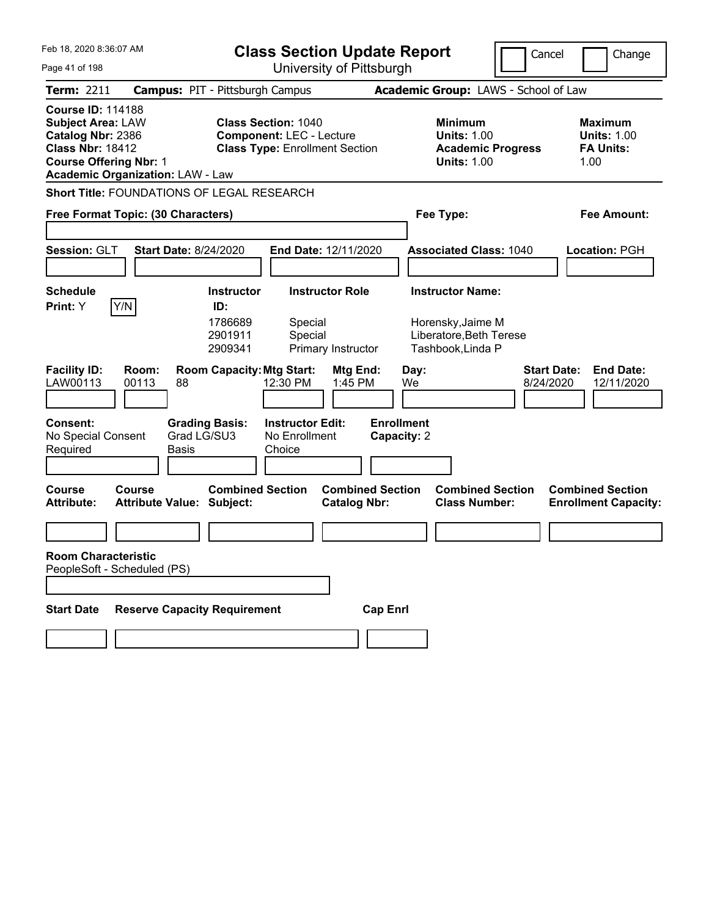| Feb 18, 2020 8:36:07 AM<br><b>Class Section Update Report</b><br>University of Pittsburgh<br>Page 41 of 198                           |                                                   |                                      |                                                                                                        |                                                |                                  |            | Cancel                                                                                 | Change                          |                                                                  |
|---------------------------------------------------------------------------------------------------------------------------------------|---------------------------------------------------|--------------------------------------|--------------------------------------------------------------------------------------------------------|------------------------------------------------|----------------------------------|------------|----------------------------------------------------------------------------------------|---------------------------------|------------------------------------------------------------------|
| <b>Term: 2211</b>                                                                                                                     | <b>Campus: PIT - Pittsburgh Campus</b>            |                                      |                                                                                                        |                                                |                                  |            | Academic Group: LAWS - School of Law                                                   |                                 |                                                                  |
| <b>Course ID: 114188</b><br><b>Subject Area: LAW</b><br>Catalog Nbr: 2386<br><b>Class Nbr: 18412</b><br><b>Course Offering Nbr: 1</b> | <b>Academic Organization: LAW - Law</b>           |                                      | <b>Class Section: 1040</b><br><b>Component: LEC - Lecture</b><br><b>Class Type: Enrollment Section</b> |                                                |                                  |            | <b>Minimum</b><br><b>Units: 1.00</b><br><b>Academic Progress</b><br><b>Units: 1.00</b> |                                 | <b>Maximum</b><br><b>Units: 1.00</b><br><b>FA Units:</b><br>1.00 |
|                                                                                                                                       | <b>Short Title: FOUNDATIONS OF LEGAL RESEARCH</b> |                                      |                                                                                                        |                                                |                                  |            |                                                                                        |                                 |                                                                  |
| Free Format Topic: (30 Characters)                                                                                                    |                                                   |                                      |                                                                                                        |                                                |                                  |            | Fee Type:                                                                              |                                 | <b>Fee Amount:</b>                                               |
| <b>Session: GLT</b>                                                                                                                   | <b>Start Date: 8/24/2020</b>                      |                                      | End Date: 12/11/2020                                                                                   |                                                |                                  |            | <b>Associated Class: 1040</b>                                                          |                                 | Location: PGH                                                    |
| <b>Schedule</b>                                                                                                                       |                                                   | <b>Instructor</b>                    |                                                                                                        | <b>Instructor Role</b>                         |                                  |            | <b>Instructor Name:</b>                                                                |                                 |                                                                  |
| Print: Y                                                                                                                              | Y/N                                               | ID:<br>1786689<br>2901911<br>2909341 | Special<br>Special                                                                                     | Primary Instructor                             |                                  |            | Horensky, Jaime M<br>Liberatore, Beth Terese<br>Tashbook, Linda P                      |                                 |                                                                  |
| <b>Facility ID:</b><br>LAW00113                                                                                                       | Room:<br>00113<br>88                              | <b>Room Capacity: Mtg Start:</b>     | 12:30 PM                                                                                               | Mtg End:<br>1:45 PM                            |                                  | Day:<br>We |                                                                                        | <b>Start Date:</b><br>8/24/2020 | <b>End Date:</b><br>12/11/2020                                   |
| Consent:<br>No Special Consent<br>Required                                                                                            | <b>Basis</b>                                      | <b>Grading Basis:</b><br>Grad LG/SU3 | <b>Instructor Edit:</b><br>No Enrollment<br>Choice                                                     |                                                | <b>Enrollment</b><br>Capacity: 2 |            |                                                                                        |                                 |                                                                  |
| <b>Course</b><br><b>Attribute:</b>                                                                                                    | <b>Course</b><br><b>Attribute Value: Subject:</b> | <b>Combined Section</b>              |                                                                                                        | <b>Combined Section</b><br><b>Catalog Nbr:</b> |                                  |            | <b>Combined Section</b><br><b>Class Number:</b>                                        |                                 | <b>Combined Section</b><br><b>Enrollment Capacity:</b>           |
|                                                                                                                                       |                                                   |                                      |                                                                                                        |                                                |                                  |            |                                                                                        |                                 |                                                                  |
| <b>Room Characteristic</b><br>PeopleSoft - Scheduled (PS)                                                                             |                                                   |                                      |                                                                                                        |                                                |                                  |            |                                                                                        |                                 |                                                                  |
| <b>Start Date</b>                                                                                                                     | <b>Reserve Capacity Requirement</b>               |                                      |                                                                                                        |                                                | <b>Cap Enrl</b>                  |            |                                                                                        |                                 |                                                                  |
|                                                                                                                                       |                                                   |                                      |                                                                                                        |                                                |                                  |            |                                                                                        |                                 |                                                                  |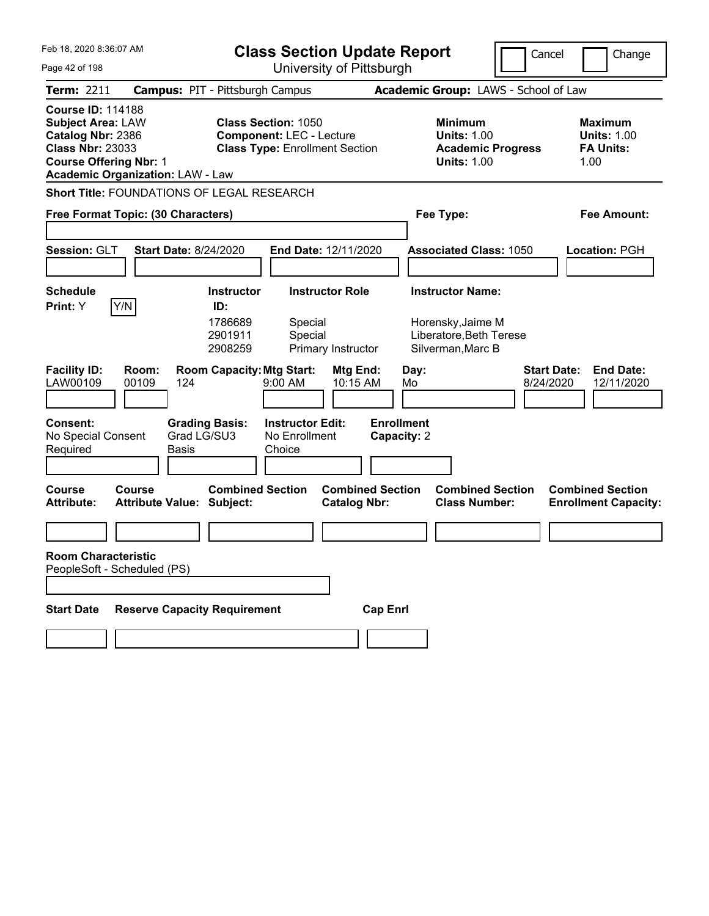| Feb 18, 2020 8:36:07 AM<br><b>Class Section Update Report</b><br>University of Pittsburgh<br>Page 42 of 198                                                                      |                                                   |                                      |                                                                                                        |                                                | Cancel                           | Change                                                                                 |                                      |                                                                  |
|----------------------------------------------------------------------------------------------------------------------------------------------------------------------------------|---------------------------------------------------|--------------------------------------|--------------------------------------------------------------------------------------------------------|------------------------------------------------|----------------------------------|----------------------------------------------------------------------------------------|--------------------------------------|------------------------------------------------------------------|
| <b>Term: 2211</b>                                                                                                                                                                | <b>Campus: PIT - Pittsburgh Campus</b>            |                                      |                                                                                                        |                                                |                                  |                                                                                        | Academic Group: LAWS - School of Law |                                                                  |
| <b>Course ID: 114188</b><br><b>Subject Area: LAW</b><br>Catalog Nbr: 2386<br><b>Class Nbr: 23033</b><br><b>Course Offering Nbr: 1</b><br><b>Academic Organization: LAW - Law</b> |                                                   |                                      | <b>Class Section: 1050</b><br><b>Component: LEC - Lecture</b><br><b>Class Type: Enrollment Section</b> |                                                |                                  | <b>Minimum</b><br><b>Units: 1.00</b><br><b>Academic Progress</b><br><b>Units: 1.00</b> |                                      | <b>Maximum</b><br><b>Units: 1.00</b><br><b>FA Units:</b><br>1.00 |
| <b>Short Title: FOUNDATIONS OF LEGAL RESEARCH</b>                                                                                                                                |                                                   |                                      |                                                                                                        |                                                |                                  |                                                                                        |                                      |                                                                  |
| Free Format Topic: (30 Characters)                                                                                                                                               |                                                   |                                      |                                                                                                        |                                                |                                  | Fee Type:                                                                              |                                      | <b>Fee Amount:</b>                                               |
| <b>Session: GLT</b>                                                                                                                                                              | <b>Start Date: 8/24/2020</b>                      |                                      | End Date: 12/11/2020                                                                                   |                                                |                                  | <b>Associated Class: 1050</b>                                                          |                                      | Location: PGH                                                    |
| <b>Schedule</b>                                                                                                                                                                  |                                                   | <b>Instructor</b>                    |                                                                                                        | <b>Instructor Role</b>                         |                                  | <b>Instructor Name:</b>                                                                |                                      |                                                                  |
| Y/N<br>Print: Y                                                                                                                                                                  |                                                   | ID:<br>1786689<br>2901911<br>2908259 | Special<br>Special                                                                                     | Primary Instructor                             |                                  | Horensky, Jaime M<br>Liberatore, Beth Terese<br>Silverman, Marc B                      |                                      |                                                                  |
| <b>Facility ID:</b><br>LAW00109                                                                                                                                                  | Room:<br>00109<br>124                             | <b>Room Capacity: Mtg Start:</b>     | 9:00 AM                                                                                                | Mtg End:<br>10:15 AM                           | Day:<br>Mo                       |                                                                                        | 8/24/2020                            | <b>Start Date:</b><br><b>End Date:</b><br>12/11/2020             |
| Consent:<br>No Special Consent<br>Required                                                                                                                                       | Grad LG/SU3<br><b>Basis</b>                       | <b>Grading Basis:</b>                | <b>Instructor Edit:</b><br>No Enrollment<br>Choice                                                     |                                                | <b>Enrollment</b><br>Capacity: 2 |                                                                                        |                                      |                                                                  |
| <b>Course</b><br><b>Attribute:</b>                                                                                                                                               | <b>Course</b><br><b>Attribute Value: Subject:</b> | <b>Combined Section</b>              |                                                                                                        | <b>Combined Section</b><br><b>Catalog Nbr:</b> |                                  | <b>Combined Section</b><br><b>Class Number:</b>                                        |                                      | <b>Combined Section</b><br><b>Enrollment Capacity:</b>           |
|                                                                                                                                                                                  |                                                   |                                      |                                                                                                        |                                                |                                  |                                                                                        |                                      |                                                                  |
| <b>Room Characteristic</b><br>PeopleSoft - Scheduled (PS)                                                                                                                        |                                                   |                                      |                                                                                                        |                                                |                                  |                                                                                        |                                      |                                                                  |
| <b>Start Date</b>                                                                                                                                                                | <b>Reserve Capacity Requirement</b>               |                                      |                                                                                                        | <b>Cap Enrl</b>                                |                                  |                                                                                        |                                      |                                                                  |
|                                                                                                                                                                                  |                                                   |                                      |                                                                                                        |                                                |                                  |                                                                                        |                                      |                                                                  |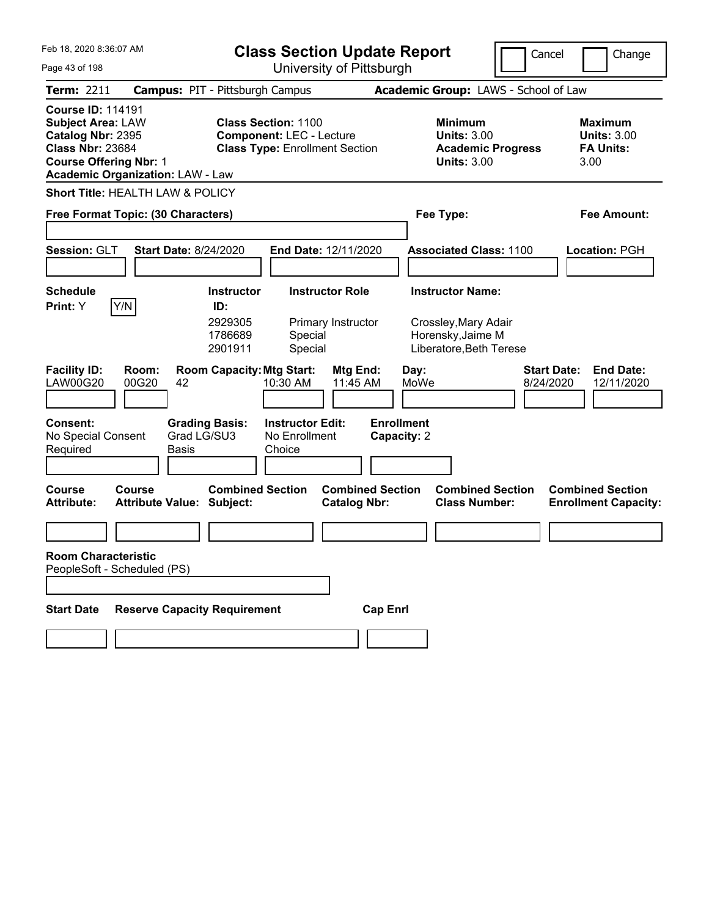| Feb 18, 2020 8:36:07 AM                                                                                                                                                          | <b>Class Section Update Report</b>                                                                     | Cancel                                                                                 | Change                                                            |
|----------------------------------------------------------------------------------------------------------------------------------------------------------------------------------|--------------------------------------------------------------------------------------------------------|----------------------------------------------------------------------------------------|-------------------------------------------------------------------|
| Page 43 of 198                                                                                                                                                                   | University of Pittsburgh                                                                               |                                                                                        |                                                                   |
| <b>Term: 2211</b>                                                                                                                                                                | <b>Campus: PIT - Pittsburgh Campus</b>                                                                 | Academic Group: LAWS - School of Law                                                   |                                                                   |
| <b>Course ID: 114191</b><br><b>Subject Area: LAW</b><br>Catalog Nbr: 2395<br><b>Class Nbr: 23684</b><br><b>Course Offering Nbr: 1</b><br><b>Academic Organization: LAW - Law</b> | <b>Class Section: 1100</b><br><b>Component: LEC - Lecture</b><br><b>Class Type: Enrollment Section</b> | <b>Minimum</b><br><b>Units: 3.00</b><br><b>Academic Progress</b><br><b>Units: 3.00</b> | <b>Maximum</b><br><b>Units: 3.00</b><br><b>FA Units:</b><br>3.00  |
| <b>Short Title: HEALTH LAW &amp; POLICY</b>                                                                                                                                      |                                                                                                        |                                                                                        |                                                                   |
| Free Format Topic: (30 Characters)                                                                                                                                               |                                                                                                        | Fee Type:                                                                              | <b>Fee Amount:</b>                                                |
|                                                                                                                                                                                  |                                                                                                        |                                                                                        |                                                                   |
| Session: GLT<br><b>Start Date: 8/24/2020</b>                                                                                                                                     | End Date: 12/11/2020                                                                                   | <b>Associated Class: 1100</b>                                                          | Location: PGH                                                     |
|                                                                                                                                                                                  |                                                                                                        |                                                                                        |                                                                   |
| <b>Schedule</b>                                                                                                                                                                  | <b>Instructor Role</b><br><b>Instructor</b>                                                            | <b>Instructor Name:</b>                                                                |                                                                   |
| Y/N<br>Print: Y                                                                                                                                                                  | ID:<br>2929305<br>Primary Instructor<br>1786689<br>Special<br>2901911<br>Special                       | Crossley, Mary Adair<br>Horensky, Jaime M<br>Liberatore, Beth Terese                   |                                                                   |
| <b>Facility ID:</b><br>Room:<br><b>LAW00G20</b><br>00G20<br>42                                                                                                                   | <b>Room Capacity: Mtg Start:</b><br><b>Mtg End:</b><br>11:45 AM<br>10:30 AM                            | Day:<br>MoWe                                                                           | <b>Start Date:</b><br><b>End Date:</b><br>8/24/2020<br>12/11/2020 |
| <b>Consent:</b><br>Grad LG/SU3<br>No Special Consent<br>Required<br>Basis                                                                                                        | <b>Instructor Edit:</b><br><b>Grading Basis:</b><br>No Enrollment<br>Choice                            | <b>Enrollment</b><br>Capacity: 2                                                       |                                                                   |
| <b>Course</b><br>Course<br><b>Attribute Value: Subject:</b><br><b>Attribute:</b>                                                                                                 | <b>Combined Section</b><br><b>Combined Section</b><br><b>Catalog Nbr:</b>                              | <b>Combined Section</b><br><b>Class Number:</b>                                        | <b>Combined Section</b><br><b>Enrollment Capacity:</b>            |
|                                                                                                                                                                                  |                                                                                                        |                                                                                        |                                                                   |
| <b>Room Characteristic</b><br>PeopleSoft - Scheduled (PS)                                                                                                                        |                                                                                                        |                                                                                        |                                                                   |
| <b>Reserve Capacity Requirement</b><br><b>Start Date</b>                                                                                                                         | <b>Cap Enrl</b>                                                                                        |                                                                                        |                                                                   |
|                                                                                                                                                                                  |                                                                                                        |                                                                                        |                                                                   |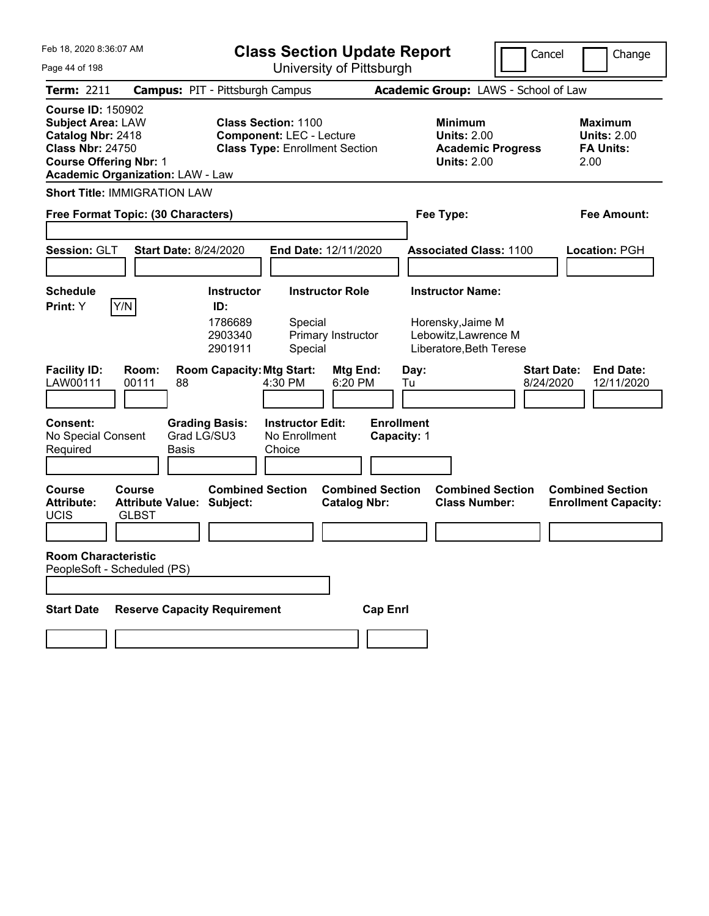| Feb 18, 2020 8:36:07 AM                                                                                                                                                          | <b>Class Section Update Report</b>                                                                     | Cancel                                                                                 | Change                                                           |
|----------------------------------------------------------------------------------------------------------------------------------------------------------------------------------|--------------------------------------------------------------------------------------------------------|----------------------------------------------------------------------------------------|------------------------------------------------------------------|
| Page 44 of 198                                                                                                                                                                   | University of Pittsburgh                                                                               |                                                                                        |                                                                  |
| <b>Term: 2211</b>                                                                                                                                                                | <b>Campus: PIT - Pittsburgh Campus</b>                                                                 | Academic Group: LAWS - School of Law                                                   |                                                                  |
| <b>Course ID: 150902</b><br><b>Subject Area: LAW</b><br>Catalog Nbr: 2418<br><b>Class Nbr: 24750</b><br><b>Course Offering Nbr: 1</b><br><b>Academic Organization: LAW - Law</b> | <b>Class Section: 1100</b><br><b>Component: LEC - Lecture</b><br><b>Class Type: Enrollment Section</b> | <b>Minimum</b><br><b>Units: 2.00</b><br><b>Academic Progress</b><br><b>Units: 2.00</b> | <b>Maximum</b><br><b>Units: 2.00</b><br><b>FA Units:</b><br>2.00 |
| <b>Short Title: IMMIGRATION LAW</b>                                                                                                                                              |                                                                                                        |                                                                                        |                                                                  |
| Free Format Topic: (30 Characters)                                                                                                                                               |                                                                                                        | Fee Type:                                                                              | <b>Fee Amount:</b>                                               |
|                                                                                                                                                                                  |                                                                                                        |                                                                                        |                                                                  |
| Session: GLT<br><b>Start Date: 8/24/2020</b>                                                                                                                                     | End Date: 12/11/2020                                                                                   | <b>Associated Class: 1100</b>                                                          | Location: PGH                                                    |
|                                                                                                                                                                                  |                                                                                                        |                                                                                        |                                                                  |
| <b>Schedule</b>                                                                                                                                                                  | <b>Instructor Role</b><br><b>Instructor</b>                                                            | <b>Instructor Name:</b>                                                                |                                                                  |
| Y/N<br>Print: Y                                                                                                                                                                  | ID:<br>1786689<br>Special<br>2903340<br>Primary Instructor<br>2901911<br>Special                       | Horensky, Jaime M<br>Lebowitz, Lawrence M<br>Liberatore, Beth Terese                   |                                                                  |
| <b>Facility ID:</b><br>Room:<br>LAW00111<br>00111<br>88                                                                                                                          | <b>Room Capacity: Mtg Start:</b><br>Mtg End:<br>4:30 PM<br>6:20 PM                                     | Day:<br>8/24/2020<br>Tu                                                                | <b>Start Date:</b><br><b>End Date:</b><br>12/11/2020             |
| <b>Consent:</b><br>Grad LG/SU3<br>No Special Consent<br>Required<br>Basis                                                                                                        | <b>Instructor Edit:</b><br><b>Grading Basis:</b><br>No Enrollment<br>Choice                            | <b>Enrollment</b><br>Capacity: 1                                                       |                                                                  |
| <b>Course</b><br>Course<br><b>Attribute:</b><br><b>Attribute Value: Subject:</b><br><b>UCIS</b><br><b>GLBST</b>                                                                  | <b>Combined Section</b><br><b>Combined Section</b><br><b>Catalog Nbr:</b>                              | <b>Combined Section</b><br><b>Class Number:</b>                                        | <b>Combined Section</b><br><b>Enrollment Capacity:</b>           |
|                                                                                                                                                                                  |                                                                                                        |                                                                                        |                                                                  |
| <b>Room Characteristic</b><br>PeopleSoft - Scheduled (PS)                                                                                                                        |                                                                                                        |                                                                                        |                                                                  |
|                                                                                                                                                                                  |                                                                                                        |                                                                                        |                                                                  |
| <b>Reserve Capacity Requirement</b><br><b>Start Date</b>                                                                                                                         | <b>Cap Enrl</b>                                                                                        |                                                                                        |                                                                  |
|                                                                                                                                                                                  |                                                                                                        |                                                                                        |                                                                  |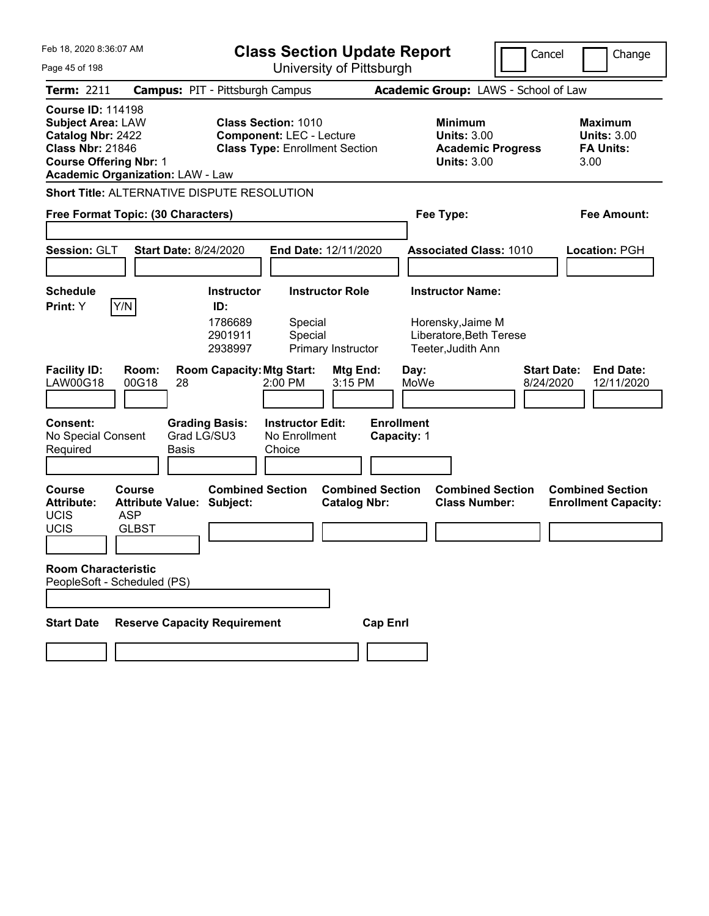| Feb 18, 2020 8:36:07 AM<br>Page 45 of 198                                                                                             |                                                                                 | <b>Class Section Update Report</b>                                                                                  | University of Pittsburgh                                 | Cancel<br>Change                                                                                      |                                                 |                                                                  |
|---------------------------------------------------------------------------------------------------------------------------------------|---------------------------------------------------------------------------------|---------------------------------------------------------------------------------------------------------------------|----------------------------------------------------------|-------------------------------------------------------------------------------------------------------|-------------------------------------------------|------------------------------------------------------------------|
| Term: 2211                                                                                                                            |                                                                                 | <b>Campus: PIT - Pittsburgh Campus</b>                                                                              |                                                          | Academic Group: LAWS - School of Law                                                                  |                                                 |                                                                  |
| <b>Course ID: 114198</b><br><b>Subject Area: LAW</b><br>Catalog Nbr: 2422<br><b>Class Nbr: 21846</b><br><b>Course Offering Nbr: 1</b> | <b>Academic Organization: LAW - Law</b>                                         | <b>Class Section: 1010</b><br><b>Component: LEC - Lecture</b><br><b>Class Type: Enrollment Section</b>              |                                                          | <b>Minimum</b><br><b>Units: 3.00</b><br><b>Units: 3.00</b>                                            | <b>Academic Progress</b>                        | <b>Maximum</b><br><b>Units: 3.00</b><br><b>FA Units:</b><br>3.00 |
|                                                                                                                                       |                                                                                 | <b>Short Title: ALTERNATIVE DISPUTE RESOLUTION</b>                                                                  |                                                          |                                                                                                       |                                                 |                                                                  |
|                                                                                                                                       | Free Format Topic: (30 Characters)                                              |                                                                                                                     |                                                          | Fee Type:                                                                                             |                                                 | <b>Fee Amount:</b>                                               |
| Session: GLT                                                                                                                          | <b>Start Date: 8/24/2020</b>                                                    |                                                                                                                     | End Date: 12/11/2020                                     |                                                                                                       | <b>Associated Class: 1010</b>                   | Location: PGH                                                    |
| <b>Schedule</b><br>Print: Y<br><b>Facility ID:</b>                                                                                    | Y/N<br>Room:                                                                    | <b>Instructor</b><br>ID:<br>1786689<br>Special<br>2901911<br>Special<br>2938997<br><b>Room Capacity: Mtg Start:</b> | <b>Instructor Role</b><br>Primary Instructor<br>Mtg End: | <b>Instructor Name:</b><br>Horensky, Jaime M<br>Liberatore, Beth Terese<br>Teeter, Judith Ann<br>Day: |                                                 | <b>Start Date:</b><br><b>End Date:</b>                           |
| <b>LAW00G18</b>                                                                                                                       | 00G18<br>28                                                                     | 2:00 PM                                                                                                             | 3:15 PM                                                  | MoWe                                                                                                  |                                                 | 8/24/2020<br>12/11/2020                                          |
| <b>Consent:</b><br>No Special Consent<br>Required                                                                                     | Grad LG/SU3<br>Basis                                                            | <b>Grading Basis:</b><br><b>Instructor Edit:</b><br>No Enrollment<br>Choice                                         |                                                          | <b>Enrollment</b><br>Capacity: 1                                                                      |                                                 |                                                                  |
| <b>Course</b><br><b>Attribute:</b><br><b>UCIS</b><br>UCIS                                                                             | <b>Course</b><br><b>Attribute Value: Subject:</b><br><b>ASP</b><br><b>GLBST</b> | <b>Combined Section</b>                                                                                             | <b>Combined Section</b><br><b>Catalog Nbr:</b>           |                                                                                                       | <b>Combined Section</b><br><b>Class Number:</b> | <b>Combined Section</b><br><b>Enrollment Capacity:</b>           |
| <b>Room Characteristic</b>                                                                                                            | PeopleSoft - Scheduled (PS)                                                     |                                                                                                                     |                                                          |                                                                                                       |                                                 |                                                                  |
| <b>Start Date</b>                                                                                                                     | <b>Reserve Capacity Requirement</b>                                             |                                                                                                                     | <b>Cap Enrl</b>                                          |                                                                                                       |                                                 |                                                                  |
|                                                                                                                                       |                                                                                 |                                                                                                                     |                                                          |                                                                                                       |                                                 |                                                                  |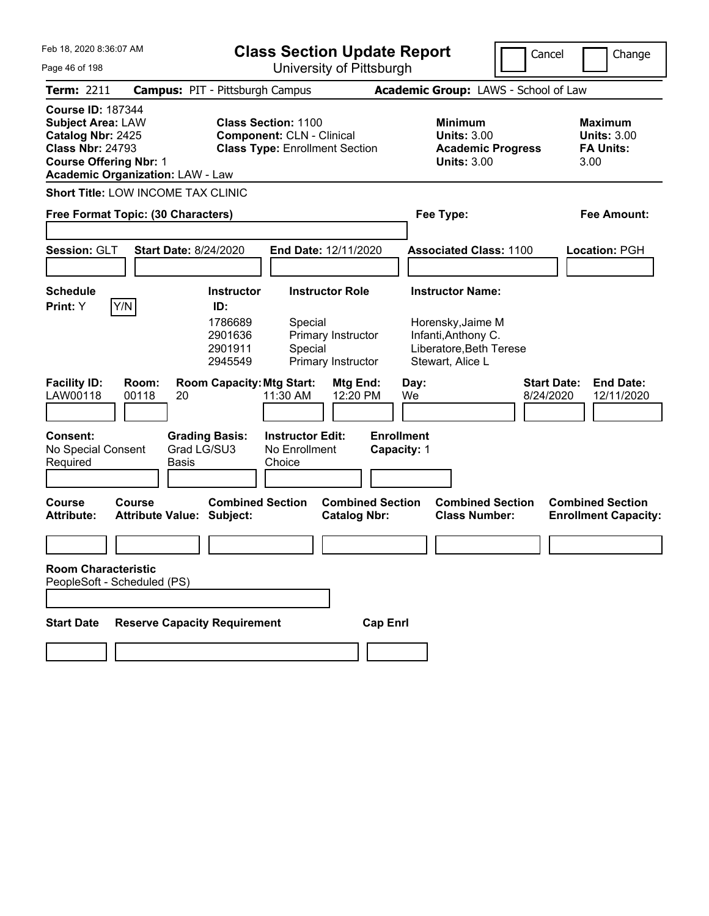| Feb 18, 2020 8:36:07 AM<br>Page 46 of 198                                                                                             |                                                   | <b>Class Section Update Report</b>                                                                      | University of Pittsburgh                                           |                                                                                                                    | Cancel                          | Change                                                           |
|---------------------------------------------------------------------------------------------------------------------------------------|---------------------------------------------------|---------------------------------------------------------------------------------------------------------|--------------------------------------------------------------------|--------------------------------------------------------------------------------------------------------------------|---------------------------------|------------------------------------------------------------------|
| <b>Term: 2211</b>                                                                                                                     |                                                   | <b>Campus: PIT - Pittsburgh Campus</b>                                                                  |                                                                    | Academic Group: LAWS - School of Law                                                                               |                                 |                                                                  |
| <b>Course ID: 187344</b><br><b>Subject Area: LAW</b><br>Catalog Nbr: 2425<br><b>Class Nbr: 24793</b><br><b>Course Offering Nbr: 1</b> | <b>Academic Organization: LAW - Law</b>           | <b>Class Section: 1100</b><br><b>Component: CLN - Clinical</b><br><b>Class Type: Enrollment Section</b> |                                                                    | <b>Minimum</b><br><b>Units: 3.00</b><br><b>Academic Progress</b><br><b>Units: 3.00</b>                             |                                 | <b>Maximum</b><br><b>Units: 3.00</b><br><b>FA Units:</b><br>3.00 |
|                                                                                                                                       | <b>Short Title: LOW INCOME TAX CLINIC</b>         |                                                                                                         |                                                                    |                                                                                                                    |                                 |                                                                  |
|                                                                                                                                       | Free Format Topic: (30 Characters)                |                                                                                                         |                                                                    | Fee Type:                                                                                                          |                                 | Fee Amount:                                                      |
| Session: GLT                                                                                                                          | <b>Start Date: 8/24/2020</b>                      |                                                                                                         | End Date: 12/11/2020                                               | <b>Associated Class: 1100</b>                                                                                      |                                 | Location: PGH                                                    |
| <b>Schedule</b><br>Print: Y                                                                                                           | Y/N                                               | <b>Instructor</b><br>ID:<br>1786689<br>Special<br>2901636<br>2901911<br>Special<br>2945549              | <b>Instructor Role</b><br>Primary Instructor<br>Primary Instructor | <b>Instructor Name:</b><br>Horensky, Jaime M<br>Infanti, Anthony C.<br>Liberatore, Beth Terese<br>Stewart, Alice L |                                 |                                                                  |
| <b>Facility ID:</b><br>LAW00118                                                                                                       | Room:<br>00118<br>20                              | <b>Room Capacity: Mtg Start:</b><br>11:30 AM                                                            | Mtg End:<br>12:20 PM                                               | Day:<br>We                                                                                                         | <b>Start Date:</b><br>8/24/2020 | <b>End Date:</b><br>12/11/2020                                   |
| <b>Consent:</b><br>No Special Consent<br>Required                                                                                     | <b>Grading Basis:</b><br>Grad LG/SU3<br>Basis     | <b>Instructor Edit:</b><br>No Enrollment<br>Choice                                                      | <b>Enrollment</b><br>Capacity: 1                                   |                                                                                                                    |                                 |                                                                  |
| <b>Course</b><br><b>Attribute:</b>                                                                                                    | <b>Course</b><br><b>Attribute Value: Subject:</b> | <b>Combined Section</b>                                                                                 | <b>Combined Section</b><br><b>Catalog Nbr:</b>                     | <b>Combined Section</b><br><b>Class Number:</b>                                                                    |                                 | <b>Combined Section</b><br><b>Enrollment Capacity:</b>           |
|                                                                                                                                       |                                                   |                                                                                                         |                                                                    |                                                                                                                    |                                 |                                                                  |
| <b>Room Characteristic</b>                                                                                                            | PeopleSoft - Scheduled (PS)                       |                                                                                                         |                                                                    |                                                                                                                    |                                 |                                                                  |
|                                                                                                                                       |                                                   |                                                                                                         |                                                                    |                                                                                                                    |                                 |                                                                  |
| <b>Start Date</b>                                                                                                                     | <b>Reserve Capacity Requirement</b>               |                                                                                                         | <b>Cap Enrl</b>                                                    |                                                                                                                    |                                 |                                                                  |
|                                                                                                                                       |                                                   |                                                                                                         |                                                                    |                                                                                                                    |                                 |                                                                  |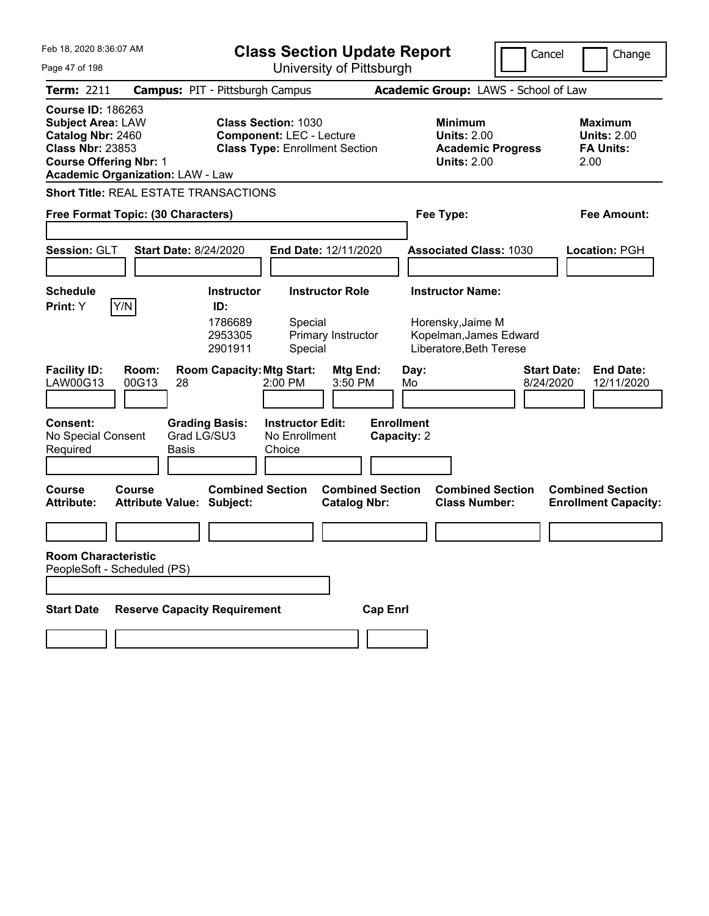| Feb 18, 2020 8:36:07 AM<br>Page 47 of 198                                                                                             |                                               | <b>Class Section Update Report</b><br>University of Pittsburgh                                         |                                                    |                                                |                                  |            | Cancel                                                                                 | Change                          |                                                                  |
|---------------------------------------------------------------------------------------------------------------------------------------|-----------------------------------------------|--------------------------------------------------------------------------------------------------------|----------------------------------------------------|------------------------------------------------|----------------------------------|------------|----------------------------------------------------------------------------------------|---------------------------------|------------------------------------------------------------------|
| <b>Term: 2211</b>                                                                                                                     | <b>Campus: PIT - Pittsburgh Campus</b>        |                                                                                                        |                                                    |                                                |                                  |            | Academic Group: LAWS - School of Law                                                   |                                 |                                                                  |
| <b>Course ID: 186263</b><br><b>Subject Area: LAW</b><br>Catalog Nbr: 2460<br><b>Class Nbr: 23853</b><br><b>Course Offering Nbr: 1</b> | <b>Academic Organization: LAW - Law</b>       | <b>Class Section: 1030</b><br><b>Component: LEC - Lecture</b><br><b>Class Type: Enrollment Section</b> |                                                    |                                                |                                  |            | <b>Minimum</b><br><b>Units: 2.00</b><br><b>Academic Progress</b><br><b>Units: 2.00</b> |                                 | <b>Maximum</b><br><b>Units: 2.00</b><br><b>FA Units:</b><br>2.00 |
|                                                                                                                                       | <b>Short Title: REAL ESTATE TRANSACTIONS</b>  |                                                                                                        |                                                    |                                                |                                  |            |                                                                                        |                                 |                                                                  |
| Free Format Topic: (30 Characters)                                                                                                    |                                               |                                                                                                        |                                                    |                                                | Fee Type:                        |            | Fee Amount:                                                                            |                                 |                                                                  |
| Session: GLT                                                                                                                          | <b>Start Date: 8/24/2020</b>                  |                                                                                                        | End Date: 12/11/2020                               |                                                |                                  |            | <b>Associated Class: 1030</b>                                                          |                                 | Location: PGH                                                    |
| <b>Schedule</b>                                                                                                                       |                                               | <b>Instructor</b>                                                                                      |                                                    | <b>Instructor Role</b>                         |                                  |            | <b>Instructor Name:</b>                                                                |                                 |                                                                  |
| Y/N<br>Print: Y<br><b>Facility ID:</b><br>LAW00G13                                                                                    | Room:<br>00G13<br>28                          | ID:<br>1786689<br>2953305<br>2901911<br><b>Room Capacity: Mtg Start:</b>                               | Special<br>Special<br>2:00 PM                      | Primary Instructor<br>Mtg End:<br>3:50 PM      |                                  | Day:<br>Mo | Horensky, Jaime M<br>Kopelman, James Edward<br>Liberatore, Beth Terese                 | <b>Start Date:</b><br>8/24/2020 | <b>End Date:</b><br>12/11/2020                                   |
| Consent:<br>No Special Consent<br>Required                                                                                            | <b>Grading Basis:</b><br>Grad LG/SU3<br>Basis |                                                                                                        | <b>Instructor Edit:</b><br>No Enrollment<br>Choice |                                                | <b>Enrollment</b><br>Capacity: 2 |            |                                                                                        |                                 |                                                                  |
| <b>Course</b><br><b>Attribute:</b>                                                                                                    | Course<br><b>Attribute Value: Subject:</b>    | <b>Combined Section</b>                                                                                |                                                    | <b>Combined Section</b><br><b>Catalog Nbr:</b> |                                  |            | <b>Combined Section</b><br><b>Class Number:</b>                                        |                                 | <b>Combined Section</b><br><b>Enrollment Capacity:</b>           |
|                                                                                                                                       |                                               |                                                                                                        |                                                    |                                                |                                  |            |                                                                                        |                                 |                                                                  |
| <b>Room Characteristic</b><br>PeopleSoft - Scheduled (PS)                                                                             |                                               |                                                                                                        |                                                    |                                                |                                  |            |                                                                                        |                                 |                                                                  |
| <b>Start Date</b>                                                                                                                     | <b>Reserve Capacity Requirement</b>           |                                                                                                        |                                                    |                                                | <b>Cap Enrl</b>                  |            |                                                                                        |                                 |                                                                  |
|                                                                                                                                       |                                               |                                                                                                        |                                                    |                                                |                                  |            |                                                                                        |                                 |                                                                  |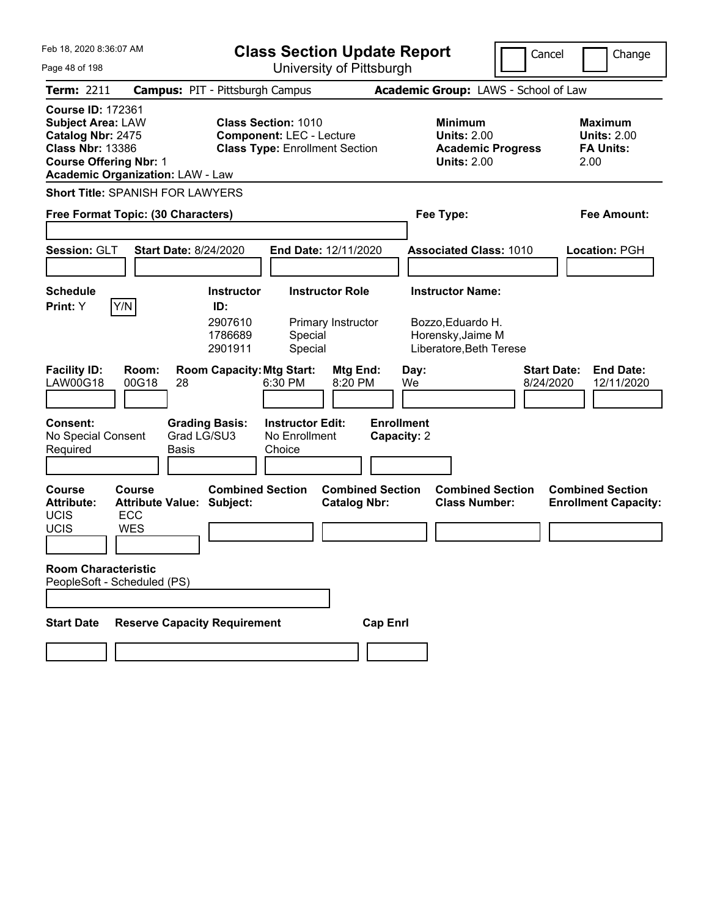| Feb 18, 2020 8:36:07 AM<br>Page 48 of 198                                                                                                                                        | <b>Class Section Update Report</b><br>University of Pittsburgh                                                                  |                                                                                              | Cancel<br>Change                                                  |
|----------------------------------------------------------------------------------------------------------------------------------------------------------------------------------|---------------------------------------------------------------------------------------------------------------------------------|----------------------------------------------------------------------------------------------|-------------------------------------------------------------------|
| <b>Term: 2211</b>                                                                                                                                                                | <b>Campus: PIT - Pittsburgh Campus</b>                                                                                          | Academic Group: LAWS - School of Law                                                         |                                                                   |
| <b>Course ID: 172361</b><br><b>Subject Area: LAW</b><br>Catalog Nbr: 2475<br><b>Class Nbr: 13386</b><br><b>Course Offering Nbr: 1</b><br><b>Academic Organization: LAW - Law</b> | <b>Class Section: 1010</b><br><b>Component: LEC - Lecture</b><br><b>Class Type: Enrollment Section</b>                          | <b>Minimum</b><br><b>Units: 2.00</b><br><b>Academic Progress</b><br><b>Units: 2.00</b>       | <b>Maximum</b><br><b>Units: 2.00</b><br><b>FA Units:</b><br>2.00  |
| <b>Short Title: SPANISH FOR LAWYERS</b><br>Free Format Topic: (30 Characters)                                                                                                    |                                                                                                                                 | Fee Type:                                                                                    | Fee Amount:                                                       |
| Session: GLT<br><b>Start Date: 8/24/2020</b>                                                                                                                                     | End Date: 12/11/2020                                                                                                            | <b>Associated Class: 1010</b>                                                                | Location: PGH                                                     |
| <b>Schedule</b><br>Y/N<br>Print: Y                                                                                                                                               | <b>Instructor Role</b><br><b>Instructor</b><br>ID:<br>2907610<br>Primary Instructor<br>1786689<br>Special<br>2901911<br>Special | <b>Instructor Name:</b><br>Bozzo, Eduardo H.<br>Horensky, Jaime M<br>Liberatore, Beth Terese |                                                                   |
| <b>Facility ID:</b><br>Room:<br>00G18<br><b>LAW00G18</b><br>28                                                                                                                   | <b>Room Capacity: Mtg Start:</b><br>Mtg End:<br>6:30 PM<br>8:20 PM                                                              | Day:<br>We                                                                                   | <b>End Date:</b><br><b>Start Date:</b><br>8/24/2020<br>12/11/2020 |
| <b>Consent:</b><br>Grad LG/SU3<br>No Special Consent<br>Required<br><b>Basis</b>                                                                                                 | <b>Grading Basis:</b><br><b>Instructor Edit:</b><br>No Enrollment<br>Choice                                                     | <b>Enrollment</b><br>Capacity: 2                                                             |                                                                   |
| <b>Course</b><br>Course<br><b>Attribute Value: Subject:</b><br><b>Attribute:</b><br>UCIS<br>ECC<br>UCIS<br><b>WES</b>                                                            | <b>Combined Section</b><br><b>Combined Section</b><br><b>Catalog Nbr:</b>                                                       | <b>Combined Section</b><br><b>Class Number:</b>                                              | <b>Combined Section</b><br><b>Enrollment Capacity:</b>            |
| <b>Room Characteristic</b><br>PeopleSoft - Scheduled (PS)                                                                                                                        |                                                                                                                                 |                                                                                              |                                                                   |
| <b>Start Date</b><br><b>Reserve Capacity Requirement</b>                                                                                                                         | <b>Cap Enrl</b>                                                                                                                 |                                                                                              |                                                                   |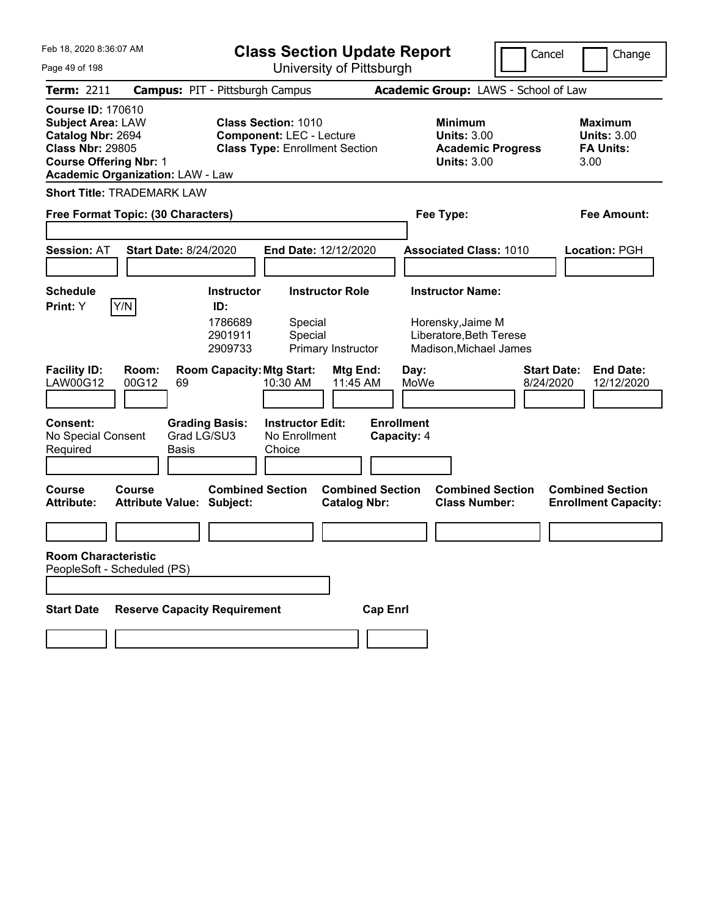| Feb 18, 2020 8:36:07 AM                                                                                                               |                                               |                                      | <b>Class Section Update Report</b>                                                                     |                                                |                 |                                  |                                                                                        | Cancel<br>Change                                                  |  |
|---------------------------------------------------------------------------------------------------------------------------------------|-----------------------------------------------|--------------------------------------|--------------------------------------------------------------------------------------------------------|------------------------------------------------|-----------------|----------------------------------|----------------------------------------------------------------------------------------|-------------------------------------------------------------------|--|
| Page 49 of 198                                                                                                                        |                                               | University of Pittsburgh             |                                                                                                        |                                                |                 |                                  |                                                                                        |                                                                   |  |
| <b>Term: 2211</b>                                                                                                                     | <b>Campus: PIT - Pittsburgh Campus</b>        |                                      |                                                                                                        |                                                |                 |                                  | Academic Group: LAWS - School of Law                                                   |                                                                   |  |
| <b>Course ID: 170610</b><br><b>Subject Area: LAW</b><br>Catalog Nbr: 2694<br><b>Class Nbr: 29805</b><br><b>Course Offering Nbr: 1</b> | <b>Academic Organization: LAW - Law</b>       |                                      | <b>Class Section: 1010</b><br><b>Component: LEC - Lecture</b><br><b>Class Type: Enrollment Section</b> |                                                |                 |                                  | <b>Minimum</b><br><b>Units: 3.00</b><br><b>Academic Progress</b><br><b>Units: 3.00</b> | <b>Maximum</b><br><b>Units: 3.00</b><br><b>FA Units:</b><br>3.00  |  |
|                                                                                                                                       | <b>Short Title: TRADEMARK LAW</b>             |                                      |                                                                                                        |                                                |                 |                                  |                                                                                        |                                                                   |  |
|                                                                                                                                       | Free Format Topic: (30 Characters)            |                                      |                                                                                                        |                                                |                 |                                  | Fee Type:                                                                              | <b>Fee Amount:</b>                                                |  |
| <b>Session: AT</b>                                                                                                                    | <b>Start Date: 8/24/2020</b>                  |                                      | End Date: 12/12/2020                                                                                   |                                                |                 |                                  | <b>Associated Class: 1010</b>                                                          | <b>Location: PGH</b>                                              |  |
| <b>Schedule</b>                                                                                                                       |                                               | <b>Instructor</b>                    |                                                                                                        | <b>Instructor Role</b>                         |                 |                                  | <b>Instructor Name:</b>                                                                |                                                                   |  |
| Print: Y<br><b>Facility ID:</b><br>LAW00G12                                                                                           | Y/N<br>Room:<br>00G12<br>69                   | ID:<br>1786689<br>2901911<br>2909733 | Special<br>Special<br><b>Room Capacity: Mtg Start:</b><br>10:30 AM                                     | Primary Instructor<br>Mtg End:<br>11:45 AM     |                 | Day:<br>MoWe                     | Horensky, Jaime M<br>Liberatore, Beth Terese<br>Madison, Michael James                 | <b>Start Date:</b><br><b>End Date:</b><br>8/24/2020<br>12/12/2020 |  |
| <b>Consent:</b><br>No Special Consent<br>Required                                                                                     | <b>Grading Basis:</b><br>Grad LG/SU3<br>Basis |                                      | <b>Instructor Edit:</b><br>No Enrollment<br>Choice                                                     |                                                |                 | <b>Enrollment</b><br>Capacity: 4 |                                                                                        |                                                                   |  |
| <b>Course</b><br><b>Attribute:</b>                                                                                                    | Course<br><b>Attribute Value: Subject:</b>    | <b>Combined Section</b>              |                                                                                                        | <b>Combined Section</b><br><b>Catalog Nbr:</b> |                 |                                  | <b>Combined Section</b><br><b>Class Number:</b>                                        | <b>Combined Section</b><br><b>Enrollment Capacity:</b>            |  |
|                                                                                                                                       |                                               |                                      |                                                                                                        |                                                |                 |                                  |                                                                                        |                                                                   |  |
| <b>Room Characteristic</b>                                                                                                            | PeopleSoft - Scheduled (PS)                   |                                      |                                                                                                        |                                                |                 |                                  |                                                                                        |                                                                   |  |
| <b>Start Date</b>                                                                                                                     | <b>Reserve Capacity Requirement</b>           |                                      |                                                                                                        |                                                | <b>Cap Enrl</b> |                                  |                                                                                        |                                                                   |  |
|                                                                                                                                       |                                               |                                      |                                                                                                        |                                                |                 |                                  |                                                                                        |                                                                   |  |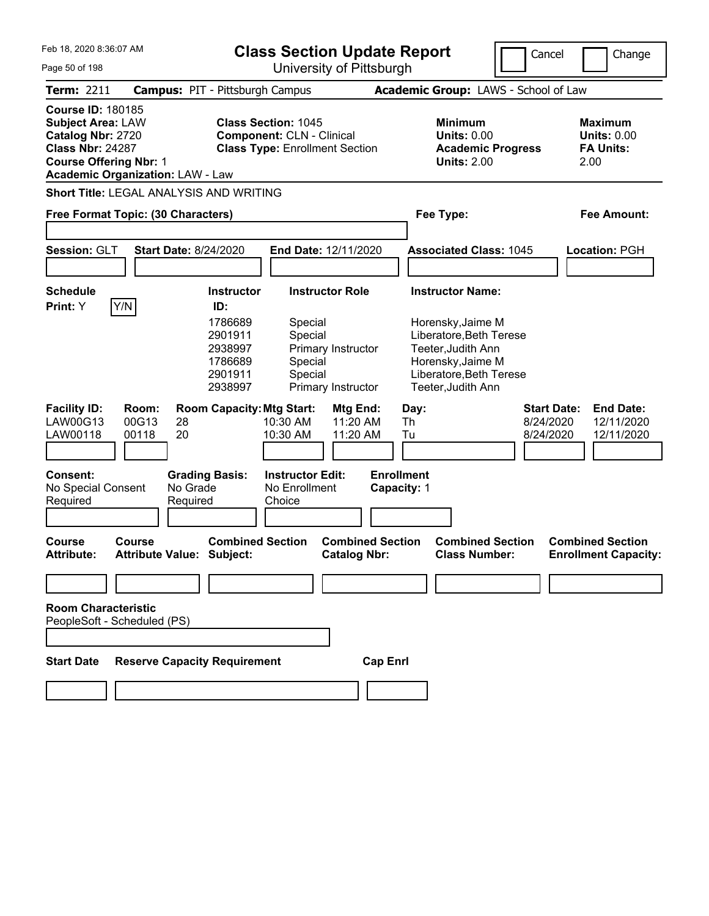|  | Feb 18, 2020 8:36:07 AM |  |
|--|-------------------------|--|
|  |                         |  |

| Feb 18, 2020 8:36:07 AM<br><b>Class Section Update Report</b>                                                                                                                    |                                                                                                                                                        |                                                      |                                                                                                                                          | Cancel                                       | Change                                                           |
|----------------------------------------------------------------------------------------------------------------------------------------------------------------------------------|--------------------------------------------------------------------------------------------------------------------------------------------------------|------------------------------------------------------|------------------------------------------------------------------------------------------------------------------------------------------|----------------------------------------------|------------------------------------------------------------------|
| Page 50 of 198                                                                                                                                                                   |                                                                                                                                                        | University of Pittsburgh                             |                                                                                                                                          |                                              |                                                                  |
| <b>Term: 2211</b>                                                                                                                                                                | <b>Campus: PIT - Pittsburgh Campus</b>                                                                                                                 |                                                      | Academic Group: LAWS - School of Law                                                                                                     |                                              |                                                                  |
| <b>Course ID: 180185</b><br><b>Subject Area: LAW</b><br>Catalog Nbr: 2720<br><b>Class Nbr: 24287</b><br><b>Course Offering Nbr: 1</b><br><b>Academic Organization: LAW - Law</b> | <b>Class Section: 1045</b><br><b>Component: CLN - Clinical</b><br><b>Class Type: Enrollment Section</b>                                                |                                                      | <b>Minimum</b><br><b>Units: 0.00</b><br><b>Academic Progress</b><br><b>Units: 2.00</b>                                                   |                                              | <b>Maximum</b><br><b>Units: 0.00</b><br><b>FA Units:</b><br>2.00 |
| Short Title: LEGAL ANALYSIS AND WRITING                                                                                                                                          |                                                                                                                                                        |                                                      |                                                                                                                                          |                                              |                                                                  |
| Free Format Topic: (30 Characters)                                                                                                                                               |                                                                                                                                                        |                                                      | Fee Type:                                                                                                                                |                                              | <b>Fee Amount:</b>                                               |
| Session: GLT<br><b>Start Date: 8/24/2020</b>                                                                                                                                     | End Date: 12/11/2020                                                                                                                                   |                                                      | <b>Associated Class: 1045</b>                                                                                                            |                                              | Location: PGH                                                    |
| <b>Schedule</b><br>Y/N<br>Print: Y                                                                                                                                               | <b>Instructor Role</b><br><b>Instructor</b><br>ID:                                                                                                     |                                                      | <b>Instructor Name:</b>                                                                                                                  |                                              |                                                                  |
|                                                                                                                                                                                  | 1786689<br>Special<br>Special<br>2901911<br>2938997<br>Primary Instructor<br>1786689<br>Special<br>Special<br>2901911<br>2938997<br>Primary Instructor |                                                      | Horensky, Jaime M<br>Liberatore, Beth Terese<br>Teeter, Judith Ann<br>Horensky, Jaime M<br>Liberatore, Beth Terese<br>Teeter, Judith Ann |                                              |                                                                  |
| <b>Facility ID:</b><br>Room:<br>LAW00G13<br>00G13<br>28<br>LAW00118<br>00118<br>20                                                                                               | <b>Room Capacity: Mtg Start:</b><br>10:30 AM<br>10:30 AM                                                                                               | Mtg End:<br>Day:<br>11:20 AM<br>Th<br>11:20 AM<br>Tu |                                                                                                                                          | <b>Start Date:</b><br>8/24/2020<br>8/24/2020 | <b>End Date:</b><br>12/11/2020<br>12/11/2020                     |
| <b>Consent:</b><br>No Grade<br>No Special Consent<br>Required<br>Required                                                                                                        | <b>Grading Basis:</b><br><b>Instructor Edit:</b><br>No Enrollment<br>Choice                                                                            | <b>Enrollment</b><br>Capacity: 1                     |                                                                                                                                          |                                              |                                                                  |
| Course<br>Course<br><b>Attribute Value: Subject:</b><br>Attribute:                                                                                                               | <b>Combined Section</b>                                                                                                                                | <b>Combined Section</b><br><b>Catalog Nbr:</b>       | <b>Combined Section</b><br><b>Class Number:</b>                                                                                          |                                              | <b>Combined Section</b><br><b>Enrollment Capacity:</b>           |
|                                                                                                                                                                                  |                                                                                                                                                        |                                                      |                                                                                                                                          |                                              |                                                                  |
| <b>Room Characteristic</b><br>PeopleSoft - Scheduled (PS)                                                                                                                        |                                                                                                                                                        |                                                      |                                                                                                                                          |                                              |                                                                  |
| <b>Reserve Capacity Requirement</b><br><b>Start Date</b>                                                                                                                         |                                                                                                                                                        | <b>Cap Enrl</b>                                      |                                                                                                                                          |                                              |                                                                  |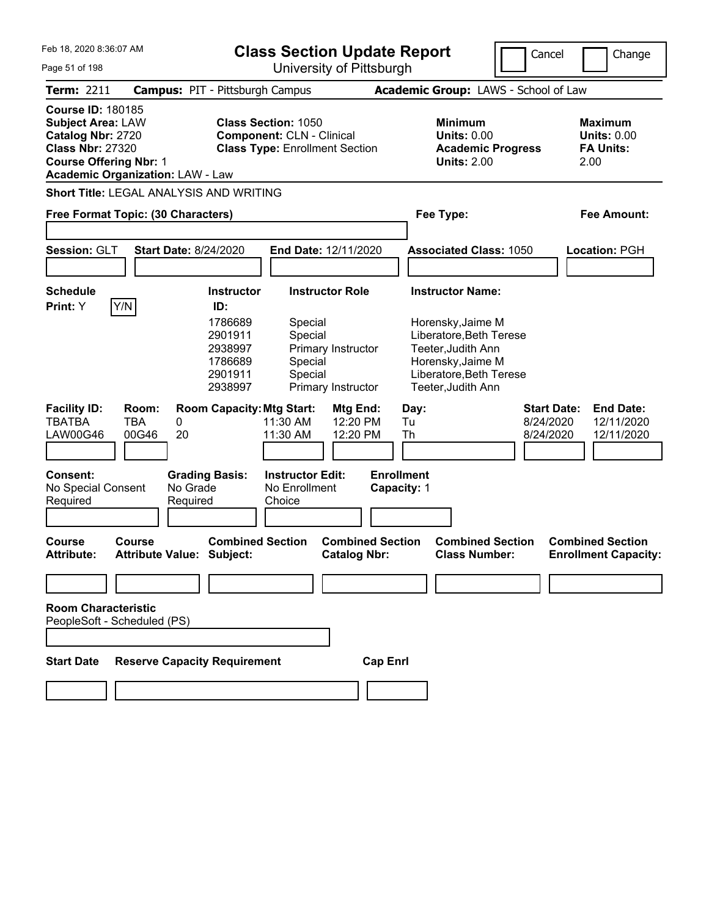|  | Feb 18, 2020 8:36:07 AM |  |
|--|-------------------------|--|
|  |                         |  |

**Class Section Update Report**

Cancel **Change** 

| Feb 18, 2020 8:36:07 AM<br>Page 51 of 198                                                                                             |                                                                                      | <b>Class Section Update Report</b><br>University of Pittsburgh                                          | Cancel<br>Change                                                                        |                                                                  |
|---------------------------------------------------------------------------------------------------------------------------------------|--------------------------------------------------------------------------------------|---------------------------------------------------------------------------------------------------------|-----------------------------------------------------------------------------------------|------------------------------------------------------------------|
| <b>Term: 2211</b>                                                                                                                     | <b>Campus: PIT - Pittsburgh Campus</b>                                               |                                                                                                         | Academic Group: LAWS - School of Law                                                    |                                                                  |
| <b>Course ID: 180185</b><br><b>Subject Area: LAW</b><br>Catalog Nbr: 2720<br><b>Class Nbr: 27320</b><br><b>Course Offering Nbr: 1</b> | <b>Academic Organization: LAW - Law</b>                                              | <b>Class Section: 1050</b><br><b>Component: CLN - Clinical</b><br><b>Class Type: Enrollment Section</b> | <b>Minimum</b><br><b>Units: 0.00</b><br><b>Academic Progress</b><br>Units: $2.00$       | <b>Maximum</b><br><b>Units: 0.00</b><br><b>FA Units:</b><br>2.00 |
|                                                                                                                                       | <b>Short Title: LEGAL ANALYSIS AND WRITING</b><br>Free Format Topic: (30 Characters) |                                                                                                         | Fee Type:                                                                               | <b>Fee Amount:</b>                                               |
| Session: GLT                                                                                                                          | <b>Start Date: 8/24/2020</b>                                                         | <b>End Date: 12/11/2020</b>                                                                             | <b>Associated Class: 1050</b>                                                           | <b>Location: PGH</b>                                             |
| <b>Schedule</b><br>Y/N<br>Print: Y                                                                                                    | Instructor<br>ID:                                                                    | <b>Instructor Role</b>                                                                                  | <b>Instructor Name:</b>                                                                 |                                                                  |
|                                                                                                                                       | 1786689<br>2901911<br>2938997                                                        | Special<br>Special<br>Primary Instructor<br>1786689<br>Special                                          | Horensky, Jaime M<br>Liberatore, Beth Terese<br>Teeter, Judith Ann<br>Horensky, Jaime M |                                                                  |

|                                                           |                       |                      | <u>ı ı onnoa</u><br>2901911<br>2938997           | opecial<br>Special                                       | Primary Instructor               |                 |                                  | HOTELISKY, JAILLE IVI<br>Liberatore, Beth Terese<br>Teeter,Judith Ann |                                              |                                              |
|-----------------------------------------------------------|-----------------------|----------------------|--------------------------------------------------|----------------------------------------------------------|----------------------------------|-----------------|----------------------------------|-----------------------------------------------------------------------|----------------------------------------------|----------------------------------------------|
| <b>Facility ID:</b><br>TBATBA<br>LAW00G46                 | Room:<br>TBA<br>00G46 | 0<br>20              |                                                  | <b>Room Capacity: Mtg Start:</b><br>11:30 AM<br>11:30 AM | Mtg End:<br>12:20 PM<br>12:20 PM |                 | Day:<br>Tu<br>Th                 |                                                                       | <b>Start Date:</b><br>8/24/2020<br>8/24/2020 | <b>End Date:</b><br>12/11/2020<br>12/11/2020 |
| Consent:<br>No Special Consent<br>Required<br>Course      | Course                | No Grade<br>Required | <b>Grading Basis:</b><br><b>Combined Section</b> | <b>Instructor Edit:</b><br>No Enrollment<br>Choice       | <b>Combined Section</b>          |                 | <b>Enrollment</b><br>Capacity: 1 | <b>Combined Section</b>                                               |                                              | <b>Combined Section</b>                      |
| <b>Attribute:</b>                                         |                       |                      | <b>Attribute Value: Subject:</b>                 |                                                          | <b>Catalog Nbr:</b>              |                 |                                  | <b>Class Number:</b>                                                  |                                              | <b>Enrollment Capacity:</b>                  |
| <b>Room Characteristic</b><br>PeopleSoft - Scheduled (PS) |                       |                      |                                                  |                                                          |                                  |                 |                                  |                                                                       |                                              |                                              |
| <b>Start Date</b>                                         |                       |                      | <b>Reserve Capacity Requirement</b>              |                                                          |                                  | <b>Cap Enri</b> |                                  |                                                                       |                                              |                                              |
|                                                           |                       |                      |                                                  |                                                          |                                  |                 |                                  |                                                                       |                                              |                                              |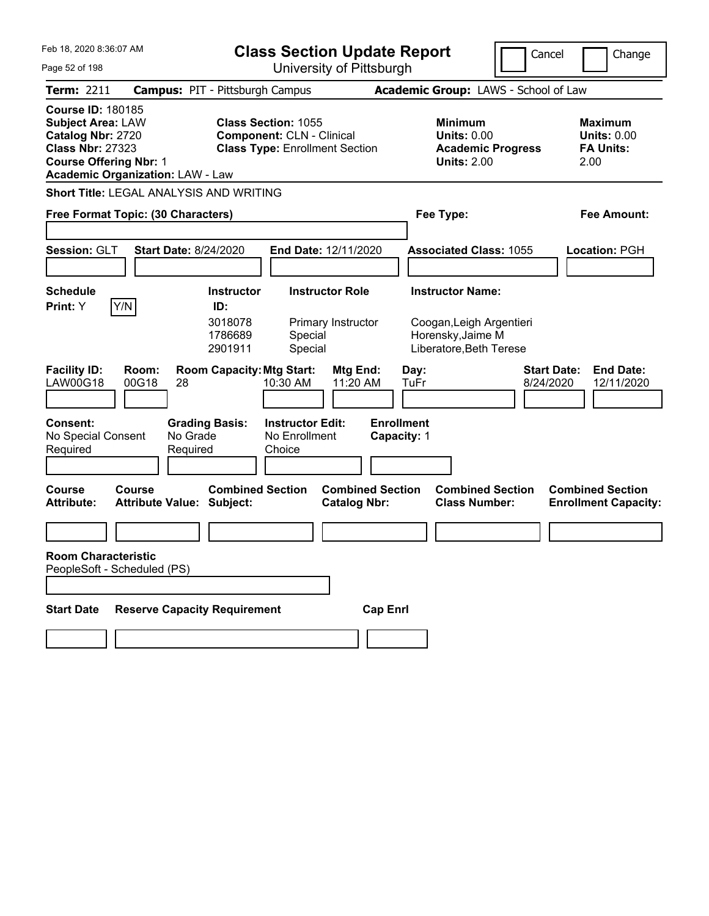| Feb 18, 2020 8:36:07 AM                                                                                                                                                          | <b>Class Section Update Report</b>                                                                      |                                                                                        | Cancel<br>Change                                                  |
|----------------------------------------------------------------------------------------------------------------------------------------------------------------------------------|---------------------------------------------------------------------------------------------------------|----------------------------------------------------------------------------------------|-------------------------------------------------------------------|
| Page 52 of 198                                                                                                                                                                   | University of Pittsburgh                                                                                |                                                                                        |                                                                   |
| <b>Term: 2211</b>                                                                                                                                                                | <b>Campus: PIT - Pittsburgh Campus</b>                                                                  | Academic Group: LAWS - School of Law                                                   |                                                                   |
| <b>Course ID: 180185</b><br><b>Subject Area: LAW</b><br>Catalog Nbr: 2720<br><b>Class Nbr: 27323</b><br><b>Course Offering Nbr: 1</b><br><b>Academic Organization: LAW - Law</b> | <b>Class Section: 1055</b><br><b>Component: CLN - Clinical</b><br><b>Class Type: Enrollment Section</b> | <b>Minimum</b><br><b>Units: 0.00</b><br><b>Academic Progress</b><br><b>Units: 2.00</b> | <b>Maximum</b><br><b>Units: 0.00</b><br><b>FA Units:</b><br>2.00  |
| Short Title: LEGAL ANALYSIS AND WRITING                                                                                                                                          |                                                                                                         |                                                                                        |                                                                   |
| Free Format Topic: (30 Characters)                                                                                                                                               |                                                                                                         | Fee Type:                                                                              | <b>Fee Amount:</b>                                                |
|                                                                                                                                                                                  |                                                                                                         |                                                                                        |                                                                   |
| Session: GLT<br><b>Start Date: 8/24/2020</b>                                                                                                                                     | End Date: 12/11/2020                                                                                    | <b>Associated Class: 1055</b>                                                          | Location: PGH                                                     |
|                                                                                                                                                                                  |                                                                                                         |                                                                                        |                                                                   |
| <b>Schedule</b>                                                                                                                                                                  | <b>Instructor Role</b><br><b>Instructor</b><br>ID:                                                      | <b>Instructor Name:</b>                                                                |                                                                   |
| Y/N<br>Print: Y                                                                                                                                                                  | 3018078<br>Primary Instructor<br>1786689<br>Special<br>2901911<br>Special                               | Coogan, Leigh Argentieri<br>Horensky, Jaime M<br>Liberatore, Beth Terese               |                                                                   |
| <b>Facility ID:</b><br>Room:<br>LAW00G18<br>00G18<br>28                                                                                                                          | <b>Room Capacity: Mtg Start:</b><br>Mtg End:<br>11:20 AM<br>10:30 AM                                    | Day:<br>TuFr                                                                           | <b>Start Date:</b><br><b>End Date:</b><br>8/24/2020<br>12/11/2020 |
| <b>Consent:</b><br><b>Grading Basis:</b><br>No Special Consent<br>No Grade<br>Required<br>Required                                                                               | <b>Instructor Edit:</b><br>No Enrollment<br>Choice                                                      | <b>Enrollment</b><br>Capacity: 1                                                       |                                                                   |
| <b>Course</b><br>Course<br><b>Attribute:</b><br><b>Attribute Value: Subject:</b>                                                                                                 | <b>Combined Section</b><br><b>Combined Section</b><br><b>Catalog Nbr:</b>                               | <b>Combined Section</b><br><b>Class Number:</b>                                        | <b>Combined Section</b><br><b>Enrollment Capacity:</b>            |
|                                                                                                                                                                                  |                                                                                                         |                                                                                        |                                                                   |
| <b>Room Characteristic</b><br>PeopleSoft - Scheduled (PS)                                                                                                                        |                                                                                                         |                                                                                        |                                                                   |
| <b>Reserve Capacity Requirement</b><br><b>Start Date</b>                                                                                                                         | <b>Cap Enrl</b>                                                                                         |                                                                                        |                                                                   |
|                                                                                                                                                                                  |                                                                                                         |                                                                                        |                                                                   |
|                                                                                                                                                                                  |                                                                                                         |                                                                                        |                                                                   |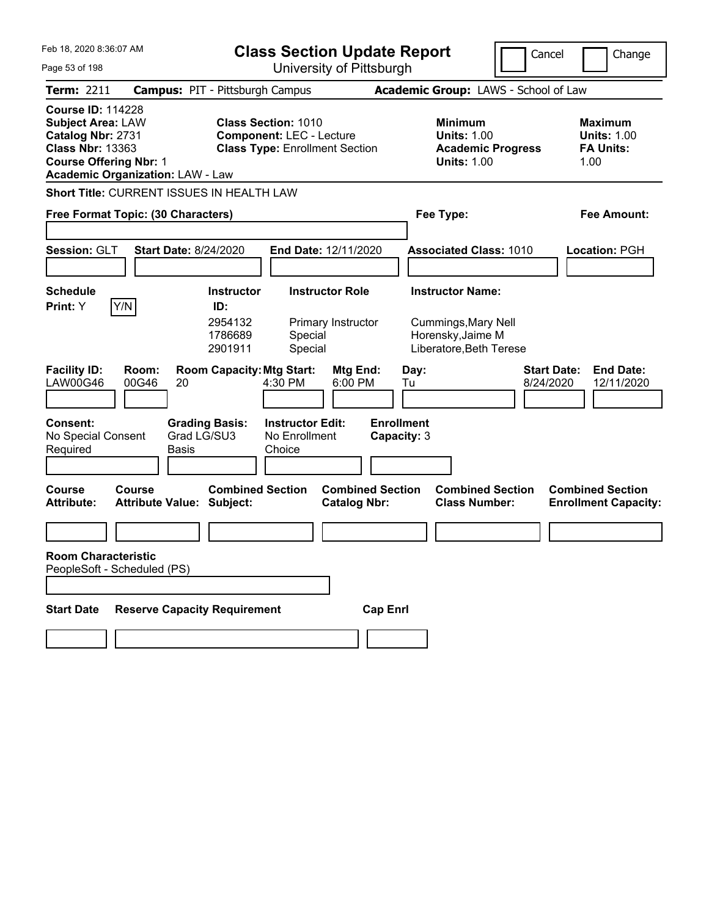| Feb 18, 2020 8:36:07 AM                                                                                                                                                          | <b>Class Section Update Report</b>                                                                        |                                                |                                                                                        | Cancel<br>Change                                                  |
|----------------------------------------------------------------------------------------------------------------------------------------------------------------------------------|-----------------------------------------------------------------------------------------------------------|------------------------------------------------|----------------------------------------------------------------------------------------|-------------------------------------------------------------------|
| Page 53 of 198                                                                                                                                                                   |                                                                                                           | University of Pittsburgh                       |                                                                                        |                                                                   |
| <b>Term: 2211</b>                                                                                                                                                                | <b>Campus: PIT - Pittsburgh Campus</b>                                                                    |                                                | Academic Group: LAWS - School of Law                                                   |                                                                   |
| <b>Course ID: 114228</b><br><b>Subject Area: LAW</b><br>Catalog Nbr: 2731<br><b>Class Nbr: 13363</b><br><b>Course Offering Nbr: 1</b><br><b>Academic Organization: LAW - Law</b> | <b>Class Section: 1010</b><br><b>Component: LEC - Lecture</b><br><b>Class Type: Enrollment Section</b>    |                                                | <b>Minimum</b><br><b>Units: 1.00</b><br><b>Academic Progress</b><br><b>Units: 1.00</b> | <b>Maximum</b><br><b>Units: 1.00</b><br><b>FA Units:</b><br>1.00  |
| <b>Short Title: CURRENT ISSUES IN HEALTH LAW</b>                                                                                                                                 |                                                                                                           |                                                |                                                                                        |                                                                   |
| Free Format Topic: (30 Characters)                                                                                                                                               |                                                                                                           |                                                | Fee Type:                                                                              | Fee Amount:                                                       |
| Session: GLT<br><b>Start Date: 8/24/2020</b>                                                                                                                                     |                                                                                                           | End Date: 12/11/2020                           | <b>Associated Class: 1010</b>                                                          | Location: PGH                                                     |
| <b>Schedule</b>                                                                                                                                                                  | <b>Instructor</b>                                                                                         | <b>Instructor Role</b>                         | <b>Instructor Name:</b>                                                                |                                                                   |
| Y/N<br>Print: Y<br><b>Facility ID:</b><br>Room:<br><b>LAW00G46</b><br>00G46<br>20                                                                                                | ID:<br>2954132<br>1786689<br>Special<br>2901911<br>Special<br><b>Room Capacity: Mtg Start:</b><br>4:30 PM | Primary Instructor<br>Mtg End:<br>6:00 PM      | Cummings, Mary Nell<br>Horensky, Jaime M<br>Liberatore, Beth Terese<br>Day:<br>Tu      | <b>Start Date:</b><br><b>End Date:</b><br>8/24/2020<br>12/11/2020 |
|                                                                                                                                                                                  |                                                                                                           |                                                |                                                                                        |                                                                   |
| <b>Consent:</b><br>No Special Consent<br>Required<br><b>Basis</b>                                                                                                                | <b>Grading Basis:</b><br><b>Instructor Edit:</b><br>Grad LG/SU3<br>No Enrollment<br>Choice                | <b>Enrollment</b><br>Capacity: 3               |                                                                                        |                                                                   |
| Course<br>Course<br><b>Attribute Value: Subject:</b><br><b>Attribute:</b>                                                                                                        | <b>Combined Section</b>                                                                                   | <b>Combined Section</b><br><b>Catalog Nbr:</b> | <b>Combined Section</b><br><b>Class Number:</b>                                        | <b>Combined Section</b><br><b>Enrollment Capacity:</b>            |
|                                                                                                                                                                                  |                                                                                                           |                                                |                                                                                        |                                                                   |
| <b>Room Characteristic</b><br>PeopleSoft - Scheduled (PS)                                                                                                                        |                                                                                                           |                                                |                                                                                        |                                                                   |
| <b>Start Date</b>                                                                                                                                                                | <b>Reserve Capacity Requirement</b>                                                                       | <b>Cap Enrl</b>                                |                                                                                        |                                                                   |
|                                                                                                                                                                                  |                                                                                                           |                                                |                                                                                        |                                                                   |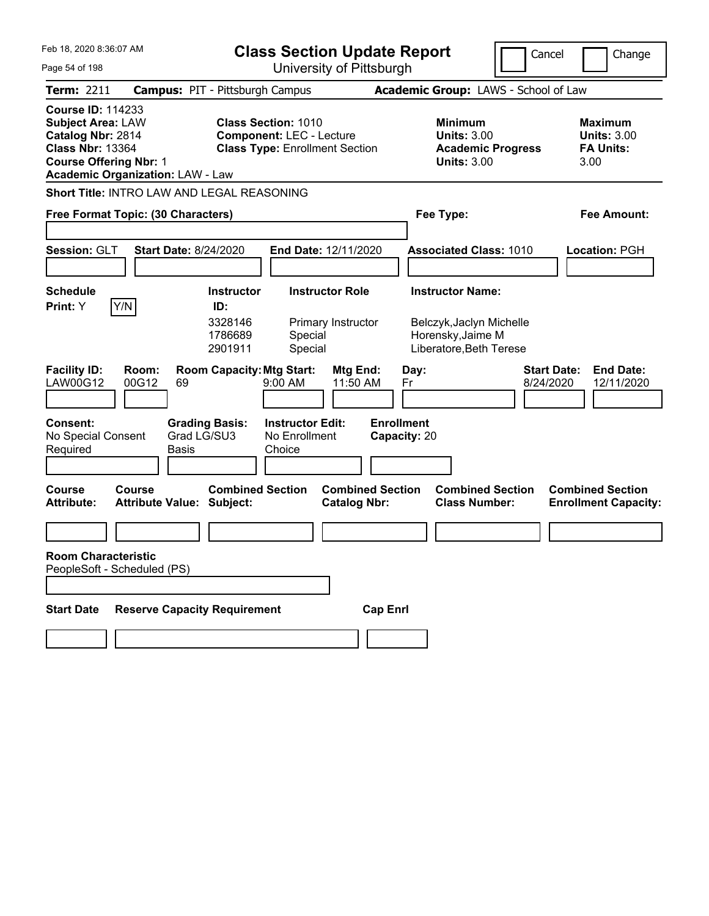| Feb 18, 2020 8:36:07 AM<br><b>Class Section Update Report</b><br>University of Pittsburgh<br>Page 54 of 198                           |                                                   |                                        |                                                                                                        |                                                |                                   |                                                                                        | Cancel                               | Change                                                           |
|---------------------------------------------------------------------------------------------------------------------------------------|---------------------------------------------------|----------------------------------------|--------------------------------------------------------------------------------------------------------|------------------------------------------------|-----------------------------------|----------------------------------------------------------------------------------------|--------------------------------------|------------------------------------------------------------------|
| Term: 2211                                                                                                                            |                                                   | <b>Campus: PIT - Pittsburgh Campus</b> |                                                                                                        |                                                |                                   |                                                                                        | Academic Group: LAWS - School of Law |                                                                  |
| <b>Course ID: 114233</b><br><b>Subject Area: LAW</b><br>Catalog Nbr: 2814<br><b>Class Nbr: 13364</b><br><b>Course Offering Nbr: 1</b> | <b>Academic Organization: LAW - Law</b>           |                                        | <b>Class Section: 1010</b><br><b>Component: LEC - Lecture</b><br><b>Class Type: Enrollment Section</b> |                                                |                                   | <b>Minimum</b><br><b>Units: 3.00</b><br><b>Academic Progress</b><br><b>Units: 3.00</b> |                                      | <b>Maximum</b><br><b>Units: 3.00</b><br><b>FA Units:</b><br>3.00 |
|                                                                                                                                       | Short Title: INTRO LAW AND LEGAL REASONING        |                                        |                                                                                                        |                                                |                                   |                                                                                        |                                      |                                                                  |
|                                                                                                                                       | Free Format Topic: (30 Characters)                |                                        |                                                                                                        |                                                | Fee Type:                         |                                                                                        |                                      | <b>Fee Amount:</b>                                               |
| Session: GLT                                                                                                                          | <b>Start Date: 8/24/2020</b>                      |                                        | End Date: 12/11/2020                                                                                   |                                                |                                   | <b>Associated Class: 1010</b>                                                          |                                      | Location: PGH                                                    |
| <b>Schedule</b>                                                                                                                       |                                                   | <b>Instructor</b>                      |                                                                                                        | <b>Instructor Role</b>                         |                                   | <b>Instructor Name:</b>                                                                |                                      |                                                                  |
| Print: Y                                                                                                                              | Y/N                                               | ID:<br>3328146<br>1786689<br>2901911   | Special<br>Special                                                                                     | Primary Instructor                             |                                   | Belczyk, Jaclyn Michelle<br>Horensky, Jaime M<br>Liberatore, Beth Terese               |                                      |                                                                  |
| <b>Facility ID:</b><br><b>LAW00G12</b>                                                                                                | Room:<br>00G12<br>69                              | <b>Room Capacity: Mtg Start:</b>       | 9:00 AM                                                                                                | Mtg End:<br>11:50 AM                           | Day:<br>Fr                        |                                                                                        | 8/24/2020                            | <b>End Date:</b><br><b>Start Date:</b><br>12/11/2020             |
| <b>Consent:</b><br>No Special Consent<br>Required                                                                                     | Basis                                             | <b>Grading Basis:</b><br>Grad LG/SU3   | <b>Instructor Edit:</b><br>No Enrollment<br>Choice                                                     |                                                | <b>Enrollment</b><br>Capacity: 20 |                                                                                        |                                      |                                                                  |
| <b>Course</b><br><b>Attribute:</b>                                                                                                    | <b>Course</b><br><b>Attribute Value: Subject:</b> | <b>Combined Section</b>                |                                                                                                        | <b>Combined Section</b><br><b>Catalog Nbr:</b> |                                   | <b>Combined Section</b><br><b>Class Number:</b>                                        |                                      | <b>Combined Section</b><br><b>Enrollment Capacity:</b>           |
|                                                                                                                                       |                                                   |                                        |                                                                                                        |                                                |                                   |                                                                                        |                                      |                                                                  |
| <b>Room Characteristic</b>                                                                                                            | PeopleSoft - Scheduled (PS)                       |                                        |                                                                                                        |                                                |                                   |                                                                                        |                                      |                                                                  |
| <b>Start Date</b>                                                                                                                     | <b>Reserve Capacity Requirement</b>               |                                        |                                                                                                        | <b>Cap Enrl</b>                                |                                   |                                                                                        |                                      |                                                                  |
|                                                                                                                                       |                                                   |                                        |                                                                                                        |                                                |                                   |                                                                                        |                                      |                                                                  |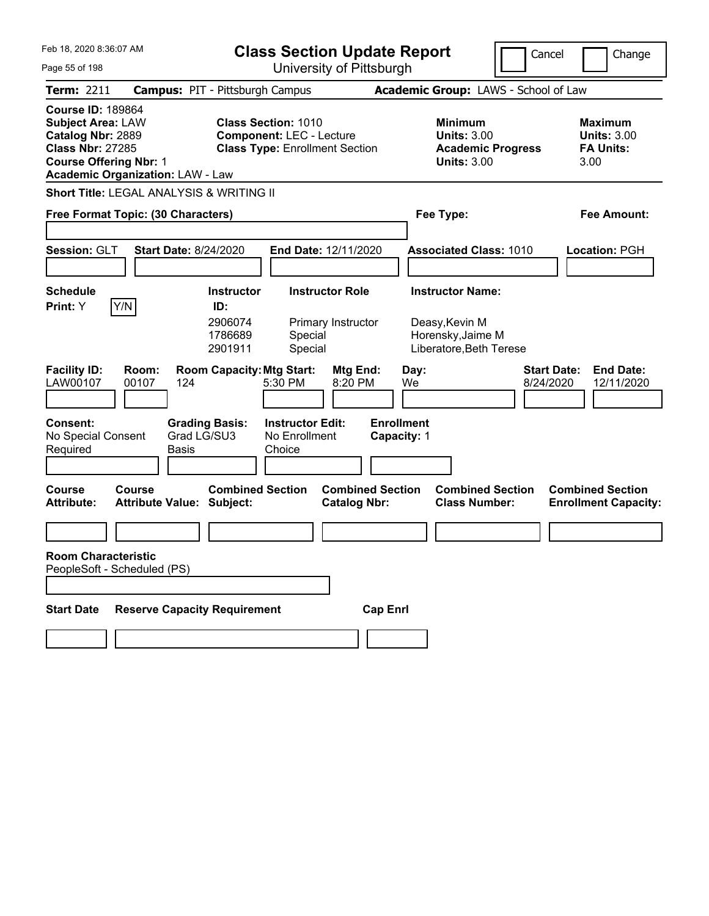| Feb 18, 2020 8:36:07 AM                                                                                                                                                          | <b>Class Section Update Report</b>            |                                                                                                        |                                                    |                                                | Cancel                           |            | Change                                                                                 |                                 |                                                                  |                                |
|----------------------------------------------------------------------------------------------------------------------------------------------------------------------------------|-----------------------------------------------|--------------------------------------------------------------------------------------------------------|----------------------------------------------------|------------------------------------------------|----------------------------------|------------|----------------------------------------------------------------------------------------|---------------------------------|------------------------------------------------------------------|--------------------------------|
| Page 55 of 198                                                                                                                                                                   |                                               | University of Pittsburgh                                                                               |                                                    |                                                |                                  |            |                                                                                        |                                 |                                                                  |                                |
| <b>Term: 2211</b>                                                                                                                                                                | <b>Campus: PIT - Pittsburgh Campus</b>        |                                                                                                        |                                                    |                                                |                                  |            | Academic Group: LAWS - School of Law                                                   |                                 |                                                                  |                                |
| <b>Course ID: 189864</b><br><b>Subject Area: LAW</b><br>Catalog Nbr: 2889<br><b>Class Nbr: 27285</b><br><b>Course Offering Nbr: 1</b><br><b>Academic Organization: LAW - Law</b> |                                               | <b>Class Section: 1010</b><br><b>Component: LEC - Lecture</b><br><b>Class Type: Enrollment Section</b> |                                                    |                                                |                                  |            | <b>Minimum</b><br><b>Units: 3.00</b><br><b>Academic Progress</b><br><b>Units: 3.00</b> |                                 | <b>Maximum</b><br><b>Units: 3.00</b><br><b>FA Units:</b><br>3.00 |                                |
| Short Title: LEGAL ANALYSIS & WRITING II                                                                                                                                         |                                               |                                                                                                        |                                                    |                                                |                                  |            |                                                                                        |                                 |                                                                  |                                |
| Free Format Topic: (30 Characters)                                                                                                                                               |                                               |                                                                                                        |                                                    |                                                | Fee Type:                        |            |                                                                                        | Fee Amount:                     |                                                                  |                                |
|                                                                                                                                                                                  |                                               |                                                                                                        |                                                    |                                                |                                  |            |                                                                                        |                                 |                                                                  |                                |
| Session: GLT                                                                                                                                                                     | <b>Start Date: 8/24/2020</b>                  |                                                                                                        | <b>End Date: 12/11/2020</b>                        |                                                |                                  |            | <b>Associated Class: 1010</b>                                                          |                                 | Location: PGH                                                    |                                |
|                                                                                                                                                                                  |                                               |                                                                                                        |                                                    |                                                |                                  |            |                                                                                        |                                 |                                                                  |                                |
| <b>Schedule</b>                                                                                                                                                                  |                                               | <b>Instructor</b>                                                                                      |                                                    | <b>Instructor Role</b>                         |                                  |            | <b>Instructor Name:</b>                                                                |                                 |                                                                  |                                |
| Y/N<br><b>Print:</b> Y                                                                                                                                                           |                                               | ID:<br>2906074<br>1786689<br>2901911                                                                   | Special<br>Special                                 | Primary Instructor                             |                                  |            | Deasy, Kevin M<br>Horensky, Jaime M<br>Liberatore, Beth Terese                         |                                 |                                                                  |                                |
| <b>Facility ID:</b><br>LAW00107<br>00107                                                                                                                                         | Room:<br>124                                  | <b>Room Capacity: Mtg Start:</b>                                                                       | 5:30 PM                                            | Mtg End:<br>8:20 PM                            |                                  | Day:<br>We |                                                                                        | <b>Start Date:</b><br>8/24/2020 |                                                                  | <b>End Date:</b><br>12/11/2020 |
| <b>Consent:</b><br>No Special Consent<br>Required                                                                                                                                | <b>Grading Basis:</b><br>Grad LG/SU3<br>Basis |                                                                                                        | <b>Instructor Edit:</b><br>No Enrollment<br>Choice |                                                | <b>Enrollment</b><br>Capacity: 1 |            |                                                                                        |                                 |                                                                  |                                |
| <b>Course</b><br>Course<br><b>Attribute:</b>                                                                                                                                     | <b>Attribute Value: Subject:</b>              | <b>Combined Section</b>                                                                                |                                                    | <b>Combined Section</b><br><b>Catalog Nbr:</b> |                                  |            | <b>Combined Section</b><br><b>Class Number:</b>                                        |                                 | <b>Combined Section</b>                                          | <b>Enrollment Capacity:</b>    |
|                                                                                                                                                                                  |                                               |                                                                                                        |                                                    |                                                |                                  |            |                                                                                        |                                 |                                                                  |                                |
| <b>Room Characteristic</b><br>PeopleSoft - Scheduled (PS)                                                                                                                        |                                               |                                                                                                        |                                                    |                                                |                                  |            |                                                                                        |                                 |                                                                  |                                |
|                                                                                                                                                                                  |                                               |                                                                                                        |                                                    |                                                |                                  |            |                                                                                        |                                 |                                                                  |                                |
| <b>Start Date</b>                                                                                                                                                                | <b>Reserve Capacity Requirement</b>           |                                                                                                        |                                                    |                                                | <b>Cap Enrl</b>                  |            |                                                                                        |                                 |                                                                  |                                |
|                                                                                                                                                                                  |                                               |                                                                                                        |                                                    |                                                |                                  |            |                                                                                        |                                 |                                                                  |                                |
|                                                                                                                                                                                  |                                               |                                                                                                        |                                                    |                                                |                                  |            |                                                                                        |                                 |                                                                  |                                |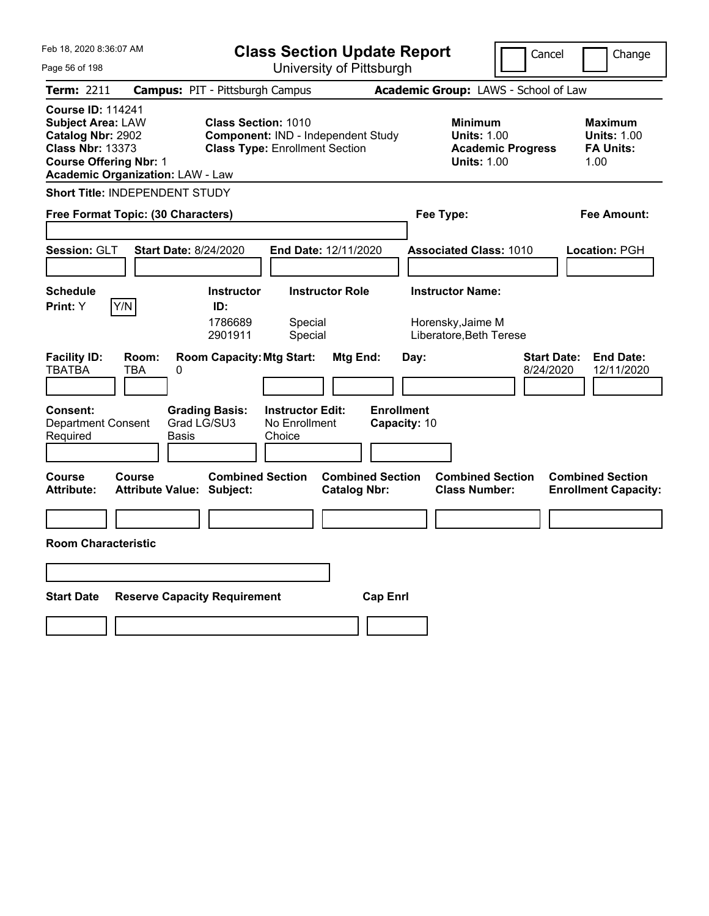| Feb 18, 2020 8:36:07 AM<br>Page 56 of 198                                                                                             |                                                                                                        | <b>Class Section Update Report</b><br>University of Pittsburgh              |                                           | Cancel                                                                  | Change                          |                                                                  |
|---------------------------------------------------------------------------------------------------------------------------------------|--------------------------------------------------------------------------------------------------------|-----------------------------------------------------------------------------|-------------------------------------------|-------------------------------------------------------------------------|---------------------------------|------------------------------------------------------------------|
| Term: 2211                                                                                                                            | <b>Campus: PIT - Pittsburgh Campus</b>                                                                 |                                                                             |                                           | Academic Group: LAWS - School of Law                                    |                                 |                                                                  |
| <b>Course ID: 114241</b><br><b>Subject Area: LAW</b><br>Catalog Nbr: 2902<br><b>Class Nbr: 13373</b><br><b>Course Offering Nbr: 1</b> | <b>Class Section: 1010</b><br><b>Academic Organization: LAW - Law</b>                                  | Component: IND - Independent Study<br><b>Class Type: Enrollment Section</b> |                                           | <b>Minimum</b><br><b>Units: 1.00</b><br><b>Units: 1.00</b>              | <b>Academic Progress</b>        | <b>Maximum</b><br><b>Units: 1.00</b><br><b>FA Units:</b><br>1.00 |
|                                                                                                                                       | <b>Short Title: INDEPENDENT STUDY</b>                                                                  |                                                                             |                                           |                                                                         |                                 |                                                                  |
|                                                                                                                                       | Free Format Topic: (30 Characters)                                                                     |                                                                             |                                           | Fee Type:                                                               |                                 | Fee Amount:                                                      |
| Session: GLT                                                                                                                          | <b>Start Date: 8/24/2020</b>                                                                           | <b>End Date: 12/11/2020</b>                                                 |                                           | <b>Associated Class: 1010</b>                                           |                                 | Location: PGH                                                    |
| <b>Schedule</b><br>Y/N<br>Print: Y                                                                                                    | <b>Instructor</b><br>ID:<br>1786689<br>2901911                                                         | <b>Instructor Role</b><br>Special<br>Special                                |                                           | <b>Instructor Name:</b><br>Horensky, Jaime M<br>Liberatore, Beth Terese |                                 |                                                                  |
| <b>Facility ID:</b><br><b>TBATBA</b><br><b>Consent:</b><br><b>Department Consent</b><br>Required                                      | Room:<br><b>Room Capacity: Mtg Start:</b><br>TBA<br>0<br><b>Grading Basis:</b><br>Grad LG/SU3<br>Basis | Mtg End:<br><b>Instructor Edit:</b><br>No Enrollment<br>Choice              | Day:<br><b>Enrollment</b><br>Capacity: 10 |                                                                         | <b>Start Date:</b><br>8/24/2020 | <b>End Date:</b><br>12/11/2020                                   |
| Course<br><b>Attribute:</b>                                                                                                           | <b>Combined Section</b><br>Course<br><b>Attribute Value: Subject:</b>                                  | <b>Catalog Nbr:</b>                                                         | <b>Combined Section</b>                   | <b>Combined Section</b><br><b>Class Number:</b>                         |                                 | <b>Combined Section</b><br><b>Enrollment Capacity:</b>           |
|                                                                                                                                       |                                                                                                        |                                                                             |                                           |                                                                         |                                 |                                                                  |
| <b>Room Characteristic</b>                                                                                                            |                                                                                                        |                                                                             |                                           |                                                                         |                                 |                                                                  |
|                                                                                                                                       |                                                                                                        |                                                                             |                                           |                                                                         |                                 |                                                                  |
| <b>Start Date</b>                                                                                                                     | <b>Reserve Capacity Requirement</b>                                                                    |                                                                             | <b>Cap Enrl</b>                           |                                                                         |                                 |                                                                  |
|                                                                                                                                       |                                                                                                        |                                                                             |                                           |                                                                         |                                 |                                                                  |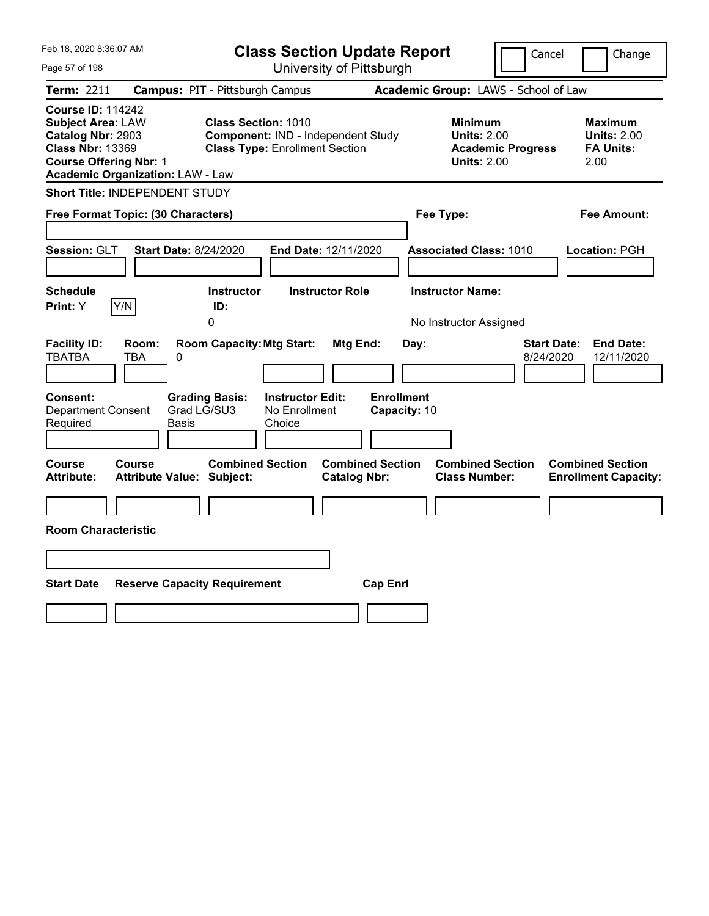| Feb 18, 2020 8:36:07 AM                                                                                                               |                                               |                                                                                                           | <b>Class Section Update Report</b>             |                                                            | Cancel                          | Change                                                           |
|---------------------------------------------------------------------------------------------------------------------------------------|-----------------------------------------------|-----------------------------------------------------------------------------------------------------------|------------------------------------------------|------------------------------------------------------------|---------------------------------|------------------------------------------------------------------|
| Page 57 of 198                                                                                                                        |                                               |                                                                                                           | University of Pittsburgh                       |                                                            |                                 |                                                                  |
| Term: 2211                                                                                                                            |                                               | <b>Campus: PIT - Pittsburgh Campus</b>                                                                    |                                                | Academic Group: LAWS - School of Law                       |                                 |                                                                  |
| <b>Course ID: 114242</b><br><b>Subject Area: LAW</b><br>Catalog Nbr: 2903<br><b>Class Nbr: 13369</b><br><b>Course Offering Nbr: 1</b> | <b>Academic Organization: LAW - Law</b>       | <b>Class Section: 1010</b><br>Component: IND - Independent Study<br><b>Class Type: Enrollment Section</b> |                                                | <b>Minimum</b><br><b>Units: 2.00</b><br><b>Units: 2.00</b> | <b>Academic Progress</b>        | <b>Maximum</b><br><b>Units: 2.00</b><br><b>FA Units:</b><br>2.00 |
|                                                                                                                                       | <b>Short Title: INDEPENDENT STUDY</b>         |                                                                                                           |                                                |                                                            |                                 |                                                                  |
|                                                                                                                                       | Free Format Topic: (30 Characters)            |                                                                                                           |                                                | Fee Type:                                                  |                                 | Fee Amount:                                                      |
| <b>Session: GLT</b><br><b>Schedule</b><br>Y/N<br>Print: Y                                                                             | <b>Start Date: 8/24/2020</b><br>ID:           | <b>Instructor</b>                                                                                         | End Date: 12/11/2020<br><b>Instructor Role</b> | <b>Associated Class: 1010</b><br><b>Instructor Name:</b>   |                                 | Location: PGH                                                    |
| <b>Facility ID:</b><br><b>TBATBA</b>                                                                                                  | 0<br>Room:<br>0<br>TBA                        | <b>Room Capacity: Mtg Start:</b>                                                                          | Mtg End:                                       | No Instructor Assigned<br>Day:                             | <b>Start Date:</b><br>8/24/2020 | <b>End Date:</b><br>12/11/2020                                   |
| Consent:<br><b>Department Consent</b><br>Required                                                                                     | <b>Grading Basis:</b><br>Grad LG/SU3<br>Basis | <b>Instructor Edit:</b><br>No Enrollment<br>Choice                                                        | <b>Enrollment</b><br>Capacity: 10              |                                                            |                                 |                                                                  |
| Course<br><b>Attribute:</b>                                                                                                           | <b>Course</b><br>Attribute Value: Subject:    | <b>Combined Section</b>                                                                                   | <b>Combined Section</b><br><b>Catalog Nbr:</b> | <b>Combined Section</b><br><b>Class Number:</b>            |                                 | <b>Combined Section</b><br><b>Enrollment Capacity:</b>           |
|                                                                                                                                       |                                               |                                                                                                           |                                                |                                                            |                                 |                                                                  |
| <b>Room Characteristic</b>                                                                                                            |                                               |                                                                                                           |                                                |                                                            |                                 |                                                                  |
|                                                                                                                                       |                                               |                                                                                                           |                                                |                                                            |                                 |                                                                  |
| <b>Start Date</b>                                                                                                                     | <b>Reserve Capacity Requirement</b>           |                                                                                                           | <b>Cap Enrl</b>                                |                                                            |                                 |                                                                  |
|                                                                                                                                       |                                               |                                                                                                           |                                                |                                                            |                                 |                                                                  |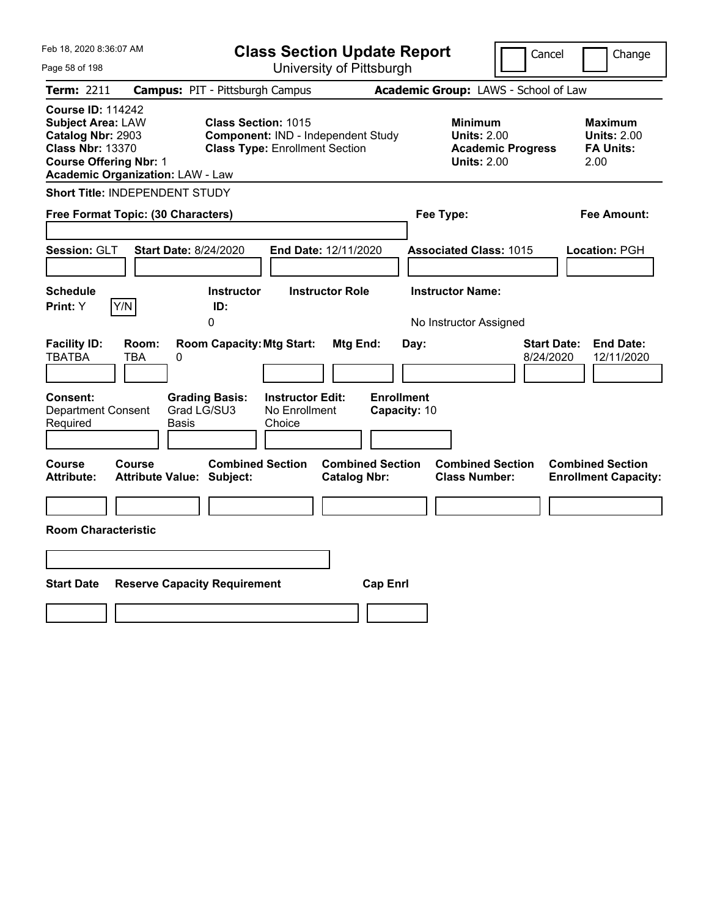| Feb 18, 2020 8:36:07 AM                                                                                                                                                          | <b>Class Section Update Report</b>                                                                                                                  | Cancel                                                                                                 | Change                                                           |
|----------------------------------------------------------------------------------------------------------------------------------------------------------------------------------|-----------------------------------------------------------------------------------------------------------------------------------------------------|--------------------------------------------------------------------------------------------------------|------------------------------------------------------------------|
| Page 58 of 198                                                                                                                                                                   | University of Pittsburgh                                                                                                                            |                                                                                                        |                                                                  |
| <b>Term: 2211</b>                                                                                                                                                                | <b>Campus: PIT - Pittsburgh Campus</b>                                                                                                              | Academic Group: LAWS - School of Law                                                                   |                                                                  |
| <b>Course ID: 114242</b><br><b>Subject Area: LAW</b><br>Catalog Nbr: 2903<br><b>Class Nbr: 13370</b><br><b>Course Offering Nbr: 1</b><br><b>Academic Organization: LAW - Law</b> | <b>Class Section: 1015</b><br>Component: IND - Independent Study<br><b>Class Type: Enrollment Section</b>                                           | <b>Minimum</b><br><b>Units: 2.00</b><br><b>Academic Progress</b><br><b>Units: 2.00</b>                 | <b>Maximum</b><br><b>Units: 2.00</b><br><b>FA Units:</b><br>2.00 |
| <b>Short Title: INDEPENDENT STUDY</b>                                                                                                                                            |                                                                                                                                                     |                                                                                                        |                                                                  |
| Free Format Topic: (30 Characters)                                                                                                                                               |                                                                                                                                                     | Fee Type:                                                                                              | Fee Amount:                                                      |
| Session: GLT<br><b>Schedule</b><br>Y/N<br><b>Print: Y</b>                                                                                                                        | <b>Start Date: 8/24/2020</b><br>End Date: 12/11/2020<br><b>Instructor</b><br><b>Instructor Role</b><br>ID:<br>0                                     | <b>Associated Class: 1015</b><br><b>Instructor Name:</b>                                               | Location: PGH                                                    |
| <b>Facility ID:</b><br>Room:<br><b>TBATBA</b><br>TBA<br>0<br>Consent:<br><b>Department Consent</b><br>Required                                                                   | <b>Room Capacity: Mtg Start:</b><br>Mtg End:<br><b>Grading Basis:</b><br><b>Instructor Edit:</b><br>Grad LG/SU3<br>No Enrollment<br>Basis<br>Choice | No Instructor Assigned<br><b>Start Date:</b><br>Day:<br>8/24/2020<br><b>Enrollment</b><br>Capacity: 10 | <b>End Date:</b><br>12/11/2020                                   |
| Course<br>Course<br><b>Attribute:</b>                                                                                                                                            | <b>Combined Section</b><br><b>Combined Section</b><br><b>Attribute Value: Subject:</b><br><b>Catalog Nbr:</b>                                       | <b>Combined Section</b><br><b>Class Number:</b>                                                        | <b>Combined Section</b><br><b>Enrollment Capacity:</b>           |
| <b>Room Characteristic</b>                                                                                                                                                       |                                                                                                                                                     |                                                                                                        |                                                                  |
|                                                                                                                                                                                  |                                                                                                                                                     |                                                                                                        |                                                                  |
| <b>Start Date</b>                                                                                                                                                                | <b>Reserve Capacity Requirement</b><br><b>Cap Enrl</b>                                                                                              |                                                                                                        |                                                                  |
|                                                                                                                                                                                  |                                                                                                                                                     |                                                                                                        |                                                                  |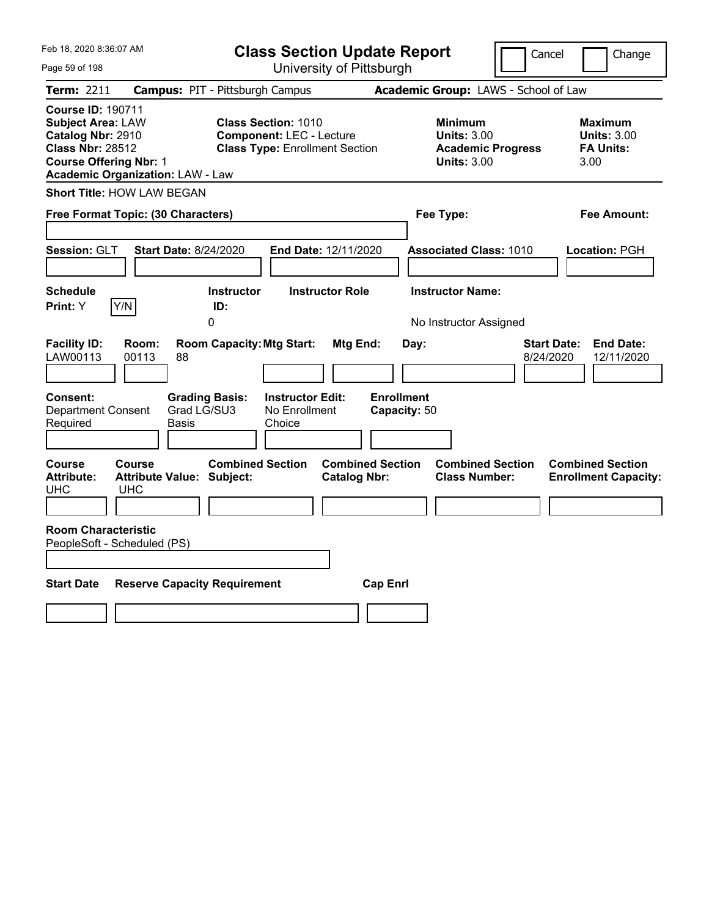| Feb 18, 2020 8:36:07 AM                                                                                                                                                          | <b>Class Section Update Report</b>                                                                                                         |                                                                                        | Cancel<br>Change                                                  |
|----------------------------------------------------------------------------------------------------------------------------------------------------------------------------------|--------------------------------------------------------------------------------------------------------------------------------------------|----------------------------------------------------------------------------------------|-------------------------------------------------------------------|
| Page 59 of 198                                                                                                                                                                   | University of Pittsburgh                                                                                                                   |                                                                                        |                                                                   |
| Term: 2211                                                                                                                                                                       | <b>Campus: PIT - Pittsburgh Campus</b>                                                                                                     | Academic Group: LAWS - School of Law                                                   |                                                                   |
| <b>Course ID: 190711</b><br><b>Subject Area: LAW</b><br>Catalog Nbr: 2910<br><b>Class Nbr: 28512</b><br><b>Course Offering Nbr: 1</b><br><b>Academic Organization: LAW - Law</b> | <b>Class Section: 1010</b><br><b>Component: LEC - Lecture</b><br><b>Class Type: Enrollment Section</b>                                     | <b>Minimum</b><br><b>Units: 3.00</b><br><b>Academic Progress</b><br><b>Units: 3.00</b> | <b>Maximum</b><br><b>Units: 3.00</b><br><b>FA Units:</b><br>3.00  |
| <b>Short Title: HOW LAW BEGAN</b>                                                                                                                                                |                                                                                                                                            |                                                                                        |                                                                   |
| Free Format Topic: (30 Characters)                                                                                                                                               |                                                                                                                                            | Fee Type:                                                                              | Fee Amount:                                                       |
| Session: GLT<br><b>Start Date: 8/24/2020</b><br><b>Schedule</b>                                                                                                                  | End Date: 12/11/2020<br><b>Instructor Role</b><br><b>Instructor</b>                                                                        | <b>Associated Class: 1010</b><br><b>Instructor Name:</b>                               | Location: PGH                                                     |
| Y/N<br>Print: Y                                                                                                                                                                  | ID:<br>0                                                                                                                                   | No Instructor Assigned                                                                 |                                                                   |
| <b>Facility ID:</b><br>Room:<br>LAW00113<br>00113<br>88<br>Consent:<br><b>Department Consent</b><br>Required<br>Basis                                                            | <b>Room Capacity: Mtg Start:</b><br>Mtg End:<br><b>Instructor Edit:</b><br><b>Grading Basis:</b><br>Grad LG/SU3<br>No Enrollment<br>Choice | Day:<br><b>Enrollment</b><br>Capacity: 50                                              | <b>End Date:</b><br><b>Start Date:</b><br>8/24/2020<br>12/11/2020 |
| Course<br><b>Course</b><br><b>Attribute:</b><br><b>Attribute Value: Subject:</b><br>UHC<br><b>UHC</b>                                                                            | <b>Combined Section</b><br><b>Combined Section</b><br><b>Catalog Nbr:</b>                                                                  | <b>Combined Section</b><br><b>Class Number:</b>                                        | <b>Combined Section</b><br><b>Enrollment Capacity:</b>            |
| <b>Room Characteristic</b><br>PeopleSoft - Scheduled (PS)                                                                                                                        |                                                                                                                                            |                                                                                        |                                                                   |
| <b>Start Date</b>                                                                                                                                                                | <b>Reserve Capacity Requirement</b>                                                                                                        | <b>Cap Enrl</b>                                                                        |                                                                   |
|                                                                                                                                                                                  |                                                                                                                                            |                                                                                        |                                                                   |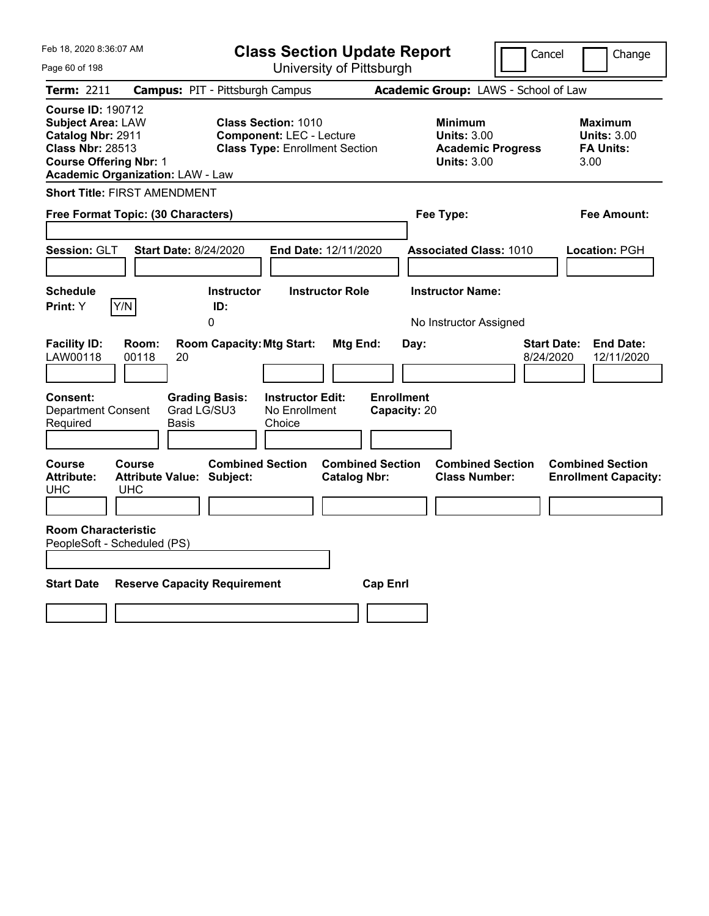| Feb 18, 2020 8:36:07 AM                                                                                                                                                                 | <b>Class Section Update Report</b>                                                                                                         |                                                                                               | Cancel<br>Change                                                  |
|-----------------------------------------------------------------------------------------------------------------------------------------------------------------------------------------|--------------------------------------------------------------------------------------------------------------------------------------------|-----------------------------------------------------------------------------------------------|-------------------------------------------------------------------|
| Page 60 of 198                                                                                                                                                                          | University of Pittsburgh                                                                                                                   |                                                                                               |                                                                   |
| Term: 2211                                                                                                                                                                              | <b>Campus: PIT - Pittsburgh Campus</b>                                                                                                     | Academic Group: LAWS - School of Law                                                          |                                                                   |
| <b>Course ID: 190712</b><br><b>Subject Area: LAW</b><br>Catalog Nbr: 2911<br><b>Class Nbr: 28513</b><br><b>Course Offering Nbr: 1</b><br><b>Academic Organization: LAW - Law</b>        | <b>Class Section: 1010</b><br><b>Component: LEC - Lecture</b><br><b>Class Type: Enrollment Section</b>                                     | <b>Minimum</b><br><b>Units: 3.00</b><br><b>Academic Progress</b><br><b>Units: 3.00</b>        | <b>Maximum</b><br><b>Units: 3.00</b><br><b>FA Units:</b><br>3.00  |
| <b>Short Title: FIRST AMENDMENT</b>                                                                                                                                                     |                                                                                                                                            |                                                                                               |                                                                   |
| Free Format Topic: (30 Characters)                                                                                                                                                      |                                                                                                                                            | Fee Type:                                                                                     | Fee Amount:                                                       |
| <b>Start Date: 8/24/2020</b><br>Session: GLT<br><b>Schedule</b><br>Y/N<br><b>Print:</b> Y                                                                                               | End Date: 12/11/2020<br><b>Instructor Role</b><br><b>Instructor</b><br>ID:<br>0                                                            | <b>Associated Class: 1010</b><br><b>Instructor Name:</b><br>No Instructor Assigned            | Location: PGH                                                     |
| <b>Facility ID:</b><br>Room:<br>LAW00118<br>00118<br>20<br>Consent:<br><b>Department Consent</b><br>Required<br>Basis                                                                   | <b>Room Capacity: Mtg Start:</b><br>Mtg End:<br><b>Grading Basis:</b><br><b>Instructor Edit:</b><br>Grad LG/SU3<br>No Enrollment<br>Choice | Day:<br><b>Enrollment</b><br>Capacity: 20                                                     | <b>Start Date:</b><br><b>End Date:</b><br>8/24/2020<br>12/11/2020 |
| Course<br>Course<br><b>Attribute:</b><br><b>Attribute Value: Subject:</b><br><b>UHC</b><br><b>UHC</b><br><b>Room Characteristic</b><br>PeopleSoft - Scheduled (PS)<br><b>Start Date</b> | <b>Combined Section</b><br><b>Catalog Nbr:</b><br><b>Reserve Capacity Requirement</b>                                                      | <b>Combined Section</b><br><b>Combined Section</b><br><b>Class Number:</b><br><b>Cap Enrl</b> | <b>Combined Section</b><br><b>Enrollment Capacity:</b>            |
|                                                                                                                                                                                         |                                                                                                                                            |                                                                                               |                                                                   |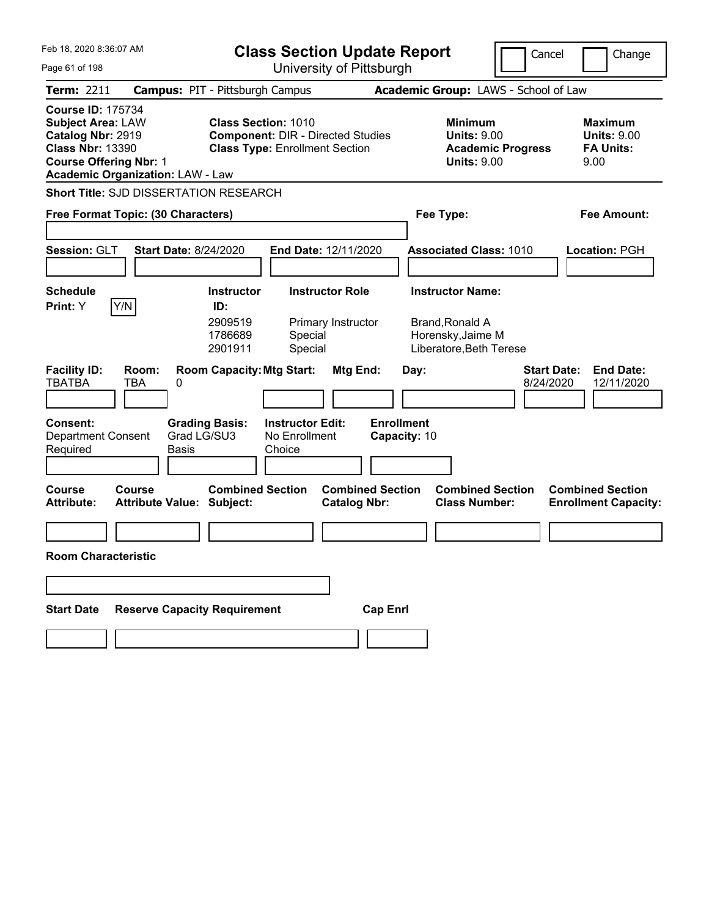| Feb 18, 2020 8:36:07 AM                                                                                                               |                                            |                                                                                                                 | <b>Class Section Update Report</b><br>Cancel       |                                                |                   | Change       |                                                                        |                          |                                 |                                                                  |
|---------------------------------------------------------------------------------------------------------------------------------------|--------------------------------------------|-----------------------------------------------------------------------------------------------------------------|----------------------------------------------------|------------------------------------------------|-------------------|--------------|------------------------------------------------------------------------|--------------------------|---------------------------------|------------------------------------------------------------------|
| Page 61 of 198                                                                                                                        |                                            |                                                                                                                 | University of Pittsburgh                           |                                                |                   |              |                                                                        |                          |                                 |                                                                  |
| Term: 2211                                                                                                                            | <b>Campus: PIT - Pittsburgh Campus</b>     |                                                                                                                 |                                                    |                                                |                   |              | Academic Group: LAWS - School of Law                                   |                          |                                 |                                                                  |
| <b>Course ID: 175734</b><br><b>Subject Area: LAW</b><br>Catalog Nbr: 2919<br><b>Class Nbr: 13390</b><br><b>Course Offering Nbr: 1</b> | <b>Academic Organization: LAW - Law</b>    | <b>Class Section: 1010</b><br><b>Component: DIR - Directed Studies</b><br><b>Class Type: Enrollment Section</b> |                                                    |                                                |                   |              | <b>Minimum</b><br><b>Units: 9.00</b><br><b>Units: 9.00</b>             | <b>Academic Progress</b> |                                 | <b>Maximum</b><br><b>Units: 9.00</b><br><b>FA Units:</b><br>9.00 |
|                                                                                                                                       | Short Title: SJD DISSERTATION RESEARCH     |                                                                                                                 |                                                    |                                                |                   |              |                                                                        |                          |                                 |                                                                  |
|                                                                                                                                       | Free Format Topic: (30 Characters)         |                                                                                                                 |                                                    |                                                |                   |              | Fee Type:                                                              |                          |                                 | Fee Amount:                                                      |
|                                                                                                                                       |                                            |                                                                                                                 |                                                    |                                                |                   |              |                                                                        |                          |                                 |                                                                  |
| Session: GLT                                                                                                                          | <b>Start Date: 8/24/2020</b>               |                                                                                                                 | End Date: 12/11/2020                               |                                                |                   |              | <b>Associated Class: 1010</b>                                          |                          |                                 | Location: PGH                                                    |
|                                                                                                                                       |                                            |                                                                                                                 |                                                    |                                                |                   |              |                                                                        |                          |                                 |                                                                  |
| <b>Schedule</b>                                                                                                                       |                                            | <b>Instructor</b>                                                                                               |                                                    | <b>Instructor Role</b>                         |                   |              | <b>Instructor Name:</b>                                                |                          |                                 |                                                                  |
| Y/N<br>Print: Y                                                                                                                       |                                            | ID:<br>2909519<br>1786689<br>2901911                                                                            | Special<br>Special                                 | Primary Instructor                             |                   |              | <b>Brand, Ronald A</b><br>Horensky, Jaime M<br>Liberatore, Beth Terese |                          |                                 |                                                                  |
| <b>Facility ID:</b><br><b>TBATBA</b>                                                                                                  | Room:<br>TBA<br>0                          | <b>Room Capacity: Mtg Start:</b>                                                                                |                                                    | Mtg End:                                       |                   | Day:         |                                                                        |                          | <b>Start Date:</b><br>8/24/2020 | <b>End Date:</b><br>12/11/2020                                   |
| <b>Consent:</b><br><b>Department Consent</b><br>Required                                                                              | Grad LG/SU3<br>Basis                       | <b>Grading Basis:</b>                                                                                           | <b>Instructor Edit:</b><br>No Enrollment<br>Choice |                                                | <b>Enrollment</b> | Capacity: 10 |                                                                        |                          |                                 |                                                                  |
| <b>Course</b><br><b>Attribute:</b>                                                                                                    | Course<br><b>Attribute Value: Subject:</b> | <b>Combined Section</b>                                                                                         |                                                    | <b>Combined Section</b><br><b>Catalog Nbr:</b> |                   |              | <b>Combined Section</b><br><b>Class Number:</b>                        |                          |                                 | <b>Combined Section</b><br><b>Enrollment Capacity:</b>           |
|                                                                                                                                       |                                            |                                                                                                                 |                                                    |                                                |                   |              |                                                                        |                          |                                 |                                                                  |
| <b>Room Characteristic</b>                                                                                                            |                                            |                                                                                                                 |                                                    |                                                |                   |              |                                                                        |                          |                                 |                                                                  |
|                                                                                                                                       |                                            |                                                                                                                 |                                                    |                                                |                   |              |                                                                        |                          |                                 |                                                                  |
| <b>Start Date</b>                                                                                                                     | <b>Reserve Capacity Requirement</b>        |                                                                                                                 |                                                    |                                                | <b>Cap Enrl</b>   |              |                                                                        |                          |                                 |                                                                  |
|                                                                                                                                       |                                            |                                                                                                                 |                                                    |                                                |                   |              |                                                                        |                          |                                 |                                                                  |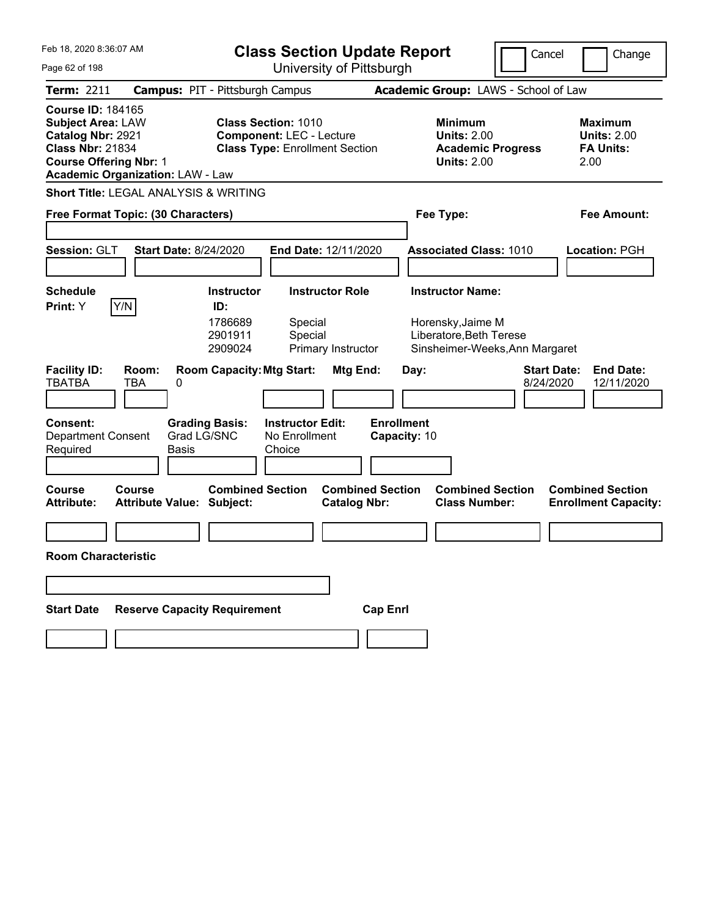| Feb 18, 2020 8:36:07 AM                                                                                                                                                          | <b>Class Section Update Report</b><br>Cancel<br>Change                                                                           |                                                                                                                           |                                                                  |  |
|----------------------------------------------------------------------------------------------------------------------------------------------------------------------------------|----------------------------------------------------------------------------------------------------------------------------------|---------------------------------------------------------------------------------------------------------------------------|------------------------------------------------------------------|--|
| Page 62 of 198                                                                                                                                                                   | University of Pittsburgh                                                                                                         |                                                                                                                           |                                                                  |  |
| <b>Term: 2211</b>                                                                                                                                                                | <b>Campus: PIT - Pittsburgh Campus</b>                                                                                           | Academic Group: LAWS - School of Law                                                                                      |                                                                  |  |
| <b>Course ID: 184165</b><br><b>Subject Area: LAW</b><br>Catalog Nbr: 2921<br><b>Class Nbr: 21834</b><br><b>Course Offering Nbr: 1</b><br><b>Academic Organization: LAW - Law</b> | <b>Class Section: 1010</b><br><b>Component: LEC - Lecture</b><br><b>Class Type: Enrollment Section</b>                           | <b>Minimum</b><br><b>Units: 2.00</b><br><b>Academic Progress</b><br><b>Units: 2.00</b>                                    | <b>Maximum</b><br><b>Units: 2.00</b><br><b>FA Units:</b><br>2.00 |  |
| Short Title: LEGAL ANALYSIS & WRITING                                                                                                                                            |                                                                                                                                  |                                                                                                                           |                                                                  |  |
| Free Format Topic: (30 Characters)                                                                                                                                               |                                                                                                                                  | Fee Type:                                                                                                                 | Fee Amount:                                                      |  |
|                                                                                                                                                                                  |                                                                                                                                  |                                                                                                                           |                                                                  |  |
| Session: GLT<br><b>Start Date: 8/24/2020</b>                                                                                                                                     | End Date: 12/11/2020                                                                                                             | <b>Associated Class: 1010</b>                                                                                             | Location: PGH                                                    |  |
|                                                                                                                                                                                  |                                                                                                                                  |                                                                                                                           |                                                                  |  |
| <b>Schedule</b>                                                                                                                                                                  | <b>Instructor Role</b><br><b>Instructor</b>                                                                                      | <b>Instructor Name:</b>                                                                                                   |                                                                  |  |
| Y/N<br><b>Print:</b> Y<br><b>Facility ID:</b><br>Room:<br><b>TBATBA</b><br><b>TBA</b><br>0                                                                                       | ID:<br>1786689<br>Special<br>2901911<br>Special<br>2909024<br>Primary Instructor<br><b>Room Capacity: Mtg Start:</b><br>Mtg End: | Horensky, Jaime M<br>Liberatore, Beth Terese<br>Sinsheimer-Weeks, Ann Margaret<br><b>Start Date:</b><br>Day:<br>8/24/2020 | <b>End Date:</b><br>12/11/2020                                   |  |
|                                                                                                                                                                                  |                                                                                                                                  |                                                                                                                           |                                                                  |  |
| <b>Consent:</b><br><b>Grading Basis:</b><br>Grad LG/SNC<br><b>Department Consent</b><br>Required<br>Basis                                                                        | <b>Enrollment</b><br><b>Instructor Edit:</b><br>No Enrollment<br>Choice                                                          | Capacity: 10                                                                                                              |                                                                  |  |
| <b>Course</b><br>Course<br><b>Attribute:</b><br><b>Attribute Value: Subject:</b>                                                                                                 | <b>Combined Section</b><br><b>Combined Section</b><br><b>Catalog Nbr:</b>                                                        | <b>Combined Section</b><br><b>Class Number:</b>                                                                           | <b>Combined Section</b><br><b>Enrollment Capacity:</b>           |  |
|                                                                                                                                                                                  |                                                                                                                                  |                                                                                                                           |                                                                  |  |
| <b>Room Characteristic</b>                                                                                                                                                       |                                                                                                                                  |                                                                                                                           |                                                                  |  |
|                                                                                                                                                                                  |                                                                                                                                  |                                                                                                                           |                                                                  |  |
| <b>Reserve Capacity Requirement</b><br><b>Start Date</b>                                                                                                                         | <b>Cap Enrl</b>                                                                                                                  |                                                                                                                           |                                                                  |  |
|                                                                                                                                                                                  |                                                                                                                                  |                                                                                                                           |                                                                  |  |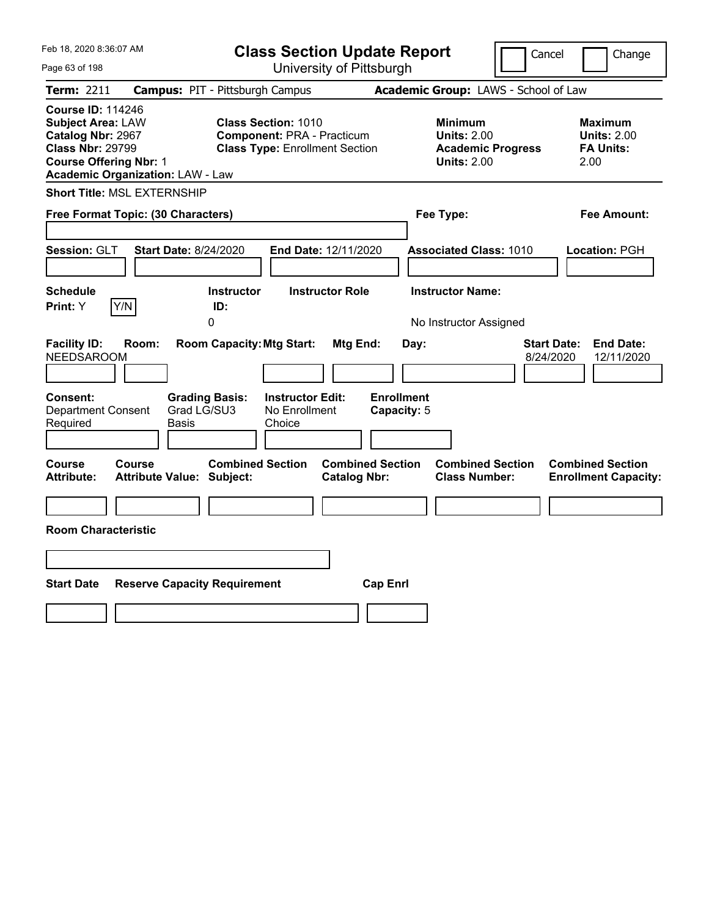| Feb 18, 2020 8:36:07 AM                                                                                                                                                          | <b>Class Section Update Report</b><br>Cancel<br>Change<br>University of Pittsburgh                       |                                                                        |                                 |                                                                  |
|----------------------------------------------------------------------------------------------------------------------------------------------------------------------------------|----------------------------------------------------------------------------------------------------------|------------------------------------------------------------------------|---------------------------------|------------------------------------------------------------------|
| Page 63 of 198                                                                                                                                                                   |                                                                                                          |                                                                        |                                 |                                                                  |
| Term: 2211                                                                                                                                                                       | <b>Campus: PIT - Pittsburgh Campus</b>                                                                   | Academic Group: LAWS - School of Law                                   |                                 |                                                                  |
| <b>Course ID: 114246</b><br><b>Subject Area: LAW</b><br>Catalog Nbr: 2967<br><b>Class Nbr: 29799</b><br><b>Course Offering Nbr: 1</b><br><b>Academic Organization: LAW - Law</b> | <b>Class Section: 1010</b><br><b>Component: PRA - Practicum</b><br><b>Class Type: Enrollment Section</b> | <b>Minimum</b><br><b>Units: 2.00</b><br><b>Units: 2.00</b>             | <b>Academic Progress</b>        | <b>Maximum</b><br><b>Units: 2.00</b><br><b>FA Units:</b><br>2.00 |
| <b>Short Title: MSL EXTERNSHIP</b>                                                                                                                                               |                                                                                                          |                                                                        |                                 |                                                                  |
| Free Format Topic: (30 Characters)                                                                                                                                               |                                                                                                          | Fee Type:                                                              |                                 | Fee Amount:                                                      |
| Session: GLT<br><b>Start Date: 8/24/2020</b>                                                                                                                                     | End Date: 12/11/2020                                                                                     | <b>Associated Class: 1010</b>                                          |                                 | Location: PGH                                                    |
| <b>Schedule</b><br>Y/N<br><b>Print:</b> Y                                                                                                                                        | <b>Instructor Role</b><br><b>Instructor</b><br>ID:<br>0                                                  | <b>Instructor Name:</b><br>No Instructor Assigned                      |                                 |                                                                  |
| <b>Facility ID:</b><br>Room:<br><b>NEEDSAROOM</b>                                                                                                                                | <b>Room Capacity: Mtg Start:</b>                                                                         | <b>Mtg End:</b><br>Day:                                                | <b>Start Date:</b><br>8/24/2020 | <b>End Date:</b><br>12/11/2020                                   |
| Consent:<br><b>Grading Basis:</b><br>Grad LG/SU3<br><b>Department Consent</b><br>Required<br>Basis                                                                               | <b>Instructor Edit:</b><br>No Enrollment<br>Choice                                                       | <b>Enrollment</b><br>Capacity: 5                                       |                                 |                                                                  |
| Course<br>Course<br><b>Attribute Value: Subject:</b><br><b>Attribute:</b>                                                                                                        | <b>Combined Section</b>                                                                                  | <b>Combined Section</b><br><b>Catalog Nbr:</b><br><b>Class Number:</b> | <b>Combined Section</b>         | <b>Combined Section</b><br><b>Enrollment Capacity:</b>           |
|                                                                                                                                                                                  |                                                                                                          |                                                                        |                                 |                                                                  |
| <b>Room Characteristic</b>                                                                                                                                                       |                                                                                                          |                                                                        |                                 |                                                                  |
|                                                                                                                                                                                  |                                                                                                          |                                                                        |                                 |                                                                  |
| <b>Start Date</b><br><b>Reserve Capacity Requirement</b>                                                                                                                         |                                                                                                          | <b>Cap Enrl</b>                                                        |                                 |                                                                  |
|                                                                                                                                                                                  |                                                                                                          |                                                                        |                                 |                                                                  |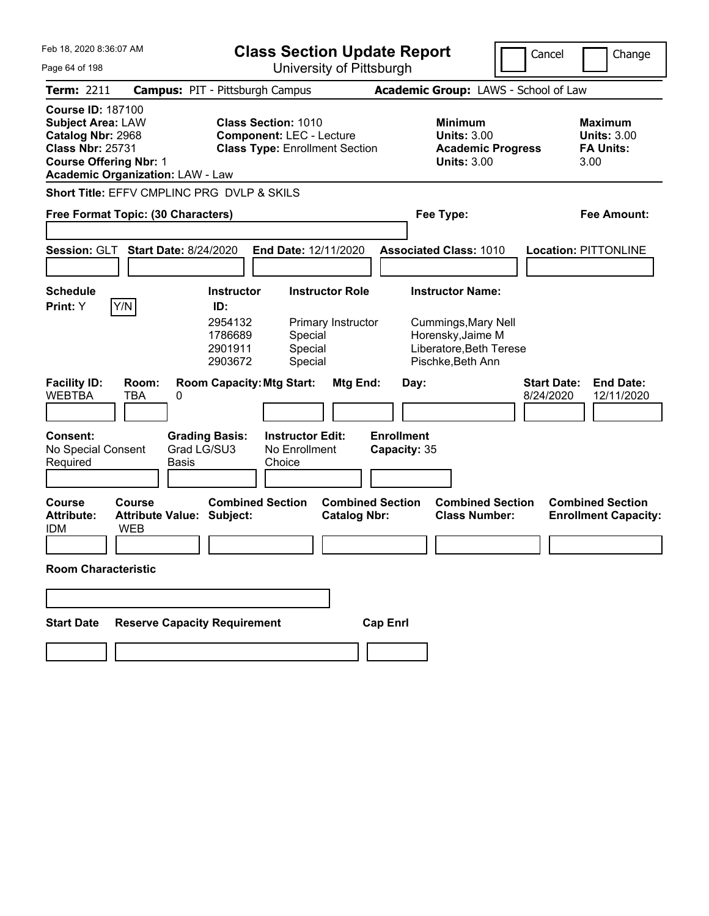| Feb 18, 2020 8:36:07 AM<br>Page 64 of 198                                                                                             |                                                          |                                                                                                        | <b>Class Section Update Report</b><br>University of Pittsburgh |                                                                                                                     | Cancel                          | Change                                                           |
|---------------------------------------------------------------------------------------------------------------------------------------|----------------------------------------------------------|--------------------------------------------------------------------------------------------------------|----------------------------------------------------------------|---------------------------------------------------------------------------------------------------------------------|---------------------------------|------------------------------------------------------------------|
| Term: 2211                                                                                                                            |                                                          | <b>Campus: PIT - Pittsburgh Campus</b>                                                                 |                                                                | Academic Group: LAWS - School of Law                                                                                |                                 |                                                                  |
| <b>Course ID: 187100</b><br><b>Subject Area: LAW</b><br>Catalog Nbr: 2968<br><b>Class Nbr: 25731</b><br><b>Course Offering Nbr: 1</b> | <b>Academic Organization: LAW - Law</b>                  | <b>Class Section: 1010</b><br><b>Component: LEC - Lecture</b><br><b>Class Type: Enrollment Section</b> |                                                                | <b>Minimum</b><br><b>Units: 3.00</b><br><b>Academic Progress</b><br><b>Units: 3.00</b>                              |                                 | <b>Maximum</b><br><b>Units: 3.00</b><br><b>FA Units:</b><br>3.00 |
|                                                                                                                                       | Short Title: EFFV CMPLINC PRG DVLP & SKILS               |                                                                                                        |                                                                |                                                                                                                     |                                 |                                                                  |
|                                                                                                                                       | Free Format Topic: (30 Characters)                       |                                                                                                        |                                                                | Fee Type:                                                                                                           |                                 | <b>Fee Amount:</b>                                               |
| Session: GLT                                                                                                                          | <b>Start Date: 8/24/2020</b>                             | End Date: 12/11/2020                                                                                   |                                                                | <b>Associated Class: 1010</b>                                                                                       |                                 | <b>Location: PITTONLINE</b>                                      |
| Schedule<br><b>Print:</b> Y                                                                                                           | Y/N                                                      | <b>Instructor</b><br>ID:<br>2954132<br>1786689<br>Special<br>Special<br>2901911<br>2903672<br>Special  | <b>Instructor Role</b><br>Primary Instructor                   | <b>Instructor Name:</b><br>Cummings, Mary Nell<br>Horensky, Jaime M<br>Liberatore, Beth Terese<br>Pischke, Beth Ann |                                 |                                                                  |
| <b>Facility ID:</b><br><b>WEBTBA</b>                                                                                                  | Room:<br>TBA<br>0                                        | <b>Room Capacity: Mtg Start:</b>                                                                       | Mtg End:                                                       | Day:                                                                                                                | <b>Start Date:</b><br>8/24/2020 | <b>End Date:</b><br>12/11/2020                                   |
| <b>Consent:</b><br>No Special Consent<br>Required                                                                                     | <b>Grading Basis:</b><br>Grad LG/SU3<br>Basis            | <b>Instructor Edit:</b><br>No Enrollment<br>Choice                                                     | <b>Enrollment</b>                                              | Capacity: 35                                                                                                        |                                 |                                                                  |
| <b>Course</b><br><b>Attribute:</b><br><b>IDM</b>                                                                                      | Course<br><b>Attribute Value: Subject:</b><br><b>WEB</b> | <b>Combined Section</b>                                                                                | <b>Combined Section</b><br><b>Catalog Nbr:</b>                 | <b>Combined Section</b><br><b>Class Number:</b>                                                                     |                                 | <b>Combined Section</b><br><b>Enrollment Capacity:</b>           |
| <b>Room Characteristic</b>                                                                                                            |                                                          |                                                                                                        |                                                                |                                                                                                                     |                                 |                                                                  |
|                                                                                                                                       |                                                          |                                                                                                        |                                                                |                                                                                                                     |                                 |                                                                  |
| <b>Start Date</b>                                                                                                                     | <b>Reserve Capacity Requirement</b>                      |                                                                                                        | <b>Cap Enrl</b>                                                |                                                                                                                     |                                 |                                                                  |
|                                                                                                                                       |                                                          |                                                                                                        |                                                                |                                                                                                                     |                                 |                                                                  |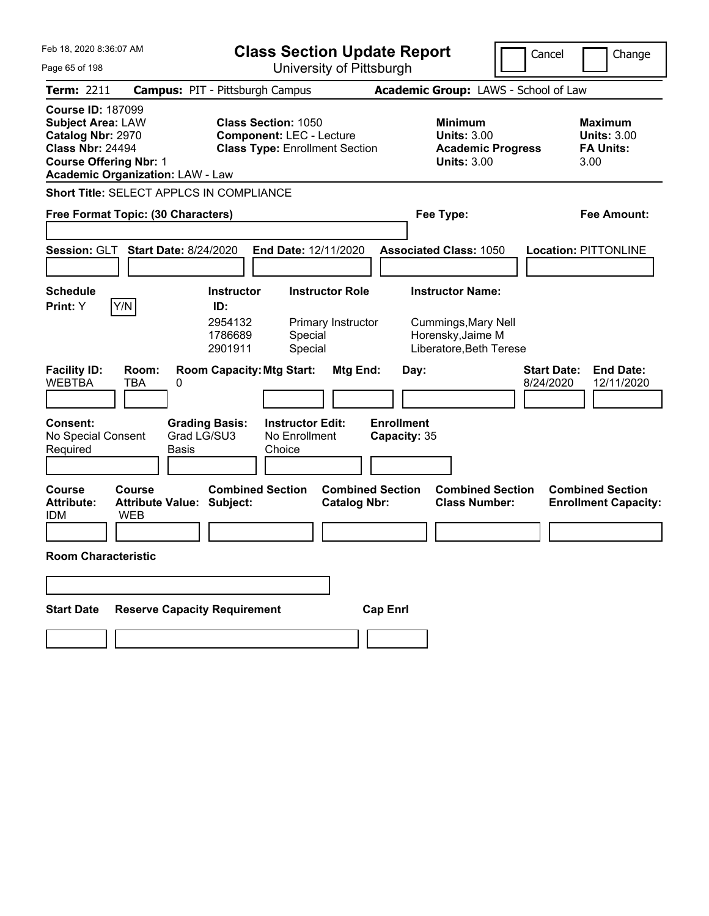| Feb 18, 2020 8:36:07 AM                                                                                                                                                          | <b>Class Section Update Report</b>                                                                     |                                                                                        | Cancel<br>Change                                                  |
|----------------------------------------------------------------------------------------------------------------------------------------------------------------------------------|--------------------------------------------------------------------------------------------------------|----------------------------------------------------------------------------------------|-------------------------------------------------------------------|
| Page 65 of 198                                                                                                                                                                   | University of Pittsburgh                                                                               |                                                                                        |                                                                   |
| <b>Term: 2211</b>                                                                                                                                                                | <b>Campus: PIT - Pittsburgh Campus</b>                                                                 | Academic Group: LAWS - School of Law                                                   |                                                                   |
| <b>Course ID: 187099</b><br><b>Subject Area: LAW</b><br>Catalog Nbr: 2970<br><b>Class Nbr: 24494</b><br><b>Course Offering Nbr: 1</b><br><b>Academic Organization: LAW - Law</b> | <b>Class Section: 1050</b><br><b>Component: LEC - Lecture</b><br><b>Class Type: Enrollment Section</b> | <b>Minimum</b><br><b>Units: 3.00</b><br><b>Academic Progress</b><br><b>Units: 3.00</b> | <b>Maximum</b><br><b>Units: 3.00</b><br><b>FA Units:</b><br>3.00  |
| <b>Short Title: SELECT APPLCS IN COMPLIANCE</b>                                                                                                                                  |                                                                                                        |                                                                                        |                                                                   |
| Free Format Topic: (30 Characters)                                                                                                                                               |                                                                                                        | Fee Type:                                                                              | Fee Amount:                                                       |
|                                                                                                                                                                                  |                                                                                                        |                                                                                        |                                                                   |
| Session: GLT<br><b>Start Date: 8/24/2020</b>                                                                                                                                     | <b>End Date: 12/11/2020</b>                                                                            | <b>Associated Class: 1050</b>                                                          | <b>Location: PITTONLINE</b>                                       |
| Schedule                                                                                                                                                                         | <b>Instructor Role</b><br><b>Instructor</b>                                                            | <b>Instructor Name:</b>                                                                |                                                                   |
| Y/N<br><b>Print:</b> Y                                                                                                                                                           | ID:                                                                                                    |                                                                                        |                                                                   |
|                                                                                                                                                                                  | 2954132<br>Primary Instructor<br>1786689<br>Special<br>2901911<br>Special                              | Cummings, Mary Nell<br>Horensky, Jaime M<br>Liberatore, Beth Terese                    |                                                                   |
| <b>Facility ID:</b><br>Room:<br><b>WEBTBA</b><br><b>TBA</b><br>0                                                                                                                 | <b>Room Capacity: Mtg Start:</b><br>Mtg End:                                                           | Day:                                                                                   | <b>Start Date:</b><br><b>End Date:</b><br>8/24/2020<br>12/11/2020 |
| Consent:<br>Grad LG/SU3<br>No Special Consent<br>Required<br>Basis                                                                                                               | <b>Grading Basis:</b><br><b>Instructor Edit:</b><br>No Enrollment<br>Choice                            | <b>Enrollment</b><br>Capacity: 35                                                      |                                                                   |
|                                                                                                                                                                                  |                                                                                                        |                                                                                        |                                                                   |
| <b>Course</b><br>Course<br><b>Attribute Value: Subject:</b><br><b>Attribute:</b><br><b>WEB</b><br><b>IDM</b>                                                                     | <b>Combined Section</b><br><b>Combined Section</b><br><b>Catalog Nbr:</b>                              | <b>Combined Section</b><br><b>Class Number:</b>                                        | <b>Combined Section</b><br><b>Enrollment Capacity:</b>            |
|                                                                                                                                                                                  |                                                                                                        |                                                                                        |                                                                   |
| <b>Room Characteristic</b>                                                                                                                                                       |                                                                                                        |                                                                                        |                                                                   |
|                                                                                                                                                                                  |                                                                                                        |                                                                                        |                                                                   |
| <b>Reserve Capacity Requirement</b><br><b>Start Date</b>                                                                                                                         |                                                                                                        | <b>Cap Enrl</b>                                                                        |                                                                   |
|                                                                                                                                                                                  |                                                                                                        |                                                                                        |                                                                   |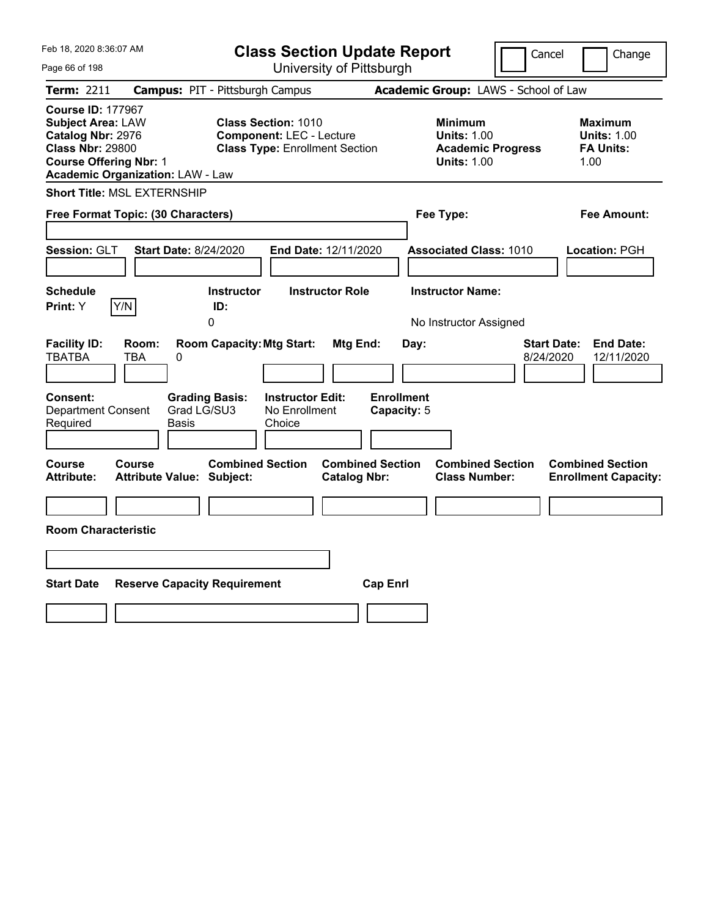| Feb 18, 2020 8:36:07 AM<br>Page 66 of 198                                                                                                                                        | <b>Class Section Update Report</b><br>University of Pittsburgh                                         | Cancel<br>Change                                                                       |                                                                   |
|----------------------------------------------------------------------------------------------------------------------------------------------------------------------------------|--------------------------------------------------------------------------------------------------------|----------------------------------------------------------------------------------------|-------------------------------------------------------------------|
| Term: 2211                                                                                                                                                                       | <b>Campus: PIT - Pittsburgh Campus</b>                                                                 | Academic Group: LAWS - School of Law                                                   |                                                                   |
| <b>Course ID: 177967</b><br><b>Subject Area: LAW</b><br>Catalog Nbr: 2976<br><b>Class Nbr: 29800</b><br><b>Course Offering Nbr: 1</b><br><b>Academic Organization: LAW - Law</b> | <b>Class Section: 1010</b><br><b>Component: LEC - Lecture</b><br><b>Class Type: Enrollment Section</b> | <b>Minimum</b><br><b>Units: 1.00</b><br><b>Academic Progress</b><br><b>Units: 1.00</b> | <b>Maximum</b><br><b>Units: 1.00</b><br><b>FA Units:</b><br>1.00  |
| <b>Short Title: MSL EXTERNSHIP</b>                                                                                                                                               |                                                                                                        |                                                                                        |                                                                   |
| Free Format Topic: (30 Characters)                                                                                                                                               |                                                                                                        | Fee Type:                                                                              | Fee Amount:                                                       |
| <b>Start Date: 8/24/2020</b><br>Session: GLT                                                                                                                                     | End Date: 12/11/2020                                                                                   | <b>Associated Class: 1010</b>                                                          | Location: PGH                                                     |
| <b>Schedule</b><br>Y/N<br>Print: Y                                                                                                                                               | <b>Instructor Role</b><br><b>Instructor</b><br>ID:<br>0                                                | <b>Instructor Name:</b><br>No Instructor Assigned                                      |                                                                   |
| <b>Facility ID:</b><br>Room:<br><b>TBATBA</b><br>TBA<br>0                                                                                                                        | <b>Room Capacity: Mtg Start:</b><br>Mtg End:                                                           | Day:                                                                                   | <b>End Date:</b><br><b>Start Date:</b><br>8/24/2020<br>12/11/2020 |
| <b>Consent:</b><br><b>Grading Basis:</b><br>Grad LG/SU3<br><b>Department Consent</b><br>Required<br>Basis                                                                        | <b>Instructor Edit:</b><br>No Enrollment<br>Choice                                                     | <b>Enrollment</b><br>Capacity: 5                                                       |                                                                   |
| <b>Course</b><br><b>Course</b><br><b>Attribute:</b><br><b>Attribute Value: Subject:</b>                                                                                          | <b>Combined Section</b><br><b>Combined Section</b><br><b>Catalog Nbr:</b>                              | <b>Combined Section</b><br><b>Class Number:</b>                                        | <b>Combined Section</b><br><b>Enrollment Capacity:</b>            |
|                                                                                                                                                                                  |                                                                                                        |                                                                                        |                                                                   |
| <b>Room Characteristic</b>                                                                                                                                                       |                                                                                                        |                                                                                        |                                                                   |
|                                                                                                                                                                                  |                                                                                                        |                                                                                        |                                                                   |
| <b>Start Date</b><br><b>Reserve Capacity Requirement</b>                                                                                                                         |                                                                                                        | <b>Cap Enrl</b>                                                                        |                                                                   |
|                                                                                                                                                                                  |                                                                                                        |                                                                                        |                                                                   |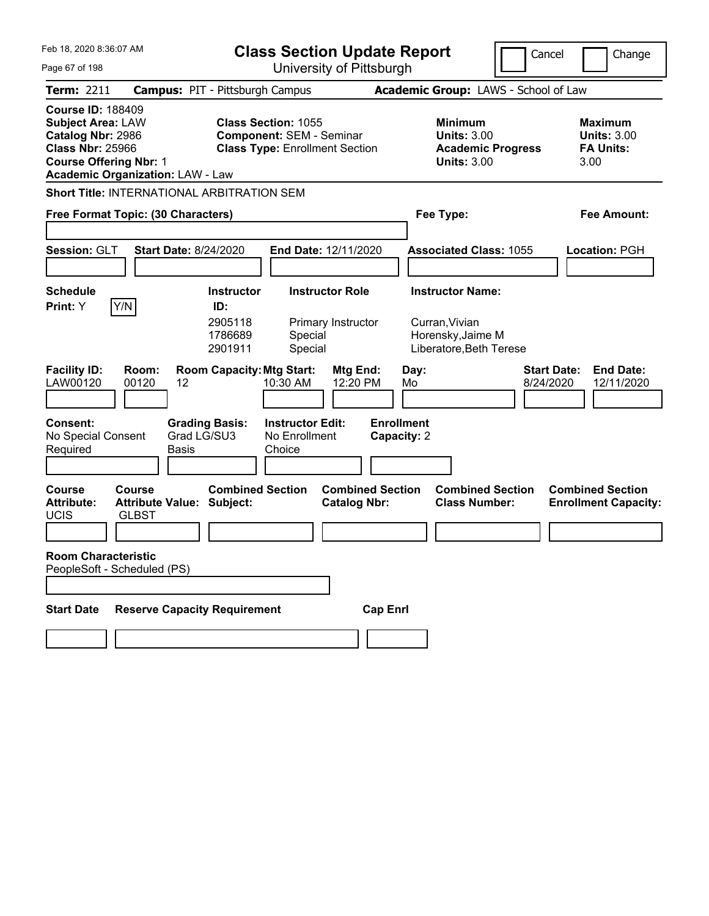| Feb 18. 2020 8:36:07 AM                                                                                                                                                          | <b>Class Section Update Report</b><br>Cancel<br>Change                                                 |                                                                                        |                                                                  |
|----------------------------------------------------------------------------------------------------------------------------------------------------------------------------------|--------------------------------------------------------------------------------------------------------|----------------------------------------------------------------------------------------|------------------------------------------------------------------|
| Page 67 of 198                                                                                                                                                                   | University of Pittsburgh                                                                               |                                                                                        |                                                                  |
| Term: 2211                                                                                                                                                                       | <b>Campus: PIT - Pittsburgh Campus</b>                                                                 | Academic Group: LAWS - School of Law                                                   |                                                                  |
| <b>Course ID: 188409</b><br><b>Subject Area: LAW</b><br>Catalog Nbr: 2986<br><b>Class Nbr: 25966</b><br><b>Course Offering Nbr: 1</b><br><b>Academic Organization: LAW - Law</b> | <b>Class Section: 1055</b><br><b>Component: SEM - Seminar</b><br><b>Class Type: Enrollment Section</b> | <b>Minimum</b><br><b>Units: 3.00</b><br><b>Academic Progress</b><br><b>Units: 3.00</b> | <b>Maximum</b><br><b>Units: 3.00</b><br><b>FA Units:</b><br>3.00 |
| <b>Short Title: INTERNATIONAL ARBITRATION SEM</b>                                                                                                                                |                                                                                                        |                                                                                        |                                                                  |
| Free Format Topic: (30 Characters)                                                                                                                                               |                                                                                                        | Fee Type:                                                                              | Fee Amount:                                                      |
|                                                                                                                                                                                  |                                                                                                        |                                                                                        |                                                                  |
| Session: GLT<br><b>Start Date: 8/24/2020</b>                                                                                                                                     | End Date: 12/11/2020                                                                                   | <b>Associated Class: 1055</b>                                                          | Location: PGH                                                    |
|                                                                                                                                                                                  |                                                                                                        |                                                                                        |                                                                  |
| <b>Schedule</b><br>Y/N<br>Print: Y                                                                                                                                               | <b>Instructor Role</b><br><b>Instructor</b><br>ID:                                                     | <b>Instructor Name:</b>                                                                |                                                                  |
|                                                                                                                                                                                  | 2905118<br>Primary Instructor<br>1786689<br>Special<br>2901911<br>Special                              | Curran, Vivian<br>Horensky, Jaime M<br>Liberatore, Beth Terese                         |                                                                  |
| <b>Facility ID:</b><br>Room:<br>LAW00120<br>00120<br>12                                                                                                                          | <b>Room Capacity: Mtg Start:</b><br>Mtg End:<br>12:20 PM<br>10:30 AM                                   | Day:<br>8/24/2020<br>Mo                                                                | <b>Start Date:</b><br><b>End Date:</b><br>12/11/2020             |
| <b>Consent:</b><br>No Special Consent<br>Required<br>Basis                                                                                                                       | <b>Instructor Edit:</b><br><b>Grading Basis:</b><br>Grad LG/SU3<br>No Enrollment<br>Choice             | <b>Enrollment</b><br>Capacity: 2                                                       |                                                                  |
| <b>Course</b><br>Course<br><b>Attribute:</b><br><b>Attribute Value: Subject:</b><br><b>UCIS</b><br><b>GLBST</b>                                                                  | <b>Combined Section</b><br><b>Combined Section</b><br><b>Catalog Nbr:</b>                              | <b>Combined Section</b><br><b>Class Number:</b>                                        | <b>Combined Section</b><br><b>Enrollment Capacity:</b>           |
| <b>Room Characteristic</b>                                                                                                                                                       |                                                                                                        |                                                                                        |                                                                  |
| PeopleSoft - Scheduled (PS)                                                                                                                                                      |                                                                                                        |                                                                                        |                                                                  |
| <b>Reserve Capacity Requirement</b><br><b>Start Date</b>                                                                                                                         | <b>Cap Enrl</b>                                                                                        |                                                                                        |                                                                  |
|                                                                                                                                                                                  |                                                                                                        |                                                                                        |                                                                  |
|                                                                                                                                                                                  |                                                                                                        |                                                                                        |                                                                  |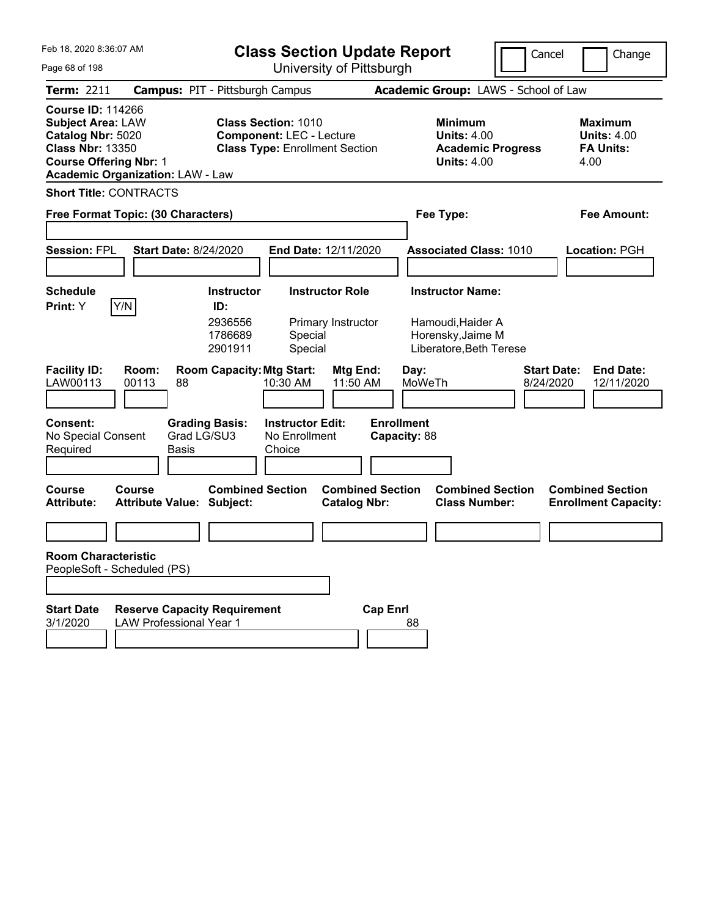| Feb 18, 2020 8:36:07 AM<br>Page 68 of 198                                                                                                                                        | <b>Class Section Update Report</b><br>University of Pittsburgh                                         |                                                                                        | Cancel                          | Change                                                           |
|----------------------------------------------------------------------------------------------------------------------------------------------------------------------------------|--------------------------------------------------------------------------------------------------------|----------------------------------------------------------------------------------------|---------------------------------|------------------------------------------------------------------|
| <b>Term: 2211</b>                                                                                                                                                                | <b>Campus: PIT - Pittsburgh Campus</b>                                                                 | Academic Group: LAWS - School of Law                                                   |                                 |                                                                  |
| <b>Course ID: 114266</b><br><b>Subject Area: LAW</b><br>Catalog Nbr: 5020<br><b>Class Nbr: 13350</b><br><b>Course Offering Nbr: 1</b><br><b>Academic Organization: LAW - Law</b> | <b>Class Section: 1010</b><br><b>Component: LEC - Lecture</b><br><b>Class Type: Enrollment Section</b> | <b>Minimum</b><br><b>Units: 4.00</b><br><b>Academic Progress</b><br><b>Units: 4.00</b> |                                 | <b>Maximum</b><br><b>Units: 4.00</b><br><b>FA Units:</b><br>4.00 |
| <b>Short Title: CONTRACTS</b>                                                                                                                                                    |                                                                                                        |                                                                                        |                                 |                                                                  |
| Free Format Topic: (30 Characters)                                                                                                                                               |                                                                                                        | Fee Type:                                                                              |                                 | <b>Fee Amount:</b>                                               |
| <b>Session: FPL</b><br><b>Start Date: 8/24/2020</b>                                                                                                                              | End Date: 12/11/2020                                                                                   | <b>Associated Class: 1010</b>                                                          |                                 | <b>Location: PGH</b>                                             |
| <b>Schedule</b>                                                                                                                                                                  | <b>Instructor</b><br><b>Instructor Role</b>                                                            | <b>Instructor Name:</b>                                                                |                                 |                                                                  |
| Y/N<br>Print: Y                                                                                                                                                                  | ID:                                                                                                    |                                                                                        |                                 |                                                                  |
|                                                                                                                                                                                  | 2936556<br>Primary Instructor<br>1786689<br>Special<br>2901911<br>Special                              | Hamoudi, Haider A<br>Horensky, Jaime M<br>Liberatore, Beth Terese                      |                                 |                                                                  |
| <b>Facility ID:</b><br>Room:<br>LAW00113<br>00113<br>88                                                                                                                          | <b>Room Capacity: Mtg Start:</b><br><b>Mtg End:</b><br>10:30 AM<br>11:50 AM                            | Day:<br>MoWeTh                                                                         | <b>Start Date:</b><br>8/24/2020 | <b>End Date:</b><br>12/11/2020                                   |
| <b>Consent:</b><br>Grad LG/SU3<br>No Special Consent<br>Required<br>Basis                                                                                                        | <b>Grading Basis:</b><br><b>Instructor Edit:</b><br>No Enrollment<br>Choice                            | <b>Enrollment</b><br>Capacity: 88                                                      |                                 |                                                                  |
| <b>Course</b><br>Course<br><b>Attribute Value: Subject:</b><br><b>Attribute:</b>                                                                                                 | <b>Combined Section</b><br><b>Catalog Nbr:</b>                                                         | <b>Combined Section</b><br><b>Combined Section</b><br><b>Class Number:</b>             |                                 | <b>Combined Section</b><br><b>Enrollment Capacity:</b>           |
|                                                                                                                                                                                  |                                                                                                        |                                                                                        |                                 |                                                                  |
| <b>Room Characteristic</b><br>PeopleSoft - Scheduled (PS)                                                                                                                        |                                                                                                        |                                                                                        |                                 |                                                                  |
| <b>Start Date</b><br><b>Reserve Capacity Requirement</b><br>3/1/2020<br><b>LAW Professional Year 1</b>                                                                           |                                                                                                        | <b>Cap Enrl</b><br>88                                                                  |                                 |                                                                  |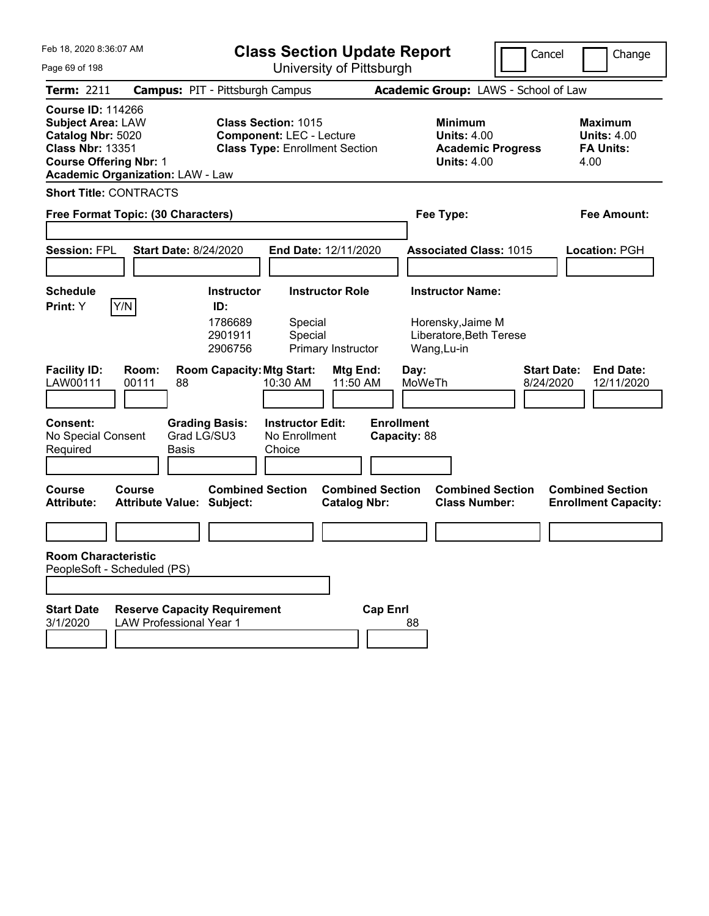| Feb 18, 2020 8:36:07 AM<br>Page 69 of 198                                                                                                                                        | <b>Class Section Update Report</b><br>University of Pittsburgh                                         |                                                                                        | Cancel<br>Change                                                  |
|----------------------------------------------------------------------------------------------------------------------------------------------------------------------------------|--------------------------------------------------------------------------------------------------------|----------------------------------------------------------------------------------------|-------------------------------------------------------------------|
| <b>Term: 2211</b>                                                                                                                                                                | <b>Campus: PIT - Pittsburgh Campus</b>                                                                 | Academic Group: LAWS - School of Law                                                   |                                                                   |
| <b>Course ID: 114266</b><br><b>Subject Area: LAW</b><br>Catalog Nbr: 5020<br><b>Class Nbr: 13351</b><br><b>Course Offering Nbr: 1</b><br><b>Academic Organization: LAW - Law</b> | <b>Class Section: 1015</b><br><b>Component: LEC - Lecture</b><br><b>Class Type: Enrollment Section</b> | <b>Minimum</b><br><b>Units: 4.00</b><br><b>Academic Progress</b><br><b>Units: 4.00</b> | <b>Maximum</b><br><b>Units: 4.00</b><br><b>FA Units:</b><br>4.00  |
| <b>Short Title: CONTRACTS</b>                                                                                                                                                    |                                                                                                        |                                                                                        |                                                                   |
| Free Format Topic: (30 Characters)                                                                                                                                               |                                                                                                        | Fee Type:                                                                              | <b>Fee Amount:</b>                                                |
| <b>Session: FPL</b><br><b>Start Date: 8/24/2020</b>                                                                                                                              | End Date: 12/11/2020                                                                                   | <b>Associated Class: 1015</b>                                                          | Location: PGH                                                     |
| <b>Schedule</b>                                                                                                                                                                  | <b>Instructor</b><br><b>Instructor Role</b>                                                            | <b>Instructor Name:</b>                                                                |                                                                   |
| Y/N<br>Print: Y                                                                                                                                                                  | ID:<br>1786689<br>Special<br>2901911<br>Special<br>2906756<br>Primary Instructor                       | Horensky, Jaime M<br>Liberatore, Beth Terese<br>Wang, Lu-in                            |                                                                   |
| <b>Facility ID:</b><br>Room:<br>LAW00111<br>00111<br>88                                                                                                                          | <b>Room Capacity: Mtg Start:</b><br>Mtg End:<br>10:30 AM<br>11:50 AM                                   | Day:<br>MoWeTh                                                                         | <b>Start Date:</b><br><b>End Date:</b><br>8/24/2020<br>12/11/2020 |
| <b>Consent:</b><br><b>Grading Basis:</b><br>Grad LG/SU3<br>No Special Consent<br>Basis<br>Required                                                                               | <b>Instructor Edit:</b><br>No Enrollment<br>Choice                                                     | <b>Enrollment</b><br>Capacity: 88                                                      |                                                                   |
| <b>Course</b><br>Course<br><b>Attribute Value: Subject:</b><br><b>Attribute:</b>                                                                                                 | <b>Combined Section</b><br><b>Catalog Nbr:</b>                                                         | <b>Combined Section</b><br><b>Combined Section</b><br><b>Class Number:</b>             | <b>Combined Section</b><br><b>Enrollment Capacity:</b>            |
|                                                                                                                                                                                  |                                                                                                        |                                                                                        |                                                                   |
| <b>Room Characteristic</b><br>PeopleSoft - Scheduled (PS)                                                                                                                        |                                                                                                        |                                                                                        |                                                                   |
| <b>Start Date</b><br><b>Reserve Capacity Requirement</b><br>3/1/2020<br><b>LAW Professional Year 1</b>                                                                           |                                                                                                        | <b>Cap Enrl</b><br>88                                                                  |                                                                   |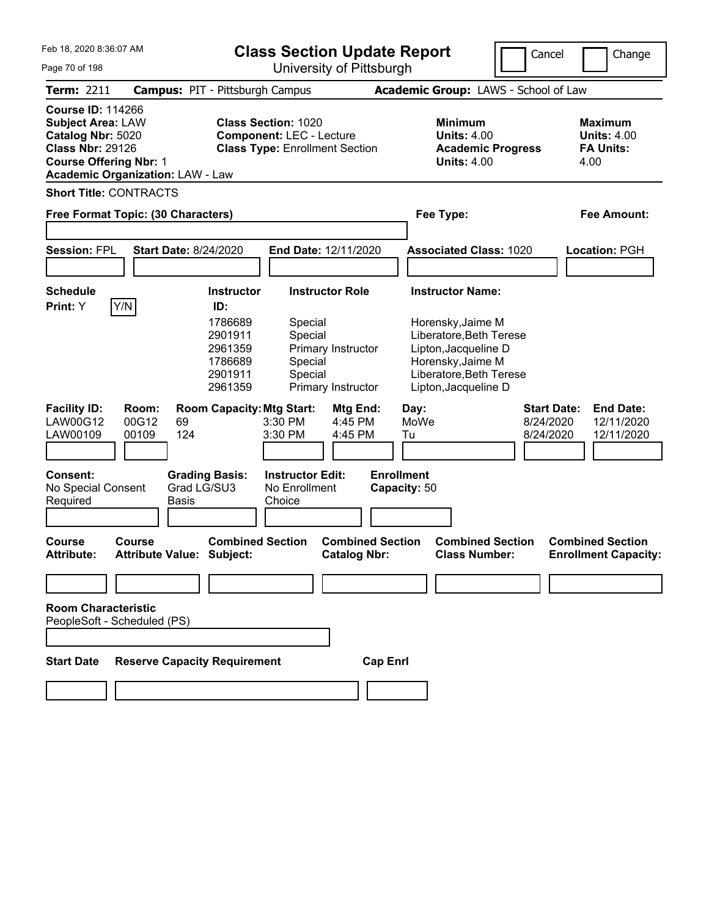| Feb 18, 2020 8:36:07 AM<br>Page 70 of 198                                                                                             |                                                                              | <b>Class Section Update Report</b>                                                                     | University of Pittsburgh                                           |                                                                                                                                                                         | Cancel                                       | Change                                                           |
|---------------------------------------------------------------------------------------------------------------------------------------|------------------------------------------------------------------------------|--------------------------------------------------------------------------------------------------------|--------------------------------------------------------------------|-------------------------------------------------------------------------------------------------------------------------------------------------------------------------|----------------------------------------------|------------------------------------------------------------------|
| <b>Term: 2211</b>                                                                                                                     | <b>Campus: PIT - Pittsburgh Campus</b>                                       |                                                                                                        |                                                                    | Academic Group: LAWS - School of Law                                                                                                                                    |                                              |                                                                  |
| <b>Course ID: 114266</b><br><b>Subject Area: LAW</b><br>Catalog Nbr: 5020<br><b>Class Nbr: 29126</b><br><b>Course Offering Nbr: 1</b> | <b>Academic Organization: LAW - Law</b>                                      | <b>Class Section: 1020</b><br><b>Component: LEC - Lecture</b><br><b>Class Type: Enrollment Section</b> |                                                                    | <b>Minimum</b><br><b>Units: 4.00</b><br><b>Academic Progress</b><br><b>Units: 4.00</b>                                                                                  |                                              | <b>Maximum</b><br><b>Units: 4.00</b><br><b>FA Units:</b><br>4.00 |
| <b>Short Title: CONTRACTS</b>                                                                                                         | Free Format Topic: (30 Characters)                                           |                                                                                                        |                                                                    | Fee Type:                                                                                                                                                               |                                              | Fee Amount:                                                      |
| <b>Session: FPL</b>                                                                                                                   | <b>Start Date: 8/24/2020</b>                                                 | End Date: 12/11/2020                                                                                   |                                                                    | <b>Associated Class: 1020</b>                                                                                                                                           |                                              | <b>Location: PGH</b>                                             |
| <b>Schedule</b><br>Print: Y                                                                                                           | Y/N<br>ID:<br>1786689<br>2901911<br>2961359<br>1786689<br>2901911<br>2961359 | <b>Instructor</b><br>Special<br>Special<br>Special<br>Special                                          | <b>Instructor Role</b><br>Primary Instructor<br>Primary Instructor | <b>Instructor Name:</b><br>Horensky, Jaime M<br>Liberatore, Beth Terese<br>Lipton, Jacqueline D<br>Horensky, Jaime M<br>Liberatore, Beth Terese<br>Lipton, Jacqueline D |                                              |                                                                  |
| <b>Facility ID:</b><br><b>LAW00G12</b><br>LAW00109                                                                                    | Room:<br>00G12<br>69<br>00109<br>124                                         | <b>Room Capacity: Mtg Start:</b><br>3:30 PM<br>3:30 PM                                                 | Mtg End:<br>4:45 PM<br>4:45 PM                                     | Day:<br>MoWe<br>Tu                                                                                                                                                      | <b>Start Date:</b><br>8/24/2020<br>8/24/2020 | <b>End Date:</b><br>12/11/2020<br>12/11/2020                     |
| <b>Consent:</b><br>No Special Consent<br>Required                                                                                     | <b>Grading Basis:</b><br>Grad LG/SU3<br><b>Basis</b>                         | <b>Instructor Edit:</b><br>No Enrollment<br>Choice                                                     |                                                                    | <b>Enrollment</b><br>Capacity: 50                                                                                                                                       |                                              |                                                                  |
| Course<br><b>Attribute:</b>                                                                                                           | <b>Course</b><br><b>Attribute Value: Subject:</b>                            | <b>Combined Section</b>                                                                                | <b>Combined Section</b><br><b>Catalog Nbr:</b>                     | <b>Combined Section</b><br><b>Class Number:</b>                                                                                                                         |                                              | <b>Combined Section</b><br><b>Enrollment Capacity:</b>           |
|                                                                                                                                       |                                                                              |                                                                                                        |                                                                    |                                                                                                                                                                         |                                              |                                                                  |
| <b>Room Characteristic</b><br>PeopleSoft - Scheduled (PS)<br><b>Start Date</b>                                                        | <b>Reserve Capacity Requirement</b>                                          |                                                                                                        | <b>Cap Enrl</b>                                                    |                                                                                                                                                                         |                                              |                                                                  |
|                                                                                                                                       |                                                                              |                                                                                                        |                                                                    |                                                                                                                                                                         |                                              |                                                                  |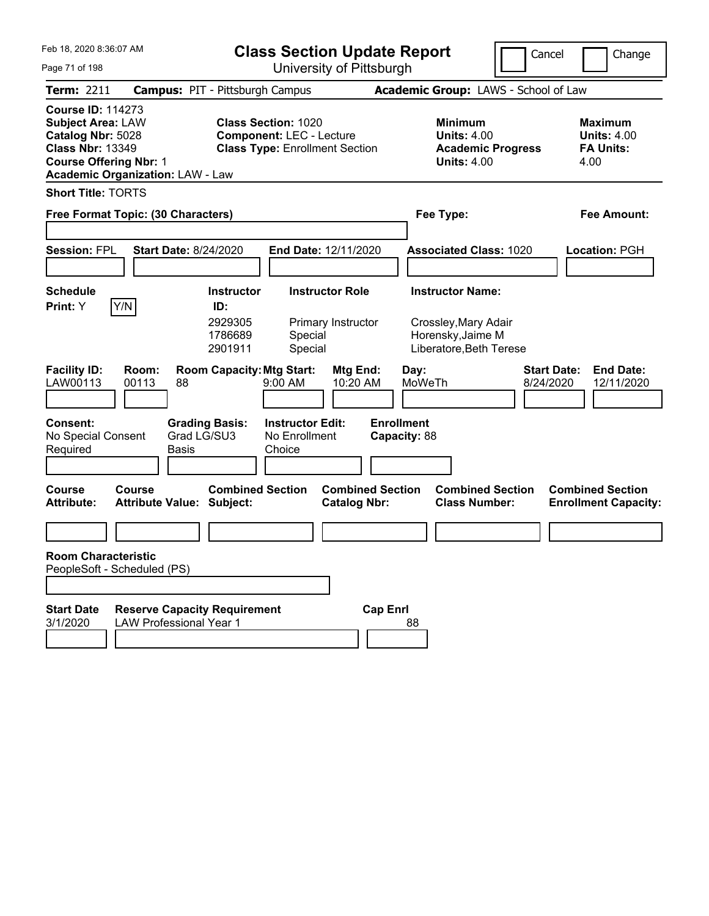| Feb 18, 2020 8:36:07 AM<br>Page 71 of 198                                                                                                                                        | <b>Class Section Update Report</b><br>University of Pittsburgh                                         |                                                                                        | Cancel<br>Change                                                  |
|----------------------------------------------------------------------------------------------------------------------------------------------------------------------------------|--------------------------------------------------------------------------------------------------------|----------------------------------------------------------------------------------------|-------------------------------------------------------------------|
| <b>Term: 2211</b>                                                                                                                                                                | <b>Campus: PIT - Pittsburgh Campus</b>                                                                 | Academic Group: LAWS - School of Law                                                   |                                                                   |
| <b>Course ID: 114273</b><br><b>Subject Area: LAW</b><br>Catalog Nbr: 5028<br><b>Class Nbr: 13349</b><br><b>Course Offering Nbr: 1</b><br><b>Academic Organization: LAW - Law</b> | <b>Class Section: 1020</b><br><b>Component: LEC - Lecture</b><br><b>Class Type: Enrollment Section</b> | <b>Minimum</b><br><b>Units: 4.00</b><br><b>Academic Progress</b><br><b>Units: 4.00</b> | <b>Maximum</b><br><b>Units: 4.00</b><br><b>FA Units:</b><br>4.00  |
| <b>Short Title: TORTS</b>                                                                                                                                                        |                                                                                                        |                                                                                        |                                                                   |
| Free Format Topic: (30 Characters)                                                                                                                                               |                                                                                                        | Fee Type:                                                                              | <b>Fee Amount:</b>                                                |
| <b>Session: FPL</b><br><b>Start Date: 8/24/2020</b>                                                                                                                              | End Date: 12/11/2020                                                                                   | <b>Associated Class: 1020</b>                                                          | Location: PGH                                                     |
| <b>Schedule</b>                                                                                                                                                                  | <b>Instructor</b><br><b>Instructor Role</b>                                                            | <b>Instructor Name:</b>                                                                |                                                                   |
| Y/N<br>Print: Y                                                                                                                                                                  | ID:<br>2929305<br>Primary Instructor<br>1786689<br>Special<br>2901911<br>Special                       | Crossley, Mary Adair<br>Horensky, Jaime M<br>Liberatore, Beth Terese                   |                                                                   |
| <b>Facility ID:</b><br>Room:<br>LAW00113<br>00113<br>88                                                                                                                          | <b>Room Capacity: Mtg Start:</b><br><b>Mtg End:</b><br>9:00 AM<br>10:20 AM                             | Day:<br>MoWeTh                                                                         | <b>Start Date:</b><br><b>End Date:</b><br>8/24/2020<br>12/11/2020 |
| <b>Consent:</b><br>Grad LG/SU3<br>No Special Consent<br>Basis<br>Required                                                                                                        | <b>Grading Basis:</b><br><b>Instructor Edit:</b><br>No Enrollment<br>Choice                            | <b>Enrollment</b><br>Capacity: 88                                                      |                                                                   |
| <b>Course</b><br>Course<br><b>Attribute Value: Subject:</b><br><b>Attribute:</b>                                                                                                 | <b>Combined Section</b><br><b>Catalog Nbr:</b>                                                         | <b>Combined Section</b><br><b>Combined Section</b><br><b>Class Number:</b>             | <b>Combined Section</b><br><b>Enrollment Capacity:</b>            |
|                                                                                                                                                                                  |                                                                                                        |                                                                                        |                                                                   |
| <b>Room Characteristic</b><br>PeopleSoft - Scheduled (PS)                                                                                                                        |                                                                                                        |                                                                                        |                                                                   |
| <b>Start Date</b><br><b>Reserve Capacity Requirement</b><br>3/1/2020<br><b>LAW Professional Year 1</b>                                                                           |                                                                                                        | <b>Cap Enrl</b><br>88                                                                  |                                                                   |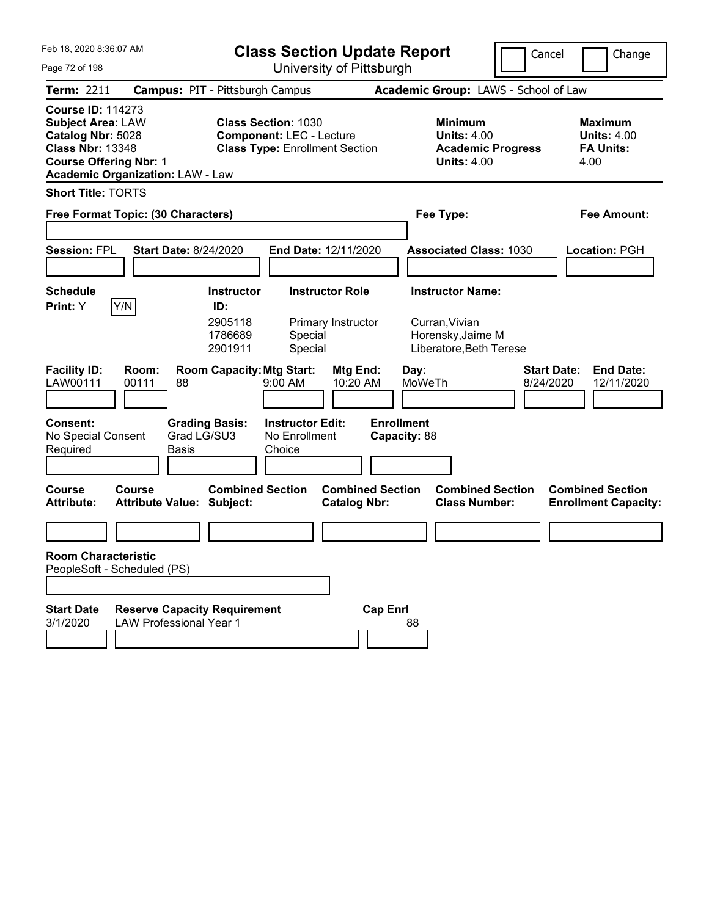| Feb 18, 2020 8:36:07 AM<br>Page 72 of 198                                                                                                                                        | <b>Class Section Update Report</b><br>University of Pittsburgh                                         |                                                                                        | Cancel<br>Change                                                  |  |  |  |  |
|----------------------------------------------------------------------------------------------------------------------------------------------------------------------------------|--------------------------------------------------------------------------------------------------------|----------------------------------------------------------------------------------------|-------------------------------------------------------------------|--|--|--|--|
| <b>Term: 2211</b>                                                                                                                                                                | <b>Campus: PIT - Pittsburgh Campus</b>                                                                 | Academic Group: LAWS - School of Law                                                   |                                                                   |  |  |  |  |
| <b>Course ID: 114273</b><br><b>Subject Area: LAW</b><br>Catalog Nbr: 5028<br><b>Class Nbr: 13348</b><br><b>Course Offering Nbr: 1</b><br><b>Academic Organization: LAW - Law</b> | <b>Class Section: 1030</b><br><b>Component: LEC - Lecture</b><br><b>Class Type: Enrollment Section</b> | <b>Minimum</b><br><b>Units: 4.00</b><br><b>Academic Progress</b><br><b>Units: 4.00</b> | <b>Maximum</b><br><b>Units: 4.00</b><br><b>FA Units:</b><br>4.00  |  |  |  |  |
| <b>Short Title: TORTS</b>                                                                                                                                                        |                                                                                                        |                                                                                        |                                                                   |  |  |  |  |
| Free Format Topic: (30 Characters)                                                                                                                                               |                                                                                                        | Fee Type:                                                                              | <b>Fee Amount:</b>                                                |  |  |  |  |
| <b>Session: FPL</b><br><b>Start Date: 8/24/2020</b>                                                                                                                              | End Date: 12/11/2020                                                                                   | <b>Associated Class: 1030</b>                                                          | Location: PGH                                                     |  |  |  |  |
| <b>Schedule</b>                                                                                                                                                                  | <b>Instructor</b><br><b>Instructor Role</b>                                                            | <b>Instructor Name:</b>                                                                |                                                                   |  |  |  |  |
| Y/N <br>Print: Y                                                                                                                                                                 | ID:<br>2905118<br>Primary Instructor<br>1786689<br>Special<br>2901911<br>Special                       | Curran, Vivian<br>Horensky, Jaime M<br>Liberatore, Beth Terese                         |                                                                   |  |  |  |  |
| <b>Facility ID:</b><br>Room:<br>LAW00111<br>00111<br>88                                                                                                                          | <b>Room Capacity: Mtg Start:</b><br>Mtg End:<br>9:00 AM<br>10:20 AM                                    | Day:<br>MoWeTh                                                                         | <b>Start Date:</b><br><b>End Date:</b><br>8/24/2020<br>12/11/2020 |  |  |  |  |
| <b>Consent:</b><br><b>Grading Basis:</b><br>Grad LG/SU3<br>No Special Consent<br>Basis<br>Required                                                                               | <b>Instructor Edit:</b><br>No Enrollment<br>Choice                                                     | <b>Enrollment</b><br>Capacity: 88                                                      |                                                                   |  |  |  |  |
| <b>Course</b><br>Course<br><b>Attribute Value: Subject:</b><br><b>Attribute:</b>                                                                                                 | <b>Combined Section</b><br><b>Catalog Nbr:</b>                                                         | <b>Combined Section</b><br><b>Combined Section</b><br><b>Class Number:</b>             | <b>Combined Section</b><br><b>Enrollment Capacity:</b>            |  |  |  |  |
|                                                                                                                                                                                  |                                                                                                        |                                                                                        |                                                                   |  |  |  |  |
| <b>Room Characteristic</b><br>PeopleSoft - Scheduled (PS)                                                                                                                        |                                                                                                        |                                                                                        |                                                                   |  |  |  |  |
| <b>Start Date</b><br><b>Reserve Capacity Requirement</b><br>3/1/2020<br><b>LAW Professional Year 1</b>                                                                           |                                                                                                        | <b>Cap Enrl</b><br>88                                                                  |                                                                   |  |  |  |  |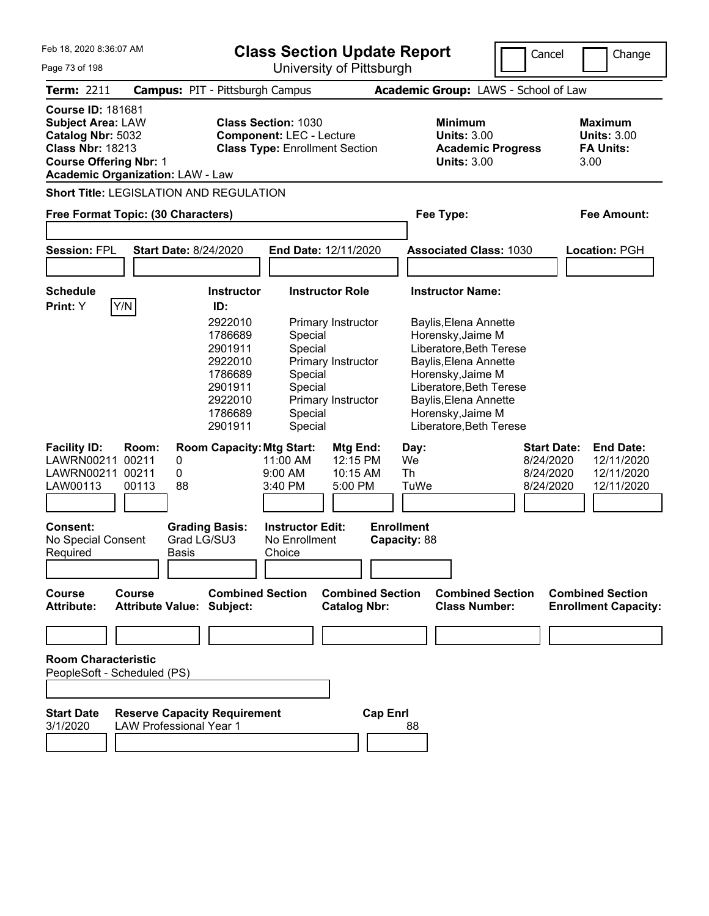Feb 18, 2020 8:36:07 AM

**Class Section Update Report**

Cancel **Change** 

| <b>Maximum</b><br><b>Units: 3.00</b><br><b>FA Units:</b><br>3.00<br><b>Fee Amount:</b><br>Location: PGH |
|---------------------------------------------------------------------------------------------------------|
|                                                                                                         |
|                                                                                                         |
|                                                                                                         |
|                                                                                                         |
|                                                                                                         |
|                                                                                                         |
|                                                                                                         |
| <b>End Date:</b><br>12/11/2020                                                                          |
| 12/11/2020<br>12/11/2020                                                                                |
|                                                                                                         |
|                                                                                                         |
| <b>Combined Section</b><br><b>Enrollment Capacity:</b>                                                  |
|                                                                                                         |
|                                                                                                         |
|                                                                                                         |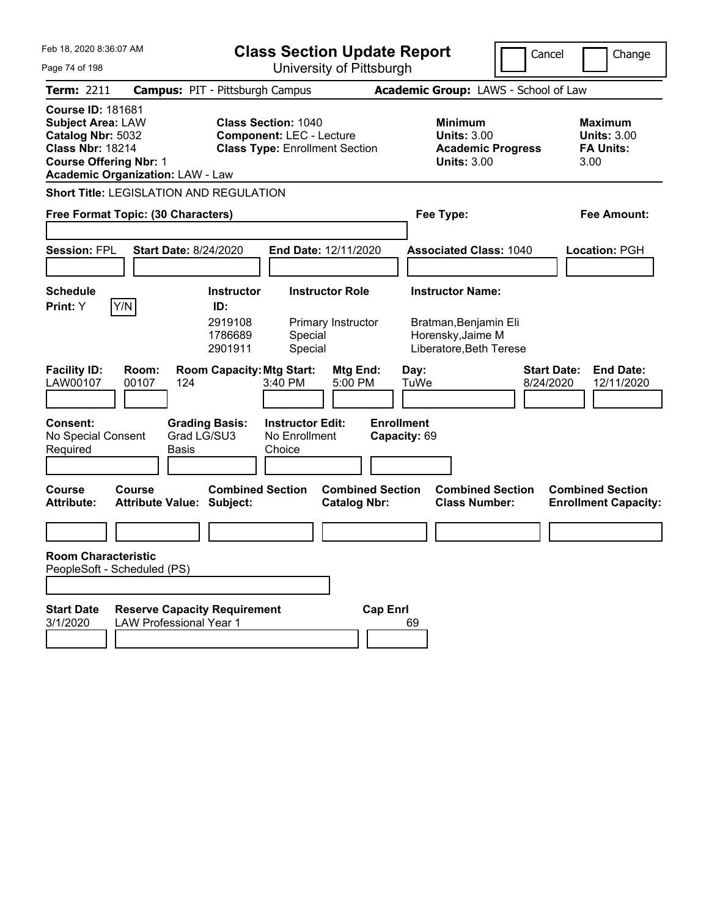| Feb 18, 2020 8:36:07 AM                                                                                                                                                          | <b>Class Section Update Report</b>                                                                     |                                                                                        | Cancel<br>Change                                                  |
|----------------------------------------------------------------------------------------------------------------------------------------------------------------------------------|--------------------------------------------------------------------------------------------------------|----------------------------------------------------------------------------------------|-------------------------------------------------------------------|
| Page 74 of 198                                                                                                                                                                   | University of Pittsburgh                                                                               |                                                                                        |                                                                   |
| Term: 2211                                                                                                                                                                       | <b>Campus: PIT - Pittsburgh Campus</b>                                                                 | Academic Group: LAWS - School of Law                                                   |                                                                   |
| <b>Course ID: 181681</b><br><b>Subject Area: LAW</b><br>Catalog Nbr: 5032<br><b>Class Nbr: 18214</b><br><b>Course Offering Nbr: 1</b><br><b>Academic Organization: LAW - Law</b> | <b>Class Section: 1040</b><br><b>Component: LEC - Lecture</b><br><b>Class Type: Enrollment Section</b> | <b>Minimum</b><br><b>Units: 3.00</b><br><b>Academic Progress</b><br><b>Units: 3.00</b> | <b>Maximum</b><br><b>Units: 3.00</b><br><b>FA Units:</b><br>3.00  |
| <b>Short Title: LEGISLATION AND REGULATION</b>                                                                                                                                   |                                                                                                        |                                                                                        |                                                                   |
| Free Format Topic: (30 Characters)                                                                                                                                               |                                                                                                        | Fee Type:                                                                              | <b>Fee Amount:</b>                                                |
|                                                                                                                                                                                  |                                                                                                        |                                                                                        |                                                                   |
| <b>Session: FPL</b><br><b>Start Date: 8/24/2020</b>                                                                                                                              | End Date: 12/11/2020                                                                                   | <b>Associated Class: 1040</b>                                                          | Location: PGH                                                     |
|                                                                                                                                                                                  |                                                                                                        |                                                                                        |                                                                   |
| <b>Schedule</b>                                                                                                                                                                  | <b>Instructor Role</b><br><b>Instructor</b>                                                            | <b>Instructor Name:</b>                                                                |                                                                   |
| Y/N<br>Print: Y                                                                                                                                                                  | ID:<br>2919108<br>Primary Instructor<br>1786689<br>Special<br>2901911<br>Special                       | Bratman, Benjamin Eli<br>Horensky, Jaime M<br>Liberatore, Beth Terese                  |                                                                   |
| <b>Facility ID:</b><br>Room:<br>LAW00107<br>00107<br>124                                                                                                                         | <b>Room Capacity: Mtg Start:</b><br>Mtg End:<br>3:40 PM<br>5:00 PM                                     | Day:<br>TuWe                                                                           | <b>Start Date:</b><br><b>End Date:</b><br>8/24/2020<br>12/11/2020 |
| <b>Consent:</b><br>Grad LG/SU3<br>No Special Consent<br>Required<br>Basis                                                                                                        | <b>Instructor Edit:</b><br><b>Grading Basis:</b><br>No Enrollment<br>Choice                            | <b>Enrollment</b><br>Capacity: 69                                                      |                                                                   |
| <b>Course</b><br>Course<br><b>Attribute Value: Subject:</b><br><b>Attribute:</b>                                                                                                 | <b>Combined Section</b><br><b>Combined Section</b><br><b>Catalog Nbr:</b>                              | <b>Combined Section</b><br><b>Class Number:</b>                                        | <b>Combined Section</b><br><b>Enrollment Capacity:</b>            |
|                                                                                                                                                                                  |                                                                                                        |                                                                                        |                                                                   |
| <b>Room Characteristic</b><br>PeopleSoft - Scheduled (PS)                                                                                                                        |                                                                                                        |                                                                                        |                                                                   |
|                                                                                                                                                                                  |                                                                                                        |                                                                                        |                                                                   |
| <b>Reserve Capacity Requirement</b><br><b>Start Date</b><br>3/1/2020<br><b>LAW Professional Year 1</b>                                                                           | <b>Cap Enrl</b>                                                                                        | 69                                                                                     |                                                                   |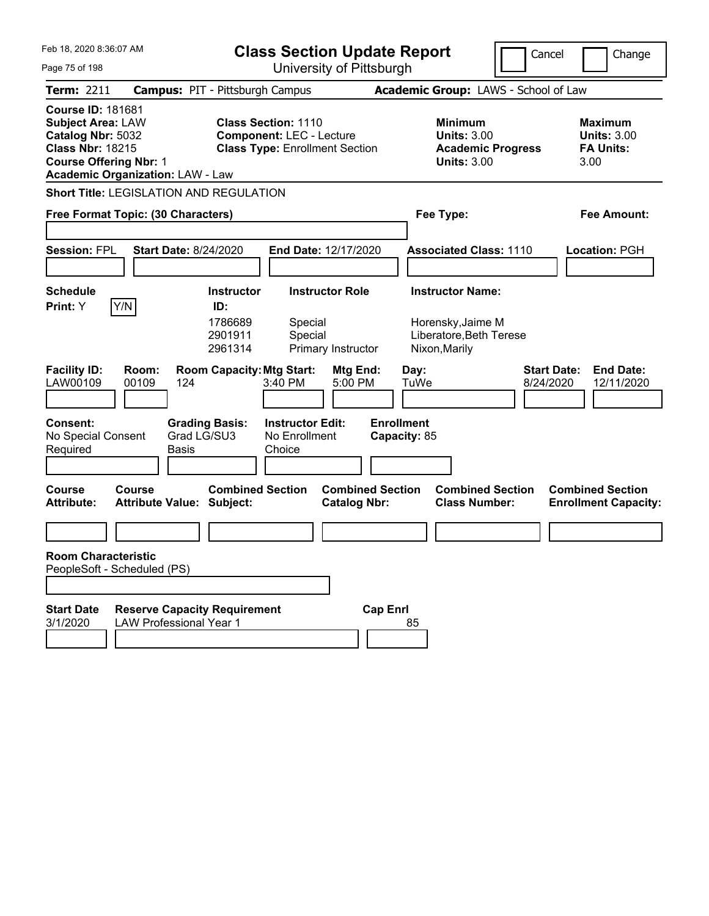| Feb 18, 2020 8:36:07 AM                                                                                                                                                          | <b>Class Section Update Report</b>                                                                     | Cancel                                                                                 | Change                                                           |
|----------------------------------------------------------------------------------------------------------------------------------------------------------------------------------|--------------------------------------------------------------------------------------------------------|----------------------------------------------------------------------------------------|------------------------------------------------------------------|
| Page 75 of 198                                                                                                                                                                   | University of Pittsburgh                                                                               |                                                                                        |                                                                  |
| Term: 2211                                                                                                                                                                       | <b>Campus: PIT - Pittsburgh Campus</b>                                                                 | Academic Group: LAWS - School of Law                                                   |                                                                  |
| <b>Course ID: 181681</b><br><b>Subject Area: LAW</b><br>Catalog Nbr: 5032<br><b>Class Nbr: 18215</b><br><b>Course Offering Nbr: 1</b><br><b>Academic Organization: LAW - Law</b> | <b>Class Section: 1110</b><br><b>Component: LEC - Lecture</b><br><b>Class Type: Enrollment Section</b> | <b>Minimum</b><br><b>Units: 3.00</b><br><b>Academic Progress</b><br><b>Units: 3.00</b> | <b>Maximum</b><br><b>Units: 3.00</b><br><b>FA Units:</b><br>3.00 |
| <b>Short Title: LEGISLATION AND REGULATION</b>                                                                                                                                   |                                                                                                        |                                                                                        |                                                                  |
| Free Format Topic: (30 Characters)                                                                                                                                               |                                                                                                        | Fee Type:                                                                              | Fee Amount:                                                      |
|                                                                                                                                                                                  |                                                                                                        |                                                                                        |                                                                  |
| <b>Session: FPL</b><br><b>Start Date: 8/24/2020</b>                                                                                                                              | End Date: 12/17/2020                                                                                   | <b>Associated Class: 1110</b>                                                          | Location: PGH                                                    |
|                                                                                                                                                                                  |                                                                                                        |                                                                                        |                                                                  |
| <b>Schedule</b>                                                                                                                                                                  | <b>Instructor Role</b><br><b>Instructor</b>                                                            | <b>Instructor Name:</b>                                                                |                                                                  |
| Y/N<br>Print: Y                                                                                                                                                                  | ID:<br>1786689<br>Special<br>2901911<br>Special<br>2961314<br>Primary Instructor                       | Horensky, Jaime M<br>Liberatore, Beth Terese<br>Nixon, Marily                          |                                                                  |
| <b>Facility ID:</b><br>Room:<br>LAW00109<br>00109<br>124                                                                                                                         | <b>Room Capacity: Mtg Start:</b><br>Mtg End:<br>3:40 PM<br>5:00 PM                                     | <b>Start Date:</b><br>Day:<br>TuWe<br>8/24/2020                                        | <b>End Date:</b><br>12/11/2020                                   |
| <b>Consent:</b><br><b>Grading Basis:</b><br>Grad LG/SU3<br>No Special Consent<br>Required<br>Basis                                                                               | <b>Instructor Edit:</b><br><b>Enrollment</b><br>No Enrollment<br>Choice                                | Capacity: 85                                                                           |                                                                  |
| <b>Course</b><br>Course<br><b>Attribute Value: Subject:</b><br><b>Attribute:</b>                                                                                                 | <b>Combined Section</b><br><b>Combined Section</b><br><b>Catalog Nbr:</b>                              | <b>Combined Section</b><br><b>Class Number:</b>                                        | <b>Combined Section</b><br><b>Enrollment Capacity:</b>           |
|                                                                                                                                                                                  |                                                                                                        |                                                                                        |                                                                  |
| <b>Room Characteristic</b><br>PeopleSoft - Scheduled (PS)                                                                                                                        |                                                                                                        |                                                                                        |                                                                  |
| <b>Reserve Capacity Requirement</b><br><b>Start Date</b><br>3/1/2020<br><b>LAW Professional Year 1</b>                                                                           | <b>Cap Enrl</b>                                                                                        | 85                                                                                     |                                                                  |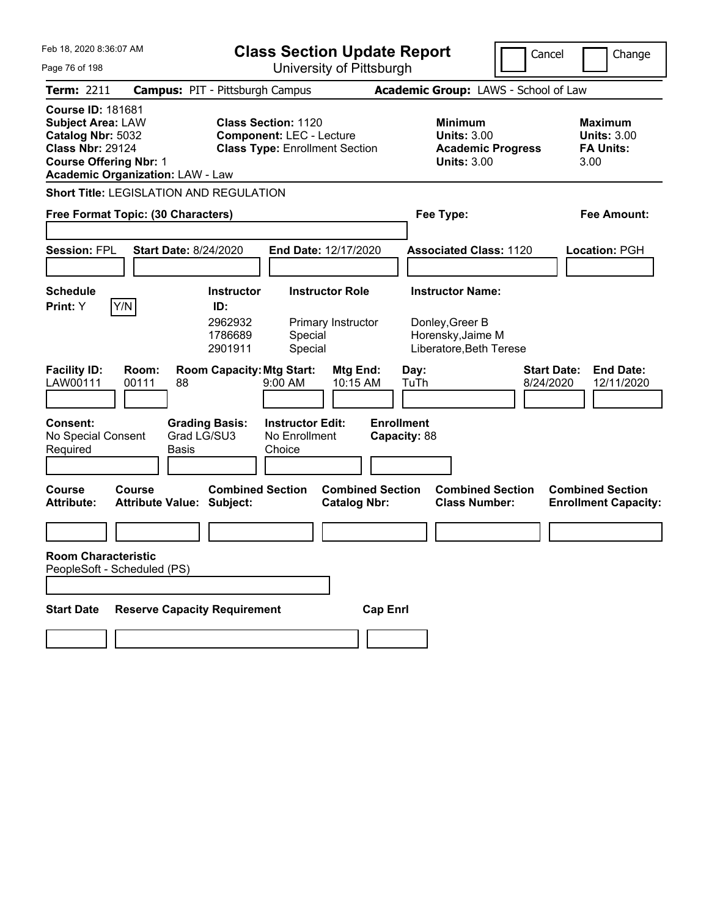| Feb 18, 2020 8:36:07 AM<br><b>Class Section Update Report</b>                                                                         |                                                                       |                                                           |                                                                                                        |                                                |                                   |              |                                                                 | Cancel                               | Change                          |                                                                  |
|---------------------------------------------------------------------------------------------------------------------------------------|-----------------------------------------------------------------------|-----------------------------------------------------------|--------------------------------------------------------------------------------------------------------|------------------------------------------------|-----------------------------------|--------------|-----------------------------------------------------------------|--------------------------------------|---------------------------------|------------------------------------------------------------------|
| Page 76 of 198                                                                                                                        |                                                                       | University of Pittsburgh                                  |                                                                                                        |                                                |                                   |              |                                                                 |                                      |                                 |                                                                  |
| <b>Term: 2211</b>                                                                                                                     | <b>Campus: PIT - Pittsburgh Campus</b>                                |                                                           |                                                                                                        |                                                |                                   |              |                                                                 | Academic Group: LAWS - School of Law |                                 |                                                                  |
| <b>Course ID: 181681</b><br><b>Subject Area: LAW</b><br>Catalog Nbr: 5032<br><b>Class Nbr: 29124</b><br><b>Course Offering Nbr: 1</b> | <b>Academic Organization: LAW - Law</b>                               |                                                           | <b>Class Section: 1120</b><br><b>Component: LEC - Lecture</b><br><b>Class Type: Enrollment Section</b> |                                                |                                   |              | <b>Minimum</b><br><b>Units: 3.00</b><br><b>Units: 3.00</b>      | <b>Academic Progress</b>             |                                 | <b>Maximum</b><br><b>Units: 3.00</b><br><b>FA Units:</b><br>3.00 |
|                                                                                                                                       | <b>Short Title: LEGISLATION AND REGULATION</b>                        |                                                           |                                                                                                        |                                                |                                   |              |                                                                 |                                      |                                 |                                                                  |
|                                                                                                                                       | Free Format Topic: (30 Characters)                                    |                                                           |                                                                                                        |                                                |                                   |              | Fee Type:                                                       |                                      |                                 | Fee Amount:                                                      |
| <b>Session: FPL</b>                                                                                                                   | <b>Start Date: 8/24/2020</b>                                          |                                                           | End Date: 12/17/2020                                                                                   |                                                |                                   |              |                                                                 | <b>Associated Class: 1120</b>        |                                 | Location: PGH                                                    |
| <b>Schedule</b><br>Y/N<br><b>Print:</b> Y                                                                                             |                                                                       | <b>Instructor</b><br>ID:<br>2962932<br>1786689<br>2901911 | Special<br>Special                                                                                     | <b>Instructor Role</b><br>Primary Instructor   |                                   |              | <b>Instructor Name:</b><br>Donley, Greer B<br>Horensky, Jaime M | Liberatore, Beth Terese              |                                 |                                                                  |
| <b>Facility ID:</b><br>LAW00111<br><b>Consent:</b><br>No Special Consent<br>Required                                                  | Room:<br>00111<br>88<br><b>Grading Basis:</b><br>Grad LG/SU3<br>Basis | <b>Room Capacity: Mtg Start:</b>                          | $9:00$ AM<br><b>Instructor Edit:</b><br>No Enrollment<br>Choice                                        | Mtg End:<br>10:15 AM                           | <b>Enrollment</b><br>Capacity: 88 | Day:<br>TuTh |                                                                 |                                      | <b>Start Date:</b><br>8/24/2020 | <b>End Date:</b><br>12/11/2020                                   |
| <b>Course</b><br><b>Attribute:</b>                                                                                                    | Course<br><b>Attribute Value: Subject:</b>                            | <b>Combined Section</b>                                   |                                                                                                        | <b>Combined Section</b><br><b>Catalog Nbr:</b> |                                   |              | <b>Class Number:</b>                                            | <b>Combined Section</b>              |                                 | <b>Combined Section</b><br><b>Enrollment Capacity:</b>           |
| <b>Room Characteristic</b><br>PeopleSoft - Scheduled (PS)                                                                             |                                                                       |                                                           |                                                                                                        |                                                |                                   |              |                                                                 |                                      |                                 |                                                                  |
| <b>Start Date</b>                                                                                                                     | <b>Reserve Capacity Requirement</b>                                   |                                                           |                                                                                                        |                                                | <b>Cap Enrl</b>                   |              |                                                                 |                                      |                                 |                                                                  |
|                                                                                                                                       |                                                                       |                                                           |                                                                                                        |                                                |                                   |              |                                                                 |                                      |                                 |                                                                  |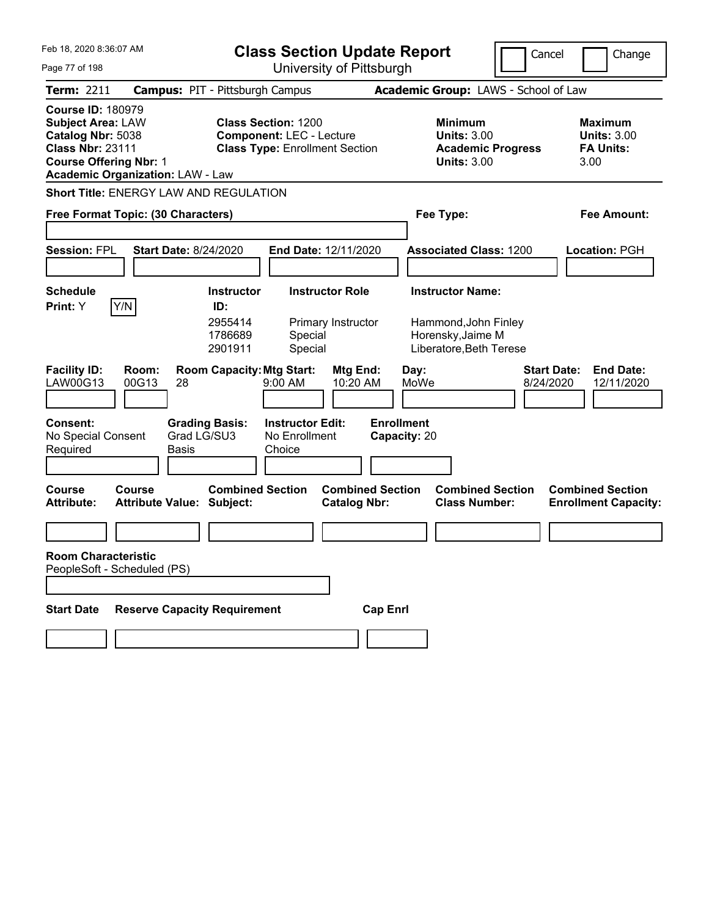| Feb 18. 2020 8:36:07 AM                                                                                                               |                                               | <b>Class Section Update Report</b> |                                                                                                        |                        |                                   | Cancel       |                                                     | Change                                          |                                 |      |                                                        |
|---------------------------------------------------------------------------------------------------------------------------------------|-----------------------------------------------|------------------------------------|--------------------------------------------------------------------------------------------------------|------------------------|-----------------------------------|--------------|-----------------------------------------------------|-------------------------------------------------|---------------------------------|------|--------------------------------------------------------|
| Page 77 of 198                                                                                                                        |                                               |                                    | University of Pittsburgh                                                                               |                        |                                   |              |                                                     |                                                 |                                 |      |                                                        |
| <b>Term: 2211</b>                                                                                                                     | <b>Campus: PIT - Pittsburgh Campus</b>        |                                    |                                                                                                        |                        |                                   |              |                                                     | Academic Group: LAWS - School of Law            |                                 |      |                                                        |
| <b>Course ID: 180979</b><br><b>Subject Area: LAW</b><br>Catalog Nbr: 5038<br><b>Class Nbr: 23111</b><br><b>Course Offering Nbr: 1</b> | <b>Academic Organization: LAW - Law</b>       |                                    | <b>Class Section: 1200</b><br><b>Component: LEC - Lecture</b><br><b>Class Type: Enrollment Section</b> |                        |                                   |              | Minimum<br><b>Units: 3.00</b><br><b>Units: 3.00</b> | <b>Academic Progress</b>                        |                                 | 3.00 | Maximum<br><b>Units: 3.00</b><br><b>FA Units:</b>      |
|                                                                                                                                       | <b>Short Title: ENERGY LAW AND REGULATION</b> |                                    |                                                                                                        |                        |                                   |              |                                                     |                                                 |                                 |      |                                                        |
|                                                                                                                                       | Free Format Topic: (30 Characters)            |                                    |                                                                                                        |                        |                                   |              | Fee Type:                                           |                                                 |                                 |      | Fee Amount:                                            |
|                                                                                                                                       |                                               |                                    |                                                                                                        |                        |                                   |              |                                                     |                                                 |                                 |      |                                                        |
| <b>Session: FPL</b>                                                                                                                   | <b>Start Date: 8/24/2020</b>                  |                                    | <b>End Date: 12/11/2020</b>                                                                            |                        |                                   |              |                                                     | <b>Associated Class: 1200</b>                   |                                 |      | Location: PGH                                          |
|                                                                                                                                       |                                               |                                    |                                                                                                        |                        |                                   |              |                                                     |                                                 |                                 |      |                                                        |
| <b>Schedule</b><br>Print: Y                                                                                                           |                                               | <b>Instructor</b><br>ID:           |                                                                                                        | <b>Instructor Role</b> |                                   |              | <b>Instructor Name:</b>                             |                                                 |                                 |      |                                                        |
|                                                                                                                                       | Y/N                                           | 2955414<br>1786689<br>2901911      | Special<br>Special                                                                                     | Primary Instructor     |                                   |              | Horensky, Jaime M                                   | Hammond, John Finley<br>Liberatore, Beth Terese |                                 |      |                                                        |
| <b>Facility ID:</b><br>LAW00G13                                                                                                       | Room:<br>00G13<br>28                          | <b>Room Capacity: Mtg Start:</b>   | 9:00 AM                                                                                                | Mtg End:<br>10:20 AM   |                                   | Day:<br>MoWe |                                                     |                                                 | <b>Start Date:</b><br>8/24/2020 |      | <b>End Date:</b><br>12/11/2020                         |
| <b>Consent:</b><br>No Special Consent<br>Required                                                                                     | <b>Grading Basis:</b><br>Grad LG/SU3<br>Basis |                                    | <b>Instructor Edit:</b><br>No Enrollment<br>Choice                                                     |                        | <b>Enrollment</b><br>Capacity: 20 |              |                                                     |                                                 |                                 |      |                                                        |
| Course<br><b>Attribute:</b>                                                                                                           | Course<br><b>Attribute Value: Subject:</b>    | <b>Combined Section</b>            |                                                                                                        | <b>Catalog Nbr:</b>    | <b>Combined Section</b>           |              |                                                     | <b>Combined Section</b><br><b>Class Number:</b> |                                 |      | <b>Combined Section</b><br><b>Enrollment Capacity:</b> |
|                                                                                                                                       |                                               |                                    |                                                                                                        |                        |                                   |              |                                                     |                                                 |                                 |      |                                                        |
| <b>Room Characteristic</b><br>PeopleSoft - Scheduled (PS)                                                                             |                                               |                                    |                                                                                                        |                        |                                   |              |                                                     |                                                 |                                 |      |                                                        |
|                                                                                                                                       |                                               |                                    |                                                                                                        |                        |                                   |              |                                                     |                                                 |                                 |      |                                                        |
| <b>Start Date</b>                                                                                                                     | <b>Reserve Capacity Requirement</b>           |                                    |                                                                                                        |                        | <b>Cap Enrl</b>                   |              |                                                     |                                                 |                                 |      |                                                        |
|                                                                                                                                       |                                               |                                    |                                                                                                        |                        |                                   |              |                                                     |                                                 |                                 |      |                                                        |
|                                                                                                                                       |                                               |                                    |                                                                                                        |                        |                                   |              |                                                     |                                                 |                                 |      |                                                        |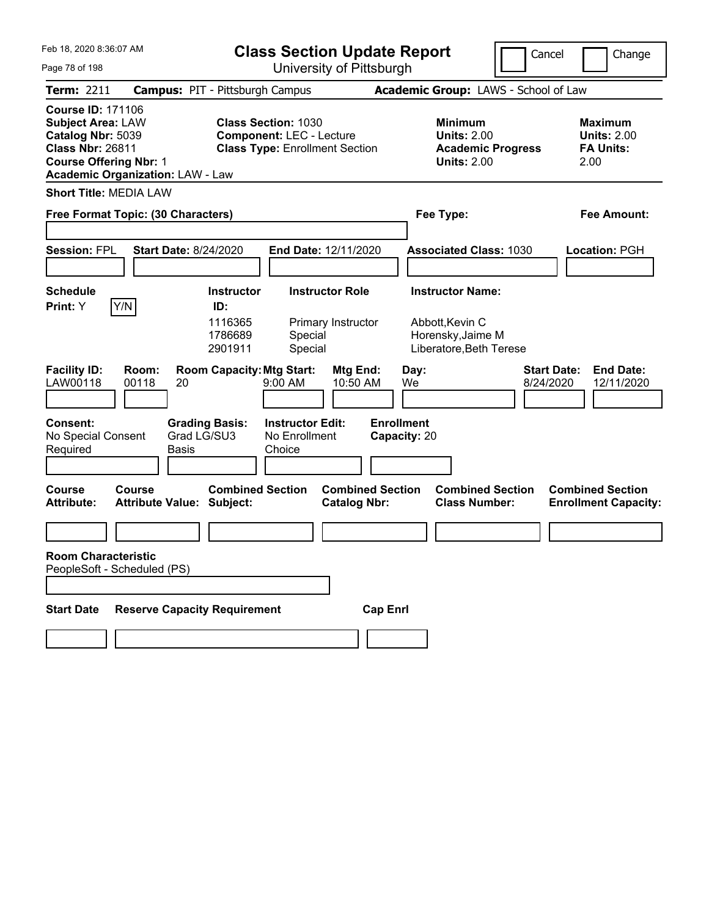| Feb 18, 2020 8:36:07 AM                                                                                                                                                          | <b>Class Section Update Report</b>                                                                            | Cancel                                                                                 | Change                                                            |
|----------------------------------------------------------------------------------------------------------------------------------------------------------------------------------|---------------------------------------------------------------------------------------------------------------|----------------------------------------------------------------------------------------|-------------------------------------------------------------------|
| Page 78 of 198                                                                                                                                                                   | University of Pittsburgh                                                                                      |                                                                                        |                                                                   |
| Term: 2211                                                                                                                                                                       | <b>Campus: PIT - Pittsburgh Campus</b>                                                                        | Academic Group: LAWS - School of Law                                                   |                                                                   |
| <b>Course ID: 171106</b><br><b>Subject Area: LAW</b><br>Catalog Nbr: 5039<br><b>Class Nbr: 26811</b><br><b>Course Offering Nbr: 1</b><br><b>Academic Organization: LAW - Law</b> | <b>Class Section: 1030</b><br><b>Component: LEC - Lecture</b><br><b>Class Type: Enrollment Section</b>        | <b>Minimum</b><br><b>Units: 2.00</b><br><b>Academic Progress</b><br><b>Units: 2.00</b> | <b>Maximum</b><br><b>Units: 2.00</b><br><b>FA Units:</b><br>2.00  |
| <b>Short Title: MEDIA LAW</b>                                                                                                                                                    |                                                                                                               |                                                                                        |                                                                   |
| Free Format Topic: (30 Characters)                                                                                                                                               |                                                                                                               | Fee Type:                                                                              | <b>Fee Amount:</b>                                                |
|                                                                                                                                                                                  |                                                                                                               |                                                                                        |                                                                   |
| <b>Session: FPL</b>                                                                                                                                                              | End Date: 12/11/2020<br><b>Start Date: 8/24/2020</b>                                                          | <b>Associated Class: 1030</b>                                                          | Location: PGH                                                     |
|                                                                                                                                                                                  |                                                                                                               |                                                                                        |                                                                   |
| <b>Schedule</b>                                                                                                                                                                  | <b>Instructor Role</b><br><b>Instructor</b>                                                                   | <b>Instructor Name:</b>                                                                |                                                                   |
| Y/N<br>Print: Y                                                                                                                                                                  | ID:<br>1116365<br>Primary Instructor<br>1786689<br>Special<br>2901911<br>Special                              | Abbott, Kevin C<br>Horensky, Jaime M<br>Liberatore, Beth Terese                        |                                                                   |
| <b>Facility ID:</b><br>Room:<br>LAW00118<br>00118<br>20                                                                                                                          | <b>Room Capacity: Mtg Start:</b><br>Mtg End:<br>10:50 AM<br>$9:00$ AM                                         | Day:<br>We                                                                             | <b>Start Date:</b><br><b>End Date:</b><br>8/24/2020<br>12/11/2020 |
| <b>Consent:</b><br>No Special Consent<br>Required<br>Basis                                                                                                                       | <b>Instructor Edit:</b><br><b>Grading Basis:</b><br>Grad LG/SU3<br>No Enrollment<br>Choice                    | <b>Enrollment</b><br>Capacity: 20                                                      |                                                                   |
| <b>Course</b><br>Course<br><b>Attribute:</b>                                                                                                                                     | <b>Combined Section</b><br><b>Combined Section</b><br><b>Attribute Value: Subject:</b><br><b>Catalog Nbr:</b> | <b>Combined Section</b><br><b>Class Number:</b>                                        | <b>Combined Section</b><br><b>Enrollment Capacity:</b>            |
|                                                                                                                                                                                  |                                                                                                               |                                                                                        |                                                                   |
| <b>Room Characteristic</b><br>PeopleSoft - Scheduled (PS)                                                                                                                        |                                                                                                               |                                                                                        |                                                                   |
|                                                                                                                                                                                  |                                                                                                               |                                                                                        |                                                                   |
| <b>Start Date</b>                                                                                                                                                                | <b>Reserve Capacity Requirement</b><br><b>Cap Enrl</b>                                                        |                                                                                        |                                                                   |
|                                                                                                                                                                                  |                                                                                                               |                                                                                        |                                                                   |
|                                                                                                                                                                                  |                                                                                                               |                                                                                        |                                                                   |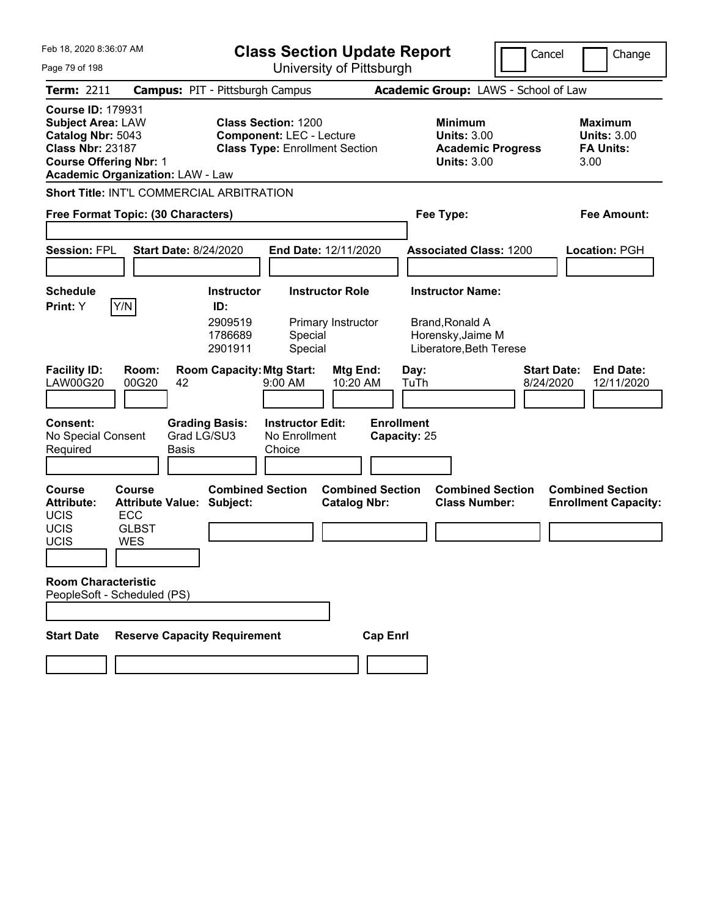| Feb 18. 2020 8:36:07 AM<br><b>Class Section Update Report</b>                                                                         |                                                                                        |                                                           |                                                                                                        |                                                |                                   | Cancel                                                                                            | Change                          |                                                          |
|---------------------------------------------------------------------------------------------------------------------------------------|----------------------------------------------------------------------------------------|-----------------------------------------------------------|--------------------------------------------------------------------------------------------------------|------------------------------------------------|-----------------------------------|---------------------------------------------------------------------------------------------------|---------------------------------|----------------------------------------------------------|
| Page 79 of 198                                                                                                                        |                                                                                        |                                                           |                                                                                                        | University of Pittsburgh                       |                                   |                                                                                                   |                                 |                                                          |
| Term: 2211                                                                                                                            | <b>Campus: PIT - Pittsburgh Campus</b>                                                 |                                                           |                                                                                                        |                                                |                                   | Academic Group: LAWS - School of Law                                                              |                                 |                                                          |
| <b>Course ID: 179931</b><br><b>Subject Area: LAW</b><br>Catalog Nbr: 5043<br><b>Class Nbr: 23187</b><br><b>Course Offering Nbr: 1</b> | <b>Academic Organization: LAW - Law</b>                                                |                                                           | <b>Class Section: 1200</b><br><b>Component: LEC - Lecture</b><br><b>Class Type: Enrollment Section</b> |                                                |                                   | <b>Minimum</b><br><b>Units: 3.00</b><br><b>Academic Progress</b><br><b>Units: 3.00</b>            | 3.00                            | <b>Maximum</b><br><b>Units: 3.00</b><br><b>FA Units:</b> |
|                                                                                                                                       | Short Title: INT'L COMMERCIAL ARBITRATION                                              |                                                           |                                                                                                        |                                                |                                   |                                                                                                   |                                 |                                                          |
|                                                                                                                                       | Free Format Topic: (30 Characters)                                                     |                                                           |                                                                                                        |                                                |                                   | Fee Type:                                                                                         |                                 | Fee Amount:                                              |
|                                                                                                                                       |                                                                                        |                                                           |                                                                                                        |                                                |                                   |                                                                                                   |                                 |                                                          |
| <b>Session: FPL</b>                                                                                                                   | <b>Start Date: 8/24/2020</b>                                                           |                                                           | End Date: 12/11/2020                                                                                   |                                                |                                   | <b>Associated Class: 1200</b>                                                                     |                                 | Location: PGH                                            |
|                                                                                                                                       |                                                                                        |                                                           |                                                                                                        |                                                |                                   |                                                                                                   |                                 |                                                          |
| <b>Schedule</b><br>Print: Y                                                                                                           | Y/N                                                                                    | <b>Instructor</b><br>ID:<br>2909519<br>1786689<br>2901911 | <b>Instructor Role</b><br>Special<br>Special                                                           | Primary Instructor                             |                                   | <b>Instructor Name:</b><br><b>Brand, Ronald A</b><br>Horensky, Jaime M<br>Liberatore, Beth Terese |                                 |                                                          |
| <b>Facility ID:</b><br><b>LAW00G20</b>                                                                                                | Room:<br>00G20<br>42                                                                   | <b>Room Capacity: Mtg Start:</b>                          | 9:00 AM                                                                                                | Mtg End:<br>10:20 AM                           | Day:<br>TuTh                      |                                                                                                   | <b>Start Date:</b><br>8/24/2020 | <b>End Date:</b><br>12/11/2020                           |
| <b>Consent:</b><br>No Special Consent<br>Required                                                                                     | Grad LG/SU3<br>Basis                                                                   | <b>Grading Basis:</b>                                     | <b>Instructor Edit:</b><br>No Enrollment<br>Choice                                                     |                                                | <b>Enrollment</b><br>Capacity: 25 |                                                                                                   |                                 |                                                          |
| <b>Course</b><br><b>Attribute:</b><br><b>UCIS</b><br><b>UCIS</b><br>UCIS                                                              | Course<br><b>Attribute Value: Subject:</b><br><b>ECC</b><br><b>GLBST</b><br><b>WES</b> | <b>Combined Section</b>                                   |                                                                                                        | <b>Combined Section</b><br><b>Catalog Nbr:</b> |                                   | <b>Combined Section</b><br><b>Class Number:</b>                                                   |                                 | <b>Combined Section</b><br><b>Enrollment Capacity:</b>   |
| <b>Room Characteristic</b>                                                                                                            | PeopleSoft - Scheduled (PS)                                                            |                                                           |                                                                                                        |                                                |                                   |                                                                                                   |                                 |                                                          |
| <b>Start Date</b>                                                                                                                     | <b>Reserve Capacity Requirement</b>                                                    |                                                           |                                                                                                        | <b>Cap Enrl</b>                                |                                   |                                                                                                   |                                 |                                                          |
|                                                                                                                                       |                                                                                        |                                                           |                                                                                                        |                                                |                                   |                                                                                                   |                                 |                                                          |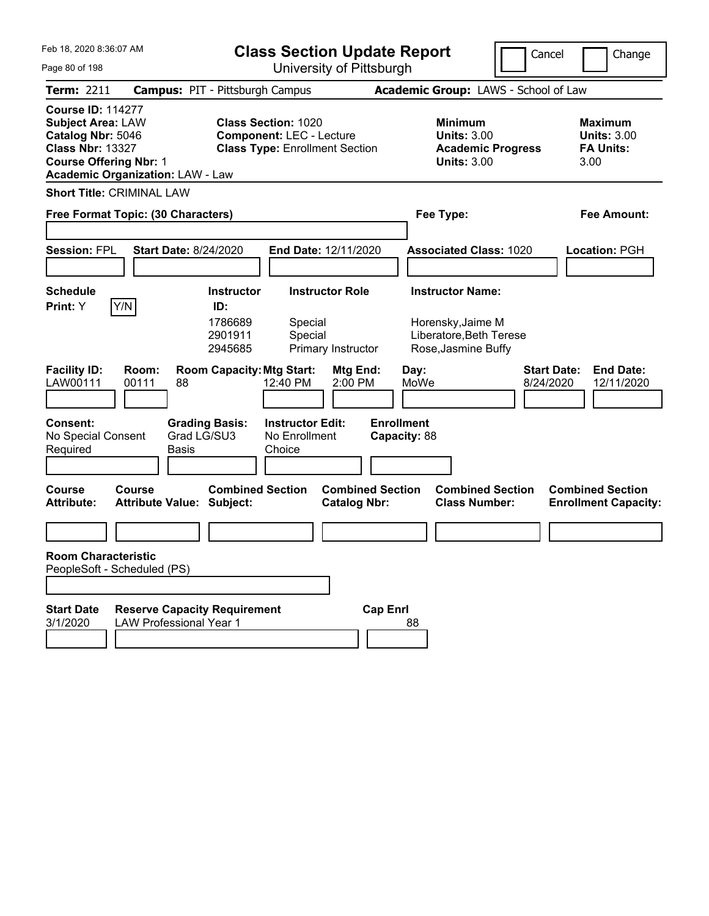| Feb 18, 2020 8:36:07 AM<br>Page 80 of 198                                                                                                                                        | <b>Class Section Update Report</b><br>University of Pittsburgh                                         | Cancel                                                                                 | Change                                                            |
|----------------------------------------------------------------------------------------------------------------------------------------------------------------------------------|--------------------------------------------------------------------------------------------------------|----------------------------------------------------------------------------------------|-------------------------------------------------------------------|
| <b>Term: 2211</b>                                                                                                                                                                | <b>Campus: PIT - Pittsburgh Campus</b>                                                                 | Academic Group: LAWS - School of Law                                                   |                                                                   |
| <b>Course ID: 114277</b><br><b>Subject Area: LAW</b><br>Catalog Nbr: 5046<br><b>Class Nbr: 13327</b><br><b>Course Offering Nbr: 1</b><br><b>Academic Organization: LAW - Law</b> | <b>Class Section: 1020</b><br><b>Component: LEC - Lecture</b><br><b>Class Type: Enrollment Section</b> | <b>Minimum</b><br><b>Units: 3.00</b><br><b>Academic Progress</b><br><b>Units: 3.00</b> | <b>Maximum</b><br><b>Units: 3.00</b><br><b>FA Units:</b><br>3.00  |
| <b>Short Title: CRIMINAL LAW</b>                                                                                                                                                 |                                                                                                        |                                                                                        |                                                                   |
| Free Format Topic: (30 Characters)                                                                                                                                               |                                                                                                        | Fee Type:                                                                              | <b>Fee Amount:</b>                                                |
| <b>Session: FPL</b><br><b>Start Date: 8/24/2020</b>                                                                                                                              | End Date: 12/11/2020                                                                                   | <b>Associated Class: 1020</b>                                                          | <b>Location: PGH</b>                                              |
| <b>Schedule</b>                                                                                                                                                                  | <b>Instructor</b><br><b>Instructor Role</b>                                                            | <b>Instructor Name:</b>                                                                |                                                                   |
| Y/N<br>Print: Y                                                                                                                                                                  | ID:<br>1786689<br>Special<br>2901911<br>Special<br>Primary Instructor<br>2945685                       | Horensky, Jaime M<br>Liberatore, Beth Terese<br>Rose, Jasmine Buffy                    |                                                                   |
| <b>Facility ID:</b><br>Room:<br>LAW00111<br>00111<br>88                                                                                                                          | <b>Room Capacity: Mtg Start:</b><br>Mtg End:<br>2:00 PM<br>12:40 PM                                    | Day:<br>MoWe                                                                           | <b>Start Date:</b><br><b>End Date:</b><br>8/24/2020<br>12/11/2020 |
| <b>Consent:</b><br>Grad LG/SU3<br>No Special Consent<br>Required<br>Basis                                                                                                        | <b>Grading Basis:</b><br><b>Instructor Edit:</b><br>No Enrollment<br>Choice                            | <b>Enrollment</b><br>Capacity: 88                                                      |                                                                   |
| <b>Course</b><br>Course<br><b>Attribute Value: Subject:</b><br><b>Attribute:</b>                                                                                                 | <b>Combined Section</b><br><b>Combined Section</b><br><b>Catalog Nbr:</b>                              | <b>Combined Section</b><br><b>Class Number:</b>                                        | <b>Combined Section</b><br><b>Enrollment Capacity:</b>            |
|                                                                                                                                                                                  |                                                                                                        |                                                                                        |                                                                   |
| <b>Room Characteristic</b><br>PeopleSoft - Scheduled (PS)                                                                                                                        |                                                                                                        |                                                                                        |                                                                   |
| <b>Start Date</b><br><b>Reserve Capacity Requirement</b><br>3/1/2020<br><b>LAW Professional Year 1</b>                                                                           |                                                                                                        | <b>Cap Enrl</b><br>88                                                                  |                                                                   |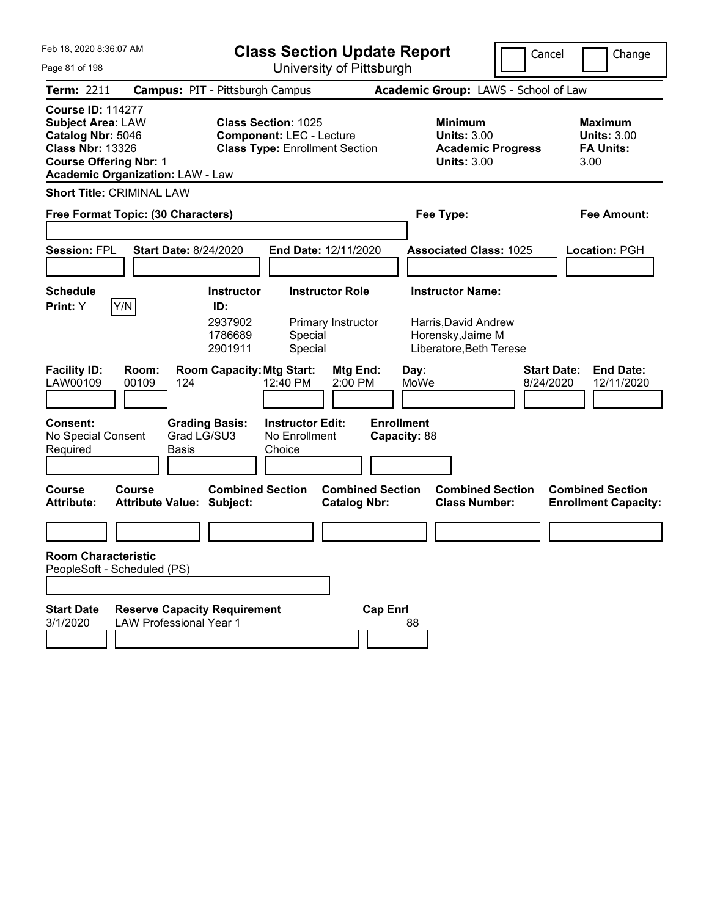| Feb 18, 2020 8:36:07 AM                                                                                                                                                          | <b>Class Section Update Report</b>                                                                     | Cancel                                                                                 | Change                                                           |
|----------------------------------------------------------------------------------------------------------------------------------------------------------------------------------|--------------------------------------------------------------------------------------------------------|----------------------------------------------------------------------------------------|------------------------------------------------------------------|
| Page 81 of 198                                                                                                                                                                   | University of Pittsburgh                                                                               |                                                                                        |                                                                  |
| Term: 2211                                                                                                                                                                       | <b>Campus: PIT - Pittsburgh Campus</b>                                                                 | Academic Group: LAWS - School of Law                                                   |                                                                  |
| <b>Course ID: 114277</b><br><b>Subject Area: LAW</b><br>Catalog Nbr: 5046<br><b>Class Nbr: 13326</b><br><b>Course Offering Nbr: 1</b><br><b>Academic Organization: LAW - Law</b> | <b>Class Section: 1025</b><br><b>Component: LEC - Lecture</b><br><b>Class Type: Enrollment Section</b> | <b>Minimum</b><br><b>Units: 3.00</b><br><b>Academic Progress</b><br><b>Units: 3.00</b> | <b>Maximum</b><br><b>Units: 3.00</b><br><b>FA Units:</b><br>3.00 |
| <b>Short Title: CRIMINAL LAW</b>                                                                                                                                                 |                                                                                                        |                                                                                        |                                                                  |
| Free Format Topic: (30 Characters)                                                                                                                                               |                                                                                                        | Fee Type:                                                                              | <b>Fee Amount:</b>                                               |
|                                                                                                                                                                                  |                                                                                                        |                                                                                        |                                                                  |
| <b>Session: FPL</b><br><b>Start Date: 8/24/2020</b>                                                                                                                              | End Date: 12/11/2020                                                                                   | <b>Associated Class: 1025</b>                                                          | Location: PGH                                                    |
|                                                                                                                                                                                  |                                                                                                        |                                                                                        |                                                                  |
| <b>Schedule</b>                                                                                                                                                                  | <b>Instructor Role</b><br><b>Instructor</b>                                                            | <b>Instructor Name:</b>                                                                |                                                                  |
| Y/N<br>Print: Y                                                                                                                                                                  | ID:<br>2937902<br>Primary Instructor<br>1786689<br>Special<br>2901911<br>Special                       | Harris, David Andrew<br>Horensky, Jaime M<br>Liberatore, Beth Terese                   |                                                                  |
| <b>Facility ID:</b><br>Room:<br>LAW00109<br>00109<br>124                                                                                                                         | <b>Room Capacity: Mtg Start:</b><br><b>Mtg End:</b><br>12:40 PM<br>2:00 PM                             | Day:<br>MoWe<br>8/24/2020                                                              | <b>Start Date:</b><br><b>End Date:</b><br>12/11/2020             |
| <b>Consent:</b><br><b>Grading Basis:</b><br>Grad LG/SU3<br>No Special Consent<br>Required<br>Basis                                                                               | <b>Instructor Edit:</b><br>No Enrollment<br>Choice                                                     | <b>Enrollment</b><br>Capacity: 88                                                      |                                                                  |
| <b>Course</b><br>Course<br><b>Attribute:</b><br><b>Attribute Value: Subject:</b>                                                                                                 | <b>Combined Section</b><br><b>Combined Section</b><br><b>Catalog Nbr:</b>                              | <b>Combined Section</b><br><b>Class Number:</b>                                        | <b>Combined Section</b><br><b>Enrollment Capacity:</b>           |
|                                                                                                                                                                                  |                                                                                                        |                                                                                        |                                                                  |
| <b>Room Characteristic</b><br>PeopleSoft - Scheduled (PS)                                                                                                                        |                                                                                                        |                                                                                        |                                                                  |
|                                                                                                                                                                                  |                                                                                                        |                                                                                        |                                                                  |
| <b>Reserve Capacity Requirement</b><br><b>Start Date</b><br>3/1/2020<br><b>LAW Professional Year 1</b>                                                                           | <b>Cap Enrl</b>                                                                                        | 88                                                                                     |                                                                  |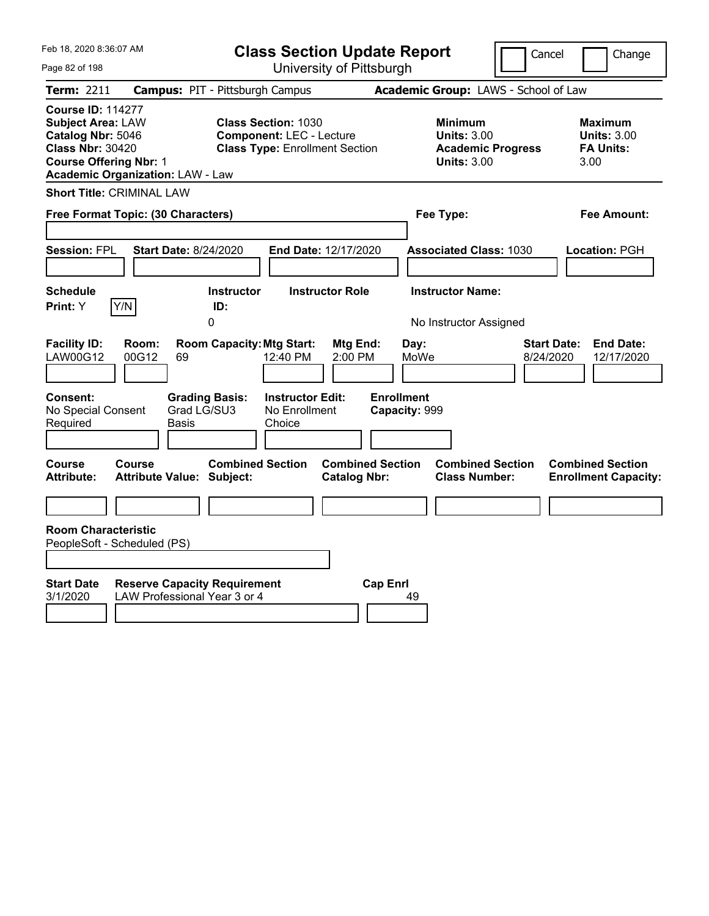| Feb 18, 2020 8:36:07 AM                                                                                                                                                          | <b>Class Section Update Report</b>                                                                                                                 |                                                                                        | Cancel<br>Change                                                  |
|----------------------------------------------------------------------------------------------------------------------------------------------------------------------------------|----------------------------------------------------------------------------------------------------------------------------------------------------|----------------------------------------------------------------------------------------|-------------------------------------------------------------------|
| Page 82 of 198                                                                                                                                                                   | University of Pittsburgh                                                                                                                           |                                                                                        |                                                                   |
| Term: 2211                                                                                                                                                                       | <b>Campus: PIT - Pittsburgh Campus</b>                                                                                                             | Academic Group: LAWS - School of Law                                                   |                                                                   |
| <b>Course ID: 114277</b><br><b>Subject Area: LAW</b><br>Catalog Nbr: 5046<br><b>Class Nbr: 30420</b><br><b>Course Offering Nbr: 1</b><br><b>Academic Organization: LAW - Law</b> | <b>Class Section: 1030</b><br><b>Component: LEC - Lecture</b><br><b>Class Type: Enrollment Section</b>                                             | <b>Minimum</b><br><b>Units: 3.00</b><br><b>Academic Progress</b><br><b>Units: 3.00</b> | <b>Maximum</b><br><b>Units: 3.00</b><br><b>FA Units:</b><br>3.00  |
| <b>Short Title: CRIMINAL LAW</b>                                                                                                                                                 |                                                                                                                                                    |                                                                                        |                                                                   |
| Free Format Topic: (30 Characters)                                                                                                                                               |                                                                                                                                                    | Fee Type:                                                                              | Fee Amount:                                                       |
| <b>Session: FPL</b><br><b>Start Date: 8/24/2020</b><br><b>Schedule</b><br>Y/N<br>Print: Y                                                                                        | End Date: 12/17/2020<br><b>Instructor Role</b><br><b>Instructor</b><br>ID:<br>0                                                                    | <b>Associated Class: 1030</b><br><b>Instructor Name:</b><br>No Instructor Assigned     | Location: PGH                                                     |
| <b>Facility ID:</b><br>Room:<br><b>LAW00G12</b><br>00G12<br>69<br><b>Consent:</b><br>Grad LG/SU3<br>No Special Consent<br>Required<br>Basis                                      | <b>Room Capacity: Mtg Start:</b><br>Mtg End:<br>12:40 PM<br>2:00 PM<br><b>Instructor Edit:</b><br><b>Grading Basis:</b><br>No Enrollment<br>Choice | Day:<br>MoWe<br><b>Enrollment</b><br>Capacity: 999                                     | <b>End Date:</b><br><b>Start Date:</b><br>8/24/2020<br>12/17/2020 |
| Course<br>Course<br><b>Attribute:</b><br><b>Attribute Value: Subject:</b><br><b>Room Characteristic</b>                                                                          | <b>Combined Section</b><br><b>Combined Section</b><br><b>Catalog Nbr:</b>                                                                          | <b>Combined Section</b><br><b>Class Number:</b>                                        | <b>Combined Section</b><br><b>Enrollment Capacity:</b>            |
| PeopleSoft - Scheduled (PS)                                                                                                                                                      |                                                                                                                                                    |                                                                                        |                                                                   |
| <b>Start Date</b><br><b>Reserve Capacity Requirement</b><br>LAW Professional Year 3 or 4<br>3/1/2020                                                                             | <b>Cap Enrl</b>                                                                                                                                    | 49                                                                                     |                                                                   |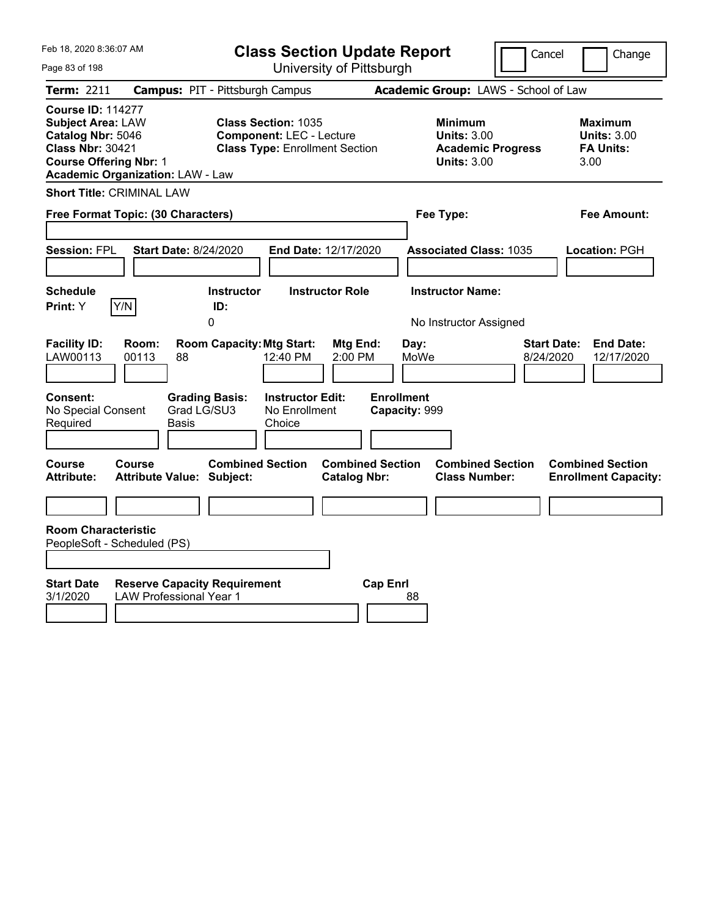| Feb 18, 2020 8:36:07 AM                                                                                                                                                          | <b>Class Section Update Report</b>                                                                     |                                                |                                                                                        | Cancel<br>Change                                                  |
|----------------------------------------------------------------------------------------------------------------------------------------------------------------------------------|--------------------------------------------------------------------------------------------------------|------------------------------------------------|----------------------------------------------------------------------------------------|-------------------------------------------------------------------|
| Page 83 of 198                                                                                                                                                                   |                                                                                                        | University of Pittsburgh                       |                                                                                        |                                                                   |
| Term: 2211                                                                                                                                                                       | <b>Campus: PIT - Pittsburgh Campus</b>                                                                 |                                                | Academic Group: LAWS - School of Law                                                   |                                                                   |
| <b>Course ID: 114277</b><br><b>Subject Area: LAW</b><br>Catalog Nbr: 5046<br><b>Class Nbr: 30421</b><br><b>Course Offering Nbr: 1</b><br><b>Academic Organization: LAW - Law</b> | <b>Class Section: 1035</b><br><b>Component: LEC - Lecture</b><br><b>Class Type: Enrollment Section</b> |                                                | <b>Minimum</b><br><b>Units: 3.00</b><br><b>Academic Progress</b><br><b>Units: 3.00</b> | <b>Maximum</b><br><b>Units: 3.00</b><br><b>FA Units:</b><br>3.00  |
| <b>Short Title: CRIMINAL LAW</b>                                                                                                                                                 |                                                                                                        |                                                |                                                                                        |                                                                   |
| Free Format Topic: (30 Characters)                                                                                                                                               |                                                                                                        |                                                | Fee Type:                                                                              | Fee Amount:                                                       |
| <b>Session: FPL</b><br><b>Start Date: 8/24/2020</b>                                                                                                                              | End Date: 12/17/2020                                                                                   |                                                | <b>Associated Class: 1035</b>                                                          | Location: PGH                                                     |
| <b>Schedule</b><br>Print: Y<br>Y/N                                                                                                                                               | <b>Instructor Role</b><br><b>Instructor</b><br>ID:<br>0                                                |                                                | <b>Instructor Name:</b><br>No Instructor Assigned                                      |                                                                   |
| <b>Facility ID:</b><br>Room:<br>LAW00113<br>00113<br>88                                                                                                                          | <b>Room Capacity: Mtg Start:</b><br>12:40 PM                                                           | Mtg End:<br>Day:<br>2:00 PM<br>MoWe            |                                                                                        | <b>End Date:</b><br><b>Start Date:</b><br>8/24/2020<br>12/17/2020 |
| <b>Consent:</b><br>Grad LG/SU3<br>No Special Consent<br>Required<br>Basis                                                                                                        | <b>Instructor Edit:</b><br><b>Grading Basis:</b><br>No Enrollment<br>Choice                            | <b>Enrollment</b><br>Capacity: 999             |                                                                                        |                                                                   |
| Course<br><b>Course</b><br><b>Attribute Value: Subject:</b><br>Attribute:                                                                                                        | <b>Combined Section</b>                                                                                | <b>Combined Section</b><br><b>Catalog Nbr:</b> | <b>Combined Section</b><br><b>Class Number:</b>                                        | <b>Combined Section</b><br><b>Enrollment Capacity:</b>            |
|                                                                                                                                                                                  |                                                                                                        |                                                |                                                                                        |                                                                   |
| <b>Room Characteristic</b><br>PeopleSoft - Scheduled (PS)                                                                                                                        |                                                                                                        |                                                |                                                                                        |                                                                   |
| <b>Start Date</b><br><b>Reserve Capacity Requirement</b><br>3/1/2020<br><b>LAW Professional Year 1</b>                                                                           |                                                                                                        | <b>Cap Enrl</b><br>88                          |                                                                                        |                                                                   |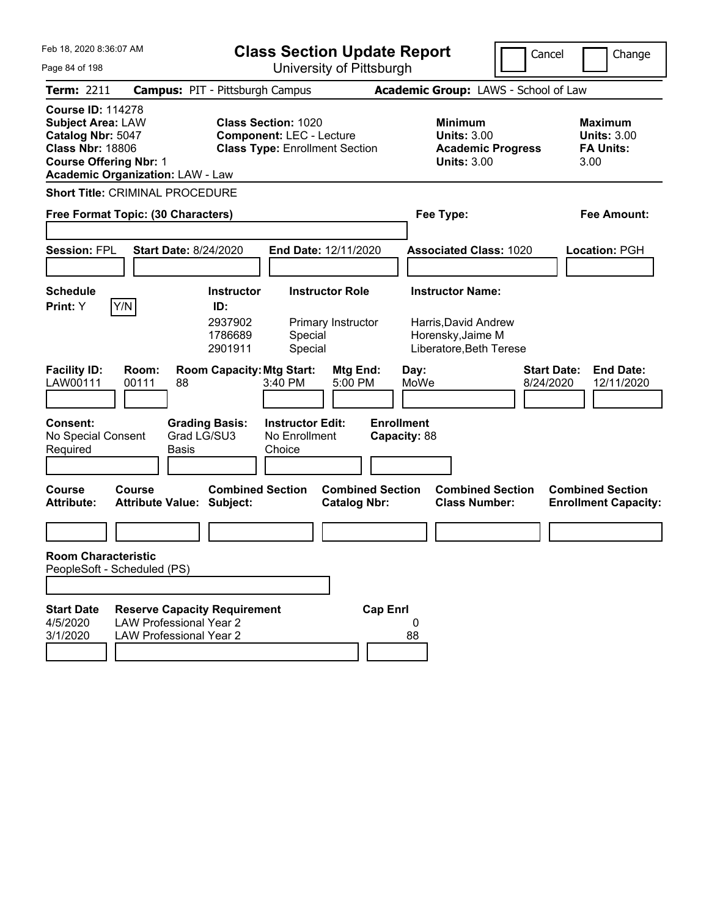| Feb 18, 2020 8:36:07 AM<br>Page 84 of 198                                                                                                                                        | <b>Class Section Update Report</b>                                                                                                               | University of Pittsburgh                       |                                                                                                 | Cancel<br>Change                                                  |
|----------------------------------------------------------------------------------------------------------------------------------------------------------------------------------|--------------------------------------------------------------------------------------------------------------------------------------------------|------------------------------------------------|-------------------------------------------------------------------------------------------------|-------------------------------------------------------------------|
| Term: 2211                                                                                                                                                                       |                                                                                                                                                  |                                                | Academic Group: LAWS - School of Law                                                            |                                                                   |
| <b>Course ID: 114278</b><br><b>Subject Area: LAW</b><br>Catalog Nbr: 5047<br><b>Class Nbr: 18806</b><br><b>Course Offering Nbr: 1</b><br><b>Academic Organization: LAW - Law</b> | <b>Campus: PIT - Pittsburgh Campus</b><br><b>Class Section: 1020</b><br><b>Component: LEC - Lecture</b><br><b>Class Type: Enrollment Section</b> |                                                | <b>Minimum</b><br><b>Units: 3.00</b><br><b>Academic Progress</b><br><b>Units: 3.00</b>          | <b>Maximum</b><br><b>Units: 3.00</b><br><b>FA Units:</b><br>3.00  |
| <b>Short Title: CRIMINAL PROCEDURE</b>                                                                                                                                           |                                                                                                                                                  |                                                |                                                                                                 |                                                                   |
| Free Format Topic: (30 Characters)                                                                                                                                               |                                                                                                                                                  |                                                | Fee Type:                                                                                       | <b>Fee Amount:</b>                                                |
| <b>Session: FPL</b><br><b>Start Date: 8/24/2020</b>                                                                                                                              | End Date: 12/11/2020                                                                                                                             |                                                | <b>Associated Class: 1020</b>                                                                   | Location: PGH                                                     |
| <b>Schedule</b><br>Y/N<br>Print: Y                                                                                                                                               | <b>Instructor Role</b><br><b>Instructor</b><br>ID:<br>2937902<br>Primary Instructor<br>1786689<br>Special<br>2901911<br>Special                  |                                                | <b>Instructor Name:</b><br>Harris, David Andrew<br>Horensky, Jaime M<br>Liberatore, Beth Terese |                                                                   |
| <b>Facility ID:</b><br>Room:<br>LAW00111<br>00111<br>88                                                                                                                          | <b>Room Capacity: Mtg Start:</b><br>3:40 PM                                                                                                      | Mtg End:<br>Day:<br>5:00 PM<br>MoWe            |                                                                                                 | <b>Start Date:</b><br><b>End Date:</b><br>8/24/2020<br>12/11/2020 |
| <b>Consent:</b><br>No Special Consent<br>Required<br>Basis                                                                                                                       | <b>Instructor Edit:</b><br><b>Grading Basis:</b><br>Grad LG/SU3<br>No Enrollment<br>Choice                                                       | <b>Enrollment</b><br>Capacity: 88              |                                                                                                 |                                                                   |
| <b>Course</b><br>Course<br><b>Attribute:</b><br><b>Attribute Value: Subject:</b>                                                                                                 | <b>Combined Section</b>                                                                                                                          | <b>Combined Section</b><br><b>Catalog Nbr:</b> | <b>Combined Section</b><br><b>Class Number:</b>                                                 | <b>Combined Section</b><br><b>Enrollment Capacity:</b>            |
|                                                                                                                                                                                  |                                                                                                                                                  |                                                |                                                                                                 |                                                                   |
| <b>Room Characteristic</b><br>PeopleSoft - Scheduled (PS)                                                                                                                        |                                                                                                                                                  |                                                |                                                                                                 |                                                                   |
|                                                                                                                                                                                  |                                                                                                                                                  |                                                |                                                                                                 |                                                                   |
| <b>Start Date</b><br><b>LAW Professional Year 2</b><br>4/5/2020<br>3/1/2020<br><b>LAW Professional Year 2</b>                                                                    | <b>Reserve Capacity Requirement</b>                                                                                                              | <b>Cap Enrl</b><br>0<br>88                     |                                                                                                 |                                                                   |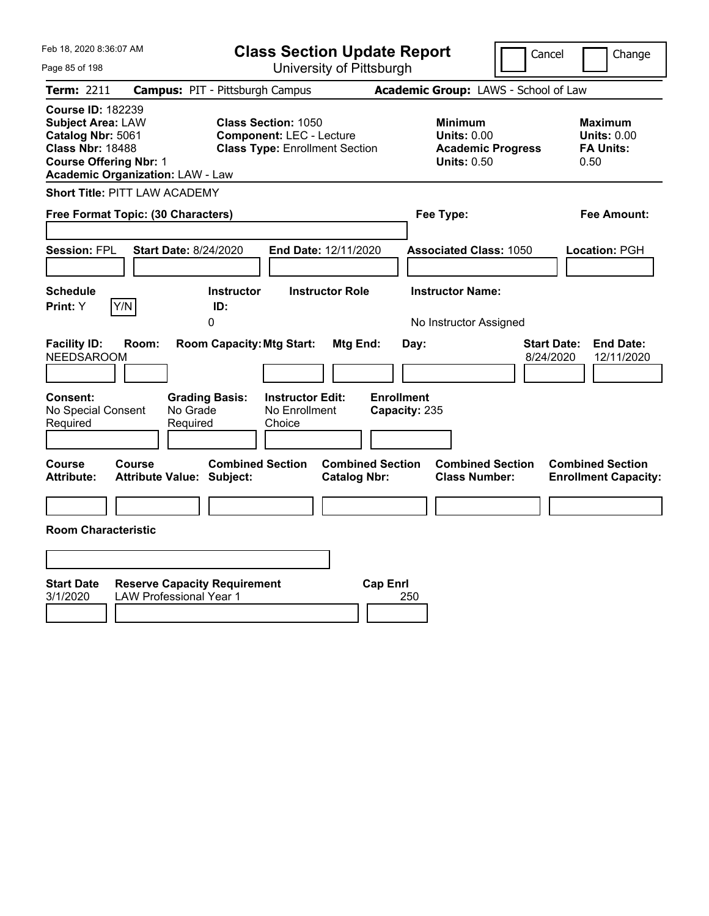| Feb 18, 2020 8:36:07 AM                                                                                                                                                          | <b>Class Section Update Report</b>                                                                     |                                                                                                   | Cancel                          | Change                                                           |
|----------------------------------------------------------------------------------------------------------------------------------------------------------------------------------|--------------------------------------------------------------------------------------------------------|---------------------------------------------------------------------------------------------------|---------------------------------|------------------------------------------------------------------|
| Page 85 of 198                                                                                                                                                                   | University of Pittsburgh                                                                               |                                                                                                   |                                 |                                                                  |
| Term: 2211                                                                                                                                                                       | <b>Campus: PIT - Pittsburgh Campus</b>                                                                 | Academic Group: LAWS - School of Law                                                              |                                 |                                                                  |
| <b>Course ID: 182239</b><br><b>Subject Area: LAW</b><br>Catalog Nbr: 5061<br><b>Class Nbr: 18488</b><br><b>Course Offering Nbr: 1</b><br><b>Academic Organization: LAW - Law</b> | <b>Class Section: 1050</b><br><b>Component: LEC - Lecture</b><br><b>Class Type: Enrollment Section</b> | <b>Minimum</b><br><b>Units: 0.00</b><br><b>Academic Progress</b><br><b>Units: 0.50</b>            |                                 | <b>Maximum</b><br><b>Units: 0.00</b><br><b>FA Units:</b><br>0.50 |
| <b>Short Title: PITT LAW ACADEMY</b>                                                                                                                                             |                                                                                                        |                                                                                                   |                                 |                                                                  |
| Free Format Topic: (30 Characters)                                                                                                                                               |                                                                                                        | Fee Type:                                                                                         |                                 | Fee Amount:                                                      |
| Session: FPL<br><b>Start Date: 8/24/2020</b>                                                                                                                                     | End Date: 12/11/2020                                                                                   | <b>Associated Class: 1050</b>                                                                     |                                 | Location: PGH                                                    |
| <b>Schedule</b><br>Y/N<br>Print: Y                                                                                                                                               | <b>Instructor Role</b><br><b>Instructor</b><br>ID:<br>0                                                | <b>Instructor Name:</b><br>No Instructor Assigned                                                 |                                 |                                                                  |
| <b>Facility ID:</b><br>Room:<br><b>NEEDSAROOM</b>                                                                                                                                | <b>Room Capacity: Mtg Start:</b>                                                                       | Mtg End:<br>Day:                                                                                  | <b>Start Date:</b><br>8/24/2020 | <b>End Date:</b><br>12/11/2020                                   |
| <b>Consent:</b><br>No Special Consent<br>No Grade<br>Required<br>Required                                                                                                        | <b>Grading Basis:</b><br><b>Instructor Edit:</b><br>No Enrollment<br>Choice                            | <b>Enrollment</b><br>Capacity: 235                                                                |                                 |                                                                  |
| Course<br>Course<br><b>Attribute:</b><br><b>Attribute Value: Subject:</b>                                                                                                        | <b>Combined Section</b>                                                                                | <b>Combined Section</b><br><b>Combined Section</b><br><b>Catalog Nbr:</b><br><b>Class Number:</b> |                                 | <b>Combined Section</b><br><b>Enrollment Capacity:</b>           |
|                                                                                                                                                                                  |                                                                                                        |                                                                                                   |                                 |                                                                  |
| <b>Room Characteristic</b>                                                                                                                                                       |                                                                                                        |                                                                                                   |                                 |                                                                  |
|                                                                                                                                                                                  |                                                                                                        |                                                                                                   |                                 |                                                                  |
| <b>Start Date</b><br><b>Reserve Capacity Requirement</b><br><b>LAW Professional Year 1</b><br>3/1/2020                                                                           |                                                                                                        | <b>Cap Enrl</b><br>250                                                                            |                                 |                                                                  |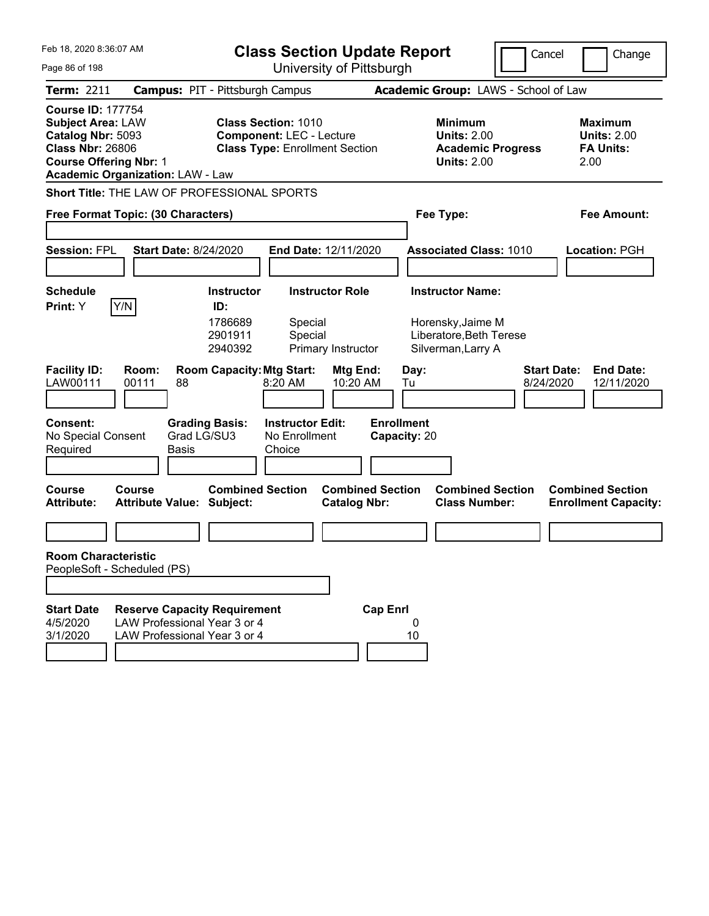| Feb 18, 2020 8:36:07 AM                                                                                                                                                          |                                                                                                     |                                                           | <b>Class Section Update Report</b>                                                                     |                                              |                                   |                                                                                               |                                      | Cancel                          | Change                                                           |
|----------------------------------------------------------------------------------------------------------------------------------------------------------------------------------|-----------------------------------------------------------------------------------------------------|-----------------------------------------------------------|--------------------------------------------------------------------------------------------------------|----------------------------------------------|-----------------------------------|-----------------------------------------------------------------------------------------------|--------------------------------------|---------------------------------|------------------------------------------------------------------|
| Page 86 of 198                                                                                                                                                                   |                                                                                                     |                                                           |                                                                                                        | University of Pittsburgh                     |                                   |                                                                                               |                                      |                                 |                                                                  |
| Term: 2211                                                                                                                                                                       | <b>Campus: PIT - Pittsburgh Campus</b>                                                              |                                                           |                                                                                                        |                                              |                                   |                                                                                               | Academic Group: LAWS - School of Law |                                 |                                                                  |
| <b>Course ID: 177754</b><br><b>Subject Area: LAW</b><br>Catalog Nbr: 5093<br><b>Class Nbr: 26806</b><br><b>Course Offering Nbr: 1</b><br><b>Academic Organization: LAW - Law</b> |                                                                                                     |                                                           | <b>Class Section: 1010</b><br><b>Component: LEC - Lecture</b><br><b>Class Type: Enrollment Section</b> |                                              |                                   | <b>Minimum</b><br><b>Units: 2.00</b><br><b>Units: 2.00</b>                                    | <b>Academic Progress</b>             |                                 | <b>Maximum</b><br><b>Units: 2.00</b><br><b>FA Units:</b><br>2.00 |
| Short Title: THE LAW OF PROFESSIONAL SPORTS                                                                                                                                      |                                                                                                     |                                                           |                                                                                                        |                                              |                                   |                                                                                               |                                      |                                 |                                                                  |
| Free Format Topic: (30 Characters)                                                                                                                                               |                                                                                                     |                                                           |                                                                                                        |                                              |                                   | Fee Type:                                                                                     |                                      |                                 | <b>Fee Amount:</b>                                               |
| <b>Session: FPL</b>                                                                                                                                                              | <b>Start Date: 8/24/2020</b>                                                                        |                                                           |                                                                                                        | End Date: 12/11/2020                         |                                   | <b>Associated Class: 1010</b>                                                                 |                                      |                                 | Location: PGH                                                    |
| <b>Schedule</b><br>Y/N<br>Print: Y                                                                                                                                               |                                                                                                     | <b>Instructor</b><br>ID:<br>1786689<br>2901911<br>2940392 | Special<br>Special                                                                                     | <b>Instructor Role</b><br>Primary Instructor |                                   | <b>Instructor Name:</b><br>Horensky, Jaime M<br>Liberatore, Beth Terese<br>Silverman, Larry A |                                      |                                 |                                                                  |
| <b>Facility ID:</b><br>LAW00111                                                                                                                                                  | Room:<br>00111<br>88                                                                                | <b>Room Capacity: Mtg Start:</b>                          | 8:20 AM                                                                                                | Mtg End:<br>10:20 AM                         | Day:<br>Tu                        |                                                                                               |                                      | <b>Start Date:</b><br>8/24/2020 | <b>End Date:</b><br>12/11/2020                                   |
| <b>Consent:</b><br>No Special Consent<br>Required                                                                                                                                | Grad LG/SU3<br><b>Basis</b>                                                                         | <b>Grading Basis:</b>                                     | <b>Instructor Edit:</b><br>No Enrollment<br>Choice                                                     |                                              | <b>Enrollment</b><br>Capacity: 20 |                                                                                               |                                      |                                 |                                                                  |
| <b>Course</b><br><b>Attribute:</b>                                                                                                                                               | <b>Course</b><br><b>Attribute Value: Subject:</b>                                                   | <b>Combined Section</b>                                   |                                                                                                        | <b>Catalog Nbr:</b>                          | <b>Combined Section</b>           | <b>Class Number:</b>                                                                          | <b>Combined Section</b>              |                                 | <b>Combined Section</b><br><b>Enrollment Capacity:</b>           |
|                                                                                                                                                                                  |                                                                                                     |                                                           |                                                                                                        |                                              |                                   |                                                                                               |                                      |                                 |                                                                  |
| <b>Room Characteristic</b><br>PeopleSoft - Scheduled (PS)                                                                                                                        |                                                                                                     |                                                           |                                                                                                        |                                              |                                   |                                                                                               |                                      |                                 |                                                                  |
|                                                                                                                                                                                  |                                                                                                     |                                                           |                                                                                                        |                                              |                                   |                                                                                               |                                      |                                 |                                                                  |
| <b>Start Date</b><br>4/5/2020<br>3/1/2020                                                                                                                                        | <b>Reserve Capacity Requirement</b><br>LAW Professional Year 3 or 4<br>LAW Professional Year 3 or 4 |                                                           |                                                                                                        |                                              | <b>Cap Enrl</b><br>0<br>10        |                                                                                               |                                      |                                 |                                                                  |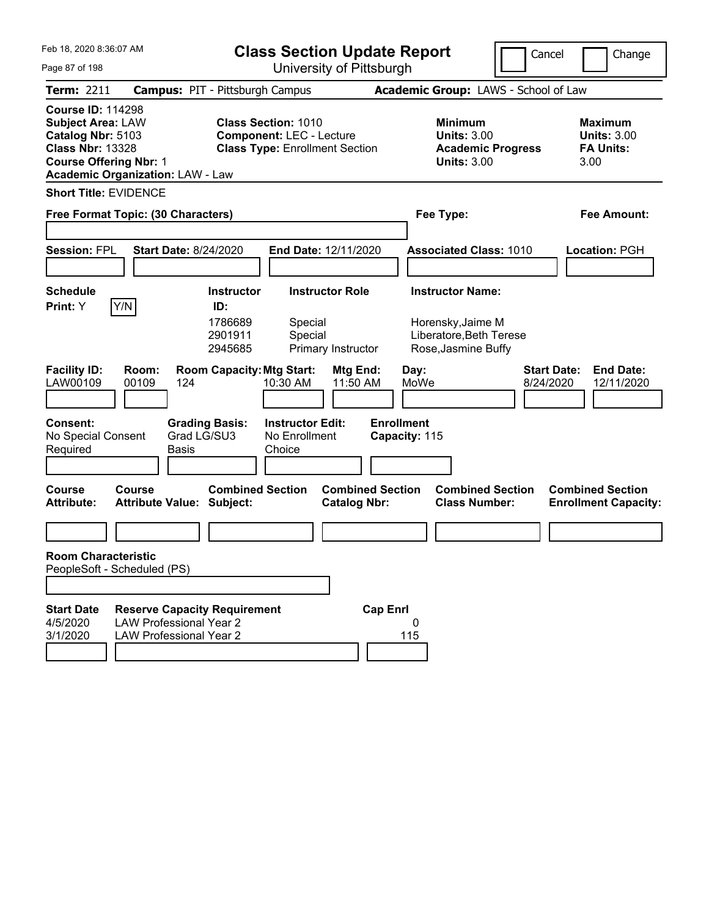| Feb 18, 2020 8:36:07 AM                                                                                                                                                          |                                                                                                         |                                                           | <b>Class Section Update Report</b>                                                                     |                                              |                                    |                                                                                                |                          | Cancel<br>Change                                                  |
|----------------------------------------------------------------------------------------------------------------------------------------------------------------------------------|---------------------------------------------------------------------------------------------------------|-----------------------------------------------------------|--------------------------------------------------------------------------------------------------------|----------------------------------------------|------------------------------------|------------------------------------------------------------------------------------------------|--------------------------|-------------------------------------------------------------------|
| Page 87 of 198                                                                                                                                                                   |                                                                                                         |                                                           |                                                                                                        | University of Pittsburgh                     |                                    |                                                                                                |                          |                                                                   |
| <b>Term: 2211</b>                                                                                                                                                                | <b>Campus: PIT - Pittsburgh Campus</b>                                                                  |                                                           |                                                                                                        |                                              |                                    | Academic Group: LAWS - School of Law                                                           |                          |                                                                   |
| <b>Course ID: 114298</b><br><b>Subject Area: LAW</b><br>Catalog Nbr: 5103<br><b>Class Nbr: 13328</b><br><b>Course Offering Nbr: 1</b><br><b>Academic Organization: LAW - Law</b> |                                                                                                         |                                                           | <b>Class Section: 1010</b><br><b>Component: LEC - Lecture</b><br><b>Class Type: Enrollment Section</b> |                                              |                                    | <b>Minimum</b><br><b>Units: 3.00</b><br><b>Units: 3.00</b>                                     | <b>Academic Progress</b> | <b>Maximum</b><br><b>Units: 3.00</b><br><b>FA Units:</b><br>3.00  |
| <b>Short Title: EVIDENCE</b>                                                                                                                                                     |                                                                                                         |                                                           |                                                                                                        |                                              |                                    |                                                                                                |                          |                                                                   |
| Free Format Topic: (30 Characters)                                                                                                                                               |                                                                                                         |                                                           |                                                                                                        |                                              |                                    | Fee Type:                                                                                      |                          | <b>Fee Amount:</b>                                                |
| Session: FPL                                                                                                                                                                     | <b>Start Date: 8/24/2020</b>                                                                            |                                                           | End Date: 12/11/2020                                                                                   |                                              |                                    | <b>Associated Class: 1010</b>                                                                  |                          | <b>Location: PGH</b>                                              |
| <b>Schedule</b><br>Y/N<br>Print: Y                                                                                                                                               |                                                                                                         | <b>Instructor</b><br>ID:<br>1786689<br>2901911<br>2945685 | Special<br>Special                                                                                     | <b>Instructor Role</b><br>Primary Instructor |                                    | <b>Instructor Name:</b><br>Horensky, Jaime M<br>Liberatore, Beth Terese<br>Rose, Jasmine Buffy |                          |                                                                   |
| <b>Facility ID:</b><br>LAW00109                                                                                                                                                  | Room:<br>00109<br>124                                                                                   | <b>Room Capacity: Mtg Start:</b>                          | 10:30 AM                                                                                               | Mtg End:<br>11:50 AM                         |                                    | Day:<br>MoWe                                                                                   |                          | <b>Start Date:</b><br><b>End Date:</b><br>8/24/2020<br>12/11/2020 |
| <b>Consent:</b><br>No Special Consent<br>Required                                                                                                                                | Grad LG/SU3<br><b>Basis</b>                                                                             | <b>Grading Basis:</b>                                     | <b>Instructor Edit:</b><br>No Enrollment<br>Choice                                                     |                                              | <b>Enrollment</b><br>Capacity: 115 |                                                                                                |                          |                                                                   |
| Course<br><b>Attribute:</b>                                                                                                                                                      | Course<br><b>Attribute Value: Subject:</b>                                                              | <b>Combined Section</b>                                   |                                                                                                        | <b>Catalog Nbr:</b>                          | <b>Combined Section</b>            | <b>Class Number:</b>                                                                           | <b>Combined Section</b>  | <b>Combined Section</b><br><b>Enrollment Capacity:</b>            |
|                                                                                                                                                                                  |                                                                                                         |                                                           |                                                                                                        |                                              |                                    |                                                                                                |                          |                                                                   |
| <b>Room Characteristic</b><br>PeopleSoft - Scheduled (PS)                                                                                                                        |                                                                                                         |                                                           |                                                                                                        |                                              |                                    |                                                                                                |                          |                                                                   |
|                                                                                                                                                                                  |                                                                                                         |                                                           |                                                                                                        |                                              |                                    |                                                                                                |                          |                                                                   |
| <b>Start Date</b><br>4/5/2020<br>3/1/2020                                                                                                                                        | <b>Reserve Capacity Requirement</b><br><b>LAW Professional Year 2</b><br><b>LAW Professional Year 2</b> |                                                           |                                                                                                        |                                              | <b>Cap Enrl</b><br>115             | 0                                                                                              |                          |                                                                   |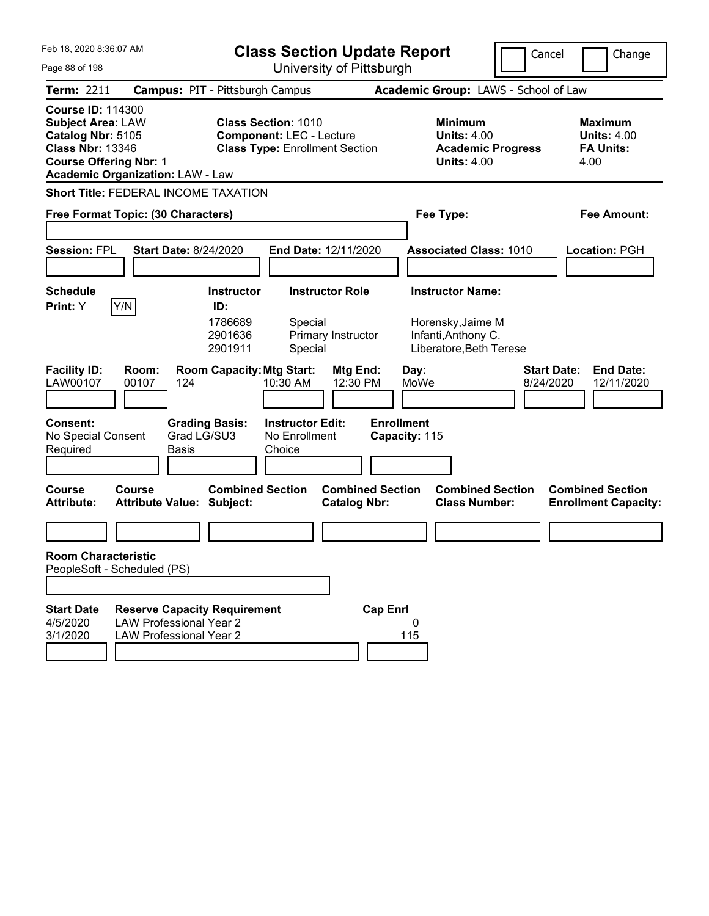| Feb 18, 2020 8:36:07 AM                                                                                                                                                          |                                                                                                         | <b>Class Section Update Report</b>                                                                     |                                                |                                                                                 | Cancel                          | Change                                                           |
|----------------------------------------------------------------------------------------------------------------------------------------------------------------------------------|---------------------------------------------------------------------------------------------------------|--------------------------------------------------------------------------------------------------------|------------------------------------------------|---------------------------------------------------------------------------------|---------------------------------|------------------------------------------------------------------|
| Page 88 of 198                                                                                                                                                                   |                                                                                                         |                                                                                                        | University of Pittsburgh                       |                                                                                 |                                 |                                                                  |
| Term: 2211                                                                                                                                                                       | <b>Campus: PIT - Pittsburgh Campus</b>                                                                  |                                                                                                        |                                                | Academic Group: LAWS - School of Law                                            |                                 |                                                                  |
| <b>Course ID: 114300</b><br><b>Subject Area: LAW</b><br>Catalog Nbr: 5105<br><b>Class Nbr: 13346</b><br><b>Course Offering Nbr: 1</b><br><b>Academic Organization: LAW - Law</b> |                                                                                                         | <b>Class Section: 1010</b><br><b>Component: LEC - Lecture</b><br><b>Class Type: Enrollment Section</b> |                                                | Minimum<br><b>Units: 4.00</b><br><b>Academic Progress</b><br><b>Units: 4.00</b> |                                 | <b>Maximum</b><br><b>Units: 4.00</b><br><b>FA Units:</b><br>4.00 |
| <b>Short Title: FEDERAL INCOME TAXATION</b>                                                                                                                                      |                                                                                                         |                                                                                                        |                                                |                                                                                 |                                 |                                                                  |
| Free Format Topic: (30 Characters)                                                                                                                                               |                                                                                                         |                                                                                                        |                                                | Fee Type:                                                                       |                                 | <b>Fee Amount:</b>                                               |
| <b>Session: FPL</b>                                                                                                                                                              | <b>Start Date: 8/24/2020</b>                                                                            | End Date: 12/11/2020                                                                                   |                                                | <b>Associated Class: 1010</b>                                                   |                                 | Location: PGH                                                    |
| <b>Schedule</b>                                                                                                                                                                  | <b>Instructor</b>                                                                                       | <b>Instructor Role</b>                                                                                 |                                                | <b>Instructor Name:</b>                                                         |                                 |                                                                  |
| Y/N<br>Print: Y<br><b>Facility ID:</b><br>Room:<br>LAW00107<br>00107                                                                                                             | ID:<br>1786689<br>2901636<br>2901911<br>124                                                             | Special<br>Primary Instructor<br>Special<br><b>Room Capacity: Mtg Start:</b><br>10:30 AM               | Mtg End:<br>Day:<br>12:30 PM<br>MoWe           | Horensky, Jaime M<br>Infanti, Anthony C.<br>Liberatore, Beth Terese             | <b>Start Date:</b><br>8/24/2020 | <b>End Date:</b><br>12/11/2020                                   |
|                                                                                                                                                                                  |                                                                                                         |                                                                                                        |                                                |                                                                                 |                                 |                                                                  |
| <b>Consent:</b><br>No Special Consent<br>Required                                                                                                                                | <b>Grading Basis:</b><br>Grad LG/SU3<br>Basis                                                           | <b>Instructor Edit:</b><br>No Enrollment<br>Choice                                                     | <b>Enrollment</b><br>Capacity: 115             |                                                                                 |                                 |                                                                  |
| <b>Course</b><br>Course<br><b>Attribute:</b>                                                                                                                                     | <b>Attribute Value: Subject:</b>                                                                        | <b>Combined Section</b>                                                                                | <b>Combined Section</b><br><b>Catalog Nbr:</b> | <b>Combined Section</b><br><b>Class Number:</b>                                 |                                 | <b>Combined Section</b><br><b>Enrollment Capacity:</b>           |
|                                                                                                                                                                                  |                                                                                                         |                                                                                                        |                                                |                                                                                 |                                 |                                                                  |
| <b>Room Characteristic</b><br>PeopleSoft - Scheduled (PS)                                                                                                                        |                                                                                                         |                                                                                                        |                                                |                                                                                 |                                 |                                                                  |
|                                                                                                                                                                                  |                                                                                                         |                                                                                                        |                                                |                                                                                 |                                 |                                                                  |
| <b>Start Date</b><br>4/5/2020<br>3/1/2020                                                                                                                                        | <b>Reserve Capacity Requirement</b><br><b>LAW Professional Year 2</b><br><b>LAW Professional Year 2</b> |                                                                                                        | <b>Cap Enrl</b><br>0<br>115                    |                                                                                 |                                 |                                                                  |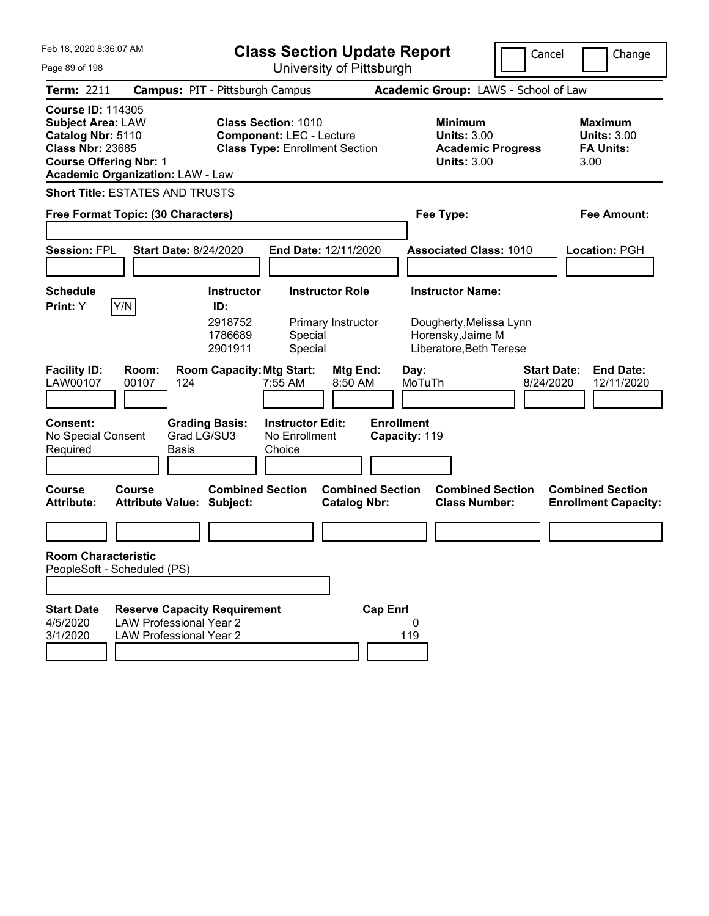| Feb 18, 2020 8:36:07 AM                                                                                                                                                          |                                                                                                        | <b>Class Section Update Report</b>             |                                                                                        | Cancel<br>Change                                                  |
|----------------------------------------------------------------------------------------------------------------------------------------------------------------------------------|--------------------------------------------------------------------------------------------------------|------------------------------------------------|----------------------------------------------------------------------------------------|-------------------------------------------------------------------|
| Page 89 of 198                                                                                                                                                                   |                                                                                                        | University of Pittsburgh                       |                                                                                        |                                                                   |
| <b>Term: 2211</b>                                                                                                                                                                | <b>Campus: PIT - Pittsburgh Campus</b>                                                                 |                                                | Academic Group: LAWS - School of Law                                                   |                                                                   |
| <b>Course ID: 114305</b><br><b>Subject Area: LAW</b><br>Catalog Nbr: 5110<br><b>Class Nbr: 23685</b><br><b>Course Offering Nbr: 1</b><br><b>Academic Organization: LAW - Law</b> | <b>Class Section: 1010</b><br><b>Component: LEC - Lecture</b><br><b>Class Type: Enrollment Section</b> |                                                | <b>Minimum</b><br><b>Units: 3.00</b><br><b>Academic Progress</b><br><b>Units: 3.00</b> | <b>Maximum</b><br><b>Units: 3.00</b><br><b>FA Units:</b><br>3.00  |
| <b>Short Title: ESTATES AND TRUSTS</b>                                                                                                                                           |                                                                                                        |                                                |                                                                                        |                                                                   |
| Free Format Topic: (30 Characters)                                                                                                                                               |                                                                                                        |                                                | Fee Type:                                                                              | <b>Fee Amount:</b>                                                |
| <b>Session: FPL</b><br><b>Start Date: 8/24/2020</b>                                                                                                                              | End Date: 12/11/2020                                                                                   |                                                | <b>Associated Class: 1010</b>                                                          | Location: PGH                                                     |
| <b>Schedule</b><br>Y/N<br>Print: Y                                                                                                                                               | <b>Instructor</b><br>ID:                                                                               | <b>Instructor Role</b>                         | <b>Instructor Name:</b>                                                                |                                                                   |
|                                                                                                                                                                                  | 2918752<br>1786689<br>Special<br>2901911<br>Special                                                    | Primary Instructor                             | Dougherty, Melissa Lynn<br>Horensky, Jaime M<br>Liberatore, Beth Terese                |                                                                   |
| <b>Facility ID:</b><br>Room:<br>LAW00107<br>00107<br>124                                                                                                                         | <b>Room Capacity: Mtg Start:</b><br>7:55 AM                                                            | Mtg End:<br>Day:<br>8:50 AM<br>MoTuTh          |                                                                                        | <b>Start Date:</b><br><b>End Date:</b><br>8/24/2020<br>12/11/2020 |
| <b>Consent:</b><br>No Special Consent<br>Required<br>Basis                                                                                                                       | <b>Instructor Edit:</b><br><b>Grading Basis:</b><br>Grad LG/SU3<br>No Enrollment<br>Choice             | <b>Enrollment</b><br>Capacity: 119             |                                                                                        |                                                                   |
| <b>Course</b><br>Course<br><b>Attribute Value: Subject:</b><br><b>Attribute:</b>                                                                                                 | <b>Combined Section</b>                                                                                | <b>Combined Section</b><br><b>Catalog Nbr:</b> | <b>Combined Section</b><br><b>Class Number:</b>                                        | <b>Combined Section</b><br><b>Enrollment Capacity:</b>            |
|                                                                                                                                                                                  |                                                                                                        |                                                |                                                                                        |                                                                   |
| <b>Room Characteristic</b><br>PeopleSoft - Scheduled (PS)                                                                                                                        |                                                                                                        |                                                |                                                                                        |                                                                   |
|                                                                                                                                                                                  |                                                                                                        |                                                |                                                                                        |                                                                   |
| <b>Start Date</b><br><b>Reserve Capacity Requirement</b><br><b>LAW Professional Year 2</b><br>4/5/2020<br>3/1/2020<br><b>LAW Professional Year 2</b>                             |                                                                                                        | <b>Cap Enrl</b><br>0<br>119                    |                                                                                        |                                                                   |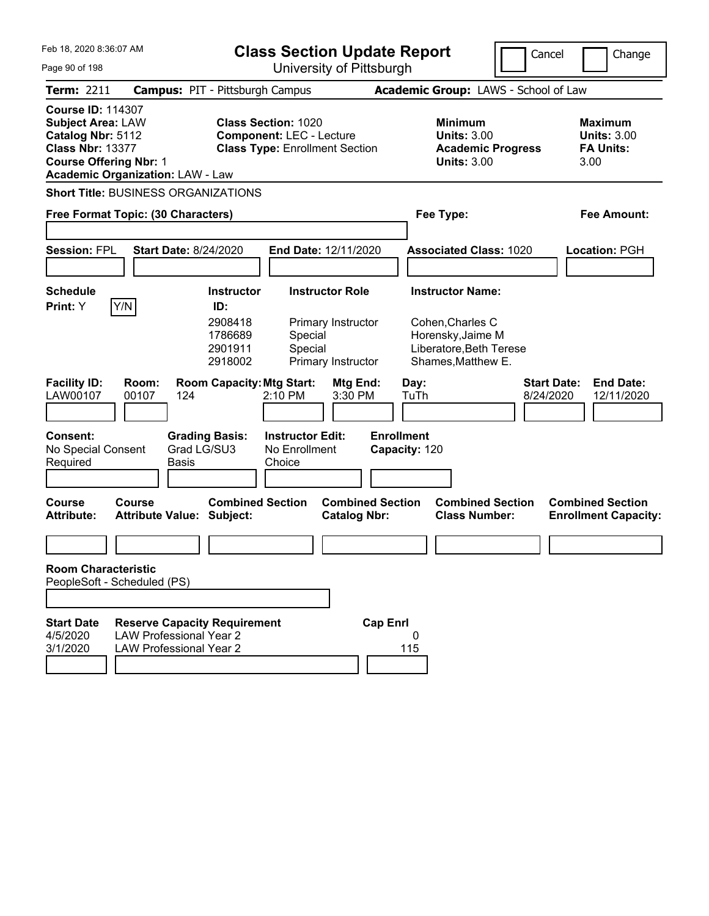| Feb 18, 2020 8:36:07 AM                                                                                                                                                          |                                                                                                         |                                                                      | <b>Class Section Update Report</b>                                                                     |                                                                    |                                    |              |                                                                                                                   | Cancel                          | Change                                                           |
|----------------------------------------------------------------------------------------------------------------------------------------------------------------------------------|---------------------------------------------------------------------------------------------------------|----------------------------------------------------------------------|--------------------------------------------------------------------------------------------------------|--------------------------------------------------------------------|------------------------------------|--------------|-------------------------------------------------------------------------------------------------------------------|---------------------------------|------------------------------------------------------------------|
| Page 90 of 198                                                                                                                                                                   | University of Pittsburgh                                                                                |                                                                      |                                                                                                        |                                                                    |                                    |              |                                                                                                                   |                                 |                                                                  |
| <b>Term: 2211</b>                                                                                                                                                                | <b>Campus: PIT - Pittsburgh Campus</b>                                                                  |                                                                      |                                                                                                        |                                                                    |                                    |              | Academic Group: LAWS - School of Law                                                                              |                                 |                                                                  |
| <b>Course ID: 114307</b><br><b>Subject Area: LAW</b><br>Catalog Nbr: 5112<br><b>Class Nbr: 13377</b><br><b>Course Offering Nbr: 1</b><br><b>Academic Organization: LAW - Law</b> |                                                                                                         |                                                                      | <b>Class Section: 1020</b><br><b>Component: LEC - Lecture</b><br><b>Class Type: Enrollment Section</b> |                                                                    |                                    |              | <b>Minimum</b><br><b>Units: 3.00</b><br><b>Academic Progress</b><br><b>Units: 3.00</b>                            |                                 | <b>Maximum</b><br><b>Units: 3.00</b><br><b>FA Units:</b><br>3.00 |
| <b>Short Title: BUSINESS ORGANIZATIONS</b>                                                                                                                                       |                                                                                                         |                                                                      |                                                                                                        |                                                                    |                                    |              |                                                                                                                   |                                 |                                                                  |
| Free Format Topic: (30 Characters)                                                                                                                                               |                                                                                                         |                                                                      |                                                                                                        |                                                                    |                                    |              | Fee Type:                                                                                                         |                                 | Fee Amount:                                                      |
| <b>Session: FPL</b>                                                                                                                                                              | <b>Start Date: 8/24/2020</b>                                                                            |                                                                      | <b>End Date: 12/11/2020</b>                                                                            |                                                                    |                                    |              | <b>Associated Class: 1020</b>                                                                                     |                                 | Location: PGH                                                    |
| <b>Schedule</b><br>Y/N<br>Print: Y                                                                                                                                               |                                                                                                         | <b>Instructor</b><br>ID:<br>2908418<br>1786689<br>2901911<br>2918002 | Special<br>Special                                                                                     | <b>Instructor Role</b><br>Primary Instructor<br>Primary Instructor |                                    |              | <b>Instructor Name:</b><br>Cohen, Charles C<br>Horensky, Jaime M<br>Liberatore, Beth Terese<br>Shames, Matthew E. |                                 |                                                                  |
| <b>Facility ID:</b><br>LAW00107<br><b>Consent:</b><br>No Special Consent                                                                                                         | Room:<br>00107<br>124<br>Grad LG/SU3                                                                    | <b>Room Capacity: Mtg Start:</b><br><b>Grading Basis:</b>            | 2:10 PM<br><b>Instructor Edit:</b><br>No Enrollment                                                    | Mtg End:<br>3:30 PM                                                | <b>Enrollment</b><br>Capacity: 120 | Day:<br>TuTh |                                                                                                                   | <b>Start Date:</b><br>8/24/2020 | <b>End Date:</b><br>12/11/2020                                   |
| Required                                                                                                                                                                         | Basis                                                                                                   |                                                                      | Choice                                                                                                 |                                                                    |                                    |              |                                                                                                                   |                                 |                                                                  |
| Course<br><b>Attribute:</b>                                                                                                                                                      | Course<br><b>Attribute Value: Subject:</b>                                                              | <b>Combined Section</b>                                              |                                                                                                        | <b>Combined Section</b><br><b>Catalog Nbr:</b>                     |                                    |              | <b>Combined Section</b><br><b>Class Number:</b>                                                                   |                                 | <b>Combined Section</b><br><b>Enrollment Capacity:</b>           |
| <b>Room Characteristic</b>                                                                                                                                                       |                                                                                                         |                                                                      |                                                                                                        |                                                                    |                                    |              |                                                                                                                   |                                 |                                                                  |
| PeopleSoft - Scheduled (PS)                                                                                                                                                      |                                                                                                         |                                                                      |                                                                                                        |                                                                    |                                    |              |                                                                                                                   |                                 |                                                                  |
| <b>Start Date</b><br>4/5/2020<br>3/1/2020                                                                                                                                        | <b>Reserve Capacity Requirement</b><br><b>LAW Professional Year 2</b><br><b>LAW Professional Year 2</b> |                                                                      |                                                                                                        |                                                                    | <b>Cap Enrl</b>                    | 0<br>115     |                                                                                                                   |                                 |                                                                  |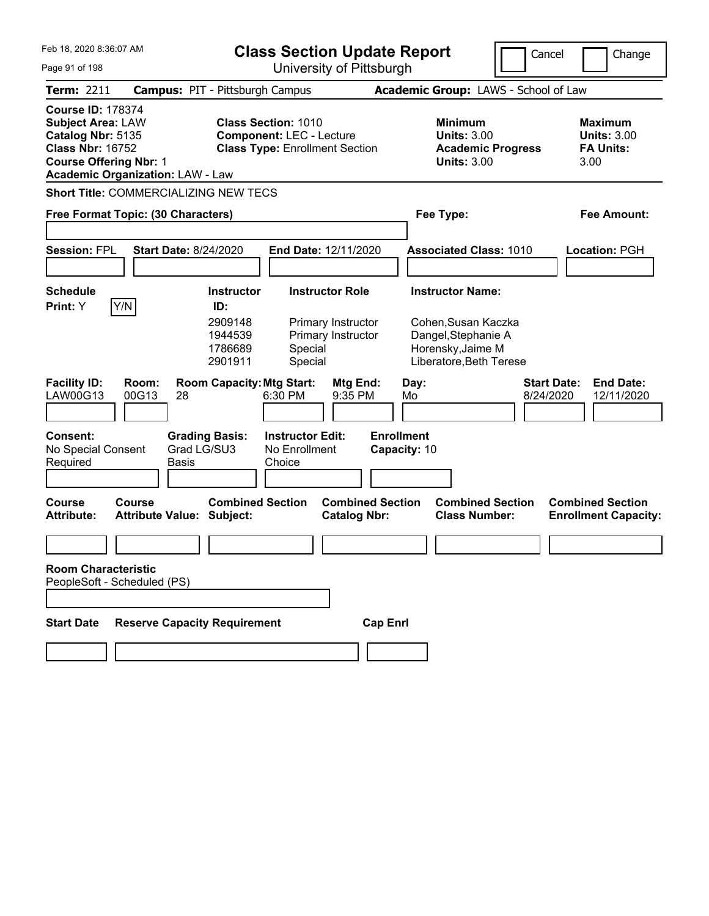| Feb 18, 2020 8:36:07 AM                                                                                                               |                                              |                                                                      | <b>Class Section Update Report</b>                                                                     |                                                                    |                                   |            |                                                                                                                       | Cancel                          |      | Change                                                   |
|---------------------------------------------------------------------------------------------------------------------------------------|----------------------------------------------|----------------------------------------------------------------------|--------------------------------------------------------------------------------------------------------|--------------------------------------------------------------------|-----------------------------------|------------|-----------------------------------------------------------------------------------------------------------------------|---------------------------------|------|----------------------------------------------------------|
| Page 91 of 198                                                                                                                        |                                              |                                                                      | University of Pittsburgh                                                                               |                                                                    |                                   |            |                                                                                                                       |                                 |      |                                                          |
| <b>Term: 2211</b>                                                                                                                     |                                              | <b>Campus: PIT - Pittsburgh Campus</b>                               |                                                                                                        |                                                                    |                                   |            | Academic Group: LAWS - School of Law                                                                                  |                                 |      |                                                          |
| <b>Course ID: 178374</b><br><b>Subject Area: LAW</b><br>Catalog Nbr: 5135<br><b>Class Nbr: 16752</b><br><b>Course Offering Nbr: 1</b> | <b>Academic Organization: LAW - Law</b>      |                                                                      | <b>Class Section: 1010</b><br><b>Component: LEC - Lecture</b><br><b>Class Type: Enrollment Section</b> |                                                                    |                                   |            | <b>Minimum</b><br><b>Units: 3.00</b><br><b>Academic Progress</b><br><b>Units: 3.00</b>                                |                                 | 3.00 | <b>Maximum</b><br><b>Units: 3.00</b><br><b>FA Units:</b> |
|                                                                                                                                       | <b>Short Title: COMMERCIALIZING NEW TECS</b> |                                                                      |                                                                                                        |                                                                    |                                   |            |                                                                                                                       |                                 |      |                                                          |
|                                                                                                                                       | Free Format Topic: (30 Characters)           |                                                                      |                                                                                                        |                                                                    |                                   |            | Fee Type:                                                                                                             |                                 |      | <b>Fee Amount:</b>                                       |
| <b>Session: FPL</b>                                                                                                                   | <b>Start Date: 8/24/2020</b>                 |                                                                      | End Date: 12/11/2020                                                                                   |                                                                    |                                   |            | <b>Associated Class: 1010</b>                                                                                         |                                 |      | Location: PGH                                            |
| <b>Schedule</b><br>Print: Y                                                                                                           | Y/N                                          | <b>Instructor</b><br>ID:<br>2909148<br>1944539<br>1786689<br>2901911 | Special<br>Special                                                                                     | <b>Instructor Role</b><br>Primary Instructor<br>Primary Instructor |                                   |            | <b>Instructor Name:</b><br>Cohen, Susan Kaczka<br>Dangel, Stephanie A<br>Horensky, Jaime M<br>Liberatore, Beth Terese |                                 |      |                                                          |
| <b>Facility ID:</b><br>LAW00G13                                                                                                       | Room:<br>00G13<br>28                         | <b>Room Capacity: Mtg Start:</b>                                     | 6:30 PM                                                                                                | Mtg End:<br>9:35 PM                                                |                                   | Day:<br>Mo |                                                                                                                       | <b>Start Date:</b><br>8/24/2020 |      | <b>End Date:</b><br>12/11/2020                           |
| <b>Consent:</b><br>No Special Consent<br>Required                                                                                     | <b>Basis</b>                                 | <b>Grading Basis:</b><br>Grad LG/SU3                                 | <b>Instructor Edit:</b><br>No Enrollment<br>Choice                                                     |                                                                    | <b>Enrollment</b><br>Capacity: 10 |            |                                                                                                                       |                                 |      |                                                          |
| <b>Course</b><br><b>Attribute:</b>                                                                                                    | Course<br><b>Attribute Value: Subject:</b>   | <b>Combined Section</b>                                              |                                                                                                        | <b>Combined Section</b><br><b>Catalog Nbr:</b>                     |                                   |            | <b>Combined Section</b><br><b>Class Number:</b>                                                                       |                                 |      | <b>Combined Section</b><br><b>Enrollment Capacity:</b>   |
|                                                                                                                                       |                                              |                                                                      |                                                                                                        |                                                                    |                                   |            |                                                                                                                       |                                 |      |                                                          |
| <b>Room Characteristic</b>                                                                                                            | PeopleSoft - Scheduled (PS)                  |                                                                      |                                                                                                        |                                                                    |                                   |            |                                                                                                                       |                                 |      |                                                          |
|                                                                                                                                       |                                              |                                                                      |                                                                                                        |                                                                    |                                   |            |                                                                                                                       |                                 |      |                                                          |
| <b>Start Date</b>                                                                                                                     | <b>Reserve Capacity Requirement</b>          |                                                                      |                                                                                                        |                                                                    | <b>Cap Enrl</b>                   |            |                                                                                                                       |                                 |      |                                                          |
|                                                                                                                                       |                                              |                                                                      |                                                                                                        |                                                                    |                                   |            |                                                                                                                       |                                 |      |                                                          |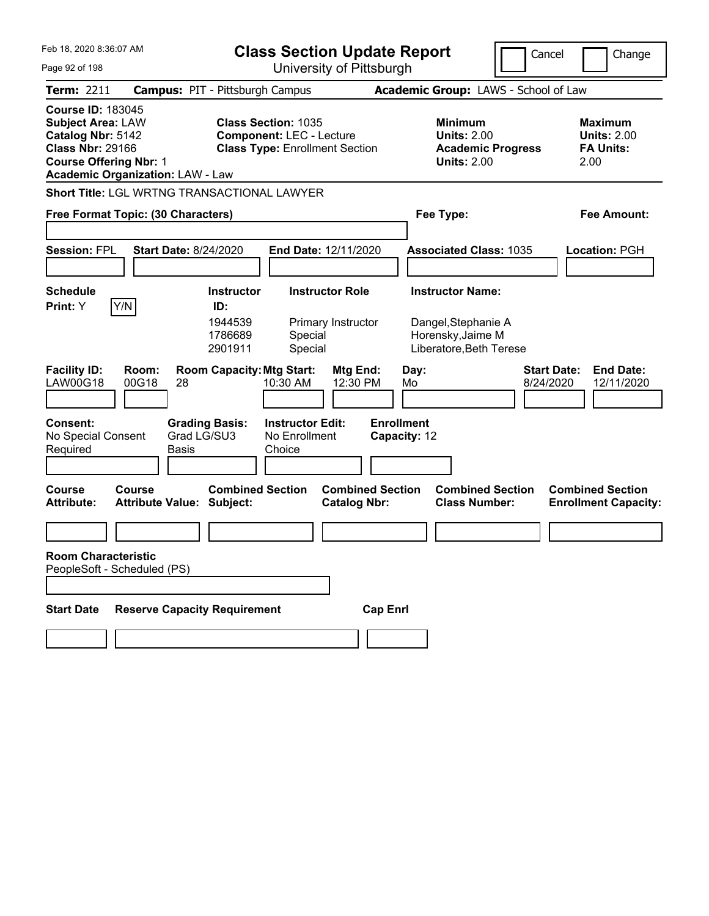| Feb 18, 2020 8:36:07 AM<br>Page 92 of 198                                                                                             |                                                   |                                        | <b>Class Section Update Report</b>                                                                     | University of Pittsburgh                       |                                          |                                                                      | Cancel<br>Change                                                  |
|---------------------------------------------------------------------------------------------------------------------------------------|---------------------------------------------------|----------------------------------------|--------------------------------------------------------------------------------------------------------|------------------------------------------------|------------------------------------------|----------------------------------------------------------------------|-------------------------------------------------------------------|
| <b>Term: 2211</b>                                                                                                                     |                                                   | <b>Campus: PIT - Pittsburgh Campus</b> |                                                                                                        |                                                |                                          | Academic Group: LAWS - School of Law                                 |                                                                   |
| <b>Course ID: 183045</b><br><b>Subject Area: LAW</b><br>Catalog Nbr: 5142<br><b>Class Nbr: 29166</b><br><b>Course Offering Nbr: 1</b> | <b>Academic Organization: LAW - Law</b>           |                                        | <b>Class Section: 1035</b><br><b>Component: LEC - Lecture</b><br><b>Class Type: Enrollment Section</b> |                                                | <b>Minimum</b>                           | <b>Units: 2.00</b><br><b>Academic Progress</b><br><b>Units: 2.00</b> | <b>Maximum</b><br><b>Units: 2.00</b><br><b>FA Units:</b><br>2.00  |
|                                                                                                                                       | Short Title: LGL WRTNG TRANSACTIONAL LAWYER       |                                        |                                                                                                        |                                                |                                          |                                                                      |                                                                   |
|                                                                                                                                       | Free Format Topic: (30 Characters)                |                                        |                                                                                                        |                                                | Fee Type:                                |                                                                      | <b>Fee Amount:</b>                                                |
| <b>Session: FPL</b>                                                                                                                   | <b>Start Date: 8/24/2020</b>                      |                                        | End Date: 12/11/2020                                                                                   |                                                |                                          | <b>Associated Class: 1035</b>                                        | Location: PGH                                                     |
| <b>Schedule</b>                                                                                                                       |                                                   | <b>Instructor</b>                      | <b>Instructor Role</b>                                                                                 |                                                | <b>Instructor Name:</b>                  |                                                                      |                                                                   |
| Print: Y                                                                                                                              | Y/N                                               | ID:<br>1944539<br>1786689<br>2901911   | Special<br>Special                                                                                     | Primary Instructor                             | Dangel, Stephanie A<br>Horensky, Jaime M | Liberatore, Beth Terese                                              |                                                                   |
| <b>Facility ID:</b><br><b>LAW00G18</b>                                                                                                | Room:<br>00G18<br>28                              | <b>Room Capacity: Mtg Start:</b>       | 10:30 AM                                                                                               | Mtg End:<br>12:30 PM                           | Day:<br>Mo                               |                                                                      | <b>Start Date:</b><br><b>End Date:</b><br>8/24/2020<br>12/11/2020 |
| <b>Consent:</b><br>No Special Consent<br>Required                                                                                     | <b>Basis</b>                                      | <b>Grading Basis:</b><br>Grad LG/SU3   | <b>Instructor Edit:</b><br>No Enrollment<br>Choice                                                     |                                                | <b>Enrollment</b><br>Capacity: 12        |                                                                      |                                                                   |
| <b>Course</b><br><b>Attribute:</b>                                                                                                    | <b>Course</b><br><b>Attribute Value: Subject:</b> | <b>Combined Section</b>                |                                                                                                        | <b>Combined Section</b><br><b>Catalog Nbr:</b> |                                          | <b>Combined Section</b><br><b>Class Number:</b>                      | <b>Combined Section</b><br><b>Enrollment Capacity:</b>            |
|                                                                                                                                       |                                                   |                                        |                                                                                                        |                                                |                                          |                                                                      |                                                                   |
| <b>Room Characteristic</b>                                                                                                            | PeopleSoft - Scheduled (PS)                       |                                        |                                                                                                        |                                                |                                          |                                                                      |                                                                   |
| <b>Start Date</b>                                                                                                                     | <b>Reserve Capacity Requirement</b>               |                                        |                                                                                                        | <b>Cap Enrl</b>                                |                                          |                                                                      |                                                                   |
|                                                                                                                                       |                                                   |                                        |                                                                                                        |                                                |                                          |                                                                      |                                                                   |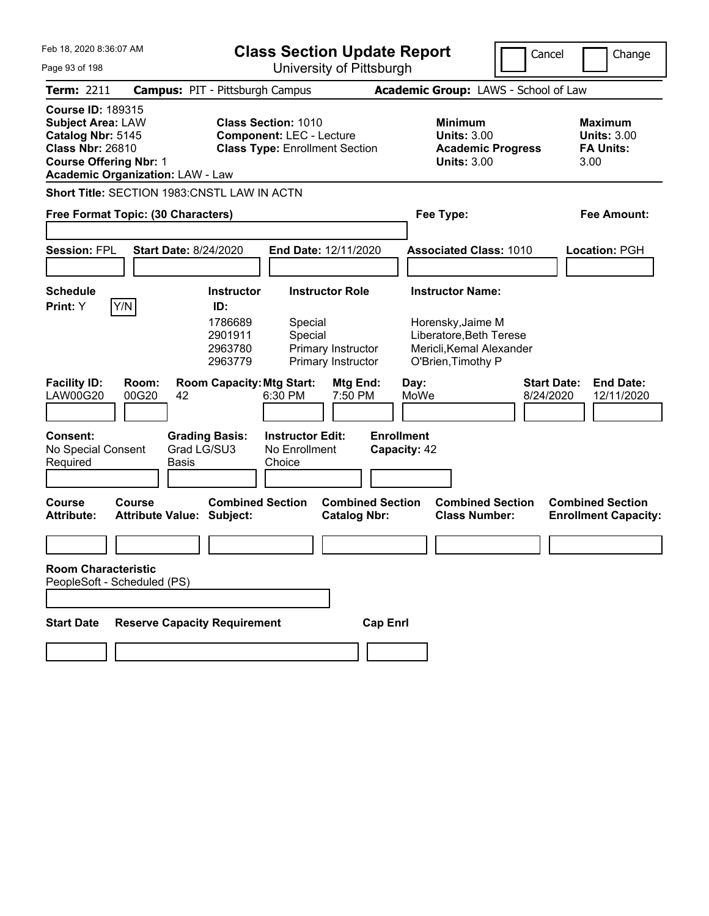| Feb 18, 2020 8:36:07 AM<br>Page 93 of 198                                                                                             |                                               | <b>Class Section Update Report</b>                                                                     | University of Pittsburgh                                           |                                   |              |                                                                                                                           | Cancel                          | Change                                                           |
|---------------------------------------------------------------------------------------------------------------------------------------|-----------------------------------------------|--------------------------------------------------------------------------------------------------------|--------------------------------------------------------------------|-----------------------------------|--------------|---------------------------------------------------------------------------------------------------------------------------|---------------------------------|------------------------------------------------------------------|
| <b>Term: 2211</b>                                                                                                                     |                                               | <b>Campus: PIT - Pittsburgh Campus</b>                                                                 |                                                                    |                                   |              | Academic Group: LAWS - School of Law                                                                                      |                                 |                                                                  |
| <b>Course ID: 189315</b><br><b>Subject Area: LAW</b><br>Catalog Nbr: 5145<br><b>Class Nbr: 26810</b><br><b>Course Offering Nbr: 1</b> | <b>Academic Organization: LAW - Law</b>       | <b>Class Section: 1010</b><br><b>Component: LEC - Lecture</b><br><b>Class Type: Enrollment Section</b> |                                                                    |                                   |              | <b>Minimum</b><br><b>Units: 3.00</b><br><b>Academic Progress</b><br><b>Units: 3.00</b>                                    |                                 | <b>Maximum</b><br><b>Units: 3.00</b><br><b>FA Units:</b><br>3.00 |
|                                                                                                                                       | Short Title: SECTION 1983:CNSTL LAW IN ACTN   |                                                                                                        |                                                                    |                                   |              |                                                                                                                           |                                 |                                                                  |
|                                                                                                                                       | Free Format Topic: (30 Characters)            |                                                                                                        |                                                                    |                                   | Fee Type:    |                                                                                                                           |                                 | <b>Fee Amount:</b>                                               |
| <b>Session: FPL</b>                                                                                                                   | <b>Start Date: 8/24/2020</b>                  |                                                                                                        | End Date: 12/11/2020                                               |                                   |              | <b>Associated Class: 1010</b>                                                                                             |                                 | Location: PGH                                                    |
| <b>Schedule</b><br>Y/N<br>Print: Y                                                                                                    |                                               | <b>Instructor</b><br>ID:<br>1786689<br>Special<br>2901911<br>Special<br>2963780<br>2963779             | <b>Instructor Role</b><br>Primary Instructor<br>Primary Instructor |                                   |              | <b>Instructor Name:</b><br>Horensky, Jaime M<br>Liberatore, Beth Terese<br>Mericli, Kemal Alexander<br>O'Brien, Timothy P |                                 |                                                                  |
| <b>Facility ID:</b><br><b>LAW00G20</b>                                                                                                | Room:<br>00G20<br>42                          | <b>Room Capacity: Mtg Start:</b><br>6:30 PM                                                            | Mtg End:<br>7:50 PM                                                |                                   | Day:<br>MoWe |                                                                                                                           | <b>Start Date:</b><br>8/24/2020 | <b>End Date:</b><br>12/11/2020                                   |
| <b>Consent:</b><br>No Special Consent<br>Required                                                                                     | <b>Grading Basis:</b><br>Grad LG/SU3<br>Basis | <b>Instructor Edit:</b><br>No Enrollment<br>Choice                                                     |                                                                    | <b>Enrollment</b><br>Capacity: 42 |              |                                                                                                                           |                                 |                                                                  |
| <b>Course</b><br><b>Attribute:</b>                                                                                                    | Course<br><b>Attribute Value: Subject:</b>    | <b>Combined Section</b>                                                                                | <b>Combined Section</b><br><b>Catalog Nbr:</b>                     |                                   |              | <b>Combined Section</b><br><b>Class Number:</b>                                                                           |                                 | <b>Combined Section</b><br><b>Enrollment Capacity:</b>           |
|                                                                                                                                       |                                               |                                                                                                        |                                                                    |                                   |              |                                                                                                                           |                                 |                                                                  |
| <b>Room Characteristic</b><br>PeopleSoft - Scheduled (PS)                                                                             |                                               |                                                                                                        |                                                                    |                                   |              |                                                                                                                           |                                 |                                                                  |
| <b>Start Date</b>                                                                                                                     | <b>Reserve Capacity Requirement</b>           |                                                                                                        |                                                                    | <b>Cap Enrl</b>                   |              |                                                                                                                           |                                 |                                                                  |
|                                                                                                                                       |                                               |                                                                                                        |                                                                    |                                   |              |                                                                                                                           |                                 |                                                                  |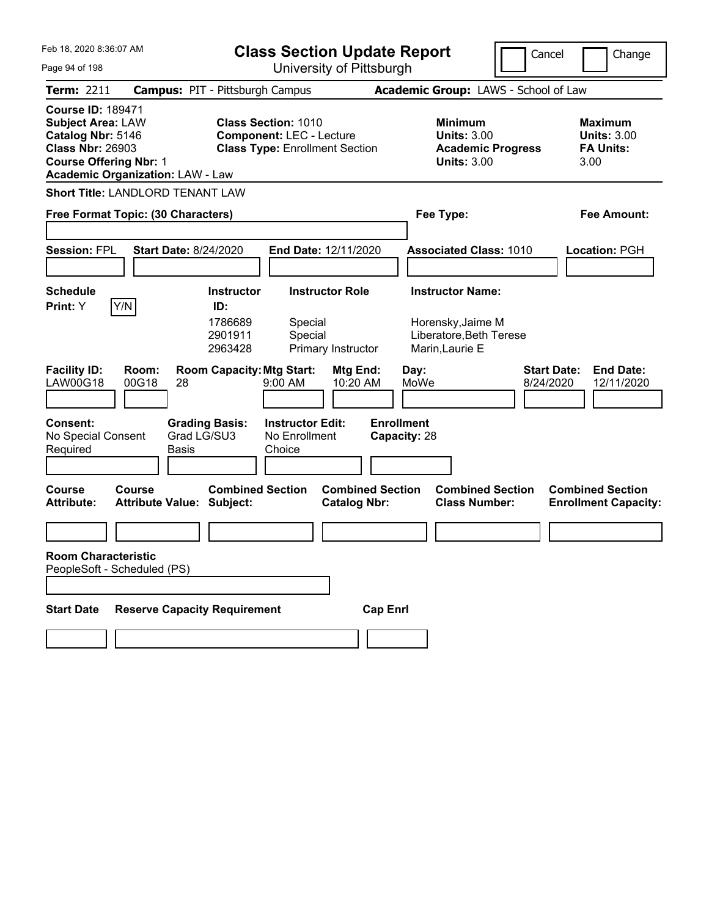| Feb 18, 2020 8:36:07 AM                                                                                                               |                                               |                                      | <b>Class Section Update Report</b>                                                                     |                        |                                   |              |                                                            |                                                 | Cancel                          |      | Change                                                   |
|---------------------------------------------------------------------------------------------------------------------------------------|-----------------------------------------------|--------------------------------------|--------------------------------------------------------------------------------------------------------|------------------------|-----------------------------------|--------------|------------------------------------------------------------|-------------------------------------------------|---------------------------------|------|----------------------------------------------------------|
| University of Pittsburgh<br>Page 94 of 198                                                                                            |                                               |                                      |                                                                                                        |                        |                                   |              |                                                            |                                                 |                                 |      |                                                          |
| <b>Term: 2211</b>                                                                                                                     | <b>Campus: PIT - Pittsburgh Campus</b>        |                                      |                                                                                                        |                        |                                   |              |                                                            | Academic Group: LAWS - School of Law            |                                 |      |                                                          |
| <b>Course ID: 189471</b><br><b>Subject Area: LAW</b><br>Catalog Nbr: 5146<br><b>Class Nbr: 26903</b><br><b>Course Offering Nbr: 1</b> | <b>Academic Organization: LAW - Law</b>       |                                      | <b>Class Section: 1010</b><br><b>Component: LEC - Lecture</b><br><b>Class Type: Enrollment Section</b> |                        |                                   |              | <b>Minimum</b><br><b>Units: 3.00</b><br><b>Units: 3.00</b> | <b>Academic Progress</b>                        |                                 | 3.00 | <b>Maximum</b><br><b>Units: 3.00</b><br><b>FA Units:</b> |
|                                                                                                                                       | <b>Short Title: LANDLORD TENANT LAW</b>       |                                      |                                                                                                        |                        |                                   |              |                                                            |                                                 |                                 |      |                                                          |
|                                                                                                                                       | Free Format Topic: (30 Characters)            |                                      |                                                                                                        |                        |                                   |              | Fee Type:                                                  |                                                 |                                 |      | Fee Amount:                                              |
|                                                                                                                                       |                                               |                                      |                                                                                                        |                        |                                   |              |                                                            |                                                 |                                 |      |                                                          |
| <b>Session: FPL</b>                                                                                                                   | <b>Start Date: 8/24/2020</b>                  |                                      | End Date: 12/11/2020                                                                                   |                        |                                   |              |                                                            | <b>Associated Class: 1010</b>                   |                                 |      | Location: PGH                                            |
|                                                                                                                                       |                                               |                                      |                                                                                                        |                        |                                   |              |                                                            |                                                 |                                 |      |                                                          |
| <b>Schedule</b>                                                                                                                       |                                               | <b>Instructor</b>                    |                                                                                                        | <b>Instructor Role</b> |                                   |              | <b>Instructor Name:</b>                                    |                                                 |                                 |      |                                                          |
| <b>Print:</b> Y                                                                                                                       | Y/N                                           | ID:<br>1786689<br>2901911<br>2963428 | Special<br>Special                                                                                     | Primary Instructor     |                                   |              | Horensky, Jaime M<br>Marin, Laurie E                       | Liberatore, Beth Terese                         |                                 |      |                                                          |
| <b>Facility ID:</b><br><b>LAW00G18</b>                                                                                                | Room:<br>00G18<br>28                          | <b>Room Capacity: Mtg Start:</b>     | $9:00$ AM                                                                                              | Mtg End:<br>10:20 AM   |                                   | Day:<br>MoWe |                                                            |                                                 | <b>Start Date:</b><br>8/24/2020 |      | <b>End Date:</b><br>12/11/2020                           |
| <b>Consent:</b><br>No Special Consent<br>Required                                                                                     | <b>Grading Basis:</b><br>Grad LG/SU3<br>Basis |                                      | <b>Instructor Edit:</b><br>No Enrollment<br>Choice                                                     |                        | <b>Enrollment</b><br>Capacity: 28 |              |                                                            |                                                 |                                 |      |                                                          |
| <b>Course</b><br><b>Attribute:</b>                                                                                                    | Course<br><b>Attribute Value: Subject:</b>    | <b>Combined Section</b>              |                                                                                                        | <b>Catalog Nbr:</b>    | <b>Combined Section</b>           |              |                                                            | <b>Combined Section</b><br><b>Class Number:</b> |                                 |      | <b>Combined Section</b><br><b>Enrollment Capacity:</b>   |
|                                                                                                                                       |                                               |                                      |                                                                                                        |                        |                                   |              |                                                            |                                                 |                                 |      |                                                          |
| <b>Room Characteristic</b>                                                                                                            | PeopleSoft - Scheduled (PS)                   |                                      |                                                                                                        |                        |                                   |              |                                                            |                                                 |                                 |      |                                                          |
|                                                                                                                                       |                                               |                                      |                                                                                                        |                        |                                   |              |                                                            |                                                 |                                 |      |                                                          |
| <b>Start Date</b>                                                                                                                     | <b>Reserve Capacity Requirement</b>           |                                      |                                                                                                        |                        | <b>Cap Enrl</b>                   |              |                                                            |                                                 |                                 |      |                                                          |
|                                                                                                                                       |                                               |                                      |                                                                                                        |                        |                                   |              |                                                            |                                                 |                                 |      |                                                          |
|                                                                                                                                       |                                               |                                      |                                                                                                        |                        |                                   |              |                                                            |                                                 |                                 |      |                                                          |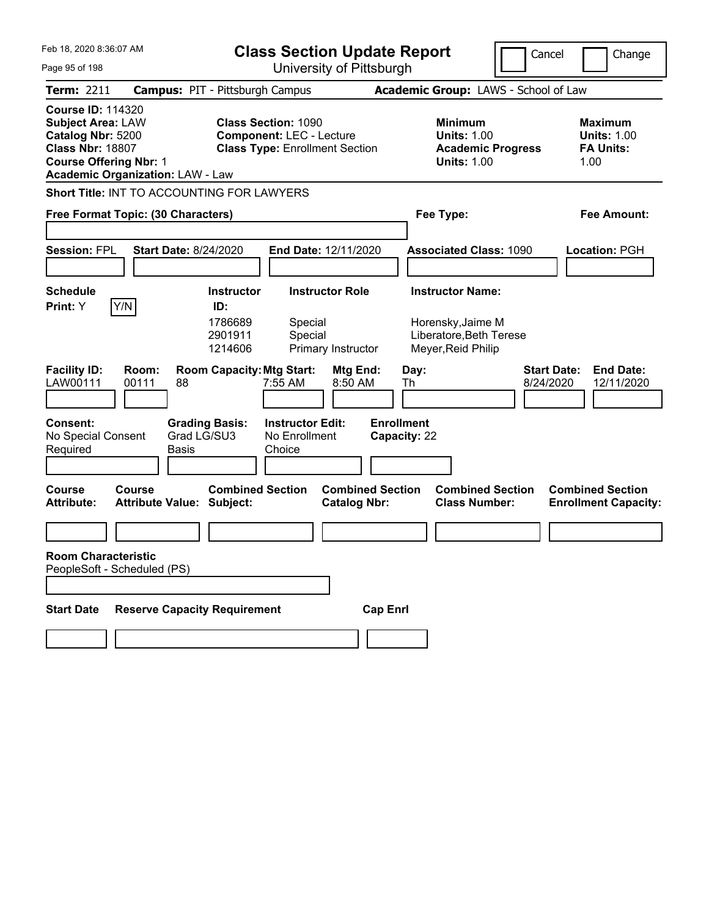| Feb 18, 2020 8:36:07 AM<br>Page 95 of 198                                                                                             |                                            |                                        | <b>Class Section Update Report</b><br>University of Pittsburgh                                         |                                                |                                                            |                                                 | Cancel<br>Change                                                  |
|---------------------------------------------------------------------------------------------------------------------------------------|--------------------------------------------|----------------------------------------|--------------------------------------------------------------------------------------------------------|------------------------------------------------|------------------------------------------------------------|-------------------------------------------------|-------------------------------------------------------------------|
| <b>Term: 2211</b>                                                                                                                     |                                            | <b>Campus: PIT - Pittsburgh Campus</b> |                                                                                                        |                                                |                                                            | Academic Group: LAWS - School of Law            |                                                                   |
| <b>Course ID: 114320</b><br><b>Subject Area: LAW</b><br>Catalog Nbr: 5200<br><b>Class Nbr: 18807</b><br><b>Course Offering Nbr: 1</b> | <b>Academic Organization: LAW - Law</b>    |                                        | <b>Class Section: 1090</b><br><b>Component: LEC - Lecture</b><br><b>Class Type: Enrollment Section</b> |                                                | <b>Minimum</b><br><b>Units: 1.00</b><br><b>Units: 1.00</b> | <b>Academic Progress</b>                        | <b>Maximum</b><br><b>Units: 1.00</b><br><b>FA Units:</b><br>1.00  |
|                                                                                                                                       | Short Title: INT TO ACCOUNTING FOR LAWYERS |                                        |                                                                                                        |                                                |                                                            |                                                 |                                                                   |
|                                                                                                                                       | Free Format Topic: (30 Characters)         |                                        |                                                                                                        |                                                | Fee Type:                                                  |                                                 | <b>Fee Amount:</b>                                                |
| <b>Session: FPL</b>                                                                                                                   | <b>Start Date: 8/24/2020</b>               |                                        | End Date: 12/11/2020                                                                                   |                                                |                                                            | <b>Associated Class: 1090</b>                   | Location: PGH                                                     |
| <b>Schedule</b>                                                                                                                       |                                            | <b>Instructor</b>                      | <b>Instructor Role</b>                                                                                 |                                                | <b>Instructor Name:</b>                                    |                                                 |                                                                   |
| Print: Y                                                                                                                              | Y/N                                        | ID:<br>1786689<br>2901911<br>1214606   | Special<br>Special<br>Primary Instructor                                                               |                                                | Horensky, Jaime M<br>Meyer, Reid Philip                    | Liberatore, Beth Terese                         |                                                                   |
| <b>Facility ID:</b><br>LAW00111                                                                                                       | Room:<br>88<br>00111                       | <b>Room Capacity: Mtg Start:</b>       | 7:55 AM                                                                                                | Mtg End:<br>8:50 AM                            | Day:<br>Th                                                 |                                                 | <b>Start Date:</b><br><b>End Date:</b><br>8/24/2020<br>12/11/2020 |
| <b>Consent:</b><br>No Special Consent<br>Required                                                                                     | Basis                                      | <b>Grading Basis:</b><br>Grad LG/SU3   | <b>Instructor Edit:</b><br>No Enrollment<br>Choice                                                     | <b>Enrollment</b>                              | Capacity: 22                                               |                                                 |                                                                   |
| Course<br><b>Attribute:</b>                                                                                                           | Course<br><b>Attribute Value: Subject:</b> | <b>Combined Section</b>                |                                                                                                        | <b>Combined Section</b><br><b>Catalog Nbr:</b> |                                                            | <b>Combined Section</b><br><b>Class Number:</b> | <b>Combined Section</b><br><b>Enrollment Capacity:</b>            |
|                                                                                                                                       |                                            |                                        |                                                                                                        |                                                |                                                            |                                                 |                                                                   |
| <b>Room Characteristic</b>                                                                                                            | PeopleSoft - Scheduled (PS)                |                                        |                                                                                                        |                                                |                                                            |                                                 |                                                                   |
| <b>Start Date</b>                                                                                                                     | <b>Reserve Capacity Requirement</b>        |                                        |                                                                                                        | <b>Cap Enrl</b>                                |                                                            |                                                 |                                                                   |
|                                                                                                                                       |                                            |                                        |                                                                                                        |                                                |                                                            |                                                 |                                                                   |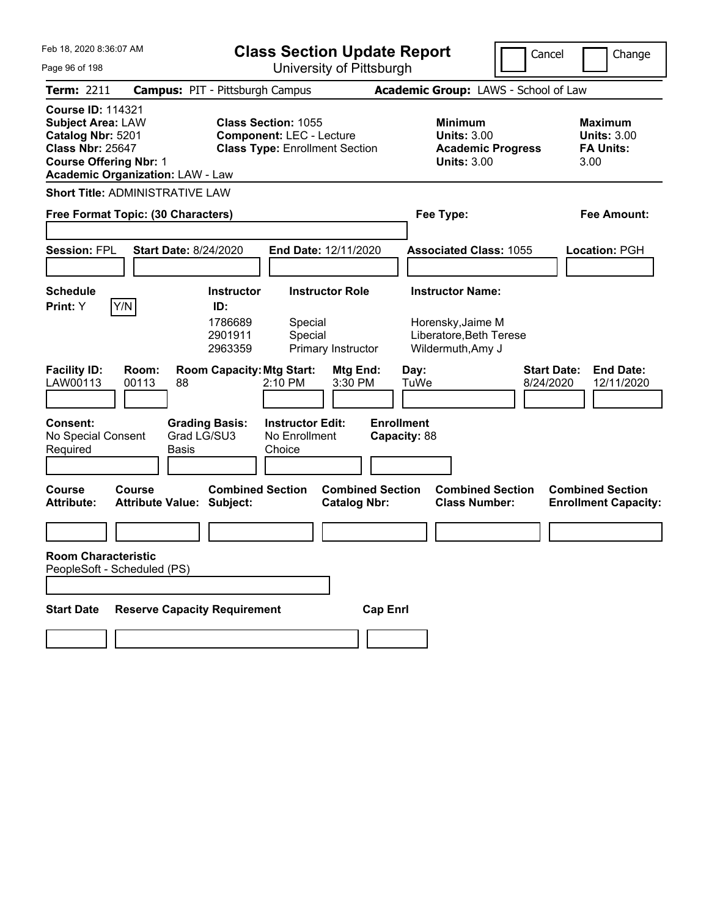| Feb 18, 2020 8:36:07 AM                                                                                                                                                          | <b>Class Section Update Report</b>                                                                     | Cancel                                                                          | Change                                                    |
|----------------------------------------------------------------------------------------------------------------------------------------------------------------------------------|--------------------------------------------------------------------------------------------------------|---------------------------------------------------------------------------------|-----------------------------------------------------------|
| Page 96 of 198                                                                                                                                                                   | University of Pittsburgh                                                                               |                                                                                 |                                                           |
| <b>Term: 2211</b>                                                                                                                                                                | <b>Campus: PIT - Pittsburgh Campus</b>                                                                 | Academic Group: LAWS - School of Law                                            |                                                           |
| <b>Course ID: 114321</b><br><b>Subject Area: LAW</b><br>Catalog Nbr: 5201<br><b>Class Nbr: 25647</b><br><b>Course Offering Nbr: 1</b><br><b>Academic Organization: LAW - Law</b> | <b>Class Section: 1055</b><br><b>Component: LEC - Lecture</b><br><b>Class Type: Enrollment Section</b> | Minimum<br><b>Units: 3.00</b><br><b>Academic Progress</b><br><b>Units: 3.00</b> | Maximum<br><b>Units: 3.00</b><br><b>FA Units:</b><br>3.00 |
| <b>Short Title: ADMINISTRATIVE LAW</b>                                                                                                                                           |                                                                                                        |                                                                                 |                                                           |
| Free Format Topic: (30 Characters)                                                                                                                                               |                                                                                                        | Fee Type:                                                                       | Fee Amount:                                               |
|                                                                                                                                                                                  |                                                                                                        |                                                                                 |                                                           |
| <b>Session: FPL</b><br><b>Start Date: 8/24/2020</b>                                                                                                                              | End Date: 12/11/2020                                                                                   | <b>Associated Class: 1055</b>                                                   | Location: PGH                                             |
|                                                                                                                                                                                  |                                                                                                        |                                                                                 |                                                           |
| <b>Schedule</b>                                                                                                                                                                  | <b>Instructor</b><br><b>Instructor Role</b>                                                            | <b>Instructor Name:</b>                                                         |                                                           |
| Y/N<br>Print: Y                                                                                                                                                                  | ID:<br>1786689<br>Special<br>2901911<br>Special<br>2963359<br>Primary Instructor                       | Horensky, Jaime M<br>Liberatore, Beth Terese<br>Wildermuth, Amy J               |                                                           |
| <b>Facility ID:</b><br>Room:<br>LAW00113<br>00113<br>88                                                                                                                          | <b>Room Capacity: Mtg Start:</b><br>Mtg End:<br>2:10 PM<br>3:30 PM                                     | Day:<br>TuWe<br>8/24/2020                                                       | <b>Start Date:</b><br><b>End Date:</b><br>12/11/2020      |
| <b>Consent:</b><br>No Special Consent<br>Grad LG/SU3<br>Required<br>Basis                                                                                                        | <b>Instructor Edit:</b><br><b>Grading Basis:</b><br>No Enrollment<br>Choice                            | <b>Enrollment</b><br>Capacity: 88                                               |                                                           |
| <b>Course</b><br>Course<br><b>Attribute:</b><br><b>Attribute Value: Subject:</b>                                                                                                 | <b>Combined Section</b><br><b>Combined Section</b><br><b>Catalog Nbr:</b>                              | <b>Combined Section</b><br><b>Class Number:</b>                                 | <b>Combined Section</b><br><b>Enrollment Capacity:</b>    |
|                                                                                                                                                                                  |                                                                                                        |                                                                                 |                                                           |
| <b>Room Characteristic</b><br>PeopleSoft - Scheduled (PS)                                                                                                                        |                                                                                                        |                                                                                 |                                                           |
| <b>Reserve Capacity Requirement</b><br><b>Start Date</b>                                                                                                                         | <b>Cap Enrl</b>                                                                                        |                                                                                 |                                                           |
|                                                                                                                                                                                  |                                                                                                        |                                                                                 |                                                           |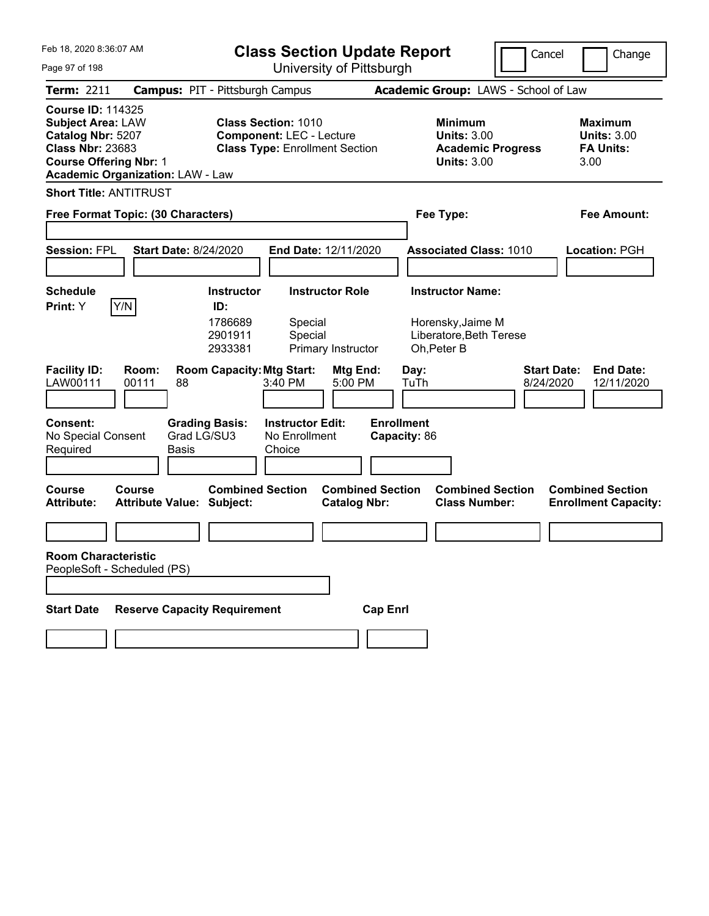| Feb 18, 2020 8:36:07 AM<br>Page 97 of 198                                                                                                                                        |                                                             | <b>Class Section Update Report</b><br>University of Pittsburgh                                         |                                                |                                                                                        | Cancel                          | Change                                                           |
|----------------------------------------------------------------------------------------------------------------------------------------------------------------------------------|-------------------------------------------------------------|--------------------------------------------------------------------------------------------------------|------------------------------------------------|----------------------------------------------------------------------------------------|---------------------------------|------------------------------------------------------------------|
| <b>Term: 2211</b>                                                                                                                                                                | <b>Campus: PIT - Pittsburgh Campus</b>                      |                                                                                                        |                                                | Academic Group: LAWS - School of Law                                                   |                                 |                                                                  |
| <b>Course ID: 114325</b><br><b>Subject Area: LAW</b><br>Catalog Nbr: 5207<br><b>Class Nbr: 23683</b><br><b>Course Offering Nbr: 1</b><br><b>Academic Organization: LAW - Law</b> |                                                             | <b>Class Section: 1010</b><br><b>Component: LEC - Lecture</b><br><b>Class Type: Enrollment Section</b> |                                                | <b>Minimum</b><br><b>Units: 3.00</b><br><b>Academic Progress</b><br><b>Units: 3.00</b> |                                 | <b>Maximum</b><br><b>Units: 3.00</b><br><b>FA Units:</b><br>3.00 |
| <b>Short Title: ANTITRUST</b>                                                                                                                                                    |                                                             |                                                                                                        |                                                |                                                                                        |                                 |                                                                  |
| Free Format Topic: (30 Characters)                                                                                                                                               |                                                             |                                                                                                        |                                                | Fee Type:                                                                              |                                 | <b>Fee Amount:</b>                                               |
| <b>Session: FPL</b>                                                                                                                                                              | <b>Start Date: 8/24/2020</b>                                | End Date: 12/11/2020                                                                                   |                                                | <b>Associated Class: 1010</b>                                                          |                                 | Location: PGH                                                    |
| <b>Schedule</b>                                                                                                                                                                  | <b>Instructor</b>                                           | <b>Instructor Role</b>                                                                                 |                                                | <b>Instructor Name:</b>                                                                |                                 |                                                                  |
| Y/N <br>Print: Y                                                                                                                                                                 | ID:<br>1786689<br>2901911<br>2933381                        | Special<br>Special<br>Primary Instructor                                                               |                                                | Horensky, Jaime M<br>Liberatore, Beth Terese<br>Oh, Peter B                            |                                 |                                                                  |
| <b>Facility ID:</b><br>Room:<br>LAW00111<br>00111                                                                                                                                | <b>Room Capacity: Mtg Start:</b><br>88                      | 3:40 PM<br>5:00 PM                                                                                     | Mtg End:<br>Day:                               | TuTh                                                                                   | <b>Start Date:</b><br>8/24/2020 | <b>End Date:</b><br>12/11/2020                                   |
| <b>Consent:</b><br>No Special Consent<br>Required                                                                                                                                | <b>Grading Basis:</b><br>Grad LG/SU3<br>Basis               | <b>Instructor Edit:</b><br>No Enrollment<br>Choice                                                     | <b>Enrollment</b><br>Capacity: 86              |                                                                                        |                                 |                                                                  |
| <b>Course</b><br>Course<br><b>Attribute:</b>                                                                                                                                     | <b>Combined Section</b><br><b>Attribute Value: Subject:</b> |                                                                                                        | <b>Combined Section</b><br><b>Catalog Nbr:</b> | <b>Combined Section</b><br><b>Class Number:</b>                                        |                                 | <b>Combined Section</b><br><b>Enrollment Capacity:</b>           |
|                                                                                                                                                                                  |                                                             |                                                                                                        |                                                |                                                                                        |                                 |                                                                  |
| <b>Room Characteristic</b><br>PeopleSoft - Scheduled (PS)                                                                                                                        |                                                             |                                                                                                        |                                                |                                                                                        |                                 |                                                                  |
| <b>Start Date</b>                                                                                                                                                                | <b>Reserve Capacity Requirement</b>                         |                                                                                                        | <b>Cap Enrl</b>                                |                                                                                        |                                 |                                                                  |
|                                                                                                                                                                                  |                                                             |                                                                                                        |                                                |                                                                                        |                                 |                                                                  |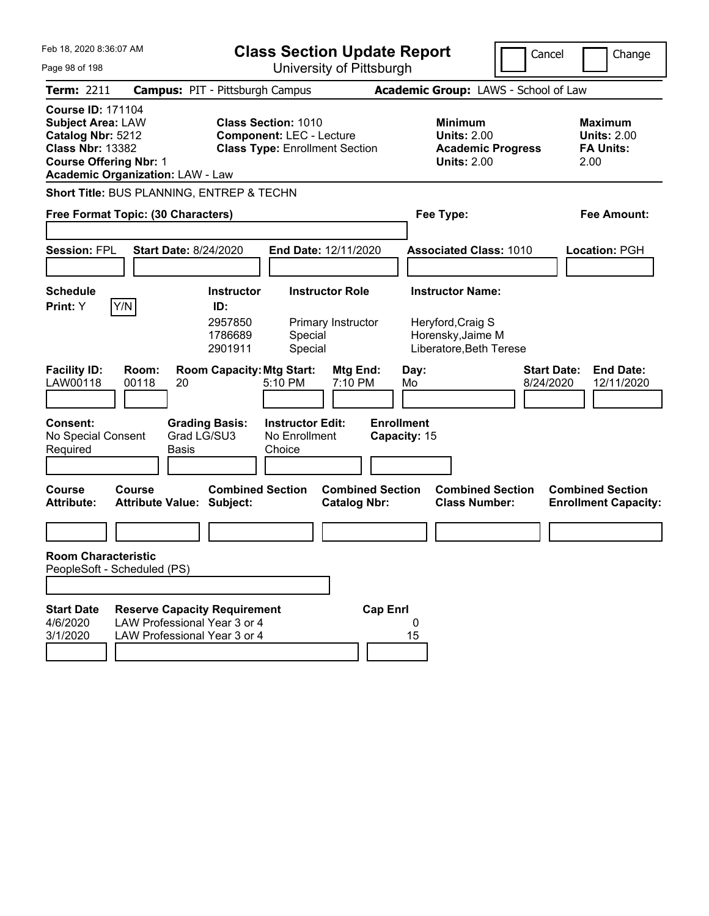| Feb 18, 2020 8:36:07 AM<br>Page 98 of 198                                                                                                                                        |                                                              |                                                                                                                     | <b>Class Section Update Report</b><br>University of Pittsburgh |                                                                                                      | Cancel             | Change                                                           |
|----------------------------------------------------------------------------------------------------------------------------------------------------------------------------------|--------------------------------------------------------------|---------------------------------------------------------------------------------------------------------------------|----------------------------------------------------------------|------------------------------------------------------------------------------------------------------|--------------------|------------------------------------------------------------------|
| <b>Term: 2211</b>                                                                                                                                                                |                                                              | <b>Campus: PIT - Pittsburgh Campus</b>                                                                              |                                                                | Academic Group: LAWS - School of Law                                                                 |                    |                                                                  |
| <b>Course ID: 171104</b><br><b>Subject Area: LAW</b><br>Catalog Nbr: 5212<br><b>Class Nbr: 13382</b><br><b>Course Offering Nbr: 1</b><br><b>Academic Organization: LAW - Law</b> |                                                              | <b>Class Section: 1010</b><br><b>Component: LEC - Lecture</b><br><b>Class Type: Enrollment Section</b>              |                                                                | <b>Minimum</b><br><b>Units: 2.00</b><br><b>Academic Progress</b><br><b>Units: 2.00</b>               |                    | <b>Maximum</b><br><b>Units: 2.00</b><br><b>FA Units:</b><br>2.00 |
|                                                                                                                                                                                  |                                                              | Short Title: BUS PLANNING, ENTREP & TECHN                                                                           |                                                                |                                                                                                      |                    |                                                                  |
| Free Format Topic: (30 Characters)                                                                                                                                               |                                                              |                                                                                                                     |                                                                | Fee Type:                                                                                            |                    | <b>Fee Amount:</b>                                               |
| <b>Session: FPL</b>                                                                                                                                                              | <b>Start Date: 8/24/2020</b>                                 |                                                                                                                     | End Date: 12/11/2020                                           | <b>Associated Class: 1010</b>                                                                        |                    | <b>Location: PGH</b>                                             |
| <b>Schedule</b><br>Y/N<br>Print: Y<br><b>Facility ID:</b>                                                                                                                        | Room:                                                        | <b>Instructor</b><br>ID:<br>2957850<br>1786689<br>Special<br>2901911<br>Special<br><b>Room Capacity: Mtg Start:</b> | <b>Instructor Role</b><br>Primary Instructor<br>Mtg End:       | <b>Instructor Name:</b><br>Heryford, Craig S<br>Horensky, Jaime M<br>Liberatore, Beth Terese<br>Day: | <b>Start Date:</b> | <b>End Date:</b>                                                 |
| LAW00118                                                                                                                                                                         | 00118<br>20                                                  | 5:10 PM                                                                                                             | 7:10 PM                                                        | Mo                                                                                                   | 8/24/2020          | 12/11/2020                                                       |
| Consent:<br>No Special Consent<br>Required                                                                                                                                       | Grad LG/SU3<br><b>Basis</b>                                  | <b>Grading Basis:</b><br><b>Instructor Edit:</b><br>No Enrollment<br>Choice                                         | <b>Enrollment</b><br>Capacity: 15                              |                                                                                                      |                    |                                                                  |
| Course<br><b>Attribute:</b>                                                                                                                                                      | <b>Course</b><br><b>Attribute Value: Subject:</b>            | <b>Combined Section</b>                                                                                             | <b>Combined Section</b><br><b>Catalog Nbr:</b>                 | <b>Combined Section</b><br><b>Class Number:</b>                                                      |                    | <b>Combined Section</b><br><b>Enrollment Capacity:</b>           |
|                                                                                                                                                                                  |                                                              |                                                                                                                     |                                                                |                                                                                                      |                    |                                                                  |
| <b>Room Characteristic</b>                                                                                                                                                       |                                                              |                                                                                                                     |                                                                |                                                                                                      |                    |                                                                  |
| PeopleSoft - Scheduled (PS)                                                                                                                                                      |                                                              |                                                                                                                     |                                                                |                                                                                                      |                    |                                                                  |
| <b>Start Date</b><br>4/6/2020<br>3/1/2020                                                                                                                                        | LAW Professional Year 3 or 4<br>LAW Professional Year 3 or 4 | <b>Reserve Capacity Requirement</b>                                                                                 | <b>Cap Enrl</b>                                                | 0<br>15                                                                                              |                    |                                                                  |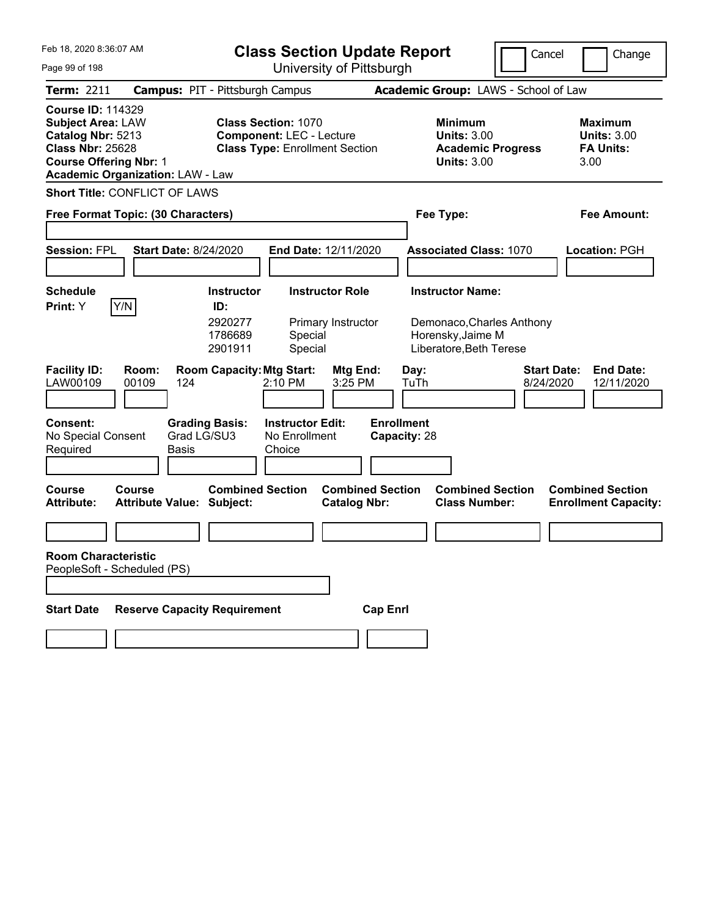| Feb 18, 2020 8:36:07 AM<br>Page 99 of 198                                                                                                                                        | <b>Class Section Update Report</b><br>University of Pittsburgh                                         |                                                                                                   | Cancel                          | Change                                                           |
|----------------------------------------------------------------------------------------------------------------------------------------------------------------------------------|--------------------------------------------------------------------------------------------------------|---------------------------------------------------------------------------------------------------|---------------------------------|------------------------------------------------------------------|
| <b>Term: 2211</b>                                                                                                                                                                | <b>Campus: PIT - Pittsburgh Campus</b>                                                                 | Academic Group: LAWS - School of Law                                                              |                                 |                                                                  |
| <b>Course ID: 114329</b><br><b>Subject Area: LAW</b><br>Catalog Nbr: 5213<br><b>Class Nbr: 25628</b><br><b>Course Offering Nbr: 1</b><br><b>Academic Organization: LAW - Law</b> | <b>Class Section: 1070</b><br><b>Component: LEC - Lecture</b><br><b>Class Type: Enrollment Section</b> | <b>Minimum</b><br><b>Units: 3.00</b><br><b>Units: 3.00</b>                                        | <b>Academic Progress</b>        | <b>Maximum</b><br><b>Units: 3.00</b><br><b>FA Units:</b><br>3.00 |
| <b>Short Title: CONFLICT OF LAWS</b>                                                                                                                                             |                                                                                                        |                                                                                                   |                                 |                                                                  |
| Free Format Topic: (30 Characters)                                                                                                                                               | Fee Type:                                                                                              |                                                                                                   | <b>Fee Amount:</b>              |                                                                  |
| <b>Session: FPL</b><br><b>Start Date: 8/24/2020</b>                                                                                                                              | End Date: 12/11/2020                                                                                   | <b>Associated Class: 1070</b>                                                                     |                                 | Location: PGH                                                    |
| <b>Schedule</b>                                                                                                                                                                  | <b>Instructor</b><br><b>Instructor Role</b>                                                            | <b>Instructor Name:</b>                                                                           |                                 |                                                                  |
| Y/N<br>Print: Y                                                                                                                                                                  | ID:                                                                                                    |                                                                                                   |                                 |                                                                  |
|                                                                                                                                                                                  | 2920277<br>Primary Instructor<br>1786689<br>Special<br>2901911<br>Special                              | Demonaco, Charles Anthony<br>Horensky, Jaime M<br>Liberatore, Beth Terese                         |                                 |                                                                  |
| <b>Facility ID:</b><br>Room:<br>LAW00109<br>00109<br>124                                                                                                                         | <b>Room Capacity: Mtg Start:</b><br>2:10 PM<br>3:25 PM                                                 | Mtg End:<br>Day:<br>TuTh                                                                          | <b>Start Date:</b><br>8/24/2020 | <b>End Date:</b><br>12/11/2020                                   |
| <b>Consent:</b><br>Grad LG/SU3<br>No Special Consent<br>Required<br>Basis                                                                                                        | <b>Grading Basis:</b><br><b>Instructor Edit:</b><br>No Enrollment<br>Choice                            | <b>Enrollment</b><br>Capacity: 28                                                                 |                                 |                                                                  |
| <b>Course</b><br>Course<br><b>Attribute Value: Subject:</b><br><b>Attribute:</b>                                                                                                 | <b>Combined Section</b>                                                                                | <b>Combined Section</b><br><b>Combined Section</b><br><b>Class Number:</b><br><b>Catalog Nbr:</b> |                                 | <b>Combined Section</b><br><b>Enrollment Capacity:</b>           |
|                                                                                                                                                                                  |                                                                                                        |                                                                                                   |                                 |                                                                  |
| <b>Room Characteristic</b><br>PeopleSoft - Scheduled (PS)                                                                                                                        |                                                                                                        |                                                                                                   |                                 |                                                                  |
| <b>Reserve Capacity Requirement</b><br><b>Start Date</b>                                                                                                                         |                                                                                                        | <b>Cap Enrl</b>                                                                                   |                                 |                                                                  |
|                                                                                                                                                                                  |                                                                                                        |                                                                                                   |                                 |                                                                  |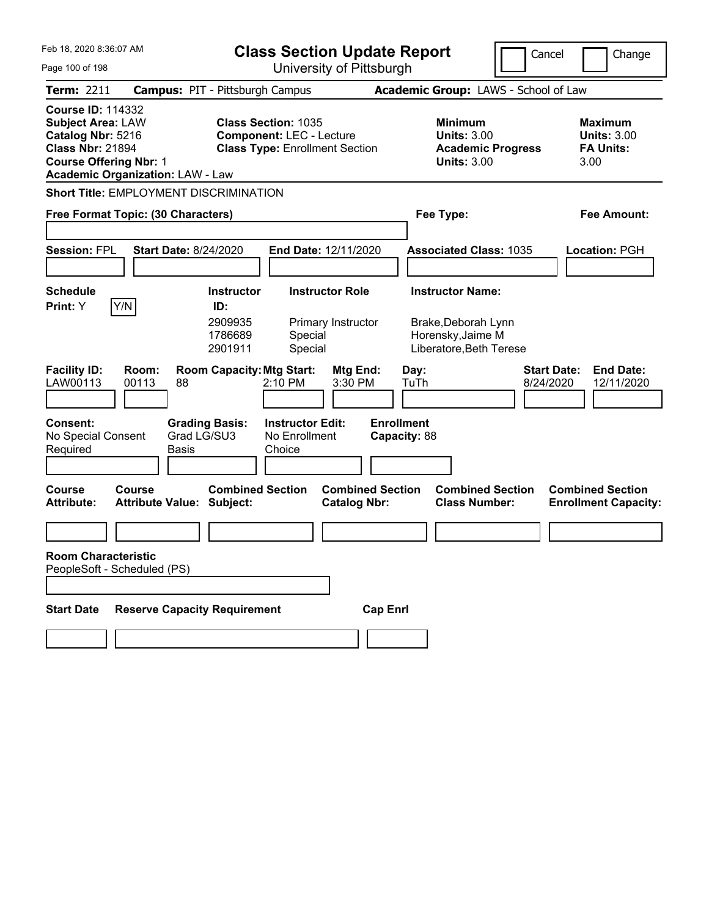| Feb 18, 2020 8:36:07 AM                                                                                                                                                          | <b>Class Section Update Report</b>                                                                     |                                                                                        | Cancel<br>Change                                                  |
|----------------------------------------------------------------------------------------------------------------------------------------------------------------------------------|--------------------------------------------------------------------------------------------------------|----------------------------------------------------------------------------------------|-------------------------------------------------------------------|
| Page 100 of 198                                                                                                                                                                  | University of Pittsburgh                                                                               |                                                                                        |                                                                   |
| <b>Term: 2211</b>                                                                                                                                                                | <b>Campus: PIT - Pittsburgh Campus</b>                                                                 | Academic Group: LAWS - School of Law                                                   |                                                                   |
| <b>Course ID: 114332</b><br><b>Subject Area: LAW</b><br>Catalog Nbr: 5216<br><b>Class Nbr: 21894</b><br><b>Course Offering Nbr: 1</b><br><b>Academic Organization: LAW - Law</b> | <b>Class Section: 1035</b><br><b>Component: LEC - Lecture</b><br><b>Class Type: Enrollment Section</b> | <b>Minimum</b><br><b>Units: 3.00</b><br><b>Academic Progress</b><br><b>Units: 3.00</b> | <b>Maximum</b><br><b>Units: 3.00</b><br><b>FA Units:</b><br>3.00  |
| Short Title: EMPLOYMENT DISCRIMINATION                                                                                                                                           |                                                                                                        |                                                                                        |                                                                   |
| Free Format Topic: (30 Characters)                                                                                                                                               |                                                                                                        | Fee Type:                                                                              | Fee Amount:                                                       |
|                                                                                                                                                                                  |                                                                                                        |                                                                                        |                                                                   |
| <b>Session: FPL</b><br><b>Start Date: 8/24/2020</b>                                                                                                                              | End Date: 12/11/2020                                                                                   | <b>Associated Class: 1035</b>                                                          | Location: PGH                                                     |
|                                                                                                                                                                                  |                                                                                                        |                                                                                        |                                                                   |
| <b>Schedule</b>                                                                                                                                                                  | <b>Instructor Role</b><br><b>Instructor</b>                                                            | <b>Instructor Name:</b>                                                                |                                                                   |
| Y/N<br><b>Print:</b> Y                                                                                                                                                           | ID:<br>2909935<br>Primary Instructor<br>1786689<br>Special<br>Special<br>2901911                       | Brake, Deborah Lynn<br>Horensky, Jaime M<br>Liberatore, Beth Terese                    |                                                                   |
| <b>Facility ID:</b><br>Room:<br>LAW00113<br>00113<br>88                                                                                                                          | <b>Room Capacity: Mtg Start:</b><br>Mtg End:<br>2:10 PM<br>3:30 PM                                     | Day:<br>TuTh                                                                           | <b>Start Date:</b><br><b>End Date:</b><br>8/24/2020<br>12/11/2020 |
| <b>Consent:</b><br>No Special Consent<br>Required<br>Basis                                                                                                                       | <b>Grading Basis:</b><br><b>Instructor Edit:</b><br>Grad LG/SU3<br>No Enrollment<br>Choice             | <b>Enrollment</b><br>Capacity: 88                                                      |                                                                   |
| <b>Course</b><br>Course<br><b>Attribute:</b><br><b>Attribute Value: Subject:</b>                                                                                                 | <b>Combined Section</b><br><b>Combined Section</b><br><b>Catalog Nbr:</b>                              | <b>Combined Section</b><br><b>Class Number:</b>                                        | <b>Combined Section</b><br><b>Enrollment Capacity:</b>            |
|                                                                                                                                                                                  |                                                                                                        |                                                                                        |                                                                   |
| <b>Room Characteristic</b><br>PeopleSoft - Scheduled (PS)                                                                                                                        |                                                                                                        |                                                                                        |                                                                   |
| <b>Start Date</b>                                                                                                                                                                | <b>Reserve Capacity Requirement</b>                                                                    | <b>Cap Enrl</b>                                                                        |                                                                   |
|                                                                                                                                                                                  |                                                                                                        |                                                                                        |                                                                   |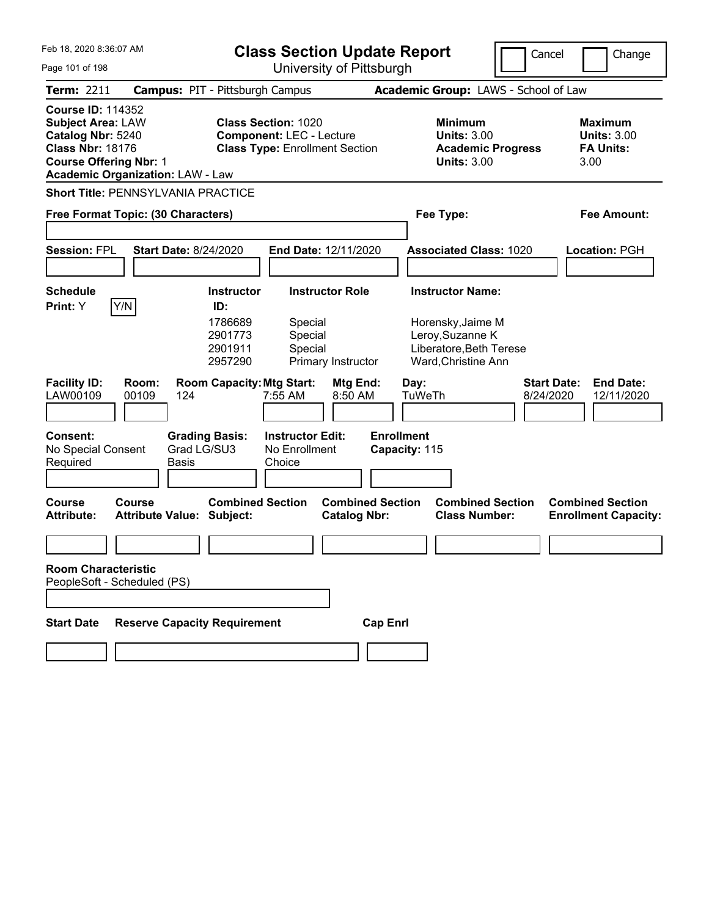| Feb 18, 2020 8:36:07 AM<br>Page 101 of 198                                                                                                                                       | <b>Class Section Update Report</b><br>University of Pittsburgh                                                                                        | Cancel                                                                                                             | Change                                                           |
|----------------------------------------------------------------------------------------------------------------------------------------------------------------------------------|-------------------------------------------------------------------------------------------------------------------------------------------------------|--------------------------------------------------------------------------------------------------------------------|------------------------------------------------------------------|
| <b>Term: 2211</b>                                                                                                                                                                | <b>Campus: PIT - Pittsburgh Campus</b>                                                                                                                | Academic Group: LAWS - School of Law                                                                               |                                                                  |
| <b>Course ID: 114352</b><br><b>Subject Area: LAW</b><br>Catalog Nbr: 5240<br><b>Class Nbr: 18176</b><br><b>Course Offering Nbr: 1</b><br><b>Academic Organization: LAW - Law</b> | <b>Class Section: 1020</b><br><b>Component: LEC - Lecture</b><br><b>Class Type: Enrollment Section</b>                                                | <b>Minimum</b><br><b>Units: 3.00</b><br><b>Academic Progress</b><br><b>Units: 3.00</b>                             | <b>Maximum</b><br><b>Units: 3.00</b><br><b>FA Units:</b><br>3.00 |
| <b>Short Title: PENNSYLVANIA PRACTICE</b>                                                                                                                                        |                                                                                                                                                       |                                                                                                                    |                                                                  |
| Free Format Topic: (30 Characters)                                                                                                                                               |                                                                                                                                                       | Fee Type:                                                                                                          | Fee Amount:                                                      |
| <b>Session: FPL</b><br><b>Start Date: 8/24/2020</b>                                                                                                                              | <b>End Date: 12/11/2020</b>                                                                                                                           | <b>Associated Class: 1020</b>                                                                                      | Location: PGH                                                    |
| <b>Schedule</b><br>Y/N<br>Print: Y                                                                                                                                               | <b>Instructor Role</b><br><b>Instructor</b><br>ID:<br>1786689<br>Special<br>Special<br>2901773<br>Special<br>2901911<br>2957290<br>Primary Instructor | <b>Instructor Name:</b><br>Horensky, Jaime M<br>Leroy, Suzanne K<br>Liberatore, Beth Terese<br>Ward, Christine Ann |                                                                  |
| <b>Facility ID:</b><br>Room:<br>LAW00109<br>00109<br>124                                                                                                                         | <b>Room Capacity: Mtg Start:</b><br>Mtg End:<br>7:55 AM<br>8:50 AM                                                                                    | <b>Start Date:</b><br>Day:<br>TuWeTh<br>8/24/2020                                                                  | <b>End Date:</b><br>12/11/2020                                   |
| <b>Consent:</b><br><b>Grading Basis:</b><br>Grad LG/SU3<br>No Special Consent<br>Required<br>Basis                                                                               | <b>Instructor Edit:</b><br><b>Enrollment</b><br>No Enrollment<br>Choice                                                                               | Capacity: 115                                                                                                      |                                                                  |
| Course<br>Course<br><b>Attribute:</b><br><b>Attribute Value: Subject:</b>                                                                                                        | <b>Combined Section</b><br><b>Combined Section</b><br><b>Catalog Nbr:</b>                                                                             | <b>Combined Section</b><br><b>Class Number:</b>                                                                    | <b>Combined Section</b><br><b>Enrollment Capacity:</b>           |
|                                                                                                                                                                                  |                                                                                                                                                       |                                                                                                                    |                                                                  |
| <b>Room Characteristic</b><br>PeopleSoft - Scheduled (PS)                                                                                                                        |                                                                                                                                                       |                                                                                                                    |                                                                  |
|                                                                                                                                                                                  |                                                                                                                                                       |                                                                                                                    |                                                                  |
| <b>Start Date</b><br><b>Reserve Capacity Requirement</b>                                                                                                                         | <b>Cap Enrl</b>                                                                                                                                       |                                                                                                                    |                                                                  |
|                                                                                                                                                                                  |                                                                                                                                                       |                                                                                                                    |                                                                  |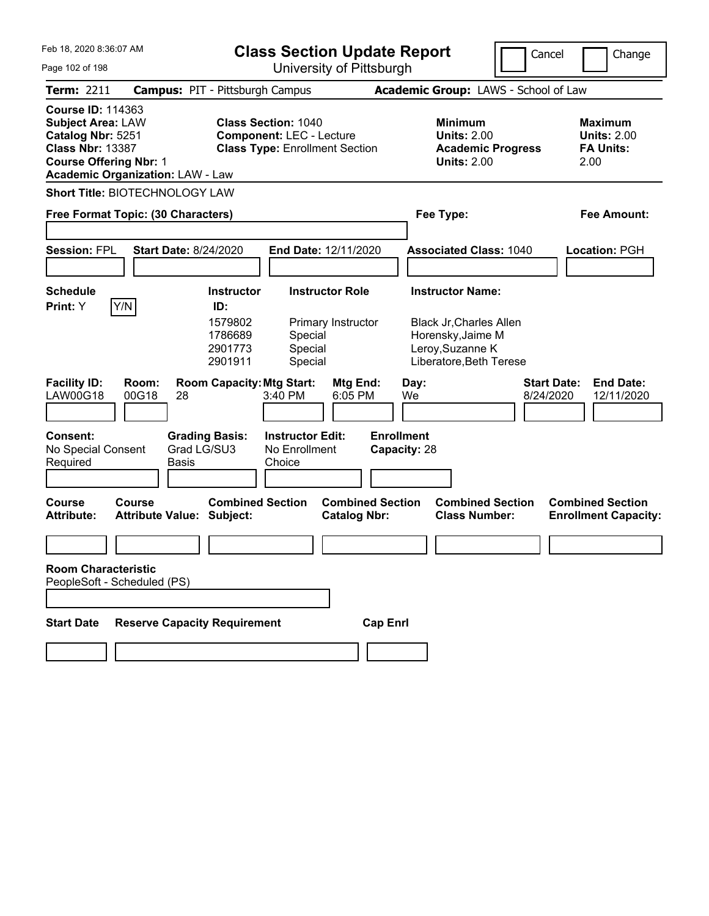| Feb 18, 2020 8:36:07 AM                                                                                                               |                                            |                                                                      | <b>Class Section Update Report</b>                                                                     |                                                |                                   |            |                                                                                                                               | Cancel                          |      | Change                                                   |
|---------------------------------------------------------------------------------------------------------------------------------------|--------------------------------------------|----------------------------------------------------------------------|--------------------------------------------------------------------------------------------------------|------------------------------------------------|-----------------------------------|------------|-------------------------------------------------------------------------------------------------------------------------------|---------------------------------|------|----------------------------------------------------------|
| Page 102 of 198                                                                                                                       |                                            |                                                                      | University of Pittsburgh                                                                               |                                                |                                   |            |                                                                                                                               |                                 |      |                                                          |
| <b>Term: 2211</b>                                                                                                                     |                                            | <b>Campus: PIT - Pittsburgh Campus</b>                               |                                                                                                        |                                                |                                   |            | Academic Group: LAWS - School of Law                                                                                          |                                 |      |                                                          |
| <b>Course ID: 114363</b><br><b>Subject Area: LAW</b><br>Catalog Nbr: 5251<br><b>Class Nbr: 13387</b><br><b>Course Offering Nbr: 1</b> | <b>Academic Organization: LAW - Law</b>    |                                                                      | <b>Class Section: 1040</b><br><b>Component: LEC - Lecture</b><br><b>Class Type: Enrollment Section</b> |                                                |                                   |            | <b>Minimum</b><br><b>Units: 2.00</b><br><b>Academic Progress</b><br><b>Units: 2.00</b>                                        |                                 | 2.00 | <b>Maximum</b><br><b>Units: 2.00</b><br><b>FA Units:</b> |
|                                                                                                                                       | Short Title: BIOTECHNOLOGY LAW             |                                                                      |                                                                                                        |                                                |                                   |            |                                                                                                                               |                                 |      |                                                          |
|                                                                                                                                       | Free Format Topic: (30 Characters)         |                                                                      |                                                                                                        |                                                |                                   |            | Fee Type:                                                                                                                     |                                 |      | <b>Fee Amount:</b>                                       |
| <b>Session: FPL</b>                                                                                                                   | <b>Start Date: 8/24/2020</b>               |                                                                      | End Date: 12/11/2020                                                                                   |                                                |                                   |            | <b>Associated Class: 1040</b>                                                                                                 |                                 |      | Location: PGH                                            |
| <b>Schedule</b><br>Print: Y                                                                                                           | Y/N                                        | <b>Instructor</b><br>ID:<br>1579802<br>1786689<br>2901773<br>2901911 | Special<br>Special<br>Special                                                                          | <b>Instructor Role</b><br>Primary Instructor   |                                   |            | <b>Instructor Name:</b><br><b>Black Jr, Charles Allen</b><br>Horensky, Jaime M<br>Leroy, Suzanne K<br>Liberatore, Beth Terese |                                 |      |                                                          |
| <b>Facility ID:</b><br><b>LAW00G18</b>                                                                                                | Room:<br>00G18<br>28                       | <b>Room Capacity: Mtg Start:</b>                                     | 3:40 PM                                                                                                | Mtg End:<br>6:05 PM                            |                                   | Day:<br>We |                                                                                                                               | <b>Start Date:</b><br>8/24/2020 |      | <b>End Date:</b><br>12/11/2020                           |
| <b>Consent:</b><br>No Special Consent<br>Required                                                                                     | <b>Basis</b>                               | <b>Grading Basis:</b><br>Grad LG/SU3                                 | <b>Instructor Edit:</b><br>No Enrollment<br>Choice                                                     |                                                | <b>Enrollment</b><br>Capacity: 28 |            |                                                                                                                               |                                 |      |                                                          |
| <b>Course</b><br><b>Attribute:</b>                                                                                                    | Course<br><b>Attribute Value: Subject:</b> | <b>Combined Section</b>                                              |                                                                                                        | <b>Combined Section</b><br><b>Catalog Nbr:</b> |                                   |            | <b>Combined Section</b><br><b>Class Number:</b>                                                                               |                                 |      | <b>Combined Section</b><br><b>Enrollment Capacity:</b>   |
|                                                                                                                                       |                                            |                                                                      |                                                                                                        |                                                |                                   |            |                                                                                                                               |                                 |      |                                                          |
| <b>Room Characteristic</b>                                                                                                            | PeopleSoft - Scheduled (PS)                |                                                                      |                                                                                                        |                                                |                                   |            |                                                                                                                               |                                 |      |                                                          |
|                                                                                                                                       |                                            |                                                                      |                                                                                                        |                                                |                                   |            |                                                                                                                               |                                 |      |                                                          |
| <b>Start Date</b>                                                                                                                     | <b>Reserve Capacity Requirement</b>        |                                                                      |                                                                                                        |                                                | <b>Cap Enrl</b>                   |            |                                                                                                                               |                                 |      |                                                          |
|                                                                                                                                       |                                            |                                                                      |                                                                                                        |                                                |                                   |            |                                                                                                                               |                                 |      |                                                          |
|                                                                                                                                       |                                            |                                                                      |                                                                                                        |                                                |                                   |            |                                                                                                                               |                                 |      |                                                          |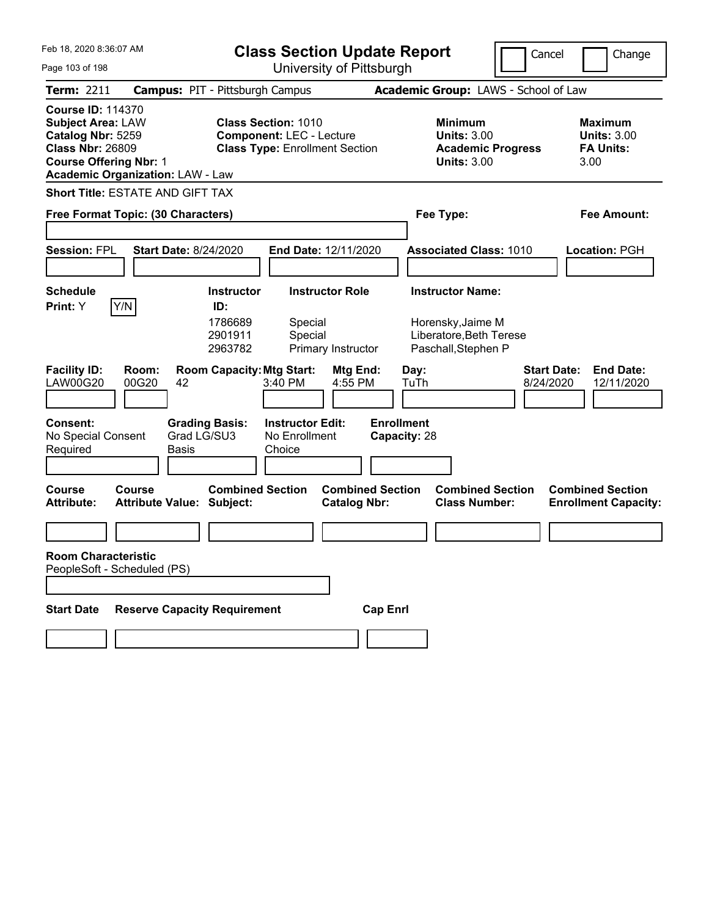| Feb 18, 2020 8:36:07 AM<br>Page 103 of 198                                                                                                                                       | <b>Class Section Update Report</b><br>University of Pittsburgh                                                       |                                                                                                   |                          | Cancel<br>Change                                                 |
|----------------------------------------------------------------------------------------------------------------------------------------------------------------------------------|----------------------------------------------------------------------------------------------------------------------|---------------------------------------------------------------------------------------------------|--------------------------|------------------------------------------------------------------|
| <b>Term: 2211</b>                                                                                                                                                                | <b>Campus: PIT - Pittsburgh Campus</b>                                                                               | Academic Group: LAWS - School of Law                                                              |                          |                                                                  |
| <b>Course ID: 114370</b><br><b>Subject Area: LAW</b><br>Catalog Nbr: 5259<br><b>Class Nbr: 26809</b><br><b>Course Offering Nbr: 1</b><br><b>Academic Organization: LAW - Law</b> | <b>Class Section: 1010</b><br><b>Component: LEC - Lecture</b><br><b>Class Type: Enrollment Section</b>               | <b>Minimum</b><br><b>Units: 3.00</b><br><b>Units: 3.00</b>                                        | <b>Academic Progress</b> | <b>Maximum</b><br><b>Units: 3.00</b><br><b>FA Units:</b><br>3.00 |
| <b>Short Title: ESTATE AND GIFT TAX</b>                                                                                                                                          |                                                                                                                      |                                                                                                   |                          |                                                                  |
| Free Format Topic: (30 Characters)                                                                                                                                               | Fee Type:                                                                                                            |                                                                                                   | <b>Fee Amount:</b>       |                                                                  |
| <b>Session: FPL</b><br><b>Start Date: 8/24/2020</b>                                                                                                                              | End Date: 12/11/2020                                                                                                 | <b>Associated Class: 1010</b>                                                                     |                          | Location: PGH                                                    |
| <b>Schedule</b>                                                                                                                                                                  | <b>Instructor</b><br><b>Instructor Role</b>                                                                          | <b>Instructor Name:</b>                                                                           |                          |                                                                  |
| Y/N<br>Print: Y<br><b>Facility ID:</b><br>Room:                                                                                                                                  | ID:<br>1786689<br>Special<br>2901911<br>Special<br>2963782<br>Primary Instructor<br><b>Room Capacity: Mtg Start:</b> | Horensky, Jaime M<br>Liberatore, Beth Terese<br>Paschall, Stephen P<br>Mtg End:<br>Day:           | <b>Start Date:</b>       | <b>End Date:</b>                                                 |
| <b>LAW00G20</b><br>00G20<br>42                                                                                                                                                   | 4:55 PM<br>3:40 PM                                                                                                   | TuTh                                                                                              | 8/24/2020                | 12/11/2020                                                       |
| <b>Consent:</b><br>No Special Consent<br>Required<br>Basis                                                                                                                       | <b>Grading Basis:</b><br><b>Instructor Edit:</b><br>Grad LG/SU3<br>No Enrollment<br>Choice                           | <b>Enrollment</b><br>Capacity: 28                                                                 |                          |                                                                  |
| <b>Course</b><br>Course<br><b>Attribute Value: Subject:</b><br><b>Attribute:</b>                                                                                                 | <b>Combined Section</b>                                                                                              | <b>Combined Section</b><br><b>Combined Section</b><br><b>Class Number:</b><br><b>Catalog Nbr:</b> |                          | <b>Combined Section</b><br><b>Enrollment Capacity:</b>           |
|                                                                                                                                                                                  |                                                                                                                      |                                                                                                   |                          |                                                                  |
| <b>Room Characteristic</b><br>PeopleSoft - Scheduled (PS)                                                                                                                        |                                                                                                                      |                                                                                                   |                          |                                                                  |
| <b>Start Date</b>                                                                                                                                                                | <b>Reserve Capacity Requirement</b>                                                                                  | <b>Cap Enrl</b>                                                                                   |                          |                                                                  |
|                                                                                                                                                                                  |                                                                                                                      |                                                                                                   |                          |                                                                  |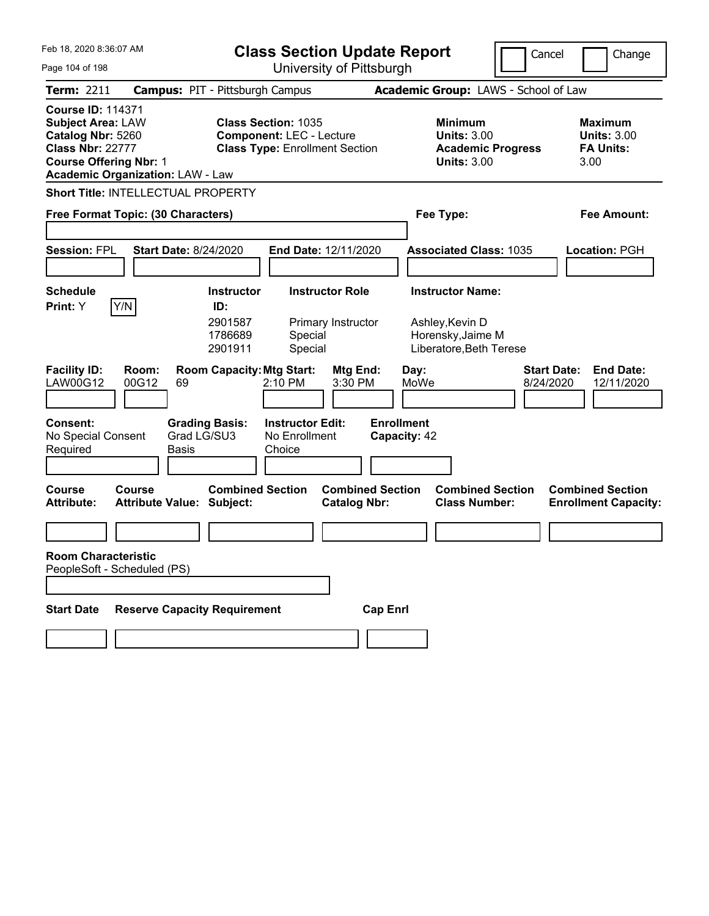| Feb 18, 2020 8:36:07 AM<br><b>Class Section Update Report</b><br>University of Pittsburgh                                             |                                                                              |                                                           |                                                                                                        |                                                |                                                   | Cancel                                                                                     | Change                   |                                 |                                                                  |
|---------------------------------------------------------------------------------------------------------------------------------------|------------------------------------------------------------------------------|-----------------------------------------------------------|--------------------------------------------------------------------------------------------------------|------------------------------------------------|---------------------------------------------------|--------------------------------------------------------------------------------------------|--------------------------|---------------------------------|------------------------------------------------------------------|
| Page 104 of 198<br><b>Term: 2211</b>                                                                                                  | <b>Campus: PIT - Pittsburgh Campus</b>                                       |                                                           |                                                                                                        |                                                |                                                   | Academic Group: LAWS - School of Law                                                       |                          |                                 |                                                                  |
| <b>Course ID: 114371</b><br><b>Subject Area: LAW</b><br>Catalog Nbr: 5260<br><b>Class Nbr: 22777</b><br><b>Course Offering Nbr: 1</b> | <b>Academic Organization: LAW - Law</b>                                      |                                                           | <b>Class Section: 1035</b><br><b>Component: LEC - Lecture</b><br><b>Class Type: Enrollment Section</b> |                                                |                                                   | <b>Minimum</b><br><b>Units: 3.00</b><br><b>Units: 3.00</b>                                 | <b>Academic Progress</b> |                                 | <b>Maximum</b><br><b>Units: 3.00</b><br><b>FA Units:</b><br>3.00 |
|                                                                                                                                       | Short Title: INTELLECTUAL PROPERTY                                           |                                                           |                                                                                                        |                                                |                                                   |                                                                                            |                          |                                 |                                                                  |
| Free Format Topic: (30 Characters)                                                                                                    |                                                                              |                                                           |                                                                                                        | Fee Type:                                      |                                                   |                                                                                            | <b>Fee Amount:</b>       |                                 |                                                                  |
| <b>Session: FPL</b>                                                                                                                   | <b>Start Date: 8/24/2020</b>                                                 |                                                           | End Date: 12/11/2020                                                                                   |                                                |                                                   | <b>Associated Class: 1035</b>                                                              |                          |                                 | Location: PGH                                                    |
| <b>Schedule</b><br>Print: Y                                                                                                           | Y/N                                                                          | <b>Instructor</b><br>ID:<br>2901587<br>1786689<br>2901911 | Special<br>Special                                                                                     | <b>Instructor Role</b><br>Primary Instructor   |                                                   | <b>Instructor Name:</b><br>Ashley, Kevin D<br>Horensky, Jaime M<br>Liberatore, Beth Terese |                          |                                 |                                                                  |
| <b>Facility ID:</b><br>LAW00G12<br><b>Consent:</b><br>No Special Consent<br>Required                                                  | Room:<br>00G12<br>69<br><b>Grading Basis:</b><br>Grad LG/SU3<br><b>Basis</b> | <b>Room Capacity: Mtg Start:</b>                          | 2:10 PM<br><b>Instructor Edit:</b><br>No Enrollment<br>Choice                                          | Mtg End:<br>3:30 PM                            | Day:<br>MoWe<br><b>Enrollment</b><br>Capacity: 42 |                                                                                            |                          | <b>Start Date:</b><br>8/24/2020 | <b>End Date:</b><br>12/11/2020                                   |
| <b>Course</b><br><b>Attribute:</b>                                                                                                    | Course<br><b>Attribute Value: Subject:</b>                                   | <b>Combined Section</b>                                   |                                                                                                        | <b>Combined Section</b><br><b>Catalog Nbr:</b> |                                                   | <b>Combined Section</b><br><b>Class Number:</b>                                            |                          |                                 | <b>Combined Section</b><br><b>Enrollment Capacity:</b>           |
| <b>Room Characteristic</b>                                                                                                            | PeopleSoft - Scheduled (PS)                                                  |                                                           |                                                                                                        |                                                |                                                   |                                                                                            |                          |                                 |                                                                  |
| <b>Start Date</b>                                                                                                                     | <b>Reserve Capacity Requirement</b>                                          |                                                           |                                                                                                        | <b>Cap Enrl</b>                                |                                                   |                                                                                            |                          |                                 |                                                                  |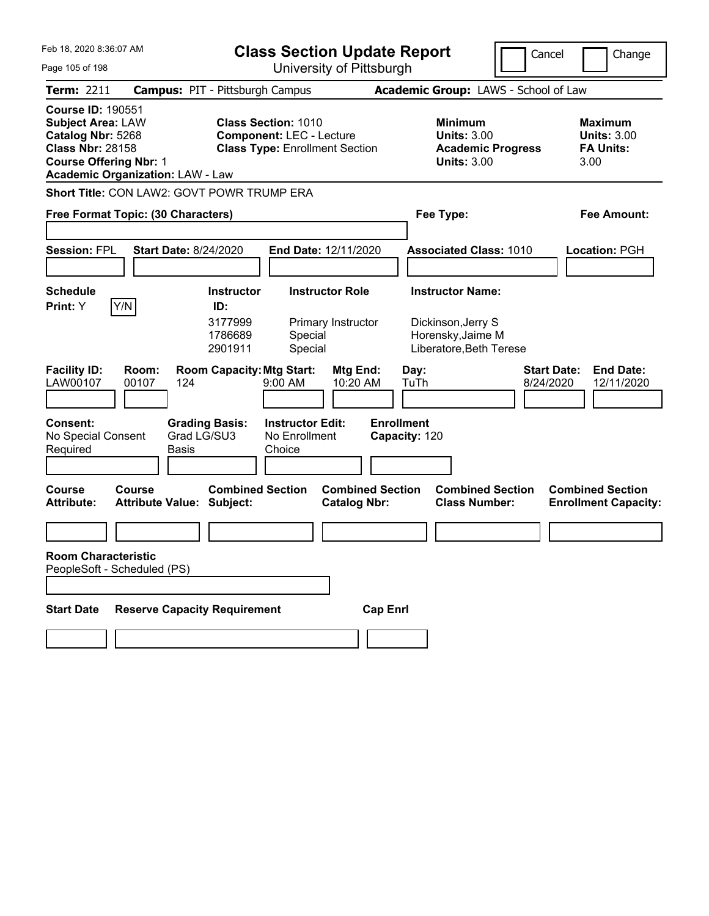| Feb 18, 2020 8:36:07 AM                                                                                                                                                          |                                                                                                          | <b>Class Section Update Report</b><br>Cancel<br>Change                                                 |                                                |                                                                                        |                                 |                                                                  |  |
|----------------------------------------------------------------------------------------------------------------------------------------------------------------------------------|----------------------------------------------------------------------------------------------------------|--------------------------------------------------------------------------------------------------------|------------------------------------------------|----------------------------------------------------------------------------------------|---------------------------------|------------------------------------------------------------------|--|
| Page 105 of 198                                                                                                                                                                  |                                                                                                          | University of Pittsburgh                                                                               |                                                |                                                                                        |                                 |                                                                  |  |
| <b>Term: 2211</b>                                                                                                                                                                | <b>Campus: PIT - Pittsburgh Campus</b>                                                                   |                                                                                                        |                                                | Academic Group: LAWS - School of Law                                                   |                                 |                                                                  |  |
| <b>Course ID: 190551</b><br><b>Subject Area: LAW</b><br>Catalog Nbr: 5268<br><b>Class Nbr: 28158</b><br><b>Course Offering Nbr: 1</b><br><b>Academic Organization: LAW - Law</b> |                                                                                                          | <b>Class Section: 1010</b><br><b>Component: LEC - Lecture</b><br><b>Class Type: Enrollment Section</b> |                                                | <b>Minimum</b><br><b>Units: 3.00</b><br><b>Academic Progress</b><br><b>Units: 3.00</b> |                                 | <b>Maximum</b><br><b>Units: 3.00</b><br><b>FA Units:</b><br>3.00 |  |
| Short Title: CON LAW2: GOVT POWR TRUMP ERA                                                                                                                                       |                                                                                                          |                                                                                                        |                                                |                                                                                        |                                 |                                                                  |  |
|                                                                                                                                                                                  | Free Format Topic: (30 Characters)                                                                       |                                                                                                        |                                                | Fee Type:                                                                              |                                 | Fee Amount:                                                      |  |
| <b>Session: FPL</b>                                                                                                                                                              | <b>Start Date: 8/24/2020</b>                                                                             | End Date: 12/11/2020                                                                                   |                                                | <b>Associated Class: 1010</b>                                                          |                                 | <b>Location: PGH</b>                                             |  |
| <b>Schedule</b>                                                                                                                                                                  | <b>Instructor</b>                                                                                        | <b>Instructor Role</b>                                                                                 |                                                | <b>Instructor Name:</b>                                                                |                                 |                                                                  |  |
| Y/N<br>Print: Y<br><b>Facility ID:</b><br>Room:<br>LAW00107<br>00107<br><b>Consent:</b>                                                                                          | ID:<br>3177999<br>1786689<br>2901911<br><b>Room Capacity: Mtg Start:</b><br>124<br><b>Grading Basis:</b> | Primary Instructor<br>Special<br>Special<br>9:00 AM<br><b>Instructor Edit:</b>                         | Mtg End:<br>10:20 AM<br><b>Enrollment</b>      | Dickinson, Jerry S<br>Horensky, Jaime M<br>Liberatore, Beth Terese<br>Day:<br>TuTh     | <b>Start Date:</b><br>8/24/2020 | <b>End Date:</b><br>12/11/2020                                   |  |
| No Special Consent<br>Required<br><b>Basis</b>                                                                                                                                   | Grad LG/SU3                                                                                              | No Enrollment<br>Choice                                                                                | Capacity: 120                                  |                                                                                        |                                 |                                                                  |  |
| Course<br>Course<br><b>Attribute:</b>                                                                                                                                            | <b>Combined Section</b><br><b>Attribute Value: Subject:</b>                                              |                                                                                                        | <b>Combined Section</b><br><b>Catalog Nbr:</b> | <b>Combined Section</b><br><b>Class Number:</b>                                        |                                 | <b>Combined Section</b><br><b>Enrollment Capacity:</b>           |  |
| <b>Room Characteristic</b><br>PeopleSoft - Scheduled (PS)                                                                                                                        |                                                                                                          |                                                                                                        |                                                |                                                                                        |                                 |                                                                  |  |
| <b>Start Date</b>                                                                                                                                                                | <b>Reserve Capacity Requirement</b>                                                                      |                                                                                                        | <b>Cap Enrl</b>                                |                                                                                        |                                 |                                                                  |  |
|                                                                                                                                                                                  |                                                                                                          |                                                                                                        |                                                |                                                                                        |                                 |                                                                  |  |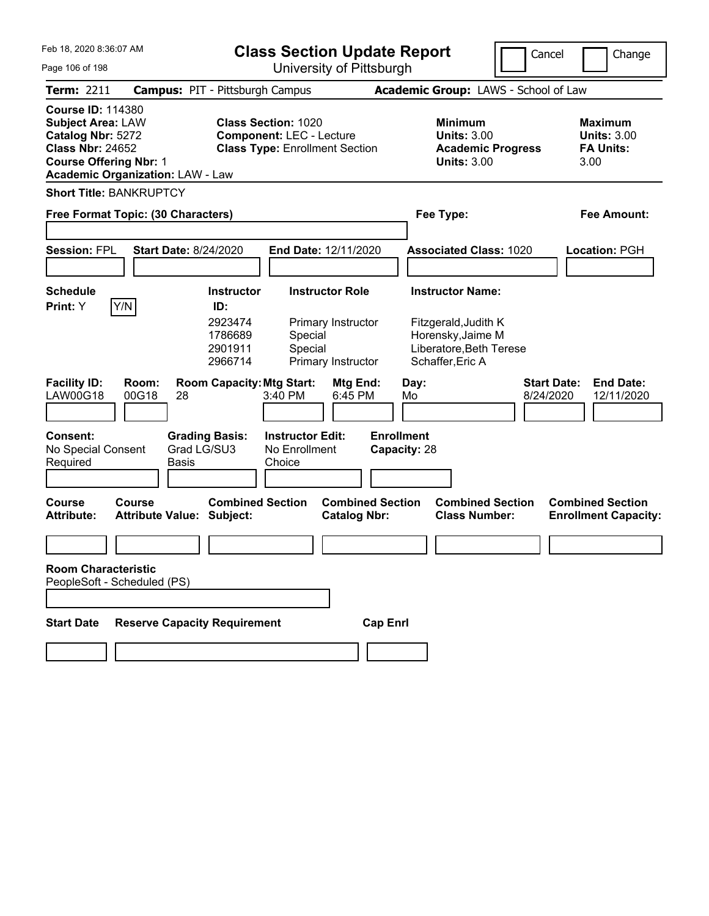| Feb 18, 2020 8:36:07 AM                                                                                                               |                                            |                                                                      | <b>Class Section Update Report</b>                                                                     |                                                                    |                                   |            |                                                                                                                     | Cancel                          | Change                                                           |
|---------------------------------------------------------------------------------------------------------------------------------------|--------------------------------------------|----------------------------------------------------------------------|--------------------------------------------------------------------------------------------------------|--------------------------------------------------------------------|-----------------------------------|------------|---------------------------------------------------------------------------------------------------------------------|---------------------------------|------------------------------------------------------------------|
| Page 106 of 198                                                                                                                       |                                            | University of Pittsburgh                                             |                                                                                                        |                                                                    |                                   |            |                                                                                                                     |                                 |                                                                  |
| <b>Term: 2211</b>                                                                                                                     | <b>Campus: PIT - Pittsburgh Campus</b>     |                                                                      |                                                                                                        |                                                                    |                                   |            | Academic Group: LAWS - School of Law                                                                                |                                 |                                                                  |
| <b>Course ID: 114380</b><br><b>Subject Area: LAW</b><br>Catalog Nbr: 5272<br><b>Class Nbr: 24652</b><br><b>Course Offering Nbr: 1</b> | <b>Academic Organization: LAW - Law</b>    |                                                                      | <b>Class Section: 1020</b><br><b>Component: LEC - Lecture</b><br><b>Class Type: Enrollment Section</b> |                                                                    |                                   |            | <b>Minimum</b><br><b>Units: 3.00</b><br><b>Academic Progress</b><br><b>Units: 3.00</b>                              |                                 | <b>Maximum</b><br><b>Units: 3.00</b><br><b>FA Units:</b><br>3.00 |
|                                                                                                                                       | <b>Short Title: BANKRUPTCY</b>             |                                                                      |                                                                                                        |                                                                    |                                   |            |                                                                                                                     |                                 |                                                                  |
|                                                                                                                                       | Free Format Topic: (30 Characters)         |                                                                      |                                                                                                        |                                                                    |                                   |            | Fee Type:                                                                                                           |                                 | Fee Amount:                                                      |
| <b>Session: FPL</b>                                                                                                                   | <b>Start Date: 8/24/2020</b>               |                                                                      | End Date: 12/11/2020                                                                                   |                                                                    |                                   |            | <b>Associated Class: 1020</b>                                                                                       |                                 | <b>Location: PGH</b>                                             |
| <b>Schedule</b><br>Print: Y                                                                                                           | Y/N                                        | <b>Instructor</b><br>ID:<br>2923474<br>1786689<br>2901911<br>2966714 | Special<br>Special                                                                                     | <b>Instructor Role</b><br>Primary Instructor<br>Primary Instructor |                                   |            | <b>Instructor Name:</b><br>Fitzgerald, Judith K<br>Horensky, Jaime M<br>Liberatore, Beth Terese<br>Schaffer, Eric A |                                 |                                                                  |
| <b>Facility ID:</b><br><b>LAW00G18</b>                                                                                                | Room:<br>00G18<br>28                       | <b>Room Capacity: Mtg Start:</b>                                     | 3:40 PM                                                                                                | Mtg End:<br>6:45 PM                                                |                                   | Day:<br>Mo |                                                                                                                     | <b>Start Date:</b><br>8/24/2020 | <b>End Date:</b><br>12/11/2020                                   |
| Consent:<br>No Special Consent<br>Required                                                                                            | Grad LG/SU3<br><b>Basis</b>                | <b>Grading Basis:</b>                                                | <b>Instructor Edit:</b><br>No Enrollment<br>Choice                                                     |                                                                    | <b>Enrollment</b><br>Capacity: 28 |            |                                                                                                                     |                                 |                                                                  |
| Course<br><b>Attribute:</b>                                                                                                           | Course<br><b>Attribute Value: Subject:</b> | <b>Combined Section</b>                                              |                                                                                                        | <b>Combined Section</b><br><b>Catalog Nbr:</b>                     |                                   |            | <b>Combined Section</b><br><b>Class Number:</b>                                                                     |                                 | <b>Combined Section</b><br><b>Enrollment Capacity:</b>           |
|                                                                                                                                       |                                            |                                                                      |                                                                                                        |                                                                    |                                   |            |                                                                                                                     |                                 |                                                                  |
| <b>Room Characteristic</b>                                                                                                            | PeopleSoft - Scheduled (PS)                |                                                                      |                                                                                                        |                                                                    |                                   |            |                                                                                                                     |                                 |                                                                  |
|                                                                                                                                       |                                            |                                                                      |                                                                                                        |                                                                    |                                   |            |                                                                                                                     |                                 |                                                                  |
| <b>Start Date</b>                                                                                                                     | <b>Reserve Capacity Requirement</b>        |                                                                      |                                                                                                        |                                                                    | <b>Cap Enrl</b>                   |            |                                                                                                                     |                                 |                                                                  |
|                                                                                                                                       |                                            |                                                                      |                                                                                                        |                                                                    |                                   |            |                                                                                                                     |                                 |                                                                  |
|                                                                                                                                       |                                            |                                                                      |                                                                                                        |                                                                    |                                   |            |                                                                                                                     |                                 |                                                                  |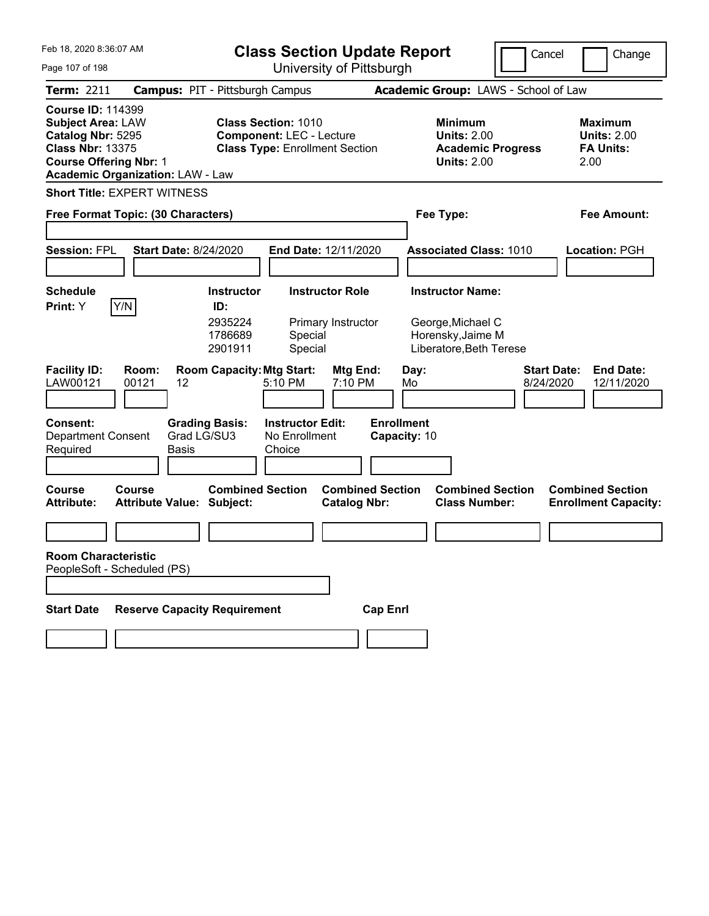| Feb 18, 2020 8:36:07 AM                                                                                                                                                          | <b>Class Section Update Report</b>                                                                     |                                                |                                                                                        | Cancel                          | Change                                                           |
|----------------------------------------------------------------------------------------------------------------------------------------------------------------------------------|--------------------------------------------------------------------------------------------------------|------------------------------------------------|----------------------------------------------------------------------------------------|---------------------------------|------------------------------------------------------------------|
| Page 107 of 198                                                                                                                                                                  | University of Pittsburgh                                                                               |                                                |                                                                                        |                                 |                                                                  |
| <b>Term: 2211</b>                                                                                                                                                                | <b>Campus: PIT - Pittsburgh Campus</b>                                                                 |                                                | Academic Group: LAWS - School of Law                                                   |                                 |                                                                  |
| <b>Course ID: 114399</b><br><b>Subject Area: LAW</b><br>Catalog Nbr: 5295<br><b>Class Nbr: 13375</b><br><b>Course Offering Nbr: 1</b><br><b>Academic Organization: LAW - Law</b> | <b>Class Section: 1010</b><br><b>Component: LEC - Lecture</b><br><b>Class Type: Enrollment Section</b> |                                                | <b>Minimum</b><br><b>Units: 2.00</b><br><b>Academic Progress</b><br><b>Units: 2.00</b> |                                 | <b>Maximum</b><br><b>Units: 2.00</b><br><b>FA Units:</b><br>2.00 |
| <b>Short Title: EXPERT WITNESS</b>                                                                                                                                               |                                                                                                        |                                                |                                                                                        |                                 |                                                                  |
| Free Format Topic: (30 Characters)                                                                                                                                               |                                                                                                        |                                                | Fee Type:                                                                              |                                 | <b>Fee Amount:</b>                                               |
|                                                                                                                                                                                  |                                                                                                        |                                                |                                                                                        |                                 |                                                                  |
| <b>Session: FPL</b><br><b>Start Date: 8/24/2020</b>                                                                                                                              | End Date: 12/11/2020                                                                                   |                                                | <b>Associated Class: 1010</b>                                                          |                                 | Location: PGH                                                    |
| <b>Schedule</b>                                                                                                                                                                  | <b>Instructor</b><br><b>Instructor Role</b>                                                            |                                                | <b>Instructor Name:</b>                                                                |                                 |                                                                  |
| Y/N <br>Print: Y                                                                                                                                                                 | ID:                                                                                                    |                                                |                                                                                        |                                 |                                                                  |
|                                                                                                                                                                                  | 2935224<br>Primary Instructor<br>1786689<br>Special<br>2901911<br>Special                              |                                                | George, Michael C<br>Horensky, Jaime M<br>Liberatore, Beth Terese                      |                                 |                                                                  |
| <b>Facility ID:</b><br>Room:<br>LAW00121<br>00121<br>12                                                                                                                          | <b>Room Capacity: Mtg Start:</b><br>5:10 PM                                                            | Mtg End:<br>7:10 PM                            | Day:<br>Mo                                                                             | <b>Start Date:</b><br>8/24/2020 | <b>End Date:</b><br>12/11/2020                                   |
| <b>Consent:</b><br>Grad LG/SU3<br><b>Department Consent</b><br>Required<br>Basis                                                                                                 | <b>Grading Basis:</b><br><b>Instructor Edit:</b><br>No Enrollment<br>Choice                            | <b>Enrollment</b><br>Capacity: 10              |                                                                                        |                                 |                                                                  |
| <b>Course</b><br>Course<br><b>Attribute Value: Subject:</b><br><b>Attribute:</b>                                                                                                 | <b>Combined Section</b>                                                                                | <b>Combined Section</b><br><b>Catalog Nbr:</b> | <b>Combined Section</b><br><b>Class Number:</b>                                        |                                 | <b>Combined Section</b><br><b>Enrollment Capacity:</b>           |
|                                                                                                                                                                                  |                                                                                                        |                                                |                                                                                        |                                 |                                                                  |
| <b>Room Characteristic</b><br>PeopleSoft - Scheduled (PS)                                                                                                                        |                                                                                                        |                                                |                                                                                        |                                 |                                                                  |
| <b>Reserve Capacity Requirement</b><br><b>Start Date</b>                                                                                                                         |                                                                                                        | <b>Cap Enrl</b>                                |                                                                                        |                                 |                                                                  |
|                                                                                                                                                                                  |                                                                                                        |                                                |                                                                                        |                                 |                                                                  |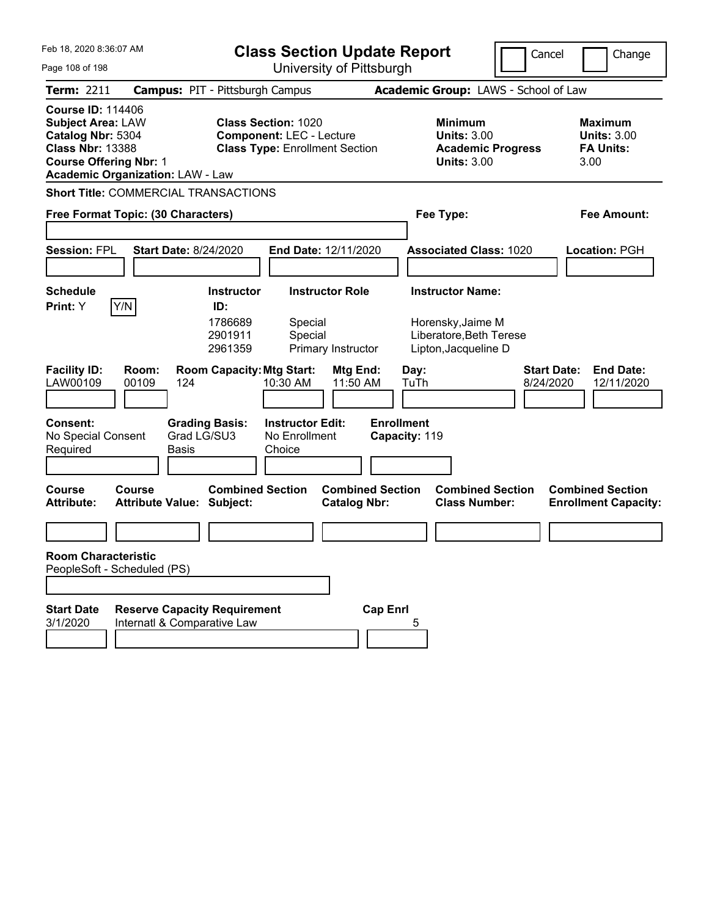| Feb 18, 2020 8:36:07 AM                                                                                                                                                          |                                                                    |                                      | <b>Class Section Update Report</b>                                       |                         |                                                                      | Cancel                          | Change                                                           |  |  |  |
|----------------------------------------------------------------------------------------------------------------------------------------------------------------------------------|--------------------------------------------------------------------|--------------------------------------|--------------------------------------------------------------------------|-------------------------|----------------------------------------------------------------------|---------------------------------|------------------------------------------------------------------|--|--|--|
| University of Pittsburgh<br>Page 108 of 198                                                                                                                                      |                                                                    |                                      |                                                                          |                         |                                                                      |                                 |                                                                  |  |  |  |
| <b>Term: 2211</b>                                                                                                                                                                | <b>Campus: PIT - Pittsburgh Campus</b>                             |                                      |                                                                          |                         | Academic Group: LAWS - School of Law                                 |                                 |                                                                  |  |  |  |
| <b>Course ID: 114406</b><br><b>Subject Area: LAW</b><br>Catalog Nbr: 5304<br><b>Class Nbr: 13388</b><br><b>Course Offering Nbr: 1</b><br><b>Academic Organization: LAW - Law</b> |                                                                    | <b>Class Section: 1020</b>           | <b>Component: LEC - Lecture</b><br><b>Class Type: Enrollment Section</b> |                         | <b>Minimum</b><br><b>Units: 3.00</b><br><b>Units: 3.00</b>           | <b>Academic Progress</b>        | <b>Maximum</b><br><b>Units: 3.00</b><br><b>FA Units:</b><br>3.00 |  |  |  |
| <b>Short Title: COMMERCIAL TRANSACTIONS</b>                                                                                                                                      |                                                                    |                                      |                                                                          |                         |                                                                      |                                 |                                                                  |  |  |  |
| Free Format Topic: (30 Characters)                                                                                                                                               |                                                                    |                                      |                                                                          |                         | Fee Type:<br>Fee Amount:                                             |                                 |                                                                  |  |  |  |
|                                                                                                                                                                                  |                                                                    |                                      |                                                                          |                         |                                                                      |                                 |                                                                  |  |  |  |
| <b>Session: FPL</b>                                                                                                                                                              | <b>Start Date: 8/24/2020</b>                                       |                                      | <b>End Date: 12/11/2020</b>                                              |                         | <b>Associated Class: 1020</b>                                        |                                 | Location: PGH                                                    |  |  |  |
|                                                                                                                                                                                  |                                                                    |                                      |                                                                          |                         |                                                                      |                                 |                                                                  |  |  |  |
| <b>Schedule</b>                                                                                                                                                                  |                                                                    | <b>Instructor</b>                    | <b>Instructor Role</b>                                                   |                         | <b>Instructor Name:</b>                                              |                                 |                                                                  |  |  |  |
| Y/N<br>Print: Y                                                                                                                                                                  |                                                                    | ID:<br>1786689<br>2901911<br>2961359 | Special<br>Special<br>Primary Instructor                                 |                         | Horensky, Jaime M<br>Liberatore, Beth Terese<br>Lipton, Jacqueline D |                                 |                                                                  |  |  |  |
| <b>Facility ID:</b><br>LAW00109                                                                                                                                                  | Room:<br>00109<br>124                                              | <b>Room Capacity: Mtg Start:</b>     | Mtg End:<br>10:30 AM<br>11:50 AM                                         |                         | Day:<br>TuTh                                                         | <b>Start Date:</b><br>8/24/2020 | <b>End Date:</b><br>12/11/2020                                   |  |  |  |
| Consent:<br>No Special Consent<br>Required                                                                                                                                       | <b>Grading Basis:</b><br>Grad LG/SU3<br>Basis                      |                                      | <b>Instructor Edit:</b><br>No Enrollment<br>Choice                       | <b>Enrollment</b>       | Capacity: 119                                                        |                                 |                                                                  |  |  |  |
| <b>Course</b><br><b>Attribute:</b>                                                                                                                                               | Course<br><b>Attribute Value: Subject:</b>                         | <b>Combined Section</b>              | <b>Catalog Nbr:</b>                                                      | <b>Combined Section</b> | <b>Combined Section</b><br><b>Class Number:</b>                      |                                 | <b>Combined Section</b><br><b>Enrollment Capacity:</b>           |  |  |  |
|                                                                                                                                                                                  |                                                                    |                                      |                                                                          |                         |                                                                      |                                 |                                                                  |  |  |  |
| <b>Room Characteristic</b><br>PeopleSoft - Scheduled (PS)                                                                                                                        |                                                                    |                                      |                                                                          |                         |                                                                      |                                 |                                                                  |  |  |  |
| <b>Start Date</b><br>3/1/2020                                                                                                                                                    | <b>Reserve Capacity Requirement</b><br>Internatl & Comparative Law |                                      |                                                                          | <b>Cap Enrl</b>         |                                                                      |                                 |                                                                  |  |  |  |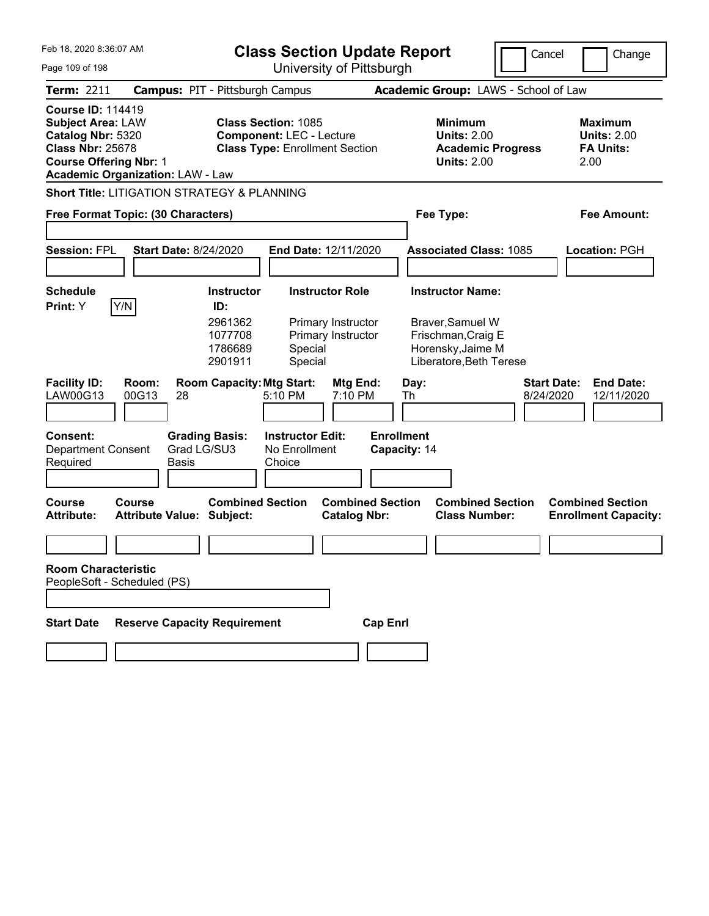| Feb 18, 2020 8:36:07 AM<br>Page 109 of 198                                                                                            |                                               |                                                                                                        | <b>Class Section Update Report</b><br>University of Pittsburgh                           |                                                                                                                   | Cancel                               | Change                                                           |
|---------------------------------------------------------------------------------------------------------------------------------------|-----------------------------------------------|--------------------------------------------------------------------------------------------------------|------------------------------------------------------------------------------------------|-------------------------------------------------------------------------------------------------------------------|--------------------------------------|------------------------------------------------------------------|
| Term: 2211                                                                                                                            |                                               | <b>Campus: PIT - Pittsburgh Campus</b>                                                                 |                                                                                          |                                                                                                                   | Academic Group: LAWS - School of Law |                                                                  |
| <b>Course ID: 114419</b><br><b>Subject Area: LAW</b><br>Catalog Nbr: 5320<br><b>Class Nbr: 25678</b><br><b>Course Offering Nbr: 1</b> | <b>Academic Organization: LAW - Law</b>       | <b>Class Section: 1085</b><br><b>Component: LEC - Lecture</b><br><b>Class Type: Enrollment Section</b> |                                                                                          | <b>Minimum</b><br><b>Units: 2.00</b><br><b>Units: 2.00</b>                                                        | <b>Academic Progress</b>             | <b>Maximum</b><br><b>Units: 2.00</b><br><b>FA Units:</b><br>2.00 |
|                                                                                                                                       |                                               | <b>Short Title: LITIGATION STRATEGY &amp; PLANNING</b>                                                 |                                                                                          |                                                                                                                   |                                      |                                                                  |
|                                                                                                                                       | Free Format Topic: (30 Characters)            |                                                                                                        |                                                                                          | Fee Type:                                                                                                         |                                      | <b>Fee Amount:</b>                                               |
| <b>Session: FPL</b>                                                                                                                   | <b>Start Date: 8/24/2020</b>                  |                                                                                                        | End Date: 12/11/2020                                                                     | <b>Associated Class: 1085</b>                                                                                     |                                      | Location: PGH                                                    |
| <b>Schedule</b><br>Y/N<br>Print: Y                                                                                                    |                                               | <b>Instructor</b><br>ID:<br>2961362<br>1077708<br>1786689<br>2901911                                   | <b>Instructor Role</b><br>Primary Instructor<br>Primary Instructor<br>Special<br>Special | <b>Instructor Name:</b><br>Braver, Samuel W<br>Frischman, Craig E<br>Horensky, Jaime M<br>Liberatore, Beth Terese |                                      |                                                                  |
| <b>Facility ID:</b><br>LAW00G13                                                                                                       | Room:<br>00G13<br>28                          | <b>Room Capacity: Mtg Start:</b><br>5:10 PM                                                            | Mtg End:<br>7:10 PM                                                                      | Day:<br>Th                                                                                                        | <b>Start Date:</b><br>8/24/2020      | <b>End Date:</b><br>12/11/2020                                   |
| <b>Consent:</b><br><b>Department Consent</b><br>Required                                                                              | <b>Grading Basis:</b><br>Grad LG/SU3<br>Basis | <b>Instructor Edit:</b><br>No Enrollment<br>Choice                                                     |                                                                                          | <b>Enrollment</b><br>Capacity: 14                                                                                 |                                      |                                                                  |
| Course<br><b>Attribute:</b>                                                                                                           | Course<br><b>Attribute Value: Subject:</b>    | <b>Combined Section</b>                                                                                | <b>Combined Section</b><br><b>Catalog Nbr:</b>                                           | <b>Class Number:</b>                                                                                              | <b>Combined Section</b>              | <b>Combined Section</b><br><b>Enrollment Capacity:</b>           |
|                                                                                                                                       |                                               |                                                                                                        |                                                                                          |                                                                                                                   |                                      |                                                                  |
| <b>Room Characteristic</b><br>PeopleSoft - Scheduled (PS)                                                                             |                                               |                                                                                                        |                                                                                          |                                                                                                                   |                                      |                                                                  |
| <b>Start Date</b>                                                                                                                     | <b>Reserve Capacity Requirement</b>           |                                                                                                        | <b>Cap Enrl</b>                                                                          |                                                                                                                   |                                      |                                                                  |
|                                                                                                                                       |                                               |                                                                                                        |                                                                                          |                                                                                                                   |                                      |                                                                  |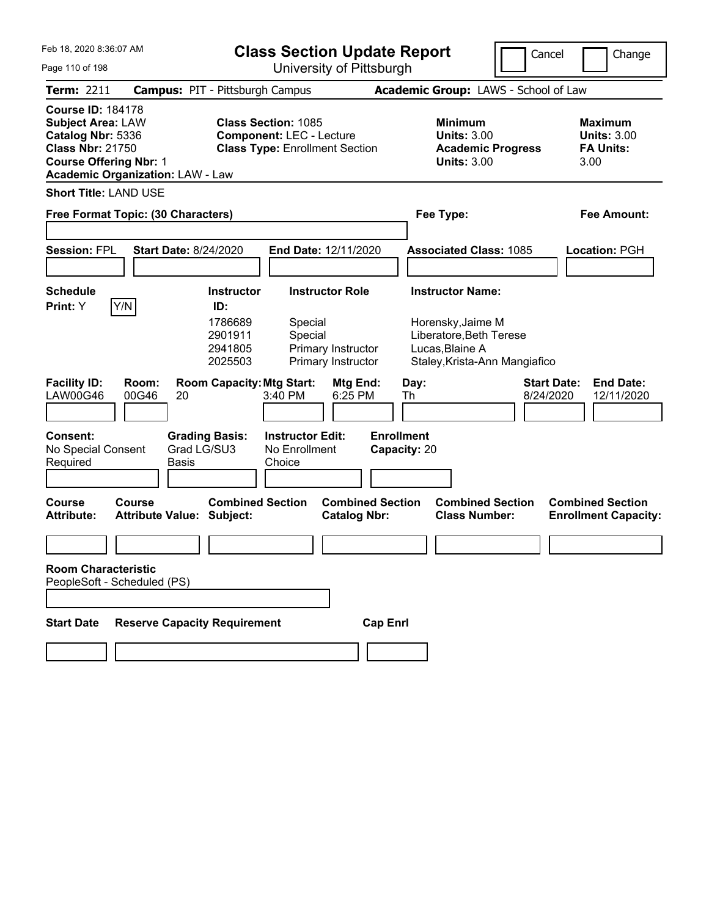| Feb 18, 2020 8:36:07 AM                                                                                                               |                                            |                                                                      | <b>Class Section Update Report</b>                                                                     |                                                                    |                                   |            |                                                                                                                             | Cancel                          | Change                                                           |
|---------------------------------------------------------------------------------------------------------------------------------------|--------------------------------------------|----------------------------------------------------------------------|--------------------------------------------------------------------------------------------------------|--------------------------------------------------------------------|-----------------------------------|------------|-----------------------------------------------------------------------------------------------------------------------------|---------------------------------|------------------------------------------------------------------|
| Page 110 of 198                                                                                                                       |                                            |                                                                      | University of Pittsburgh                                                                               |                                                                    |                                   |            |                                                                                                                             |                                 |                                                                  |
| Term: 2211                                                                                                                            | <b>Campus: PIT - Pittsburgh Campus</b>     |                                                                      |                                                                                                        |                                                                    |                                   |            | Academic Group: LAWS - School of Law                                                                                        |                                 |                                                                  |
| <b>Course ID: 184178</b><br><b>Subject Area: LAW</b><br>Catalog Nbr: 5336<br><b>Class Nbr: 21750</b><br><b>Course Offering Nbr: 1</b> | <b>Academic Organization: LAW - Law</b>    |                                                                      | <b>Class Section: 1085</b><br><b>Component: LEC - Lecture</b><br><b>Class Type: Enrollment Section</b> |                                                                    |                                   |            | <b>Minimum</b><br><b>Units: 3.00</b><br><b>Academic Progress</b><br><b>Units: 3.00</b>                                      |                                 | <b>Maximum</b><br><b>Units: 3.00</b><br><b>FA Units:</b><br>3.00 |
| <b>Short Title: LAND USE</b>                                                                                                          |                                            |                                                                      |                                                                                                        |                                                                    |                                   |            |                                                                                                                             |                                 |                                                                  |
|                                                                                                                                       | Free Format Topic: (30 Characters)         |                                                                      |                                                                                                        |                                                                    |                                   |            | Fee Type:                                                                                                                   |                                 | Fee Amount:                                                      |
| Session: FPL                                                                                                                          | <b>Start Date: 8/24/2020</b>               |                                                                      | End Date: 12/11/2020                                                                                   |                                                                    |                                   |            | <b>Associated Class: 1085</b>                                                                                               |                                 | <b>Location: PGH</b>                                             |
| <b>Schedule</b><br>Print: Y                                                                                                           | Y/N                                        | <b>Instructor</b><br>ID:<br>1786689<br>2901911<br>2941805<br>2025503 | Special<br>Special                                                                                     | <b>Instructor Role</b><br>Primary Instructor<br>Primary Instructor |                                   |            | <b>Instructor Name:</b><br>Horensky, Jaime M<br>Liberatore, Beth Terese<br>Lucas, Blaine A<br>Staley, Krista-Ann Mangiafico |                                 |                                                                  |
| <b>Facility ID:</b><br><b>LAW00G46</b>                                                                                                | Room:<br>00G46<br>20                       | <b>Room Capacity: Mtg Start:</b>                                     | 3:40 PM                                                                                                | Mtg End:<br>6:25 PM                                                |                                   | Day:<br>Th |                                                                                                                             | <b>Start Date:</b><br>8/24/2020 | <b>End Date:</b><br>12/11/2020                                   |
| Consent:<br>No Special Consent<br>Required                                                                                            | <b>Basis</b>                               | <b>Grading Basis:</b><br>Grad LG/SU3                                 | <b>Instructor Edit:</b><br>No Enrollment<br>Choice                                                     |                                                                    | <b>Enrollment</b><br>Capacity: 20 |            |                                                                                                                             |                                 |                                                                  |
| Course<br><b>Attribute:</b>                                                                                                           | Course<br><b>Attribute Value: Subject:</b> | <b>Combined Section</b>                                              |                                                                                                        | <b>Combined Section</b><br><b>Catalog Nbr:</b>                     |                                   |            | <b>Combined Section</b><br><b>Class Number:</b>                                                                             |                                 | <b>Combined Section</b><br><b>Enrollment Capacity:</b>           |
|                                                                                                                                       |                                            |                                                                      |                                                                                                        |                                                                    |                                   |            |                                                                                                                             |                                 |                                                                  |
| <b>Room Characteristic</b>                                                                                                            | PeopleSoft - Scheduled (PS)                |                                                                      |                                                                                                        |                                                                    |                                   |            |                                                                                                                             |                                 |                                                                  |
|                                                                                                                                       |                                            |                                                                      |                                                                                                        |                                                                    |                                   |            |                                                                                                                             |                                 |                                                                  |
| <b>Start Date</b>                                                                                                                     | <b>Reserve Capacity Requirement</b>        |                                                                      |                                                                                                        |                                                                    | <b>Cap Enrl</b>                   |            |                                                                                                                             |                                 |                                                                  |
|                                                                                                                                       |                                            |                                                                      |                                                                                                        |                                                                    |                                   |            |                                                                                                                             |                                 |                                                                  |
|                                                                                                                                       |                                            |                                                                      |                                                                                                        |                                                                    |                                   |            |                                                                                                                             |                                 |                                                                  |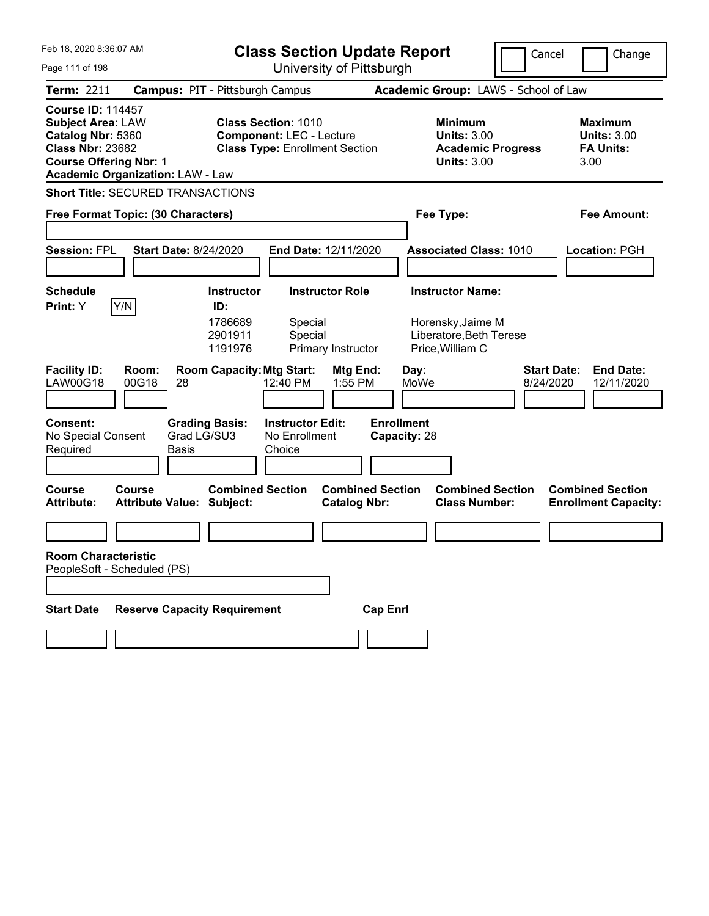| Feb 18, 2020 8:36:07 AM                                                                                                                                                          | <b>Class Section Update Report</b>                                                                     | Cancel                                                                                 | Change                                                           |  |  |  |  |
|----------------------------------------------------------------------------------------------------------------------------------------------------------------------------------|--------------------------------------------------------------------------------------------------------|----------------------------------------------------------------------------------------|------------------------------------------------------------------|--|--|--|--|
| Page 111 of 198                                                                                                                                                                  | University of Pittsburgh                                                                               |                                                                                        |                                                                  |  |  |  |  |
| <b>Term: 2211</b>                                                                                                                                                                | <b>Campus: PIT - Pittsburgh Campus</b>                                                                 | Academic Group: LAWS - School of Law                                                   |                                                                  |  |  |  |  |
| <b>Course ID: 114457</b><br><b>Subject Area: LAW</b><br>Catalog Nbr: 5360<br><b>Class Nbr: 23682</b><br><b>Course Offering Nbr: 1</b><br><b>Academic Organization: LAW - Law</b> | <b>Class Section: 1010</b><br><b>Component: LEC - Lecture</b><br><b>Class Type: Enrollment Section</b> | <b>Minimum</b><br><b>Units: 3.00</b><br><b>Academic Progress</b><br><b>Units: 3.00</b> | <b>Maximum</b><br><b>Units: 3.00</b><br><b>FA Units:</b><br>3.00 |  |  |  |  |
| <b>Short Title: SECURED TRANSACTIONS</b>                                                                                                                                         |                                                                                                        |                                                                                        |                                                                  |  |  |  |  |
| Free Format Topic: (30 Characters)                                                                                                                                               |                                                                                                        | Fee Type:                                                                              | Fee Amount:                                                      |  |  |  |  |
|                                                                                                                                                                                  |                                                                                                        |                                                                                        |                                                                  |  |  |  |  |
| <b>Session: FPL</b><br><b>Start Date: 8/24/2020</b>                                                                                                                              | End Date: 12/11/2020                                                                                   | <b>Associated Class: 1010</b>                                                          | Location: PGH                                                    |  |  |  |  |
|                                                                                                                                                                                  |                                                                                                        |                                                                                        |                                                                  |  |  |  |  |
| <b>Schedule</b><br>Y/N<br><b>Print:</b> Y                                                                                                                                        | <b>Instructor Role</b><br><b>Instructor</b><br>ID:                                                     | <b>Instructor Name:</b>                                                                |                                                                  |  |  |  |  |
|                                                                                                                                                                                  | 1786689<br>Special<br>2901911<br>Special<br>1191976<br>Primary Instructor                              | Horensky, Jaime M<br>Liberatore, Beth Terese<br>Price, William C                       |                                                                  |  |  |  |  |
| <b>Facility ID:</b><br>Room:<br><b>LAW00G18</b><br>00G18<br>28                                                                                                                   | <b>Room Capacity: Mtg Start:</b><br><b>Mtg End:</b><br>12:40 PM<br>1:55 PM                             | Day:<br>MoWe<br>8/24/2020                                                              | <b>Start Date:</b><br><b>End Date:</b><br>12/11/2020             |  |  |  |  |
| <b>Consent:</b><br>Grad LG/SU3<br>No Special Consent<br>Required<br>Basis                                                                                                        | <b>Grading Basis:</b><br><b>Instructor Edit:</b><br>No Enrollment<br>Choice                            | <b>Enrollment</b><br>Capacity: 28                                                      |                                                                  |  |  |  |  |
| <b>Course</b><br>Course<br><b>Attribute:</b><br><b>Attribute Value: Subject:</b>                                                                                                 | <b>Combined Section</b><br><b>Combined Section</b><br><b>Catalog Nbr:</b>                              | <b>Combined Section</b><br><b>Class Number:</b>                                        | <b>Combined Section</b><br><b>Enrollment Capacity:</b>           |  |  |  |  |
|                                                                                                                                                                                  |                                                                                                        |                                                                                        |                                                                  |  |  |  |  |
| <b>Room Characteristic</b><br>PeopleSoft - Scheduled (PS)                                                                                                                        |                                                                                                        |                                                                                        |                                                                  |  |  |  |  |
| <b>Reserve Capacity Requirement</b><br><b>Start Date</b>                                                                                                                         | <b>Cap Enrl</b>                                                                                        |                                                                                        |                                                                  |  |  |  |  |
|                                                                                                                                                                                  |                                                                                                        |                                                                                        |                                                                  |  |  |  |  |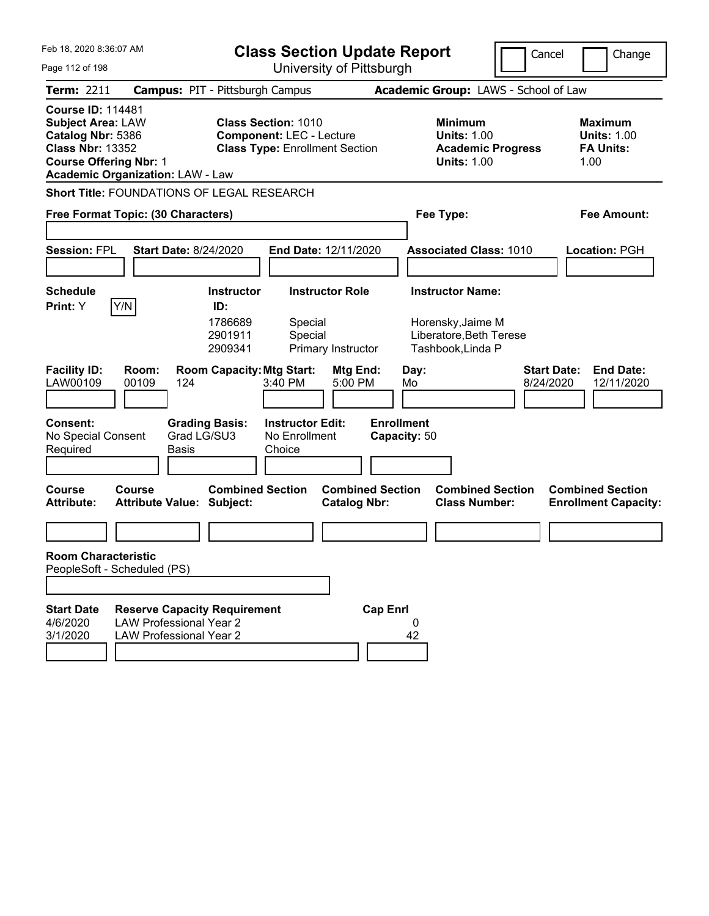| Feb 18, 2020 8:36:07 AM<br>Page 112 of 198                                                                                            |                                                                                                         |                                                                                               | <b>Class Section Update Report</b>                                                                     |                                                          | University of Pittsburgh          |                                                                                                      |                                                 | Cancel             | Change                                                           |
|---------------------------------------------------------------------------------------------------------------------------------------|---------------------------------------------------------------------------------------------------------|-----------------------------------------------------------------------------------------------|--------------------------------------------------------------------------------------------------------|----------------------------------------------------------|-----------------------------------|------------------------------------------------------------------------------------------------------|-------------------------------------------------|--------------------|------------------------------------------------------------------|
| Term: 2211                                                                                                                            | <b>Campus: PIT - Pittsburgh Campus</b>                                                                  |                                                                                               |                                                                                                        |                                                          |                                   |                                                                                                      | Academic Group: LAWS - School of Law            |                    |                                                                  |
| <b>Course ID: 114481</b><br><b>Subject Area: LAW</b><br>Catalog Nbr: 5386<br><b>Class Nbr: 13352</b><br><b>Course Offering Nbr: 1</b> | <b>Academic Organization: LAW - Law</b>                                                                 |                                                                                               | <b>Class Section: 1010</b><br><b>Component: LEC - Lecture</b><br><b>Class Type: Enrollment Section</b> |                                                          |                                   | <b>Minimum</b><br><b>Units: 1.00</b><br><b>Units: 1.00</b>                                           | <b>Academic Progress</b>                        |                    | <b>Maximum</b><br><b>Units: 1.00</b><br><b>FA Units:</b><br>1.00 |
|                                                                                                                                       | Short Title: FOUNDATIONS OF LEGAL RESEARCH<br>Free Format Topic: (30 Characters)                        |                                                                                               |                                                                                                        |                                                          |                                   | Fee Type:                                                                                            |                                                 |                    | <b>Fee Amount:</b>                                               |
| <b>Session: FPL</b>                                                                                                                   | <b>Start Date: 8/24/2020</b>                                                                            |                                                                                               | <b>End Date: 12/11/2020</b>                                                                            |                                                          |                                   |                                                                                                      | <b>Associated Class: 1010</b>                   |                    | Location: PGH                                                    |
| <b>Schedule</b><br>Print: Y<br><b>Facility ID:</b>                                                                                    | Y/N<br>Room:                                                                                            | <b>Instructor</b><br>ID:<br>1786689<br>2901911<br>2909341<br><b>Room Capacity: Mtg Start:</b> | Special<br>Special                                                                                     | <b>Instructor Role</b><br>Primary Instructor<br>Mtg End: |                                   | <b>Instructor Name:</b><br>Horensky, Jaime M<br>Liberatore, Beth Terese<br>Tashbook, Linda P<br>Day: |                                                 | <b>Start Date:</b> | <b>End Date:</b>                                                 |
| LAW00109                                                                                                                              | 00109<br>124                                                                                            |                                                                                               | 3:40 PM                                                                                                | 5:00 PM                                                  | Mo                                |                                                                                                      |                                                 | 8/24/2020          | 12/11/2020                                                       |
| <b>Consent:</b><br>No Special Consent<br>Required                                                                                     | Grad LG/SU3<br><b>Basis</b>                                                                             | <b>Grading Basis:</b>                                                                         | <b>Instructor Edit:</b><br>No Enrollment<br>Choice                                                     |                                                          | <b>Enrollment</b><br>Capacity: 50 |                                                                                                      |                                                 |                    |                                                                  |
| Course<br><b>Attribute:</b>                                                                                                           | <b>Course</b><br><b>Attribute Value: Subject:</b>                                                       | <b>Combined Section</b>                                                                       |                                                                                                        | <b>Catalog Nbr:</b>                                      | <b>Combined Section</b>           |                                                                                                      | <b>Combined Section</b><br><b>Class Number:</b> |                    | <b>Combined Section</b><br><b>Enrollment Capacity:</b>           |
| <b>Room Characteristic</b><br>PeopleSoft - Scheduled (PS)                                                                             |                                                                                                         |                                                                                               |                                                                                                        |                                                          |                                   |                                                                                                      |                                                 |                    |                                                                  |
| <b>Start Date</b><br>4/6/2020<br>3/1/2020                                                                                             | <b>Reserve Capacity Requirement</b><br><b>LAW Professional Year 2</b><br><b>LAW Professional Year 2</b> |                                                                                               |                                                                                                        |                                                          | <b>Cap Enrl</b><br>42             | 0                                                                                                    |                                                 |                    |                                                                  |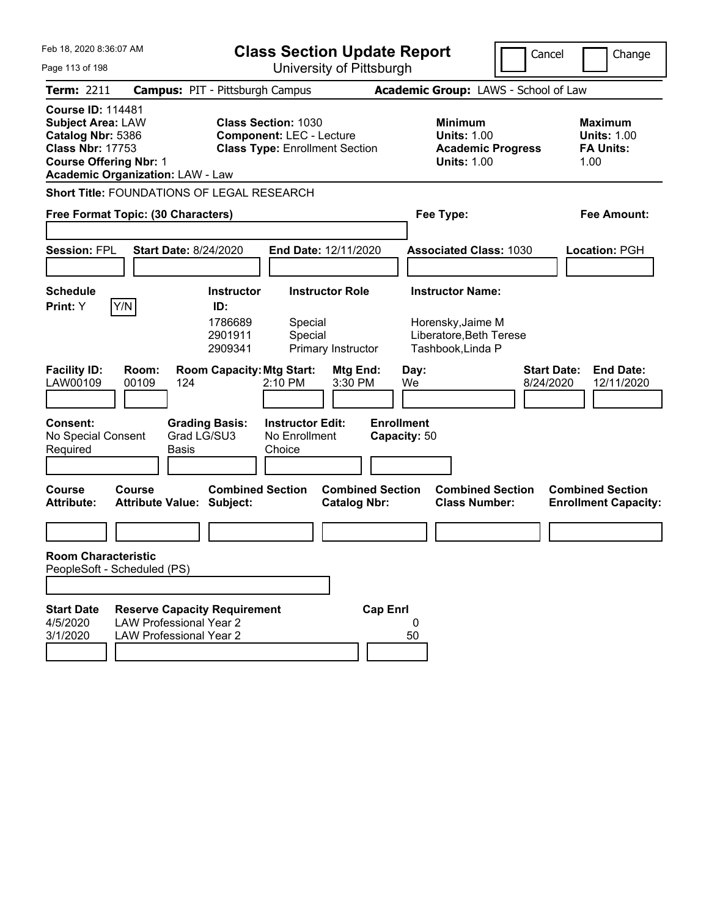| Feb 18, 2020 8:36:07 AM<br>Page 113 of 198                                                                                            |                                                                                                         | <b>Class Section Update Report</b><br>University of Pittsburgh |                                                                                                        |                                              |                                   |                                                                                              | Cancel<br>Change                                                  |
|---------------------------------------------------------------------------------------------------------------------------------------|---------------------------------------------------------------------------------------------------------|----------------------------------------------------------------|--------------------------------------------------------------------------------------------------------|----------------------------------------------|-----------------------------------|----------------------------------------------------------------------------------------------|-------------------------------------------------------------------|
| <b>Term: 2211</b>                                                                                                                     | <b>Campus: PIT - Pittsburgh Campus</b>                                                                  |                                                                |                                                                                                        |                                              |                                   | Academic Group: LAWS - School of Law                                                         |                                                                   |
| <b>Course ID: 114481</b><br><b>Subject Area: LAW</b><br>Catalog Nbr: 5386<br><b>Class Nbr: 17753</b><br><b>Course Offering Nbr: 1</b> | <b>Academic Organization: LAW - Law</b>                                                                 |                                                                | <b>Class Section: 1030</b><br><b>Component: LEC - Lecture</b><br><b>Class Type: Enrollment Section</b> |                                              |                                   | <b>Minimum</b><br><b>Units: 1.00</b><br><b>Academic Progress</b><br><b>Units: 1.00</b>       | <b>Maximum</b><br><b>Units: 1.00</b><br><b>FA Units:</b><br>1.00  |
|                                                                                                                                       | Short Title: FOUNDATIONS OF LEGAL RESEARCH                                                              |                                                                |                                                                                                        |                                              |                                   |                                                                                              |                                                                   |
|                                                                                                                                       | Free Format Topic: (30 Characters)                                                                      |                                                                |                                                                                                        |                                              |                                   | Fee Type:                                                                                    | Fee Amount:                                                       |
| <b>Session: FPL</b>                                                                                                                   | <b>Start Date: 8/24/2020</b>                                                                            |                                                                |                                                                                                        | End Date: 12/11/2020                         |                                   | <b>Associated Class: 1030</b>                                                                | <b>Location: PGH</b>                                              |
| <b>Schedule</b><br>Print: Y                                                                                                           | Y/N                                                                                                     | <b>Instructor</b><br>ID:<br>1786689<br>2901911<br>2909341      | Special<br>Special                                                                                     | <b>Instructor Role</b><br>Primary Instructor |                                   | <b>Instructor Name:</b><br>Horensky, Jaime M<br>Liberatore, Beth Terese<br>Tashbook, Linda P |                                                                   |
| <b>Facility ID:</b><br>LAW00109                                                                                                       | Room:<br>00109<br>124                                                                                   | <b>Room Capacity: Mtg Start:</b>                               | 2:10 PM                                                                                                | Mtg End:<br>3:30 PM                          | Day:<br>We                        |                                                                                              | <b>Start Date:</b><br><b>End Date:</b><br>8/24/2020<br>12/11/2020 |
| <b>Consent:</b><br>No Special Consent<br>Required                                                                                     | Grad LG/SU3<br><b>Basis</b>                                                                             | <b>Grading Basis:</b>                                          | <b>Instructor Edit:</b><br>No Enrollment<br>Choice                                                     |                                              | <b>Enrollment</b><br>Capacity: 50 |                                                                                              |                                                                   |
| Course<br><b>Attribute:</b>                                                                                                           | Course<br><b>Attribute Value: Subject:</b>                                                              | <b>Combined Section</b>                                        |                                                                                                        | <b>Catalog Nbr:</b>                          | <b>Combined Section</b>           | <b>Combined Section</b><br><b>Class Number:</b>                                              | <b>Combined Section</b><br><b>Enrollment Capacity:</b>            |
|                                                                                                                                       |                                                                                                         |                                                                |                                                                                                        |                                              |                                   |                                                                                              |                                                                   |
| <b>Room Characteristic</b><br>PeopleSoft - Scheduled (PS)                                                                             |                                                                                                         |                                                                |                                                                                                        |                                              |                                   |                                                                                              |                                                                   |
|                                                                                                                                       |                                                                                                         |                                                                |                                                                                                        |                                              |                                   |                                                                                              |                                                                   |
| <b>Start Date</b><br>4/5/2020<br>3/1/2020                                                                                             | <b>Reserve Capacity Requirement</b><br><b>LAW Professional Year 2</b><br><b>LAW Professional Year 2</b> |                                                                |                                                                                                        |                                              | <b>Cap Enrl</b><br>0<br>50        |                                                                                              |                                                                   |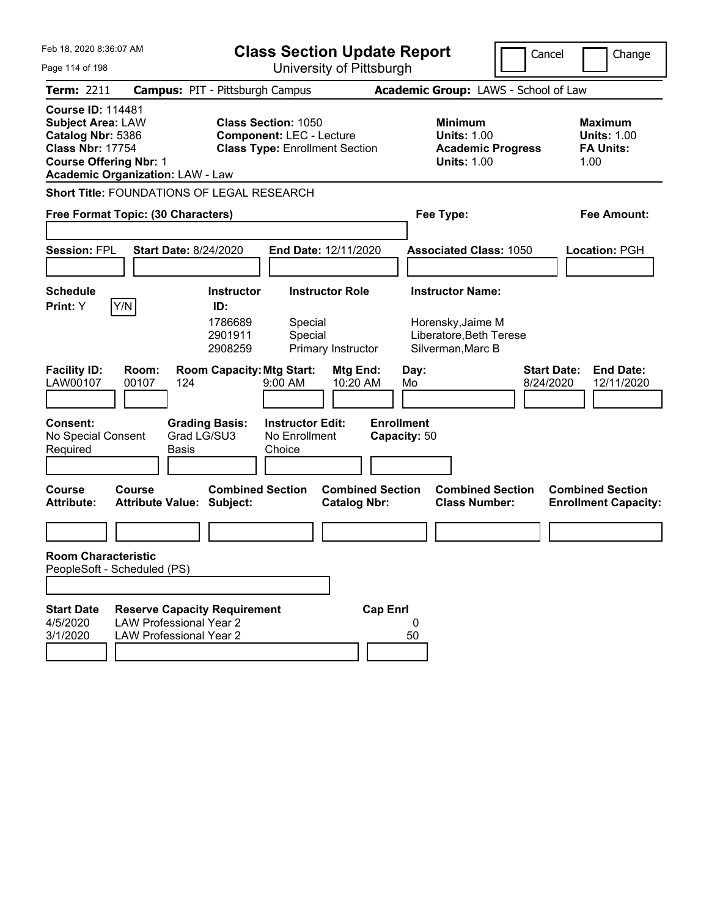| Feb 18, 2020 8:36:07 AM<br>Page 114 of 198                                                                                            |                                                                                                         |                                                           |                                                               | <b>Class Section Update Report</b><br>University of Pittsburgh |                                   |                                                                                              | Cancel<br>Change                                                  |
|---------------------------------------------------------------------------------------------------------------------------------------|---------------------------------------------------------------------------------------------------------|-----------------------------------------------------------|---------------------------------------------------------------|----------------------------------------------------------------|-----------------------------------|----------------------------------------------------------------------------------------------|-------------------------------------------------------------------|
| <b>Term: 2211</b>                                                                                                                     | <b>Campus: PIT - Pittsburgh Campus</b>                                                                  |                                                           |                                                               |                                                                |                                   | Academic Group: LAWS - School of Law                                                         |                                                                   |
| <b>Course ID: 114481</b><br><b>Subject Area: LAW</b><br>Catalog Nbr: 5386<br><b>Class Nbr: 17754</b><br><b>Course Offering Nbr: 1</b> | <b>Academic Organization: LAW - Law</b>                                                                 |                                                           | <b>Class Section: 1050</b><br><b>Component: LEC - Lecture</b> | <b>Class Type: Enrollment Section</b>                          |                                   | <b>Minimum</b><br><b>Units: 1.00</b><br><b>Academic Progress</b><br><b>Units: 1.00</b>       | <b>Maximum</b><br><b>Units: 1.00</b><br><b>FA Units:</b><br>1.00  |
|                                                                                                                                       | <b>Short Title: FOUNDATIONS OF LEGAL RESEARCH</b>                                                       |                                                           |                                                               |                                                                |                                   |                                                                                              |                                                                   |
|                                                                                                                                       | Free Format Topic: (30 Characters)                                                                      |                                                           |                                                               |                                                                |                                   | Fee Type:                                                                                    | <b>Fee Amount:</b>                                                |
| <b>Session: FPL</b>                                                                                                                   | <b>Start Date: 8/24/2020</b>                                                                            |                                                           |                                                               | End Date: 12/11/2020                                           |                                   | <b>Associated Class: 1050</b>                                                                | Location: PGH                                                     |
| <b>Schedule</b><br>Print: Y                                                                                                           | Y/N                                                                                                     | <b>Instructor</b><br>ID:<br>1786689<br>2901911<br>2908259 | Special<br>Special                                            | <b>Instructor Role</b><br>Primary Instructor                   |                                   | <b>Instructor Name:</b><br>Horensky, Jaime M<br>Liberatore, Beth Terese<br>Silverman, Marc B |                                                                   |
| <b>Facility ID:</b><br>LAW00107                                                                                                       | Room:<br>00107<br>124                                                                                   | <b>Room Capacity: Mtg Start:</b>                          | 9:00 AM                                                       | Mtg End:<br>10:20 AM                                           | Day:<br>Mo                        |                                                                                              | <b>Start Date:</b><br><b>End Date:</b><br>8/24/2020<br>12/11/2020 |
| Consent:<br>No Special Consent<br>Required                                                                                            | <b>Basis</b>                                                                                            | <b>Grading Basis:</b><br>Grad LG/SU3                      | <b>Instructor Edit:</b><br>No Enrollment<br>Choice            |                                                                | <b>Enrollment</b><br>Capacity: 50 |                                                                                              |                                                                   |
| <b>Course</b><br><b>Attribute:</b>                                                                                                    | <b>Course</b><br><b>Attribute Value: Subject:</b>                                                       | <b>Combined Section</b>                                   |                                                               | <b>Combined Section</b><br><b>Catalog Nbr:</b>                 |                                   | <b>Combined Section</b><br><b>Class Number:</b>                                              | <b>Combined Section</b><br><b>Enrollment Capacity:</b>            |
|                                                                                                                                       |                                                                                                         |                                                           |                                                               |                                                                |                                   |                                                                                              |                                                                   |
| <b>Room Characteristic</b><br>PeopleSoft - Scheduled (PS)                                                                             |                                                                                                         |                                                           |                                                               |                                                                |                                   |                                                                                              |                                                                   |
|                                                                                                                                       |                                                                                                         |                                                           |                                                               |                                                                |                                   |                                                                                              |                                                                   |
| <b>Start Date</b><br>4/5/2020<br>3/1/2020                                                                                             | <b>Reserve Capacity Requirement</b><br><b>LAW Professional Year 2</b><br><b>LAW Professional Year 2</b> |                                                           |                                                               |                                                                | <b>Cap Enrl</b><br>0<br>50        |                                                                                              |                                                                   |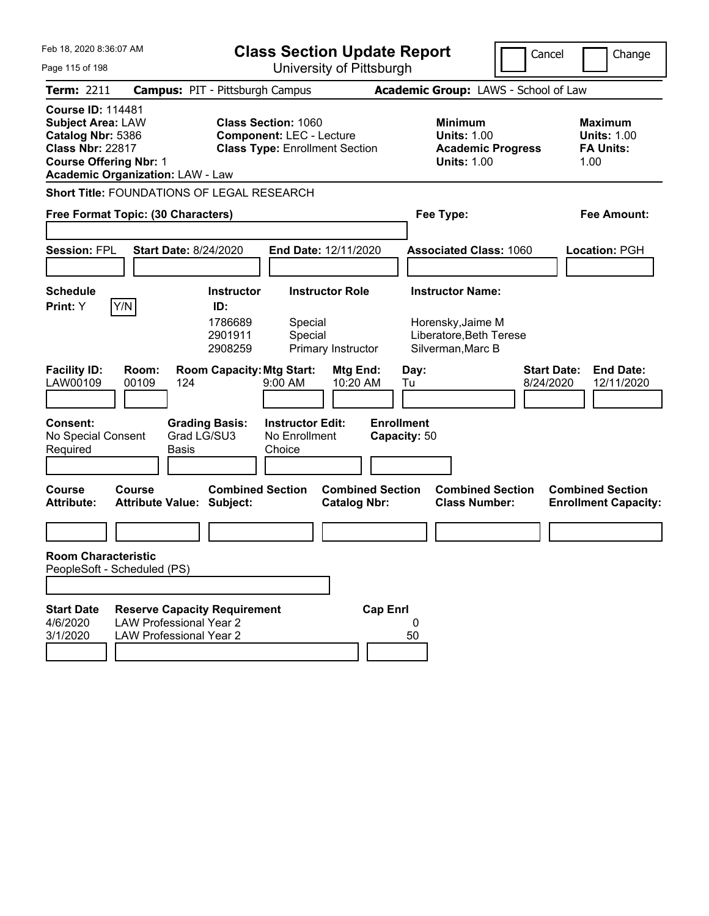| Feb 18, 2020 8:36:07 AM<br>Page 115 of 198                                                                                                                                       |                                                                                                         |                                                                                               |                                                               | <b>Class Section Update Report</b><br>University of Pittsburgh       |                                   |                                                                                              | Cancel<br>Change                                                  |
|----------------------------------------------------------------------------------------------------------------------------------------------------------------------------------|---------------------------------------------------------------------------------------------------------|-----------------------------------------------------------------------------------------------|---------------------------------------------------------------|----------------------------------------------------------------------|-----------------------------------|----------------------------------------------------------------------------------------------|-------------------------------------------------------------------|
| <b>Term: 2211</b>                                                                                                                                                                | <b>Campus: PIT - Pittsburgh Campus</b>                                                                  |                                                                                               |                                                               |                                                                      |                                   | Academic Group: LAWS - School of Law                                                         |                                                                   |
| <b>Course ID: 114481</b><br><b>Subject Area: LAW</b><br>Catalog Nbr: 5386<br><b>Class Nbr: 22817</b><br><b>Course Offering Nbr: 1</b><br><b>Academic Organization: LAW - Law</b> |                                                                                                         |                                                                                               | <b>Class Section: 1060</b><br><b>Component: LEC - Lecture</b> | <b>Class Type: Enrollment Section</b>                                |                                   | <b>Minimum</b><br><b>Units: 1.00</b><br><b>Academic Progress</b><br><b>Units: 1.00</b>       | <b>Maximum</b><br><b>Units: 1.00</b><br><b>FA Units:</b><br>1.00  |
| <b>Short Title: FOUNDATIONS OF LEGAL RESEARCH</b>                                                                                                                                |                                                                                                         |                                                                                               |                                                               |                                                                      |                                   |                                                                                              |                                                                   |
| Free Format Topic: (30 Characters)                                                                                                                                               |                                                                                                         |                                                                                               |                                                               |                                                                      |                                   | Fee Type:                                                                                    | <b>Fee Amount:</b>                                                |
| <b>Session: FPL</b>                                                                                                                                                              | <b>Start Date: 8/24/2020</b>                                                                            |                                                                                               |                                                               | End Date: 12/11/2020                                                 |                                   | <b>Associated Class: 1060</b>                                                                | Location: PGH                                                     |
| <b>Schedule</b><br>Y/N<br>Print: Y<br><b>Facility ID:</b><br>LAW00109                                                                                                            | Room:<br>00109<br>124                                                                                   | <b>Instructor</b><br>ID:<br>1786689<br>2901911<br>2908259<br><b>Room Capacity: Mtg Start:</b> | Special<br>Special<br>9:00 AM                                 | <b>Instructor Role</b><br>Primary Instructor<br>Mtg End:<br>10:20 AM | Day:<br>Tu                        | <b>Instructor Name:</b><br>Horensky, Jaime M<br>Liberatore, Beth Terese<br>Silverman, Marc B | <b>Start Date:</b><br><b>End Date:</b><br>8/24/2020<br>12/11/2020 |
| Consent:<br>No Special Consent<br>Required                                                                                                                                       | <b>Basis</b>                                                                                            | <b>Grading Basis:</b><br>Grad LG/SU3                                                          | <b>Instructor Edit:</b><br>No Enrollment<br>Choice            |                                                                      | <b>Enrollment</b><br>Capacity: 50 |                                                                                              |                                                                   |
| <b>Course</b><br><b>Attribute:</b>                                                                                                                                               | <b>Course</b><br><b>Attribute Value: Subject:</b>                                                       | <b>Combined Section</b>                                                                       |                                                               | <b>Combined Section</b><br><b>Catalog Nbr:</b>                       |                                   | <b>Combined Section</b><br><b>Class Number:</b>                                              | <b>Combined Section</b><br><b>Enrollment Capacity:</b>            |
| <b>Room Characteristic</b><br>PeopleSoft - Scheduled (PS)                                                                                                                        |                                                                                                         |                                                                                               |                                                               |                                                                      |                                   |                                                                                              |                                                                   |
|                                                                                                                                                                                  |                                                                                                         |                                                                                               |                                                               |                                                                      |                                   |                                                                                              |                                                                   |
| <b>Start Date</b><br>4/6/2020<br>3/1/2020                                                                                                                                        | <b>Reserve Capacity Requirement</b><br><b>LAW Professional Year 2</b><br><b>LAW Professional Year 2</b> |                                                                                               |                                                               |                                                                      | <b>Cap Enrl</b><br>0<br>50        |                                                                                              |                                                                   |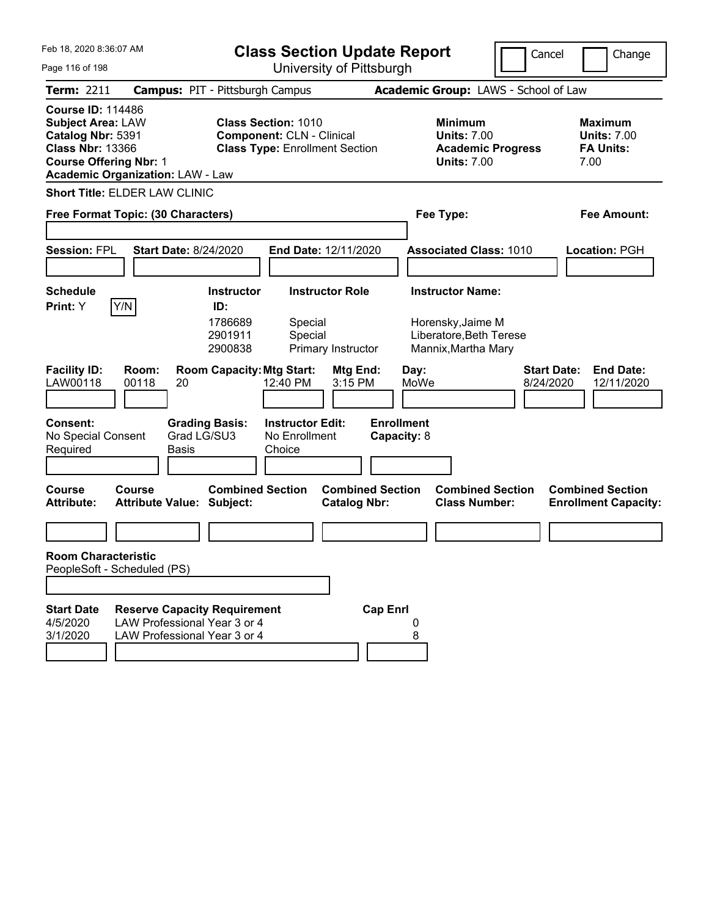| Feb 18, 2020 8:36:07 AM<br>Page 116 of 198                                                                                                                                       |                                                                                                     | <b>Class Section Update Report</b><br>University of Pittsburgh           |                                                                                                         |                                           |                                  | Cancel<br>Change                                                                       |                                                                   |
|----------------------------------------------------------------------------------------------------------------------------------------------------------------------------------|-----------------------------------------------------------------------------------------------------|--------------------------------------------------------------------------|---------------------------------------------------------------------------------------------------------|-------------------------------------------|----------------------------------|----------------------------------------------------------------------------------------|-------------------------------------------------------------------|
| <b>Term: 2211</b>                                                                                                                                                                | <b>Campus: PIT - Pittsburgh Campus</b>                                                              |                                                                          |                                                                                                         |                                           |                                  | Academic Group: LAWS - School of Law                                                   |                                                                   |
| <b>Course ID: 114486</b><br><b>Subject Area: LAW</b><br>Catalog Nbr: 5391<br><b>Class Nbr: 13366</b><br><b>Course Offering Nbr: 1</b><br><b>Academic Organization: LAW - Law</b> |                                                                                                     |                                                                          | <b>Class Section: 1010</b><br><b>Component: CLN - Clinical</b><br><b>Class Type: Enrollment Section</b> |                                           |                                  | <b>Minimum</b><br><b>Units: 7.00</b><br><b>Academic Progress</b><br><b>Units: 7.00</b> | <b>Maximum</b><br><b>Units: 7.00</b><br><b>FA Units:</b><br>7.00  |
| <b>Short Title: ELDER LAW CLINIC</b>                                                                                                                                             |                                                                                                     |                                                                          |                                                                                                         |                                           |                                  |                                                                                        |                                                                   |
| Free Format Topic: (30 Characters)                                                                                                                                               |                                                                                                     |                                                                          |                                                                                                         |                                           |                                  | Fee Type:                                                                              | <b>Fee Amount:</b>                                                |
| <b>Session: FPL</b>                                                                                                                                                              | <b>Start Date: 8/24/2020</b>                                                                        |                                                                          |                                                                                                         | End Date: 12/11/2020                      |                                  | <b>Associated Class: 1010</b>                                                          | <b>Location: PGH</b>                                              |
| <b>Schedule</b>                                                                                                                                                                  |                                                                                                     | <b>Instructor</b>                                                        |                                                                                                         | <b>Instructor Role</b>                    |                                  | <b>Instructor Name:</b>                                                                |                                                                   |
| Y/N<br>Print: Y<br><b>Facility ID:</b><br>LAW00118                                                                                                                               | Room:<br>00118<br>20                                                                                | ID:<br>1786689<br>2901911<br>2900838<br><b>Room Capacity: Mtg Start:</b> | Special<br>Special<br>12:40 PM                                                                          | Primary Instructor<br>Mtg End:<br>3:15 PM | Day:<br>MoWe                     | Horensky, Jaime M<br>Liberatore, Beth Terese<br>Mannix, Martha Mary                    | <b>Start Date:</b><br><b>End Date:</b><br>8/24/2020<br>12/11/2020 |
| <b>Consent:</b><br>No Special Consent<br>Required                                                                                                                                | Grad LG/SU3<br>Basis                                                                                | <b>Grading Basis:</b>                                                    | <b>Instructor Edit:</b><br>No Enrollment<br>Choice                                                      |                                           | <b>Enrollment</b><br>Capacity: 8 |                                                                                        |                                                                   |
| <b>Course</b><br>Course<br><b>Attribute:</b>                                                                                                                                     | <b>Attribute Value: Subject:</b>                                                                    | <b>Combined Section</b>                                                  |                                                                                                         | <b>Catalog Nbr:</b>                       | <b>Combined Section</b>          | <b>Combined Section</b><br><b>Class Number:</b>                                        | <b>Combined Section</b><br><b>Enrollment Capacity:</b>            |
|                                                                                                                                                                                  |                                                                                                     |                                                                          |                                                                                                         |                                           |                                  |                                                                                        |                                                                   |
| <b>Room Characteristic</b><br>PeopleSoft - Scheduled (PS)                                                                                                                        |                                                                                                     |                                                                          |                                                                                                         |                                           |                                  |                                                                                        |                                                                   |
|                                                                                                                                                                                  |                                                                                                     |                                                                          |                                                                                                         |                                           |                                  |                                                                                        |                                                                   |
| <b>Start Date</b><br>4/5/2020<br>3/1/2020                                                                                                                                        | <b>Reserve Capacity Requirement</b><br>LAW Professional Year 3 or 4<br>LAW Professional Year 3 or 4 |                                                                          |                                                                                                         |                                           | <b>Cap Enrl</b><br>8             |                                                                                        |                                                                   |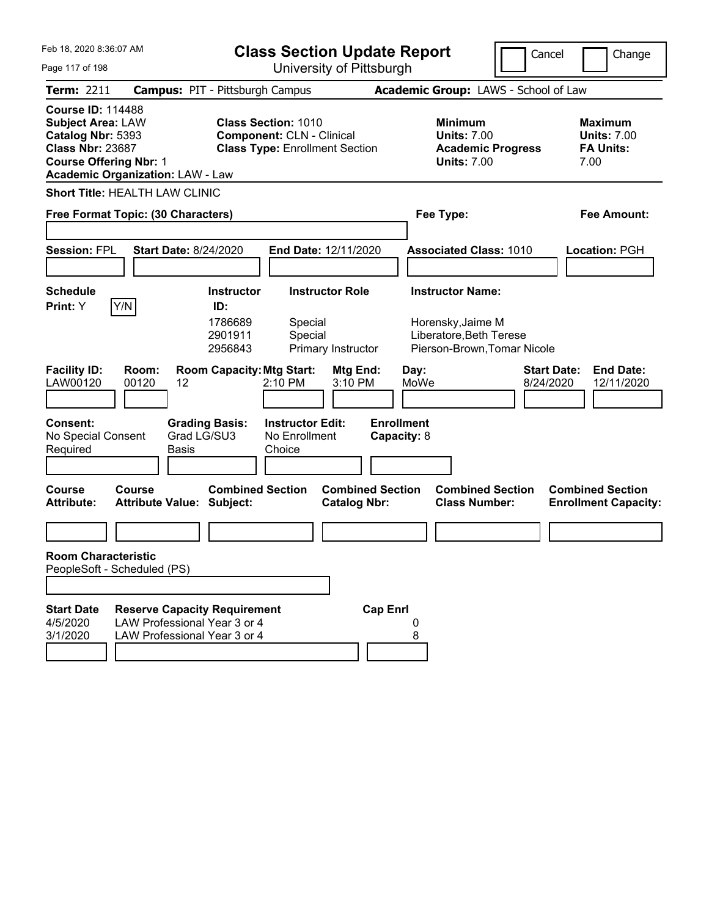| Feb 18, 2020 8:36:07 AM                                                                                                                                                          | <b>Class Section Update Report</b>                                                                                                                     | Cancel                                                                                                   | Change                                                           |
|----------------------------------------------------------------------------------------------------------------------------------------------------------------------------------|--------------------------------------------------------------------------------------------------------------------------------------------------------|----------------------------------------------------------------------------------------------------------|------------------------------------------------------------------|
| Page 117 of 198                                                                                                                                                                  | University of Pittsburgh                                                                                                                               |                                                                                                          |                                                                  |
| Term: 2211                                                                                                                                                                       | <b>Campus: PIT - Pittsburgh Campus</b>                                                                                                                 | Academic Group: LAWS - School of Law                                                                     |                                                                  |
| <b>Course ID: 114488</b><br><b>Subject Area: LAW</b><br>Catalog Nbr: 5393<br><b>Class Nbr: 23687</b><br><b>Course Offering Nbr: 1</b><br><b>Academic Organization: LAW - Law</b> | <b>Class Section: 1010</b><br><b>Component: CLN - Clinical</b><br><b>Class Type: Enrollment Section</b>                                                | <b>Minimum</b><br><b>Units: 7.00</b><br><b>Academic Progress</b><br><b>Units: 7.00</b>                   | <b>Maximum</b><br><b>Units: 7.00</b><br><b>FA Units:</b><br>7.00 |
| <b>Short Title: HEALTH LAW CLINIC</b>                                                                                                                                            |                                                                                                                                                        |                                                                                                          |                                                                  |
| Free Format Topic: (30 Characters)                                                                                                                                               |                                                                                                                                                        | Fee Type:                                                                                                | <b>Fee Amount:</b>                                               |
| <b>Session: FPL</b>                                                                                                                                                              | End Date: 12/11/2020<br><b>Start Date: 8/24/2020</b>                                                                                                   | <b>Associated Class: 1010</b>                                                                            | Location: PGH                                                    |
| <b>Schedule</b>                                                                                                                                                                  | <b>Instructor Role</b><br><b>Instructor</b>                                                                                                            | <b>Instructor Name:</b>                                                                                  |                                                                  |
| Y/N<br>Print: Y<br><b>Facility ID:</b><br>Room:<br>LAW00120<br>00120<br>12                                                                                                       | ID:<br>1786689<br>Special<br>2901911<br>Special<br>2956843<br>Primary Instructor<br><b>Room Capacity: Mtg Start:</b><br>Mtg End:<br>2:10 PM<br>3:10 PM | Horensky, Jaime M<br>Liberatore, Beth Terese<br>Pierson-Brown, Tomar Nicole<br>Day:<br>MoWe<br>8/24/2020 | <b>Start Date:</b><br><b>End Date:</b><br>12/11/2020             |
| <b>Consent:</b><br>No Special Consent<br>Required<br>Basis                                                                                                                       | <b>Instructor Edit:</b><br><b>Grading Basis:</b><br>Grad LG/SU3<br>No Enrollment<br>Choice                                                             | <b>Enrollment</b><br>Capacity: 8                                                                         |                                                                  |
| <b>Course</b><br>Course<br><b>Attribute:</b>                                                                                                                                     | <b>Combined Section</b><br><b>Combined Section</b><br><b>Attribute Value: Subject:</b><br><b>Catalog Nbr:</b>                                          | <b>Combined Section</b><br><b>Class Number:</b>                                                          | <b>Combined Section</b><br><b>Enrollment Capacity:</b>           |
|                                                                                                                                                                                  |                                                                                                                                                        |                                                                                                          |                                                                  |
| <b>Room Characteristic</b>                                                                                                                                                       |                                                                                                                                                        |                                                                                                          |                                                                  |
| PeopleSoft - Scheduled (PS)                                                                                                                                                      |                                                                                                                                                        |                                                                                                          |                                                                  |
| <b>Start Date</b><br>4/5/2020<br>3/1/2020                                                                                                                                        | <b>Reserve Capacity Requirement</b><br>LAW Professional Year 3 or 4<br>LAW Professional Year 3 or 4                                                    | <b>Cap Enrl</b><br>8                                                                                     |                                                                  |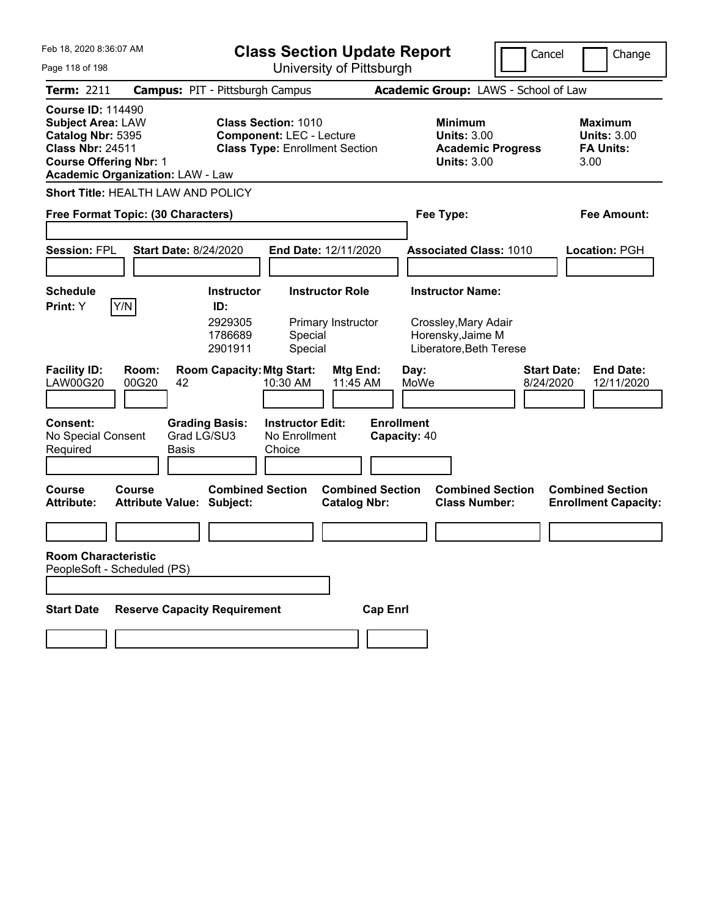| Feb 18, 2020 8:36:07 AM                                                                                                                                                          |                                                             | <b>Class Section Update Report</b>                                                                     |                                                                                        | Cancel<br>Change                                                  |
|----------------------------------------------------------------------------------------------------------------------------------------------------------------------------------|-------------------------------------------------------------|--------------------------------------------------------------------------------------------------------|----------------------------------------------------------------------------------------|-------------------------------------------------------------------|
| Page 118 of 198                                                                                                                                                                  |                                                             | University of Pittsburgh                                                                               |                                                                                        |                                                                   |
| <b>Term: 2211</b>                                                                                                                                                                | <b>Campus: PIT - Pittsburgh Campus</b>                      |                                                                                                        | Academic Group: LAWS - School of Law                                                   |                                                                   |
| <b>Course ID: 114490</b><br><b>Subject Area: LAW</b><br>Catalog Nbr: 5395<br><b>Class Nbr: 24511</b><br><b>Course Offering Nbr: 1</b><br><b>Academic Organization: LAW - Law</b> |                                                             | <b>Class Section: 1010</b><br><b>Component: LEC - Lecture</b><br><b>Class Type: Enrollment Section</b> | <b>Minimum</b><br><b>Units: 3.00</b><br><b>Academic Progress</b><br><b>Units: 3.00</b> | <b>Maximum</b><br><b>Units: 3.00</b><br><b>FA Units:</b><br>3.00  |
| Short Title: HEALTH LAW AND POLICY                                                                                                                                               |                                                             |                                                                                                        |                                                                                        |                                                                   |
| Free Format Topic: (30 Characters)                                                                                                                                               |                                                             |                                                                                                        | Fee Type:                                                                              | Fee Amount:                                                       |
|                                                                                                                                                                                  |                                                             |                                                                                                        |                                                                                        |                                                                   |
| <b>Session: FPL</b>                                                                                                                                                              | <b>Start Date: 8/24/2020</b>                                | <b>End Date: 12/11/2020</b>                                                                            | <b>Associated Class: 1010</b>                                                          | Location: PGH                                                     |
|                                                                                                                                                                                  |                                                             |                                                                                                        |                                                                                        |                                                                   |
| <b>Schedule</b>                                                                                                                                                                  | <b>Instructor</b>                                           | <b>Instructor Role</b>                                                                                 | <b>Instructor Name:</b>                                                                |                                                                   |
| Y/N<br>Print: Y                                                                                                                                                                  | ID:<br>2929305<br>1786689<br>2901911                        | Primary Instructor<br>Special<br>Special                                                               | Crossley, Mary Adair<br>Horensky, Jaime M<br>Liberatore, Beth Terese                   |                                                                   |
| <b>Facility ID:</b><br>Room:<br>00G20<br><b>LAW00G20</b>                                                                                                                         | <b>Room Capacity: Mtg Start:</b><br>42                      | Mtg End:<br>11:45 AM<br>10:30 AM                                                                       | Day:<br>MoWe                                                                           | <b>End Date:</b><br><b>Start Date:</b><br>8/24/2020<br>12/11/2020 |
| <b>Consent:</b><br>No Special Consent<br>Required                                                                                                                                | <b>Grading Basis:</b><br>Grad LG/SU3<br>Basis               | <b>Instructor Edit:</b><br>No Enrollment<br>Choice                                                     | <b>Enrollment</b><br>Capacity: 40                                                      |                                                                   |
| <b>Course</b><br>Course<br><b>Attribute:</b>                                                                                                                                     | <b>Combined Section</b><br><b>Attribute Value: Subject:</b> | <b>Combined Section</b><br><b>Catalog Nbr:</b>                                                         | <b>Combined Section</b><br><b>Class Number:</b>                                        | <b>Combined Section</b><br><b>Enrollment Capacity:</b>            |
|                                                                                                                                                                                  |                                                             |                                                                                                        |                                                                                        |                                                                   |
| <b>Room Characteristic</b><br>PeopleSoft - Scheduled (PS)                                                                                                                        |                                                             |                                                                                                        |                                                                                        |                                                                   |
| <b>Start Date</b>                                                                                                                                                                | <b>Reserve Capacity Requirement</b>                         | <b>Cap Enrl</b>                                                                                        |                                                                                        |                                                                   |
|                                                                                                                                                                                  |                                                             |                                                                                                        |                                                                                        |                                                                   |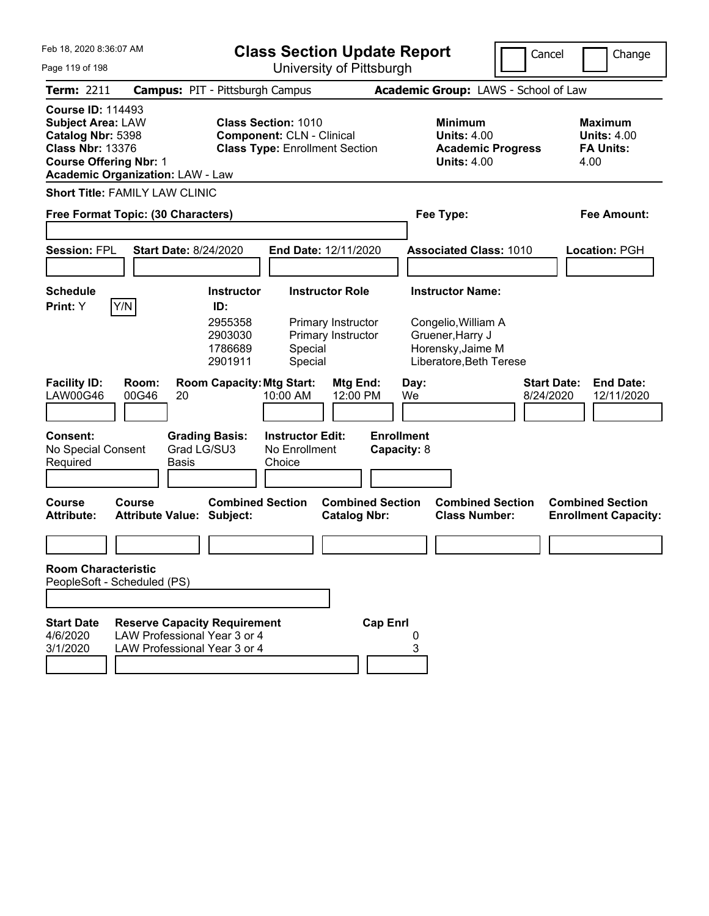| Feb 18, 2020 8:36:07 AM<br>Page 119 of 198                                                                                                                                       | <b>Class Section Update Report</b><br>University of Pittsburgh                                      |                                                                      |                                                                                                         |                                                                    |                                  |            |                                                                                                                    | Cancel                          |      | Change                                                   |
|----------------------------------------------------------------------------------------------------------------------------------------------------------------------------------|-----------------------------------------------------------------------------------------------------|----------------------------------------------------------------------|---------------------------------------------------------------------------------------------------------|--------------------------------------------------------------------|----------------------------------|------------|--------------------------------------------------------------------------------------------------------------------|---------------------------------|------|----------------------------------------------------------|
| Term: 2211                                                                                                                                                                       | <b>Campus: PIT - Pittsburgh Campus</b>                                                              |                                                                      |                                                                                                         |                                                                    |                                  |            | Academic Group: LAWS - School of Law                                                                               |                                 |      |                                                          |
| <b>Course ID: 114493</b><br><b>Subject Area: LAW</b><br>Catalog Nbr: 5398<br><b>Class Nbr: 13376</b><br><b>Course Offering Nbr: 1</b><br><b>Academic Organization: LAW - Law</b> |                                                                                                     |                                                                      | <b>Class Section: 1010</b><br><b>Component: CLN - Clinical</b><br><b>Class Type: Enrollment Section</b> |                                                                    |                                  |            | <b>Minimum</b><br><b>Units: 4.00</b><br><b>Academic Progress</b><br><b>Units: 4.00</b>                             |                                 | 4.00 | <b>Maximum</b><br><b>Units: 4.00</b><br><b>FA Units:</b> |
| <b>Short Title: FAMILY LAW CLINIC</b>                                                                                                                                            |                                                                                                     |                                                                      |                                                                                                         |                                                                    |                                  |            |                                                                                                                    |                                 |      |                                                          |
| Free Format Topic: (30 Characters)                                                                                                                                               |                                                                                                     |                                                                      |                                                                                                         |                                                                    |                                  |            | Fee Type:                                                                                                          |                                 |      | Fee Amount:                                              |
| <b>Session: FPL</b>                                                                                                                                                              | <b>Start Date: 8/24/2020</b>                                                                        |                                                                      |                                                                                                         | End Date: 12/11/2020                                               |                                  |            | <b>Associated Class: 1010</b>                                                                                      |                                 |      | <b>Location: PGH</b>                                     |
| <b>Schedule</b><br>Y/N<br>Print: Y                                                                                                                                               |                                                                                                     | <b>Instructor</b><br>ID:<br>2955358<br>2903030<br>1786689<br>2901911 | Special<br>Special                                                                                      | <b>Instructor Role</b><br>Primary Instructor<br>Primary Instructor |                                  |            | <b>Instructor Name:</b><br>Congelio, William A<br>Gruener, Harry J<br>Horensky, Jaime M<br>Liberatore, Beth Terese |                                 |      |                                                          |
| <b>Facility ID:</b><br><b>LAW00G46</b><br>Consent:<br>No Special Consent<br>Required                                                                                             | Room:<br>00G46<br>20<br>Grad LG/SU3<br><b>Basis</b>                                                 | <b>Room Capacity: Mtg Start:</b><br><b>Grading Basis:</b>            | 10:00 AM<br><b>Instructor Edit:</b><br>No Enrollment<br>Choice                                          | Mtg End:<br>12:00 PM                                               | <b>Enrollment</b><br>Capacity: 8 | Day:<br>We |                                                                                                                    | <b>Start Date:</b><br>8/24/2020 |      | <b>End Date:</b><br>12/11/2020                           |
| Course<br><b>Attribute:</b>                                                                                                                                                      | Course<br><b>Attribute Value: Subject:</b>                                                          | <b>Combined Section</b>                                              |                                                                                                         | <b>Combined Section</b><br><b>Catalog Nbr:</b>                     |                                  |            | <b>Combined Section</b><br><b>Class Number:</b>                                                                    |                                 |      | <b>Combined Section</b><br><b>Enrollment Capacity:</b>   |
| <b>Room Characteristic</b><br>PeopleSoft - Scheduled (PS)                                                                                                                        |                                                                                                     |                                                                      |                                                                                                         |                                                                    |                                  |            |                                                                                                                    |                                 |      |                                                          |
| <b>Start Date</b><br>4/6/2020<br>3/1/2020                                                                                                                                        | <b>Reserve Capacity Requirement</b><br>LAW Professional Year 3 or 4<br>LAW Professional Year 3 or 4 |                                                                      |                                                                                                         |                                                                    | <b>Cap Enrl</b>                  | 0<br>3     |                                                                                                                    |                                 |      |                                                          |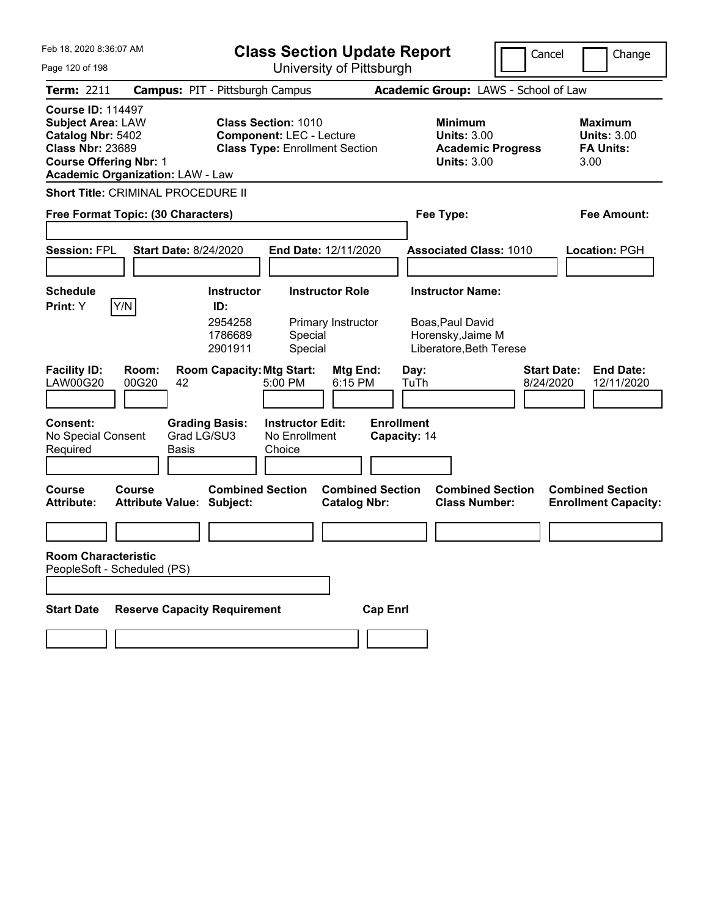| Feb 18, 2020 8:36:07 AM                                                                                                               |                                               | <b>Class Section Update Report</b> |                                                                                                        |                                                |                                   |              |                                                            |                                                 | Cancel                          |                                                                  | Change                                                 |  |  |
|---------------------------------------------------------------------------------------------------------------------------------------|-----------------------------------------------|------------------------------------|--------------------------------------------------------------------------------------------------------|------------------------------------------------|-----------------------------------|--------------|------------------------------------------------------------|-------------------------------------------------|---------------------------------|------------------------------------------------------------------|--------------------------------------------------------|--|--|
| Page 120 of 198                                                                                                                       |                                               |                                    | University of Pittsburgh                                                                               |                                                |                                   |              |                                                            |                                                 |                                 |                                                                  |                                                        |  |  |
| <b>Term: 2211</b>                                                                                                                     | <b>Campus: PIT - Pittsburgh Campus</b>        |                                    | Academic Group: LAWS - School of Law                                                                   |                                                |                                   |              |                                                            |                                                 |                                 |                                                                  |                                                        |  |  |
| <b>Course ID: 114497</b><br><b>Subject Area: LAW</b><br>Catalog Nbr: 5402<br><b>Class Nbr: 23689</b><br><b>Course Offering Nbr: 1</b> | <b>Academic Organization: LAW - Law</b>       |                                    | <b>Class Section: 1010</b><br><b>Component: LEC - Lecture</b><br><b>Class Type: Enrollment Section</b> |                                                |                                   |              | <b>Minimum</b><br><b>Units: 3.00</b><br><b>Units: 3.00</b> | <b>Academic Progress</b>                        |                                 | <b>Maximum</b><br><b>Units: 3.00</b><br><b>FA Units:</b><br>3.00 |                                                        |  |  |
|                                                                                                                                       | Short Title: CRIMINAL PROCEDURE II            |                                    |                                                                                                        |                                                |                                   |              |                                                            |                                                 |                                 |                                                                  |                                                        |  |  |
|                                                                                                                                       | Free Format Topic: (30 Characters)            |                                    |                                                                                                        |                                                |                                   |              | Fee Type:                                                  |                                                 |                                 |                                                                  | Fee Amount:                                            |  |  |
|                                                                                                                                       |                                               |                                    |                                                                                                        |                                                |                                   |              |                                                            |                                                 |                                 |                                                                  |                                                        |  |  |
| <b>Session: FPL</b>                                                                                                                   | <b>Start Date: 8/24/2020</b>                  |                                    | End Date: 12/11/2020                                                                                   |                                                |                                   |              |                                                            | <b>Associated Class: 1010</b>                   |                                 |                                                                  | Location: PGH                                          |  |  |
|                                                                                                                                       |                                               |                                    |                                                                                                        |                                                |                                   |              |                                                            |                                                 |                                 |                                                                  |                                                        |  |  |
| <b>Schedule</b>                                                                                                                       |                                               | <b>Instructor</b><br>ID:           |                                                                                                        | <b>Instructor Role</b>                         |                                   |              | <b>Instructor Name:</b>                                    |                                                 |                                 |                                                                  |                                                        |  |  |
| <b>Print:</b> Y                                                                                                                       | Y/N                                           | 2954258<br>1786689<br>2901911      | Special<br>Special                                                                                     | Primary Instructor                             |                                   |              | Boas, Paul David<br>Horensky, Jaime M                      | Liberatore, Beth Terese                         |                                 |                                                                  |                                                        |  |  |
| <b>Facility ID:</b><br><b>LAW00G20</b>                                                                                                | Room:<br>00G20<br>42                          | <b>Room Capacity: Mtg Start:</b>   | 5:00 PM                                                                                                | Mtg End:<br>6:15 PM                            |                                   | Day:<br>TuTh |                                                            |                                                 | <b>Start Date:</b><br>8/24/2020 |                                                                  | <b>End Date:</b><br>12/11/2020                         |  |  |
| <b>Consent:</b><br>No Special Consent<br>Required                                                                                     | <b>Grading Basis:</b><br>Grad LG/SU3<br>Basis |                                    | <b>Instructor Edit:</b><br>No Enrollment<br>Choice                                                     |                                                | <b>Enrollment</b><br>Capacity: 14 |              |                                                            |                                                 |                                 |                                                                  |                                                        |  |  |
| <b>Course</b><br><b>Attribute:</b>                                                                                                    | Course<br><b>Attribute Value: Subject:</b>    | <b>Combined Section</b>            |                                                                                                        | <b>Combined Section</b><br><b>Catalog Nbr:</b> |                                   |              |                                                            | <b>Combined Section</b><br><b>Class Number:</b> |                                 |                                                                  | <b>Combined Section</b><br><b>Enrollment Capacity:</b> |  |  |
|                                                                                                                                       |                                               |                                    |                                                                                                        |                                                |                                   |              |                                                            |                                                 |                                 |                                                                  |                                                        |  |  |
| <b>Room Characteristic</b><br>PeopleSoft - Scheduled (PS)                                                                             |                                               |                                    |                                                                                                        |                                                |                                   |              |                                                            |                                                 |                                 |                                                                  |                                                        |  |  |
|                                                                                                                                       |                                               |                                    |                                                                                                        |                                                |                                   |              |                                                            |                                                 |                                 |                                                                  |                                                        |  |  |
| <b>Start Date</b>                                                                                                                     | <b>Reserve Capacity Requirement</b>           |                                    |                                                                                                        |                                                | <b>Cap Enrl</b>                   |              |                                                            |                                                 |                                 |                                                                  |                                                        |  |  |
|                                                                                                                                       |                                               |                                    |                                                                                                        |                                                |                                   |              |                                                            |                                                 |                                 |                                                                  |                                                        |  |  |
|                                                                                                                                       |                                               |                                    |                                                                                                        |                                                |                                   |              |                                                            |                                                 |                                 |                                                                  |                                                        |  |  |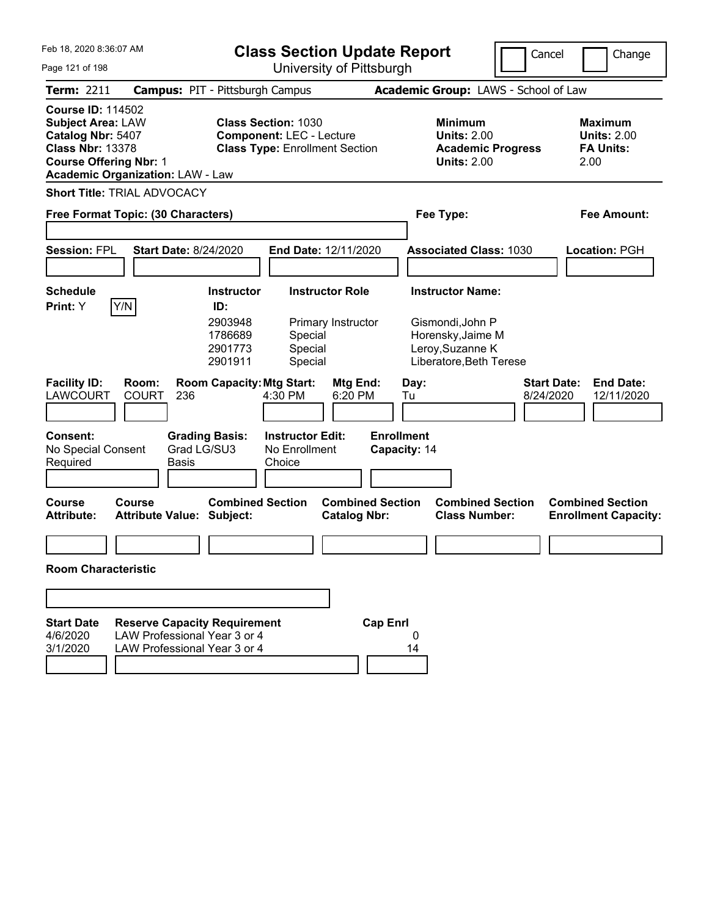| Feb 18, 2020 8:36:07 AM                                                                                                                                                          |                                                                                                     | <b>Class Section Update Report</b>                                                                       |                                                                                                        |                                                                     |                                   |                                      |                                                                                                                 |  | Cancel                          |      | Change                                                   |  |  |
|----------------------------------------------------------------------------------------------------------------------------------------------------------------------------------|-----------------------------------------------------------------------------------------------------|----------------------------------------------------------------------------------------------------------|--------------------------------------------------------------------------------------------------------|---------------------------------------------------------------------|-----------------------------------|--------------------------------------|-----------------------------------------------------------------------------------------------------------------|--|---------------------------------|------|----------------------------------------------------------|--|--|
| Page 121 of 198                                                                                                                                                                  |                                                                                                     |                                                                                                          | University of Pittsburgh                                                                               |                                                                     |                                   |                                      |                                                                                                                 |  |                                 |      |                                                          |  |  |
| <b>Term: 2211</b>                                                                                                                                                                | <b>Campus: PIT - Pittsburgh Campus</b>                                                              |                                                                                                          |                                                                                                        |                                                                     |                                   | Academic Group: LAWS - School of Law |                                                                                                                 |  |                                 |      |                                                          |  |  |
| <b>Course ID: 114502</b><br><b>Subject Area: LAW</b><br>Catalog Nbr: 5407<br><b>Class Nbr: 13378</b><br><b>Course Offering Nbr: 1</b><br><b>Academic Organization: LAW - Law</b> |                                                                                                     |                                                                                                          | <b>Class Section: 1030</b><br><b>Component: LEC - Lecture</b><br><b>Class Type: Enrollment Section</b> |                                                                     |                                   |                                      | <b>Minimum</b><br><b>Units: 2.00</b><br><b>Academic Progress</b><br><b>Units: 2.00</b>                          |  |                                 | 2.00 | <b>Maximum</b><br><b>Units: 2.00</b><br><b>FA Units:</b> |  |  |
| <b>Short Title: TRIAL ADVOCACY</b>                                                                                                                                               |                                                                                                     |                                                                                                          |                                                                                                        |                                                                     |                                   |                                      |                                                                                                                 |  |                                 |      |                                                          |  |  |
| Free Format Topic: (30 Characters)                                                                                                                                               |                                                                                                     |                                                                                                          |                                                                                                        |                                                                     |                                   | Fee Type:                            |                                                                                                                 |  |                                 |      | Fee Amount:                                              |  |  |
|                                                                                                                                                                                  |                                                                                                     |                                                                                                          |                                                                                                        |                                                                     |                                   |                                      |                                                                                                                 |  |                                 |      |                                                          |  |  |
| <b>Session: FPL</b>                                                                                                                                                              | <b>Start Date: 8/24/2020</b>                                                                        |                                                                                                          | End Date: 12/11/2020                                                                                   |                                                                     |                                   |                                      | <b>Associated Class: 1030</b>                                                                                   |  |                                 |      | <b>Location: PGH</b>                                     |  |  |
|                                                                                                                                                                                  |                                                                                                     |                                                                                                          |                                                                                                        |                                                                     |                                   |                                      |                                                                                                                 |  |                                 |      |                                                          |  |  |
| <b>Schedule</b><br>Y/N<br>Print: Y<br><b>Facility ID:</b><br><b>LAWCOURT</b><br>Consent:<br>No Special Consent<br>Required                                                       | Room:<br><b>COURT</b><br>236<br><b>Grading Basis:</b><br>Grad LG/SU3<br><b>Basis</b>                | <b>Instructor</b><br>ID:<br>2903948<br>1786689<br>2901773<br>2901911<br><b>Room Capacity: Mtg Start:</b> | Special<br>Special<br>Special<br>4:30 PM<br><b>Instructor Edit:</b><br>No Enrollment<br>Choice         | <b>Instructor Role</b><br>Primary Instructor<br>Mtg End:<br>6:20 PM | <b>Enrollment</b><br>Capacity: 14 | Day:<br>Tu                           | <b>Instructor Name:</b><br>Gismondi, John P<br>Horensky, Jaime M<br>Leroy, Suzanne K<br>Liberatore, Beth Terese |  | <b>Start Date:</b><br>8/24/2020 |      | <b>End Date:</b><br>12/11/2020                           |  |  |
| Course<br><b>Attribute:</b>                                                                                                                                                      | Course<br><b>Attribute Value: Subject:</b>                                                          | <b>Combined Section</b>                                                                                  |                                                                                                        | <b>Combined Section</b><br><b>Catalog Nbr:</b>                      |                                   |                                      | <b>Combined Section</b><br><b>Class Number:</b>                                                                 |  |                                 |      | <b>Combined Section</b><br><b>Enrollment Capacity:</b>   |  |  |
|                                                                                                                                                                                  |                                                                                                     |                                                                                                          |                                                                                                        |                                                                     |                                   |                                      |                                                                                                                 |  |                                 |      |                                                          |  |  |
| <b>Room Characteristic</b>                                                                                                                                                       |                                                                                                     |                                                                                                          |                                                                                                        |                                                                     |                                   |                                      |                                                                                                                 |  |                                 |      |                                                          |  |  |
|                                                                                                                                                                                  |                                                                                                     |                                                                                                          |                                                                                                        |                                                                     |                                   |                                      |                                                                                                                 |  |                                 |      |                                                          |  |  |
| <b>Start Date</b><br>4/6/2020<br>3/1/2020                                                                                                                                        | <b>Reserve Capacity Requirement</b><br>LAW Professional Year 3 or 4<br>LAW Professional Year 3 or 4 |                                                                                                          |                                                                                                        |                                                                     | <b>Cap Enrl</b>                   | 0<br>14                              |                                                                                                                 |  |                                 |      |                                                          |  |  |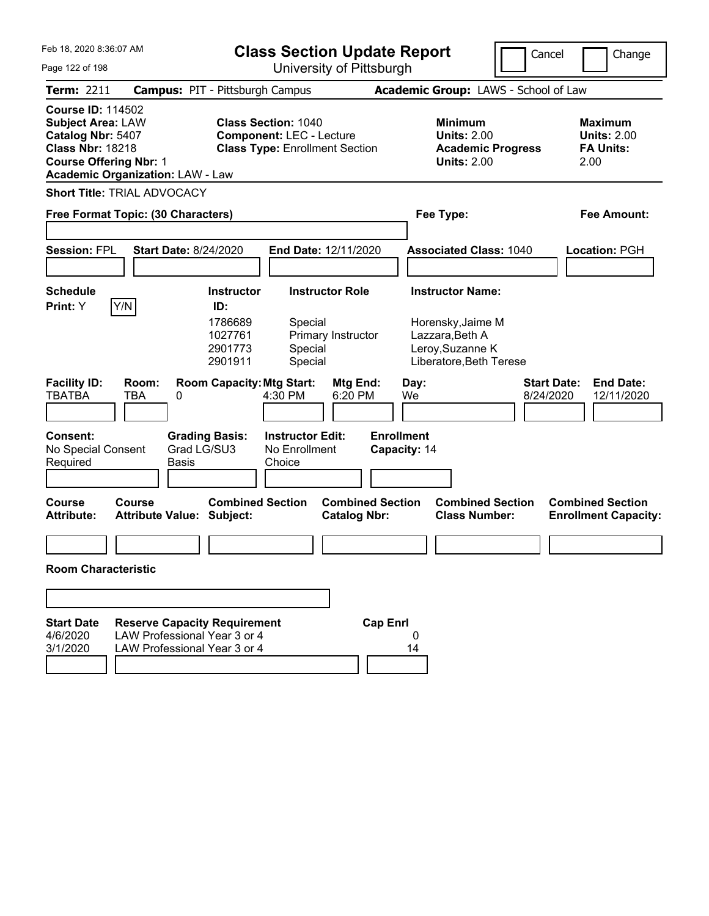| Feb 18, 2020 8:36:07 AM                                                                                                                                                          | <b>Class Section Update Report</b>                                                                  |                                                                      |                                                                                                        |                                                |                                   |                                                                                                                | Cancel |                                 | Change |                                                          |  |  |
|----------------------------------------------------------------------------------------------------------------------------------------------------------------------------------|-----------------------------------------------------------------------------------------------------|----------------------------------------------------------------------|--------------------------------------------------------------------------------------------------------|------------------------------------------------|-----------------------------------|----------------------------------------------------------------------------------------------------------------|--------|---------------------------------|--------|----------------------------------------------------------|--|--|
| Page 122 of 198                                                                                                                                                                  |                                                                                                     |                                                                      |                                                                                                        | University of Pittsburgh                       |                                   |                                                                                                                |        |                                 |        |                                                          |  |  |
| <b>Term: 2211</b>                                                                                                                                                                | <b>Campus: PIT - Pittsburgh Campus</b>                                                              |                                                                      |                                                                                                        |                                                |                                   | Academic Group: LAWS - School of Law                                                                           |        |                                 |        |                                                          |  |  |
| <b>Course ID: 114502</b><br><b>Subject Area: LAW</b><br>Catalog Nbr: 5407<br><b>Class Nbr: 18218</b><br><b>Course Offering Nbr: 1</b><br><b>Academic Organization: LAW - Law</b> |                                                                                                     |                                                                      | <b>Class Section: 1040</b><br><b>Component: LEC - Lecture</b><br><b>Class Type: Enrollment Section</b> |                                                |                                   | <b>Minimum</b><br><b>Units: 2.00</b><br><b>Academic Progress</b><br><b>Units: 2.00</b>                         |        |                                 | 2.00   | <b>Maximum</b><br><b>Units: 2.00</b><br><b>FA Units:</b> |  |  |
| <b>Short Title: TRIAL ADVOCACY</b>                                                                                                                                               |                                                                                                     |                                                                      |                                                                                                        |                                                |                                   |                                                                                                                |        |                                 |        |                                                          |  |  |
| Free Format Topic: (30 Characters)                                                                                                                                               |                                                                                                     |                                                                      |                                                                                                        |                                                |                                   | Fee Type:                                                                                                      |        |                                 |        | <b>Fee Amount:</b>                                       |  |  |
| <b>Session: FPL</b>                                                                                                                                                              | <b>Start Date: 8/24/2020</b>                                                                        |                                                                      |                                                                                                        | End Date: 12/11/2020                           |                                   | <b>Associated Class: 1040</b>                                                                                  |        |                                 |        | Location: PGH                                            |  |  |
| <b>Schedule</b><br>Y/N<br>Print: Y                                                                                                                                               |                                                                                                     | <b>Instructor</b><br>ID:<br>1786689<br>1027761<br>2901773<br>2901911 | Special<br>Special<br>Special                                                                          | <b>Instructor Role</b><br>Primary Instructor   |                                   | <b>Instructor Name:</b><br>Horensky, Jaime M<br>Lazzara, Beth A<br>Leroy, Suzanne K<br>Liberatore, Beth Terese |        |                                 |        |                                                          |  |  |
| <b>Facility ID:</b><br><b>TBATBA</b>                                                                                                                                             | Room:<br>TBA<br>0                                                                                   | <b>Room Capacity: Mtg Start:</b>                                     | 4:30 PM                                                                                                | Mtg End:<br>6:20 PM                            | Day:<br>We                        |                                                                                                                |        | <b>Start Date:</b><br>8/24/2020 |        | <b>End Date:</b><br>12/11/2020                           |  |  |
| <b>Consent:</b><br>No Special Consent<br>Required                                                                                                                                | <b>Grading Basis:</b><br>Grad LG/SU3<br><b>Basis</b>                                                |                                                                      | <b>Instructor Edit:</b><br>No Enrollment<br>Choice                                                     |                                                | <b>Enrollment</b><br>Capacity: 14 |                                                                                                                |        |                                 |        |                                                          |  |  |
| <b>Course</b><br><b>Attribute:</b>                                                                                                                                               | Course<br><b>Attribute Value: Subject:</b>                                                          | <b>Combined Section</b>                                              |                                                                                                        | <b>Combined Section</b><br><b>Catalog Nbr:</b> |                                   | <b>Combined Section</b><br><b>Class Number:</b>                                                                |        |                                 |        | <b>Combined Section</b><br><b>Enrollment Capacity:</b>   |  |  |
|                                                                                                                                                                                  |                                                                                                     |                                                                      |                                                                                                        |                                                |                                   |                                                                                                                |        |                                 |        |                                                          |  |  |
| <b>Room Characteristic</b>                                                                                                                                                       |                                                                                                     |                                                                      |                                                                                                        |                                                |                                   |                                                                                                                |        |                                 |        |                                                          |  |  |
|                                                                                                                                                                                  |                                                                                                     |                                                                      |                                                                                                        |                                                |                                   |                                                                                                                |        |                                 |        |                                                          |  |  |
|                                                                                                                                                                                  |                                                                                                     |                                                                      |                                                                                                        |                                                |                                   |                                                                                                                |        |                                 |        |                                                          |  |  |
| <b>Start Date</b><br>4/6/2020<br>3/1/2020                                                                                                                                        | <b>Reserve Capacity Requirement</b><br>LAW Professional Year 3 or 4<br>LAW Professional Year 3 or 4 |                                                                      |                                                                                                        |                                                | <b>Cap Enrl</b><br>0<br>14        |                                                                                                                |        |                                 |        |                                                          |  |  |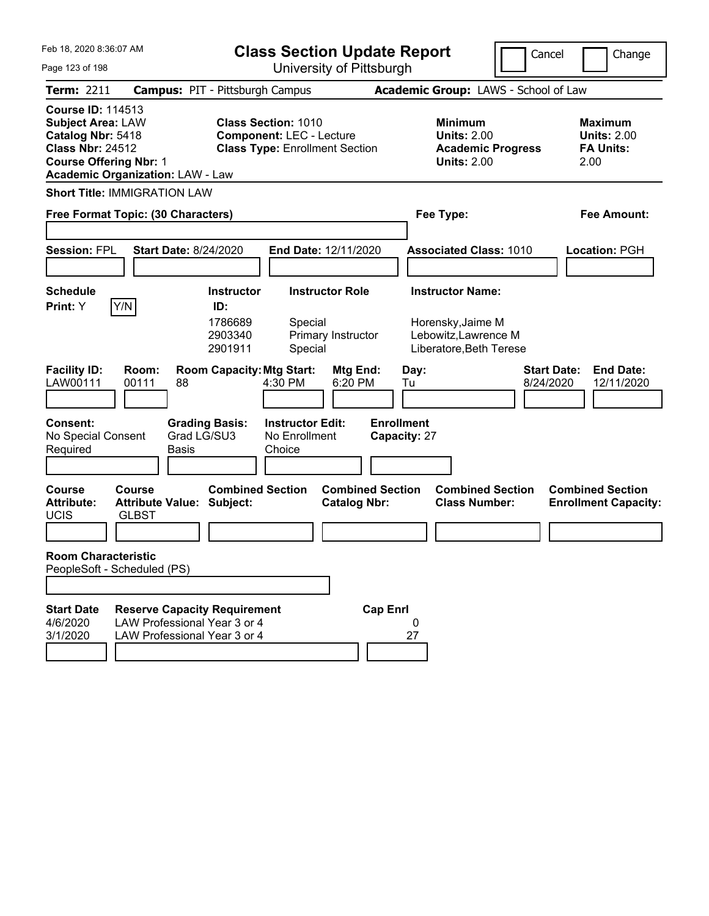| Feb 18, 2020 8:36:07 AM                                                                                                                                                          | <b>Class Section Update Report</b>                                                                                                                     |                                                                                        | Cancel<br>Change                                                  |  |  |  |  |  |  |
|----------------------------------------------------------------------------------------------------------------------------------------------------------------------------------|--------------------------------------------------------------------------------------------------------------------------------------------------------|----------------------------------------------------------------------------------------|-------------------------------------------------------------------|--|--|--|--|--|--|
| Page 123 of 198                                                                                                                                                                  | University of Pittsburgh                                                                                                                               |                                                                                        |                                                                   |  |  |  |  |  |  |
| <b>Term: 2211</b>                                                                                                                                                                | <b>Campus: PIT - Pittsburgh Campus</b>                                                                                                                 | Academic Group: LAWS - School of Law                                                   |                                                                   |  |  |  |  |  |  |
| <b>Course ID: 114513</b><br><b>Subject Area: LAW</b><br>Catalog Nbr: 5418<br><b>Class Nbr: 24512</b><br><b>Course Offering Nbr: 1</b><br><b>Academic Organization: LAW - Law</b> | <b>Class Section: 1010</b><br><b>Component: LEC - Lecture</b><br><b>Class Type: Enrollment Section</b>                                                 | <b>Minimum</b><br><b>Units: 2.00</b><br><b>Academic Progress</b><br><b>Units: 2.00</b> | <b>Maximum</b><br><b>Units: 2.00</b><br><b>FA Units:</b><br>2.00  |  |  |  |  |  |  |
| <b>Short Title: IMMIGRATION LAW</b>                                                                                                                                              |                                                                                                                                                        |                                                                                        |                                                                   |  |  |  |  |  |  |
| Free Format Topic: (30 Characters)                                                                                                                                               |                                                                                                                                                        | Fee Type:                                                                              | <b>Fee Amount:</b>                                                |  |  |  |  |  |  |
| <b>Session: FPL</b><br><b>Start Date: 8/24/2020</b>                                                                                                                              | End Date: 12/11/2020                                                                                                                                   | <b>Associated Class: 1010</b>                                                          | Location: PGH                                                     |  |  |  |  |  |  |
| <b>Schedule</b>                                                                                                                                                                  | <b>Instructor Role</b><br><b>Instructor</b>                                                                                                            | <b>Instructor Name:</b>                                                                |                                                                   |  |  |  |  |  |  |
| Y/N<br>Print: Y<br><b>Facility ID:</b><br>Room:<br>LAW00111<br>00111<br>88                                                                                                       | ID:<br>1786689<br>Special<br>2903340<br>Primary Instructor<br>2901911<br>Special<br><b>Room Capacity: Mtg Start:</b><br>Mtg End:<br>4:30 PM<br>6:20 PM | Horensky, Jaime M<br>Lebowitz, Lawrence M<br>Liberatore, Beth Terese<br>Day:<br>Tu     | <b>Start Date:</b><br><b>End Date:</b><br>8/24/2020<br>12/11/2020 |  |  |  |  |  |  |
| <b>Consent:</b><br>No Special Consent<br>Required<br>Basis                                                                                                                       | <b>Instructor Edit:</b><br><b>Grading Basis:</b><br>Grad LG/SU3<br>No Enrollment<br>Choice                                                             | <b>Enrollment</b><br>Capacity: 27                                                      |                                                                   |  |  |  |  |  |  |
| <b>Course</b><br>Course<br><b>Attribute:</b><br><b>Attribute Value: Subject:</b><br><b>UCIS</b><br><b>GLBST</b>                                                                  | <b>Combined Section</b><br><b>Combined Section</b><br><b>Catalog Nbr:</b>                                                                              | <b>Combined Section</b><br><b>Class Number:</b>                                        | <b>Combined Section</b><br><b>Enrollment Capacity:</b>            |  |  |  |  |  |  |
|                                                                                                                                                                                  |                                                                                                                                                        |                                                                                        |                                                                   |  |  |  |  |  |  |
| <b>Room Characteristic</b><br>PeopleSoft - Scheduled (PS)                                                                                                                        |                                                                                                                                                        |                                                                                        |                                                                   |  |  |  |  |  |  |
|                                                                                                                                                                                  |                                                                                                                                                        |                                                                                        |                                                                   |  |  |  |  |  |  |
| <b>Start Date</b><br>LAW Professional Year 3 or 4<br>4/6/2020<br>3/1/2020<br>LAW Professional Year 3 or 4                                                                        | <b>Reserve Capacity Requirement</b>                                                                                                                    | <b>Cap Enrl</b><br>0<br>27                                                             |                                                                   |  |  |  |  |  |  |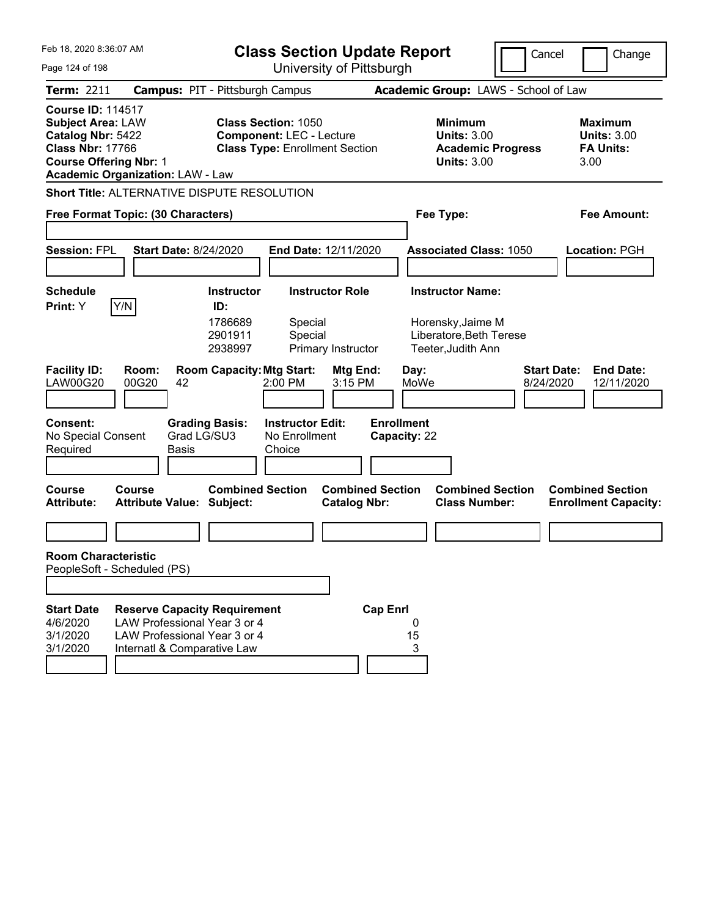| Feb 18, 2020 8:36:07 AM                                                                                                                                                          |                                                                                                                                    | <b>Class Section Update Report</b><br>Cancel<br>Change    |                                                                                                        |                                                |                                      |                                                                                               |  |                                                                   |  |  |  |  |
|----------------------------------------------------------------------------------------------------------------------------------------------------------------------------------|------------------------------------------------------------------------------------------------------------------------------------|-----------------------------------------------------------|--------------------------------------------------------------------------------------------------------|------------------------------------------------|--------------------------------------|-----------------------------------------------------------------------------------------------|--|-------------------------------------------------------------------|--|--|--|--|
| University of Pittsburgh<br>Page 124 of 198                                                                                                                                      |                                                                                                                                    |                                                           |                                                                                                        |                                                |                                      |                                                                                               |  |                                                                   |  |  |  |  |
| <b>Term: 2211</b>                                                                                                                                                                |                                                                                                                                    | <b>Campus: PIT - Pittsburgh Campus</b>                    |                                                                                                        |                                                | Academic Group: LAWS - School of Law |                                                                                               |  |                                                                   |  |  |  |  |
| <b>Course ID: 114517</b><br><b>Subject Area: LAW</b><br>Catalog Nbr: 5422<br><b>Class Nbr: 17766</b><br><b>Course Offering Nbr: 1</b><br><b>Academic Organization: LAW - Law</b> |                                                                                                                                    |                                                           | <b>Class Section: 1050</b><br><b>Component: LEC - Lecture</b><br><b>Class Type: Enrollment Section</b> |                                                |                                      | <b>Minimum</b><br><b>Units: 3.00</b><br><b>Academic Progress</b><br><b>Units: 3.00</b>        |  | <b>Maximum</b><br><b>Units: 3.00</b><br><b>FA Units:</b><br>3.00  |  |  |  |  |
| <b>Short Title: ALTERNATIVE DISPUTE RESOLUTION</b>                                                                                                                               |                                                                                                                                    |                                                           |                                                                                                        |                                                |                                      |                                                                                               |  |                                                                   |  |  |  |  |
| Free Format Topic: (30 Characters)                                                                                                                                               |                                                                                                                                    |                                                           |                                                                                                        | Fee Type:                                      | <b>Fee Amount:</b>                   |                                                                                               |  |                                                                   |  |  |  |  |
| <b>Session: FPL</b>                                                                                                                                                              | <b>Start Date: 8/24/2020</b>                                                                                                       |                                                           | End Date: 12/11/2020                                                                                   |                                                |                                      | <b>Associated Class: 1050</b>                                                                 |  | Location: PGH                                                     |  |  |  |  |
| <b>Schedule</b><br>Y/N<br>Print: Y                                                                                                                                               |                                                                                                                                    | <b>Instructor</b><br>ID:<br>1786689<br>2901911<br>2938997 | <b>Instructor Role</b><br>Special<br>Special                                                           | Primary Instructor                             |                                      | <b>Instructor Name:</b><br>Horensky, Jaime M<br>Liberatore, Beth Terese<br>Teeter, Judith Ann |  |                                                                   |  |  |  |  |
| <b>Facility ID:</b><br><b>LAW00G20</b><br><b>Consent:</b>                                                                                                                        | Room:<br>00G20<br>42                                                                                                               | <b>Room Capacity: Mtg Start:</b><br><b>Grading Basis:</b> | 2:00 PM<br><b>Instructor Edit:</b>                                                                     | Mtg End:<br>3:15 PM                            | Day:<br>MoWe<br><b>Enrollment</b>    |                                                                                               |  | <b>Start Date:</b><br><b>End Date:</b><br>8/24/2020<br>12/11/2020 |  |  |  |  |
| No Special Consent<br>Required                                                                                                                                                   | <b>Basis</b>                                                                                                                       | Grad LG/SU3                                               | No Enrollment<br>Choice                                                                                |                                                | Capacity: 22                         |                                                                                               |  |                                                                   |  |  |  |  |
| <b>Course</b><br><b>Attribute:</b>                                                                                                                                               | <b>Course</b><br><b>Attribute Value: Subject:</b>                                                                                  | <b>Combined Section</b>                                   |                                                                                                        | <b>Combined Section</b><br><b>Catalog Nbr:</b> |                                      | <b>Combined Section</b><br><b>Class Number:</b>                                               |  | <b>Combined Section</b><br><b>Enrollment Capacity:</b>            |  |  |  |  |
|                                                                                                                                                                                  |                                                                                                                                    |                                                           |                                                                                                        |                                                |                                      |                                                                                               |  |                                                                   |  |  |  |  |
| <b>Room Characteristic</b><br>PeopleSoft - Scheduled (PS)                                                                                                                        |                                                                                                                                    |                                                           |                                                                                                        |                                                |                                      |                                                                                               |  |                                                                   |  |  |  |  |
| <b>Start Date</b><br>4/6/2020<br>3/1/2020<br>3/1/2020                                                                                                                            | <b>Reserve Capacity Requirement</b><br>LAW Professional Year 3 or 4<br>LAW Professional Year 3 or 4<br>Internatl & Comparative Law |                                                           |                                                                                                        | <b>Cap Enrl</b>                                | 0<br>15<br>3                         |                                                                                               |  |                                                                   |  |  |  |  |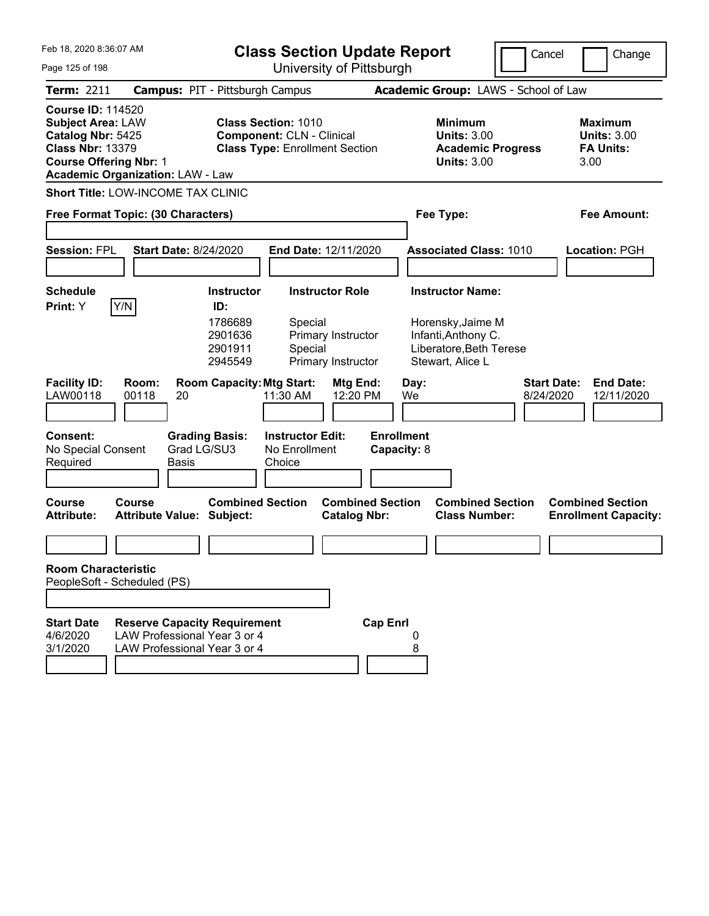| Feb 18, 2020 8:36:07 AM                                                                                                                                                          |                                                                                                     | <b>Class Section Update Report</b>                                   |                                                                                                         |                                                                    |                                  |            | Cancel                                                                                                             | Change                          |                                                                  |
|----------------------------------------------------------------------------------------------------------------------------------------------------------------------------------|-----------------------------------------------------------------------------------------------------|----------------------------------------------------------------------|---------------------------------------------------------------------------------------------------------|--------------------------------------------------------------------|----------------------------------|------------|--------------------------------------------------------------------------------------------------------------------|---------------------------------|------------------------------------------------------------------|
| Page 125 of 198                                                                                                                                                                  |                                                                                                     |                                                                      |                                                                                                         | University of Pittsburgh                                           |                                  |            |                                                                                                                    |                                 |                                                                  |
| <b>Term: 2211</b>                                                                                                                                                                | <b>Campus: PIT - Pittsburgh Campus</b>                                                              |                                                                      |                                                                                                         |                                                                    |                                  |            | Academic Group: LAWS - School of Law                                                                               |                                 |                                                                  |
| <b>Course ID: 114520</b><br><b>Subject Area: LAW</b><br>Catalog Nbr: 5425<br><b>Class Nbr: 13379</b><br><b>Course Offering Nbr: 1</b><br><b>Academic Organization: LAW - Law</b> |                                                                                                     |                                                                      | <b>Class Section: 1010</b><br><b>Component: CLN - Clinical</b><br><b>Class Type: Enrollment Section</b> |                                                                    |                                  |            | <b>Minimum</b><br><b>Units: 3.00</b><br><b>Academic Progress</b><br><b>Units: 3.00</b>                             |                                 | <b>Maximum</b><br><b>Units: 3.00</b><br><b>FA Units:</b><br>3.00 |
| Short Title: LOW-INCOME TAX CLINIC                                                                                                                                               |                                                                                                     |                                                                      |                                                                                                         |                                                                    |                                  |            |                                                                                                                    |                                 |                                                                  |
| Free Format Topic: (30 Characters)                                                                                                                                               |                                                                                                     |                                                                      |                                                                                                         |                                                                    |                                  |            | Fee Type:                                                                                                          |                                 | <b>Fee Amount:</b>                                               |
| <b>Session: FPL</b>                                                                                                                                                              | <b>Start Date: 8/24/2020</b>                                                                        |                                                                      | End Date: 12/11/2020                                                                                    |                                                                    |                                  |            | <b>Associated Class: 1010</b>                                                                                      |                                 | <b>Location: PGH</b>                                             |
| <b>Schedule</b><br>Y/N<br>Print: Y                                                                                                                                               |                                                                                                     | <b>Instructor</b><br>ID:<br>1786689<br>2901636<br>2901911<br>2945549 | Special<br>Special                                                                                      | <b>Instructor Role</b><br>Primary Instructor<br>Primary Instructor |                                  |            | <b>Instructor Name:</b><br>Horensky, Jaime M<br>Infanti, Anthony C.<br>Liberatore, Beth Terese<br>Stewart, Alice L |                                 |                                                                  |
| <b>Facility ID:</b><br>LAW00118<br><b>Consent:</b><br>No Special Consent<br>Required                                                                                             | Room:<br>00118<br>20<br>Grad LG/SU3<br><b>Basis</b>                                                 | <b>Room Capacity: Mtg Start:</b><br><b>Grading Basis:</b>            | 11:30 AM<br><b>Instructor Edit:</b><br>No Enrollment<br>Choice                                          | Mtg End:<br>12:20 PM                                               | <b>Enrollment</b><br>Capacity: 8 | Day:<br>We |                                                                                                                    | <b>Start Date:</b><br>8/24/2020 | <b>End Date:</b><br>12/11/2020                                   |
| Course<br><b>Attribute:</b>                                                                                                                                                      | Course<br>Attribute Value: Subject:                                                                 | <b>Combined Section</b>                                              |                                                                                                         | <b>Combined Section</b><br><b>Catalog Nbr:</b>                     |                                  |            | <b>Combined Section</b><br><b>Class Number:</b>                                                                    |                                 | <b>Combined Section</b><br><b>Enrollment Capacity:</b>           |
|                                                                                                                                                                                  |                                                                                                     |                                                                      |                                                                                                         |                                                                    |                                  |            |                                                                                                                    |                                 |                                                                  |
| <b>Room Characteristic</b><br>PeopleSoft - Scheduled (PS)                                                                                                                        |                                                                                                     |                                                                      |                                                                                                         |                                                                    |                                  |            |                                                                                                                    |                                 |                                                                  |
|                                                                                                                                                                                  |                                                                                                     |                                                                      |                                                                                                         |                                                                    |                                  |            |                                                                                                                    |                                 |                                                                  |
| <b>Start Date</b><br>4/6/2020<br>3/1/2020                                                                                                                                        | <b>Reserve Capacity Requirement</b><br>LAW Professional Year 3 or 4<br>LAW Professional Year 3 or 4 |                                                                      |                                                                                                         |                                                                    | <b>Cap Enrl</b>                  | 8          |                                                                                                                    |                                 |                                                                  |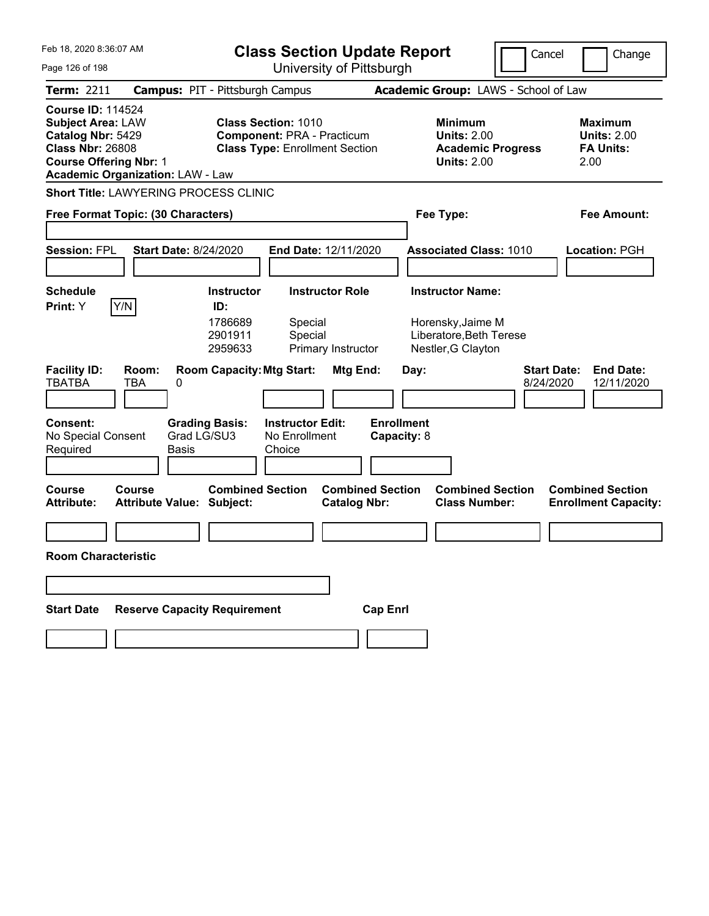| Feb 18, 2020 8:36:07 AM                                                                                                                                                          | <b>Class Section Update Report</b>            |                                      |                                                                                                          |                        |                                  |      |                                                            | Cancel                                          |                                 | Change                                                           |                                                        |
|----------------------------------------------------------------------------------------------------------------------------------------------------------------------------------|-----------------------------------------------|--------------------------------------|----------------------------------------------------------------------------------------------------------|------------------------|----------------------------------|------|------------------------------------------------------------|-------------------------------------------------|---------------------------------|------------------------------------------------------------------|--------------------------------------------------------|
| Page 126 of 198                                                                                                                                                                  |                                               |                                      | University of Pittsburgh                                                                                 |                        |                                  |      |                                                            |                                                 |                                 |                                                                  |                                                        |
| <b>Term: 2211</b>                                                                                                                                                                | <b>Campus: PIT - Pittsburgh Campus</b>        |                                      |                                                                                                          |                        |                                  |      |                                                            | Academic Group: LAWS - School of Law            |                                 |                                                                  |                                                        |
| <b>Course ID: 114524</b><br><b>Subject Area: LAW</b><br>Catalog Nbr: 5429<br><b>Class Nbr: 26808</b><br><b>Course Offering Nbr: 1</b><br><b>Academic Organization: LAW - Law</b> |                                               |                                      | <b>Class Section: 1010</b><br><b>Component: PRA - Practicum</b><br><b>Class Type: Enrollment Section</b> |                        |                                  |      | <b>Minimum</b><br><b>Units: 2.00</b><br><b>Units: 2.00</b> | <b>Academic Progress</b>                        |                                 | <b>Maximum</b><br><b>Units: 2.00</b><br><b>FA Units:</b><br>2.00 |                                                        |
| <b>Short Title: LAWYERING PROCESS CLINIC</b>                                                                                                                                     |                                               |                                      |                                                                                                          |                        |                                  |      |                                                            |                                                 |                                 |                                                                  |                                                        |
| Free Format Topic: (30 Characters)                                                                                                                                               |                                               |                                      |                                                                                                          |                        |                                  |      | Fee Type:                                                  |                                                 |                                 |                                                                  | <b>Fee Amount:</b>                                     |
|                                                                                                                                                                                  |                                               |                                      |                                                                                                          |                        |                                  |      |                                                            |                                                 |                                 |                                                                  |                                                        |
| <b>Session: FPL</b>                                                                                                                                                              | <b>Start Date: 8/24/2020</b>                  |                                      | End Date: 12/11/2020                                                                                     |                        |                                  |      |                                                            | <b>Associated Class: 1010</b>                   |                                 |                                                                  | Location: PGH                                          |
|                                                                                                                                                                                  |                                               |                                      |                                                                                                          |                        |                                  |      |                                                            |                                                 |                                 |                                                                  |                                                        |
| <b>Schedule</b>                                                                                                                                                                  |                                               | <b>Instructor</b>                    |                                                                                                          | <b>Instructor Role</b> |                                  |      | <b>Instructor Name:</b>                                    |                                                 |                                 |                                                                  |                                                        |
| Y/N<br><b>Print:</b> Y                                                                                                                                                           |                                               | ID:<br>1786689<br>2901911<br>2959633 | Special<br>Special                                                                                       | Primary Instructor     |                                  |      | Horensky, Jaime M<br>Nestler, G Clayton                    | Liberatore, Beth Terese                         |                                 |                                                                  |                                                        |
| <b>Facility ID:</b><br><b>TBATBA</b>                                                                                                                                             | Room:<br>TBA<br>0                             | <b>Room Capacity: Mtg Start:</b>     |                                                                                                          | Mtg End:               |                                  | Day: |                                                            |                                                 | <b>Start Date:</b><br>8/24/2020 |                                                                  | <b>End Date:</b><br>12/11/2020                         |
| <b>Consent:</b><br>No Special Consent<br>Required                                                                                                                                | <b>Grading Basis:</b><br>Grad LG/SU3<br>Basis |                                      | <b>Instructor Edit:</b><br>No Enrollment<br>Choice                                                       |                        | <b>Enrollment</b><br>Capacity: 8 |      |                                                            |                                                 |                                 |                                                                  |                                                        |
| <b>Course</b><br><b>Attribute:</b>                                                                                                                                               | Course<br><b>Attribute Value: Subject:</b>    | <b>Combined Section</b>              |                                                                                                          | <b>Catalog Nbr:</b>    | <b>Combined Section</b>          |      |                                                            | <b>Combined Section</b><br><b>Class Number:</b> |                                 |                                                                  | <b>Combined Section</b><br><b>Enrollment Capacity:</b> |
|                                                                                                                                                                                  |                                               |                                      |                                                                                                          |                        |                                  |      |                                                            |                                                 |                                 |                                                                  |                                                        |
| <b>Room Characteristic</b>                                                                                                                                                       |                                               |                                      |                                                                                                          |                        |                                  |      |                                                            |                                                 |                                 |                                                                  |                                                        |
|                                                                                                                                                                                  |                                               |                                      |                                                                                                          |                        |                                  |      |                                                            |                                                 |                                 |                                                                  |                                                        |
| <b>Start Date</b>                                                                                                                                                                | <b>Reserve Capacity Requirement</b>           |                                      |                                                                                                          |                        | <b>Cap Enrl</b>                  |      |                                                            |                                                 |                                 |                                                                  |                                                        |
|                                                                                                                                                                                  |                                               |                                      |                                                                                                          |                        |                                  |      |                                                            |                                                 |                                 |                                                                  |                                                        |
|                                                                                                                                                                                  |                                               |                                      |                                                                                                          |                        |                                  |      |                                                            |                                                 |                                 |                                                                  |                                                        |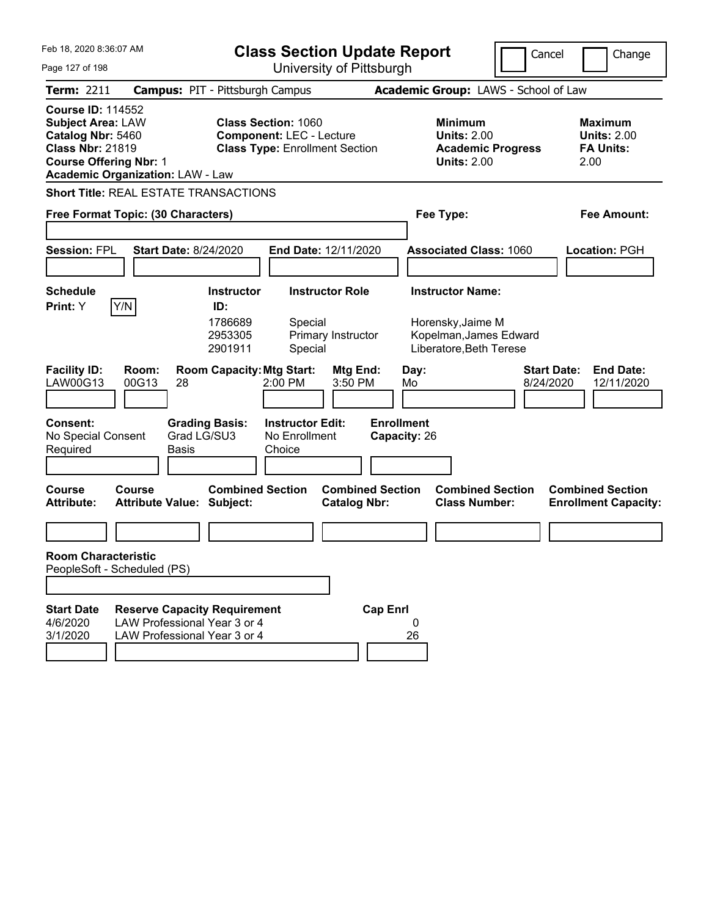| Feb 18, 2020 8:36:07 AM                                                                                                                                                          | <b>Class Section Update Report</b>                                                                                                                     |                                                                                        | Cancel<br>Change                                                  |
|----------------------------------------------------------------------------------------------------------------------------------------------------------------------------------|--------------------------------------------------------------------------------------------------------------------------------------------------------|----------------------------------------------------------------------------------------|-------------------------------------------------------------------|
| Page 127 of 198                                                                                                                                                                  | University of Pittsburgh                                                                                                                               |                                                                                        |                                                                   |
| <b>Term: 2211</b>                                                                                                                                                                | <b>Campus: PIT - Pittsburgh Campus</b>                                                                                                                 | Academic Group: LAWS - School of Law                                                   |                                                                   |
| <b>Course ID: 114552</b><br><b>Subject Area: LAW</b><br>Catalog Nbr: 5460<br><b>Class Nbr: 21819</b><br><b>Course Offering Nbr: 1</b><br><b>Academic Organization: LAW - Law</b> | <b>Class Section: 1060</b><br><b>Component: LEC - Lecture</b><br><b>Class Type: Enrollment Section</b>                                                 | <b>Minimum</b><br><b>Units: 2.00</b><br><b>Academic Progress</b><br><b>Units: 2.00</b> | <b>Maximum</b><br><b>Units: 2.00</b><br><b>FA Units:</b><br>2.00  |
| <b>Short Title: REAL ESTATE TRANSACTIONS</b>                                                                                                                                     |                                                                                                                                                        |                                                                                        |                                                                   |
| Free Format Topic: (30 Characters)                                                                                                                                               |                                                                                                                                                        | Fee Type:                                                                              | Fee Amount:                                                       |
| <b>Session: FPL</b><br><b>Start Date: 8/24/2020</b>                                                                                                                              | <b>End Date: 12/11/2020</b>                                                                                                                            | <b>Associated Class: 1060</b>                                                          | Location: PGH                                                     |
| <b>Schedule</b>                                                                                                                                                                  | <b>Instructor Role</b><br><b>Instructor</b>                                                                                                            | <b>Instructor Name:</b>                                                                |                                                                   |
| Y/N<br>Print: Y<br><b>Facility ID:</b><br>Room:<br>00G13<br>LAW00G13<br>28                                                                                                       | ID:<br>1786689<br>Special<br>2953305<br>Primary Instructor<br>2901911<br>Special<br><b>Room Capacity: Mtg Start:</b><br>Mtg End:<br>3:50 PM<br>2:00 PM | Horensky, Jaime M<br>Kopelman, James Edward<br>Liberatore, Beth Terese<br>Day:<br>Mo   | <b>Start Date:</b><br><b>End Date:</b><br>8/24/2020<br>12/11/2020 |
|                                                                                                                                                                                  |                                                                                                                                                        |                                                                                        |                                                                   |
| <b>Consent:</b><br>Grad LG/SU3<br>No Special Consent<br>Required<br>Basis                                                                                                        | <b>Grading Basis:</b><br><b>Instructor Edit:</b><br>No Enrollment<br>Choice                                                                            | <b>Enrollment</b><br>Capacity: 26                                                      |                                                                   |
| <b>Course</b><br>Course<br><b>Attribute:</b><br><b>Attribute Value: Subject:</b>                                                                                                 | <b>Combined Section</b><br><b>Combined Section</b><br><b>Catalog Nbr:</b>                                                                              | <b>Combined Section</b><br><b>Class Number:</b>                                        | <b>Combined Section</b><br><b>Enrollment Capacity:</b>            |
|                                                                                                                                                                                  |                                                                                                                                                        |                                                                                        |                                                                   |
| <b>Room Characteristic</b><br>PeopleSoft - Scheduled (PS)                                                                                                                        |                                                                                                                                                        |                                                                                        |                                                                   |
|                                                                                                                                                                                  |                                                                                                                                                        |                                                                                        |                                                                   |
| <b>Start Date</b><br><b>Reserve Capacity Requirement</b><br>LAW Professional Year 3 or 4<br>4/6/2020<br>3/1/2020<br>LAW Professional Year 3 or 4                                 | <b>Cap Enrl</b>                                                                                                                                        | 26                                                                                     |                                                                   |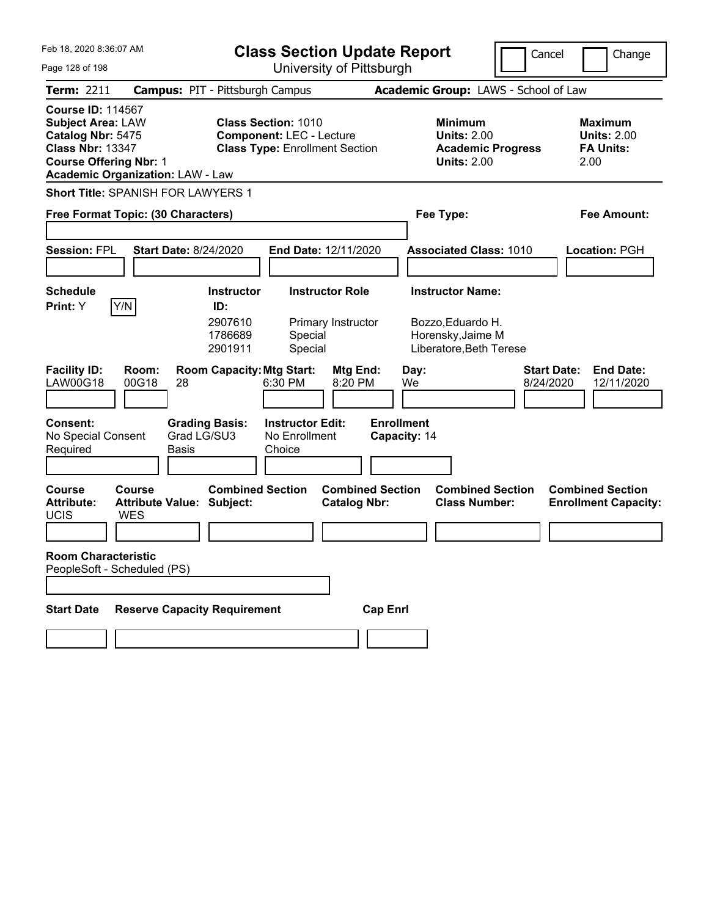| Feb 18, 2020 8:36:07 AM<br>Page 128 of 198                                                                                            |                                                          | <b>Class Section Update Report</b><br>University of Pittsburgh                                         |                                                    |                                                |                                   |      |                                                            |                                                 | Cancel             | Change                                                           |
|---------------------------------------------------------------------------------------------------------------------------------------|----------------------------------------------------------|--------------------------------------------------------------------------------------------------------|----------------------------------------------------|------------------------------------------------|-----------------------------------|------|------------------------------------------------------------|-------------------------------------------------|--------------------|------------------------------------------------------------------|
| <b>Term: 2211</b>                                                                                                                     | <b>Campus: PIT - Pittsburgh Campus</b>                   |                                                                                                        |                                                    |                                                |                                   |      |                                                            | Academic Group: LAWS - School of Law            |                    |                                                                  |
| <b>Course ID: 114567</b><br><b>Subject Area: LAW</b><br>Catalog Nbr: 5475<br><b>Class Nbr: 13347</b><br><b>Course Offering Nbr: 1</b> | <b>Academic Organization: LAW - Law</b>                  | <b>Class Section: 1010</b><br><b>Component: LEC - Lecture</b><br><b>Class Type: Enrollment Section</b> |                                                    |                                                |                                   |      | <b>Minimum</b><br><b>Units: 2.00</b><br><b>Units: 2.00</b> | <b>Academic Progress</b>                        |                    | <b>Maximum</b><br><b>Units: 2.00</b><br><b>FA Units:</b><br>2.00 |
|                                                                                                                                       | Short Title: SPANISH FOR LAWYERS 1                       |                                                                                                        |                                                    |                                                |                                   |      |                                                            |                                                 |                    |                                                                  |
|                                                                                                                                       | Free Format Topic: (30 Characters)                       |                                                                                                        |                                                    |                                                |                                   |      | Fee Type:                                                  |                                                 |                    | Fee Amount:                                                      |
| <b>Session: FPL</b>                                                                                                                   | <b>Start Date: 8/24/2020</b>                             |                                                                                                        | <b>End Date: 12/11/2020</b>                        |                                                |                                   |      |                                                            | <b>Associated Class: 1010</b>                   |                    | Location: PGH                                                    |
| <b>Schedule</b>                                                                                                                       |                                                          | <b>Instructor</b>                                                                                      |                                                    | <b>Instructor Role</b>                         |                                   |      | <b>Instructor Name:</b>                                    |                                                 |                    |                                                                  |
| Print: Y<br><b>Facility ID:</b>                                                                                                       | Y/N<br>Room:                                             | ID:<br>2907610<br>1786689<br>2901911<br><b>Room Capacity: Mtg Start:</b>                               | Special<br>Special                                 | Primary Instructor<br>Mtg End:                 |                                   | Day: | Bozzo, Eduardo H.<br>Horensky, Jaime M                     | Liberatore, Beth Terese                         | <b>Start Date:</b> | <b>End Date:</b>                                                 |
| LAW00G18                                                                                                                              | 00G18<br>28                                              |                                                                                                        | 6:30 PM                                            | 8:20 PM                                        |                                   | We   |                                                            |                                                 | 8/24/2020          | 12/11/2020                                                       |
| Consent:<br>No Special Consent<br>Required                                                                                            | <b>Grading Basis:</b><br>Grad LG/SU3<br>Basis            |                                                                                                        | <b>Instructor Edit:</b><br>No Enrollment<br>Choice |                                                | <b>Enrollment</b><br>Capacity: 14 |      |                                                            |                                                 |                    |                                                                  |
| <b>Course</b><br><b>Attribute:</b><br><b>UCIS</b>                                                                                     | Course<br><b>Attribute Value: Subject:</b><br><b>WES</b> | <b>Combined Section</b>                                                                                |                                                    | <b>Combined Section</b><br><b>Catalog Nbr:</b> |                                   |      |                                                            | <b>Combined Section</b><br><b>Class Number:</b> |                    | <b>Combined Section</b><br><b>Enrollment Capacity:</b>           |
|                                                                                                                                       |                                                          |                                                                                                        |                                                    |                                                |                                   |      |                                                            |                                                 |                    |                                                                  |
| <b>Room Characteristic</b><br>PeopleSoft - Scheduled (PS)                                                                             |                                                          |                                                                                                        |                                                    |                                                |                                   |      |                                                            |                                                 |                    |                                                                  |
|                                                                                                                                       |                                                          |                                                                                                        |                                                    |                                                |                                   |      |                                                            |                                                 |                    |                                                                  |
| <b>Start Date</b>                                                                                                                     | <b>Reserve Capacity Requirement</b>                      |                                                                                                        |                                                    |                                                | <b>Cap Enrl</b>                   |      |                                                            |                                                 |                    |                                                                  |
|                                                                                                                                       |                                                          |                                                                                                        |                                                    |                                                |                                   |      |                                                            |                                                 |                    |                                                                  |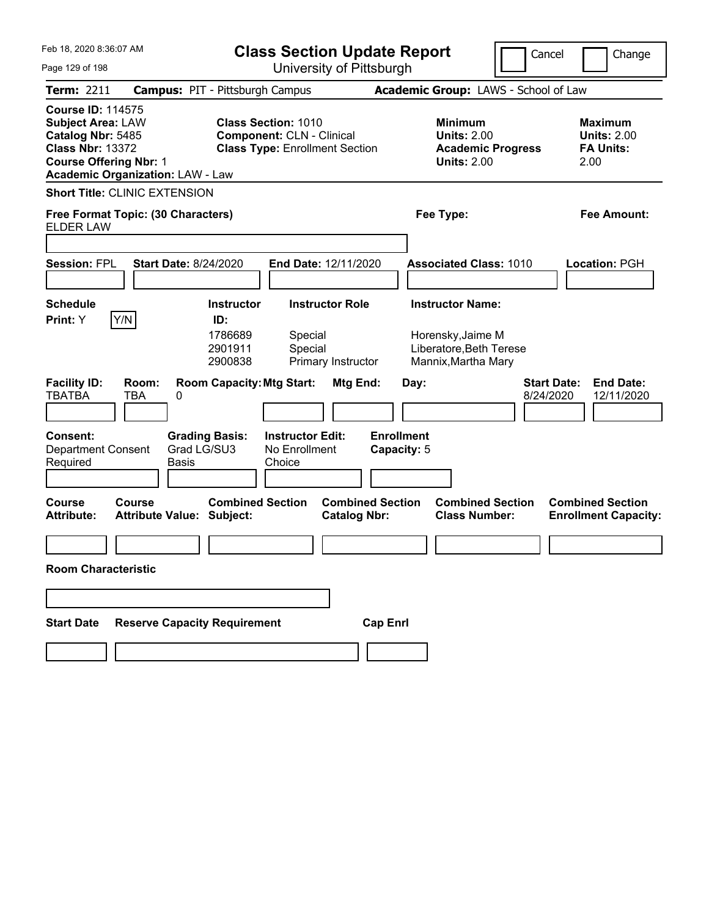| Feb 18, 2020 8:36:07 AM<br>Page 129 of 198                                                                                                                                       | <b>Class Section Update Report</b><br>Cancel<br>Change<br>University of Pittsburgh                                       |                                                                                                |                                                                  |  |  |  |  |  |
|----------------------------------------------------------------------------------------------------------------------------------------------------------------------------------|--------------------------------------------------------------------------------------------------------------------------|------------------------------------------------------------------------------------------------|------------------------------------------------------------------|--|--|--|--|--|
| <b>Term: 2211</b>                                                                                                                                                                | <b>Campus: PIT - Pittsburgh Campus</b>                                                                                   | Academic Group: LAWS - School of Law                                                           |                                                                  |  |  |  |  |  |
| <b>Course ID: 114575</b><br><b>Subject Area: LAW</b><br>Catalog Nbr: 5485<br><b>Class Nbr: 13372</b><br><b>Course Offering Nbr: 1</b><br><b>Academic Organization: LAW - Law</b> | <b>Class Section: 1010</b><br><b>Component: CLN - Clinical</b><br><b>Class Type: Enrollment Section</b>                  | <b>Minimum</b><br><b>Units: 2.00</b><br><b>Academic Progress</b><br><b>Units: 2.00</b>         | <b>Maximum</b><br><b>Units: 2.00</b><br><b>FA Units:</b><br>2.00 |  |  |  |  |  |
| <b>Short Title: CLINIC EXTENSION</b>                                                                                                                                             |                                                                                                                          |                                                                                                |                                                                  |  |  |  |  |  |
| Free Format Topic: (30 Characters)<br><b>ELDER LAW</b>                                                                                                                           |                                                                                                                          | Fee Type:                                                                                      | <b>Fee Amount:</b>                                               |  |  |  |  |  |
| <b>Start Date: 8/24/2020</b><br><b>Session: FPL</b>                                                                                                                              | End Date: 12/11/2020                                                                                                     | <b>Associated Class: 1010</b>                                                                  | <b>Location: PGH</b>                                             |  |  |  |  |  |
| <b>Schedule</b><br>Y/N<br>Print: Y                                                                                                                                               | <b>Instructor Role</b><br>Instructor<br>ID:<br>1786689<br>Special<br>2901911<br>Special<br>2900838<br>Primary Instructor | <b>Instructor Name:</b><br>Horensky, Jaime M<br>Liberatore, Beth Terese<br>Mannix, Martha Mary |                                                                  |  |  |  |  |  |
| <b>Facility ID:</b><br>Room:<br>TBA<br><b>TBATBA</b><br>0                                                                                                                        | <b>Room Capacity: Mtg Start:</b><br>Mtg End:                                                                             | <b>Start Date:</b><br>Day:<br>8/24/2020                                                        | <b>End Date:</b><br>12/11/2020                                   |  |  |  |  |  |
| Consent:<br>Grad LG/SU3<br><b>Department Consent</b><br>Required<br><b>Basis</b>                                                                                                 | <b>Grading Basis:</b><br><b>Instructor Edit:</b><br>No Enrollment<br>Choice                                              | <b>Enrollment</b><br>Capacity: 5                                                               |                                                                  |  |  |  |  |  |
| Course<br><b>Course</b><br><b>Attribute Value: Subject:</b><br><b>Attribute:</b>                                                                                                 | <b>Combined Section</b><br><b>Combined Section</b><br><b>Catalog Nbr:</b>                                                | <b>Combined Section</b><br><b>Class Number:</b>                                                | <b>Combined Section</b><br><b>Enrollment Capacity:</b>           |  |  |  |  |  |
| <b>Room Characteristic</b>                                                                                                                                                       |                                                                                                                          |                                                                                                |                                                                  |  |  |  |  |  |
|                                                                                                                                                                                  |                                                                                                                          |                                                                                                |                                                                  |  |  |  |  |  |
| <b>Reserve Capacity Requirement</b><br><b>Start Date</b>                                                                                                                         | <b>Cap Enrl</b>                                                                                                          |                                                                                                |                                                                  |  |  |  |  |  |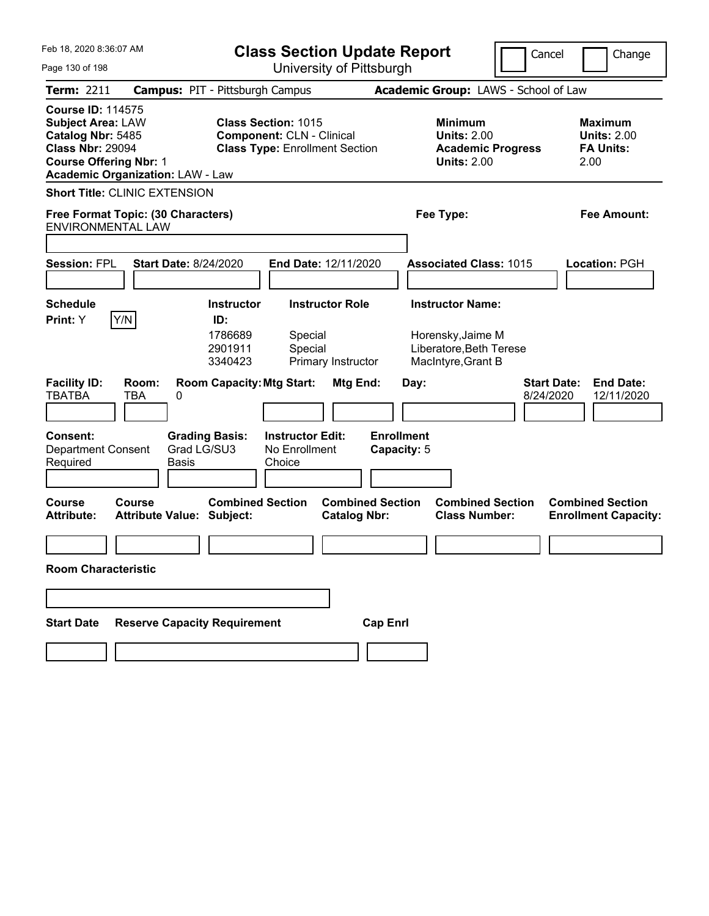| Feb 18, 2020 8:36:07 AM<br>Page 130 of 198                                                                                            |                                            | <b>Class Section Update Report</b><br>Cancel<br>University of Pittsburgh |                                                                                                         |                                              |                                  |      |                                                                                               |  |                                 | Change                                     |                                                        |
|---------------------------------------------------------------------------------------------------------------------------------------|--------------------------------------------|--------------------------------------------------------------------------|---------------------------------------------------------------------------------------------------------|----------------------------------------------|----------------------------------|------|-----------------------------------------------------------------------------------------------|--|---------------------------------|--------------------------------------------|--------------------------------------------------------|
| <b>Term: 2211</b>                                                                                                                     | <b>Campus: PIT - Pittsburgh Campus</b>     |                                                                          |                                                                                                         |                                              |                                  |      | Academic Group: LAWS - School of Law                                                          |  |                                 |                                            |                                                        |
| <b>Course ID: 114575</b><br><b>Subject Area: LAW</b><br>Catalog Nbr: 5485<br><b>Class Nbr: 29094</b><br><b>Course Offering Nbr: 1</b> | <b>Academic Organization: LAW - Law</b>    |                                                                          | <b>Class Section: 1015</b><br><b>Component: CLN - Clinical</b><br><b>Class Type: Enrollment Section</b> |                                              |                                  |      | <b>Minimum</b><br><b>Units: 2.00</b><br><b>Academic Progress</b><br><b>Units: 2.00</b>        |  |                                 | <b>Maximum</b><br><b>FA Units:</b><br>2.00 | <b>Units: 2.00</b>                                     |
|                                                                                                                                       | <b>Short Title: CLINIC EXTENSION</b>       |                                                                          |                                                                                                         |                                              |                                  |      |                                                                                               |  |                                 |                                            |                                                        |
| <b>ENVIRONMENTAL LAW</b>                                                                                                              | Free Format Topic: (30 Characters)         |                                                                          |                                                                                                         |                                              |                                  |      | Fee Type:                                                                                     |  |                                 |                                            | <b>Fee Amount:</b>                                     |
|                                                                                                                                       |                                            |                                                                          |                                                                                                         |                                              |                                  |      |                                                                                               |  |                                 |                                            |                                                        |
| <b>Session: FPL</b>                                                                                                                   | <b>Start Date: 8/24/2020</b>               |                                                                          | End Date: 12/11/2020                                                                                    |                                              |                                  |      | <b>Associated Class: 1015</b>                                                                 |  |                                 |                                            | <b>Location: PGH</b>                                   |
| <b>Schedule</b><br>Print: Y                                                                                                           | Y/N                                        | <b>Instructor</b><br>ID:<br>1786689<br>2901911<br>3340423                | Special<br>Special                                                                                      | <b>Instructor Role</b><br>Primary Instructor |                                  |      | <b>Instructor Name:</b><br>Horensky, Jaime M<br>Liberatore, Beth Terese<br>MacIntyre, Grant B |  |                                 |                                            |                                                        |
| <b>Facility ID:</b><br><b>TBATBA</b>                                                                                                  | Room:<br>TBA<br>0                          | <b>Room Capacity: Mtg Start:</b>                                         |                                                                                                         | Mtg End:                                     |                                  | Day: |                                                                                               |  | <b>Start Date:</b><br>8/24/2020 |                                            | <b>End Date:</b><br>12/11/2020                         |
| Consent:<br><b>Department Consent</b><br>Required                                                                                     | <b>Basis</b>                               | <b>Grading Basis:</b><br>Grad LG/SU3                                     | <b>Instructor Edit:</b><br>No Enrollment<br>Choice                                                      |                                              | <b>Enrollment</b><br>Capacity: 5 |      |                                                                                               |  |                                 |                                            |                                                        |
| <b>Course</b><br><b>Attribute:</b>                                                                                                    | Course<br><b>Attribute Value: Subject:</b> | <b>Combined Section</b>                                                  |                                                                                                         | <b>Catalog Nbr:</b>                          | <b>Combined Section</b>          |      | <b>Combined Section</b><br><b>Class Number:</b>                                               |  |                                 |                                            | <b>Combined Section</b><br><b>Enrollment Capacity:</b> |
| <b>Room Characteristic</b>                                                                                                            |                                            |                                                                          |                                                                                                         |                                              |                                  |      |                                                                                               |  |                                 |                                            |                                                        |
|                                                                                                                                       |                                            |                                                                          |                                                                                                         |                                              |                                  |      |                                                                                               |  |                                 |                                            |                                                        |
| <b>Start Date</b>                                                                                                                     | <b>Reserve Capacity Requirement</b>        |                                                                          |                                                                                                         |                                              | <b>Cap Enrl</b>                  |      |                                                                                               |  |                                 |                                            |                                                        |
|                                                                                                                                       |                                            |                                                                          |                                                                                                         |                                              |                                  |      |                                                                                               |  |                                 |                                            |                                                        |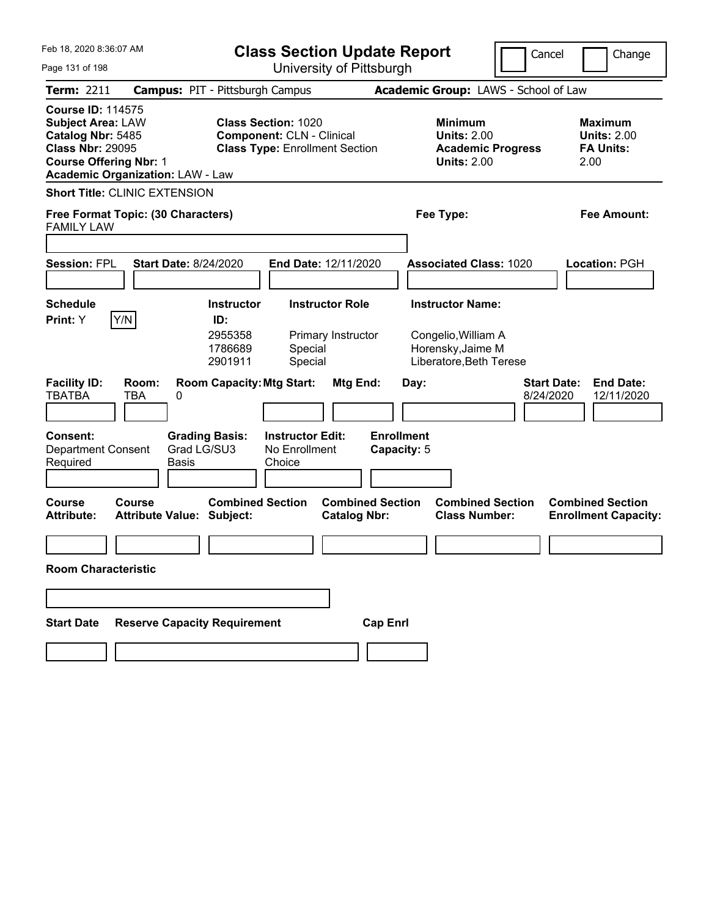| Feb 18, 2020 8:36:07 AM                                                                                                               |                                            |                                                           | <b>Class Section Update Report</b>                                                                      |                                                |                                  |      |                                                                                                |  | Cancel                          |      | Change                                                   |
|---------------------------------------------------------------------------------------------------------------------------------------|--------------------------------------------|-----------------------------------------------------------|---------------------------------------------------------------------------------------------------------|------------------------------------------------|----------------------------------|------|------------------------------------------------------------------------------------------------|--|---------------------------------|------|----------------------------------------------------------|
| Page 131 of 198                                                                                                                       |                                            |                                                           |                                                                                                         | University of Pittsburgh                       |                                  |      |                                                                                                |  |                                 |      |                                                          |
| <b>Term: 2211</b>                                                                                                                     | <b>Campus: PIT - Pittsburgh Campus</b>     |                                                           |                                                                                                         |                                                |                                  |      | Academic Group: LAWS - School of Law                                                           |  |                                 |      |                                                          |
| <b>Course ID: 114575</b><br><b>Subject Area: LAW</b><br>Catalog Nbr: 5485<br><b>Class Nbr: 29095</b><br><b>Course Offering Nbr: 1</b> | <b>Academic Organization: LAW - Law</b>    |                                                           | <b>Class Section: 1020</b><br><b>Component: CLN - Clinical</b><br><b>Class Type: Enrollment Section</b> |                                                |                                  |      | <b>Minimum</b><br><b>Units: 2.00</b><br><b>Academic Progress</b><br><b>Units: 2.00</b>         |  |                                 | 2.00 | <b>Maximum</b><br><b>Units: 2.00</b><br><b>FA Units:</b> |
|                                                                                                                                       | <b>Short Title: CLINIC EXTENSION</b>       |                                                           |                                                                                                         |                                                |                                  |      |                                                                                                |  |                                 |      |                                                          |
| <b>FAMILY LAW</b>                                                                                                                     | Free Format Topic: (30 Characters)         |                                                           |                                                                                                         |                                                |                                  |      | Fee Type:                                                                                      |  |                                 |      | Fee Amount:                                              |
| <b>Session: FPL</b>                                                                                                                   | <b>Start Date: 8/24/2020</b>               |                                                           | End Date: 12/11/2020                                                                                    |                                                |                                  |      | <b>Associated Class: 1020</b>                                                                  |  |                                 |      | <b>Location: PGH</b>                                     |
| <b>Schedule</b><br>Print: Y                                                                                                           | Y/N                                        | <b>Instructor</b><br>ID:<br>2955358<br>1786689<br>2901911 | Special<br>Special                                                                                      | <b>Instructor Role</b><br>Primary Instructor   |                                  |      | <b>Instructor Name:</b><br>Congelio, William A<br>Horensky, Jaime M<br>Liberatore, Beth Terese |  |                                 |      |                                                          |
| <b>Facility ID:</b><br><b>TBATBA</b>                                                                                                  | Room:<br><b>TBA</b><br>0                   | <b>Room Capacity: Mtg Start:</b>                          |                                                                                                         | Mtg End:                                       |                                  | Day: |                                                                                                |  | <b>Start Date:</b><br>8/24/2020 |      | <b>End Date:</b><br>12/11/2020                           |
| Consent:<br><b>Department Consent</b><br>Required                                                                                     | Grad LG/SU3<br><b>Basis</b>                | <b>Grading Basis:</b>                                     | <b>Instructor Edit:</b><br>No Enrollment<br>Choice                                                      |                                                | <b>Enrollment</b><br>Capacity: 5 |      |                                                                                                |  |                                 |      |                                                          |
| Course<br><b>Attribute:</b>                                                                                                           | Course<br><b>Attribute Value: Subject:</b> | <b>Combined Section</b>                                   |                                                                                                         | <b>Combined Section</b><br><b>Catalog Nbr:</b> |                                  |      | <b>Combined Section</b><br><b>Class Number:</b>                                                |  |                                 |      | <b>Combined Section</b><br><b>Enrollment Capacity:</b>   |
| <b>Room Characteristic</b>                                                                                                            |                                            |                                                           |                                                                                                         |                                                |                                  |      |                                                                                                |  |                                 |      |                                                          |
|                                                                                                                                       |                                            |                                                           |                                                                                                         |                                                |                                  |      |                                                                                                |  |                                 |      |                                                          |
| <b>Start Date</b>                                                                                                                     | <b>Reserve Capacity Requirement</b>        |                                                           |                                                                                                         |                                                | <b>Cap Enrl</b>                  |      |                                                                                                |  |                                 |      |                                                          |
|                                                                                                                                       |                                            |                                                           |                                                                                                         |                                                |                                  |      |                                                                                                |  |                                 |      |                                                          |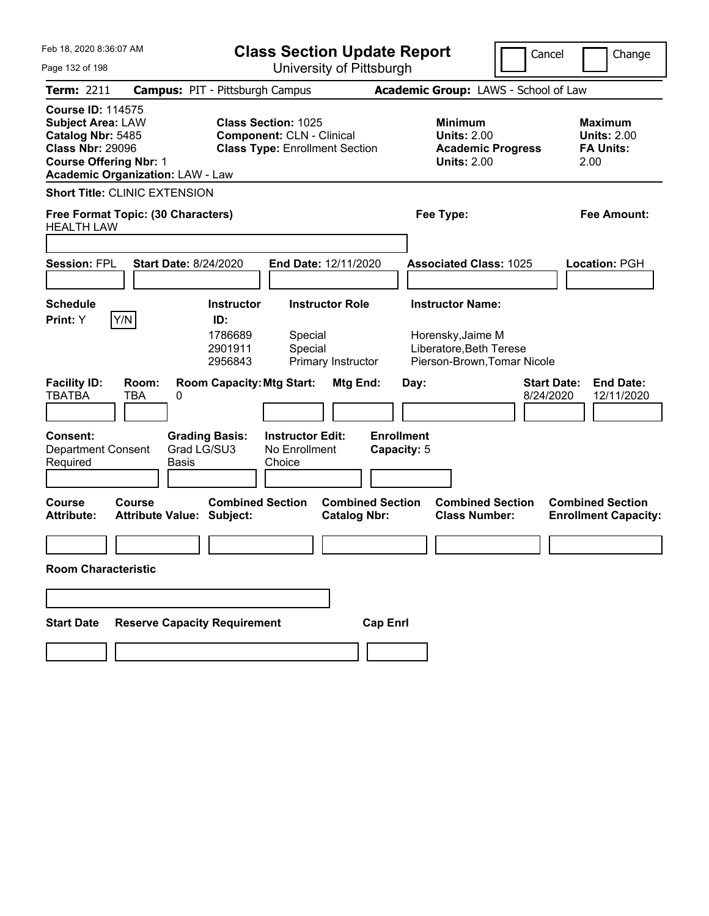| Feb 18, 2020 8:36:07 AM<br>Page 132 of 198                                                                                            |                                            | <b>Class Section Update Report</b><br>University of Pittsburgh |                                                                                                         |                        |                                  |      |                                                                                        | Cancel                          |      | Change                                                   |
|---------------------------------------------------------------------------------------------------------------------------------------|--------------------------------------------|----------------------------------------------------------------|---------------------------------------------------------------------------------------------------------|------------------------|----------------------------------|------|----------------------------------------------------------------------------------------|---------------------------------|------|----------------------------------------------------------|
| <b>Term: 2211</b>                                                                                                                     | <b>Campus: PIT - Pittsburgh Campus</b>     |                                                                |                                                                                                         |                        |                                  |      | Academic Group: LAWS - School of Law                                                   |                                 |      |                                                          |
| <b>Course ID: 114575</b><br><b>Subject Area: LAW</b><br>Catalog Nbr: 5485<br><b>Class Nbr: 29096</b><br><b>Course Offering Nbr: 1</b> | <b>Academic Organization: LAW - Law</b>    |                                                                | <b>Class Section: 1025</b><br><b>Component: CLN - Clinical</b><br><b>Class Type: Enrollment Section</b> |                        |                                  |      | <b>Minimum</b><br><b>Units: 2.00</b><br><b>Academic Progress</b><br><b>Units: 2.00</b> |                                 | 2.00 | <b>Maximum</b><br><b>Units: 2.00</b><br><b>FA Units:</b> |
|                                                                                                                                       | <b>Short Title: CLINIC EXTENSION</b>       |                                                                |                                                                                                         |                        |                                  |      |                                                                                        |                                 |      |                                                          |
| <b>HEALTH LAW</b>                                                                                                                     | Free Format Topic: (30 Characters)         |                                                                |                                                                                                         |                        |                                  |      | Fee Type:                                                                              |                                 |      | <b>Fee Amount:</b>                                       |
|                                                                                                                                       |                                            |                                                                |                                                                                                         |                        |                                  |      |                                                                                        |                                 |      |                                                          |
| <b>Session: FPL</b>                                                                                                                   | <b>Start Date: 8/24/2020</b>               |                                                                | End Date: 12/11/2020                                                                                    |                        |                                  |      | <b>Associated Class: 1025</b>                                                          |                                 |      | <b>Location: PGH</b>                                     |
| <b>Schedule</b>                                                                                                                       |                                            | Instructor                                                     |                                                                                                         | <b>Instructor Role</b> |                                  |      | <b>Instructor Name:</b>                                                                |                                 |      |                                                          |
| Print: Y                                                                                                                              | Y/N                                        | ID:<br>1786689<br>2901911<br>2956843                           | Special<br>Special                                                                                      | Primary Instructor     |                                  |      | Horensky, Jaime M<br>Liberatore, Beth Terese<br>Pierson-Brown, Tomar Nicole            |                                 |      |                                                          |
| <b>Facility ID:</b><br><b>TBATBA</b>                                                                                                  | Room:<br>TBA<br>0                          | <b>Room Capacity: Mtg Start:</b>                               |                                                                                                         | Mtg End:               |                                  | Day: |                                                                                        | <b>Start Date:</b><br>8/24/2020 |      | <b>End Date:</b><br>12/11/2020                           |
| Consent:<br><b>Department Consent</b><br>Required                                                                                     | Grad LG/SU3<br><b>Basis</b>                | <b>Grading Basis:</b>                                          | <b>Instructor Edit:</b><br>No Enrollment<br>Choice                                                      |                        | <b>Enrollment</b><br>Capacity: 5 |      |                                                                                        |                                 |      |                                                          |
| <b>Course</b><br><b>Attribute:</b>                                                                                                    | Course<br><b>Attribute Value: Subject:</b> | <b>Combined Section</b>                                        |                                                                                                         | <b>Catalog Nbr:</b>    | <b>Combined Section</b>          |      | <b>Combined Section</b><br><b>Class Number:</b>                                        |                                 |      | <b>Combined Section</b><br><b>Enrollment Capacity:</b>   |
| <b>Room Characteristic</b>                                                                                                            |                                            |                                                                |                                                                                                         |                        |                                  |      |                                                                                        |                                 |      |                                                          |
|                                                                                                                                       |                                            |                                                                |                                                                                                         |                        |                                  |      |                                                                                        |                                 |      |                                                          |
| <b>Start Date</b>                                                                                                                     | <b>Reserve Capacity Requirement</b>        |                                                                |                                                                                                         |                        | <b>Cap Enrl</b>                  |      |                                                                                        |                                 |      |                                                          |
|                                                                                                                                       |                                            |                                                                |                                                                                                         |                        |                                  |      |                                                                                        |                                 |      |                                                          |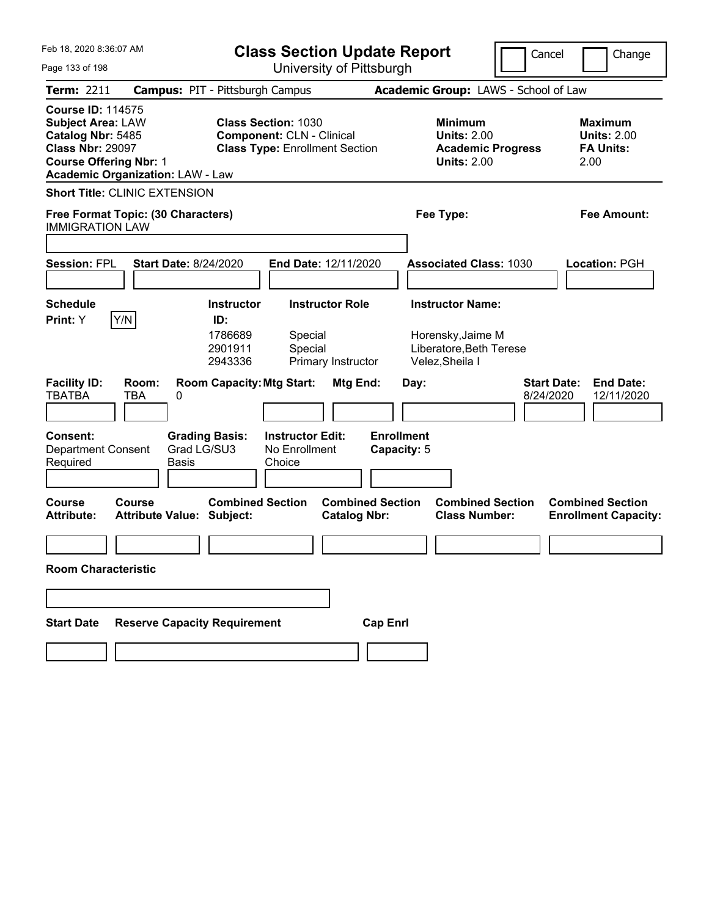| Feb 18, 2020 8:36:07 AM<br>Page 133 of 198                                                                                                                                       | <b>Class Section Update Report</b>                                                                      | University of Pittsburgh                       |                                                                                        | Cancel                          | Change                                                           |
|----------------------------------------------------------------------------------------------------------------------------------------------------------------------------------|---------------------------------------------------------------------------------------------------------|------------------------------------------------|----------------------------------------------------------------------------------------|---------------------------------|------------------------------------------------------------------|
| <b>Term: 2211</b>                                                                                                                                                                | <b>Campus: PIT - Pittsburgh Campus</b>                                                                  |                                                | Academic Group: LAWS - School of Law                                                   |                                 |                                                                  |
| <b>Course ID: 114575</b><br><b>Subject Area: LAW</b><br>Catalog Nbr: 5485<br><b>Class Nbr: 29097</b><br><b>Course Offering Nbr: 1</b><br><b>Academic Organization: LAW - Law</b> | <b>Class Section: 1030</b><br><b>Component: CLN - Clinical</b><br><b>Class Type: Enrollment Section</b> |                                                | <b>Minimum</b><br><b>Units: 2.00</b><br><b>Academic Progress</b><br><b>Units: 2.00</b> |                                 | <b>Maximum</b><br><b>Units: 2.00</b><br><b>FA Units:</b><br>2.00 |
| <b>Short Title: CLINIC EXTENSION</b>                                                                                                                                             |                                                                                                         |                                                |                                                                                        |                                 |                                                                  |
| Free Format Topic: (30 Characters)<br><b>IMMIGRATION LAW</b>                                                                                                                     |                                                                                                         |                                                | Fee Type:                                                                              |                                 | <b>Fee Amount:</b>                                               |
|                                                                                                                                                                                  |                                                                                                         |                                                |                                                                                        |                                 |                                                                  |
| <b>Start Date: 8/24/2020</b><br><b>Session: FPL</b>                                                                                                                              | End Date: 12/11/2020                                                                                    |                                                | <b>Associated Class: 1030</b>                                                          |                                 | <b>Location: PGH</b>                                             |
| <b>Schedule</b>                                                                                                                                                                  | <b>Instructor Role</b><br><b>Instructor</b>                                                             |                                                | <b>Instructor Name:</b>                                                                |                                 |                                                                  |
| Y/N<br>Print: Y                                                                                                                                                                  | ID:<br>1786689<br>Special<br>2901911<br>Special<br>2943336<br>Primary Instructor                        |                                                | Horensky, Jaime M<br>Liberatore, Beth Terese<br>Velez, Sheila I                        |                                 |                                                                  |
| <b>Facility ID:</b><br>Room:<br>TBA<br><b>TBATBA</b><br>0                                                                                                                        | <b>Room Capacity: Mtg Start:</b>                                                                        | Mtg End:<br>Day:                               |                                                                                        | <b>Start Date:</b><br>8/24/2020 | <b>End Date:</b><br>12/11/2020                                   |
| Consent:<br>Grad LG/SU3<br><b>Department Consent</b><br>Required<br><b>Basis</b>                                                                                                 | <b>Grading Basis:</b><br><b>Instructor Edit:</b><br>No Enrollment<br>Choice                             | <b>Enrollment</b><br>Capacity: 5               |                                                                                        |                                 |                                                                  |
|                                                                                                                                                                                  |                                                                                                         |                                                |                                                                                        |                                 |                                                                  |
| <b>Course</b><br><b>Course</b><br><b>Attribute Value: Subject:</b><br><b>Attribute:</b>                                                                                          | <b>Combined Section</b>                                                                                 | <b>Combined Section</b><br><b>Catalog Nbr:</b> | <b>Combined Section</b><br><b>Class Number:</b>                                        |                                 | <b>Combined Section</b><br><b>Enrollment Capacity:</b>           |
|                                                                                                                                                                                  |                                                                                                         |                                                |                                                                                        |                                 |                                                                  |
| <b>Room Characteristic</b>                                                                                                                                                       |                                                                                                         |                                                |                                                                                        |                                 |                                                                  |
|                                                                                                                                                                                  |                                                                                                         |                                                |                                                                                        |                                 |                                                                  |
| <b>Reserve Capacity Requirement</b><br><b>Start Date</b>                                                                                                                         |                                                                                                         | <b>Cap Enrl</b>                                |                                                                                        |                                 |                                                                  |
|                                                                                                                                                                                  |                                                                                                         |                                                |                                                                                        |                                 |                                                                  |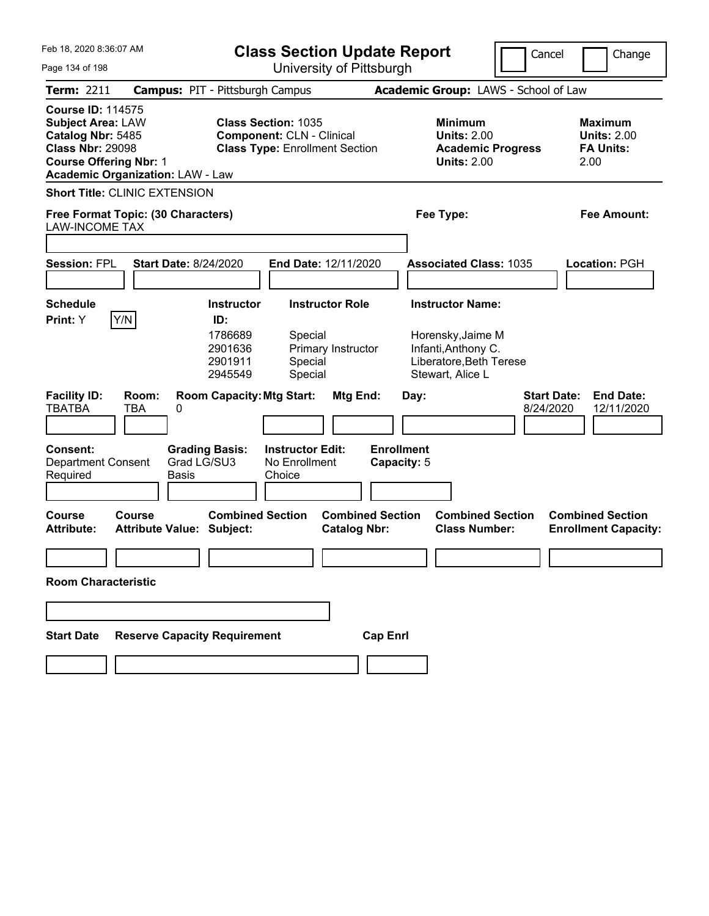| Feb 18, 2020 8:36:07 AM<br><b>Class Section Update Report</b>                                                                                                                    |                                                                                               |                                                                                                         |                                                                                                                    | Cancel<br>Change                                                  |
|----------------------------------------------------------------------------------------------------------------------------------------------------------------------------------|-----------------------------------------------------------------------------------------------|---------------------------------------------------------------------------------------------------------|--------------------------------------------------------------------------------------------------------------------|-------------------------------------------------------------------|
| Page 134 of 198                                                                                                                                                                  |                                                                                               | University of Pittsburgh                                                                                |                                                                                                                    |                                                                   |
| Term: 2211                                                                                                                                                                       | <b>Campus: PIT - Pittsburgh Campus</b>                                                        |                                                                                                         | Academic Group: LAWS - School of Law                                                                               |                                                                   |
| <b>Course ID: 114575</b><br><b>Subject Area: LAW</b><br>Catalog Nbr: 5485<br><b>Class Nbr: 29098</b><br><b>Course Offering Nbr: 1</b><br><b>Academic Organization: LAW - Law</b> |                                                                                               | <b>Class Section: 1035</b><br><b>Component: CLN - Clinical</b><br><b>Class Type: Enrollment Section</b> | <b>Minimum</b><br><b>Units: 2.00</b><br><b>Academic Progress</b><br><b>Units: 2.00</b>                             | <b>Maximum</b><br><b>Units: 2.00</b><br><b>FA Units:</b><br>2.00  |
| <b>Short Title: CLINIC EXTENSION</b>                                                                                                                                             |                                                                                               |                                                                                                         |                                                                                                                    |                                                                   |
| Free Format Topic: (30 Characters)<br><b>LAW-INCOME TAX</b>                                                                                                                      |                                                                                               |                                                                                                         | Fee Type:                                                                                                          | Fee Amount:                                                       |
| <b>Session: FPL</b>                                                                                                                                                              | <b>Start Date: 8/24/2020</b>                                                                  | End Date: 12/11/2020                                                                                    | <b>Associated Class: 1035</b>                                                                                      | <b>Location: PGH</b>                                              |
| <b>Schedule</b><br>Y/N<br>Print: Y                                                                                                                                               | <b>Instructor</b><br>ID:<br>1786689<br>2901636<br>2901911<br>2945549                          | <b>Instructor Role</b><br>Special<br>Primary Instructor<br>Special<br>Special                           | <b>Instructor Name:</b><br>Horensky, Jaime M<br>Infanti, Anthony C.<br>Liberatore, Beth Terese<br>Stewart, Alice L |                                                                   |
| <b>Facility ID:</b><br>Room:<br><b>TBATBA</b><br>TBA<br>Consent:<br><b>Department Consent</b><br>Required                                                                        | <b>Room Capacity: Mtg Start:</b><br>0<br><b>Grading Basis:</b><br>Grad LG/SU3<br><b>Basis</b> | Mtg End:<br><b>Instructor Edit:</b><br>No Enrollment<br>Choice                                          | Day:<br><b>Enrollment</b><br>Capacity: 5                                                                           | <b>End Date:</b><br><b>Start Date:</b><br>8/24/2020<br>12/11/2020 |
| <b>Course</b><br><b>Course</b><br><b>Attribute:</b>                                                                                                                              | <b>Attribute Value: Subject:</b>                                                              | <b>Combined Section</b><br><b>Combined Section</b><br><b>Catalog Nbr:</b>                               | <b>Combined Section</b><br><b>Class Number:</b>                                                                    | <b>Combined Section</b><br><b>Enrollment Capacity:</b>            |
| <b>Room Characteristic</b>                                                                                                                                                       |                                                                                               |                                                                                                         |                                                                                                                    |                                                                   |
|                                                                                                                                                                                  |                                                                                               |                                                                                                         |                                                                                                                    |                                                                   |
| <b>Start Date</b>                                                                                                                                                                | <b>Reserve Capacity Requirement</b>                                                           | <b>Cap Enrl</b>                                                                                         |                                                                                                                    |                                                                   |
|                                                                                                                                                                                  |                                                                                               |                                                                                                         |                                                                                                                    |                                                                   |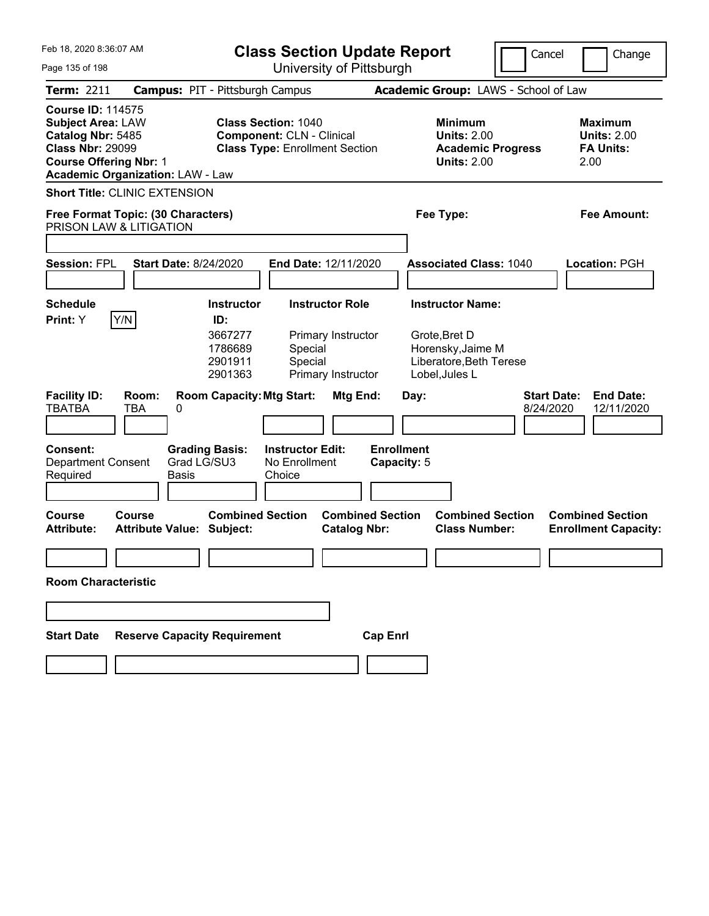| Feb 18, 2020 8:36:07 AM                                                                                                                                                          | <b>Class Section Update Report</b>                                                                                                                               | Cancel                                                                                                     | Change                                                           |
|----------------------------------------------------------------------------------------------------------------------------------------------------------------------------------|------------------------------------------------------------------------------------------------------------------------------------------------------------------|------------------------------------------------------------------------------------------------------------|------------------------------------------------------------------|
| Page 135 of 198                                                                                                                                                                  | University of Pittsburgh                                                                                                                                         |                                                                                                            |                                                                  |
| <b>Term: 2211</b>                                                                                                                                                                | <b>Campus: PIT - Pittsburgh Campus</b>                                                                                                                           | Academic Group: LAWS - School of Law                                                                       |                                                                  |
| <b>Course ID: 114575</b><br><b>Subject Area: LAW</b><br>Catalog Nbr: 5485<br><b>Class Nbr: 29099</b><br><b>Course Offering Nbr: 1</b><br><b>Academic Organization: LAW - Law</b> | <b>Class Section: 1040</b><br><b>Component: CLN - Clinical</b><br><b>Class Type: Enrollment Section</b>                                                          | <b>Minimum</b><br><b>Units: 2.00</b><br><b>Academic Progress</b><br><b>Units: 2.00</b>                     | <b>Maximum</b><br><b>Units: 2.00</b><br><b>FA Units:</b><br>2.00 |
| <b>Short Title: CLINIC EXTENSION</b>                                                                                                                                             |                                                                                                                                                                  |                                                                                                            |                                                                  |
| Free Format Topic: (30 Characters)<br>PRISON LAW & LITIGATION                                                                                                                    |                                                                                                                                                                  | Fee Type:                                                                                                  | Fee Amount:                                                      |
| <b>Session: FPL</b><br><b>Start Date: 8/24/2020</b>                                                                                                                              | End Date: 12/11/2020                                                                                                                                             | <b>Associated Class: 1040</b>                                                                              | Location: PGH                                                    |
| <b>Schedule</b><br>Y/N<br>Print: Y                                                                                                                                               | <b>Instructor Role</b><br><b>Instructor</b><br>ID:<br>3667277<br>Primary Instructor<br>1786689<br>Special<br>2901911<br>Special<br>2901363<br>Primary Instructor | <b>Instructor Name:</b><br>Grote, Bret D<br>Horensky, Jaime M<br>Liberatore, Beth Terese<br>Lobel, Jules L |                                                                  |
| <b>Facility ID:</b><br>Room:<br><b>TBATBA</b><br>TBA<br>0<br>Consent:<br><b>Department Consent</b><br>Required<br><b>Basis</b>                                                   | <b>Room Capacity: Mtg Start:</b><br>Mtg End:<br><b>Grading Basis:</b><br><b>Instructor Edit:</b><br>Grad LG/SU3<br>No Enrollment<br>Choice                       | <b>Start Date:</b><br>Day:<br>8/24/2020<br><b>Enrollment</b><br>Capacity: 5                                | <b>End Date:</b><br>12/11/2020                                   |
| Course<br>Course<br><b>Attribute Value: Subject:</b><br><b>Attribute:</b>                                                                                                        | <b>Combined Section</b><br><b>Combined Section</b><br><b>Catalog Nbr:</b>                                                                                        | <b>Combined Section</b><br><b>Class Number:</b>                                                            | <b>Combined Section</b><br><b>Enrollment Capacity:</b>           |
| <b>Room Characteristic</b>                                                                                                                                                       |                                                                                                                                                                  |                                                                                                            |                                                                  |
|                                                                                                                                                                                  |                                                                                                                                                                  |                                                                                                            |                                                                  |
| <b>Reserve Capacity Requirement</b><br><b>Start Date</b>                                                                                                                         | <b>Cap Enrl</b>                                                                                                                                                  |                                                                                                            |                                                                  |
|                                                                                                                                                                                  |                                                                                                                                                                  |                                                                                                            |                                                                  |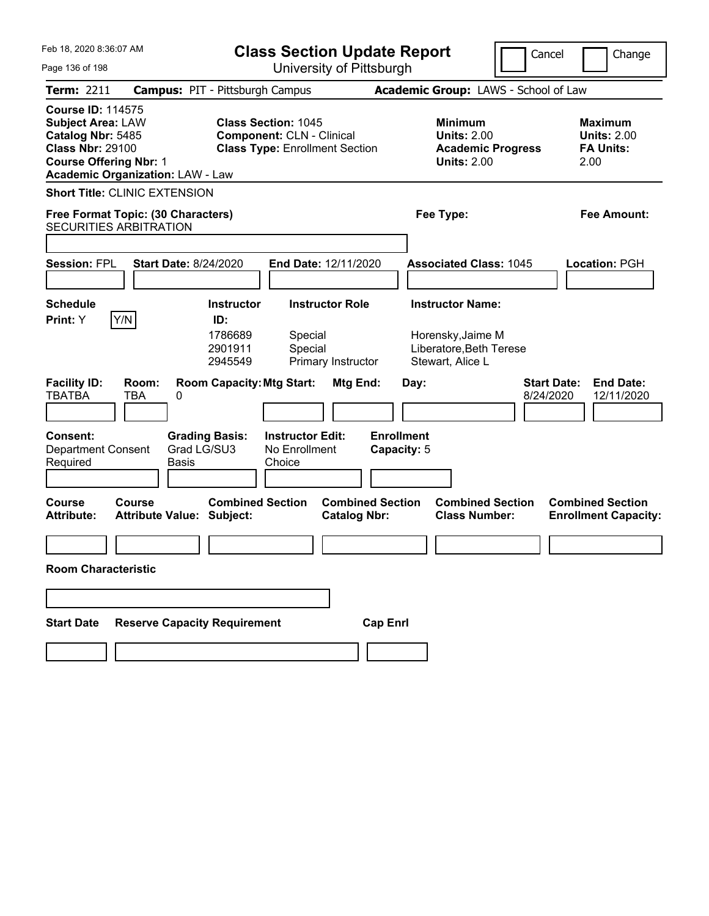| Feb 18, 2020 8:36:07 AM<br><b>Class Section Update Report</b>                                                                         |                                                                     |                                                           |                                                                                                         |                                              |                                  | Cancel |                                                                                             | Change                          |                                                                  |  |
|---------------------------------------------------------------------------------------------------------------------------------------|---------------------------------------------------------------------|-----------------------------------------------------------|---------------------------------------------------------------------------------------------------------|----------------------------------------------|----------------------------------|--------|---------------------------------------------------------------------------------------------|---------------------------------|------------------------------------------------------------------|--|
| Page 136 of 198                                                                                                                       |                                                                     |                                                           | University of Pittsburgh                                                                                |                                              |                                  |        |                                                                                             |                                 |                                                                  |  |
| <b>Term: 2211</b>                                                                                                                     | <b>Campus: PIT - Pittsburgh Campus</b>                              |                                                           |                                                                                                         |                                              |                                  |        | Academic Group: LAWS - School of Law                                                        |                                 |                                                                  |  |
| <b>Course ID: 114575</b><br><b>Subject Area: LAW</b><br>Catalog Nbr: 5485<br><b>Class Nbr: 29100</b><br><b>Course Offering Nbr: 1</b> | <b>Academic Organization: LAW - Law</b>                             |                                                           | <b>Class Section: 1045</b><br><b>Component: CLN - Clinical</b><br><b>Class Type: Enrollment Section</b> |                                              |                                  |        | <b>Minimum</b><br><b>Units: 2.00</b><br><b>Academic Progress</b><br><b>Units: 2.00</b>      |                                 | <b>Maximum</b><br><b>Units: 2.00</b><br><b>FA Units:</b><br>2.00 |  |
|                                                                                                                                       | <b>Short Title: CLINIC EXTENSION</b>                                |                                                           |                                                                                                         |                                              |                                  |        |                                                                                             |                                 |                                                                  |  |
|                                                                                                                                       | Free Format Topic: (30 Characters)<br><b>SECURITIES ARBITRATION</b> |                                                           |                                                                                                         |                                              |                                  |        | Fee Type:                                                                                   |                                 | Fee Amount:                                                      |  |
| <b>Session: FPL</b>                                                                                                                   | <b>Start Date: 8/24/2020</b>                                        |                                                           | End Date: 12/11/2020                                                                                    |                                              |                                  |        | <b>Associated Class: 1045</b>                                                               |                                 | <b>Location: PGH</b>                                             |  |
| <b>Schedule</b><br>Print: Y                                                                                                           | Y/N                                                                 | <b>Instructor</b><br>ID:<br>1786689<br>2901911<br>2945549 | Special<br>Special                                                                                      | <b>Instructor Role</b><br>Primary Instructor |                                  |        | <b>Instructor Name:</b><br>Horensky, Jaime M<br>Liberatore, Beth Terese<br>Stewart, Alice L |                                 |                                                                  |  |
| <b>Facility ID:</b><br><b>TBATBA</b>                                                                                                  | Room:<br><b>TBA</b><br>0                                            | <b>Room Capacity: Mtg Start:</b>                          |                                                                                                         | Mtg End:                                     |                                  | Day:   |                                                                                             | <b>Start Date:</b><br>8/24/2020 | <b>End Date:</b><br>12/11/2020                                   |  |
| Consent:<br><b>Department Consent</b><br>Required                                                                                     | Grad LG/SU3<br><b>Basis</b>                                         | <b>Grading Basis:</b>                                     | <b>Instructor Edit:</b><br>No Enrollment<br>Choice                                                      |                                              | <b>Enrollment</b><br>Capacity: 5 |        |                                                                                             |                                 |                                                                  |  |
| Course<br><b>Attribute:</b>                                                                                                           | Course<br><b>Attribute Value: Subject:</b>                          | <b>Combined Section</b>                                   |                                                                                                         | <b>Catalog Nbr:</b>                          | <b>Combined Section</b>          |        | <b>Combined Section</b><br><b>Class Number:</b>                                             |                                 | <b>Combined Section</b><br><b>Enrollment Capacity:</b>           |  |
| <b>Room Characteristic</b>                                                                                                            |                                                                     |                                                           |                                                                                                         |                                              |                                  |        |                                                                                             |                                 |                                                                  |  |
|                                                                                                                                       |                                                                     |                                                           |                                                                                                         |                                              |                                  |        |                                                                                             |                                 |                                                                  |  |
| <b>Start Date</b>                                                                                                                     | <b>Reserve Capacity Requirement</b>                                 |                                                           |                                                                                                         |                                              | <b>Cap Enrl</b>                  |        |                                                                                             |                                 |                                                                  |  |
|                                                                                                                                       |                                                                     |                                                           |                                                                                                         |                                              |                                  |        |                                                                                             |                                 |                                                                  |  |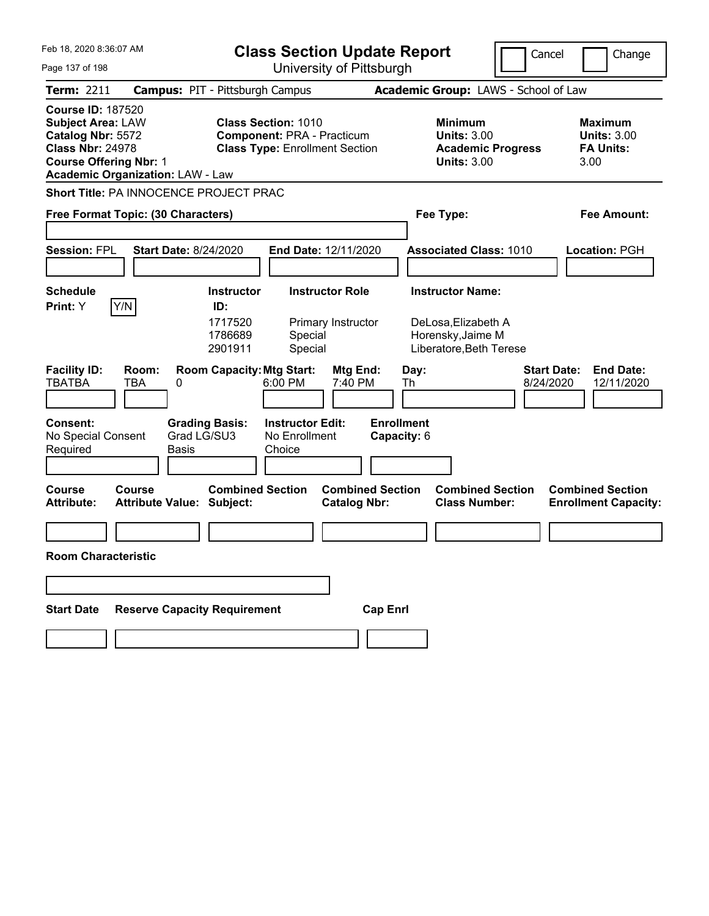| Feb 18, 2020 8:36:07 AM                                                                                                                                                          |                                                             | <b>Class Section Update Report</b>                                                                       |                                  |                                                                                 | Cancel                          | Change                                                    |
|----------------------------------------------------------------------------------------------------------------------------------------------------------------------------------|-------------------------------------------------------------|----------------------------------------------------------------------------------------------------------|----------------------------------|---------------------------------------------------------------------------------|---------------------------------|-----------------------------------------------------------|
| Page 137 of 198                                                                                                                                                                  |                                                             | University of Pittsburgh                                                                                 |                                  |                                                                                 |                                 |                                                           |
| <b>Term: 2211</b>                                                                                                                                                                | <b>Campus: PIT - Pittsburgh Campus</b>                      |                                                                                                          |                                  | Academic Group: LAWS - School of Law                                            |                                 |                                                           |
| <b>Course ID: 187520</b><br><b>Subject Area: LAW</b><br>Catalog Nbr: 5572<br><b>Class Nbr: 24978</b><br><b>Course Offering Nbr: 1</b><br><b>Academic Organization: LAW - Law</b> |                                                             | <b>Class Section: 1010</b><br><b>Component: PRA - Practicum</b><br><b>Class Type: Enrollment Section</b> |                                  | Minimum<br><b>Units: 3.00</b><br><b>Academic Progress</b><br><b>Units: 3.00</b> |                                 | Maximum<br><b>Units: 3.00</b><br><b>FA Units:</b><br>3.00 |
|                                                                                                                                                                                  | Short Title: PA INNOCENCE PROJECT PRAC                      |                                                                                                          |                                  |                                                                                 |                                 |                                                           |
| Free Format Topic: (30 Characters)                                                                                                                                               |                                                             |                                                                                                          |                                  | Fee Type:                                                                       |                                 | Fee Amount:                                               |
|                                                                                                                                                                                  |                                                             |                                                                                                          |                                  |                                                                                 |                                 |                                                           |
| <b>Session: FPL</b>                                                                                                                                                              | <b>Start Date: 8/24/2020</b>                                | <b>End Date: 12/11/2020</b>                                                                              |                                  | <b>Associated Class: 1010</b>                                                   |                                 | Location: PGH                                             |
|                                                                                                                                                                                  |                                                             |                                                                                                          |                                  |                                                                                 |                                 |                                                           |
| <b>Schedule</b>                                                                                                                                                                  | <b>Instructor</b>                                           | <b>Instructor Role</b>                                                                                   |                                  | <b>Instructor Name:</b>                                                         |                                 |                                                           |
| Y/N<br>Print: Y                                                                                                                                                                  | ID:<br>1717520<br>1786689<br>2901911                        | Primary Instructor<br>Special<br>Special                                                                 |                                  | DeLosa, Elizabeth A<br>Horensky, Jaime M<br>Liberatore, Beth Terese             |                                 |                                                           |
| <b>Facility ID:</b><br>Room:<br><b>TBATBA</b><br>TBA                                                                                                                             | <b>Room Capacity: Mtg Start:</b><br>0                       | Mtg End:<br>6:00 PM<br>7:40 PM                                                                           |                                  | Day:<br>Th                                                                      | <b>Start Date:</b><br>8/24/2020 | <b>End Date:</b><br>12/11/2020                            |
| <b>Consent:</b><br>No Special Consent<br>Required                                                                                                                                | <b>Grading Basis:</b><br>Grad LG/SU3<br><b>Basis</b>        | <b>Instructor Edit:</b><br>No Enrollment<br>Choice                                                       | <b>Enrollment</b><br>Capacity: 6 |                                                                                 |                                 |                                                           |
| Course<br>Course<br><b>Attribute:</b>                                                                                                                                            | <b>Combined Section</b><br><b>Attribute Value: Subject:</b> | <b>Catalog Nbr:</b>                                                                                      | <b>Combined Section</b>          | <b>Combined Section</b><br><b>Class Number:</b>                                 |                                 | <b>Combined Section</b><br><b>Enrollment Capacity:</b>    |
|                                                                                                                                                                                  |                                                             |                                                                                                          |                                  |                                                                                 |                                 |                                                           |
| <b>Room Characteristic</b>                                                                                                                                                       |                                                             |                                                                                                          |                                  |                                                                                 |                                 |                                                           |
|                                                                                                                                                                                  |                                                             |                                                                                                          |                                  |                                                                                 |                                 |                                                           |
| <b>Start Date</b>                                                                                                                                                                | <b>Reserve Capacity Requirement</b>                         |                                                                                                          | <b>Cap Enrl</b>                  |                                                                                 |                                 |                                                           |
|                                                                                                                                                                                  |                                                             |                                                                                                          |                                  |                                                                                 |                                 |                                                           |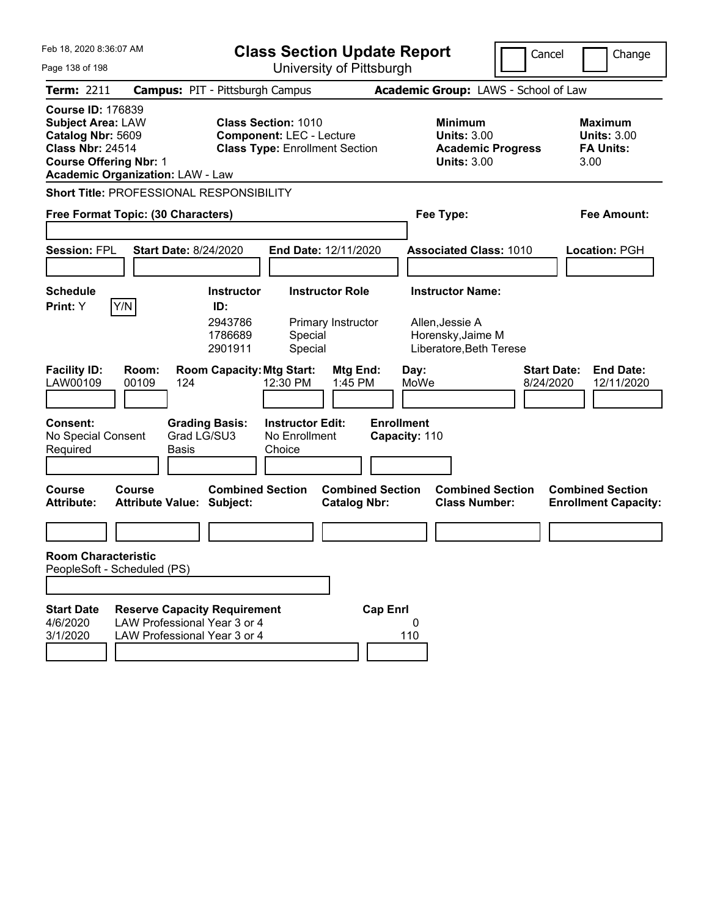| Feb 18, 2020 8:36:07 AM<br>Page 138 of 198                                                                                                                                       | <b>Class Section Update Report</b><br>University of Pittsburgh                                                                   |                                                                                 | Cancel<br>Change                                          |
|----------------------------------------------------------------------------------------------------------------------------------------------------------------------------------|----------------------------------------------------------------------------------------------------------------------------------|---------------------------------------------------------------------------------|-----------------------------------------------------------|
| <b>Term: 2211</b>                                                                                                                                                                | <b>Campus: PIT - Pittsburgh Campus</b>                                                                                           | Academic Group: LAWS - School of Law                                            |                                                           |
| <b>Course ID: 176839</b><br><b>Subject Area: LAW</b><br>Catalog Nbr: 5609<br><b>Class Nbr: 24514</b><br><b>Course Offering Nbr: 1</b><br><b>Academic Organization: LAW - Law</b> | <b>Class Section: 1010</b><br><b>Component: LEC - Lecture</b><br><b>Class Type: Enrollment Section</b>                           | Minimum<br><b>Units: 3.00</b><br><b>Academic Progress</b><br><b>Units: 3.00</b> | Maximum<br><b>Units: 3.00</b><br><b>FA Units:</b><br>3.00 |
| Short Title: PROFESSIONAL RESPONSIBILITY                                                                                                                                         |                                                                                                                                  |                                                                                 |                                                           |
| Free Format Topic: (30 Characters)                                                                                                                                               |                                                                                                                                  | Fee Type:                                                                       | Fee Amount:                                               |
| <b>Session: FPL</b><br><b>Start Date: 8/24/2020</b>                                                                                                                              | <b>End Date: 12/11/2020</b>                                                                                                      | <b>Associated Class: 1010</b>                                                   | Location: PGH                                             |
| <b>Schedule</b>                                                                                                                                                                  | <b>Instructor Role</b><br><b>Instructor</b>                                                                                      | <b>Instructor Name:</b>                                                         |                                                           |
| Y/N<br>Print: Y<br><b>Facility ID:</b><br>Room:                                                                                                                                  | ID:<br>2943786<br>Primary Instructor<br>1786689<br>Special<br>Special<br>2901911<br><b>Room Capacity: Mtg Start:</b><br>Mtg End: | Allen, Jessie A<br>Horensky, Jaime M<br>Liberatore, Beth Terese<br>Day:         | <b>Start Date:</b><br><b>End Date:</b>                    |
| LAW00109<br>00109<br>124                                                                                                                                                         | 12:30 PM<br>1:45 PM                                                                                                              | MoWe                                                                            | 8/24/2020<br>12/11/2020                                   |
| <b>Consent:</b><br>Grad LG/SU3<br>No Special Consent<br>Required<br>Basis                                                                                                        | <b>Grading Basis:</b><br><b>Instructor Edit:</b><br>No Enrollment<br>Choice                                                      | <b>Enrollment</b><br>Capacity: 110                                              |                                                           |
| Course<br>Course<br><b>Attribute:</b><br><b>Attribute Value: Subject:</b>                                                                                                        | <b>Combined Section</b><br><b>Combined Section</b><br><b>Catalog Nbr:</b>                                                        | <b>Combined Section</b><br><b>Class Number:</b>                                 | <b>Combined Section</b><br><b>Enrollment Capacity:</b>    |
|                                                                                                                                                                                  |                                                                                                                                  |                                                                                 |                                                           |
| <b>Room Characteristic</b><br>PeopleSoft - Scheduled (PS)                                                                                                                        |                                                                                                                                  |                                                                                 |                                                           |
|                                                                                                                                                                                  |                                                                                                                                  |                                                                                 |                                                           |
| <b>Start Date</b><br><b>Reserve Capacity Requirement</b><br>LAW Professional Year 3 or 4<br>4/6/2020<br>3/1/2020<br>LAW Professional Year 3 or 4                                 | <b>Cap Enrl</b>                                                                                                                  | 0<br>110                                                                        |                                                           |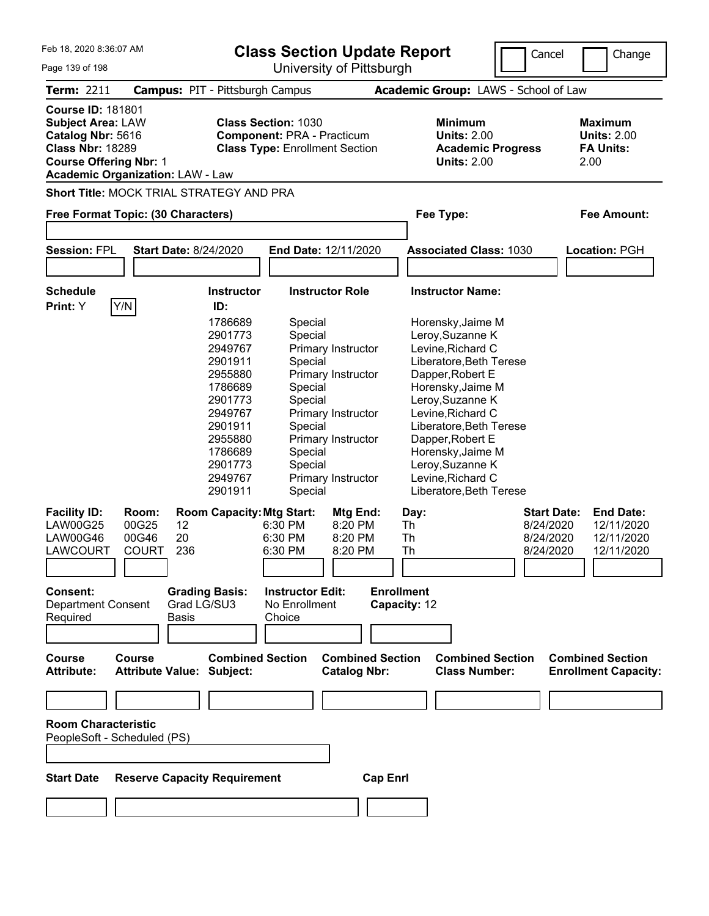| Feb 18, 2020 8:36:07 AM<br>Page 139 of 198                                                                                                                                       | <b>Class Section Update Report</b><br>University of Pittsburgh |                                  |                                                                                                          |                                                | Cancel<br>Change        |                                                                                        |                                                                  |  |
|----------------------------------------------------------------------------------------------------------------------------------------------------------------------------------|----------------------------------------------------------------|----------------------------------|----------------------------------------------------------------------------------------------------------|------------------------------------------------|-------------------------|----------------------------------------------------------------------------------------|------------------------------------------------------------------|--|
| <b>Term: 2211</b>                                                                                                                                                                | <b>Campus: PIT - Pittsburgh Campus</b>                         |                                  |                                                                                                          |                                                |                         | Academic Group: LAWS - School of Law                                                   |                                                                  |  |
| <b>Course ID: 181801</b><br><b>Subject Area: LAW</b><br>Catalog Nbr: 5616<br><b>Class Nbr: 18289</b><br><b>Course Offering Nbr: 1</b><br><b>Academic Organization: LAW - Law</b> |                                                                |                                  | <b>Class Section: 1030</b><br><b>Component: PRA - Practicum</b><br><b>Class Type: Enrollment Section</b> |                                                |                         | <b>Minimum</b><br><b>Units: 2.00</b><br><b>Academic Progress</b><br><b>Units: 2.00</b> | <b>Maximum</b><br><b>Units: 2.00</b><br><b>FA Units:</b><br>2.00 |  |
| <b>Short Title: MOCK TRIAL STRATEGY AND PRA</b>                                                                                                                                  |                                                                |                                  |                                                                                                          |                                                |                         |                                                                                        |                                                                  |  |
| Free Format Topic: (30 Characters)                                                                                                                                               |                                                                |                                  |                                                                                                          |                                                | Fee Type:               |                                                                                        | <b>Fee Amount:</b>                                               |  |
|                                                                                                                                                                                  |                                                                |                                  |                                                                                                          |                                                |                         |                                                                                        |                                                                  |  |
| <b>Session: FPL</b>                                                                                                                                                              | <b>Start Date: 8/24/2020</b>                                   |                                  | End Date: 12/11/2020                                                                                     |                                                |                         | <b>Associated Class: 1030</b>                                                          | <b>Location: PGH</b>                                             |  |
|                                                                                                                                                                                  |                                                                |                                  |                                                                                                          |                                                |                         |                                                                                        |                                                                  |  |
| <b>Schedule</b>                                                                                                                                                                  |                                                                | <b>Instructor</b>                |                                                                                                          | <b>Instructor Role</b>                         | <b>Instructor Name:</b> |                                                                                        |                                                                  |  |
| Y/N<br>Print: Y                                                                                                                                                                  |                                                                | ID:                              |                                                                                                          |                                                |                         |                                                                                        |                                                                  |  |
|                                                                                                                                                                                  |                                                                | 1786689                          | Special                                                                                                  |                                                | Horensky, Jaime M       |                                                                                        |                                                                  |  |
|                                                                                                                                                                                  |                                                                | 2901773                          | Special                                                                                                  |                                                | Leroy, Suzanne K        |                                                                                        |                                                                  |  |
|                                                                                                                                                                                  |                                                                | 2949767<br>2901911               | Special                                                                                                  | Primary Instructor                             | Levine, Richard C       | Liberatore, Beth Terese                                                                |                                                                  |  |
|                                                                                                                                                                                  |                                                                | 2955880                          |                                                                                                          | Primary Instructor                             | Dapper, Robert E        |                                                                                        |                                                                  |  |
|                                                                                                                                                                                  |                                                                | 1786689                          | Special                                                                                                  |                                                | Horensky, Jaime M       |                                                                                        |                                                                  |  |
|                                                                                                                                                                                  |                                                                | 2901773                          | Special                                                                                                  |                                                | Leroy, Suzanne K        |                                                                                        |                                                                  |  |
|                                                                                                                                                                                  |                                                                | 2949767                          |                                                                                                          | Primary Instructor                             | Levine, Richard C       |                                                                                        |                                                                  |  |
|                                                                                                                                                                                  |                                                                | 2901911                          | Special                                                                                                  |                                                |                         | Liberatore, Beth Terese                                                                |                                                                  |  |
|                                                                                                                                                                                  |                                                                | 2955880                          |                                                                                                          | Primary Instructor                             | Dapper, Robert E        |                                                                                        |                                                                  |  |
|                                                                                                                                                                                  |                                                                | 1786689                          | Special                                                                                                  |                                                | Horensky, Jaime M       |                                                                                        |                                                                  |  |
|                                                                                                                                                                                  |                                                                | 2901773                          | Special                                                                                                  |                                                | Leroy, Suzanne K        |                                                                                        |                                                                  |  |
|                                                                                                                                                                                  |                                                                | 2949767                          |                                                                                                          | Primary Instructor                             | Levine, Richard C       |                                                                                        |                                                                  |  |
|                                                                                                                                                                                  |                                                                | 2901911                          | Special                                                                                                  |                                                |                         | Liberatore, Beth Terese                                                                |                                                                  |  |
| <b>Facility ID:</b>                                                                                                                                                              | Room:                                                          | <b>Room Capacity: Mtg Start:</b> |                                                                                                          | Mtg End:                                       | Day:                    | <b>Start Date:</b>                                                                     | <b>End Date:</b>                                                 |  |
| <b>LAW00G25</b>                                                                                                                                                                  | 00G25<br>12                                                    |                                  | 6:30 PM                                                                                                  | 8:20 PM                                        | Th                      | 8/24/2020                                                                              | 12/11/2020                                                       |  |
| <b>LAW00G46</b>                                                                                                                                                                  | 20<br>00G46                                                    |                                  | 6:30 PM                                                                                                  | 8:20 PM                                        | Th                      | 8/24/2020                                                                              | 12/11/2020                                                       |  |
| LAWCOURT                                                                                                                                                                         | 236<br><b>COURT</b>                                            |                                  | 6:30 PM                                                                                                  | 8:20 PM                                        | Th                      | 8/24/2020                                                                              | 12/11/2020                                                       |  |
|                                                                                                                                                                                  |                                                                |                                  |                                                                                                          |                                                |                         |                                                                                        |                                                                  |  |
| Consent:                                                                                                                                                                         |                                                                | <b>Grading Basis:</b>            | <b>Instructor Edit:</b>                                                                                  |                                                | <b>Enrollment</b>       |                                                                                        |                                                                  |  |
| <b>Department Consent</b>                                                                                                                                                        |                                                                | Grad LG/SU3                      | No Enrollment                                                                                            |                                                | Capacity: 12            |                                                                                        |                                                                  |  |
| Required                                                                                                                                                                         | <b>Basis</b>                                                   |                                  | Choice                                                                                                   |                                                |                         |                                                                                        |                                                                  |  |
|                                                                                                                                                                                  |                                                                |                                  |                                                                                                          |                                                |                         |                                                                                        |                                                                  |  |
| <b>Course</b><br><b>Attribute:</b>                                                                                                                                               | <b>Course</b><br><b>Attribute Value: Subject:</b>              | <b>Combined Section</b>          |                                                                                                          | <b>Combined Section</b><br><b>Catalog Nbr:</b> |                         | <b>Combined Section</b><br><b>Class Number:</b>                                        | <b>Combined Section</b><br><b>Enrollment Capacity:</b>           |  |
|                                                                                                                                                                                  |                                                                |                                  |                                                                                                          |                                                |                         |                                                                                        |                                                                  |  |
|                                                                                                                                                                                  |                                                                |                                  |                                                                                                          |                                                |                         |                                                                                        |                                                                  |  |

**Room Characteristic** PeopleSoft - Scheduled (PS)

**Start Date Reserve Capacity Requirement Cap Enrl**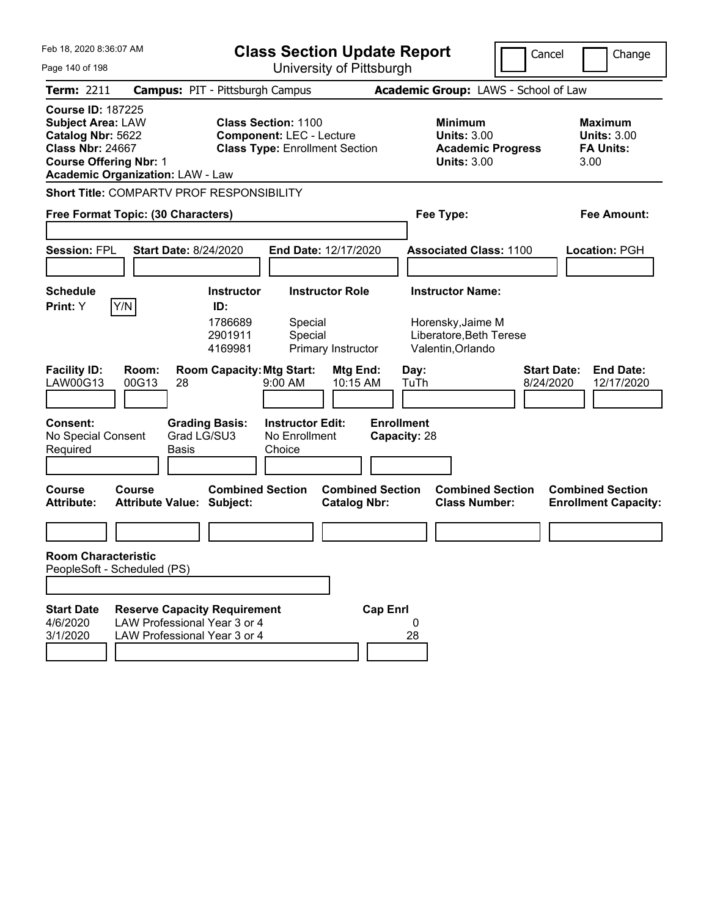| Feb 18, 2020 8:36:07 AM<br><b>Class Section Update Report</b>                                                                                                                    |                                                                                                     |                                                                          |                                                                                                        |                                                |                                   | Cancel<br>Change                                                                  |                                      |                                                                   |
|----------------------------------------------------------------------------------------------------------------------------------------------------------------------------------|-----------------------------------------------------------------------------------------------------|--------------------------------------------------------------------------|--------------------------------------------------------------------------------------------------------|------------------------------------------------|-----------------------------------|-----------------------------------------------------------------------------------|--------------------------------------|-------------------------------------------------------------------|
| Page 140 of 198                                                                                                                                                                  |                                                                                                     |                                                                          |                                                                                                        | University of Pittsburgh                       |                                   |                                                                                   |                                      |                                                                   |
| Term: 2211                                                                                                                                                                       | <b>Campus: PIT - Pittsburgh Campus</b>                                                              |                                                                          |                                                                                                        |                                                |                                   |                                                                                   | Academic Group: LAWS - School of Law |                                                                   |
| <b>Course ID: 187225</b><br><b>Subject Area: LAW</b><br>Catalog Nbr: 5622<br><b>Class Nbr: 24667</b><br><b>Course Offering Nbr: 1</b><br><b>Academic Organization: LAW - Law</b> |                                                                                                     |                                                                          | <b>Class Section: 1100</b><br><b>Component: LEC - Lecture</b><br><b>Class Type: Enrollment Section</b> |                                                |                                   | <b>Minimum</b><br><b>Units: 3.00</b><br><b>Units: 3.00</b>                        | <b>Academic Progress</b>             | <b>Maximum</b><br><b>Units: 3.00</b><br><b>FA Units:</b><br>3.00  |
| <b>Short Title: COMPARTV PROF RESPONSIBILITY</b>                                                                                                                                 |                                                                                                     |                                                                          |                                                                                                        |                                                |                                   |                                                                                   |                                      |                                                                   |
| Free Format Topic: (30 Characters)                                                                                                                                               |                                                                                                     |                                                                          |                                                                                                        |                                                |                                   | Fee Type:                                                                         |                                      | Fee Amount:                                                       |
| <b>Session: FPL</b>                                                                                                                                                              | <b>Start Date: 8/24/2020</b>                                                                        |                                                                          |                                                                                                        | End Date: 12/17/2020                           |                                   | <b>Associated Class: 1100</b>                                                     |                                      | <b>Location: PGH</b>                                              |
| <b>Schedule</b>                                                                                                                                                                  |                                                                                                     | <b>Instructor</b>                                                        |                                                                                                        | <b>Instructor Role</b>                         |                                   | <b>Instructor Name:</b>                                                           |                                      |                                                                   |
| Y/N<br>Print: Y<br><b>Facility ID:</b><br>LAW00G13                                                                                                                               | Room:<br>00G13<br>28                                                                                | ID:<br>1786689<br>2901911<br>4169981<br><b>Room Capacity: Mtg Start:</b> | Special<br>Special<br>9:00 AM                                                                          | Primary Instructor<br>Mtg End:<br>10:15 AM     |                                   | Horensky, Jaime M<br>Liberatore, Beth Terese<br>Valentin, Orlando<br>Day:<br>TuTh |                                      | <b>Start Date:</b><br><b>End Date:</b><br>8/24/2020<br>12/17/2020 |
|                                                                                                                                                                                  |                                                                                                     |                                                                          |                                                                                                        |                                                |                                   |                                                                                   |                                      |                                                                   |
| <b>Consent:</b><br>No Special Consent<br>Required                                                                                                                                | Grad LG/SU3<br><b>Basis</b>                                                                         | <b>Grading Basis:</b>                                                    | <b>Instructor Edit:</b><br>No Enrollment<br>Choice                                                     |                                                | <b>Enrollment</b><br>Capacity: 28 |                                                                                   |                                      |                                                                   |
| <b>Course</b><br><b>Attribute:</b>                                                                                                                                               | Course<br><b>Attribute Value: Subject:</b>                                                          | <b>Combined Section</b>                                                  |                                                                                                        | <b>Combined Section</b><br><b>Catalog Nbr:</b> |                                   | <b>Class Number:</b>                                                              | <b>Combined Section</b>              | <b>Combined Section</b><br><b>Enrollment Capacity:</b>            |
|                                                                                                                                                                                  |                                                                                                     |                                                                          |                                                                                                        |                                                |                                   |                                                                                   |                                      |                                                                   |
| <b>Room Characteristic</b><br>PeopleSoft - Scheduled (PS)                                                                                                                        |                                                                                                     |                                                                          |                                                                                                        |                                                |                                   |                                                                                   |                                      |                                                                   |
|                                                                                                                                                                                  |                                                                                                     |                                                                          |                                                                                                        |                                                |                                   |                                                                                   |                                      |                                                                   |
| <b>Start Date</b><br>4/6/2020<br>3/1/2020                                                                                                                                        | <b>Reserve Capacity Requirement</b><br>LAW Professional Year 3 or 4<br>LAW Professional Year 3 or 4 |                                                                          |                                                                                                        |                                                | <b>Cap Enrl</b>                   | 0<br>28                                                                           |                                      |                                                                   |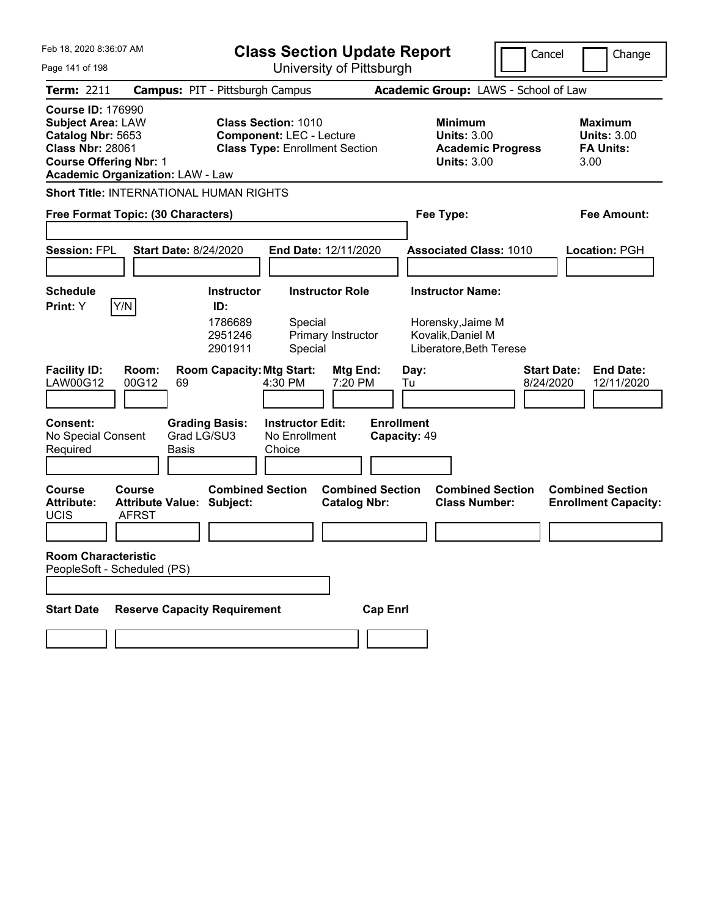| Feb 18, 2020 8:36:07 AM                                                                                                                                                          | <b>Class Section Update Report</b>                                                                     | Cancel                                                                                 | Change                                                           |
|----------------------------------------------------------------------------------------------------------------------------------------------------------------------------------|--------------------------------------------------------------------------------------------------------|----------------------------------------------------------------------------------------|------------------------------------------------------------------|
| Page 141 of 198                                                                                                                                                                  | University of Pittsburgh                                                                               |                                                                                        |                                                                  |
| <b>Term: 2211</b>                                                                                                                                                                | <b>Campus: PIT - Pittsburgh Campus</b>                                                                 | Academic Group: LAWS - School of Law                                                   |                                                                  |
| <b>Course ID: 176990</b><br><b>Subject Area: LAW</b><br>Catalog Nbr: 5653<br><b>Class Nbr: 28061</b><br><b>Course Offering Nbr: 1</b><br><b>Academic Organization: LAW - Law</b> | <b>Class Section: 1010</b><br><b>Component: LEC - Lecture</b><br><b>Class Type: Enrollment Section</b> | <b>Minimum</b><br><b>Units: 3.00</b><br><b>Academic Progress</b><br><b>Units: 3.00</b> | <b>Maximum</b><br><b>Units: 3.00</b><br><b>FA Units:</b><br>3.00 |
| <b>Short Title: INTERNATIONAL HUMAN RIGHTS</b>                                                                                                                                   |                                                                                                        |                                                                                        |                                                                  |
| Free Format Topic: (30 Characters)                                                                                                                                               |                                                                                                        | Fee Type:                                                                              | Fee Amount:                                                      |
|                                                                                                                                                                                  |                                                                                                        |                                                                                        |                                                                  |
| <b>Session: FPL</b><br><b>Start Date: 8/24/2020</b>                                                                                                                              | End Date: 12/11/2020                                                                                   | <b>Associated Class: 1010</b>                                                          | Location: PGH                                                    |
|                                                                                                                                                                                  |                                                                                                        |                                                                                        |                                                                  |
| <b>Schedule</b>                                                                                                                                                                  | <b>Instructor Role</b><br><b>Instructor</b>                                                            | <b>Instructor Name:</b>                                                                |                                                                  |
| Y/N<br>Print: Y                                                                                                                                                                  | ID:<br>1786689<br>Special<br>2951246<br>Primary Instructor<br>2901911<br>Special                       | Horensky, Jaime M<br>Kovalik, Daniel M<br>Liberatore, Beth Terese                      |                                                                  |
| <b>Facility ID:</b><br>Room:<br>LAW00G12<br>00G12<br>69                                                                                                                          | <b>Room Capacity: Mtg Start:</b><br>Mtg End:<br>4:30 PM<br>7:20 PM                                     | <b>Start Date:</b><br>Day:<br>8/24/2020<br>Tu                                          | <b>End Date:</b><br>12/11/2020                                   |
| <b>Consent:</b><br><b>Grading Basis:</b><br>Grad LG/SU3<br>No Special Consent<br>Required<br>Basis                                                                               | <b>Instructor Edit:</b><br>No Enrollment<br>Choice                                                     | <b>Enrollment</b><br>Capacity: 49                                                      |                                                                  |
| <b>Course</b><br>Course<br><b>Attribute:</b><br><b>Attribute Value: Subject:</b><br><b>UCIS</b><br><b>AFRST</b>                                                                  | <b>Combined Section</b><br><b>Combined Section</b><br><b>Catalog Nbr:</b>                              | <b>Combined Section</b><br><b>Class Number:</b>                                        | <b>Combined Section</b><br><b>Enrollment Capacity:</b>           |
|                                                                                                                                                                                  |                                                                                                        |                                                                                        |                                                                  |
| <b>Room Characteristic</b><br>PeopleSoft - Scheduled (PS)                                                                                                                        |                                                                                                        |                                                                                        |                                                                  |
|                                                                                                                                                                                  |                                                                                                        |                                                                                        |                                                                  |
| <b>Reserve Capacity Requirement</b><br><b>Start Date</b>                                                                                                                         | <b>Cap Enrl</b>                                                                                        |                                                                                        |                                                                  |
|                                                                                                                                                                                  |                                                                                                        |                                                                                        |                                                                  |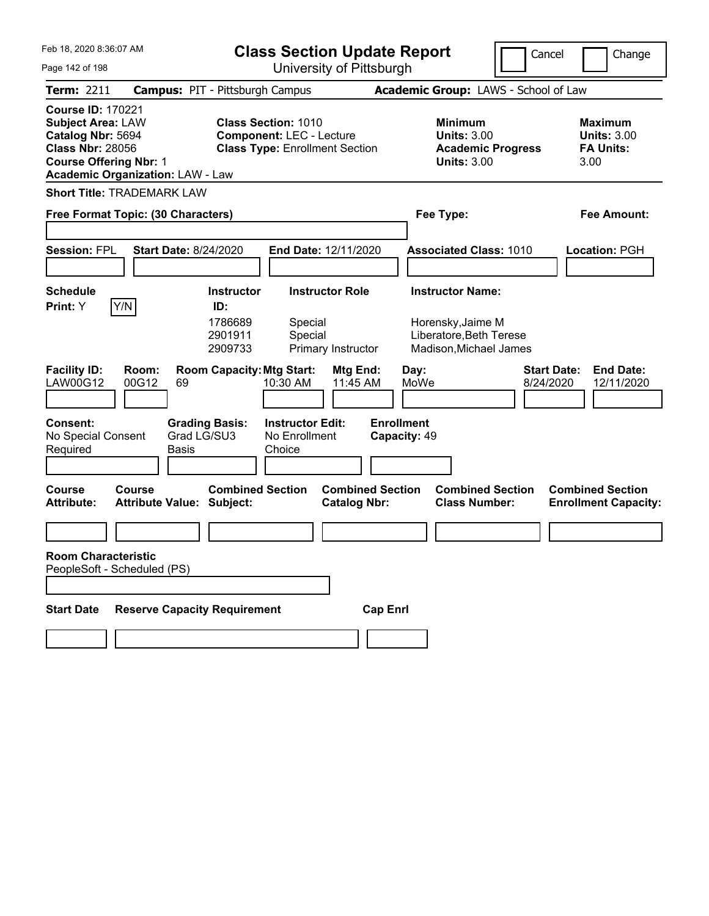| Feb 18, 2020 8:36:07 AM                                                                                                                                                          | <b>Class Section Update Report</b>                                                                     |                                                                        | Cancel                          | Change                                                           |  |
|----------------------------------------------------------------------------------------------------------------------------------------------------------------------------------|--------------------------------------------------------------------------------------------------------|------------------------------------------------------------------------|---------------------------------|------------------------------------------------------------------|--|
| Page 142 of 198                                                                                                                                                                  | University of Pittsburgh                                                                               |                                                                        |                                 |                                                                  |  |
| <b>Term: 2211</b>                                                                                                                                                                | <b>Campus: PIT - Pittsburgh Campus</b>                                                                 | Academic Group: LAWS - School of Law                                   |                                 |                                                                  |  |
| <b>Course ID: 170221</b><br><b>Subject Area: LAW</b><br>Catalog Nbr: 5694<br><b>Class Nbr: 28056</b><br><b>Course Offering Nbr: 1</b><br><b>Academic Organization: LAW - Law</b> | <b>Class Section: 1010</b><br><b>Component: LEC - Lecture</b><br><b>Class Type: Enrollment Section</b> | <b>Minimum</b><br><b>Units: 3.00</b><br><b>Units: 3.00</b>             | <b>Academic Progress</b>        | <b>Maximum</b><br><b>Units: 3.00</b><br><b>FA Units:</b><br>3.00 |  |
| <b>Short Title: TRADEMARK LAW</b>                                                                                                                                                |                                                                                                        |                                                                        |                                 |                                                                  |  |
| Free Format Topic: (30 Characters)                                                                                                                                               |                                                                                                        | Fee Type:                                                              | Fee Amount:                     |                                                                  |  |
|                                                                                                                                                                                  |                                                                                                        |                                                                        |                                 |                                                                  |  |
| <b>Session: FPL</b><br><b>Start Date: 8/24/2020</b>                                                                                                                              | End Date: 12/11/2020                                                                                   | <b>Associated Class: 1010</b>                                          |                                 | Location: PGH                                                    |  |
| <b>Schedule</b>                                                                                                                                                                  | <b>Instructor</b><br><b>Instructor Role</b>                                                            | <b>Instructor Name:</b>                                                |                                 |                                                                  |  |
| Y/N<br>Print: Y                                                                                                                                                                  | ID:<br>1786689<br>Special<br>2901911<br>Special<br>2909733<br>Primary Instructor                       | Horensky, Jaime M<br>Liberatore, Beth Terese<br>Madison, Michael James |                                 |                                                                  |  |
| <b>Facility ID:</b><br>Room:<br>LAW00G12<br>00G12<br>69                                                                                                                          | <b>Room Capacity: Mtg Start:</b><br>10:30 AM                                                           | Mtg End:<br>Day:<br>11:45 AM<br>MoWe                                   | <b>Start Date:</b><br>8/24/2020 | <b>End Date:</b><br>12/11/2020                                   |  |
| <b>Consent:</b><br>Grad LG/SU3<br>No Special Consent<br>Basis<br>Required                                                                                                        | <b>Grading Basis:</b><br><b>Instructor Edit:</b><br>No Enrollment<br>Choice                            | <b>Enrollment</b><br>Capacity: 49                                      |                                 |                                                                  |  |
| <b>Course</b><br>Course<br><b>Attribute Value: Subject:</b><br><b>Attribute:</b>                                                                                                 | <b>Combined Section</b>                                                                                | <b>Combined Section</b><br><b>Class Number:</b><br><b>Catalog Nbr:</b> | <b>Combined Section</b>         | <b>Combined Section</b><br><b>Enrollment Capacity:</b>           |  |
|                                                                                                                                                                                  |                                                                                                        |                                                                        |                                 |                                                                  |  |
| <b>Room Characteristic</b><br>PeopleSoft - Scheduled (PS)                                                                                                                        |                                                                                                        |                                                                        |                                 |                                                                  |  |
| <b>Reserve Capacity Requirement</b><br><b>Start Date</b>                                                                                                                         |                                                                                                        | <b>Cap Enrl</b>                                                        |                                 |                                                                  |  |
|                                                                                                                                                                                  |                                                                                                        |                                                                        |                                 |                                                                  |  |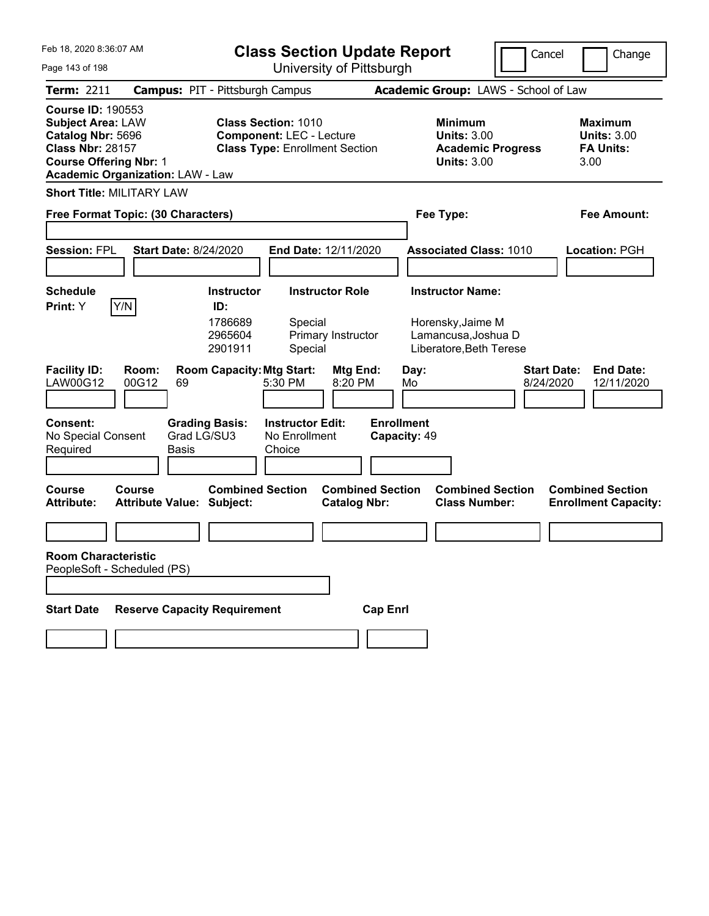| Feb 18, 2020 8:36:07 AM                                                                                                                                                          |                                                             | <b>Class Section Update Report</b>                                                                     |                                   |                                                                                        | Cancel<br>Change                                                  |
|----------------------------------------------------------------------------------------------------------------------------------------------------------------------------------|-------------------------------------------------------------|--------------------------------------------------------------------------------------------------------|-----------------------------------|----------------------------------------------------------------------------------------|-------------------------------------------------------------------|
| Page 143 of 198                                                                                                                                                                  |                                                             | University of Pittsburgh                                                                               |                                   |                                                                                        |                                                                   |
| <b>Term: 2211</b>                                                                                                                                                                | <b>Campus: PIT - Pittsburgh Campus</b>                      |                                                                                                        |                                   | Academic Group: LAWS - School of Law                                                   |                                                                   |
| <b>Course ID: 190553</b><br><b>Subject Area: LAW</b><br>Catalog Nbr: 5696<br><b>Class Nbr: 28157</b><br><b>Course Offering Nbr: 1</b><br><b>Academic Organization: LAW - Law</b> |                                                             | <b>Class Section: 1010</b><br><b>Component: LEC - Lecture</b><br><b>Class Type: Enrollment Section</b> |                                   | <b>Minimum</b><br><b>Units: 3.00</b><br><b>Academic Progress</b><br><b>Units: 3.00</b> | <b>Maximum</b><br><b>Units: 3.00</b><br><b>FA Units:</b><br>3.00  |
| <b>Short Title: MILITARY LAW</b>                                                                                                                                                 |                                                             |                                                                                                        |                                   |                                                                                        |                                                                   |
| Free Format Topic: (30 Characters)                                                                                                                                               |                                                             |                                                                                                        |                                   | Fee Type:                                                                              | Fee Amount:                                                       |
|                                                                                                                                                                                  |                                                             |                                                                                                        |                                   |                                                                                        |                                                                   |
| <b>Session: FPL</b>                                                                                                                                                              | <b>Start Date: 8/24/2020</b>                                | End Date: 12/11/2020                                                                                   |                                   | <b>Associated Class: 1010</b>                                                          | Location: PGH                                                     |
|                                                                                                                                                                                  |                                                             |                                                                                                        |                                   |                                                                                        |                                                                   |
| <b>Schedule</b>                                                                                                                                                                  | <b>Instructor</b>                                           | <b>Instructor Role</b>                                                                                 |                                   | <b>Instructor Name:</b>                                                                |                                                                   |
| Y/N<br>Print: Y                                                                                                                                                                  | ID:<br>1786689<br>2965604<br>2901911                        | Special<br>Primary Instructor<br>Special                                                               |                                   | Horensky, Jaime M<br>Lamancusa, Joshua D<br>Liberatore, Beth Terese                    |                                                                   |
| <b>Facility ID:</b><br>Room:<br>LAW00G12<br>00G12                                                                                                                                | <b>Room Capacity: Mtg Start:</b><br>69                      | <b>Mtg End:</b><br>5:30 PM<br>8:20 PM                                                                  | Day:<br>Mo                        |                                                                                        | <b>Start Date:</b><br><b>End Date:</b><br>8/24/2020<br>12/11/2020 |
| <b>Consent:</b><br>No Special Consent<br>Required                                                                                                                                | <b>Grading Basis:</b><br>Grad LG/SU3<br>Basis               | <b>Instructor Edit:</b><br>No Enrollment<br>Choice                                                     | <b>Enrollment</b><br>Capacity: 49 |                                                                                        |                                                                   |
| <b>Course</b><br>Course<br><b>Attribute:</b>                                                                                                                                     | <b>Combined Section</b><br><b>Attribute Value: Subject:</b> | <b>Catalog Nbr:</b>                                                                                    | <b>Combined Section</b>           | <b>Combined Section</b><br><b>Class Number:</b>                                        | <b>Combined Section</b><br><b>Enrollment Capacity:</b>            |
|                                                                                                                                                                                  |                                                             |                                                                                                        |                                   |                                                                                        |                                                                   |
| <b>Room Characteristic</b><br>PeopleSoft - Scheduled (PS)                                                                                                                        |                                                             |                                                                                                        |                                   |                                                                                        |                                                                   |
|                                                                                                                                                                                  |                                                             |                                                                                                        |                                   |                                                                                        |                                                                   |
| <b>Start Date</b>                                                                                                                                                                | <b>Reserve Capacity Requirement</b>                         |                                                                                                        | <b>Cap Enrl</b>                   |                                                                                        |                                                                   |
|                                                                                                                                                                                  |                                                             |                                                                                                        |                                   |                                                                                        |                                                                   |
|                                                                                                                                                                                  |                                                             |                                                                                                        |                                   |                                                                                        |                                                                   |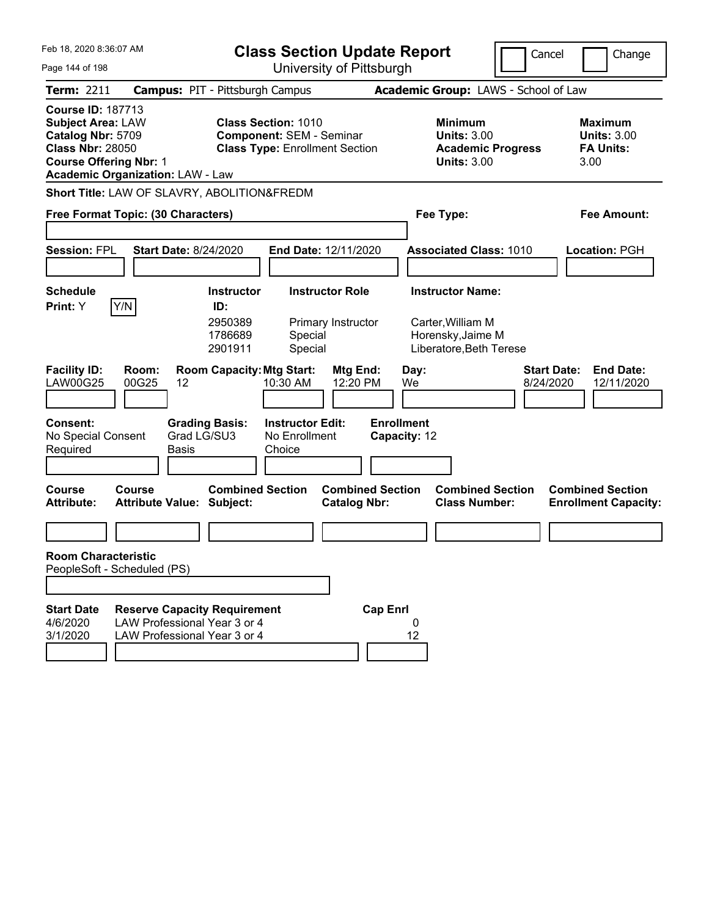| Feb 18, 2020 8:36:07 AM<br>Page 144 of 198                                                                                            |                                                                                                     |                                                           | <b>Class Section Update Report</b>                                                                     | University of Pittsburgh                     |                                   |                                                                   |                                                 | Cancel                          | Change                                                           |
|---------------------------------------------------------------------------------------------------------------------------------------|-----------------------------------------------------------------------------------------------------|-----------------------------------------------------------|--------------------------------------------------------------------------------------------------------|----------------------------------------------|-----------------------------------|-------------------------------------------------------------------|-------------------------------------------------|---------------------------------|------------------------------------------------------------------|
| <b>Term: 2211</b>                                                                                                                     | <b>Campus: PIT - Pittsburgh Campus</b>                                                              |                                                           |                                                                                                        |                                              |                                   |                                                                   | Academic Group: LAWS - School of Law            |                                 |                                                                  |
| <b>Course ID: 187713</b><br><b>Subject Area: LAW</b><br>Catalog Nbr: 5709<br><b>Class Nbr: 28050</b><br><b>Course Offering Nbr: 1</b> | <b>Academic Organization: LAW - Law</b>                                                             |                                                           | <b>Class Section: 1010</b><br><b>Component: SEM - Seminar</b><br><b>Class Type: Enrollment Section</b> |                                              |                                   | <b>Minimum</b><br><b>Units: 3.00</b><br><b>Units: 3.00</b>        | <b>Academic Progress</b>                        |                                 | <b>Maximum</b><br><b>Units: 3.00</b><br><b>FA Units:</b><br>3.00 |
|                                                                                                                                       | Short Title: LAW OF SLAVRY, ABOLITION&FREDM                                                         |                                                           |                                                                                                        |                                              |                                   |                                                                   |                                                 |                                 |                                                                  |
|                                                                                                                                       | Free Format Topic: (30 Characters)                                                                  |                                                           |                                                                                                        |                                              |                                   | Fee Type:                                                         |                                                 |                                 | <b>Fee Amount:</b>                                               |
| <b>Session: FPL</b>                                                                                                                   | <b>Start Date: 8/24/2020</b>                                                                        |                                                           | End Date: 12/11/2020                                                                                   |                                              |                                   |                                                                   | <b>Associated Class: 1010</b>                   |                                 | <b>Location: PGH</b>                                             |
| <b>Schedule</b><br>Y/N<br>Print: Y                                                                                                    |                                                                                                     | <b>Instructor</b><br>ID:<br>2950389<br>1786689<br>2901911 | Special<br>Special                                                                                     | <b>Instructor Role</b><br>Primary Instructor |                                   | <b>Instructor Name:</b><br>Carter, William M<br>Horensky, Jaime M | Liberatore, Beth Terese                         |                                 |                                                                  |
| <b>Facility ID:</b><br><b>LAW00G25</b>                                                                                                | Room:<br>00G25<br>12                                                                                | <b>Room Capacity: Mtg Start:</b>                          | 10:30 AM                                                                                               | Mtg End:<br>12:20 PM                         | We                                | Day:                                                              |                                                 | <b>Start Date:</b><br>8/24/2020 | <b>End Date:</b><br>12/11/2020                                   |
| Consent:<br>No Special Consent<br>Required                                                                                            | Grad LG/SU3<br><b>Basis</b>                                                                         | <b>Grading Basis:</b>                                     | <b>Instructor Edit:</b><br>No Enrollment<br>Choice                                                     |                                              | <b>Enrollment</b><br>Capacity: 12 |                                                                   |                                                 |                                 |                                                                  |
| Course<br><b>Attribute:</b>                                                                                                           | Course<br><b>Attribute Value: Subject:</b>                                                          | <b>Combined Section</b>                                   |                                                                                                        | <b>Catalog Nbr:</b>                          | <b>Combined Section</b>           |                                                                   | <b>Combined Section</b><br><b>Class Number:</b> |                                 | <b>Combined Section</b><br><b>Enrollment Capacity:</b>           |
|                                                                                                                                       |                                                                                                     |                                                           |                                                                                                        |                                              |                                   |                                                                   |                                                 |                                 |                                                                  |
| <b>Room Characteristic</b><br>PeopleSoft - Scheduled (PS)                                                                             |                                                                                                     |                                                           |                                                                                                        |                                              |                                   |                                                                   |                                                 |                                 |                                                                  |
|                                                                                                                                       |                                                                                                     |                                                           |                                                                                                        |                                              |                                   |                                                                   |                                                 |                                 |                                                                  |
| <b>Start Date</b><br>4/6/2020<br>3/1/2020                                                                                             | <b>Reserve Capacity Requirement</b><br>LAW Professional Year 3 or 4<br>LAW Professional Year 3 or 4 |                                                           |                                                                                                        |                                              | <b>Cap Enrl</b><br>12             | 0                                                                 |                                                 |                                 |                                                                  |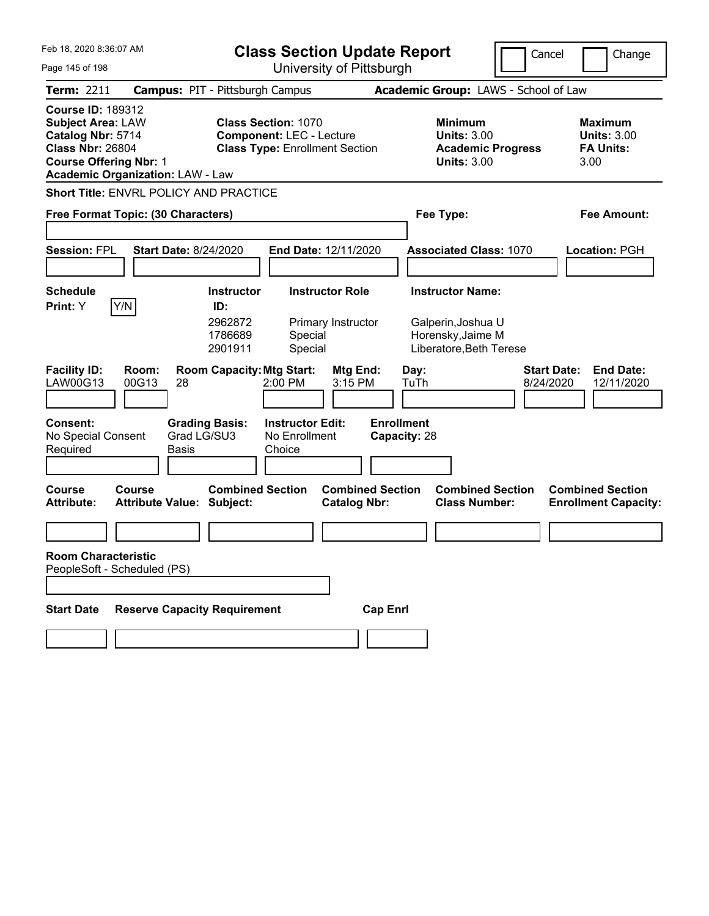| Feb 18, 2020 8:36:07 AM                                                                                                                                                          | <b>Class Section Update Report</b>                                                                     | Cancel                                                                                 | Change                                                           |
|----------------------------------------------------------------------------------------------------------------------------------------------------------------------------------|--------------------------------------------------------------------------------------------------------|----------------------------------------------------------------------------------------|------------------------------------------------------------------|
| Page 145 of 198                                                                                                                                                                  | University of Pittsburgh                                                                               |                                                                                        |                                                                  |
| <b>Term: 2211</b>                                                                                                                                                                | <b>Campus: PIT - Pittsburgh Campus</b>                                                                 | Academic Group: LAWS - School of Law                                                   |                                                                  |
| <b>Course ID: 189312</b><br><b>Subject Area: LAW</b><br>Catalog Nbr: 5714<br><b>Class Nbr: 26804</b><br><b>Course Offering Nbr: 1</b><br><b>Academic Organization: LAW - Law</b> | <b>Class Section: 1070</b><br><b>Component: LEC - Lecture</b><br><b>Class Type: Enrollment Section</b> | <b>Minimum</b><br><b>Units: 3.00</b><br><b>Academic Progress</b><br><b>Units: 3.00</b> | <b>Maximum</b><br><b>Units: 3.00</b><br><b>FA Units:</b><br>3.00 |
| <b>Short Title: ENVRL POLICY AND PRACTICE</b>                                                                                                                                    |                                                                                                        |                                                                                        |                                                                  |
| Free Format Topic: (30 Characters)                                                                                                                                               |                                                                                                        | Fee Type:                                                                              | Fee Amount:                                                      |
|                                                                                                                                                                                  |                                                                                                        |                                                                                        |                                                                  |
| <b>Session: FPL</b><br><b>Start Date: 8/24/2020</b>                                                                                                                              | End Date: 12/11/2020                                                                                   | <b>Associated Class: 1070</b>                                                          | Location: PGH                                                    |
|                                                                                                                                                                                  |                                                                                                        |                                                                                        |                                                                  |
| <b>Schedule</b>                                                                                                                                                                  | <b>Instructor Role</b><br><b>Instructor</b><br>ID:                                                     | <b>Instructor Name:</b>                                                                |                                                                  |
| Y/N<br><b>Print:</b> Y                                                                                                                                                           | 2962872<br>Primary Instructor<br>1786689<br>Special<br>Special<br>2901911                              | Galperin, Joshua U<br>Horensky, Jaime M<br>Liberatore, Beth Terese                     |                                                                  |
| <b>Facility ID:</b><br>Room:<br>LAW00G13<br>00G13<br>28                                                                                                                          | <b>Room Capacity: Mtg Start:</b><br>Mtg End:<br>2:00 PM<br>3:15 PM                                     | Day:<br>TuTh<br>8/24/2020                                                              | <b>Start Date:</b><br><b>End Date:</b><br>12/11/2020             |
| <b>Consent:</b><br><b>Grading Basis:</b><br>Grad LG/SU3<br>No Special Consent<br>Required<br>Basis                                                                               | <b>Instructor Edit:</b><br>No Enrollment<br>Choice                                                     | <b>Enrollment</b><br>Capacity: 28                                                      |                                                                  |
| <b>Course</b><br>Course<br><b>Attribute:</b><br><b>Attribute Value: Subject:</b>                                                                                                 | <b>Combined Section</b><br><b>Combined Section</b><br><b>Catalog Nbr:</b>                              | <b>Combined Section</b><br><b>Class Number:</b>                                        | <b>Combined Section</b><br><b>Enrollment Capacity:</b>           |
|                                                                                                                                                                                  |                                                                                                        |                                                                                        |                                                                  |
| <b>Room Characteristic</b><br>PeopleSoft - Scheduled (PS)                                                                                                                        |                                                                                                        |                                                                                        |                                                                  |
|                                                                                                                                                                                  |                                                                                                        |                                                                                        |                                                                  |
| <b>Reserve Capacity Requirement</b><br><b>Start Date</b>                                                                                                                         | <b>Cap Enrl</b>                                                                                        |                                                                                        |                                                                  |
|                                                                                                                                                                                  |                                                                                                        |                                                                                        |                                                                  |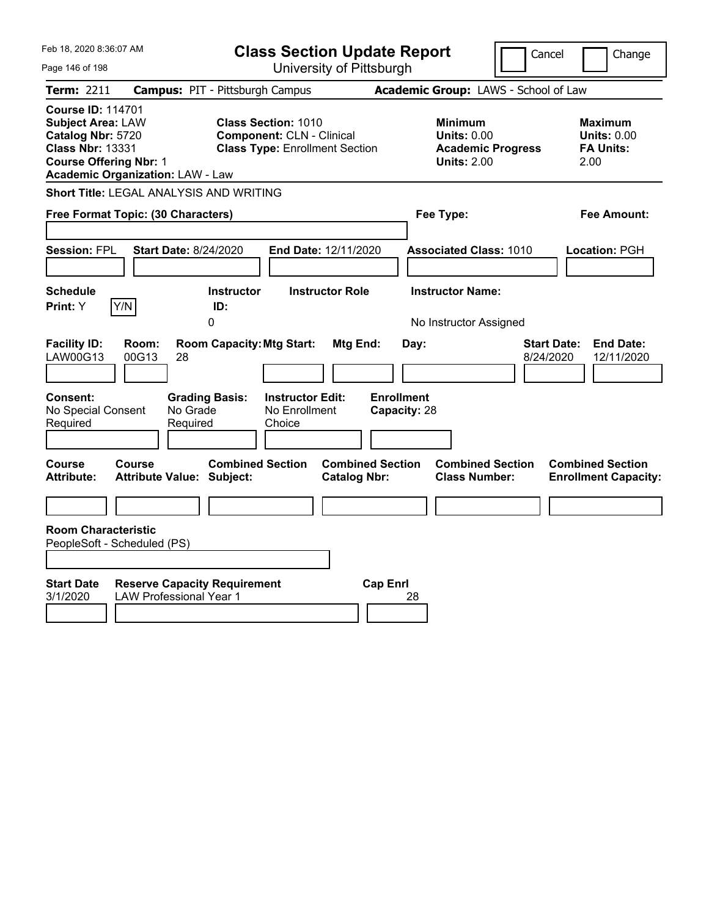| Feb 18, 2020 8:36:07 AM<br>Page 146 of 198                                                                                                                                       | <b>Class Section Update Report</b><br>University of Pittsburgh                                          |                                                                                        | Cancel<br>Change                                                  |
|----------------------------------------------------------------------------------------------------------------------------------------------------------------------------------|---------------------------------------------------------------------------------------------------------|----------------------------------------------------------------------------------------|-------------------------------------------------------------------|
| Term: 2211                                                                                                                                                                       | <b>Campus: PIT - Pittsburgh Campus</b>                                                                  | Academic Group: LAWS - School of Law                                                   |                                                                   |
| <b>Course ID: 114701</b><br><b>Subject Area: LAW</b><br>Catalog Nbr: 5720<br><b>Class Nbr: 13331</b><br><b>Course Offering Nbr: 1</b><br><b>Academic Organization: LAW - Law</b> | <b>Class Section: 1010</b><br><b>Component: CLN - Clinical</b><br><b>Class Type: Enrollment Section</b> | <b>Minimum</b><br><b>Units: 0.00</b><br><b>Academic Progress</b><br><b>Units: 2.00</b> | <b>Maximum</b><br><b>Units: 0.00</b><br><b>FA Units:</b><br>2.00  |
| Short Title: LEGAL ANALYSIS AND WRITING                                                                                                                                          |                                                                                                         |                                                                                        |                                                                   |
| Free Format Topic: (30 Characters)                                                                                                                                               |                                                                                                         | Fee Type:                                                                              | Fee Amount:                                                       |
| <b>Session: FPL</b><br><b>Start Date: 8/24/2020</b>                                                                                                                              | End Date: 12/11/2020                                                                                    | <b>Associated Class: 1010</b>                                                          | Location: PGH                                                     |
| <b>Schedule</b><br>Y/N<br>Print: Y                                                                                                                                               | <b>Instructor Role</b><br><b>Instructor</b><br>ID:<br>0                                                 | <b>Instructor Name:</b><br>No Instructor Assigned                                      |                                                                   |
| <b>Facility ID:</b><br>Room:<br>LAW00G13<br>00G13<br>28                                                                                                                          | <b>Room Capacity: Mtg Start:</b><br>Mtg End:                                                            | Day:                                                                                   | <b>Start Date:</b><br><b>End Date:</b><br>8/24/2020<br>12/11/2020 |
| Consent:<br><b>Grading Basis:</b><br>No Grade<br>No Special Consent<br>Required<br>Required                                                                                      | <b>Instructor Edit:</b><br>No Enrollment<br>Choice                                                      | <b>Enrollment</b><br>Capacity: 28                                                      |                                                                   |
| Course<br>Course<br><b>Attribute:</b><br><b>Attribute Value: Subject:</b>                                                                                                        | <b>Combined Section</b><br><b>Combined Section</b><br><b>Catalog Nbr:</b>                               | <b>Combined Section</b><br><b>Class Number:</b>                                        | <b>Combined Section</b><br><b>Enrollment Capacity:</b>            |
|                                                                                                                                                                                  |                                                                                                         |                                                                                        |                                                                   |
| <b>Room Characteristic</b><br>PeopleSoft - Scheduled (PS)                                                                                                                        |                                                                                                         |                                                                                        |                                                                   |
| <b>Start Date</b><br><b>Reserve Capacity Requirement</b><br><b>LAW Professional Year 1</b><br>3/1/2020                                                                           | <b>Cap Enrl</b>                                                                                         | 28                                                                                     |                                                                   |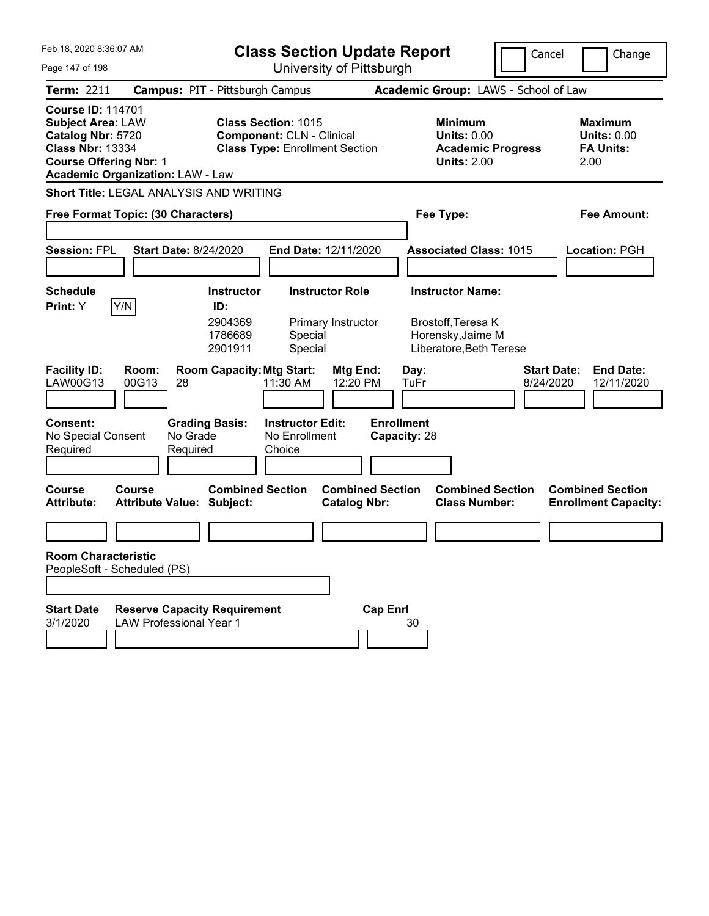| Feb 18, 2020 8:36:07 AM                                                                                                                                                          | <b>Class Section Update Report</b>                                                                      |                                                                                        | Cancel<br>Change                                                  |
|----------------------------------------------------------------------------------------------------------------------------------------------------------------------------------|---------------------------------------------------------------------------------------------------------|----------------------------------------------------------------------------------------|-------------------------------------------------------------------|
| Page 147 of 198                                                                                                                                                                  | University of Pittsburgh                                                                                |                                                                                        |                                                                   |
| <b>Term: 2211</b>                                                                                                                                                                | <b>Campus: PIT - Pittsburgh Campus</b>                                                                  | Academic Group: LAWS - School of Law                                                   |                                                                   |
| <b>Course ID: 114701</b><br><b>Subject Area: LAW</b><br>Catalog Nbr: 5720<br><b>Class Nbr: 13334</b><br><b>Course Offering Nbr: 1</b><br><b>Academic Organization: LAW - Law</b> | <b>Class Section: 1015</b><br><b>Component: CLN - Clinical</b><br><b>Class Type: Enrollment Section</b> | <b>Minimum</b><br><b>Units: 0.00</b><br><b>Academic Progress</b><br><b>Units: 2.00</b> | <b>Maximum</b><br><b>Units: 0.00</b><br><b>FA Units:</b><br>2.00  |
| Short Title: LEGAL ANALYSIS AND WRITING                                                                                                                                          |                                                                                                         |                                                                                        |                                                                   |
| Free Format Topic: (30 Characters)                                                                                                                                               |                                                                                                         | Fee Type:                                                                              | Fee Amount:                                                       |
|                                                                                                                                                                                  |                                                                                                         |                                                                                        |                                                                   |
| <b>Session: FPL</b><br><b>Start Date: 8/24/2020</b>                                                                                                                              | End Date: 12/11/2020                                                                                    | <b>Associated Class: 1015</b>                                                          | Location: PGH                                                     |
|                                                                                                                                                                                  |                                                                                                         |                                                                                        |                                                                   |
| <b>Schedule</b>                                                                                                                                                                  | <b>Instructor Role</b><br><b>Instructor</b>                                                             | <b>Instructor Name:</b>                                                                |                                                                   |
| Y/N<br><b>Print:</b> Y                                                                                                                                                           | ID:<br>2904369<br>Primary Instructor<br>1786689<br>Special<br>Special<br>2901911                        | Brostoff, Teresa K<br>Horensky, Jaime M<br>Liberatore, Beth Terese                     |                                                                   |
| <b>Facility ID:</b><br>Room:<br>LAW00G13<br>00G13<br>28                                                                                                                          | <b>Room Capacity: Mtg Start:</b><br>Mtg End:<br>11:30 AM<br>12:20 PM                                    | Day:<br>TuFr                                                                           | <b>Start Date:</b><br><b>End Date:</b><br>8/24/2020<br>12/11/2020 |
| <b>Consent:</b><br>No Grade<br>No Special Consent<br>Required<br>Required                                                                                                        | <b>Grading Basis:</b><br><b>Instructor Edit:</b><br>No Enrollment<br>Choice                             | <b>Enrollment</b><br>Capacity: 28                                                      |                                                                   |
| <b>Course</b><br>Course<br><b>Attribute:</b><br><b>Attribute Value: Subject:</b>                                                                                                 | <b>Combined Section</b><br><b>Combined Section</b><br><b>Catalog Nbr:</b>                               | <b>Combined Section</b><br><b>Class Number:</b>                                        | <b>Combined Section</b><br><b>Enrollment Capacity:</b>            |
|                                                                                                                                                                                  |                                                                                                         |                                                                                        |                                                                   |
| <b>Room Characteristic</b><br>PeopleSoft - Scheduled (PS)                                                                                                                        |                                                                                                         |                                                                                        |                                                                   |
| <b>Start Date</b><br><b>Reserve Capacity Requirement</b><br><b>LAW Professional Year 1</b><br>3/1/2020                                                                           |                                                                                                         | <b>Cap Enrl</b><br>30                                                                  |                                                                   |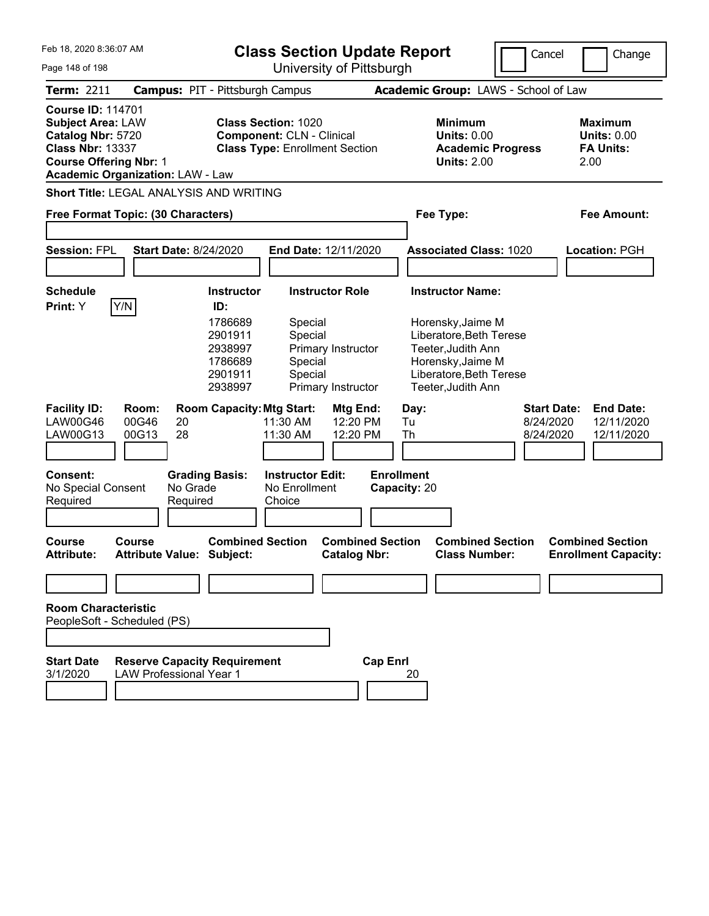|  | Feb 18, 2020 8:36:07 AM |  |
|--|-------------------------|--|
|  |                         |  |

**Class Section Update Report**

Cancel **Change** 

| Page 148 of 198                                                                                                                       |                                                                       |                                                                       |                                                                | University of Pittsburgh                       |                                   |                                                                                                                                          | יטוונכו                                      | u iui iyu                                                        |
|---------------------------------------------------------------------------------------------------------------------------------------|-----------------------------------------------------------------------|-----------------------------------------------------------------------|----------------------------------------------------------------|------------------------------------------------|-----------------------------------|------------------------------------------------------------------------------------------------------------------------------------------|----------------------------------------------|------------------------------------------------------------------|
| Term: 2211                                                                                                                            | <b>Campus: PIT - Pittsburgh Campus</b>                                |                                                                       |                                                                |                                                |                                   | Academic Group: LAWS - School of Law                                                                                                     |                                              |                                                                  |
| <b>Course ID: 114701</b><br><b>Subject Area: LAW</b><br>Catalog Nbr: 5720<br><b>Class Nbr: 13337</b><br><b>Course Offering Nbr: 1</b> | <b>Academic Organization: LAW - Law</b>                               |                                                                       | <b>Class Section: 1020</b><br><b>Component: CLN - Clinical</b> | <b>Class Type: Enrollment Section</b>          |                                   | <b>Minimum</b><br><b>Units: 0.00</b><br><b>Academic Progress</b><br><b>Units: 2.00</b>                                                   |                                              | <b>Maximum</b><br><b>Units: 0.00</b><br><b>FA Units:</b><br>2.00 |
|                                                                                                                                       | <b>Short Title: LEGAL ANALYSIS AND WRITING</b>                        |                                                                       |                                                                |                                                |                                   |                                                                                                                                          |                                              |                                                                  |
|                                                                                                                                       | Free Format Topic: (30 Characters)                                    |                                                                       |                                                                |                                                |                                   | Fee Type:                                                                                                                                |                                              | <b>Fee Amount:</b>                                               |
| <b>Session: FPL</b>                                                                                                                   | <b>Start Date: 8/24/2020</b>                                          |                                                                       |                                                                | End Date: 12/11/2020                           |                                   | <b>Associated Class: 1020</b>                                                                                                            |                                              | <b>Location: PGH</b>                                             |
| <b>Schedule</b>                                                                                                                       |                                                                       | <b>Instructor</b>                                                     |                                                                | <b>Instructor Role</b>                         |                                   | <b>Instructor Name:</b>                                                                                                                  |                                              |                                                                  |
| Print: Y                                                                                                                              | Y/N                                                                   | ID:<br>1786689<br>2901911<br>2938997<br>1786689<br>2901911<br>2938997 | Special<br>Special<br>Special<br>Special                       | Primary Instructor<br>Primary Instructor       |                                   | Horensky, Jaime M<br>Liberatore, Beth Terese<br>Teeter, Judith Ann<br>Horensky, Jaime M<br>Liberatore, Beth Terese<br>Teeter, Judith Ann |                                              |                                                                  |
| <b>Facility ID:</b><br><b>LAW00G46</b><br>LAW00G13                                                                                    | Room:<br>00G46<br>20<br>28<br>00G13                                   | <b>Room Capacity: Mtg Start:</b>                                      | 11:30 AM<br>11:30 AM                                           | Mtg End:<br>12:20 PM<br>12:20 PM               | Day:<br>Tu<br>Th                  |                                                                                                                                          | <b>Start Date:</b><br>8/24/2020<br>8/24/2020 | <b>End Date:</b><br>12/11/2020<br>12/11/2020                     |
| <b>Consent:</b><br>No Special Consent<br>Required                                                                                     | No Grade<br>Required                                                  | <b>Grading Basis:</b>                                                 | <b>Instructor Edit:</b><br>No Enrollment<br>Choice             |                                                | <b>Enrollment</b><br>Capacity: 20 |                                                                                                                                          |                                              |                                                                  |
| <b>Course</b><br><b>Attribute:</b>                                                                                                    | <b>Course</b><br><b>Attribute Value: Subject:</b>                     | <b>Combined Section</b>                                               |                                                                | <b>Combined Section</b><br><b>Catalog Nbr:</b> |                                   | <b>Combined Section</b><br><b>Class Number:</b>                                                                                          |                                              | <b>Combined Section</b><br><b>Enrollment Capacity:</b>           |
| <b>Room Characteristic</b>                                                                                                            |                                                                       |                                                                       |                                                                |                                                |                                   |                                                                                                                                          |                                              |                                                                  |
|                                                                                                                                       | PeopleSoft - Scheduled (PS)                                           |                                                                       |                                                                |                                                |                                   |                                                                                                                                          |                                              |                                                                  |
| <b>Start Date</b><br>3/1/2020                                                                                                         | <b>Reserve Capacity Requirement</b><br><b>LAW Professional Year 1</b> |                                                                       |                                                                | <b>Cap Enrl</b>                                | 20                                |                                                                                                                                          |                                              |                                                                  |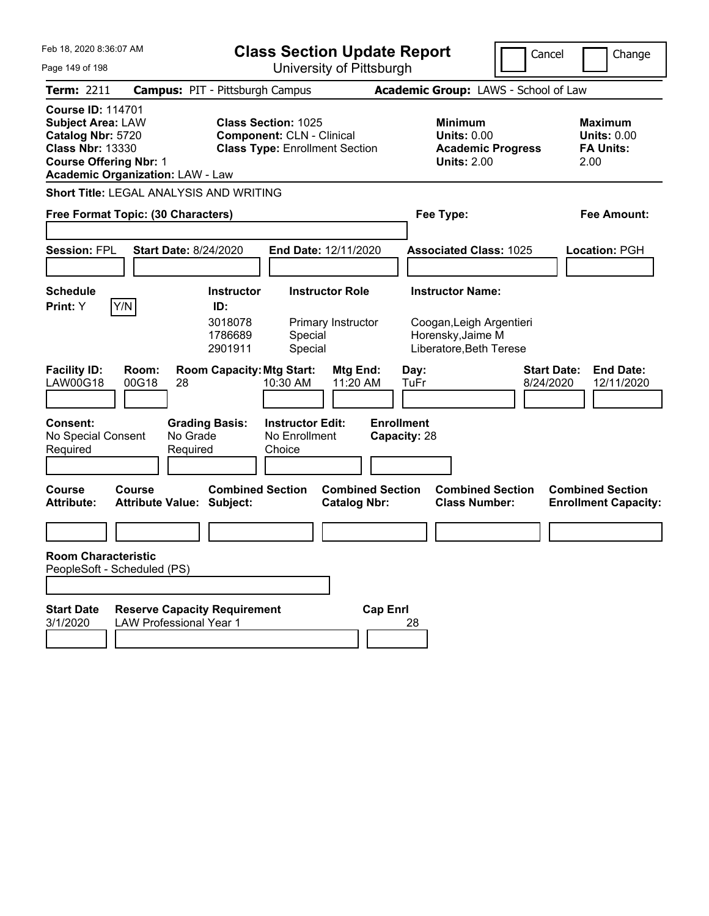| Feb 18, 2020 8:36:07 AM                                                                                                                                                          | <b>Class Section Update Report</b>                                                                      |                                                                                 | Cancel<br>Change                                                  |
|----------------------------------------------------------------------------------------------------------------------------------------------------------------------------------|---------------------------------------------------------------------------------------------------------|---------------------------------------------------------------------------------|-------------------------------------------------------------------|
| Page 149 of 198                                                                                                                                                                  | University of Pittsburgh                                                                                |                                                                                 |                                                                   |
| <b>Term: 2211</b>                                                                                                                                                                | <b>Campus: PIT - Pittsburgh Campus</b>                                                                  | Academic Group: LAWS - School of Law                                            |                                                                   |
| <b>Course ID: 114701</b><br><b>Subject Area: LAW</b><br>Catalog Nbr: 5720<br><b>Class Nbr: 13330</b><br><b>Course Offering Nbr: 1</b><br><b>Academic Organization: LAW - Law</b> | <b>Class Section: 1025</b><br><b>Component: CLN - Clinical</b><br><b>Class Type: Enrollment Section</b> | Minimum<br><b>Units: 0.00</b><br><b>Academic Progress</b><br><b>Units: 2.00</b> | Maximum<br><b>Units: 0.00</b><br><b>FA Units:</b><br>2.00         |
| <b>Short Title: LEGAL ANALYSIS AND WRITING</b>                                                                                                                                   |                                                                                                         |                                                                                 |                                                                   |
| Free Format Topic: (30 Characters)                                                                                                                                               |                                                                                                         | Fee Type:                                                                       | Fee Amount:                                                       |
|                                                                                                                                                                                  |                                                                                                         |                                                                                 |                                                                   |
| <b>Session: FPL</b><br><b>Start Date: 8/24/2020</b>                                                                                                                              | <b>End Date: 12/11/2020</b>                                                                             | <b>Associated Class: 1025</b>                                                   | Location: PGH                                                     |
|                                                                                                                                                                                  |                                                                                                         |                                                                                 |                                                                   |
| <b>Schedule</b>                                                                                                                                                                  | <b>Instructor Role</b><br><b>Instructor</b>                                                             | <b>Instructor Name:</b>                                                         |                                                                   |
| Y/N<br>Print: Y                                                                                                                                                                  | ID:<br>3018078<br>Primary Instructor<br>1786689<br>Special<br>Special<br>2901911                        | Coogan, Leigh Argentieri<br>Horensky, Jaime M<br>Liberatore, Beth Terese        |                                                                   |
| <b>Facility ID:</b><br>Room:<br>LAW00G18<br>00G18<br>28                                                                                                                          | <b>Room Capacity: Mtg Start:</b><br>Mtg End:<br>10:30 AM<br>11:20 AM                                    | Day:<br>TuFr                                                                    | <b>Start Date:</b><br><b>End Date:</b><br>8/24/2020<br>12/11/2020 |
| <b>Consent:</b><br>No Grade<br>No Special Consent<br>Required<br>Required                                                                                                        | <b>Grading Basis:</b><br><b>Instructor Edit:</b><br>No Enrollment<br>Choice                             | <b>Enrollment</b><br>Capacity: 28                                               |                                                                   |
| Course<br>Course<br><b>Attribute:</b><br><b>Attribute Value: Subject:</b>                                                                                                        | <b>Combined Section</b><br><b>Combined Section</b><br><b>Catalog Nbr:</b>                               | <b>Combined Section</b><br><b>Class Number:</b>                                 | <b>Combined Section</b><br><b>Enrollment Capacity:</b>            |
|                                                                                                                                                                                  |                                                                                                         |                                                                                 |                                                                   |
| <b>Room Characteristic</b><br>PeopleSoft - Scheduled (PS)                                                                                                                        |                                                                                                         |                                                                                 |                                                                   |
|                                                                                                                                                                                  |                                                                                                         |                                                                                 |                                                                   |
| <b>Start Date</b><br><b>Reserve Capacity Requirement</b><br>3/1/2020<br><b>LAW Professional Year 1</b>                                                                           | <b>Cap Enrl</b>                                                                                         | 28                                                                              |                                                                   |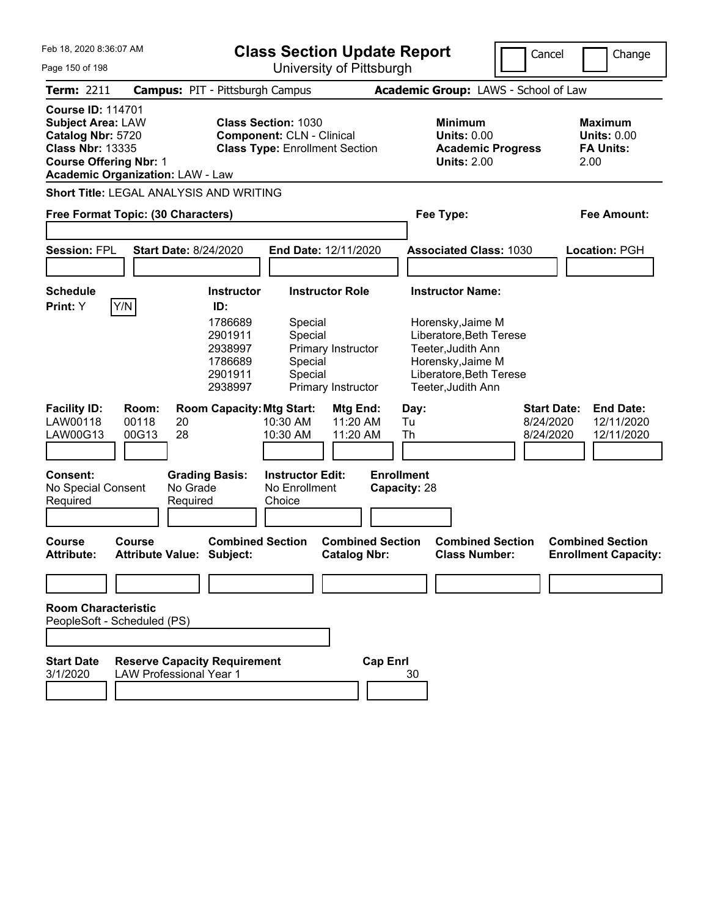| Feb 18, 2020 8:36:07 AM |  |  |  |  |  |
|-------------------------|--|--|--|--|--|
|-------------------------|--|--|--|--|--|

| Feb 18, 2020 8:36:07 AM<br>Page 150 of 198                                                                                            |                                                                       |                                                                | <b>Class Section Update Report</b>                                                                      | University of Pittsburgh                       |                                                                                                                                          | Cancel                                       | Change                                                           |
|---------------------------------------------------------------------------------------------------------------------------------------|-----------------------------------------------------------------------|----------------------------------------------------------------|---------------------------------------------------------------------------------------------------------|------------------------------------------------|------------------------------------------------------------------------------------------------------------------------------------------|----------------------------------------------|------------------------------------------------------------------|
| Term: 2211                                                                                                                            | <b>Campus: PIT - Pittsburgh Campus</b>                                |                                                                |                                                                                                         |                                                | Academic Group: LAWS - School of Law                                                                                                     |                                              |                                                                  |
| <b>Course ID: 114701</b><br><b>Subject Area: LAW</b><br>Catalog Nbr: 5720<br><b>Class Nbr: 13335</b><br><b>Course Offering Nbr: 1</b> | <b>Academic Organization: LAW - Law</b>                               |                                                                | <b>Class Section: 1030</b><br><b>Component: CLN - Clinical</b><br><b>Class Type: Enrollment Section</b> |                                                | <b>Minimum</b><br><b>Units: 0.00</b><br><b>Units: 2.00</b>                                                                               | <b>Academic Progress</b>                     | <b>Maximum</b><br><b>Units: 0.00</b><br><b>FA Units:</b><br>2.00 |
|                                                                                                                                       | Short Title: LEGAL ANALYSIS AND WRITING                               |                                                                |                                                                                                         |                                                |                                                                                                                                          |                                              |                                                                  |
|                                                                                                                                       | Free Format Topic: (30 Characters)                                    |                                                                |                                                                                                         |                                                | Fee Type:                                                                                                                                |                                              | Fee Amount:                                                      |
| <b>Session: FPL</b>                                                                                                                   | <b>Start Date: 8/24/2020</b>                                          |                                                                | End Date: 12/11/2020                                                                                    |                                                | <b>Associated Class: 1030</b>                                                                                                            |                                              | Location: PGH                                                    |
| <b>Schedule</b><br>Print: Y                                                                                                           | Y/N                                                                   | <b>Instructor</b><br>ID:                                       | <b>Instructor Role</b>                                                                                  |                                                | <b>Instructor Name:</b>                                                                                                                  |                                              |                                                                  |
|                                                                                                                                       |                                                                       | 1786689<br>2901911<br>2938997<br>1786689<br>2901911<br>2938997 | Special<br>Special<br>Special<br>Special                                                                | Primary Instructor<br>Primary Instructor       | Horensky, Jaime M<br>Liberatore, Beth Terese<br>Teeter, Judith Ann<br>Horensky, Jaime M<br>Liberatore, Beth Terese<br>Teeter, Judith Ann |                                              |                                                                  |
| <b>Facility ID:</b><br>LAW00118<br>LAW00G13                                                                                           | Room:<br>00118<br>20<br>28<br>00G13                                   | <b>Room Capacity: Mtg Start:</b>                               | 10:30 AM<br>10:30 AM                                                                                    | Mtg End:<br>11:20 AM<br>11:20 AM               | Day:<br>Tu<br>Th                                                                                                                         | <b>Start Date:</b><br>8/24/2020<br>8/24/2020 | <b>End Date:</b><br>12/11/2020<br>12/11/2020                     |
| <b>Consent:</b><br>No Special Consent<br>Required                                                                                     | No Grade<br>Required                                                  | <b>Grading Basis:</b>                                          | <b>Instructor Edit:</b><br>No Enrollment<br>Choice                                                      |                                                | <b>Enrollment</b><br>Capacity: 28                                                                                                        |                                              |                                                                  |
| Course<br><b>Attribute:</b>                                                                                                           | <b>Course</b><br>Attribute Value: Subject:                            | <b>Combined Section</b>                                        |                                                                                                         | <b>Combined Section</b><br><b>Catalog Nbr:</b> | <b>Class Number:</b>                                                                                                                     | <b>Combined Section</b>                      | <b>Combined Section</b><br><b>Enrollment Capacity:</b>           |
|                                                                                                                                       |                                                                       |                                                                |                                                                                                         |                                                |                                                                                                                                          |                                              |                                                                  |
| <b>Room Characteristic</b>                                                                                                            | PeopleSoft - Scheduled (PS)                                           |                                                                |                                                                                                         |                                                |                                                                                                                                          |                                              |                                                                  |
| <b>Start Date</b><br>3/1/2020                                                                                                         | <b>Reserve Capacity Requirement</b><br><b>LAW Professional Year 1</b> |                                                                |                                                                                                         | <b>Cap Enrl</b>                                | 30                                                                                                                                       |                                              |                                                                  |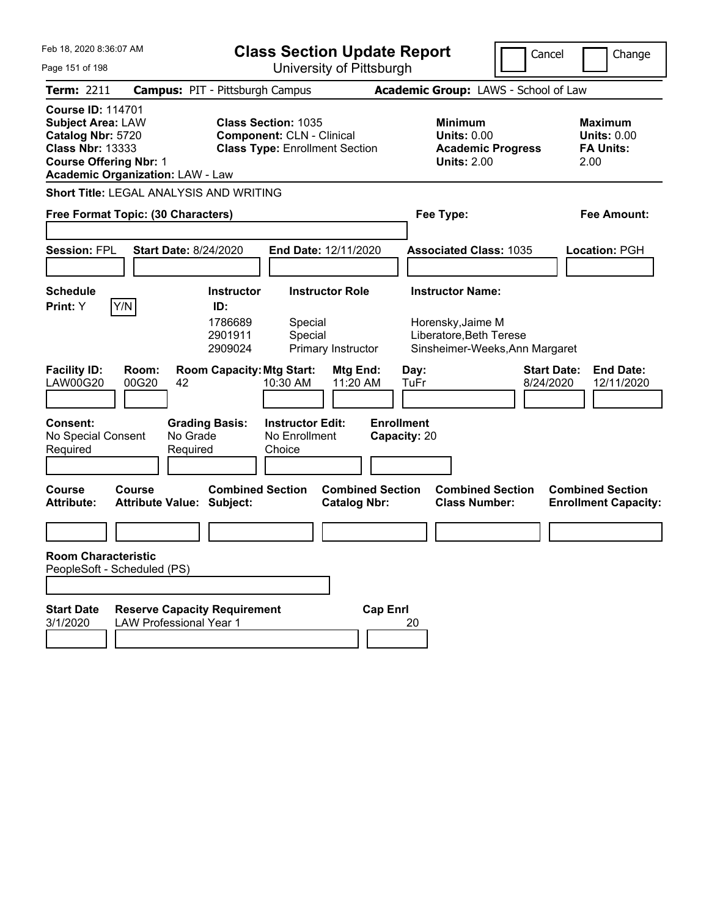| Feb 18, 2020 8:36:07 AM                                                                                                                                                          | <b>Class Section Update Report</b>                                                                      | Cancel                                                                          | Change                                                    |
|----------------------------------------------------------------------------------------------------------------------------------------------------------------------------------|---------------------------------------------------------------------------------------------------------|---------------------------------------------------------------------------------|-----------------------------------------------------------|
| Page 151 of 198                                                                                                                                                                  | University of Pittsburgh                                                                                |                                                                                 |                                                           |
| <b>Term: 2211</b>                                                                                                                                                                | <b>Campus: PIT - Pittsburgh Campus</b>                                                                  | Academic Group: LAWS - School of Law                                            |                                                           |
| <b>Course ID: 114701</b><br><b>Subject Area: LAW</b><br>Catalog Nbr: 5720<br><b>Class Nbr: 13333</b><br><b>Course Offering Nbr: 1</b><br><b>Academic Organization: LAW - Law</b> | <b>Class Section: 1035</b><br><b>Component: CLN - Clinical</b><br><b>Class Type: Enrollment Section</b> | Minimum<br><b>Units: 0.00</b><br><b>Academic Progress</b><br><b>Units: 2.00</b> | Maximum<br><b>Units: 0.00</b><br><b>FA Units:</b><br>2.00 |
| <b>Short Title: LEGAL ANALYSIS AND WRITING</b>                                                                                                                                   |                                                                                                         |                                                                                 |                                                           |
| Free Format Topic: (30 Characters)                                                                                                                                               |                                                                                                         | Fee Type:                                                                       | Fee Amount:                                               |
|                                                                                                                                                                                  |                                                                                                         |                                                                                 |                                                           |
| <b>Session: FPL</b><br><b>Start Date: 8/24/2020</b>                                                                                                                              | <b>End Date: 12/11/2020</b>                                                                             | <b>Associated Class: 1035</b>                                                   | Location: PGH                                             |
|                                                                                                                                                                                  |                                                                                                         |                                                                                 |                                                           |
| <b>Schedule</b>                                                                                                                                                                  | <b>Instructor Role</b><br><b>Instructor</b>                                                             | <b>Instructor Name:</b>                                                         |                                                           |
| Y/N<br>Print: Y                                                                                                                                                                  | ID:<br>1786689<br>Special<br>Special<br>2901911<br>2909024<br>Primary Instructor                        | Horensky, Jaime M<br>Liberatore, Beth Terese<br>Sinsheimer-Weeks, Ann Margaret  |                                                           |
| <b>Facility ID:</b><br>Room:<br><b>LAW00G20</b><br>00G20<br>42                                                                                                                   | <b>Room Capacity: Mtg Start:</b><br>Mtg End:<br>10:30 AM<br>11:20 AM                                    | <b>Start Date:</b><br>Day:<br>8/24/2020<br>TuFr                                 | <b>End Date:</b><br>12/11/2020                            |
| <b>Consent:</b><br>No Grade<br>No Special Consent<br>Required<br>Required                                                                                                        | <b>Grading Basis:</b><br><b>Instructor Edit:</b><br>No Enrollment<br>Choice                             | <b>Enrollment</b><br>Capacity: 20                                               |                                                           |
| Course<br>Course<br><b>Attribute:</b><br><b>Attribute Value: Subject:</b>                                                                                                        | <b>Combined Section</b><br><b>Combined Section</b><br><b>Catalog Nbr:</b>                               | <b>Combined Section</b><br><b>Class Number:</b>                                 | <b>Combined Section</b><br><b>Enrollment Capacity:</b>    |
|                                                                                                                                                                                  |                                                                                                         |                                                                                 |                                                           |
| <b>Room Characteristic</b><br>PeopleSoft - Scheduled (PS)                                                                                                                        |                                                                                                         |                                                                                 |                                                           |
| <b>Start Date</b><br><b>Reserve Capacity Requirement</b><br>3/1/2020<br><b>LAW Professional Year 1</b>                                                                           | <b>Cap Enrl</b>                                                                                         | 20                                                                              |                                                           |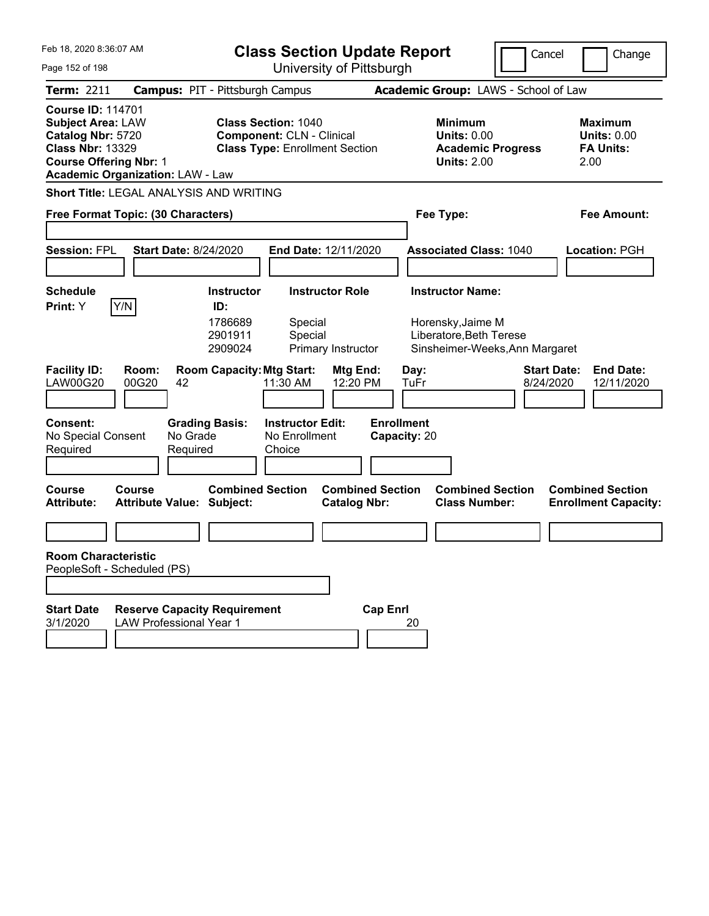| Feb 18, 2020 8:36:07 AM<br>Page 152 of 198                                                                                                                                       | <b>Class Section Update Report</b><br>University of Pittsburgh                                                                                    | Cancel                                                                                                      | Change                                                           |
|----------------------------------------------------------------------------------------------------------------------------------------------------------------------------------|---------------------------------------------------------------------------------------------------------------------------------------------------|-------------------------------------------------------------------------------------------------------------|------------------------------------------------------------------|
| <b>Term: 2211</b>                                                                                                                                                                | <b>Campus: PIT - Pittsburgh Campus</b>                                                                                                            | Academic Group: LAWS - School of Law                                                                        |                                                                  |
| <b>Course ID: 114701</b><br><b>Subject Area: LAW</b><br>Catalog Nbr: 5720<br><b>Class Nbr: 13329</b><br><b>Course Offering Nbr: 1</b><br><b>Academic Organization: LAW - Law</b> | <b>Class Section: 1040</b><br><b>Component: CLN - Clinical</b><br><b>Class Type: Enrollment Section</b>                                           | <b>Minimum</b><br><b>Units: 0.00</b><br><b>Academic Progress</b><br><b>Units: 2.00</b>                      | <b>Maximum</b><br><b>Units: 0.00</b><br><b>FA Units:</b><br>2.00 |
| Short Title: LEGAL ANALYSIS AND WRITING                                                                                                                                          |                                                                                                                                                   |                                                                                                             |                                                                  |
| Free Format Topic: (30 Characters)                                                                                                                                               |                                                                                                                                                   | Fee Type:                                                                                                   | Fee Amount:                                                      |
| <b>Session: FPL</b><br><b>Start Date: 8/24/2020</b>                                                                                                                              | End Date: 12/11/2020                                                                                                                              | <b>Associated Class: 1040</b>                                                                               | Location: PGH                                                    |
| <b>Schedule</b><br>Y/N<br>Print: Y                                                                                                                                               | <b>Instructor Role</b><br><b>Instructor</b><br>ID:                                                                                                | <b>Instructor Name:</b>                                                                                     |                                                                  |
| <b>Facility ID:</b><br>Room:<br><b>LAW00G20</b><br>00G20<br>42                                                                                                                   | 1786689<br>Special<br>2901911<br>Special<br>2909024<br>Primary Instructor<br><b>Room Capacity: Mtg Start:</b><br>Mtg End:<br>12:20 PM<br>11:30 AM | Horensky, Jaime M<br>Liberatore, Beth Terese<br>Sinsheimer-Weeks, Ann Margaret<br>Day:<br>8/24/2020<br>TuFr | <b>Start Date:</b><br><b>End Date:</b><br>12/11/2020             |
|                                                                                                                                                                                  |                                                                                                                                                   |                                                                                                             |                                                                  |
| <b>Consent:</b><br><b>Grading Basis:</b><br>No Special Consent<br>No Grade<br>Required<br>Required<br><b>Course</b><br>Course<br><b>Attribute:</b>                               | <b>Instructor Edit:</b><br><b>Enrollment</b><br>No Enrollment<br>Choice<br><b>Combined Section</b><br><b>Combined Section</b>                     | Capacity: 20<br><b>Combined Section</b><br><b>Class Number:</b>                                             | <b>Combined Section</b>                                          |
| <b>Attribute Value: Subject:</b>                                                                                                                                                 | <b>Catalog Nbr:</b>                                                                                                                               |                                                                                                             | <b>Enrollment Capacity:</b>                                      |
|                                                                                                                                                                                  |                                                                                                                                                   |                                                                                                             |                                                                  |
| <b>Room Characteristic</b><br>PeopleSoft - Scheduled (PS)                                                                                                                        |                                                                                                                                                   |                                                                                                             |                                                                  |
| <b>Reserve Capacity Requirement</b><br><b>Start Date</b><br>3/1/2020<br><b>LAW Professional Year 1</b>                                                                           | <b>Cap Enrl</b>                                                                                                                                   | 20                                                                                                          |                                                                  |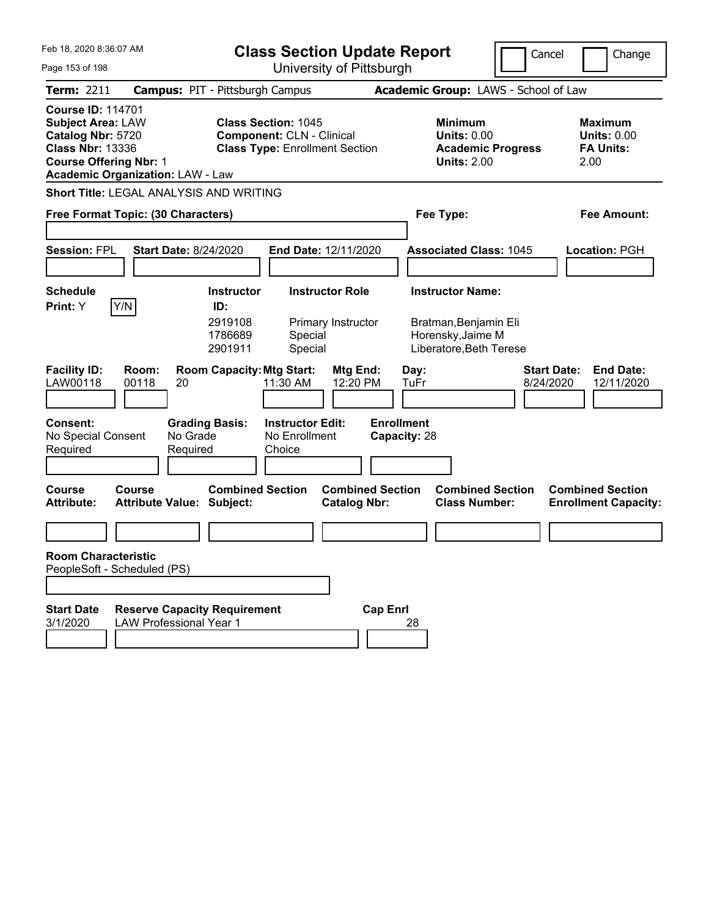| Feb 18, 2020 8:36:07 AM                                                                                                                                                          |                                                                       | <b>Class Section Update Report</b>                                                                      |                                                                                        | Cancel                          | Change                                                           |
|----------------------------------------------------------------------------------------------------------------------------------------------------------------------------------|-----------------------------------------------------------------------|---------------------------------------------------------------------------------------------------------|----------------------------------------------------------------------------------------|---------------------------------|------------------------------------------------------------------|
| Page 153 of 198                                                                                                                                                                  |                                                                       | University of Pittsburgh                                                                                |                                                                                        |                                 |                                                                  |
| <b>Term: 2211</b>                                                                                                                                                                | <b>Campus: PIT - Pittsburgh Campus</b>                                |                                                                                                         | Academic Group: LAWS - School of Law                                                   |                                 |                                                                  |
| <b>Course ID: 114701</b><br><b>Subject Area: LAW</b><br>Catalog Nbr: 5720<br><b>Class Nbr: 13336</b><br><b>Course Offering Nbr: 1</b><br><b>Academic Organization: LAW - Law</b> |                                                                       | <b>Class Section: 1045</b><br><b>Component: CLN - Clinical</b><br><b>Class Type: Enrollment Section</b> | <b>Minimum</b><br><b>Units: 0.00</b><br><b>Academic Progress</b><br><b>Units: 2.00</b> |                                 | <b>Maximum</b><br><b>Units: 0.00</b><br><b>FA Units:</b><br>2.00 |
| Short Title: LEGAL ANALYSIS AND WRITING                                                                                                                                          |                                                                       |                                                                                                         |                                                                                        |                                 |                                                                  |
| Free Format Topic: (30 Characters)                                                                                                                                               |                                                                       |                                                                                                         | Fee Type:                                                                              |                                 | Fee Amount:                                                      |
|                                                                                                                                                                                  |                                                                       |                                                                                                         |                                                                                        |                                 |                                                                  |
| <b>Session: FPL</b>                                                                                                                                                              | <b>Start Date: 8/24/2020</b>                                          | End Date: 12/11/2020                                                                                    | <b>Associated Class: 1045</b>                                                          |                                 | Location: PGH                                                    |
|                                                                                                                                                                                  |                                                                       |                                                                                                         |                                                                                        |                                 |                                                                  |
| <b>Schedule</b>                                                                                                                                                                  | <b>Instructor</b>                                                     | <b>Instructor Role</b>                                                                                  | <b>Instructor Name:</b>                                                                |                                 |                                                                  |
| Y/N<br><b>Print:</b> Y                                                                                                                                                           | ID:<br>2919108<br>1786689<br>2901911                                  | Primary Instructor<br>Special<br>Special                                                                | Bratman, Benjamin Eli<br>Horensky, Jaime M<br>Liberatore, Beth Terese                  |                                 |                                                                  |
| <b>Facility ID:</b><br>Room:<br>LAW00118<br>00118                                                                                                                                | <b>Room Capacity: Mtg Start:</b><br>20                                | Mtg End:<br>11:30 AM<br>12:20 PM                                                                        | Day:<br>TuFr                                                                           | <b>Start Date:</b><br>8/24/2020 | <b>End Date:</b><br>12/11/2020                                   |
| <b>Consent:</b><br>No Special Consent<br>Required                                                                                                                                | <b>Grading Basis:</b><br>No Grade<br>Required                         | <b>Instructor Edit:</b><br>No Enrollment<br>Choice                                                      | <b>Enrollment</b><br>Capacity: 28                                                      |                                 |                                                                  |
| <b>Course</b><br>Course<br><b>Attribute:</b>                                                                                                                                     | <b>Combined Section</b><br><b>Attribute Value: Subject:</b>           | <b>Combined Section</b><br><b>Catalog Nbr:</b>                                                          | <b>Combined Section</b><br><b>Class Number:</b>                                        |                                 | <b>Combined Section</b><br><b>Enrollment Capacity:</b>           |
|                                                                                                                                                                                  |                                                                       |                                                                                                         |                                                                                        |                                 |                                                                  |
| <b>Room Characteristic</b><br>PeopleSoft - Scheduled (PS)                                                                                                                        |                                                                       |                                                                                                         |                                                                                        |                                 |                                                                  |
| <b>Start Date</b><br>3/1/2020                                                                                                                                                    | <b>Reserve Capacity Requirement</b><br><b>LAW Professional Year 1</b> |                                                                                                         | <b>Cap Enrl</b><br>28                                                                  |                                 |                                                                  |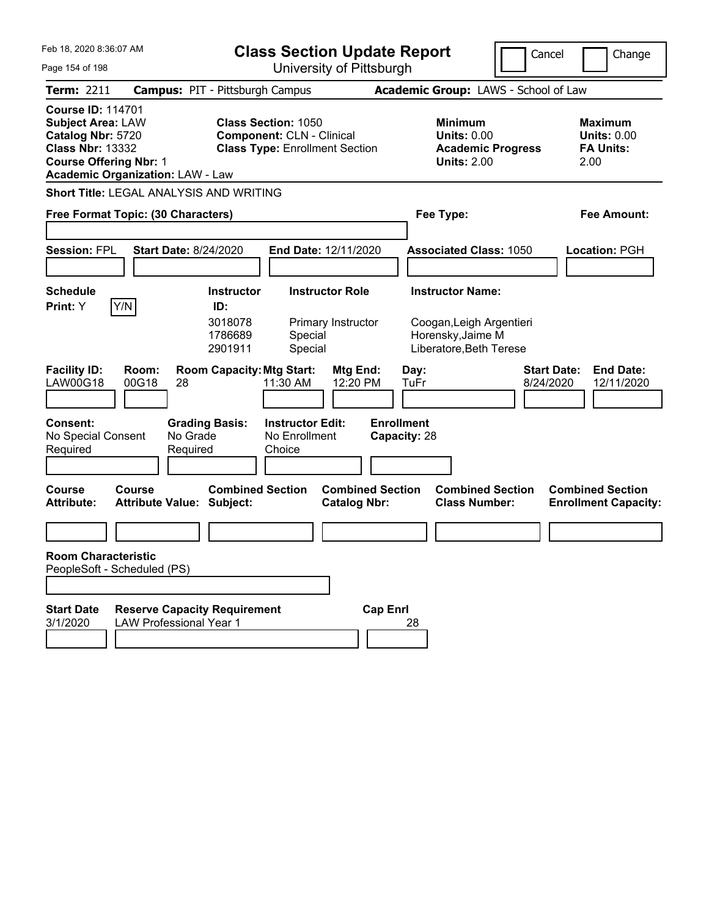| Feb 18, 2020 8:36:07 AM                                                                                                                                                          | <b>Class Section Update Report</b>                                                                      |                                                                                        | Cancel<br>Change                                                  |
|----------------------------------------------------------------------------------------------------------------------------------------------------------------------------------|---------------------------------------------------------------------------------------------------------|----------------------------------------------------------------------------------------|-------------------------------------------------------------------|
| Page 154 of 198                                                                                                                                                                  | University of Pittsburgh                                                                                |                                                                                        |                                                                   |
| <b>Term: 2211</b>                                                                                                                                                                | <b>Campus: PIT - Pittsburgh Campus</b>                                                                  | Academic Group: LAWS - School of Law                                                   |                                                                   |
| <b>Course ID: 114701</b><br><b>Subject Area: LAW</b><br>Catalog Nbr: 5720<br><b>Class Nbr: 13332</b><br><b>Course Offering Nbr: 1</b><br><b>Academic Organization: LAW - Law</b> | <b>Class Section: 1050</b><br><b>Component: CLN - Clinical</b><br><b>Class Type: Enrollment Section</b> | <b>Minimum</b><br><b>Units: 0.00</b><br><b>Academic Progress</b><br><b>Units: 2.00</b> | <b>Maximum</b><br><b>Units: 0.00</b><br><b>FA Units:</b><br>2.00  |
| Short Title: LEGAL ANALYSIS AND WRITING                                                                                                                                          |                                                                                                         |                                                                                        |                                                                   |
| Free Format Topic: (30 Characters)                                                                                                                                               |                                                                                                         | Fee Type:                                                                              | Fee Amount:                                                       |
|                                                                                                                                                                                  |                                                                                                         |                                                                                        |                                                                   |
| <b>Session: FPL</b><br><b>Start Date: 8/24/2020</b>                                                                                                                              | End Date: 12/11/2020                                                                                    | <b>Associated Class: 1050</b>                                                          | Location: PGH                                                     |
|                                                                                                                                                                                  |                                                                                                         |                                                                                        |                                                                   |
| <b>Schedule</b>                                                                                                                                                                  | <b>Instructor Role</b><br><b>Instructor</b>                                                             | <b>Instructor Name:</b>                                                                |                                                                   |
| Y/N<br>Print: Y                                                                                                                                                                  | ID:                                                                                                     |                                                                                        |                                                                   |
|                                                                                                                                                                                  | 3018078<br>Primary Instructor<br>1786689<br>Special<br>2901911<br>Special                               | Coogan, Leigh Argentieri<br>Horensky, Jaime M<br>Liberatore, Beth Terese               |                                                                   |
| <b>Facility ID:</b><br>Room:<br>LAW00G18<br>00G18<br>28                                                                                                                          | <b>Room Capacity: Mtg Start:</b><br>Mtg End:<br>12:20 PM<br>11:30 AM                                    | Day:<br>TuFr                                                                           | <b>Start Date:</b><br><b>End Date:</b><br>8/24/2020<br>12/11/2020 |
| <b>Consent:</b><br>No Special Consent<br>No Grade<br>Required<br>Required                                                                                                        | <b>Instructor Edit:</b><br><b>Grading Basis:</b><br>No Enrollment<br>Choice                             | <b>Enrollment</b><br>Capacity: 28                                                      |                                                                   |
| <b>Course</b><br>Course<br><b>Attribute:</b><br><b>Attribute Value: Subject:</b>                                                                                                 | <b>Combined Section</b><br><b>Combined Section</b><br><b>Catalog Nbr:</b>                               | <b>Combined Section</b><br><b>Class Number:</b>                                        | <b>Combined Section</b><br><b>Enrollment Capacity:</b>            |
|                                                                                                                                                                                  |                                                                                                         |                                                                                        |                                                                   |
| <b>Room Characteristic</b><br>PeopleSoft - Scheduled (PS)                                                                                                                        |                                                                                                         |                                                                                        |                                                                   |
|                                                                                                                                                                                  |                                                                                                         |                                                                                        |                                                                   |
| <b>Reserve Capacity Requirement</b><br><b>Start Date</b><br>3/1/2020<br><b>LAW Professional Year 1</b>                                                                           | <b>Cap Enrl</b>                                                                                         | 28                                                                                     |                                                                   |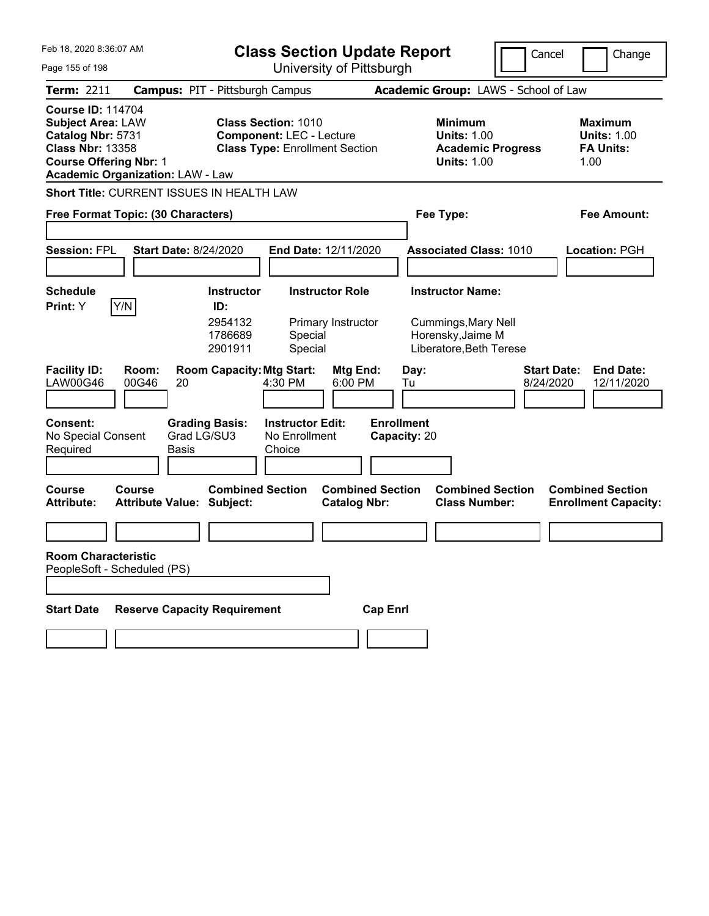| Feb 18, 2020 8:36:07 AM                                                                                                                                                                                                       |                                                      |                                                                          | <b>Class Section Update Report</b>                                                                     |                                                |                                   |            |                                                                                        | Cancel                          | Change                                                           |
|-------------------------------------------------------------------------------------------------------------------------------------------------------------------------------------------------------------------------------|------------------------------------------------------|--------------------------------------------------------------------------|--------------------------------------------------------------------------------------------------------|------------------------------------------------|-----------------------------------|------------|----------------------------------------------------------------------------------------|---------------------------------|------------------------------------------------------------------|
| Page 155 of 198                                                                                                                                                                                                               |                                                      | University of Pittsburgh                                                 |                                                                                                        |                                                |                                   |            |                                                                                        |                                 |                                                                  |
| <b>Term: 2211</b>                                                                                                                                                                                                             | <b>Campus: PIT - Pittsburgh Campus</b>               |                                                                          |                                                                                                        |                                                |                                   |            | Academic Group: LAWS - School of Law                                                   |                                 |                                                                  |
| <b>Course ID: 114704</b><br><b>Subject Area: LAW</b><br>Catalog Nbr: 5731<br><b>Class Nbr: 13358</b><br><b>Course Offering Nbr: 1</b><br><b>Academic Organization: LAW - Law</b><br>Short Title: CURRENT ISSUES IN HEALTH LAW |                                                      |                                                                          | <b>Class Section: 1010</b><br><b>Component: LEC - Lecture</b><br><b>Class Type: Enrollment Section</b> |                                                |                                   |            | <b>Minimum</b><br><b>Units: 1.00</b><br><b>Academic Progress</b><br><b>Units: 1.00</b> |                                 | <b>Maximum</b><br><b>Units: 1.00</b><br><b>FA Units:</b><br>1.00 |
|                                                                                                                                                                                                                               |                                                      |                                                                          |                                                                                                        |                                                |                                   |            |                                                                                        |                                 |                                                                  |
|                                                                                                                                                                                                                               | Free Format Topic: (30 Characters)                   |                                                                          |                                                                                                        |                                                |                                   |            | Fee Type:                                                                              |                                 | <b>Fee Amount:</b>                                               |
| <b>Session: FPL</b>                                                                                                                                                                                                           | <b>Start Date: 8/24/2020</b>                         |                                                                          | End Date: 12/11/2020                                                                                   |                                                |                                   |            | <b>Associated Class: 1010</b>                                                          |                                 | <b>Location: PGH</b>                                             |
| <b>Schedule</b>                                                                                                                                                                                                               |                                                      | <b>Instructor</b>                                                        |                                                                                                        | <b>Instructor Role</b>                         |                                   |            | <b>Instructor Name:</b>                                                                |                                 |                                                                  |
| Y/N<br>Print: Y<br><b>Facility ID:</b><br><b>LAW00G46</b>                                                                                                                                                                     | Room:<br>00G46<br>20                                 | ID:<br>2954132<br>1786689<br>2901911<br><b>Room Capacity: Mtg Start:</b> | Special<br>Special<br>4:30 PM                                                                          | Primary Instructor<br>Mtg End:<br>6:00 PM      |                                   | Day:<br>Tu | <b>Cummings, Mary Nell</b><br>Horensky, Jaime M<br>Liberatore, Beth Terese             | <b>Start Date:</b><br>8/24/2020 | <b>End Date:</b><br>12/11/2020                                   |
| Consent:<br>No Special Consent<br>Required                                                                                                                                                                                    | <b>Grading Basis:</b><br>Grad LG/SU3<br><b>Basis</b> |                                                                          | <b>Instructor Edit:</b><br>No Enrollment<br>Choice                                                     |                                                | <b>Enrollment</b><br>Capacity: 20 |            |                                                                                        |                                 |                                                                  |
| Course<br><b>Attribute:</b>                                                                                                                                                                                                   | Course<br><b>Attribute Value: Subject:</b>           | <b>Combined Section</b>                                                  |                                                                                                        | <b>Combined Section</b><br><b>Catalog Nbr:</b> |                                   |            | <b>Combined Section</b><br><b>Class Number:</b>                                        |                                 | <b>Combined Section</b><br><b>Enrollment Capacity:</b>           |
|                                                                                                                                                                                                                               |                                                      |                                                                          |                                                                                                        |                                                |                                   |            |                                                                                        |                                 |                                                                  |
| <b>Room Characteristic</b><br>PeopleSoft - Scheduled (PS)                                                                                                                                                                     |                                                      |                                                                          |                                                                                                        |                                                |                                   |            |                                                                                        |                                 |                                                                  |
| <b>Start Date</b>                                                                                                                                                                                                             | <b>Reserve Capacity Requirement</b>                  |                                                                          |                                                                                                        |                                                | <b>Cap Enrl</b>                   |            |                                                                                        |                                 |                                                                  |
|                                                                                                                                                                                                                               |                                                      |                                                                          |                                                                                                        |                                                |                                   |            |                                                                                        |                                 |                                                                  |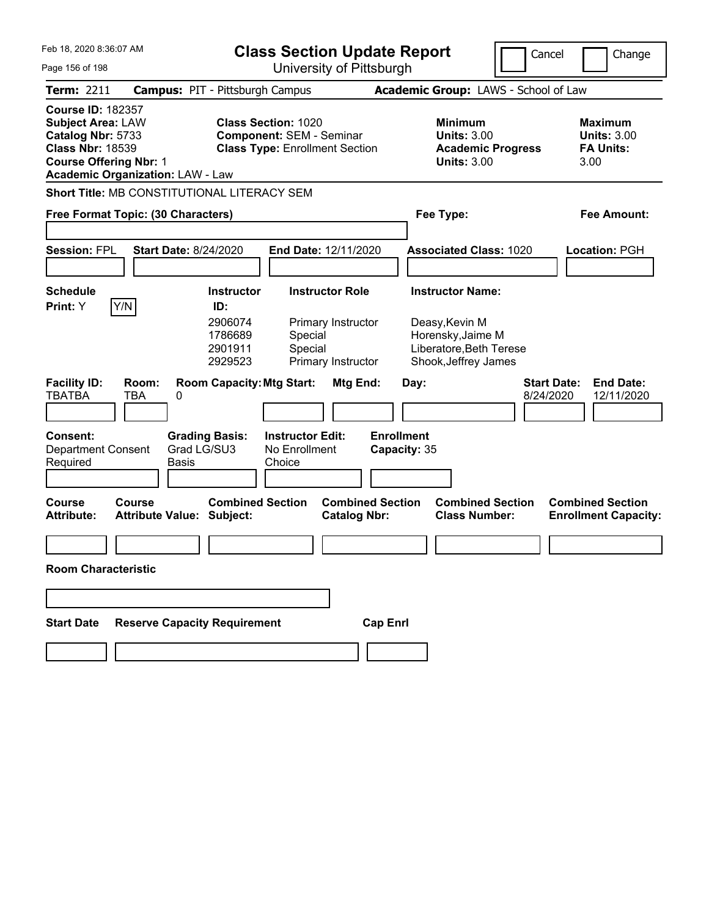| Feb 18, 2020 8:36:07 AM<br>Page 156 of 198                                                                                            |                                             | <b>Class Section Update Report</b><br>University of Pittsburgh       |                                                                                                        |                                                                    |                                   |      | Cancel                                                                                                            |                                 | Change |                                                          |
|---------------------------------------------------------------------------------------------------------------------------------------|---------------------------------------------|----------------------------------------------------------------------|--------------------------------------------------------------------------------------------------------|--------------------------------------------------------------------|-----------------------------------|------|-------------------------------------------------------------------------------------------------------------------|---------------------------------|--------|----------------------------------------------------------|
| Term: 2211                                                                                                                            |                                             |                                                                      |                                                                                                        |                                                                    |                                   |      | Academic Group: LAWS - School of Law                                                                              |                                 |        |                                                          |
|                                                                                                                                       | <b>Campus: PIT - Pittsburgh Campus</b>      |                                                                      |                                                                                                        |                                                                    |                                   |      |                                                                                                                   |                                 |        |                                                          |
| <b>Course ID: 182357</b><br><b>Subject Area: LAW</b><br>Catalog Nbr: 5733<br><b>Class Nbr: 18539</b><br><b>Course Offering Nbr: 1</b> | <b>Academic Organization: LAW - Law</b>     |                                                                      | <b>Class Section: 1020</b><br><b>Component: SEM - Seminar</b><br><b>Class Type: Enrollment Section</b> |                                                                    |                                   |      | <b>Minimum</b><br><b>Units: 3.00</b><br><b>Academic Progress</b><br><b>Units: 3.00</b>                            |                                 | 3.00   | <b>Maximum</b><br><b>Units: 3.00</b><br><b>FA Units:</b> |
|                                                                                                                                       | Short Title: MB CONSTITUTIONAL LITERACY SEM |                                                                      |                                                                                                        |                                                                    |                                   |      |                                                                                                                   |                                 |        |                                                          |
|                                                                                                                                       | Free Format Topic: (30 Characters)          |                                                                      |                                                                                                        |                                                                    |                                   |      | Fee Type:                                                                                                         |                                 |        | <b>Fee Amount:</b>                                       |
| <b>Session: FPL</b>                                                                                                                   | <b>Start Date: 8/24/2020</b>                |                                                                      | End Date: 12/11/2020                                                                                   |                                                                    |                                   |      | <b>Associated Class: 1020</b>                                                                                     |                                 |        | Location: PGH                                            |
| <b>Schedule</b><br>Print: Y                                                                                                           | Y/N                                         | <b>Instructor</b><br>ID:<br>2906074<br>1786689<br>2901911<br>2929523 | Special<br>Special                                                                                     | <b>Instructor Role</b><br>Primary Instructor<br>Primary Instructor |                                   |      | <b>Instructor Name:</b><br>Deasy, Kevin M<br>Horensky, Jaime M<br>Liberatore, Beth Terese<br>Shook, Jeffrey James |                                 |        |                                                          |
| <b>Facility ID:</b><br><b>TBATBA</b>                                                                                                  | Room:<br><b>TBA</b><br>0                    | <b>Room Capacity: Mtg Start:</b>                                     |                                                                                                        | Mtg End:                                                           |                                   | Day: |                                                                                                                   | <b>Start Date:</b><br>8/24/2020 |        | <b>End Date:</b><br>12/11/2020                           |
| <b>Consent:</b><br><b>Department Consent</b><br>Required                                                                              | <b>Basis</b>                                | <b>Grading Basis:</b><br>Grad LG/SU3                                 | <b>Instructor Edit:</b><br>No Enrollment<br>Choice                                                     |                                                                    | <b>Enrollment</b><br>Capacity: 35 |      |                                                                                                                   |                                 |        |                                                          |
| <b>Course</b><br><b>Attribute:</b>                                                                                                    | Course<br><b>Attribute Value: Subject:</b>  | <b>Combined Section</b>                                              |                                                                                                        | <b>Catalog Nbr:</b>                                                | <b>Combined Section</b>           |      | <b>Combined Section</b><br><b>Class Number:</b>                                                                   |                                 |        | <b>Combined Section</b><br><b>Enrollment Capacity:</b>   |
|                                                                                                                                       |                                             |                                                                      |                                                                                                        |                                                                    |                                   |      |                                                                                                                   |                                 |        |                                                          |
| <b>Room Characteristic</b>                                                                                                            |                                             |                                                                      |                                                                                                        |                                                                    |                                   |      |                                                                                                                   |                                 |        |                                                          |
|                                                                                                                                       |                                             |                                                                      |                                                                                                        |                                                                    |                                   |      |                                                                                                                   |                                 |        |                                                          |
| <b>Start Date</b>                                                                                                                     | <b>Reserve Capacity Requirement</b>         |                                                                      |                                                                                                        |                                                                    | <b>Cap Enrl</b>                   |      |                                                                                                                   |                                 |        |                                                          |
|                                                                                                                                       |                                             |                                                                      |                                                                                                        |                                                                    |                                   |      |                                                                                                                   |                                 |        |                                                          |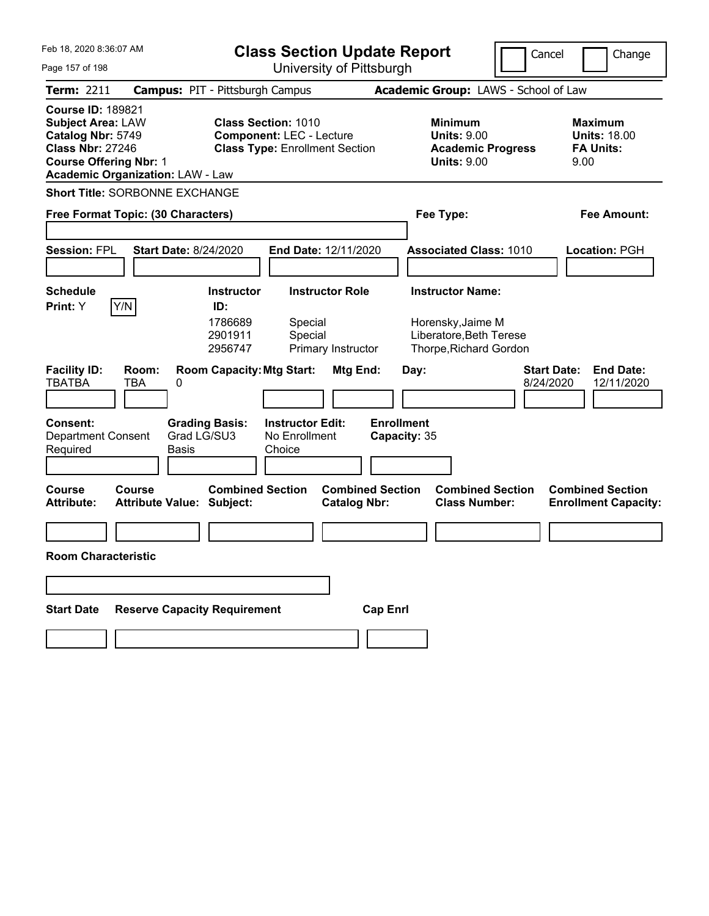| Feb 18, 2020 8:36:07 AM                                                                                                                                                          | <b>Class Section Update Report</b>                                                                     | Cancel                                                                                 | Change                                                            |
|----------------------------------------------------------------------------------------------------------------------------------------------------------------------------------|--------------------------------------------------------------------------------------------------------|----------------------------------------------------------------------------------------|-------------------------------------------------------------------|
| Page 157 of 198                                                                                                                                                                  | University of Pittsburgh                                                                               |                                                                                        |                                                                   |
| Term: 2211                                                                                                                                                                       | <b>Campus: PIT - Pittsburgh Campus</b>                                                                 | Academic Group: LAWS - School of Law                                                   |                                                                   |
| <b>Course ID: 189821</b><br><b>Subject Area: LAW</b><br>Catalog Nbr: 5749<br><b>Class Nbr: 27246</b><br><b>Course Offering Nbr: 1</b><br><b>Academic Organization: LAW - Law</b> | <b>Class Section: 1010</b><br><b>Component: LEC - Lecture</b><br><b>Class Type: Enrollment Section</b> | <b>Minimum</b><br><b>Units: 9.00</b><br><b>Academic Progress</b><br><b>Units: 9.00</b> | <b>Maximum</b><br><b>Units: 18.00</b><br><b>FA Units:</b><br>9.00 |
| <b>Short Title: SORBONNE EXCHANGE</b>                                                                                                                                            |                                                                                                        |                                                                                        |                                                                   |
| Free Format Topic: (30 Characters)                                                                                                                                               |                                                                                                        | Fee Type:                                                                              | Fee Amount:                                                       |
|                                                                                                                                                                                  |                                                                                                        |                                                                                        |                                                                   |
| <b>Session: FPL</b><br><b>Start Date: 8/24/2020</b>                                                                                                                              | End Date: 12/11/2020                                                                                   | <b>Associated Class: 1010</b>                                                          | Location: PGH                                                     |
|                                                                                                                                                                                  |                                                                                                        |                                                                                        |                                                                   |
| <b>Schedule</b>                                                                                                                                                                  | <b>Instructor Role</b><br><b>Instructor</b>                                                            | <b>Instructor Name:</b>                                                                |                                                                   |
| Y/N<br>Print: Y                                                                                                                                                                  | ID:<br>1786689<br>Special<br>2901911<br>Special<br>2956747<br>Primary Instructor                       | Horensky, Jaime M<br>Liberatore, Beth Terese<br>Thorpe, Richard Gordon                 |                                                                   |
| <b>Facility ID:</b><br>Room:<br><b>TBATBA</b><br>TBA<br>0                                                                                                                        | <b>Room Capacity: Mtg Start:</b><br>Mtg End:                                                           | Day:                                                                                   | <b>Start Date:</b><br><b>End Date:</b><br>8/24/2020<br>12/11/2020 |
| <b>Consent:</b><br>Grad LG/SU3<br><b>Department Consent</b><br>Required<br>Basis                                                                                                 | <b>Grading Basis:</b><br><b>Instructor Edit:</b><br>No Enrollment<br>Choice                            | <b>Enrollment</b><br>Capacity: 35                                                      |                                                                   |
| <b>Course</b><br>Course<br><b>Attribute Value: Subject:</b><br><b>Attribute:</b>                                                                                                 | <b>Combined Section</b><br><b>Combined Section</b><br><b>Catalog Nbr:</b>                              | <b>Combined Section</b><br><b>Class Number:</b>                                        | <b>Combined Section</b><br><b>Enrollment Capacity:</b>            |
|                                                                                                                                                                                  |                                                                                                        |                                                                                        |                                                                   |
| <b>Room Characteristic</b>                                                                                                                                                       |                                                                                                        |                                                                                        |                                                                   |
|                                                                                                                                                                                  |                                                                                                        |                                                                                        |                                                                   |
| <b>Reserve Capacity Requirement</b><br><b>Start Date</b>                                                                                                                         | <b>Cap Enrl</b>                                                                                        |                                                                                        |                                                                   |
|                                                                                                                                                                                  |                                                                                                        |                                                                                        |                                                                   |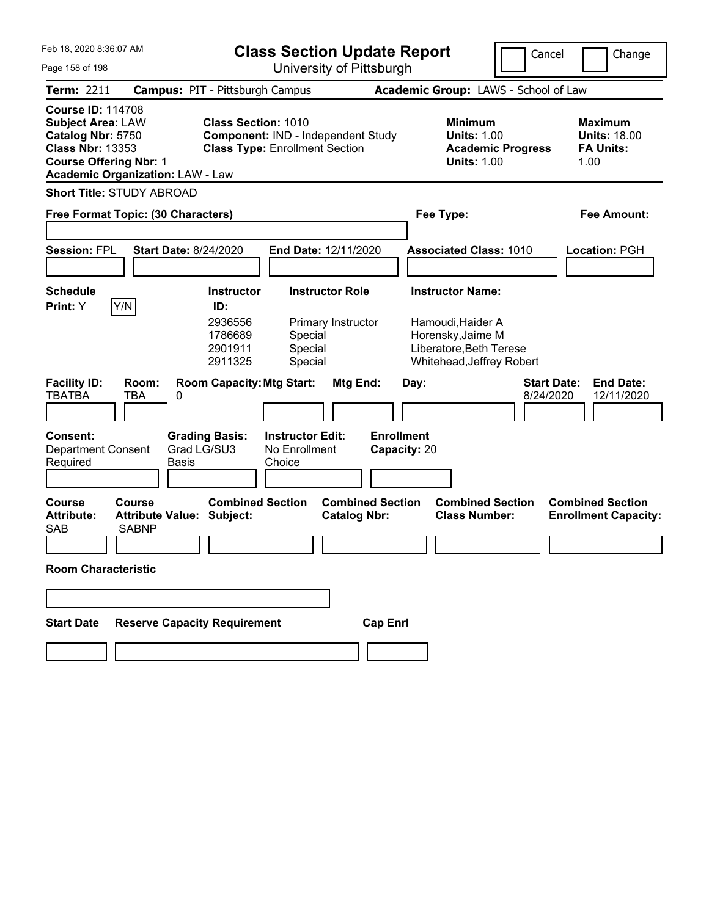| Feb 18, 2020 8:36:07 AM                                                                                                               |                                                            | <b>Class Section Update Report</b>                                                                        |                                                    |                                                |                                   |      |                                                                                                | Cancel                   | Change                          |                                                                   |
|---------------------------------------------------------------------------------------------------------------------------------------|------------------------------------------------------------|-----------------------------------------------------------------------------------------------------------|----------------------------------------------------|------------------------------------------------|-----------------------------------|------|------------------------------------------------------------------------------------------------|--------------------------|---------------------------------|-------------------------------------------------------------------|
| Page 158 of 198                                                                                                                       |                                                            |                                                                                                           |                                                    | University of Pittsburgh                       |                                   |      |                                                                                                |                          |                                 |                                                                   |
| Term: 2211                                                                                                                            | <b>Campus: PIT - Pittsburgh Campus</b>                     |                                                                                                           |                                                    |                                                |                                   |      | Academic Group: LAWS - School of Law                                                           |                          |                                 |                                                                   |
| <b>Course ID: 114708</b><br><b>Subject Area: LAW</b><br>Catalog Nbr: 5750<br><b>Class Nbr: 13353</b><br><b>Course Offering Nbr: 1</b> | <b>Academic Organization: LAW - Law</b>                    | <b>Class Section: 1010</b><br>Component: IND - Independent Study<br><b>Class Type: Enrollment Section</b> |                                                    |                                                |                                   |      | <b>Minimum</b><br><b>Units: 1.00</b><br><b>Units: 1.00</b>                                     | <b>Academic Progress</b> |                                 | <b>Maximum</b><br><b>Units: 18.00</b><br><b>FA Units:</b><br>1.00 |
|                                                                                                                                       | <b>Short Title: STUDY ABROAD</b>                           |                                                                                                           |                                                    |                                                |                                   |      |                                                                                                |                          |                                 |                                                                   |
|                                                                                                                                       | Free Format Topic: (30 Characters)                         |                                                                                                           |                                                    |                                                |                                   |      | Fee Type:                                                                                      |                          |                                 | Fee Amount:                                                       |
| <b>Session: FPL</b>                                                                                                                   | <b>Start Date: 8/24/2020</b>                               |                                                                                                           | End Date: 12/11/2020                               |                                                |                                   |      | <b>Associated Class: 1010</b>                                                                  |                          |                                 | Location: PGH                                                     |
| <b>Schedule</b>                                                                                                                       |                                                            | <b>Instructor</b>                                                                                         |                                                    | <b>Instructor Role</b>                         |                                   |      | <b>Instructor Name:</b>                                                                        |                          |                                 |                                                                   |
| Print: Y                                                                                                                              | Y/N                                                        | ID:<br>2936556<br>1786689<br>2901911<br>2911325                                                           | Special<br>Special<br>Special                      | Primary Instructor                             |                                   |      | Hamoudi, Haider A<br>Horensky, Jaime M<br>Liberatore, Beth Terese<br>Whitehead, Jeffrey Robert |                          |                                 |                                                                   |
| <b>Facility ID:</b><br><b>TBATBA</b>                                                                                                  | Room:<br>TBA<br>0                                          | <b>Room Capacity: Mtg Start:</b>                                                                          |                                                    | Mtg End:                                       |                                   | Day: |                                                                                                |                          | <b>Start Date:</b><br>8/24/2020 | <b>End Date:</b><br>12/11/2020                                    |
| <b>Consent:</b><br>Department Consent<br>Required                                                                                     | Basis                                                      | <b>Grading Basis:</b><br>Grad LG/SU3                                                                      | <b>Instructor Edit:</b><br>No Enrollment<br>Choice |                                                | <b>Enrollment</b><br>Capacity: 20 |      |                                                                                                |                          |                                 |                                                                   |
| <b>Course</b><br><b>Attribute:</b><br><b>SAB</b>                                                                                      | Course<br><b>Attribute Value: Subject:</b><br><b>SABNP</b> | <b>Combined Section</b>                                                                                   |                                                    | <b>Combined Section</b><br><b>Catalog Nbr:</b> |                                   |      | <b>Combined Section</b><br><b>Class Number:</b>                                                |                          |                                 | <b>Combined Section</b><br><b>Enrollment Capacity:</b>            |
| <b>Room Characteristic</b>                                                                                                            |                                                            |                                                                                                           |                                                    |                                                |                                   |      |                                                                                                |                          |                                 |                                                                   |
|                                                                                                                                       |                                                            |                                                                                                           |                                                    |                                                |                                   |      |                                                                                                |                          |                                 |                                                                   |
| <b>Start Date</b>                                                                                                                     | <b>Reserve Capacity Requirement</b>                        |                                                                                                           |                                                    |                                                | <b>Cap Enrl</b>                   |      |                                                                                                |                          |                                 |                                                                   |
|                                                                                                                                       |                                                            |                                                                                                           |                                                    |                                                |                                   |      |                                                                                                |                          |                                 |                                                                   |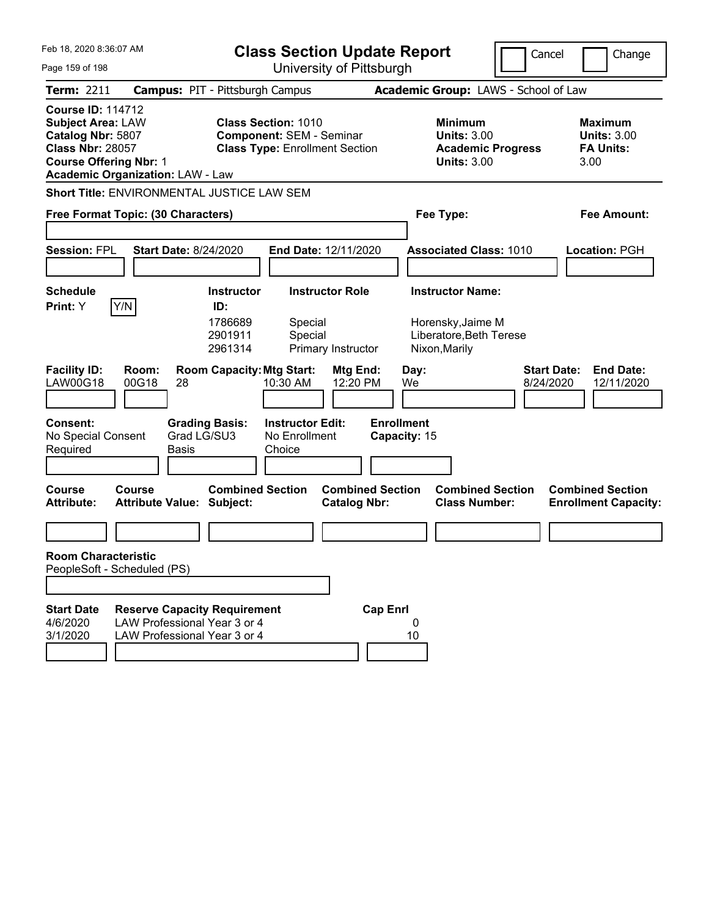| Feb 18, 2020 8:36:07 AM                                                                                                                                                          |                                                                                                     | <b>Class Section Update Report</b>                                                                     |                                   |                                                                                        | Cancel<br>Change                                                  |
|----------------------------------------------------------------------------------------------------------------------------------------------------------------------------------|-----------------------------------------------------------------------------------------------------|--------------------------------------------------------------------------------------------------------|-----------------------------------|----------------------------------------------------------------------------------------|-------------------------------------------------------------------|
| Page 159 of 198                                                                                                                                                                  |                                                                                                     | University of Pittsburgh                                                                               |                                   |                                                                                        |                                                                   |
| Term: 2211                                                                                                                                                                       | <b>Campus: PIT - Pittsburgh Campus</b>                                                              |                                                                                                        |                                   | Academic Group: LAWS - School of Law                                                   |                                                                   |
| <b>Course ID: 114712</b><br><b>Subject Area: LAW</b><br>Catalog Nbr: 5807<br><b>Class Nbr: 28057</b><br><b>Course Offering Nbr: 1</b><br><b>Academic Organization: LAW - Law</b> |                                                                                                     | <b>Class Section: 1010</b><br><b>Component: SEM - Seminar</b><br><b>Class Type: Enrollment Section</b> |                                   | <b>Minimum</b><br><b>Units: 3.00</b><br><b>Academic Progress</b><br><b>Units: 3.00</b> | <b>Maximum</b><br><b>Units: 3.00</b><br><b>FA Units:</b><br>3.00  |
| <b>Short Title: ENVIRONMENTAL JUSTICE LAW SEM</b>                                                                                                                                |                                                                                                     |                                                                                                        |                                   |                                                                                        |                                                                   |
| Free Format Topic: (30 Characters)                                                                                                                                               |                                                                                                     |                                                                                                        |                                   | Fee Type:                                                                              | Fee Amount:                                                       |
| <b>Session: FPL</b>                                                                                                                                                              | <b>Start Date: 8/24/2020</b>                                                                        | End Date: 12/11/2020                                                                                   |                                   | <b>Associated Class: 1010</b>                                                          | Location: PGH                                                     |
| <b>Schedule</b>                                                                                                                                                                  | <b>Instructor</b>                                                                                   | <b>Instructor Role</b>                                                                                 |                                   | <b>Instructor Name:</b>                                                                |                                                                   |
| Y/N<br>Print: Y<br><b>Facility ID:</b><br>Room:<br>LAW00G18<br>00G18                                                                                                             | ID:<br>1786689<br>2901911<br>2961314<br><b>Room Capacity: Mtg Start:</b><br>28                      | Special<br>Special<br>Primary Instructor<br>Mtg End:<br>12:20 PM<br>10:30 AM                           | Day:<br>We                        | Horensky, Jaime M<br>Liberatore, Beth Terese<br>Nixon, Marily                          | <b>Start Date:</b><br><b>End Date:</b><br>8/24/2020<br>12/11/2020 |
| <b>Consent:</b><br>No Special Consent<br>Required                                                                                                                                | <b>Grading Basis:</b><br>Grad LG/SU3<br>Basis                                                       | <b>Instructor Edit:</b><br>No Enrollment<br>Choice                                                     | <b>Enrollment</b><br>Capacity: 15 |                                                                                        |                                                                   |
| <b>Course</b><br>Course<br><b>Attribute:</b>                                                                                                                                     | <b>Combined Section</b><br><b>Attribute Value: Subject:</b>                                         | <b>Catalog Nbr:</b>                                                                                    | <b>Combined Section</b>           | <b>Combined Section</b><br><b>Class Number:</b>                                        | <b>Combined Section</b><br><b>Enrollment Capacity:</b>            |
|                                                                                                                                                                                  |                                                                                                     |                                                                                                        |                                   |                                                                                        |                                                                   |
| <b>Room Characteristic</b><br>PeopleSoft - Scheduled (PS)                                                                                                                        |                                                                                                     |                                                                                                        |                                   |                                                                                        |                                                                   |
|                                                                                                                                                                                  |                                                                                                     |                                                                                                        |                                   |                                                                                        |                                                                   |
| <b>Start Date</b><br>4/6/2020<br>3/1/2020                                                                                                                                        | <b>Reserve Capacity Requirement</b><br>LAW Professional Year 3 or 4<br>LAW Professional Year 3 or 4 |                                                                                                        | <b>Cap Enrl</b><br>0<br>10        |                                                                                        |                                                                   |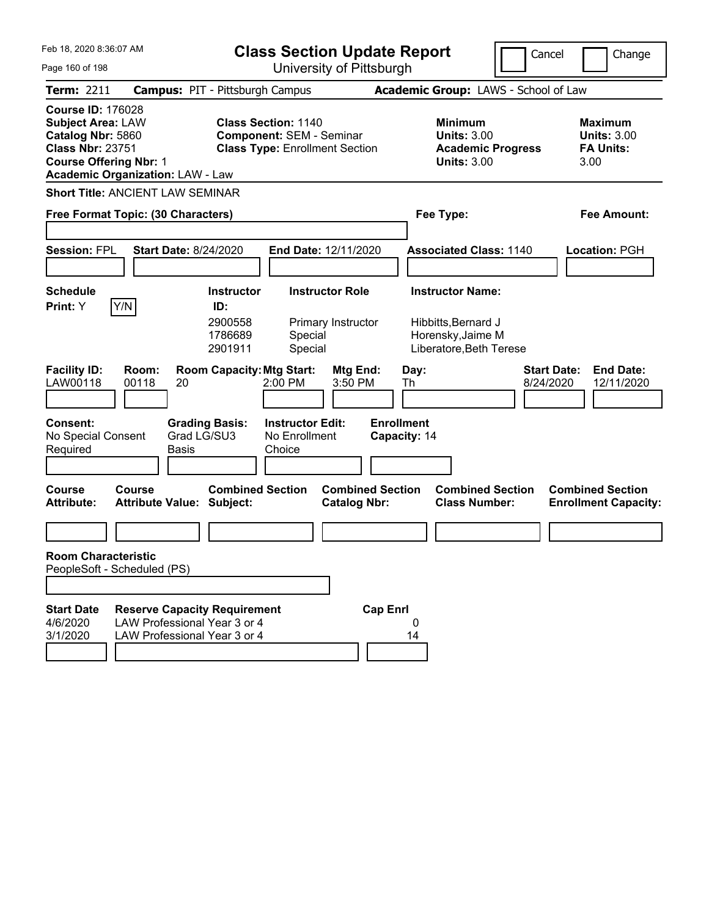| Feb 18, 2020 8:36:07 AM<br>Page 160 of 198                                                                                                                                       | <b>Class Section Update Report</b><br>University of Pittsburgh                                                                  | Cancel                                                                                         | Change                                                           |
|----------------------------------------------------------------------------------------------------------------------------------------------------------------------------------|---------------------------------------------------------------------------------------------------------------------------------|------------------------------------------------------------------------------------------------|------------------------------------------------------------------|
| <b>Term: 2211</b>                                                                                                                                                                | <b>Campus: PIT - Pittsburgh Campus</b>                                                                                          | Academic Group: LAWS - School of Law                                                           |                                                                  |
| <b>Course ID: 176028</b><br><b>Subject Area: LAW</b><br>Catalog Nbr: 5860<br><b>Class Nbr: 23751</b><br><b>Course Offering Nbr: 1</b><br><b>Academic Organization: LAW - Law</b> | <b>Class Section: 1140</b><br><b>Component: SEM - Seminar</b><br><b>Class Type: Enrollment Section</b>                          | <b>Minimum</b><br><b>Units: 3.00</b><br><b>Academic Progress</b><br><b>Units: 3.00</b>         | <b>Maximum</b><br><b>Units: 3.00</b><br><b>FA Units:</b><br>3.00 |
| <b>Short Title: ANCIENT LAW SEMINAR</b><br>Free Format Topic: (30 Characters)                                                                                                    |                                                                                                                                 | Fee Type:                                                                                      | Fee Amount:                                                      |
| <b>Session: FPL</b><br><b>Start Date: 8/24/2020</b>                                                                                                                              | End Date: 12/11/2020                                                                                                            | <b>Associated Class: 1140</b>                                                                  | Location: PGH                                                    |
| <b>Schedule</b><br>Y/N<br><b>Print:</b> Y                                                                                                                                        | <b>Instructor Role</b><br><b>Instructor</b><br>ID:<br>2900558<br>Primary Instructor<br>1786689<br>Special<br>Special<br>2901911 | <b>Instructor Name:</b><br>Hibbitts, Bernard J<br>Horensky, Jaime M<br>Liberatore, Beth Terese |                                                                  |
| <b>Facility ID:</b><br>Room:<br>LAW00118<br>00118<br>20                                                                                                                          | <b>Room Capacity: Mtg Start:</b><br>Mtg End:<br>2:00 PM<br>3:50 PM                                                              | Day:<br>8/24/2020<br>Th                                                                        | <b>Start Date:</b><br><b>End Date:</b><br>12/11/2020             |
| <b>Consent:</b><br>No Special Consent<br>Required<br>Basis                                                                                                                       | <b>Grading Basis:</b><br><b>Instructor Edit:</b><br>Grad LG/SU3<br>No Enrollment<br>Choice                                      | <b>Enrollment</b><br>Capacity: 14                                                              |                                                                  |
| <b>Course</b><br>Course<br><b>Attribute:</b><br><b>Attribute Value: Subject:</b>                                                                                                 | <b>Combined Section</b><br><b>Combined Section</b><br><b>Catalog Nbr:</b>                                                       | <b>Combined Section</b><br><b>Class Number:</b>                                                | <b>Combined Section</b><br><b>Enrollment Capacity:</b>           |
| <b>Room Characteristic</b><br>PeopleSoft - Scheduled (PS)                                                                                                                        |                                                                                                                                 |                                                                                                |                                                                  |
| <b>Start Date</b><br>LAW Professional Year 3 or 4<br>4/6/2020<br>3/1/2020<br>LAW Professional Year 3 or 4                                                                        | <b>Cap Enrl</b><br><b>Reserve Capacity Requirement</b>                                                                          | 0<br>14                                                                                        |                                                                  |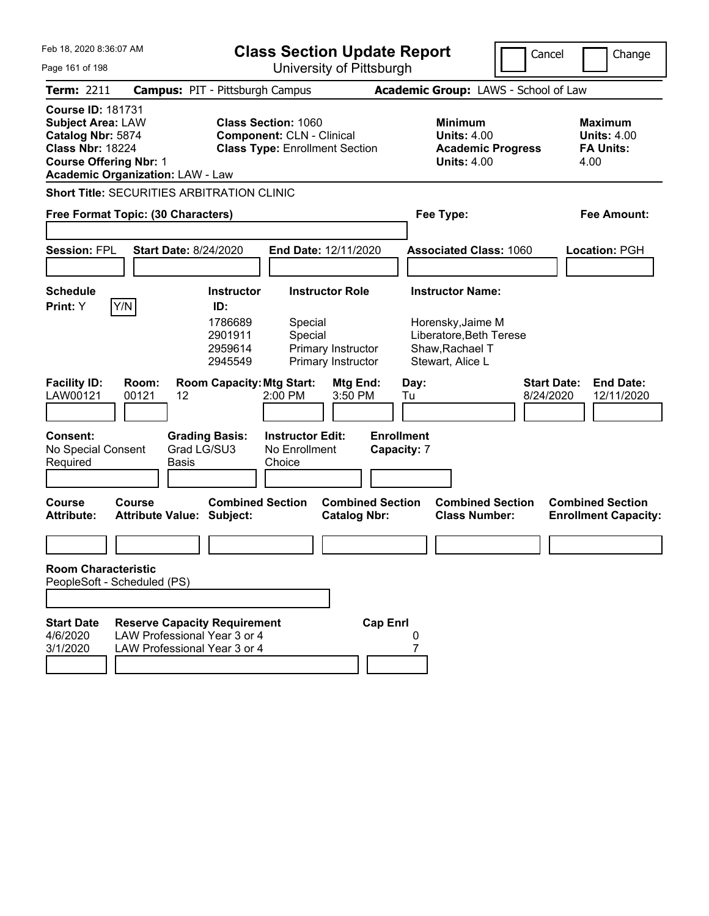| Feb 18, 2020 8:36:07 AM                                                              |                                                                                                                                                                                                                                                                                                                      |                                                                                                       | <b>Class Section Update Report</b>                                                  | Cancel<br>Change                                                |                                                       |                                                                                        |                                                                   |
|--------------------------------------------------------------------------------------|----------------------------------------------------------------------------------------------------------------------------------------------------------------------------------------------------------------------------------------------------------------------------------------------------------------------|-------------------------------------------------------------------------------------------------------|-------------------------------------------------------------------------------------|-----------------------------------------------------------------|-------------------------------------------------------|----------------------------------------------------------------------------------------|-------------------------------------------------------------------|
| Page 161 of 198                                                                      |                                                                                                                                                                                                                                                                                                                      |                                                                                                       |                                                                                     | University of Pittsburgh                                        |                                                       |                                                                                        |                                                                   |
| Term: 2211                                                                           | <b>Campus: PIT - Pittsburgh Campus</b>                                                                                                                                                                                                                                                                               |                                                                                                       |                                                                                     |                                                                 |                                                       | Academic Group: LAWS - School of Law                                                   |                                                                   |
| <b>Course ID: 181731</b>                                                             | <b>Subject Area: LAW</b><br><b>Class Section: 1060</b><br>Catalog Nbr: 5874<br><b>Component: CLN - Clinical</b><br><b>Class Nbr: 18224</b><br><b>Class Type: Enrollment Section</b><br><b>Course Offering Nbr: 1</b><br><b>Academic Organization: LAW - Law</b><br><b>Short Title: SECURITIES ARBITRATION CLINIC</b> |                                                                                                       |                                                                                     |                                                                 |                                                       | <b>Minimum</b><br><b>Units: 4.00</b><br><b>Academic Progress</b><br><b>Units: 4.00</b> | <b>Maximum</b><br><b>Units: 4.00</b><br><b>FA Units:</b><br>4.00  |
|                                                                                      |                                                                                                                                                                                                                                                                                                                      |                                                                                                       |                                                                                     |                                                                 |                                                       |                                                                                        |                                                                   |
| Free Format Topic: (30 Characters)                                                   |                                                                                                                                                                                                                                                                                                                      |                                                                                                       |                                                                                     |                                                                 |                                                       | Fee Type:                                                                              | <b>Fee Amount:</b>                                                |
| <b>Session: FPL</b>                                                                  | <b>Start Date: 8/24/2020</b>                                                                                                                                                                                                                                                                                         |                                                                                                       | End Date: 12/11/2020                                                                |                                                                 |                                                       | <b>Associated Class: 1060</b>                                                          | <b>Location: PGH</b>                                              |
|                                                                                      |                                                                                                                                                                                                                                                                                                                      |                                                                                                       |                                                                                     |                                                                 |                                                       |                                                                                        |                                                                   |
| <b>Schedule</b><br>Y/N<br>Print: Y                                                   |                                                                                                                                                                                                                                                                                                                      | <b>Instructor</b><br>ID:                                                                              |                                                                                     | <b>Instructor Role</b>                                          |                                                       | <b>Instructor Name:</b>                                                                |                                                                   |
| <b>Facility ID:</b><br>LAW00121<br><b>Consent:</b><br>No Special Consent<br>Required | Room:<br>00121<br>12<br>Grad LG/SU3<br><b>Basis</b>                                                                                                                                                                                                                                                                  | 1786689<br>2901911<br>2959614<br>2945549<br><b>Room Capacity: Mtg Start:</b><br><b>Grading Basis:</b> | Special<br>Special<br>2:00 PM<br><b>Instructor Edit:</b><br>No Enrollment<br>Choice | Primary Instructor<br>Primary Instructor<br>Mtg End:<br>3:50 PM | Day:<br>Tu<br><b>Enrollment</b><br><b>Capacity: 7</b> | Horensky, Jaime M<br>Liberatore, Beth Terese<br>Shaw, Rachael T<br>Stewart, Alice L    | <b>Start Date:</b><br><b>End Date:</b><br>8/24/2020<br>12/11/2020 |
|                                                                                      |                                                                                                                                                                                                                                                                                                                      |                                                                                                       |                                                                                     |                                                                 |                                                       |                                                                                        |                                                                   |
| <b>Course</b><br><b>Attribute:</b>                                                   | <b>Course</b><br><b>Attribute Value: Subject:</b>                                                                                                                                                                                                                                                                    | <b>Combined Section</b>                                                                               |                                                                                     | <b>Catalog Nbr:</b>                                             | <b>Combined Section</b>                               | <b>Combined Section</b><br><b>Class Number:</b>                                        | <b>Combined Section</b><br><b>Enrollment Capacity:</b>            |
| <b>Room Characteristic</b>                                                           |                                                                                                                                                                                                                                                                                                                      |                                                                                                       |                                                                                     |                                                                 |                                                       |                                                                                        |                                                                   |
| PeopleSoft - Scheduled (PS)                                                          |                                                                                                                                                                                                                                                                                                                      |                                                                                                       |                                                                                     |                                                                 |                                                       |                                                                                        |                                                                   |
|                                                                                      |                                                                                                                                                                                                                                                                                                                      |                                                                                                       |                                                                                     |                                                                 |                                                       |                                                                                        |                                                                   |
| <b>Start Date</b><br>4/6/2020<br>3/1/2020                                            | <b>Reserve Capacity Requirement</b><br>LAW Professional Year 3 or 4<br>LAW Professional Year 3 or 4                                                                                                                                                                                                                  |                                                                                                       |                                                                                     |                                                                 | <b>Cap Enrl</b>                                       |                                                                                        |                                                                   |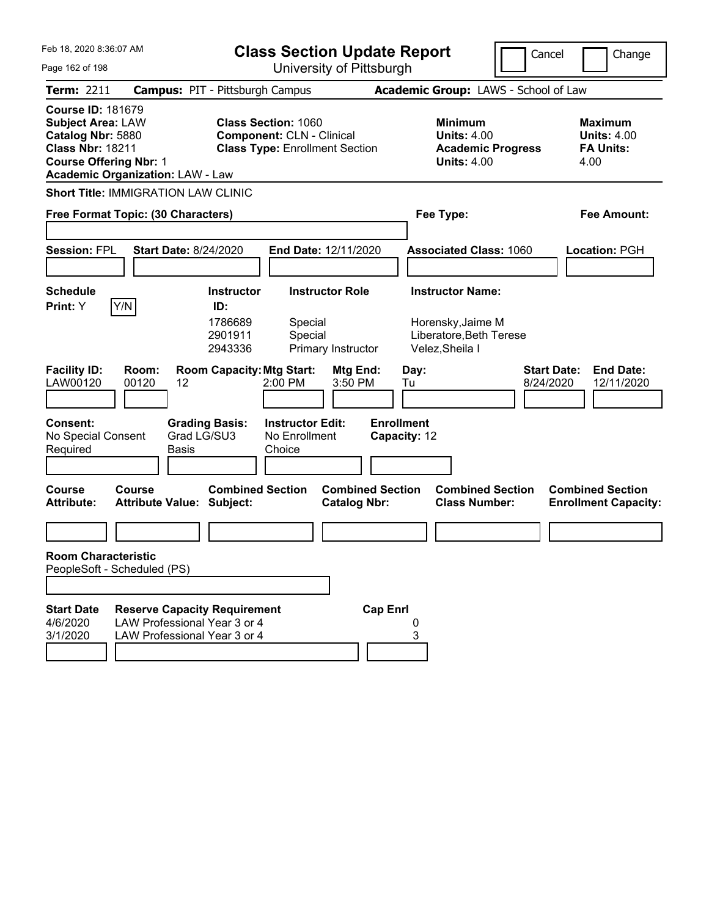| Feb 18, 2020 8:36:07 AM<br>Page 162 of 198                                                                                                                                       | <b>Class Section Update Report</b><br>University of Pittsburgh                                                                                         | Cancel                                                                                     | Change                                                           |
|----------------------------------------------------------------------------------------------------------------------------------------------------------------------------------|--------------------------------------------------------------------------------------------------------------------------------------------------------|--------------------------------------------------------------------------------------------|------------------------------------------------------------------|
| <b>Term: 2211</b>                                                                                                                                                                | <b>Campus: PIT - Pittsburgh Campus</b>                                                                                                                 | Academic Group: LAWS - School of Law                                                       |                                                                  |
| <b>Course ID: 181679</b><br><b>Subject Area: LAW</b><br>Catalog Nbr: 5880<br><b>Class Nbr: 18211</b><br><b>Course Offering Nbr: 1</b><br><b>Academic Organization: LAW - Law</b> | <b>Class Section: 1060</b><br><b>Component: CLN - Clinical</b><br><b>Class Type: Enrollment Section</b>                                                | <b>Minimum</b><br><b>Units: 4.00</b><br><b>Academic Progress</b><br><b>Units: 4.00</b>     | <b>Maximum</b><br><b>Units: 4.00</b><br><b>FA Units:</b><br>4.00 |
| <b>Short Title: IMMIGRATION LAW CLINIC</b>                                                                                                                                       |                                                                                                                                                        |                                                                                            |                                                                  |
| Free Format Topic: (30 Characters)                                                                                                                                               |                                                                                                                                                        | Fee Type:                                                                                  | Fee Amount:                                                      |
| <b>Session: FPL</b><br><b>Start Date: 8/24/2020</b>                                                                                                                              | End Date: 12/11/2020                                                                                                                                   | <b>Associated Class: 1060</b>                                                              | Location: PGH                                                    |
| <b>Schedule</b>                                                                                                                                                                  | <b>Instructor Role</b><br><b>Instructor</b>                                                                                                            | <b>Instructor Name:</b>                                                                    |                                                                  |
| Y/N<br><b>Print:</b> Y<br><b>Facility ID:</b><br>Room:<br>LAW00120<br>00120<br>12                                                                                                | ID:<br>1786689<br>Special<br>2901911<br>Special<br>2943336<br>Primary Instructor<br><b>Room Capacity: Mtg Start:</b><br>Mtg End:<br>2:00 PM<br>3:50 PM | Horensky, Jaime M<br>Liberatore, Beth Terese<br>Velez, Sheila I<br>Day:<br>8/24/2020<br>Tu | <b>Start Date:</b><br><b>End Date:</b><br>12/11/2020             |
| <b>Consent:</b><br><b>Grading Basis:</b><br>Grad LG/SU3<br>No Special Consent<br>Required<br>Basis                                                                               | <b>Enrollment</b><br><b>Instructor Edit:</b><br>No Enrollment<br>Choice                                                                                | Capacity: 12                                                                               |                                                                  |
| <b>Course</b><br>Course<br><b>Attribute:</b><br><b>Attribute Value: Subject:</b>                                                                                                 | <b>Combined Section</b><br><b>Combined Section</b><br><b>Catalog Nbr:</b>                                                                              | <b>Combined Section</b><br><b>Class Number:</b>                                            | <b>Combined Section</b><br><b>Enrollment Capacity:</b>           |
|                                                                                                                                                                                  |                                                                                                                                                        |                                                                                            |                                                                  |
| <b>Room Characteristic</b><br>PeopleSoft - Scheduled (PS)                                                                                                                        |                                                                                                                                                        |                                                                                            |                                                                  |
|                                                                                                                                                                                  |                                                                                                                                                        |                                                                                            |                                                                  |
| <b>Start Date</b><br><b>Reserve Capacity Requirement</b><br>LAW Professional Year 3 or 4<br>4/6/2020<br>3/1/2020<br>LAW Professional Year 3 or 4                                 | <b>Cap Enrl</b>                                                                                                                                        | 3                                                                                          |                                                                  |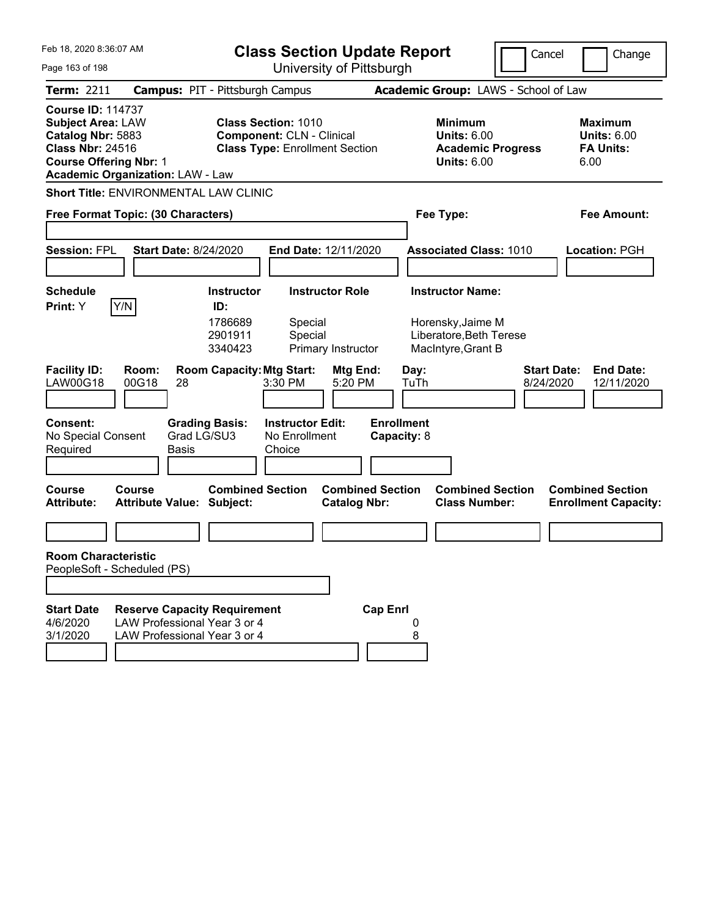| Feb 18, 2020 8:36:07 AM                                                                                                                                                          |                                                                                                     |                                                                                                         | <b>Class Section Update Report</b>             |                                                                                        | Cancel                          | Change                                                           |
|----------------------------------------------------------------------------------------------------------------------------------------------------------------------------------|-----------------------------------------------------------------------------------------------------|---------------------------------------------------------------------------------------------------------|------------------------------------------------|----------------------------------------------------------------------------------------|---------------------------------|------------------------------------------------------------------|
| Page 163 of 198                                                                                                                                                                  |                                                                                                     |                                                                                                         | University of Pittsburgh                       |                                                                                        |                                 |                                                                  |
| Term: 2211                                                                                                                                                                       | <b>Campus: PIT - Pittsburgh Campus</b>                                                              |                                                                                                         |                                                | Academic Group: LAWS - School of Law                                                   |                                 |                                                                  |
| <b>Course ID: 114737</b><br><b>Subject Area: LAW</b><br>Catalog Nbr: 5883<br><b>Class Nbr: 24516</b><br><b>Course Offering Nbr: 1</b><br><b>Academic Organization: LAW - Law</b> |                                                                                                     | <b>Class Section: 1010</b><br><b>Component: CLN - Clinical</b><br><b>Class Type: Enrollment Section</b> |                                                | <b>Minimum</b><br><b>Units: 6.00</b><br><b>Academic Progress</b><br><b>Units: 6.00</b> |                                 | <b>Maximum</b><br><b>Units: 6.00</b><br><b>FA Units:</b><br>6.00 |
| Short Title: ENVIRONMENTAL LAW CLINIC                                                                                                                                            |                                                                                                     |                                                                                                         |                                                |                                                                                        |                                 |                                                                  |
| Free Format Topic: (30 Characters)                                                                                                                                               |                                                                                                     |                                                                                                         |                                                | Fee Type:                                                                              |                                 | Fee Amount:                                                      |
| <b>Session: FPL</b>                                                                                                                                                              | <b>Start Date: 8/24/2020</b>                                                                        | End Date: 12/11/2020                                                                                    |                                                | <b>Associated Class: 1010</b>                                                          |                                 | Location: PGH                                                    |
| <b>Schedule</b>                                                                                                                                                                  | <b>Instructor</b>                                                                                   | <b>Instructor Role</b>                                                                                  |                                                | <b>Instructor Name:</b>                                                                |                                 |                                                                  |
| Y/N<br>Print: Y<br><b>Facility ID:</b><br>Room:<br>LAW00G18<br>00G18                                                                                                             | ID:<br>1786689<br>2901911<br>3340423<br><b>Room Capacity: Mtg Start:</b><br>28                      | Special<br>Special<br>Primary Instructor<br>3:30 PM                                                     | Mtg End:<br>5:20 PM                            | Horensky, Jaime M<br>Liberatore, Beth Terese<br>MacIntyre, Grant B<br>Day:<br>TuTh     | <b>Start Date:</b><br>8/24/2020 | <b>End Date:</b><br>12/11/2020                                   |
| <b>Consent:</b><br>No Special Consent<br>Required                                                                                                                                | <b>Grading Basis:</b><br>Grad LG/SU3<br>Basis                                                       | <b>Instructor Edit:</b><br>No Enrollment<br>Choice                                                      | <b>Enrollment</b><br>Capacity: 8               |                                                                                        |                                 |                                                                  |
| <b>Course</b><br>Course<br><b>Attribute:</b>                                                                                                                                     | <b>Combined Section</b><br><b>Attribute Value: Subject:</b>                                         |                                                                                                         | <b>Combined Section</b><br><b>Catalog Nbr:</b> | <b>Combined Section</b><br><b>Class Number:</b>                                        |                                 | <b>Combined Section</b><br><b>Enrollment Capacity:</b>           |
|                                                                                                                                                                                  |                                                                                                     |                                                                                                         |                                                |                                                                                        |                                 |                                                                  |
| <b>Room Characteristic</b>                                                                                                                                                       |                                                                                                     |                                                                                                         |                                                |                                                                                        |                                 |                                                                  |
| PeopleSoft - Scheduled (PS)                                                                                                                                                      |                                                                                                     |                                                                                                         |                                                |                                                                                        |                                 |                                                                  |
| <b>Start Date</b><br>4/6/2020<br>3/1/2020                                                                                                                                        | <b>Reserve Capacity Requirement</b><br>LAW Professional Year 3 or 4<br>LAW Professional Year 3 or 4 |                                                                                                         | <b>Cap Enrl</b>                                | 8                                                                                      |                                 |                                                                  |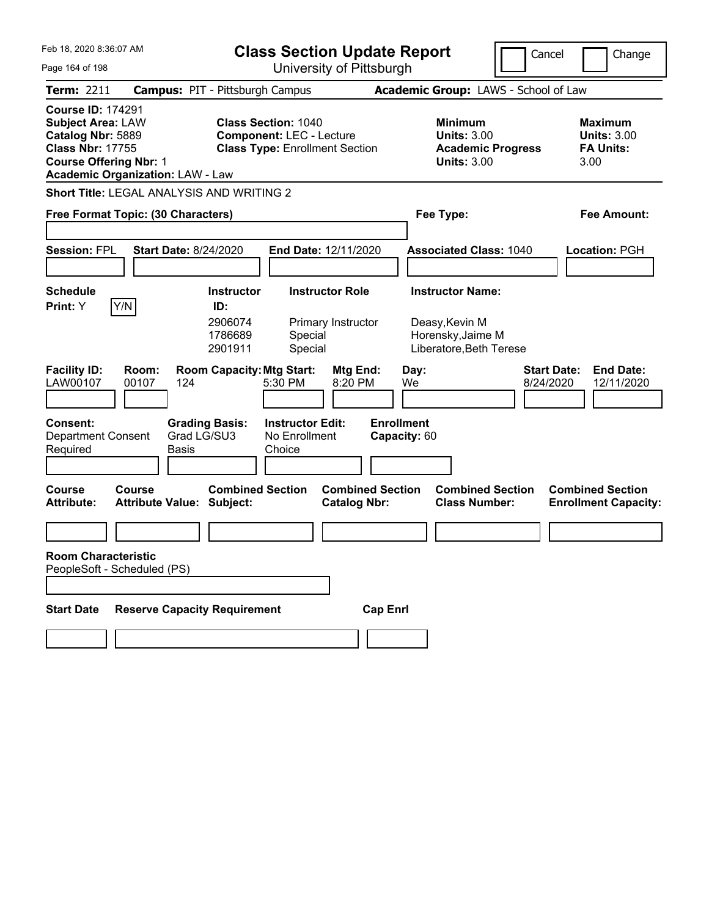| Feb 18, 2020 8:36:07 AM                                                                                                               |                                                  |                                      | <b>Class Section Update Report</b><br>University of Pittsburgh                                         |                                                |                                   |            | Cancel                                                                                 | Change                          |                                                                  |
|---------------------------------------------------------------------------------------------------------------------------------------|--------------------------------------------------|--------------------------------------|--------------------------------------------------------------------------------------------------------|------------------------------------------------|-----------------------------------|------------|----------------------------------------------------------------------------------------|---------------------------------|------------------------------------------------------------------|
| Page 164 of 198                                                                                                                       |                                                  |                                      |                                                                                                        |                                                |                                   |            |                                                                                        |                                 |                                                                  |
| <b>Term: 2211</b>                                                                                                                     | <b>Campus: PIT - Pittsburgh Campus</b>           |                                      |                                                                                                        |                                                |                                   |            | Academic Group: LAWS - School of Law                                                   |                                 |                                                                  |
| <b>Course ID: 174291</b><br><b>Subject Area: LAW</b><br>Catalog Nbr: 5889<br><b>Class Nbr: 17755</b><br><b>Course Offering Nbr: 1</b> | <b>Academic Organization: LAW - Law</b>          |                                      | <b>Class Section: 1040</b><br><b>Component: LEC - Lecture</b><br><b>Class Type: Enrollment Section</b> |                                                |                                   |            | <b>Minimum</b><br><b>Units: 3.00</b><br><b>Academic Progress</b><br><b>Units: 3.00</b> |                                 | <b>Maximum</b><br><b>Units: 3.00</b><br><b>FA Units:</b><br>3.00 |
|                                                                                                                                       | <b>Short Title: LEGAL ANALYSIS AND WRITING 2</b> |                                      |                                                                                                        |                                                |                                   |            |                                                                                        |                                 |                                                                  |
|                                                                                                                                       | Free Format Topic: (30 Characters)               |                                      |                                                                                                        |                                                |                                   |            | Fee Type:                                                                              |                                 | Fee Amount:                                                      |
|                                                                                                                                       |                                                  |                                      |                                                                                                        |                                                |                                   |            |                                                                                        |                                 |                                                                  |
| <b>Session: FPL</b>                                                                                                                   | <b>Start Date: 8/24/2020</b>                     |                                      | <b>End Date: 12/11/2020</b>                                                                            |                                                |                                   |            | <b>Associated Class: 1040</b>                                                          |                                 | Location: PGH                                                    |
|                                                                                                                                       |                                                  |                                      |                                                                                                        |                                                |                                   |            |                                                                                        |                                 |                                                                  |
| <b>Schedule</b>                                                                                                                       |                                                  | <b>Instructor</b>                    |                                                                                                        | <b>Instructor Role</b>                         |                                   |            | <b>Instructor Name:</b>                                                                |                                 |                                                                  |
| Print: Y                                                                                                                              | Y/N                                              | ID:<br>2906074<br>1786689<br>2901911 | Special<br>Special                                                                                     | Primary Instructor                             |                                   |            | Deasy, Kevin M<br>Horensky, Jaime M<br>Liberatore, Beth Terese                         |                                 |                                                                  |
| <b>Facility ID:</b><br>LAW00107                                                                                                       | Room:<br>00107<br>124                            | <b>Room Capacity: Mtg Start:</b>     | 5:30 PM                                                                                                | <b>Mtg End:</b><br>8:20 PM                     |                                   | Day:<br>We |                                                                                        | <b>Start Date:</b><br>8/24/2020 | <b>End Date:</b><br>12/11/2020                                   |
| <b>Consent:</b><br><b>Department Consent</b><br>Required                                                                              | <b>Grading Basis:</b><br>Grad LG/SU3<br>Basis    |                                      | <b>Instructor Edit:</b><br>No Enrollment<br>Choice                                                     |                                                | <b>Enrollment</b><br>Capacity: 60 |            |                                                                                        |                                 |                                                                  |
| <b>Course</b><br><b>Attribute:</b>                                                                                                    | Course<br><b>Attribute Value: Subject:</b>       | <b>Combined Section</b>              |                                                                                                        | <b>Combined Section</b><br><b>Catalog Nbr:</b> |                                   |            | <b>Combined Section</b><br><b>Class Number:</b>                                        |                                 | <b>Combined Section</b><br><b>Enrollment Capacity:</b>           |
|                                                                                                                                       |                                                  |                                      |                                                                                                        |                                                |                                   |            |                                                                                        |                                 |                                                                  |
| <b>Room Characteristic</b>                                                                                                            | PeopleSoft - Scheduled (PS)                      |                                      |                                                                                                        |                                                |                                   |            |                                                                                        |                                 |                                                                  |
| <b>Start Date</b>                                                                                                                     | <b>Reserve Capacity Requirement</b>              |                                      |                                                                                                        |                                                | <b>Cap Enrl</b>                   |            |                                                                                        |                                 |                                                                  |
|                                                                                                                                       |                                                  |                                      |                                                                                                        |                                                |                                   |            |                                                                                        |                                 |                                                                  |
|                                                                                                                                       |                                                  |                                      |                                                                                                        |                                                |                                   |            |                                                                                        |                                 |                                                                  |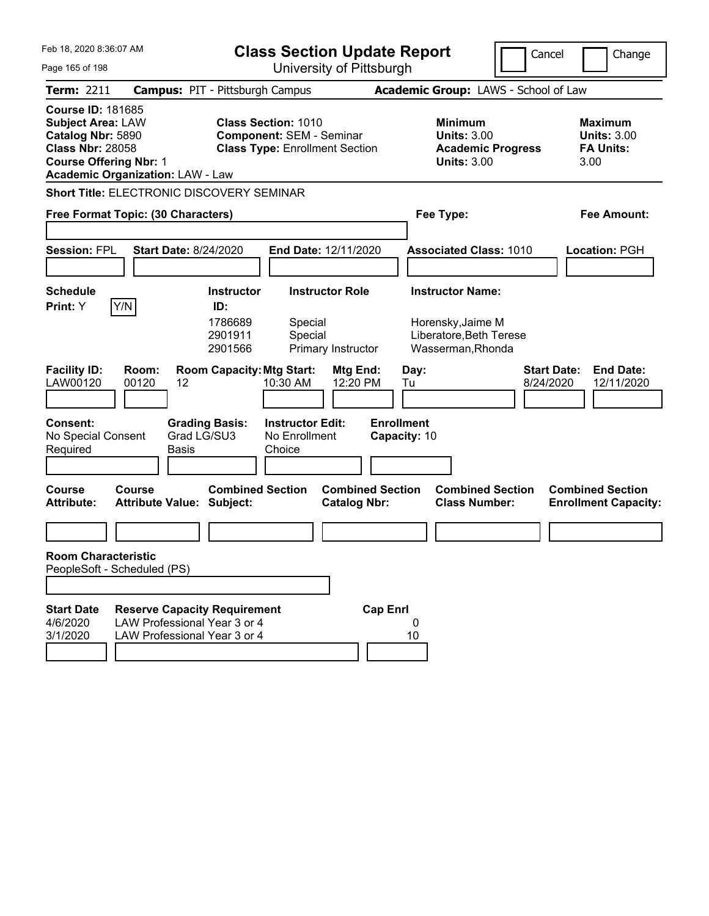| Feb 18, 2020 8:36:07 AM                                                                                                                                                          |                                                                                                     |                                                           | <b>Class Section Update Report</b>                                                                     |                                                |                                   |                                                                                              |                          | Cancel<br>Change                                                  |
|----------------------------------------------------------------------------------------------------------------------------------------------------------------------------------|-----------------------------------------------------------------------------------------------------|-----------------------------------------------------------|--------------------------------------------------------------------------------------------------------|------------------------------------------------|-----------------------------------|----------------------------------------------------------------------------------------------|--------------------------|-------------------------------------------------------------------|
| Page 165 of 198                                                                                                                                                                  |                                                                                                     |                                                           |                                                                                                        | University of Pittsburgh                       |                                   |                                                                                              |                          |                                                                   |
| Term: 2211                                                                                                                                                                       | <b>Campus: PIT - Pittsburgh Campus</b>                                                              |                                                           |                                                                                                        |                                                |                                   | Academic Group: LAWS - School of Law                                                         |                          |                                                                   |
| <b>Course ID: 181685</b><br><b>Subject Area: LAW</b><br>Catalog Nbr: 5890<br><b>Class Nbr: 28058</b><br><b>Course Offering Nbr: 1</b><br><b>Academic Organization: LAW - Law</b> |                                                                                                     |                                                           | <b>Class Section: 1010</b><br><b>Component: SEM - Seminar</b><br><b>Class Type: Enrollment Section</b> |                                                |                                   | <b>Minimum</b><br><b>Units: 3.00</b><br><b>Units: 3.00</b>                                   | <b>Academic Progress</b> | <b>Maximum</b><br><b>Units: 3.00</b><br><b>FA Units:</b><br>3.00  |
| Short Title: ELECTRONIC DISCOVERY SEMINAR                                                                                                                                        |                                                                                                     |                                                           |                                                                                                        |                                                |                                   |                                                                                              |                          |                                                                   |
| Free Format Topic: (30 Characters)                                                                                                                                               |                                                                                                     |                                                           |                                                                                                        |                                                |                                   | Fee Type:                                                                                    |                          | <b>Fee Amount:</b>                                                |
| <b>Session: FPL</b>                                                                                                                                                              | <b>Start Date: 8/24/2020</b>                                                                        |                                                           |                                                                                                        | End Date: 12/11/2020                           |                                   | <b>Associated Class: 1010</b>                                                                |                          | <b>Location: PGH</b>                                              |
| <b>Schedule</b><br>Y/N<br>Print: Y                                                                                                                                               |                                                                                                     | <b>Instructor</b><br>ID:<br>1786689<br>2901911<br>2901566 | Special<br>Special                                                                                     | <b>Instructor Role</b><br>Primary Instructor   |                                   | <b>Instructor Name:</b><br>Horensky, Jaime M<br>Liberatore, Beth Terese<br>Wasserman, Rhonda |                          |                                                                   |
| <b>Facility ID:</b><br>LAW00120                                                                                                                                                  | Room:<br>00120<br>12                                                                                | <b>Room Capacity: Mtg Start:</b>                          | 10:30 AM                                                                                               | Mtg End:<br>12:20 PM                           | Tu                                | Day:                                                                                         |                          | <b>Start Date:</b><br><b>End Date:</b><br>8/24/2020<br>12/11/2020 |
| <b>Consent:</b><br>No Special Consent<br>Required                                                                                                                                | Grad LG/SU3<br><b>Basis</b>                                                                         | <b>Grading Basis:</b>                                     | <b>Instructor Edit:</b><br>No Enrollment<br>Choice                                                     |                                                | <b>Enrollment</b><br>Capacity: 10 |                                                                                              |                          |                                                                   |
| Course<br><b>Attribute:</b>                                                                                                                                                      | Course<br><b>Attribute Value: Subject:</b>                                                          | <b>Combined Section</b>                                   |                                                                                                        | <b>Combined Section</b><br><b>Catalog Nbr:</b> |                                   | <b>Class Number:</b>                                                                         | <b>Combined Section</b>  | <b>Combined Section</b><br><b>Enrollment Capacity:</b>            |
|                                                                                                                                                                                  |                                                                                                     |                                                           |                                                                                                        |                                                |                                   |                                                                                              |                          |                                                                   |
| <b>Room Characteristic</b><br>PeopleSoft - Scheduled (PS)                                                                                                                        |                                                                                                     |                                                           |                                                                                                        |                                                |                                   |                                                                                              |                          |                                                                   |
|                                                                                                                                                                                  |                                                                                                     |                                                           |                                                                                                        |                                                |                                   |                                                                                              |                          |                                                                   |
| <b>Start Date</b><br>4/6/2020<br>3/1/2020                                                                                                                                        | <b>Reserve Capacity Requirement</b><br>LAW Professional Year 3 or 4<br>LAW Professional Year 3 or 4 |                                                           |                                                                                                        |                                                | <b>Cap Enrl</b>                   | 0<br>10                                                                                      |                          |                                                                   |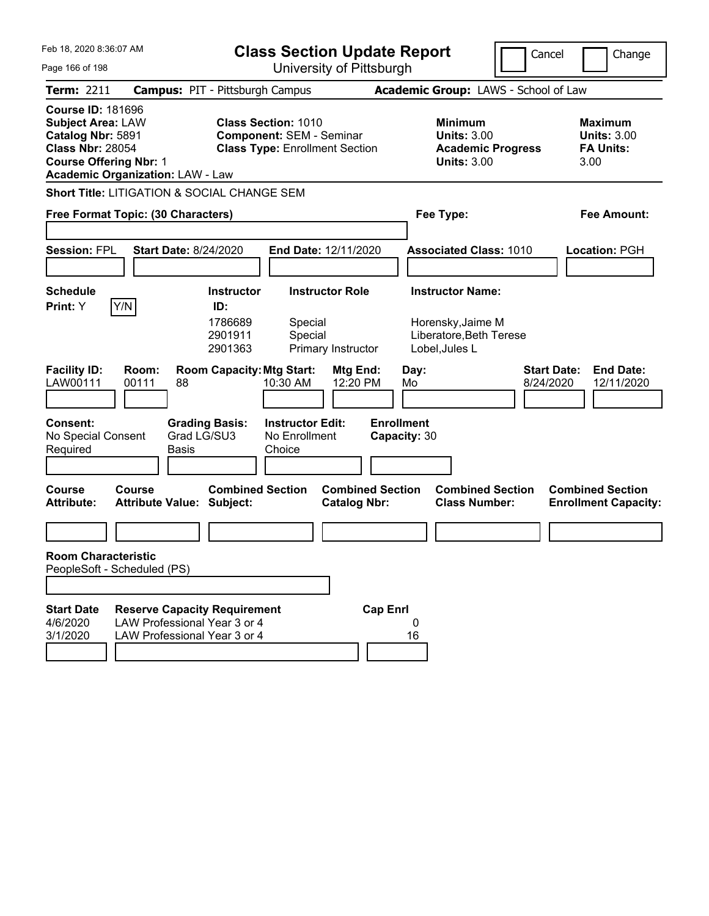| Feb 18, 2020 8:36:07 AM<br>Page 166 of 198                                                                                                                                       |                                                                                                     |                                                           | <b>Class Section Update Report</b>                                                                     |                                              | University of Pittsburgh          |                                                                                           |                          | Cancel                          | Change                                                           |
|----------------------------------------------------------------------------------------------------------------------------------------------------------------------------------|-----------------------------------------------------------------------------------------------------|-----------------------------------------------------------|--------------------------------------------------------------------------------------------------------|----------------------------------------------|-----------------------------------|-------------------------------------------------------------------------------------------|--------------------------|---------------------------------|------------------------------------------------------------------|
| <b>Term: 2211</b>                                                                                                                                                                | <b>Campus: PIT - Pittsburgh Campus</b>                                                              |                                                           |                                                                                                        |                                              |                                   | Academic Group: LAWS - School of Law                                                      |                          |                                 |                                                                  |
| <b>Course ID: 181696</b><br><b>Subject Area: LAW</b><br>Catalog Nbr: 5891<br><b>Class Nbr: 28054</b><br><b>Course Offering Nbr: 1</b><br><b>Academic Organization: LAW - Law</b> |                                                                                                     |                                                           | <b>Class Section: 1010</b><br><b>Component: SEM - Seminar</b><br><b>Class Type: Enrollment Section</b> |                                              |                                   | <b>Minimum</b><br><b>Units: 3.00</b><br><b>Units: 3.00</b>                                | <b>Academic Progress</b> |                                 | <b>Maximum</b><br><b>Units: 3.00</b><br><b>FA Units:</b><br>3.00 |
| Short Title: LITIGATION & SOCIAL CHANGE SEM                                                                                                                                      |                                                                                                     |                                                           |                                                                                                        |                                              |                                   |                                                                                           |                          |                                 |                                                                  |
| Free Format Topic: (30 Characters)                                                                                                                                               |                                                                                                     |                                                           |                                                                                                        |                                              |                                   | Fee Type:                                                                                 |                          |                                 | Fee Amount:                                                      |
| <b>Session: FPL</b>                                                                                                                                                              | <b>Start Date: 8/24/2020</b>                                                                        |                                                           | End Date: 12/11/2020                                                                                   |                                              |                                   | <b>Associated Class: 1010</b>                                                             |                          |                                 | <b>Location: PGH</b>                                             |
| <b>Schedule</b><br>Y/N<br>Print: Y                                                                                                                                               |                                                                                                     | <b>Instructor</b><br>ID:<br>1786689<br>2901911<br>2901363 | Special<br>Special                                                                                     | <b>Instructor Role</b><br>Primary Instructor |                                   | <b>Instructor Name:</b><br>Horensky, Jaime M<br>Liberatore, Beth Terese<br>Lobel, Jules L |                          |                                 |                                                                  |
| <b>Facility ID:</b><br>LAW00111                                                                                                                                                  | Room:<br>00111<br>88                                                                                | <b>Room Capacity: Mtg Start:</b>                          | 10:30 AM                                                                                               | Mtg End:<br>12:20 PM                         | Day:<br>Mo                        |                                                                                           |                          | <b>Start Date:</b><br>8/24/2020 | <b>End Date:</b><br>12/11/2020                                   |
| <b>Consent:</b><br>No Special Consent<br>Required                                                                                                                                | Grad LG/SU3<br><b>Basis</b>                                                                         | <b>Grading Basis:</b>                                     | <b>Instructor Edit:</b><br>No Enrollment<br>Choice                                                     |                                              | <b>Enrollment</b><br>Capacity: 30 |                                                                                           |                          |                                 |                                                                  |
| Course<br><b>Attribute:</b>                                                                                                                                                      | Course<br><b>Attribute Value: Subject:</b>                                                          | <b>Combined Section</b>                                   |                                                                                                        | <b>Catalog Nbr:</b>                          | <b>Combined Section</b>           | <b>Class Number:</b>                                                                      | <b>Combined Section</b>  |                                 | <b>Combined Section</b><br><b>Enrollment Capacity:</b>           |
|                                                                                                                                                                                  |                                                                                                     |                                                           |                                                                                                        |                                              |                                   |                                                                                           |                          |                                 |                                                                  |
| <b>Room Characteristic</b><br>PeopleSoft - Scheduled (PS)                                                                                                                        |                                                                                                     |                                                           |                                                                                                        |                                              |                                   |                                                                                           |                          |                                 |                                                                  |
|                                                                                                                                                                                  |                                                                                                     |                                                           |                                                                                                        |                                              |                                   |                                                                                           |                          |                                 |                                                                  |
| <b>Start Date</b><br>4/6/2020<br>3/1/2020                                                                                                                                        | <b>Reserve Capacity Requirement</b><br>LAW Professional Year 3 or 4<br>LAW Professional Year 3 or 4 |                                                           |                                                                                                        |                                              | <b>Cap Enrl</b><br>16             | 0                                                                                         |                          |                                 |                                                                  |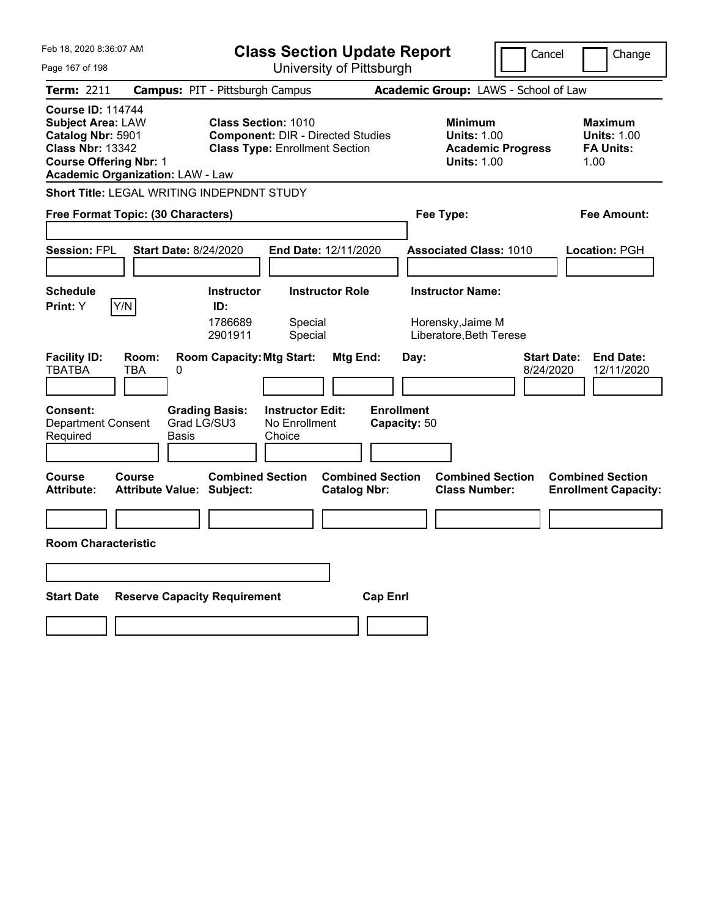| Feb 18, 2020 8:36:07 AM                                                                                                               |                                                                    | <b>Class Section Update Report</b>                                                                              |                                                |                                                                         | Cancel                          | Change                                                           |
|---------------------------------------------------------------------------------------------------------------------------------------|--------------------------------------------------------------------|-----------------------------------------------------------------------------------------------------------------|------------------------------------------------|-------------------------------------------------------------------------|---------------------------------|------------------------------------------------------------------|
| Page 167 of 198                                                                                                                       |                                                                    | University of Pittsburgh                                                                                        |                                                |                                                                         |                                 |                                                                  |
| Term: 2211                                                                                                                            | <b>Campus: PIT - Pittsburgh Campus</b>                             |                                                                                                                 |                                                | Academic Group: LAWS - School of Law                                    |                                 |                                                                  |
| <b>Course ID: 114744</b><br><b>Subject Area: LAW</b><br>Catalog Nbr: 5901<br><b>Class Nbr: 13342</b><br><b>Course Offering Nbr: 1</b> | <b>Academic Organization: LAW - Law</b>                            | <b>Class Section: 1010</b><br><b>Component: DIR - Directed Studies</b><br><b>Class Type: Enrollment Section</b> |                                                | <b>Minimum</b><br><b>Units: 1.00</b><br><b>Units: 1.00</b>              | <b>Academic Progress</b>        | <b>Maximum</b><br><b>Units: 1.00</b><br><b>FA Units:</b><br>1.00 |
|                                                                                                                                       | <b>Short Title: LEGAL WRITING INDEPNDNT STUDY</b>                  |                                                                                                                 |                                                |                                                                         |                                 |                                                                  |
|                                                                                                                                       | Free Format Topic: (30 Characters)                                 |                                                                                                                 |                                                | Fee Type:                                                               |                                 | Fee Amount:                                                      |
| <b>Session: FPL</b>                                                                                                                   | <b>Start Date: 8/24/2020</b>                                       | <b>End Date: 12/11/2020</b>                                                                                     |                                                | <b>Associated Class: 1010</b>                                           |                                 | <b>Location: PGH</b>                                             |
| <b>Schedule</b><br>Y/N<br><b>Print:</b> Y                                                                                             | ID:<br>1786689<br>2901911                                          | <b>Instructor Role</b><br><b>Instructor</b><br>Special<br>Special                                               |                                                | <b>Instructor Name:</b><br>Horensky, Jaime M<br>Liberatore, Beth Terese |                                 |                                                                  |
| <b>Facility ID:</b><br><b>TBATBA</b><br><b>Consent:</b><br><b>Department Consent</b><br>Required                                      | Room:<br>TBA<br>0<br><b>Grading Basis:</b><br>Grad LG/SU3<br>Basis | <b>Room Capacity: Mtg Start:</b><br><b>Instructor Edit:</b><br>No Enrollment<br>Choice                          | Mtg End:<br><b>Enrollment</b><br>Capacity: 50  | Day:                                                                    | <b>Start Date:</b><br>8/24/2020 | <b>End Date:</b><br>12/11/2020                                   |
| Course<br><b>Attribute:</b>                                                                                                           | Course<br><b>Attribute Value: Subject:</b>                         | <b>Combined Section</b>                                                                                         | <b>Combined Section</b><br><b>Catalog Nbr:</b> | <b>Combined Section</b><br><b>Class Number:</b>                         |                                 | <b>Combined Section</b><br><b>Enrollment Capacity:</b>           |
| <b>Room Characteristic</b>                                                                                                            |                                                                    |                                                                                                                 |                                                |                                                                         |                                 |                                                                  |
|                                                                                                                                       |                                                                    |                                                                                                                 |                                                |                                                                         |                                 |                                                                  |
|                                                                                                                                       |                                                                    |                                                                                                                 |                                                |                                                                         |                                 |                                                                  |
| <b>Start Date</b>                                                                                                                     | <b>Reserve Capacity Requirement</b>                                |                                                                                                                 | <b>Cap Enri</b>                                |                                                                         |                                 |                                                                  |
|                                                                                                                                       |                                                                    |                                                                                                                 |                                                |                                                                         |                                 |                                                                  |
|                                                                                                                                       |                                                                    |                                                                                                                 |                                                |                                                                         |                                 |                                                                  |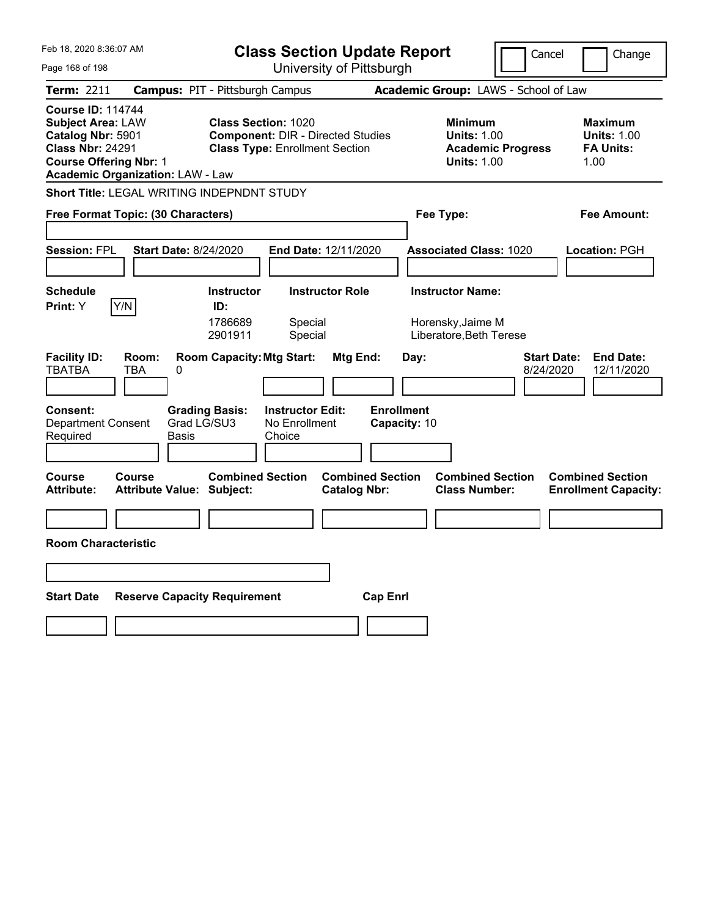| Feb 18, 2020 8:36:07 AM                                                                                                               |                                                                                                        | <b>Class Section Update Report</b>                                                                              |                                                                                        | Cancel<br>Change                                                 |
|---------------------------------------------------------------------------------------------------------------------------------------|--------------------------------------------------------------------------------------------------------|-----------------------------------------------------------------------------------------------------------------|----------------------------------------------------------------------------------------|------------------------------------------------------------------|
| Page 168 of 198                                                                                                                       |                                                                                                        | University of Pittsburgh                                                                                        |                                                                                        |                                                                  |
| Term: 2211                                                                                                                            | <b>Campus: PIT - Pittsburgh Campus</b>                                                                 |                                                                                                                 | Academic Group: LAWS - School of Law                                                   |                                                                  |
| <b>Course ID: 114744</b><br><b>Subject Area: LAW</b><br>Catalog Nbr: 5901<br><b>Class Nbr: 24291</b><br><b>Course Offering Nbr: 1</b> | <b>Academic Organization: LAW - Law</b>                                                                | <b>Class Section: 1020</b><br><b>Component: DIR - Directed Studies</b><br><b>Class Type: Enrollment Section</b> | <b>Minimum</b><br><b>Units: 1.00</b><br><b>Academic Progress</b><br><b>Units: 1.00</b> | <b>Maximum</b><br><b>Units: 1.00</b><br><b>FA Units:</b><br>1.00 |
|                                                                                                                                       | Short Title: LEGAL WRITING INDEPNDNT STUDY                                                             |                                                                                                                 |                                                                                        |                                                                  |
|                                                                                                                                       | Free Format Topic: (30 Characters)                                                                     |                                                                                                                 | Fee Type:                                                                              | Fee Amount:                                                      |
| <b>Session: FPL</b>                                                                                                                   | <b>Start Date: 8/24/2020</b>                                                                           | <b>End Date: 12/11/2020</b>                                                                                     | <b>Associated Class: 1020</b>                                                          | <b>Location: PGH</b>                                             |
| <b>Schedule</b><br>Y/N<br>Print: Y                                                                                                    | <b>Instructor</b><br>ID:<br>1786689<br>2901911                                                         | <b>Instructor Role</b><br>Special<br>Special                                                                    | <b>Instructor Name:</b><br>Horensky, Jaime M<br>Liberatore, Beth Terese                |                                                                  |
| <b>Facility ID:</b><br><b>TBATBA</b><br>Consent:<br><b>Department Consent</b><br>Required                                             | <b>Room Capacity: Mtg Start:</b><br>Room:<br>TBA<br>0<br><b>Grading Basis:</b><br>Grad LG/SU3<br>Basis | Mtg End:<br><b>Instructor Edit:</b><br>No Enrollment<br>Choice                                                  | Day:<br><b>Enrollment</b><br>Capacity: 10                                              | <b>End Date:</b><br>Start Date:<br>8/24/2020<br>12/11/2020       |
| <b>Course</b><br><b>Attribute:</b>                                                                                                    | <b>Combined Section</b><br>Course<br><b>Attribute Value: Subject:</b>                                  | <b>Combined Section</b><br><b>Catalog Nbr:</b>                                                                  | <b>Combined Section</b><br><b>Class Number:</b>                                        | <b>Combined Section</b><br><b>Enrollment Capacity:</b>           |
|                                                                                                                                       |                                                                                                        |                                                                                                                 |                                                                                        |                                                                  |
| <b>Room Characteristic</b>                                                                                                            |                                                                                                        |                                                                                                                 |                                                                                        |                                                                  |
|                                                                                                                                       |                                                                                                        |                                                                                                                 |                                                                                        |                                                                  |
| <b>Start Date</b>                                                                                                                     | <b>Reserve Capacity Requirement</b>                                                                    | <b>Cap Enri</b>                                                                                                 |                                                                                        |                                                                  |
|                                                                                                                                       |                                                                                                        |                                                                                                                 |                                                                                        |                                                                  |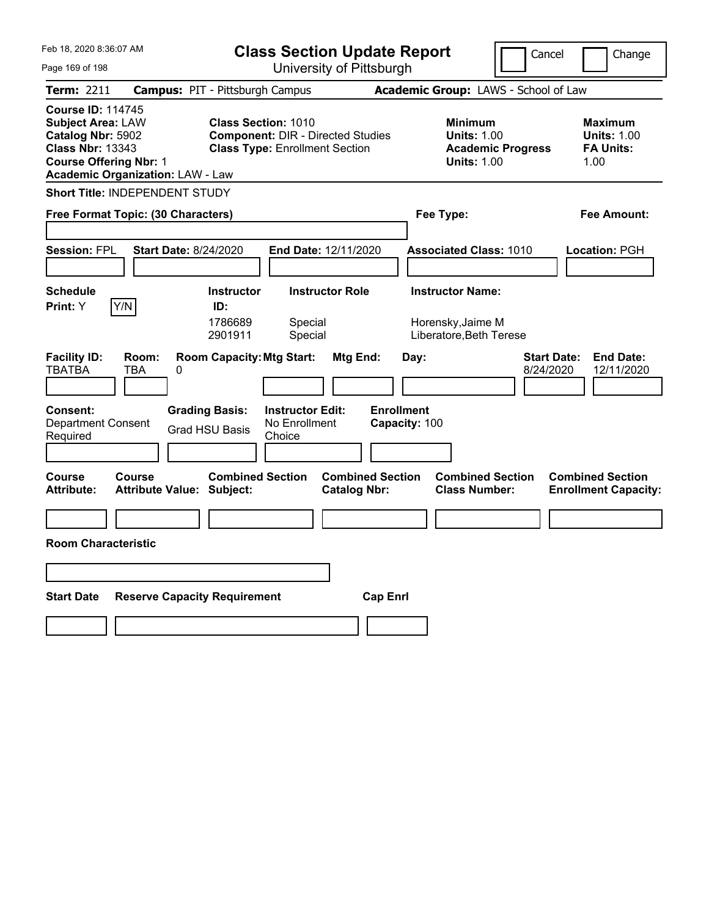| Feb 18, 2020 8:36:07 AM<br><b>Class Section Update Report</b>                                                                         |                                                                                                         |                                                                                                                 |                                            | Cancel                                                                  | Change                          |                                                                  |
|---------------------------------------------------------------------------------------------------------------------------------------|---------------------------------------------------------------------------------------------------------|-----------------------------------------------------------------------------------------------------------------|--------------------------------------------|-------------------------------------------------------------------------|---------------------------------|------------------------------------------------------------------|
| Page 169 of 198                                                                                                                       |                                                                                                         | University of Pittsburgh                                                                                        |                                            |                                                                         |                                 |                                                                  |
| <b>Term: 2211</b>                                                                                                                     | <b>Campus: PIT - Pittsburgh Campus</b>                                                                  |                                                                                                                 |                                            | Academic Group: LAWS - School of Law                                    |                                 |                                                                  |
| <b>Course ID: 114745</b><br><b>Subject Area: LAW</b><br>Catalog Nbr: 5902<br><b>Class Nbr: 13343</b><br><b>Course Offering Nbr: 1</b> | <b>Academic Organization: LAW - Law</b>                                                                 | <b>Class Section: 1010</b><br><b>Component: DIR - Directed Studies</b><br><b>Class Type: Enrollment Section</b> |                                            | <b>Minimum</b><br><b>Units: 1.00</b><br><b>Units: 1.00</b>              | <b>Academic Progress</b>        | <b>Maximum</b><br><b>Units: 1.00</b><br><b>FA Units:</b><br>1.00 |
|                                                                                                                                       | Short Title: INDEPENDENT STUDY                                                                          |                                                                                                                 |                                            |                                                                         |                                 |                                                                  |
|                                                                                                                                       | Free Format Topic: (30 Characters)                                                                      |                                                                                                                 |                                            | Fee Type:                                                               |                                 | Fee Amount:                                                      |
| <b>Session: FPL</b>                                                                                                                   | <b>Start Date: 8/24/2020</b>                                                                            | <b>End Date: 12/11/2020</b>                                                                                     |                                            | <b>Associated Class: 1010</b>                                           |                                 | Location: PGH                                                    |
| <b>Schedule</b><br>Y/N<br>Print: Y                                                                                                    | <b>Instructor</b><br>ID:<br>1786689<br>2901911                                                          | <b>Instructor Role</b><br>Special<br>Special                                                                    |                                            | <b>Instructor Name:</b><br>Horensky, Jaime M<br>Liberatore, Beth Terese |                                 |                                                                  |
| <b>Facility ID:</b><br><b>TBATBA</b><br><b>Consent:</b><br><b>Department Consent</b><br>Required                                      | <b>Room Capacity: Mtg Start:</b><br>Room:<br>TBA<br>0<br><b>Grading Basis:</b><br><b>Grad HSU Basis</b> | Mtg End:<br><b>Instructor Edit:</b><br>No Enrollment<br>Choice                                                  | Day:<br><b>Enrollment</b><br>Capacity: 100 |                                                                         | <b>Start Date:</b><br>8/24/2020 | <b>End Date:</b><br>12/11/2020                                   |
| <b>Course</b><br>Attribute:                                                                                                           | <b>Combined Section</b><br>Course<br><b>Attribute Value: Subject:</b>                                   | <b>Catalog Nbr:</b>                                                                                             | <b>Combined Section</b>                    | <b>Combined Section</b><br><b>Class Number:</b>                         |                                 | <b>Combined Section</b><br><b>Enrollment Capacity:</b>           |
|                                                                                                                                       |                                                                                                         |                                                                                                                 |                                            |                                                                         |                                 |                                                                  |
| <b>Room Characteristic</b>                                                                                                            |                                                                                                         |                                                                                                                 |                                            |                                                                         |                                 |                                                                  |
|                                                                                                                                       |                                                                                                         |                                                                                                                 |                                            |                                                                         |                                 |                                                                  |
| <b>Start Date</b>                                                                                                                     | <b>Reserve Capacity Requirement</b>                                                                     |                                                                                                                 | <b>Cap Enrl</b>                            |                                                                         |                                 |                                                                  |
|                                                                                                                                       |                                                                                                         |                                                                                                                 |                                            |                                                                         |                                 |                                                                  |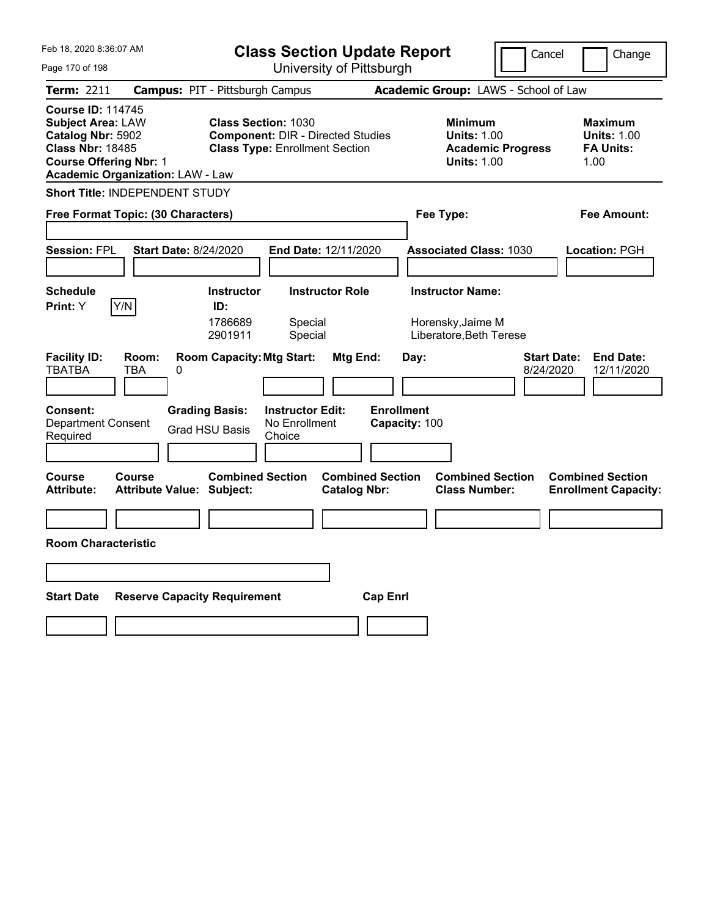| Feb 18, 2020 8:36:07 AM<br><b>Class Section Update Report</b><br>University of Pittsburgh<br>Page 170 of 198                                                                     |                                                                                                                         | Cancel                                                                                 | Change                                                           |
|----------------------------------------------------------------------------------------------------------------------------------------------------------------------------------|-------------------------------------------------------------------------------------------------------------------------|----------------------------------------------------------------------------------------|------------------------------------------------------------------|
| <b>Campus: PIT - Pittsburgh Campus</b><br>Term: 2211                                                                                                                             |                                                                                                                         | Academic Group: LAWS - School of Law                                                   |                                                                  |
| <b>Course ID: 114745</b><br><b>Subject Area: LAW</b><br>Catalog Nbr: 5902<br><b>Class Nbr: 18485</b><br><b>Course Offering Nbr: 1</b><br><b>Academic Organization: LAW - Law</b> | <b>Class Section: 1030</b><br><b>Component: DIR - Directed Studies</b><br><b>Class Type: Enrollment Section</b>         | <b>Minimum</b><br><b>Units: 1.00</b><br><b>Academic Progress</b><br><b>Units: 1.00</b> | <b>Maximum</b><br><b>Units: 1.00</b><br><b>FA Units:</b><br>1.00 |
| <b>Short Title: INDEPENDENT STUDY</b>                                                                                                                                            |                                                                                                                         |                                                                                        |                                                                  |
| Free Format Topic: (30 Characters)                                                                                                                                               |                                                                                                                         | Fee Type:                                                                              | Fee Amount:                                                      |
| <b>Start Date: 8/24/2020</b><br><b>Session: FPL</b>                                                                                                                              | <b>End Date: 12/11/2020</b>                                                                                             | <b>Associated Class: 1030</b>                                                          | <b>Location: PGH</b>                                             |
| <b>Schedule</b><br>Y/N<br>Print: Y<br>ID:                                                                                                                                        | <b>Instructor</b><br><b>Instructor Role</b><br>1786689<br>Special<br>Special<br>2901911                                 | <b>Instructor Name:</b><br>Horensky, Jaime M<br>Liberatore, Beth Terese                |                                                                  |
| <b>Facility ID:</b><br>Room:<br>TBATBA<br>TBA<br>0<br>Consent:<br><b>Grading Basis:</b><br><b>Department Consent</b><br><b>Grad HSU Basis</b><br>Required                        | <b>Room Capacity: Mtg Start:</b><br>Mtg End:<br><b>Enrollment</b><br><b>Instructor Edit:</b><br>No Enrollment<br>Choice | <b>Start Date:</b><br>Day:<br>8/24/2020<br>Capacity: 100                               | <b>End Date:</b><br>12/11/2020                                   |
| Course<br>Course<br><b>Attribute:</b><br><b>Attribute Value: Subject:</b>                                                                                                        | <b>Combined Section</b><br><b>Combined Section</b><br><b>Catalog Nbr:</b>                                               | <b>Combined Section</b><br><b>Class Number:</b>                                        | <b>Combined Section</b><br><b>Enrollment Capacity:</b>           |
|                                                                                                                                                                                  |                                                                                                                         |                                                                                        |                                                                  |
| <b>Room Characteristic</b>                                                                                                                                                       |                                                                                                                         |                                                                                        |                                                                  |
|                                                                                                                                                                                  |                                                                                                                         |                                                                                        |                                                                  |
| <b>Start Date</b><br><b>Reserve Capacity Requirement</b>                                                                                                                         | <b>Cap Enri</b>                                                                                                         |                                                                                        |                                                                  |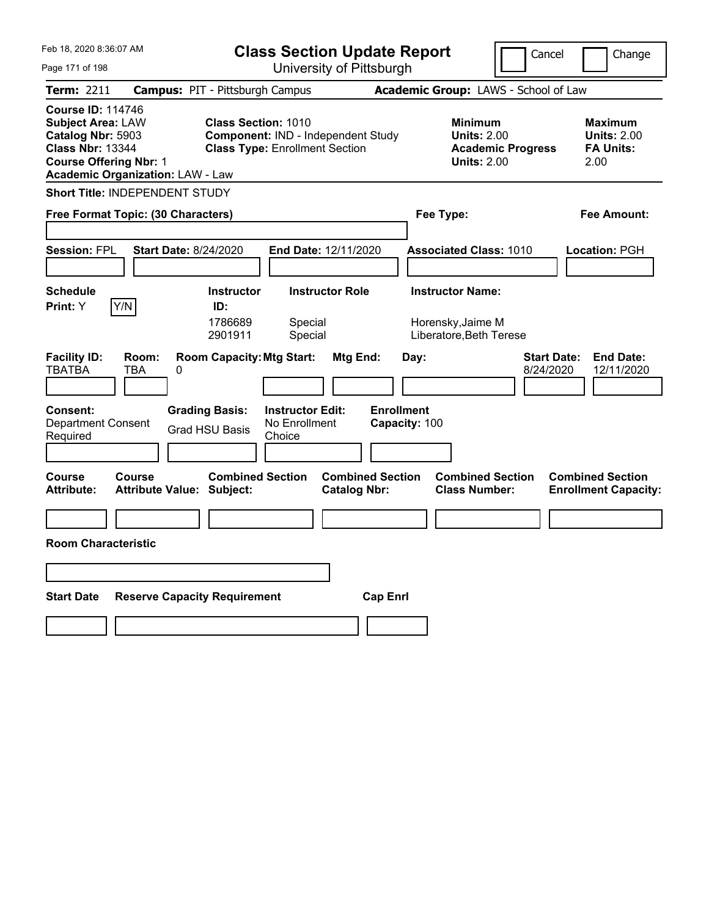| Feb 18, 2020 8:36:07 AM<br>Page 171 of 198                                                                                                                                       | <b>Class Section Update Report</b><br>University of Pittsburgh                                                          | Cancel                                                                                 | Change                                                           |
|----------------------------------------------------------------------------------------------------------------------------------------------------------------------------------|-------------------------------------------------------------------------------------------------------------------------|----------------------------------------------------------------------------------------|------------------------------------------------------------------|
| <b>Campus: PIT - Pittsburgh Campus</b><br>Term: 2211                                                                                                                             |                                                                                                                         | Academic Group: LAWS - School of Law                                                   |                                                                  |
| <b>Course ID: 114746</b><br><b>Subject Area: LAW</b><br>Catalog Nbr: 5903<br><b>Class Nbr: 13344</b><br><b>Course Offering Nbr: 1</b><br><b>Academic Organization: LAW - Law</b> | <b>Class Section: 1010</b><br><b>Component: IND - Independent Study</b><br><b>Class Type: Enrollment Section</b>        | <b>Minimum</b><br><b>Units: 2.00</b><br><b>Academic Progress</b><br><b>Units: 2.00</b> | <b>Maximum</b><br><b>Units: 2.00</b><br><b>FA Units:</b><br>2.00 |
| <b>Short Title: INDEPENDENT STUDY</b>                                                                                                                                            |                                                                                                                         |                                                                                        |                                                                  |
| Free Format Topic: (30 Characters)                                                                                                                                               |                                                                                                                         | Fee Type:                                                                              | Fee Amount:                                                      |
| <b>Session: FPL</b><br><b>Start Date: 8/24/2020</b>                                                                                                                              | End Date: 12/11/2020                                                                                                    | <b>Associated Class: 1010</b>                                                          | Location: PGH                                                    |
| <b>Schedule</b><br>Y/N<br>Print: Y<br>ID:<br>1786689<br>2901911                                                                                                                  | <b>Instructor Role</b><br><b>Instructor</b><br>Special<br>Special                                                       | <b>Instructor Name:</b><br>Horensky, Jaime M<br>Liberatore, Beth Terese                |                                                                  |
| <b>Facility ID:</b><br>Room:<br><b>TBATBA</b><br>TBA<br>0<br><b>Consent:</b><br><b>Grading Basis:</b><br>Department Consent<br><b>Grad HSU Basis</b><br>Required                 | <b>Room Capacity: Mtg Start:</b><br>Mtg End:<br><b>Enrollment</b><br><b>Instructor Edit:</b><br>No Enrollment<br>Choice | <b>Start Date:</b><br>Day:<br>8/24/2020<br>Capacity: 100                               | <b>End Date:</b><br>12/11/2020                                   |
| Course<br>Course<br><b>Attribute:</b><br><b>Attribute Value: Subject:</b>                                                                                                        | <b>Combined Section</b><br><b>Combined Section</b><br><b>Catalog Nbr:</b>                                               | <b>Combined Section</b><br><b>Class Number:</b>                                        | <b>Combined Section</b><br><b>Enrollment Capacity:</b>           |
|                                                                                                                                                                                  |                                                                                                                         |                                                                                        |                                                                  |
| <b>Room Characteristic</b>                                                                                                                                                       |                                                                                                                         |                                                                                        |                                                                  |
|                                                                                                                                                                                  |                                                                                                                         |                                                                                        |                                                                  |
| <b>Start Date</b><br><b>Reserve Capacity Requirement</b>                                                                                                                         | <b>Cap Enri</b>                                                                                                         |                                                                                        |                                                                  |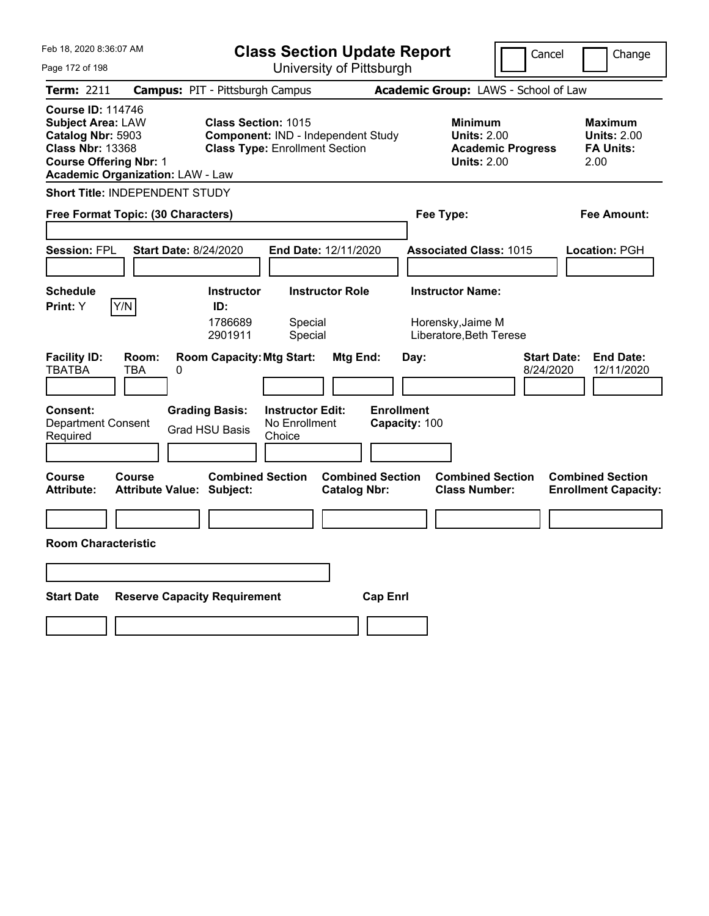| Feb 18, 2020 8:36:07 AM<br><b>Class Section Update Report</b><br>University of Pittsburgh<br>Page 172 of 198                                                                     |                                                                                                                         | Cancel                                                                                 | Change                                                           |
|----------------------------------------------------------------------------------------------------------------------------------------------------------------------------------|-------------------------------------------------------------------------------------------------------------------------|----------------------------------------------------------------------------------------|------------------------------------------------------------------|
| <b>Campus: PIT - Pittsburgh Campus</b><br>Term: 2211                                                                                                                             |                                                                                                                         | Academic Group: LAWS - School of Law                                                   |                                                                  |
| <b>Course ID: 114746</b><br><b>Subject Area: LAW</b><br>Catalog Nbr: 5903<br><b>Class Nbr: 13368</b><br><b>Course Offering Nbr: 1</b><br><b>Academic Organization: LAW - Law</b> | <b>Class Section: 1015</b><br>Component: IND - Independent Study<br><b>Class Type: Enrollment Section</b>               | <b>Minimum</b><br><b>Units: 2.00</b><br><b>Academic Progress</b><br><b>Units: 2.00</b> | <b>Maximum</b><br><b>Units: 2.00</b><br><b>FA Units:</b><br>2.00 |
| <b>Short Title: INDEPENDENT STUDY</b>                                                                                                                                            |                                                                                                                         |                                                                                        |                                                                  |
| Free Format Topic: (30 Characters)                                                                                                                                               |                                                                                                                         | Fee Type:                                                                              | Fee Amount:                                                      |
| <b>Start Date: 8/24/2020</b><br><b>Session: FPL</b>                                                                                                                              | <b>End Date: 12/11/2020</b>                                                                                             | <b>Associated Class: 1015</b>                                                          | <b>Location: PGH</b>                                             |
| <b>Schedule</b>                                                                                                                                                                  | <b>Instructor</b><br><b>Instructor Role</b>                                                                             | <b>Instructor Name:</b>                                                                |                                                                  |
| Y/N<br>Print: Y<br>ID:<br>1786689<br>2901911                                                                                                                                     | Special<br>Special                                                                                                      | Horensky, Jaime M<br>Liberatore, Beth Terese                                           |                                                                  |
| <b>Facility ID:</b><br>Room:<br><b>TBATBA</b><br>TBA<br>0<br>Consent:<br><b>Grading Basis:</b><br><b>Department Consent</b><br><b>Grad HSU Basis</b><br>Required                 | <b>Room Capacity: Mtg Start:</b><br>Mtg End:<br><b>Enrollment</b><br><b>Instructor Edit:</b><br>No Enrollment<br>Choice | <b>Start Date:</b><br>Day:<br>8/24/2020<br>Capacity: 100                               | <b>End Date:</b><br>12/11/2020                                   |
| Course<br>Course<br><b>Attribute:</b><br><b>Attribute Value: Subject:</b>                                                                                                        | <b>Combined Section</b><br><b>Combined Section</b><br><b>Catalog Nbr:</b>                                               | <b>Combined Section</b><br><b>Class Number:</b>                                        | <b>Combined Section</b><br><b>Enrollment Capacity:</b>           |
|                                                                                                                                                                                  |                                                                                                                         |                                                                                        |                                                                  |
| <b>Room Characteristic</b>                                                                                                                                                       |                                                                                                                         |                                                                                        |                                                                  |
|                                                                                                                                                                                  |                                                                                                                         |                                                                                        |                                                                  |
| <b>Start Date</b><br><b>Reserve Capacity Requirement</b>                                                                                                                         | <b>Cap Enri</b>                                                                                                         |                                                                                        |                                                                  |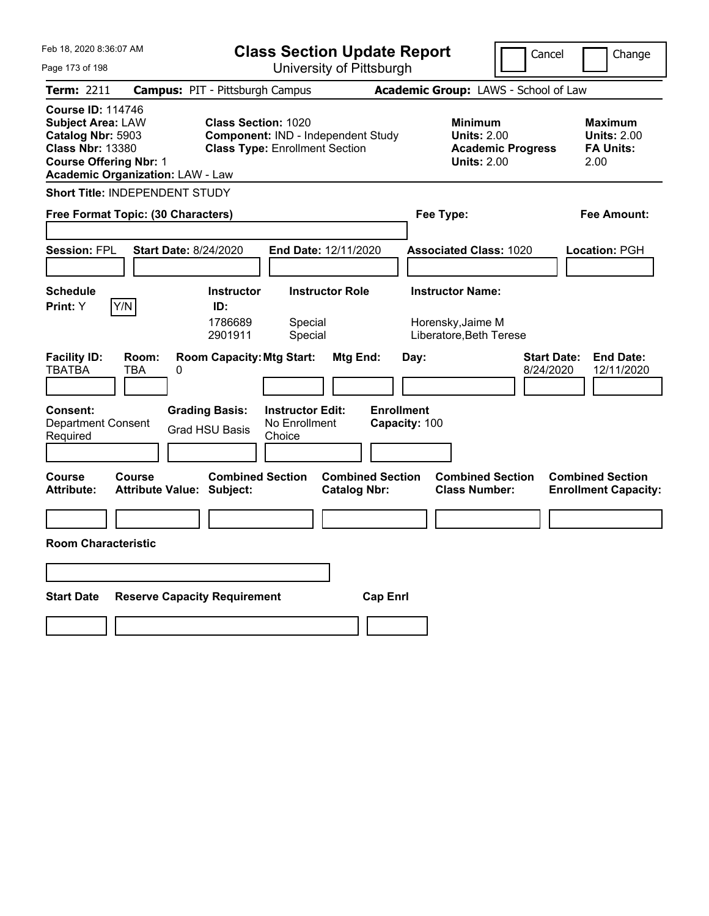| Feb 18, 2020 8:36:07 AM<br><b>Class Section Update Report</b><br>University of Pittsburgh<br>Page 173 of 198                          |                                                                     |                                                                                                           | Cancel                                         | Change                                                                  |                                 |                                                                  |
|---------------------------------------------------------------------------------------------------------------------------------------|---------------------------------------------------------------------|-----------------------------------------------------------------------------------------------------------|------------------------------------------------|-------------------------------------------------------------------------|---------------------------------|------------------------------------------------------------------|
| Term: 2211                                                                                                                            | <b>Campus: PIT - Pittsburgh Campus</b>                              |                                                                                                           |                                                | Academic Group: LAWS - School of Law                                    |                                 |                                                                  |
| <b>Course ID: 114746</b><br><b>Subject Area: LAW</b><br>Catalog Nbr: 5903<br><b>Class Nbr: 13380</b><br><b>Course Offering Nbr: 1</b> | <b>Academic Organization: LAW - Law</b>                             | <b>Class Section: 1020</b><br>Component: IND - Independent Study<br><b>Class Type: Enrollment Section</b> |                                                | <b>Minimum</b><br><b>Units: 2.00</b><br><b>Units: 2.00</b>              | <b>Academic Progress</b>        | <b>Maximum</b><br><b>Units: 2.00</b><br><b>FA Units:</b><br>2.00 |
|                                                                                                                                       | <b>Short Title: INDEPENDENT STUDY</b>                               |                                                                                                           |                                                |                                                                         |                                 |                                                                  |
|                                                                                                                                       | Free Format Topic: (30 Characters)                                  |                                                                                                           |                                                | Fee Type:                                                               |                                 | Fee Amount:                                                      |
| <b>Session: FPL</b>                                                                                                                   | <b>Start Date: 8/24/2020</b>                                        | <b>End Date: 12/11/2020</b>                                                                               |                                                | <b>Associated Class: 1020</b>                                           |                                 | <b>Location: PGH</b>                                             |
| <b>Schedule</b><br>Y/N<br><b>Print:</b> Y                                                                                             | ID:<br>1786689<br>2901911                                           | <b>Instructor</b><br>Special<br>Special                                                                   | <b>Instructor Role</b>                         | <b>Instructor Name:</b><br>Horensky, Jaime M<br>Liberatore, Beth Terese |                                 |                                                                  |
| <b>Facility ID:</b><br><b>TBATBA</b><br><b>Consent:</b><br><b>Department Consent</b><br>Required                                      | Room:<br>TBA<br>0<br><b>Grading Basis:</b><br><b>Grad HSU Basis</b> | <b>Room Capacity: Mtg Start:</b><br><b>Instructor Edit:</b><br>No Enrollment<br>Choice                    | Mtg End:<br><b>Enrollment</b>                  | Day:<br>Capacity: 100                                                   | <b>Start Date:</b><br>8/24/2020 | <b>End Date:</b><br>12/11/2020                                   |
| <b>Course</b><br><b>Attribute:</b>                                                                                                    | Course<br><b>Attribute Value: Subject:</b>                          | <b>Combined Section</b>                                                                                   | <b>Combined Section</b><br><b>Catalog Nbr:</b> | <b>Combined Section</b><br><b>Class Number:</b>                         |                                 | <b>Combined Section</b><br><b>Enrollment Capacity:</b>           |
|                                                                                                                                       |                                                                     |                                                                                                           |                                                |                                                                         |                                 |                                                                  |
| <b>Room Characteristic</b>                                                                                                            |                                                                     |                                                                                                           |                                                |                                                                         |                                 |                                                                  |
|                                                                                                                                       |                                                                     |                                                                                                           |                                                |                                                                         |                                 |                                                                  |
| <b>Start Date</b>                                                                                                                     | <b>Reserve Capacity Requirement</b>                                 |                                                                                                           | <b>Cap Enri</b>                                |                                                                         |                                 |                                                                  |
|                                                                                                                                       |                                                                     |                                                                                                           |                                                |                                                                         |                                 |                                                                  |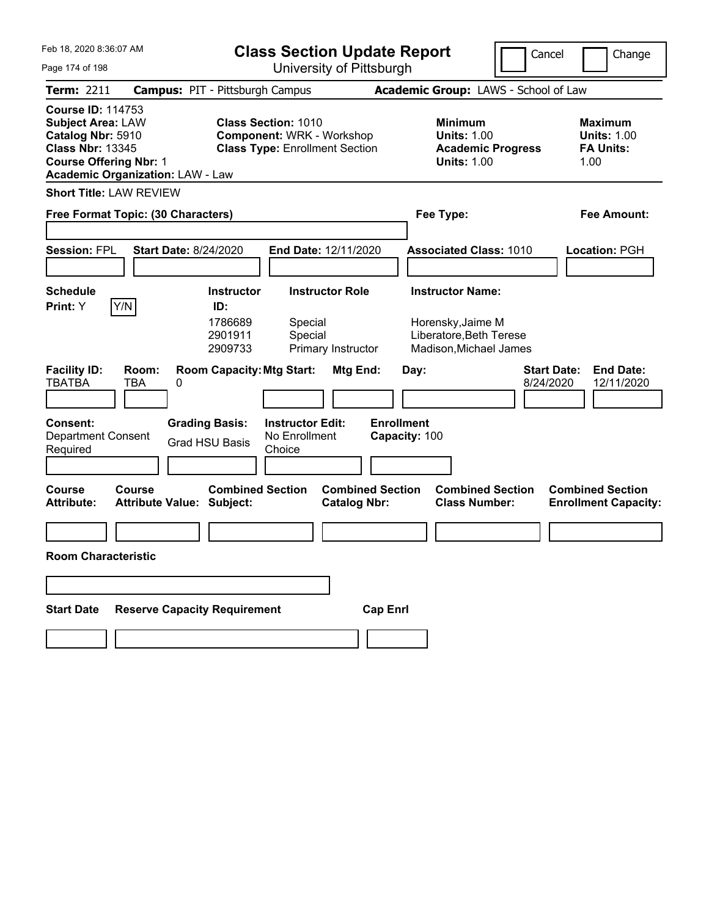| Feb 18, 2020 8:36:07 AM                                                                                                                                                          |                                                             | <b>Class Section Update Report</b><br>Cancel<br>University of Pittsburgh  |                                                |                                                                                        | Change                          |                                                                  |
|----------------------------------------------------------------------------------------------------------------------------------------------------------------------------------|-------------------------------------------------------------|---------------------------------------------------------------------------|------------------------------------------------|----------------------------------------------------------------------------------------|---------------------------------|------------------------------------------------------------------|
| Page 174 of 198                                                                                                                                                                  |                                                             |                                                                           |                                                |                                                                                        |                                 |                                                                  |
| <b>Term: 2211</b>                                                                                                                                                                | <b>Campus: PIT - Pittsburgh Campus</b>                      |                                                                           |                                                | Academic Group: LAWS - School of Law                                                   |                                 |                                                                  |
| <b>Course ID: 114753</b><br><b>Subject Area: LAW</b><br>Catalog Nbr: 5910<br><b>Class Nbr: 13345</b><br><b>Course Offering Nbr: 1</b><br><b>Academic Organization: LAW - Law</b> | <b>Class Section: 1010</b>                                  | <b>Component: WRK - Workshop</b><br><b>Class Type: Enrollment Section</b> |                                                | <b>Minimum</b><br><b>Units: 1.00</b><br><b>Academic Progress</b><br><b>Units: 1.00</b> |                                 | <b>Maximum</b><br><b>Units: 1.00</b><br><b>FA Units:</b><br>1.00 |
| <b>Short Title: LAW REVIEW</b>                                                                                                                                                   |                                                             |                                                                           |                                                |                                                                                        |                                 |                                                                  |
| Free Format Topic: (30 Characters)                                                                                                                                               |                                                             |                                                                           |                                                | Fee Type:                                                                              |                                 | <b>Fee Amount:</b>                                               |
|                                                                                                                                                                                  |                                                             |                                                                           |                                                |                                                                                        |                                 |                                                                  |
| <b>Session: FPL</b>                                                                                                                                                              | <b>Start Date: 8/24/2020</b>                                | End Date: 12/11/2020                                                      |                                                | <b>Associated Class: 1010</b>                                                          |                                 | <b>Location: PGH</b>                                             |
| <b>Schedule</b>                                                                                                                                                                  | <b>Instructor</b>                                           | <b>Instructor Role</b>                                                    |                                                | <b>Instructor Name:</b>                                                                |                                 |                                                                  |
| Y/N<br>Print: Y                                                                                                                                                                  | ID:                                                         |                                                                           |                                                |                                                                                        |                                 |                                                                  |
|                                                                                                                                                                                  | 1786689<br>2901911<br>2909733                               | Special<br>Special<br>Primary Instructor                                  |                                                | Horensky, Jaime M<br>Liberatore, Beth Terese<br>Madison, Michael James                 |                                 |                                                                  |
| <b>Facility ID:</b><br>Room:<br><b>TBATBA</b><br><b>TBA</b><br>0                                                                                                                 | <b>Room Capacity: Mtg Start:</b>                            |                                                                           | Mtg End:                                       | Day:                                                                                   | <b>Start Date:</b><br>8/24/2020 | <b>End Date:</b><br>12/11/2020                                   |
| <b>Consent:</b><br><b>Department Consent</b><br>Required                                                                                                                         | <b>Grading Basis:</b><br><b>Grad HSU Basis</b>              | <b>Instructor Edit:</b><br>No Enrollment<br>Choice                        | <b>Enrollment</b><br>Capacity: 100             |                                                                                        |                                 |                                                                  |
| Course<br>Course<br><b>Attribute:</b>                                                                                                                                            | <b>Combined Section</b><br><b>Attribute Value: Subject:</b> |                                                                           | <b>Combined Section</b><br><b>Catalog Nbr:</b> | <b>Combined Section</b><br><b>Class Number:</b>                                        |                                 | <b>Combined Section</b><br><b>Enrollment Capacity:</b>           |
|                                                                                                                                                                                  |                                                             |                                                                           |                                                |                                                                                        |                                 |                                                                  |
| <b>Room Characteristic</b>                                                                                                                                                       |                                                             |                                                                           |                                                |                                                                                        |                                 |                                                                  |
|                                                                                                                                                                                  |                                                             |                                                                           |                                                |                                                                                        |                                 |                                                                  |
| <b>Start Date</b>                                                                                                                                                                | <b>Reserve Capacity Requirement</b>                         |                                                                           | <b>Cap Enrl</b>                                |                                                                                        |                                 |                                                                  |
|                                                                                                                                                                                  |                                                             |                                                                           |                                                |                                                                                        |                                 |                                                                  |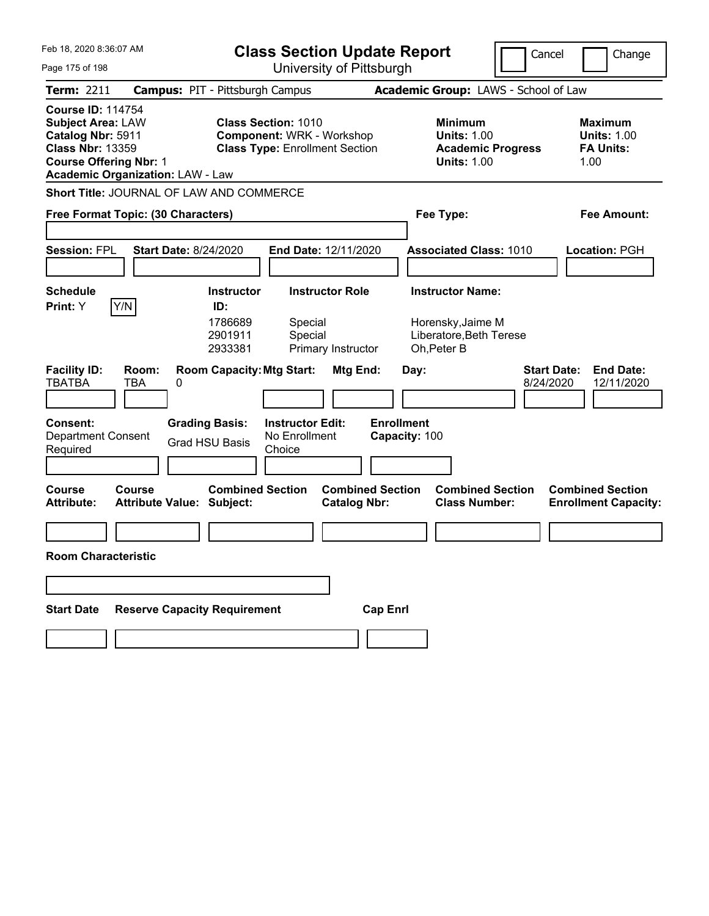| Feb 18, 2020 8:36:07 AM<br>Page 175 of 198                                                                                                                                       | <b>Class Section Update Report</b><br>University of Pittsburgh                                                                   | Cancel                                                                                 | Change                                                            |
|----------------------------------------------------------------------------------------------------------------------------------------------------------------------------------|----------------------------------------------------------------------------------------------------------------------------------|----------------------------------------------------------------------------------------|-------------------------------------------------------------------|
| Term: 2211                                                                                                                                                                       | <b>Campus: PIT - Pittsburgh Campus</b>                                                                                           | Academic Group: LAWS - School of Law                                                   |                                                                   |
| <b>Course ID: 114754</b><br><b>Subject Area: LAW</b><br>Catalog Nbr: 5911<br><b>Class Nbr: 13359</b><br><b>Course Offering Nbr: 1</b><br><b>Academic Organization: LAW - Law</b> | <b>Class Section: 1010</b><br><b>Component: WRK - Workshop</b><br><b>Class Type: Enrollment Section</b>                          | <b>Minimum</b><br><b>Units: 1.00</b><br><b>Academic Progress</b><br><b>Units: 1.00</b> | <b>Maximum</b><br><b>Units: 1.00</b><br><b>FA Units:</b><br>1.00  |
| Short Title: JOURNAL OF LAW AND COMMERCE                                                                                                                                         |                                                                                                                                  |                                                                                        |                                                                   |
| Free Format Topic: (30 Characters)                                                                                                                                               |                                                                                                                                  | Fee Type:                                                                              | Fee Amount:                                                       |
| <b>Session: FPL</b><br><b>Start Date: 8/24/2020</b>                                                                                                                              | End Date: 12/11/2020                                                                                                             | <b>Associated Class: 1010</b>                                                          | Location: PGH                                                     |
| <b>Schedule</b>                                                                                                                                                                  | <b>Instructor Role</b><br><b>Instructor</b>                                                                                      | <b>Instructor Name:</b>                                                                |                                                                   |
| Y/N<br>Print: Y<br><b>Facility ID:</b><br>Room:<br><b>TBATBA</b><br>TBA<br>0                                                                                                     | ID:<br>1786689<br>Special<br>2901911<br>Special<br>2933381<br>Primary Instructor<br><b>Room Capacity: Mtg Start:</b><br>Mtg End: | Horensky, Jaime M<br>Liberatore, Beth Terese<br>Oh, Peter B<br>Day:                    | <b>Start Date:</b><br><b>End Date:</b><br>8/24/2020<br>12/11/2020 |
|                                                                                                                                                                                  |                                                                                                                                  |                                                                                        |                                                                   |
| <b>Consent:</b><br><b>Grading Basis:</b><br><b>Department Consent</b><br>Required                                                                                                | <b>Instructor Edit:</b><br>No Enrollment<br><b>Grad HSU Basis</b><br>Choice                                                      | <b>Enrollment</b><br>Capacity: 100                                                     |                                                                   |
| <b>Course</b><br>Course<br><b>Attribute:</b><br><b>Attribute Value: Subject:</b>                                                                                                 | <b>Combined Section</b><br><b>Combined Section</b><br><b>Catalog Nbr:</b>                                                        | <b>Combined Section</b><br><b>Class Number:</b>                                        | <b>Combined Section</b><br><b>Enrollment Capacity:</b>            |
|                                                                                                                                                                                  |                                                                                                                                  |                                                                                        |                                                                   |
| <b>Room Characteristic</b>                                                                                                                                                       |                                                                                                                                  |                                                                                        |                                                                   |
|                                                                                                                                                                                  |                                                                                                                                  |                                                                                        |                                                                   |
| <b>Reserve Capacity Requirement</b><br><b>Start Date</b>                                                                                                                         | <b>Cap Enrl</b>                                                                                                                  |                                                                                        |                                                                   |
|                                                                                                                                                                                  |                                                                                                                                  |                                                                                        |                                                                   |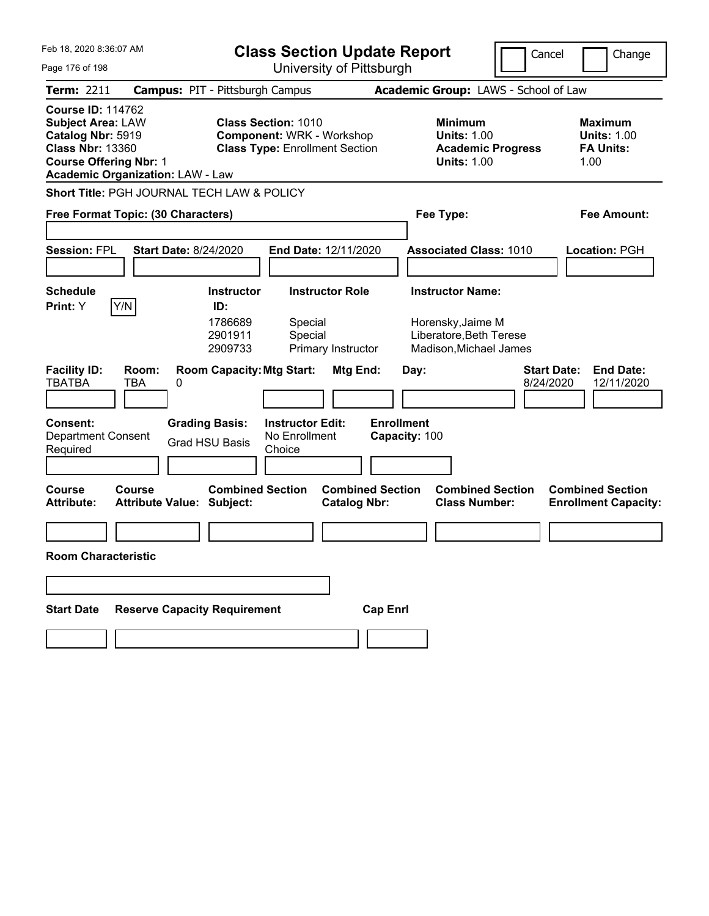| Feb 18, 2020 8:36:07 AM                                                                                                                                                          | <b>Class Section Update Report</b>                                                                      |                                                                                        | Cancel<br>Change                                                  |
|----------------------------------------------------------------------------------------------------------------------------------------------------------------------------------|---------------------------------------------------------------------------------------------------------|----------------------------------------------------------------------------------------|-------------------------------------------------------------------|
| Page 176 of 198                                                                                                                                                                  | University of Pittsburgh                                                                                |                                                                                        |                                                                   |
| Term: 2211                                                                                                                                                                       | <b>Campus: PIT - Pittsburgh Campus</b>                                                                  | Academic Group: LAWS - School of Law                                                   |                                                                   |
| <b>Course ID: 114762</b><br><b>Subject Area: LAW</b><br>Catalog Nbr: 5919<br><b>Class Nbr: 13360</b><br><b>Course Offering Nbr: 1</b><br><b>Academic Organization: LAW - Law</b> | <b>Class Section: 1010</b><br><b>Component: WRK - Workshop</b><br><b>Class Type: Enrollment Section</b> | <b>Minimum</b><br><b>Units: 1.00</b><br><b>Academic Progress</b><br><b>Units: 1.00</b> | <b>Maximum</b><br><b>Units: 1.00</b><br><b>FA Units:</b><br>1.00  |
| Short Title: PGH JOURNAL TECH LAW & POLICY                                                                                                                                       |                                                                                                         |                                                                                        |                                                                   |
| Free Format Topic: (30 Characters)                                                                                                                                               |                                                                                                         | Fee Type:                                                                              | <b>Fee Amount:</b>                                                |
|                                                                                                                                                                                  |                                                                                                         |                                                                                        |                                                                   |
| <b>Session: FPL</b><br><b>Start Date: 8/24/2020</b>                                                                                                                              | End Date: 12/11/2020                                                                                    | <b>Associated Class: 1010</b>                                                          | Location: PGH                                                     |
|                                                                                                                                                                                  |                                                                                                         |                                                                                        |                                                                   |
| <b>Schedule</b>                                                                                                                                                                  | <b>Instructor Role</b><br><b>Instructor</b>                                                             | <b>Instructor Name:</b>                                                                |                                                                   |
| Y/N<br>Print: Y                                                                                                                                                                  | ID:                                                                                                     |                                                                                        |                                                                   |
|                                                                                                                                                                                  | 1786689<br>Special<br>2901911<br>Special<br>2909733<br>Primary Instructor                               | Horensky, Jaime M<br>Liberatore, Beth Terese<br>Madison, Michael James                 |                                                                   |
| <b>Facility ID:</b><br>Room:<br><b>TBATBA</b><br>TBA<br>0                                                                                                                        | <b>Room Capacity: Mtg Start:</b><br>Mtg End:                                                            | Day:                                                                                   | <b>Start Date:</b><br><b>End Date:</b><br>8/24/2020<br>12/11/2020 |
| <b>Consent:</b><br><b>Grading Basis:</b><br><b>Department Consent</b><br>Required                                                                                                | <b>Instructor Edit:</b><br>No Enrollment<br><b>Grad HSU Basis</b><br>Choice                             | <b>Enrollment</b><br>Capacity: 100                                                     |                                                                   |
|                                                                                                                                                                                  |                                                                                                         |                                                                                        |                                                                   |
| <b>Course</b><br>Course<br><b>Attribute:</b><br><b>Attribute Value: Subject:</b>                                                                                                 | <b>Combined Section</b><br><b>Combined Section</b><br><b>Catalog Nbr:</b>                               | <b>Combined Section</b><br><b>Class Number:</b>                                        | <b>Combined Section</b><br><b>Enrollment Capacity:</b>            |
|                                                                                                                                                                                  |                                                                                                         |                                                                                        |                                                                   |
| <b>Room Characteristic</b>                                                                                                                                                       |                                                                                                         |                                                                                        |                                                                   |
|                                                                                                                                                                                  |                                                                                                         |                                                                                        |                                                                   |
| <b>Reserve Capacity Requirement</b><br><b>Start Date</b>                                                                                                                         |                                                                                                         | <b>Cap Enrl</b>                                                                        |                                                                   |
|                                                                                                                                                                                  |                                                                                                         |                                                                                        |                                                                   |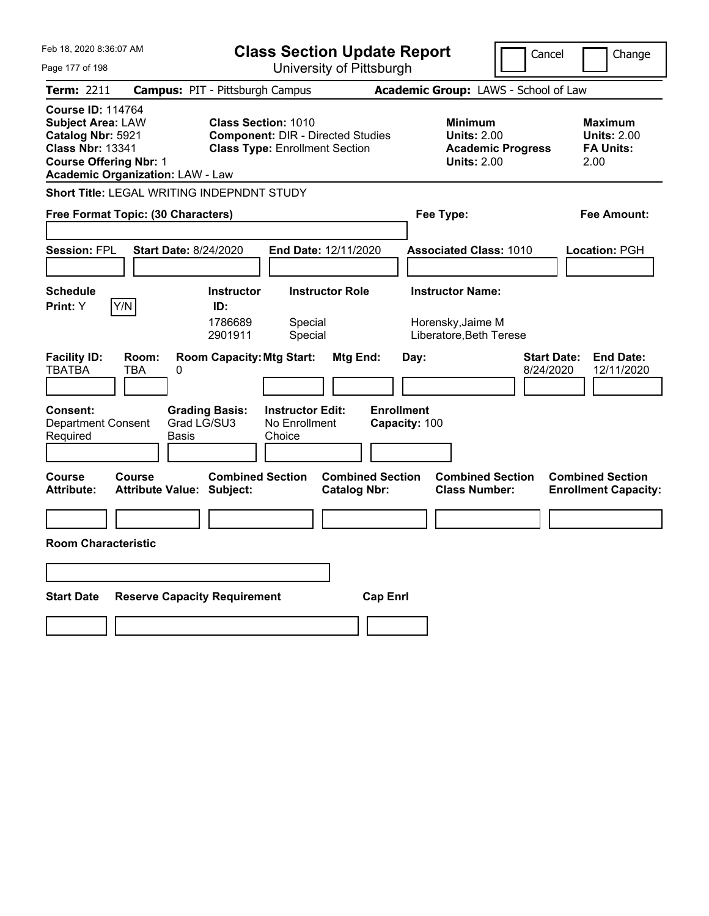| Feb 18, 2020 8:36:07 AM                                                                                                                                                          |                                                                                        | <b>Class Section Update Report</b>                                                                              |                                                                         | Cancel                   | Change                                                           |
|----------------------------------------------------------------------------------------------------------------------------------------------------------------------------------|----------------------------------------------------------------------------------------|-----------------------------------------------------------------------------------------------------------------|-------------------------------------------------------------------------|--------------------------|------------------------------------------------------------------|
| Page 177 of 198                                                                                                                                                                  |                                                                                        | University of Pittsburgh                                                                                        |                                                                         |                          |                                                                  |
| Term: 2211                                                                                                                                                                       | <b>Campus: PIT - Pittsburgh Campus</b>                                                 |                                                                                                                 | Academic Group: LAWS - School of Law                                    |                          |                                                                  |
| <b>Course ID: 114764</b><br><b>Subject Area: LAW</b><br>Catalog Nbr: 5921<br><b>Class Nbr: 13341</b><br><b>Course Offering Nbr: 1</b><br><b>Academic Organization: LAW - Law</b> |                                                                                        | <b>Class Section: 1010</b><br><b>Component: DIR - Directed Studies</b><br><b>Class Type: Enrollment Section</b> | <b>Minimum</b><br><b>Units: 2.00</b><br><b>Units: 2.00</b>              | <b>Academic Progress</b> | <b>Maximum</b><br><b>Units: 2.00</b><br><b>FA Units:</b><br>2.00 |
|                                                                                                                                                                                  | Short Title: LEGAL WRITING INDEPNDNT STUDY                                             |                                                                                                                 |                                                                         |                          |                                                                  |
| Free Format Topic: (30 Characters)                                                                                                                                               |                                                                                        |                                                                                                                 | Fee Type:                                                               |                          | Fee Amount:                                                      |
| <b>Session: FPL</b>                                                                                                                                                              | <b>Start Date: 8/24/2020</b>                                                           | <b>End Date: 12/11/2020</b>                                                                                     | <b>Associated Class: 1010</b>                                           |                          | <b>Location: PGH</b>                                             |
| <b>Schedule</b><br>Y/N<br>Print: Y                                                                                                                                               | <b>Instructor</b><br>ID:<br>1786689<br>2901911                                         | <b>Instructor Role</b><br>Special<br>Special                                                                    | <b>Instructor Name:</b><br>Horensky, Jaime M<br>Liberatore, Beth Terese |                          |                                                                  |
| <b>Facility ID:</b><br>Room:<br><b>TBATBA</b><br>TBA<br>Consent:<br><b>Department Consent</b><br>Required                                                                        | <b>Room Capacity: Mtg Start:</b><br>0<br><b>Grading Basis:</b><br>Grad LG/SU3<br>Basis | Mtg End:<br><b>Instructor Edit:</b><br>No Enrollment<br>Choice                                                  | Day:<br><b>Enrollment</b><br>Capacity: 100                              | Start Date:<br>8/24/2020 | <b>End Date:</b><br>12/11/2020                                   |
| <b>Course</b><br>Course<br><b>Attribute:</b>                                                                                                                                     | <b>Combined Section</b><br><b>Attribute Value: Subject:</b>                            | <b>Combined Section</b><br><b>Catalog Nbr:</b>                                                                  | <b>Class Number:</b>                                                    | <b>Combined Section</b>  | <b>Combined Section</b><br><b>Enrollment Capacity:</b>           |
| <b>Room Characteristic</b>                                                                                                                                                       |                                                                                        |                                                                                                                 |                                                                         |                          |                                                                  |
|                                                                                                                                                                                  |                                                                                        |                                                                                                                 |                                                                         |                          |                                                                  |
| <b>Start Date</b>                                                                                                                                                                | <b>Reserve Capacity Requirement</b>                                                    |                                                                                                                 | <b>Cap Enri</b>                                                         |                          |                                                                  |
|                                                                                                                                                                                  |                                                                                        |                                                                                                                 |                                                                         |                          |                                                                  |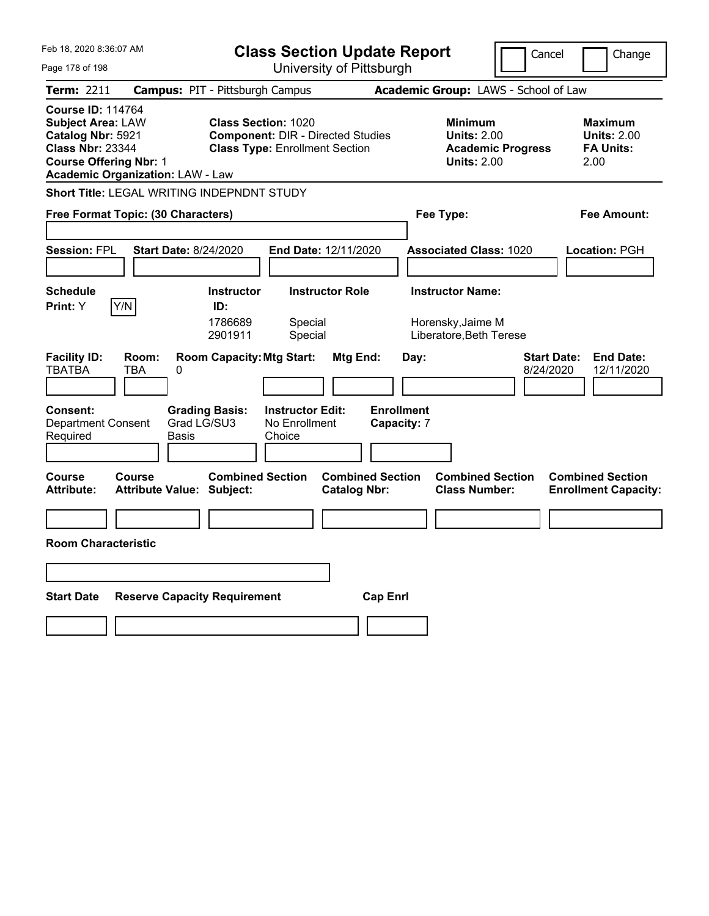| Feb 18, 2020 8:36:07 AM<br>Page 178 of 198                                                                                                                                       | <b>Class Section Update Report</b><br>University of Pittsburgh                                                                                           |                                                                                        | Cancel<br>Change                                                  |  |  |
|----------------------------------------------------------------------------------------------------------------------------------------------------------------------------------|----------------------------------------------------------------------------------------------------------------------------------------------------------|----------------------------------------------------------------------------------------|-------------------------------------------------------------------|--|--|
|                                                                                                                                                                                  |                                                                                                                                                          |                                                                                        |                                                                   |  |  |
| Academic Group: LAWS - School of Law<br>Term: 2211<br><b>Campus: PIT - Pittsburgh Campus</b>                                                                                     |                                                                                                                                                          |                                                                                        |                                                                   |  |  |
| <b>Course ID: 114764</b><br><b>Subject Area: LAW</b><br>Catalog Nbr: 5921<br><b>Class Nbr: 23344</b><br><b>Course Offering Nbr: 1</b><br><b>Academic Organization: LAW - Law</b> | <b>Class Section: 1020</b><br><b>Component: DIR - Directed Studies</b><br><b>Class Type: Enrollment Section</b>                                          | <b>Minimum</b><br><b>Units: 2.00</b><br><b>Academic Progress</b><br><b>Units: 2.00</b> | <b>Maximum</b><br><b>Units: 2.00</b><br><b>FA Units:</b><br>2.00  |  |  |
|                                                                                                                                                                                  | Short Title: LEGAL WRITING INDEPNDNT STUDY                                                                                                               |                                                                                        |                                                                   |  |  |
| Free Format Topic: (30 Characters)                                                                                                                                               |                                                                                                                                                          | Fee Type:                                                                              | Fee Amount:                                                       |  |  |
| <b>Session: FPL</b>                                                                                                                                                              | <b>Start Date: 8/24/2020</b><br><b>End Date: 12/11/2020</b>                                                                                              | <b>Associated Class: 1020</b>                                                          | <b>Location: PGH</b>                                              |  |  |
| <b>Schedule</b><br>Y/N<br>Print: Y                                                                                                                                               | <b>Instructor Role</b><br><b>Instructor</b><br>ID:<br>1786689<br>Special<br>Special<br>2901911                                                           | <b>Instructor Name:</b><br>Horensky, Jaime M<br>Liberatore, Beth Terese                |                                                                   |  |  |
| <b>Facility ID:</b><br>Room:<br><b>TBATBA</b><br>TBA<br>Consent:<br><b>Department Consent</b><br>Required                                                                        | <b>Room Capacity: Mtg Start:</b><br>Mtg End:<br>0<br><b>Grading Basis:</b><br><b>Instructor Edit:</b><br>Grad LG/SU3<br>No Enrollment<br>Basis<br>Choice | Day:<br><b>Enrollment</b><br><b>Capacity: 7</b>                                        | <b>End Date:</b><br><b>Start Date:</b><br>8/24/2020<br>12/11/2020 |  |  |
| <b>Course</b><br>Course<br><b>Attribute:</b>                                                                                                                                     | <b>Combined Section</b><br><b>Attribute Value: Subject:</b><br><b>Catalog Nbr:</b>                                                                       | <b>Combined Section</b><br><b>Combined Section</b><br><b>Class Number:</b>             | <b>Combined Section</b><br><b>Enrollment Capacity:</b>            |  |  |
|                                                                                                                                                                                  |                                                                                                                                                          |                                                                                        |                                                                   |  |  |
| <b>Room Characteristic</b>                                                                                                                                                       |                                                                                                                                                          |                                                                                        |                                                                   |  |  |
|                                                                                                                                                                                  |                                                                                                                                                          |                                                                                        |                                                                   |  |  |
| <b>Start Date</b><br><b>Reserve Capacity Requirement</b><br><b>Cap Enri</b>                                                                                                      |                                                                                                                                                          |                                                                                        |                                                                   |  |  |
|                                                                                                                                                                                  |                                                                                                                                                          |                                                                                        |                                                                   |  |  |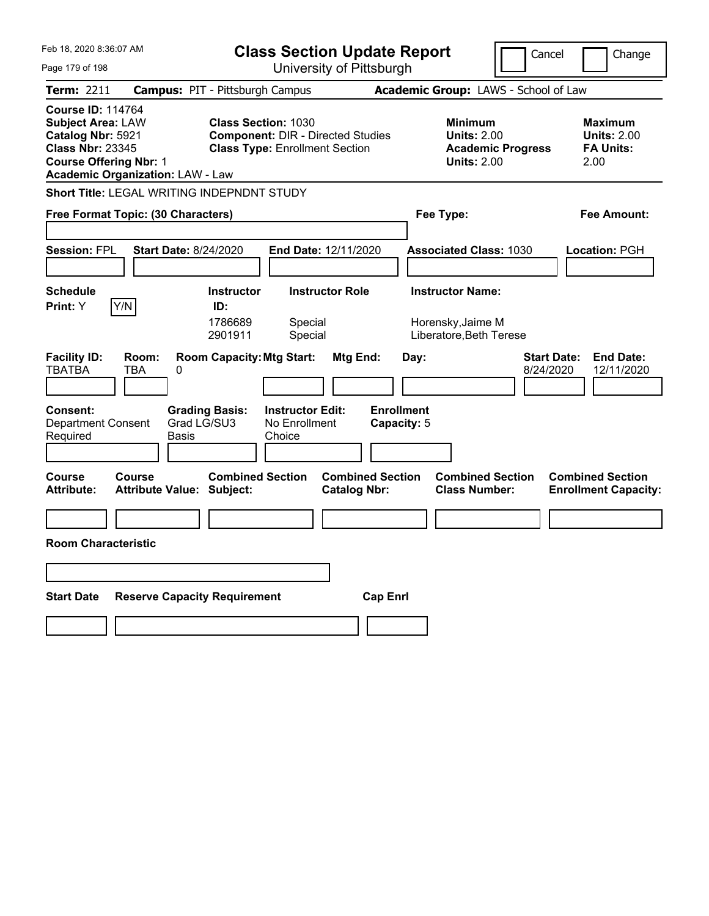| Feb 18, 2020 8:36:07 AM                                                                                                               |                                                                                                        | <b>Class Section Update Report</b>                                                                              |                                                                                        | Cancel<br>Change                                                 |
|---------------------------------------------------------------------------------------------------------------------------------------|--------------------------------------------------------------------------------------------------------|-----------------------------------------------------------------------------------------------------------------|----------------------------------------------------------------------------------------|------------------------------------------------------------------|
| Page 179 of 198                                                                                                                       |                                                                                                        | University of Pittsburgh                                                                                        |                                                                                        |                                                                  |
| Term: 2211                                                                                                                            | <b>Campus: PIT - Pittsburgh Campus</b>                                                                 |                                                                                                                 | Academic Group: LAWS - School of Law                                                   |                                                                  |
| <b>Course ID: 114764</b><br><b>Subject Area: LAW</b><br>Catalog Nbr: 5921<br><b>Class Nbr: 23345</b><br><b>Course Offering Nbr: 1</b> | <b>Academic Organization: LAW - Law</b>                                                                | <b>Class Section: 1030</b><br><b>Component: DIR - Directed Studies</b><br><b>Class Type: Enrollment Section</b> | <b>Minimum</b><br><b>Units: 2.00</b><br><b>Academic Progress</b><br><b>Units: 2.00</b> | <b>Maximum</b><br><b>Units: 2.00</b><br><b>FA Units:</b><br>2.00 |
|                                                                                                                                       | Short Title: LEGAL WRITING INDEPNDNT STUDY                                                             |                                                                                                                 |                                                                                        |                                                                  |
|                                                                                                                                       | Free Format Topic: (30 Characters)                                                                     |                                                                                                                 | Fee Type:                                                                              | Fee Amount:                                                      |
| <b>Session: FPL</b>                                                                                                                   | <b>Start Date: 8/24/2020</b>                                                                           | <b>End Date: 12/11/2020</b>                                                                                     | <b>Associated Class: 1030</b>                                                          | <b>Location: PGH</b>                                             |
| <b>Schedule</b><br>Y/N<br>Print: Y                                                                                                    | <b>Instructor</b><br>ID:<br>1786689<br>2901911                                                         | <b>Instructor Role</b><br>Special<br>Special                                                                    | <b>Instructor Name:</b><br>Horensky, Jaime M<br>Liberatore, Beth Terese                |                                                                  |
| <b>Facility ID:</b><br><b>TBATBA</b><br>Consent:<br><b>Department Consent</b><br>Required                                             | <b>Room Capacity: Mtg Start:</b><br>Room:<br>TBA<br>0<br><b>Grading Basis:</b><br>Grad LG/SU3<br>Basis | Mtg End:<br><b>Instructor Edit:</b><br>No Enrollment<br>Choice                                                  | Day:<br><b>Enrollment</b><br>Capacity: 5                                               | <b>End Date:</b><br>Start Date:<br>8/24/2020<br>12/11/2020       |
| <b>Course</b><br><b>Attribute:</b>                                                                                                    | Course<br><b>Attribute Value: Subject:</b>                                                             | <b>Combined Section</b><br><b>Combined Section</b><br><b>Catalog Nbr:</b>                                       | <b>Combined Section</b><br><b>Class Number:</b>                                        | <b>Combined Section</b><br><b>Enrollment Capacity:</b>           |
|                                                                                                                                       |                                                                                                        |                                                                                                                 |                                                                                        |                                                                  |
| <b>Room Characteristic</b>                                                                                                            |                                                                                                        |                                                                                                                 |                                                                                        |                                                                  |
|                                                                                                                                       |                                                                                                        |                                                                                                                 |                                                                                        |                                                                  |
| <b>Start Date</b>                                                                                                                     | <b>Reserve Capacity Requirement</b>                                                                    | <b>Cap Enri</b>                                                                                                 |                                                                                        |                                                                  |
|                                                                                                                                       |                                                                                                        |                                                                                                                 |                                                                                        |                                                                  |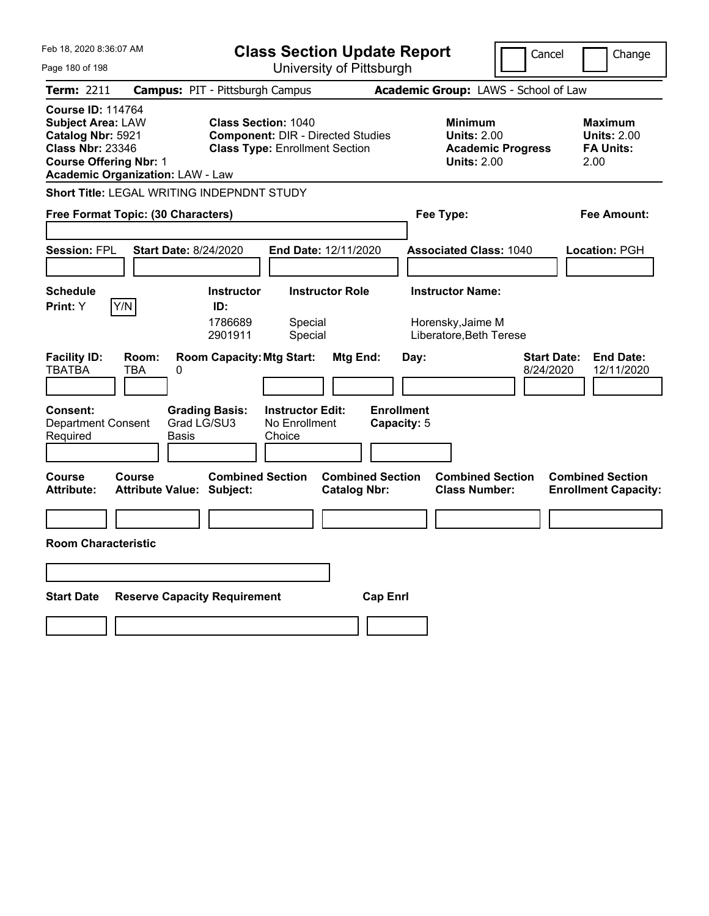| Feb 18, 2020 8:36:07 AM                                                                                                               |                                                                                                 | <b>Class Section Update Report</b>                                                                              |                                                                         | Cancel                   | Change                                                           |
|---------------------------------------------------------------------------------------------------------------------------------------|-------------------------------------------------------------------------------------------------|-----------------------------------------------------------------------------------------------------------------|-------------------------------------------------------------------------|--------------------------|------------------------------------------------------------------|
| Page 180 of 198                                                                                                                       |                                                                                                 | University of Pittsburgh                                                                                        |                                                                         |                          |                                                                  |
| Term: 2211                                                                                                                            | <b>Campus: PIT - Pittsburgh Campus</b>                                                          |                                                                                                                 | Academic Group: LAWS - School of Law                                    |                          |                                                                  |
| <b>Course ID: 114764</b><br><b>Subject Area: LAW</b><br>Catalog Nbr: 5921<br><b>Class Nbr: 23346</b><br><b>Course Offering Nbr: 1</b> | <b>Academic Organization: LAW - Law</b>                                                         | <b>Class Section: 1040</b><br><b>Component: DIR - Directed Studies</b><br><b>Class Type: Enrollment Section</b> | <b>Minimum</b><br><b>Units: 2.00</b><br><b>Units: 2.00</b>              | <b>Academic Progress</b> | <b>Maximum</b><br><b>Units: 2.00</b><br><b>FA Units:</b><br>2.00 |
|                                                                                                                                       | Short Title: LEGAL WRITING INDEPNDNT STUDY                                                      |                                                                                                                 |                                                                         |                          |                                                                  |
|                                                                                                                                       | Free Format Topic: (30 Characters)                                                              |                                                                                                                 | Fee Type:                                                               |                          | Fee Amount:                                                      |
| <b>Session: FPL</b>                                                                                                                   | <b>Start Date: 8/24/2020</b>                                                                    | <b>End Date: 12/11/2020</b>                                                                                     | <b>Associated Class: 1040</b>                                           |                          | <b>Location: PGH</b>                                             |
| <b>Schedule</b><br>Y/N<br>Print: Y                                                                                                    | <b>Instructor</b><br>ID:<br>1786689<br>2901911                                                  | <b>Instructor Role</b><br>Special<br>Special                                                                    | <b>Instructor Name:</b><br>Horensky, Jaime M<br>Liberatore, Beth Terese |                          |                                                                  |
| <b>Facility ID:</b><br><b>TBATBA</b><br>TBA<br>Consent:<br><b>Department Consent</b><br>Required                                      | <b>Room Capacity: Mtg Start:</b><br>Room:<br>0<br><b>Grading Basis:</b><br>Grad LG/SU3<br>Basis | Mtg End:<br><b>Instructor Edit:</b><br>No Enrollment<br>Choice                                                  | Day:<br><b>Enrollment</b><br>Capacity: 5                                | Start Date:<br>8/24/2020 | <b>End Date:</b><br>12/11/2020                                   |
| <b>Course</b><br>Course<br><b>Attribute:</b>                                                                                          | <b>Combined Section</b><br><b>Attribute Value: Subject:</b>                                     | <b>Combined Section</b><br><b>Catalog Nbr:</b>                                                                  | <b>Combined Section</b><br><b>Class Number:</b>                         |                          | <b>Combined Section</b><br><b>Enrollment Capacity:</b>           |
| <b>Room Characteristic</b>                                                                                                            |                                                                                                 |                                                                                                                 |                                                                         |                          |                                                                  |
| <b>Start Date</b>                                                                                                                     | <b>Reserve Capacity Requirement</b>                                                             | <b>Cap Enri</b>                                                                                                 |                                                                         |                          |                                                                  |
|                                                                                                                                       |                                                                                                 |                                                                                                                 |                                                                         |                          |                                                                  |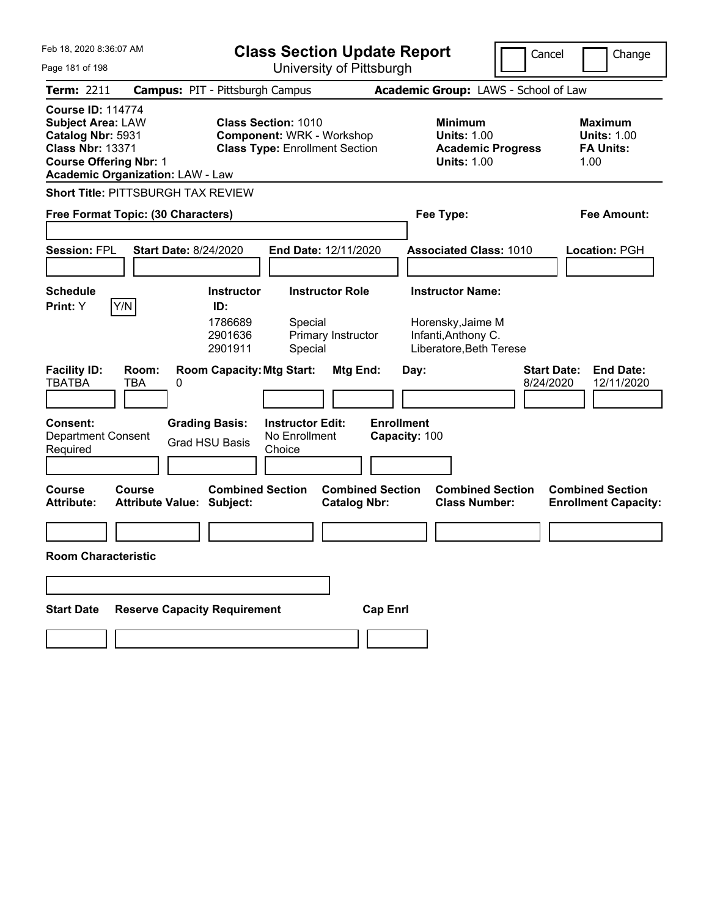| Feb 18, 2020 8:36:07 AM                                                                                                               |                                                                            |                                                                                                         | <b>Class Section Update Report</b>                 |                                              |                                    |      |                                                                     |                                                 | Cancel                          |                                            | Change                         |
|---------------------------------------------------------------------------------------------------------------------------------------|----------------------------------------------------------------------------|---------------------------------------------------------------------------------------------------------|----------------------------------------------------|----------------------------------------------|------------------------------------|------|---------------------------------------------------------------------|-------------------------------------------------|---------------------------------|--------------------------------------------|--------------------------------|
| Page 181 of 198                                                                                                                       |                                                                            |                                                                                                         | University of Pittsburgh                           |                                              |                                    |      |                                                                     |                                                 |                                 |                                            |                                |
| <b>Term: 2211</b>                                                                                                                     | <b>Campus: PIT - Pittsburgh Campus</b>                                     |                                                                                                         |                                                    |                                              |                                    |      |                                                                     | Academic Group: LAWS - School of Law            |                                 |                                            |                                |
| <b>Course ID: 114774</b><br><b>Subject Area: LAW</b><br>Catalog Nbr: 5931<br><b>Class Nbr: 13371</b><br><b>Course Offering Nbr: 1</b> | <b>Academic Organization: LAW - Law</b>                                    | <b>Class Section: 1010</b><br><b>Component: WRK - Workshop</b><br><b>Class Type: Enrollment Section</b> |                                                    |                                              |                                    |      | <b>Minimum</b><br><b>Units: 1.00</b><br><b>Units: 1.00</b>          | <b>Academic Progress</b>                        |                                 | <b>Maximum</b><br><b>FA Units:</b><br>1.00 | <b>Units: 1.00</b>             |
|                                                                                                                                       | Short Title: PITTSBURGH TAX REVIEW                                         |                                                                                                         |                                                    |                                              |                                    |      |                                                                     |                                                 |                                 |                                            |                                |
|                                                                                                                                       | Free Format Topic: (30 Characters)                                         |                                                                                                         |                                                    |                                              |                                    |      | Fee Type:                                                           |                                                 |                                 |                                            | Fee Amount:                    |
| <b>Session: FPL</b>                                                                                                                   | <b>Start Date: 8/24/2020</b>                                               |                                                                                                         | End Date: 12/11/2020                               |                                              |                                    |      |                                                                     | <b>Associated Class: 1010</b>                   |                                 | Location: PGH                              |                                |
| <b>Schedule</b><br><b>Print:</b> Y                                                                                                    | Y/N                                                                        | <b>Instructor</b><br>ID:<br>1786689<br>2901636<br>2901911                                               | Special<br>Special                                 | <b>Instructor Role</b><br>Primary Instructor |                                    |      | <b>Instructor Name:</b><br>Horensky, Jaime M<br>Infanti, Anthony C. | Liberatore, Beth Terese                         |                                 |                                            |                                |
| <b>Facility ID:</b><br><b>TBATBA</b><br><b>Consent:</b><br><b>Department Consent</b><br>Required                                      | Room:<br><b>TBA</b><br>0<br><b>Grading Basis:</b><br><b>Grad HSU Basis</b> | <b>Room Capacity: Mtg Start:</b>                                                                        | <b>Instructor Edit:</b><br>No Enrollment<br>Choice | Mtg End:                                     | <b>Enrollment</b><br>Capacity: 100 | Day: |                                                                     |                                                 | <b>Start Date:</b><br>8/24/2020 |                                            | <b>End Date:</b><br>12/11/2020 |
| <b>Course</b><br><b>Attribute:</b>                                                                                                    | Course<br><b>Attribute Value: Subject:</b>                                 | <b>Combined Section</b>                                                                                 |                                                    | <b>Catalog Nbr:</b>                          | <b>Combined Section</b>            |      |                                                                     | <b>Combined Section</b><br><b>Class Number:</b> |                                 | <b>Combined Section</b>                    | <b>Enrollment Capacity:</b>    |
| <b>Room Characteristic</b>                                                                                                            |                                                                            |                                                                                                         |                                                    |                                              |                                    |      |                                                                     |                                                 |                                 |                                            |                                |
|                                                                                                                                       |                                                                            |                                                                                                         |                                                    |                                              |                                    |      |                                                                     |                                                 |                                 |                                            |                                |
| <b>Start Date</b>                                                                                                                     | <b>Reserve Capacity Requirement</b>                                        |                                                                                                         |                                                    |                                              | <b>Cap Enrl</b>                    |      |                                                                     |                                                 |                                 |                                            |                                |
|                                                                                                                                       |                                                                            |                                                                                                         |                                                    |                                              |                                    |      |                                                                     |                                                 |                                 |                                            |                                |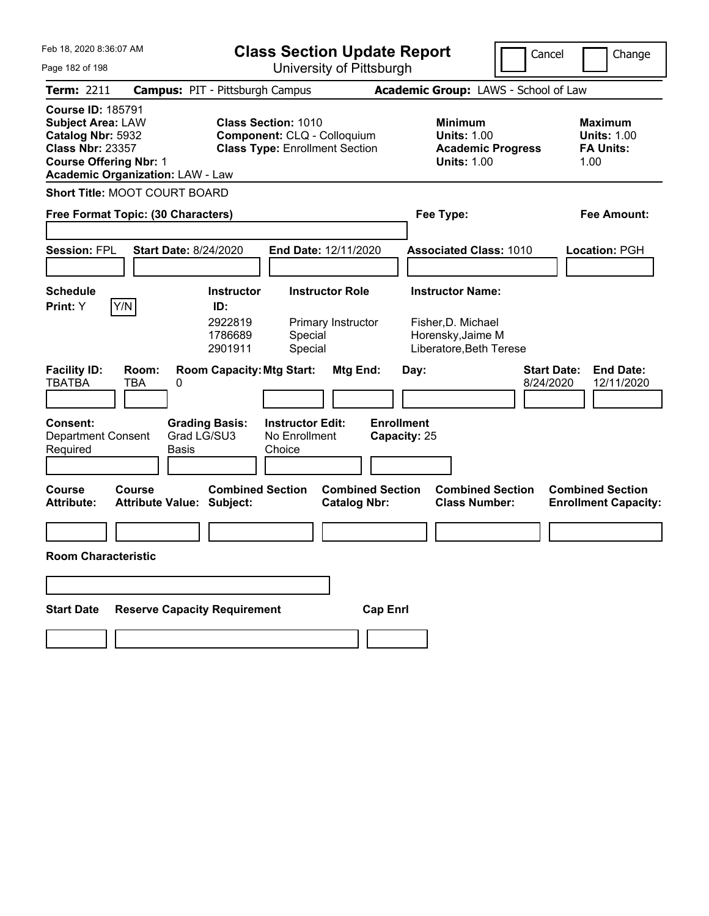| Feb 18, 2020 8:36:07 AM                                                                                                                                                          | <b>Class Section Update Report</b>                                                                 |                                                |                                                                                        | Cancel                          | Change                                                           |
|----------------------------------------------------------------------------------------------------------------------------------------------------------------------------------|----------------------------------------------------------------------------------------------------|------------------------------------------------|----------------------------------------------------------------------------------------|---------------------------------|------------------------------------------------------------------|
| Page 182 of 198                                                                                                                                                                  |                                                                                                    | University of Pittsburgh                       |                                                                                        |                                 |                                                                  |
| Term: 2211                                                                                                                                                                       | <b>Campus: PIT - Pittsburgh Campus</b>                                                             |                                                | Academic Group: LAWS - School of Law                                                   |                                 |                                                                  |
| <b>Course ID: 185791</b><br><b>Subject Area: LAW</b><br>Catalog Nbr: 5932<br><b>Class Nbr: 23357</b><br><b>Course Offering Nbr: 1</b><br><b>Academic Organization: LAW - Law</b> | <b>Class Section: 1010</b><br>Component: CLQ - Colloquium<br><b>Class Type: Enrollment Section</b> |                                                | <b>Minimum</b><br><b>Units: 1.00</b><br><b>Academic Progress</b><br><b>Units: 1.00</b> |                                 | <b>Maximum</b><br><b>Units: 1.00</b><br><b>FA Units:</b><br>1.00 |
| Short Title: MOOT COURT BOARD                                                                                                                                                    |                                                                                                    |                                                |                                                                                        |                                 |                                                                  |
| Free Format Topic: (30 Characters)                                                                                                                                               |                                                                                                    |                                                | Fee Type:                                                                              |                                 | Fee Amount:                                                      |
|                                                                                                                                                                                  |                                                                                                    |                                                |                                                                                        |                                 |                                                                  |
| <b>Session: FPL</b><br><b>Start Date: 8/24/2020</b>                                                                                                                              | End Date: 12/11/2020                                                                               |                                                | <b>Associated Class: 1010</b>                                                          |                                 | <b>Location: PGH</b>                                             |
| <b>Schedule</b>                                                                                                                                                                  | <b>Instructor Role</b><br><b>Instructor</b>                                                        |                                                | <b>Instructor Name:</b>                                                                |                                 |                                                                  |
| Y/N<br>Print: Y                                                                                                                                                                  | ID:                                                                                                |                                                |                                                                                        |                                 |                                                                  |
|                                                                                                                                                                                  | 2922819<br>1786689<br>Special<br>Special<br>2901911                                                | Primary Instructor                             | Fisher, D. Michael<br>Horensky, Jaime M<br>Liberatore, Beth Terese                     |                                 |                                                                  |
| <b>Facility ID:</b><br>Room:<br><b>TBATBA</b><br><b>TBA</b><br>0                                                                                                                 | <b>Room Capacity: Mtg Start:</b>                                                                   | Mtg End:                                       | Day:                                                                                   | <b>Start Date:</b><br>8/24/2020 | <b>End Date:</b><br>12/11/2020                                   |
| <b>Consent:</b><br><b>Department Consent</b><br><b>Basis</b><br>Required                                                                                                         | <b>Grading Basis:</b><br><b>Instructor Edit:</b><br>Grad LG/SU3<br>No Enrollment<br>Choice         | <b>Enrollment</b><br>Capacity: 25              |                                                                                        |                                 |                                                                  |
| Course<br>Course<br><b>Attribute Value: Subject:</b><br><b>Attribute:</b>                                                                                                        | <b>Combined Section</b>                                                                            | <b>Combined Section</b><br><b>Catalog Nbr:</b> | <b>Combined Section</b><br><b>Class Number:</b>                                        |                                 | <b>Combined Section</b><br><b>Enrollment Capacity:</b>           |
|                                                                                                                                                                                  |                                                                                                    |                                                |                                                                                        |                                 |                                                                  |
| <b>Room Characteristic</b>                                                                                                                                                       |                                                                                                    |                                                |                                                                                        |                                 |                                                                  |
|                                                                                                                                                                                  |                                                                                                    |                                                |                                                                                        |                                 |                                                                  |
| <b>Reserve Capacity Requirement</b><br><b>Start Date</b>                                                                                                                         |                                                                                                    | <b>Cap Enrl</b>                                |                                                                                        |                                 |                                                                  |
|                                                                                                                                                                                  |                                                                                                    |                                                |                                                                                        |                                 |                                                                  |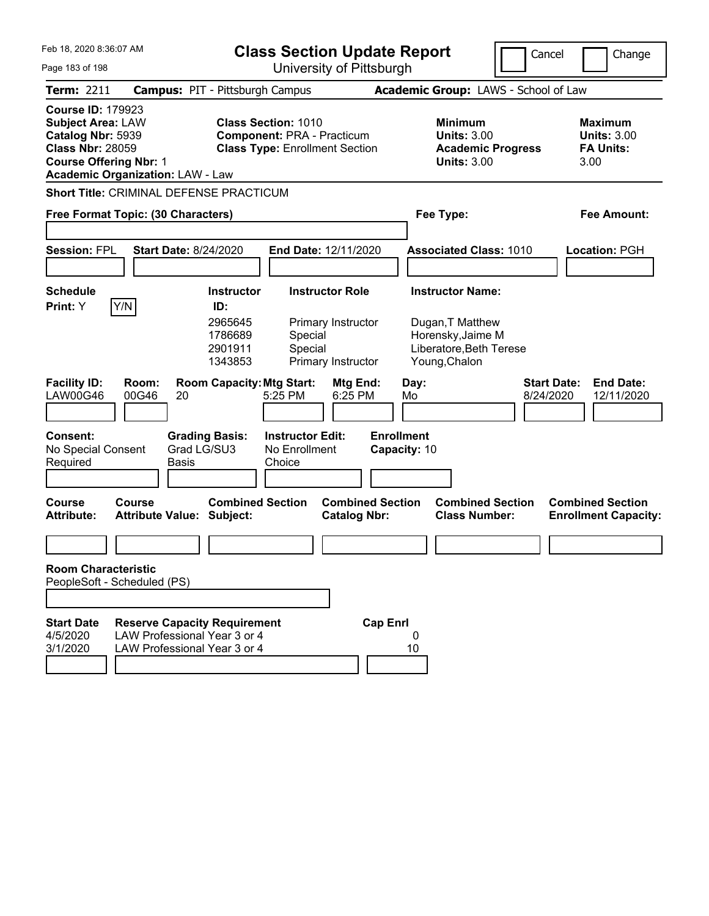| Feb 18, 2020 8:36:07 AM<br>Page 183 of 198                                                                                                                                       |                                                                                                     |                                                                          | <b>Class Section Update Report</b><br>University of Pittsburgh                                           |                                                                    |                                                 |                                                                                   | Cancel                                                               | Change                          |                                                                  |
|----------------------------------------------------------------------------------------------------------------------------------------------------------------------------------|-----------------------------------------------------------------------------------------------------|--------------------------------------------------------------------------|----------------------------------------------------------------------------------------------------------|--------------------------------------------------------------------|-------------------------------------------------|-----------------------------------------------------------------------------------|----------------------------------------------------------------------|---------------------------------|------------------------------------------------------------------|
| Term: 2211                                                                                                                                                                       | <b>Campus: PIT - Pittsburgh Campus</b>                                                              |                                                                          |                                                                                                          |                                                                    |                                                 |                                                                                   | Academic Group: LAWS - School of Law                                 |                                 |                                                                  |
| <b>Course ID: 179923</b><br><b>Subject Area: LAW</b><br>Catalog Nbr: 5939<br><b>Class Nbr: 28059</b><br><b>Course Offering Nbr: 1</b><br><b>Academic Organization: LAW - Law</b> |                                                                                                     |                                                                          | <b>Class Section: 1010</b><br><b>Component: PRA - Practicum</b><br><b>Class Type: Enrollment Section</b> |                                                                    |                                                 | <b>Minimum</b>                                                                    | <b>Units: 3.00</b><br><b>Academic Progress</b><br><b>Units: 3.00</b> |                                 | <b>Maximum</b><br><b>Units: 3.00</b><br><b>FA Units:</b><br>3.00 |
| <b>Short Title: CRIMINAL DEFENSE PRACTICUM</b>                                                                                                                                   |                                                                                                     |                                                                          |                                                                                                          |                                                                    |                                                 |                                                                                   |                                                                      |                                 |                                                                  |
| Free Format Topic: (30 Characters)                                                                                                                                               |                                                                                                     |                                                                          |                                                                                                          |                                                                    |                                                 | Fee Type:                                                                         |                                                                      |                                 | Fee Amount:                                                      |
| <b>Session: FPL</b>                                                                                                                                                              | <b>Start Date: 8/24/2020</b>                                                                        |                                                                          |                                                                                                          | End Date: 12/11/2020                                               |                                                 |                                                                                   | <b>Associated Class: 1010</b>                                        |                                 | <b>Location: PGH</b>                                             |
| <b>Schedule</b><br>Y/N<br>Print: Y                                                                                                                                               |                                                                                                     | <b>Instructor</b><br>ID:<br>2965645<br>1786689<br>2901911<br>1343853     | Special<br>Special                                                                                       | <b>Instructor Role</b><br>Primary Instructor<br>Primary Instructor |                                                 | <b>Instructor Name:</b><br>Dugan, T Matthew<br>Horensky, Jaime M<br>Young, Chalon | Liberatore, Beth Terese                                              |                                 |                                                                  |
| <b>Facility ID:</b><br><b>LAW00G46</b><br>Consent:<br>No Special Consent<br>Required                                                                                             | Room:<br>00G46<br>20<br><b>Basis</b>                                                                | <b>Room Capacity: Mtg Start:</b><br><b>Grading Basis:</b><br>Grad LG/SU3 | 5:25 PM<br><b>Instructor Edit:</b><br>No Enrollment<br>Choice                                            | Mtg End:<br>6:25 PM                                                | Day:<br>Mo<br><b>Enrollment</b><br>Capacity: 10 |                                                                                   |                                                                      | <b>Start Date:</b><br>8/24/2020 | <b>End Date:</b><br>12/11/2020                                   |
| Course<br><b>Attribute:</b>                                                                                                                                                      | Course<br><b>Attribute Value: Subject:</b>                                                          | <b>Combined Section</b>                                                  |                                                                                                          | <b>Combined Section</b><br><b>Catalog Nbr:</b>                     |                                                 |                                                                                   | <b>Combined Section</b><br><b>Class Number:</b>                      |                                 | <b>Combined Section</b><br><b>Enrollment Capacity:</b>           |
| <b>Room Characteristic</b>                                                                                                                                                       |                                                                                                     |                                                                          |                                                                                                          |                                                                    |                                                 |                                                                                   |                                                                      |                                 |                                                                  |
| PeopleSoft - Scheduled (PS)                                                                                                                                                      |                                                                                                     |                                                                          |                                                                                                          |                                                                    |                                                 |                                                                                   |                                                                      |                                 |                                                                  |
|                                                                                                                                                                                  |                                                                                                     |                                                                          |                                                                                                          |                                                                    |                                                 |                                                                                   |                                                                      |                                 |                                                                  |
| <b>Start Date</b><br>4/5/2020<br>3/1/2020                                                                                                                                        | <b>Reserve Capacity Requirement</b><br>LAW Professional Year 3 or 4<br>LAW Professional Year 3 or 4 |                                                                          |                                                                                                          |                                                                    | <b>Cap Enrl</b><br>10                           | 0                                                                                 |                                                                      |                                 |                                                                  |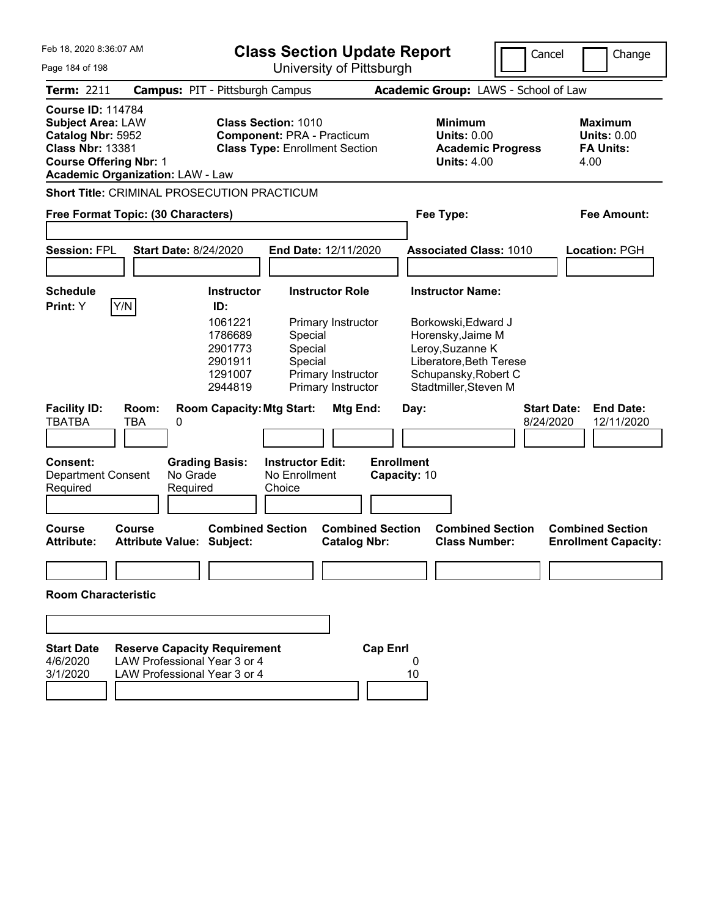| Feb 18, 2020 8:36:07 AM                                                                                                                                                          |                                                                                                     | <b>Class Section Update Report</b>                                                                        |                                                                                                          |                                                                            |                                   |         |                                                                                                                                          |                                                                                                                                                                                                                                                                            |  | Change |
|----------------------------------------------------------------------------------------------------------------------------------------------------------------------------------|-----------------------------------------------------------------------------------------------------|-----------------------------------------------------------------------------------------------------------|----------------------------------------------------------------------------------------------------------|----------------------------------------------------------------------------|-----------------------------------|---------|------------------------------------------------------------------------------------------------------------------------------------------|----------------------------------------------------------------------------------------------------------------------------------------------------------------------------------------------------------------------------------------------------------------------------|--|--------|
| Page 184 of 198                                                                                                                                                                  |                                                                                                     |                                                                                                           |                                                                                                          | University of Pittsburgh                                                   |                                   |         |                                                                                                                                          |                                                                                                                                                                                                                                                                            |  |        |
| <b>Term: 2211</b>                                                                                                                                                                | <b>Campus: PIT - Pittsburgh Campus</b>                                                              |                                                                                                           |                                                                                                          |                                                                            |                                   |         |                                                                                                                                          |                                                                                                                                                                                                                                                                            |  |        |
| <b>Course ID: 114784</b><br><b>Subject Area: LAW</b><br>Catalog Nbr: 5952<br><b>Class Nbr: 13381</b><br><b>Course Offering Nbr: 1</b><br><b>Academic Organization: LAW - Law</b> |                                                                                                     |                                                                                                           | <b>Class Section: 1010</b><br><b>Component: PRA - Practicum</b><br><b>Class Type: Enrollment Section</b> |                                                                            |                                   |         | <b>Minimum</b><br><b>Units: 0.00</b><br><b>Academic Progress</b><br><b>Units: 4.00</b>                                                   |                                                                                                                                                                                                                                                                            |  |        |
| <b>Short Title: CRIMINAL PROSECUTION PRACTICUM</b>                                                                                                                               |                                                                                                     |                                                                                                           |                                                                                                          |                                                                            |                                   |         |                                                                                                                                          |                                                                                                                                                                                                                                                                            |  |        |
| Free Format Topic: (30 Characters)                                                                                                                                               |                                                                                                     |                                                                                                           |                                                                                                          |                                                                            |                                   |         | Fee Type:                                                                                                                                |                                                                                                                                                                                                                                                                            |  |        |
| <b>Session: FPL</b>                                                                                                                                                              | <b>Start Date: 8/24/2020</b>                                                                        |                                                                                                           |                                                                                                          | End Date: 12/11/2020                                                       |                                   |         | <b>Associated Class: 1010</b>                                                                                                            | Cancel<br>Academic Group: LAWS - School of Law<br>Maximum<br><b>Units: 0.00</b><br><b>FA Units:</b><br>4.00<br>Fee Amount:<br>Location: PGH<br><b>End Date:</b><br><b>Start Date:</b><br>8/24/2020<br>12/11/2020<br><b>Combined Section</b><br><b>Enrollment Capacity:</b> |  |        |
| <b>Schedule</b>                                                                                                                                                                  |                                                                                                     | <b>Instructor</b>                                                                                         |                                                                                                          | <b>Instructor Role</b>                                                     |                                   |         | <b>Instructor Name:</b>                                                                                                                  |                                                                                                                                                                                                                                                                            |  |        |
| Print: Y<br>Y/N<br><b>Facility ID:</b><br><b>TBATBA</b>                                                                                                                          | Room:<br><b>TBA</b><br>0                                                                            | ID:<br>1061221<br>1786689<br>2901773<br>2901911<br>1291007<br>2944819<br><b>Room Capacity: Mtg Start:</b> | Special<br>Special<br>Special                                                                            | Primary Instructor<br>Primary Instructor<br>Primary Instructor<br>Mtg End: |                                   | Day:    | Borkowski, Edward J<br>Horensky, Jaime M<br>Leroy, Suzanne K<br>Liberatore, Beth Terese<br>Schupansky, Robert C<br>Stadtmiller, Steven M |                                                                                                                                                                                                                                                                            |  |        |
|                                                                                                                                                                                  |                                                                                                     |                                                                                                           |                                                                                                          |                                                                            |                                   |         |                                                                                                                                          |                                                                                                                                                                                                                                                                            |  |        |
| <b>Consent:</b><br><b>Department Consent</b><br>Required<br>Course<br><b>Attribute:</b>                                                                                          | No Grade<br>Required<br>Course<br>Attribute Value: Subject:                                         | <b>Grading Basis:</b><br><b>Combined Section</b>                                                          | <b>Instructor Edit:</b><br>No Enrollment<br>Choice                                                       | <b>Combined Section</b><br><b>Catalog Nbr:</b>                             | <b>Enrollment</b><br>Capacity: 10 |         | <b>Combined Section</b><br><b>Class Number:</b>                                                                                          |                                                                                                                                                                                                                                                                            |  |        |
|                                                                                                                                                                                  |                                                                                                     |                                                                                                           |                                                                                                          |                                                                            |                                   |         |                                                                                                                                          |                                                                                                                                                                                                                                                                            |  |        |
| <b>Room Characteristic</b>                                                                                                                                                       |                                                                                                     |                                                                                                           |                                                                                                          |                                                                            |                                   |         |                                                                                                                                          |                                                                                                                                                                                                                                                                            |  |        |
|                                                                                                                                                                                  |                                                                                                     |                                                                                                           |                                                                                                          |                                                                            |                                   |         |                                                                                                                                          |                                                                                                                                                                                                                                                                            |  |        |
| <b>Start Date</b><br>4/6/2020<br>3/1/2020                                                                                                                                        | <b>Reserve Capacity Requirement</b><br>LAW Professional Year 3 or 4<br>LAW Professional Year 3 or 4 |                                                                                                           |                                                                                                          |                                                                            | <b>Cap Enrl</b>                   | 0<br>10 |                                                                                                                                          |                                                                                                                                                                                                                                                                            |  |        |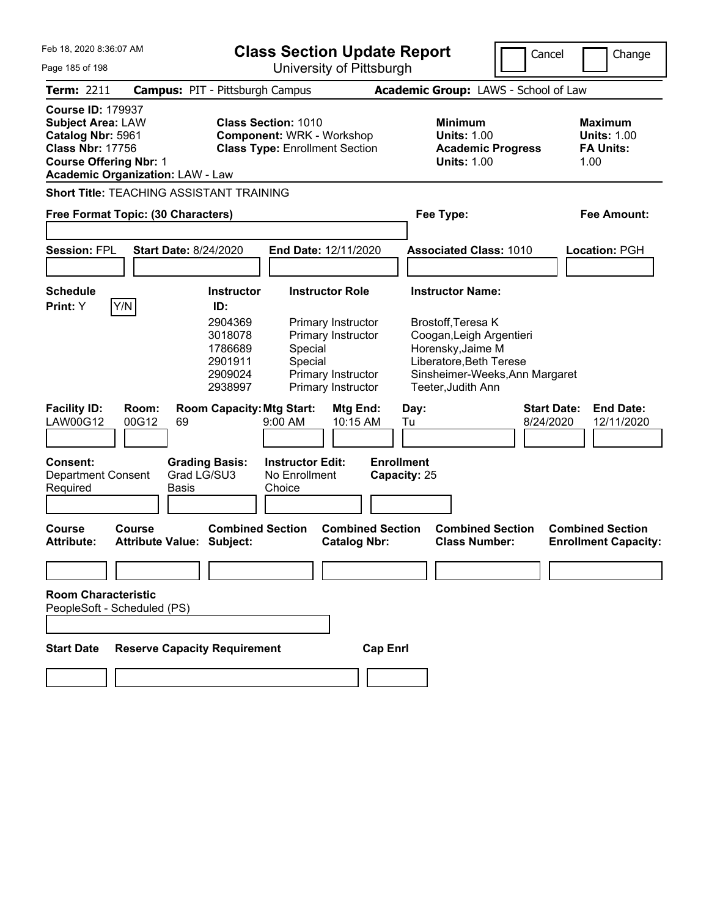| Feb 18, 2020 8:36:07 AM<br>Page 185 of 198                                                                                            |                                                   |                                                                                                    | <b>Class Section Update Report</b>                                                                      | University of Pittsburgh                                                                                     |                   |                                                                             |                                                                                        | Cancel                          | Change                                                           |
|---------------------------------------------------------------------------------------------------------------------------------------|---------------------------------------------------|----------------------------------------------------------------------------------------------------|---------------------------------------------------------------------------------------------------------|--------------------------------------------------------------------------------------------------------------|-------------------|-----------------------------------------------------------------------------|----------------------------------------------------------------------------------------|---------------------------------|------------------------------------------------------------------|
| Term: 2211                                                                                                                            |                                                   | <b>Campus: PIT - Pittsburgh Campus</b>                                                             |                                                                                                         |                                                                                                              |                   |                                                                             | Academic Group: LAWS - School of Law                                                   |                                 |                                                                  |
| <b>Course ID: 179937</b><br><b>Subject Area: LAW</b><br>Catalog Nbr: 5961<br><b>Class Nbr: 17756</b><br><b>Course Offering Nbr: 1</b> | <b>Academic Organization: LAW - Law</b>           |                                                                                                    | <b>Class Section: 1010</b><br><b>Component: WRK - Workshop</b><br><b>Class Type: Enrollment Section</b> |                                                                                                              |                   |                                                                             | <b>Minimum</b><br><b>Units: 1.00</b><br><b>Academic Progress</b><br><b>Units: 1.00</b> |                                 | <b>Maximum</b><br><b>Units: 1.00</b><br><b>FA Units:</b><br>1.00 |
|                                                                                                                                       | <b>Short Title: TEACHING ASSISTANT TRAINING</b>   |                                                                                                    |                                                                                                         |                                                                                                              |                   |                                                                             |                                                                                        |                                 |                                                                  |
|                                                                                                                                       | Free Format Topic: (30 Characters)                |                                                                                                    |                                                                                                         |                                                                                                              |                   | Fee Type:                                                                   |                                                                                        |                                 | <b>Fee Amount:</b>                                               |
| <b>Session: FPL</b>                                                                                                                   | <b>Start Date: 8/24/2020</b>                      |                                                                                                    | End Date: 12/11/2020                                                                                    |                                                                                                              |                   |                                                                             | <b>Associated Class: 1010</b>                                                          |                                 | <b>Location: PGH</b>                                             |
| <b>Schedule</b>                                                                                                                       |                                                   | <b>Instructor</b>                                                                                  |                                                                                                         | <b>Instructor Role</b>                                                                                       |                   | <b>Instructor Name:</b>                                                     |                                                                                        |                                 |                                                                  |
| <b>Facility ID:</b><br><b>LAW00G12</b>                                                                                                | Room:<br>00G12<br>69                              | 2904369<br>3018078<br>1786689<br>2901911<br>2909024<br>2938997<br><b>Room Capacity: Mtg Start:</b> | Special<br>Special<br>9:00 AM                                                                           | Primary Instructor<br>Primary Instructor<br>Primary Instructor<br>Primary Instructor<br>Mtg End:<br>10:15 AM |                   | Brostoff, Teresa K<br>Horensky, Jaime M<br>Teeter, Judith Ann<br>Day:<br>Tu | Coogan, Leigh Argentieri<br>Liberatore, Beth Terese<br>Sinsheimer-Weeks, Ann Margaret  | <b>Start Date:</b><br>8/24/2020 | <b>End Date:</b><br>12/11/2020                                   |
| <b>Consent:</b><br><b>Department Consent</b><br>Required                                                                              | <b>Basis</b>                                      | <b>Grading Basis:</b><br>Grad LG/SU3                                                               | <b>Instructor Edit:</b><br>No Enrollment<br>Choice                                                      |                                                                                                              | <b>Enrollment</b> | Capacity: 25                                                                |                                                                                        |                                 |                                                                  |
| <b>Course</b><br>Attribute:                                                                                                           | <b>Course</b><br><b>Attribute Value: Subject:</b> | <b>Combined Section</b>                                                                            |                                                                                                         | <b>Combined Section</b><br><b>Catalog Nbr:</b>                                                               |                   |                                                                             | <b>Combined Section</b><br><b>Class Number:</b>                                        |                                 | <b>Combined Section</b><br><b>Enrollment Capacity:</b>           |
|                                                                                                                                       |                                                   |                                                                                                    |                                                                                                         |                                                                                                              |                   |                                                                             |                                                                                        |                                 |                                                                  |
| <b>Room Characteristic</b>                                                                                                            | PeopleSoft - Scheduled (PS)                       |                                                                                                    |                                                                                                         |                                                                                                              |                   |                                                                             |                                                                                        |                                 |                                                                  |
| <b>Start Date</b>                                                                                                                     | <b>Reserve Capacity Requirement</b>               |                                                                                                    |                                                                                                         |                                                                                                              | <b>Cap Enrl</b>   |                                                                             |                                                                                        |                                 |                                                                  |
|                                                                                                                                       |                                                   |                                                                                                    |                                                                                                         |                                                                                                              |                   |                                                                             |                                                                                        |                                 |                                                                  |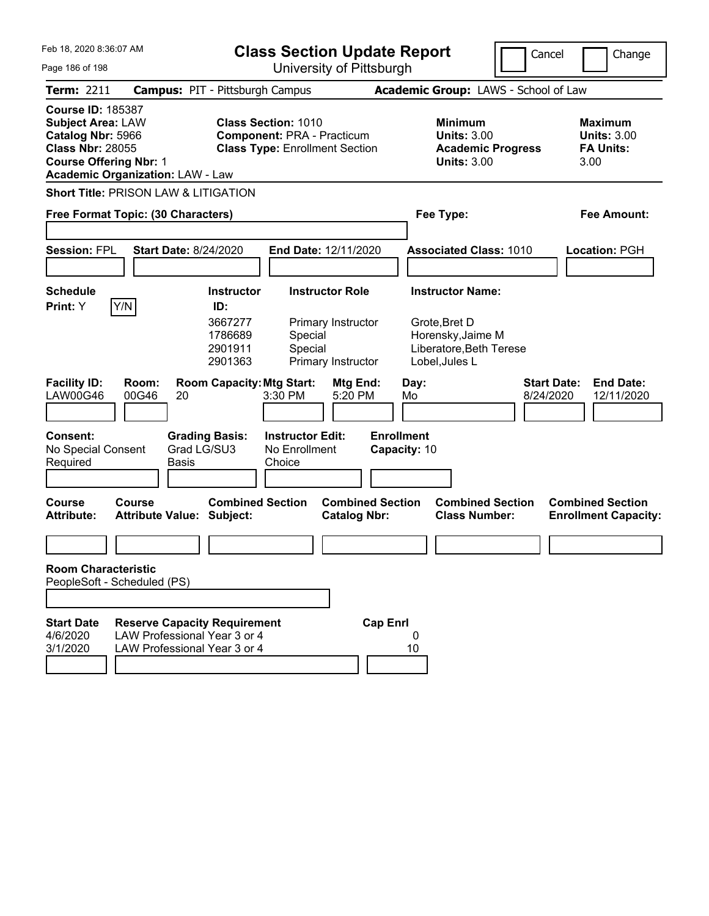| Feb 18, 2020 8:36:07 AM                                                                                                                                                          |                                                                                                     |                                                                      | <b>Class Section Update Report</b>                                                                       |                                                                    |                                   |            |                                                                                                            | Cancel                          | Change                                                           |
|----------------------------------------------------------------------------------------------------------------------------------------------------------------------------------|-----------------------------------------------------------------------------------------------------|----------------------------------------------------------------------|----------------------------------------------------------------------------------------------------------|--------------------------------------------------------------------|-----------------------------------|------------|------------------------------------------------------------------------------------------------------------|---------------------------------|------------------------------------------------------------------|
| Page 186 of 198                                                                                                                                                                  |                                                                                                     |                                                                      |                                                                                                          | University of Pittsburgh                                           |                                   |            |                                                                                                            |                                 |                                                                  |
| Term: 2211                                                                                                                                                                       | <b>Campus: PIT - Pittsburgh Campus</b>                                                              |                                                                      |                                                                                                          |                                                                    |                                   |            | Academic Group: LAWS - School of Law                                                                       |                                 |                                                                  |
| <b>Course ID: 185387</b><br><b>Subject Area: LAW</b><br>Catalog Nbr: 5966<br><b>Class Nbr: 28055</b><br><b>Course Offering Nbr: 1</b><br><b>Academic Organization: LAW - Law</b> |                                                                                                     |                                                                      | <b>Class Section: 1010</b><br><b>Component: PRA - Practicum</b><br><b>Class Type: Enrollment Section</b> |                                                                    |                                   |            | <b>Minimum</b><br><b>Units: 3.00</b><br><b>Academic Progress</b><br><b>Units: 3.00</b>                     |                                 | <b>Maximum</b><br><b>Units: 3.00</b><br><b>FA Units:</b><br>3.00 |
| <b>Short Title: PRISON LAW &amp; LITIGATION</b>                                                                                                                                  |                                                                                                     |                                                                      |                                                                                                          |                                                                    |                                   |            |                                                                                                            |                                 |                                                                  |
| Free Format Topic: (30 Characters)                                                                                                                                               |                                                                                                     |                                                                      |                                                                                                          |                                                                    |                                   |            | Fee Type:                                                                                                  |                                 | Fee Amount:                                                      |
| <b>Session: FPL</b>                                                                                                                                                              | <b>Start Date: 8/24/2020</b>                                                                        |                                                                      | End Date: 12/11/2020                                                                                     |                                                                    |                                   |            | <b>Associated Class: 1010</b>                                                                              |                                 | Location: PGH                                                    |
| <b>Schedule</b><br>Y/N<br>Print: Y                                                                                                                                               |                                                                                                     | <b>Instructor</b><br>ID:<br>3667277<br>1786689<br>2901911<br>2901363 | Special<br>Special                                                                                       | <b>Instructor Role</b><br>Primary Instructor<br>Primary Instructor |                                   |            | <b>Instructor Name:</b><br>Grote, Bret D<br>Horensky, Jaime M<br>Liberatore, Beth Terese<br>Lobel, Jules L |                                 |                                                                  |
| <b>Facility ID:</b><br>LAW00G46<br><b>Consent:</b><br>No Special Consent<br>Required                                                                                             | Room:<br>00G46<br>20<br><b>Grading Basis:</b><br>Grad LG/SU3<br>Basis                               | <b>Room Capacity: Mtg Start:</b>                                     | 3:30 PM<br><b>Instructor Edit:</b><br>No Enrollment<br>Choice                                            | Mtg End:<br>5:20 PM                                                | <b>Enrollment</b><br>Capacity: 10 | Day:<br>Mo |                                                                                                            | <b>Start Date:</b><br>8/24/2020 | <b>End Date:</b><br>12/11/2020                                   |
| <b>Course</b><br><b>Attribute:</b>                                                                                                                                               | <b>Course</b><br><b>Attribute Value: Subject:</b>                                                   | <b>Combined Section</b>                                              |                                                                                                          | <b>Combined Section</b><br><b>Catalog Nbr:</b>                     |                                   |            | <b>Combined Section</b><br><b>Class Number:</b>                                                            |                                 | <b>Combined Section</b><br><b>Enrollment Capacity:</b>           |
| <b>Room Characteristic</b>                                                                                                                                                       |                                                                                                     |                                                                      |                                                                                                          |                                                                    |                                   |            |                                                                                                            |                                 |                                                                  |
| PeopleSoft - Scheduled (PS)                                                                                                                                                      |                                                                                                     |                                                                      |                                                                                                          |                                                                    |                                   |            |                                                                                                            |                                 |                                                                  |
|                                                                                                                                                                                  |                                                                                                     |                                                                      |                                                                                                          |                                                                    |                                   |            |                                                                                                            |                                 |                                                                  |
| <b>Start Date</b><br>4/6/2020<br>3/1/2020                                                                                                                                        | <b>Reserve Capacity Requirement</b><br>LAW Professional Year 3 or 4<br>LAW Professional Year 3 or 4 |                                                                      |                                                                                                          |                                                                    | <b>Cap Enrl</b>                   | 0<br>10    |                                                                                                            |                                 |                                                                  |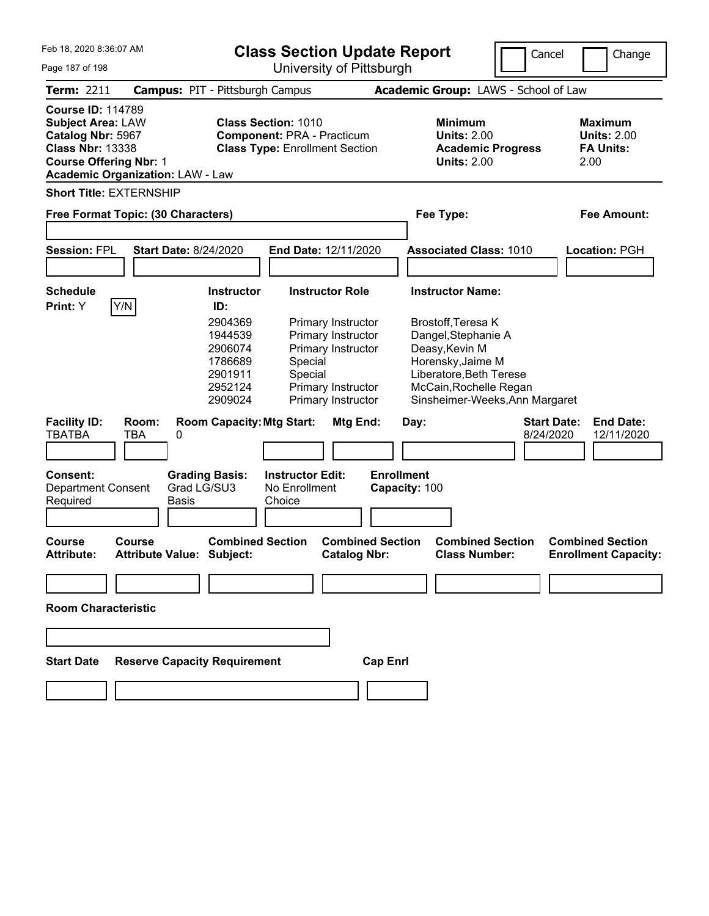| Feb 18, 2020 8:36:07 AM<br>Page 187 of 198                                                                                                                                       |                                                   |                                                                                                                                                                    |                                                                                                          | University of Pittsburgh                                                                                                                         | <b>Class Section Update Report</b>                                                                                                                                                                             | Cancel                                                            | Change                                                           |
|----------------------------------------------------------------------------------------------------------------------------------------------------------------------------------|---------------------------------------------------|--------------------------------------------------------------------------------------------------------------------------------------------------------------------|----------------------------------------------------------------------------------------------------------|--------------------------------------------------------------------------------------------------------------------------------------------------|----------------------------------------------------------------------------------------------------------------------------------------------------------------------------------------------------------------|-------------------------------------------------------------------|------------------------------------------------------------------|
| Term: 2211                                                                                                                                                                       | <b>Campus: PIT - Pittsburgh Campus</b>            |                                                                                                                                                                    |                                                                                                          |                                                                                                                                                  | Academic Group: LAWS - School of Law                                                                                                                                                                           |                                                                   |                                                                  |
| <b>Course ID: 114789</b><br><b>Subject Area: LAW</b><br>Catalog Nbr: 5967<br><b>Class Nbr: 13338</b><br><b>Course Offering Nbr: 1</b><br><b>Academic Organization: LAW - Law</b> |                                                   |                                                                                                                                                                    | <b>Class Section: 1010</b><br><b>Component: PRA - Practicum</b><br><b>Class Type: Enrollment Section</b> |                                                                                                                                                  | <b>Minimum</b><br><b>Units: 2.00</b><br><b>Units: 2.00</b>                                                                                                                                                     | <b>Academic Progress</b>                                          | <b>Maximum</b><br><b>Units: 2.00</b><br><b>FA Units:</b><br>2.00 |
| <b>Short Title: EXTERNSHIP</b><br>Free Format Topic: (30 Characters)                                                                                                             |                                                   |                                                                                                                                                                    |                                                                                                          |                                                                                                                                                  | Fee Type:                                                                                                                                                                                                      |                                                                   | <b>Fee Amount:</b>                                               |
| <b>Session: FPL</b>                                                                                                                                                              | <b>Start Date: 8/24/2020</b>                      |                                                                                                                                                                    | End Date: 12/11/2020                                                                                     |                                                                                                                                                  | <b>Associated Class: 1010</b>                                                                                                                                                                                  |                                                                   | <b>Location: PGH</b>                                             |
| <b>Schedule</b><br>Y/N<br>Print: Y<br><b>Facility ID:</b><br><b>TBATBA</b><br>Consent:<br><b>Department Consent</b>                                                              | Room:<br><b>TBA</b><br>0<br>Grad LG/SU3           | <b>Instructor</b><br>ID:<br>2904369<br>1944539<br>2906074<br>1786689<br>2901911<br>2952124<br>2909024<br><b>Room Capacity: Mtg Start:</b><br><b>Grading Basis:</b> | Special<br>Special<br><b>Instructor Edit:</b><br>No Enrollment                                           | <b>Instructor Role</b><br>Primary Instructor<br>Primary Instructor<br>Primary Instructor<br>Primary Instructor<br>Primary Instructor<br>Mtg End: | <b>Instructor Name:</b><br>Brostoff, Teresa K<br>Dangel, Stephanie A<br>Deasy, Kevin M<br>Horensky, Jaime M<br>Liberatore, Beth Terese<br>McCain, Rochelle Regan<br>Day:<br><b>Enrollment</b><br>Capacity: 100 | Sinsheimer-Weeks, Ann Margaret<br><b>Start Date:</b><br>8/24/2020 | <b>End Date:</b><br>12/11/2020                                   |
| Required                                                                                                                                                                         | Basis                                             |                                                                                                                                                                    | Choice                                                                                                   |                                                                                                                                                  |                                                                                                                                                                                                                |                                                                   |                                                                  |
| Course<br><b>Attribute:</b>                                                                                                                                                      | <b>Course</b><br><b>Attribute Value: Subject:</b> | <b>Combined Section</b>                                                                                                                                            |                                                                                                          | <b>Combined Section</b><br><b>Catalog Nbr:</b>                                                                                                   | <b>Class Number:</b>                                                                                                                                                                                           | <b>Combined Section</b>                                           | <b>Combined Section</b><br><b>Enrollment Capacity:</b>           |
| <b>Room Characteristic</b>                                                                                                                                                       |                                                   |                                                                                                                                                                    |                                                                                                          |                                                                                                                                                  |                                                                                                                                                                                                                |                                                                   |                                                                  |
| <b>Start Date</b>                                                                                                                                                                | <b>Reserve Capacity Requirement</b>               |                                                                                                                                                                    |                                                                                                          |                                                                                                                                                  | <b>Cap Enrl</b>                                                                                                                                                                                                |                                                                   |                                                                  |
|                                                                                                                                                                                  |                                                   |                                                                                                                                                                    |                                                                                                          |                                                                                                                                                  |                                                                                                                                                                                                                |                                                                   |                                                                  |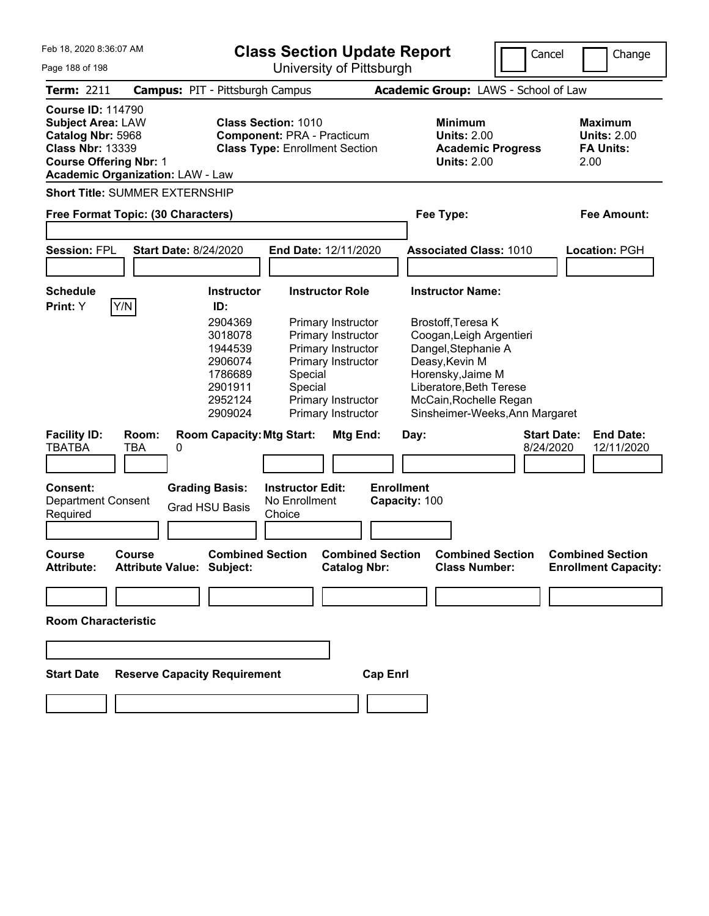| Feb 18, 2020 8:36:07 AM<br><b>Class Section Update Report</b><br>University of Pittsburgh<br>Page 188 of 198                          |                                                |                                                                                                            |                                                                                                                                  |                                                                                                                                                                                                     | Cancel                          | Change                                                           |
|---------------------------------------------------------------------------------------------------------------------------------------|------------------------------------------------|------------------------------------------------------------------------------------------------------------|----------------------------------------------------------------------------------------------------------------------------------|-----------------------------------------------------------------------------------------------------------------------------------------------------------------------------------------------------|---------------------------------|------------------------------------------------------------------|
| <b>Term: 2211</b>                                                                                                                     |                                                | <b>Campus: PIT - Pittsburgh Campus</b>                                                                     |                                                                                                                                  | Academic Group: LAWS - School of Law                                                                                                                                                                |                                 |                                                                  |
| <b>Course ID: 114790</b><br><b>Subject Area: LAW</b><br>Catalog Nbr: 5968<br><b>Class Nbr: 13339</b><br><b>Course Offering Nbr: 1</b> | <b>Academic Organization: LAW - Law</b>        | <b>Class Section: 1010</b><br><b>Component: PRA - Practicum</b><br><b>Class Type: Enrollment Section</b>   |                                                                                                                                  | <b>Minimum</b><br><b>Units: 2.00</b><br><b>Academic Progress</b><br><b>Units: 2.00</b>                                                                                                              |                                 | <b>Maximum</b><br><b>Units: 2.00</b><br><b>FA Units:</b><br>2.00 |
|                                                                                                                                       | <b>Short Title: SUMMER EXTERNSHIP</b>          |                                                                                                            |                                                                                                                                  |                                                                                                                                                                                                     |                                 |                                                                  |
|                                                                                                                                       | Free Format Topic: (30 Characters)             |                                                                                                            |                                                                                                                                  | Fee Type:                                                                                                                                                                                           |                                 | Fee Amount:                                                      |
| <b>Session: FPL</b>                                                                                                                   | <b>Start Date: 8/24/2020</b>                   |                                                                                                            | End Date: 12/11/2020                                                                                                             | <b>Associated Class: 1010</b>                                                                                                                                                                       |                                 | <b>Location: PGH</b>                                             |
| <b>Schedule</b><br>Print: Y                                                                                                           | Y/N                                            | <b>Instructor</b><br>ID:                                                                                   | <b>Instructor Role</b>                                                                                                           | <b>Instructor Name:</b>                                                                                                                                                                             |                                 |                                                                  |
|                                                                                                                                       |                                                | 2904369<br>3018078<br>1944539<br>2906074<br>1786689<br>Special<br>2901911<br>Special<br>2952124<br>2909024 | Primary Instructor<br>Primary Instructor<br>Primary Instructor<br>Primary Instructor<br>Primary Instructor<br>Primary Instructor | Brostoff, Teresa K<br>Coogan, Leigh Argentieri<br>Dangel, Stephanie A<br>Deasy, Kevin M<br>Horensky, Jaime M<br>Liberatore, Beth Terese<br>McCain, Rochelle Regan<br>Sinsheimer-Weeks, Ann Margaret |                                 |                                                                  |
| <b>Facility ID:</b><br><b>TBATBA</b>                                                                                                  | Room:<br><b>TBA</b><br>0                       | <b>Room Capacity: Mtg Start:</b>                                                                           | Mtg End:                                                                                                                         | Day:                                                                                                                                                                                                | <b>Start Date:</b><br>8/24/2020 | <b>End Date:</b><br>12/11/2020                                   |
| <b>Consent:</b><br>Department Consent<br>Required                                                                                     | <b>Grading Basis:</b><br><b>Grad HSU Basis</b> | <b>Instructor Edit:</b><br>No Enrollment<br>Choice                                                         | <b>Enrollment</b>                                                                                                                | Capacity: 100                                                                                                                                                                                       |                                 |                                                                  |
| Course<br><b>Attribute:</b>                                                                                                           | Course<br><b>Attribute Value: Subject:</b>     | <b>Combined Section</b>                                                                                    | <b>Combined Section</b><br><b>Catalog Nbr:</b>                                                                                   | <b>Combined Section</b><br><b>Class Number:</b>                                                                                                                                                     |                                 | <b>Combined Section</b><br><b>Enrollment Capacity:</b>           |
|                                                                                                                                       |                                                |                                                                                                            |                                                                                                                                  |                                                                                                                                                                                                     |                                 |                                                                  |
| <b>Room Characteristic</b>                                                                                                            |                                                |                                                                                                            |                                                                                                                                  |                                                                                                                                                                                                     |                                 |                                                                  |
|                                                                                                                                       |                                                |                                                                                                            |                                                                                                                                  |                                                                                                                                                                                                     |                                 |                                                                  |
| <b>Start Date</b>                                                                                                                     | <b>Reserve Capacity Requirement</b>            |                                                                                                            | <b>Cap Enrl</b>                                                                                                                  |                                                                                                                                                                                                     |                                 |                                                                  |
|                                                                                                                                       |                                                |                                                                                                            |                                                                                                                                  |                                                                                                                                                                                                     |                                 |                                                                  |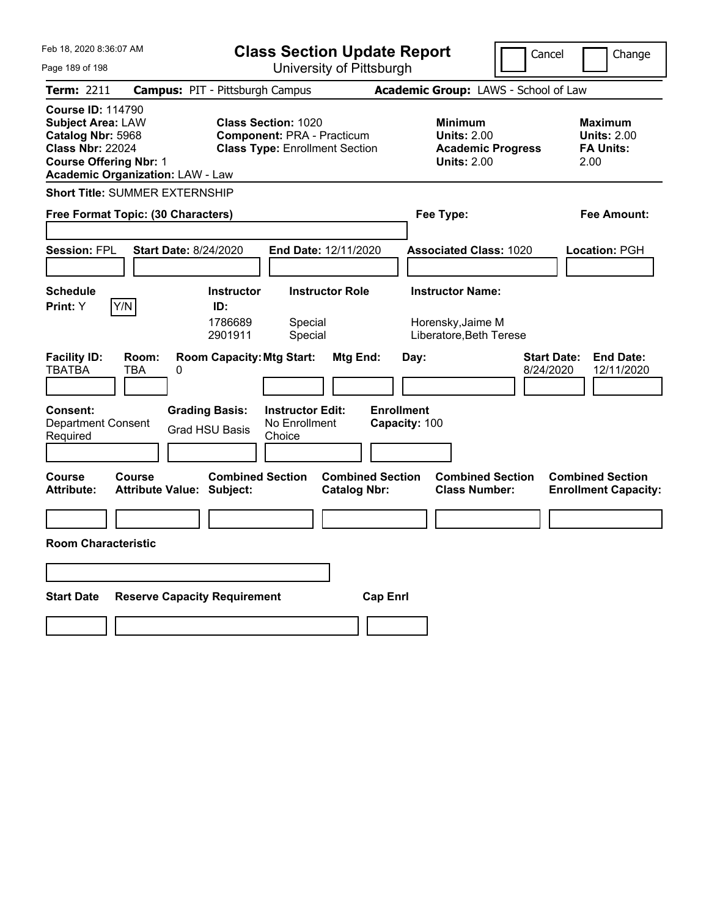| Feb 18, 2020 8:36:07 AM                                                                                                                                                          | <b>Class Section Update Report</b>                                                                                                       |                                                                         | Cancel                                          | Change                                                           |
|----------------------------------------------------------------------------------------------------------------------------------------------------------------------------------|------------------------------------------------------------------------------------------------------------------------------------------|-------------------------------------------------------------------------|-------------------------------------------------|------------------------------------------------------------------|
| Page 189 of 198                                                                                                                                                                  | University of Pittsburgh                                                                                                                 |                                                                         |                                                 |                                                                  |
| Term: 2211                                                                                                                                                                       | <b>Campus: PIT - Pittsburgh Campus</b>                                                                                                   | Academic Group: LAWS - School of Law                                    |                                                 |                                                                  |
| <b>Course ID: 114790</b><br><b>Subject Area: LAW</b><br>Catalog Nbr: 5968<br><b>Class Nbr: 22024</b><br><b>Course Offering Nbr: 1</b><br><b>Academic Organization: LAW - Law</b> | <b>Class Section: 1020</b><br><b>Component: PRA - Practicum</b><br><b>Class Type: Enrollment Section</b>                                 | <b>Minimum</b><br><b>Units: 2.00</b><br><b>Units: 2.00</b>              | <b>Academic Progress</b>                        | <b>Maximum</b><br><b>Units: 2.00</b><br><b>FA Units:</b><br>2.00 |
| <b>Short Title: SUMMER EXTERNSHIP</b>                                                                                                                                            |                                                                                                                                          |                                                                         |                                                 |                                                                  |
| Free Format Topic: (30 Characters)                                                                                                                                               |                                                                                                                                          | Fee Type:                                                               |                                                 | Fee Amount:                                                      |
| <b>Start Date: 8/24/2020</b><br><b>Session: FPL</b>                                                                                                                              | End Date: 12/11/2020                                                                                                                     | <b>Associated Class: 1020</b>                                           |                                                 | Location: PGH                                                    |
| <b>Schedule</b><br>Y/N<br>Print: Y                                                                                                                                               | <b>Instructor Role</b><br><b>Instructor</b><br>ID:<br>1786689<br>Special<br>2901911<br>Special                                           | <b>Instructor Name:</b><br>Horensky, Jaime M<br>Liberatore, Beth Terese |                                                 |                                                                  |
| <b>Facility ID:</b><br>Room:<br><b>TBATBA</b><br>TBA<br>0<br><b>Consent:</b><br><b>Department Consent</b><br>Required                                                            | <b>Room Capacity: Mtg Start:</b><br><b>Grading Basis:</b><br><b>Instructor Edit:</b><br>No Enrollment<br><b>Grad HSU Basis</b><br>Choice | Mtg End:<br>Day:<br><b>Enrollment</b><br>Capacity: 100                  | <b>Start Date:</b><br>8/24/2020                 | <b>End Date:</b><br>12/11/2020                                   |
| Course<br>Course<br><b>Attribute Value: Subject:</b><br>Attribute:                                                                                                               | <b>Combined Section</b>                                                                                                                  | <b>Combined Section</b><br><b>Catalog Nbr:</b>                          | <b>Combined Section</b><br><b>Class Number:</b> | <b>Combined Section</b><br><b>Enrollment Capacity:</b>           |
|                                                                                                                                                                                  |                                                                                                                                          |                                                                         |                                                 |                                                                  |
| <b>Room Characteristic</b>                                                                                                                                                       |                                                                                                                                          |                                                                         |                                                 |                                                                  |
|                                                                                                                                                                                  |                                                                                                                                          |                                                                         |                                                 |                                                                  |
| <b>Start Date</b><br><b>Reserve Capacity Requirement</b>                                                                                                                         |                                                                                                                                          | <b>Cap Enrl</b>                                                         |                                                 |                                                                  |
|                                                                                                                                                                                  |                                                                                                                                          |                                                                         |                                                 |                                                                  |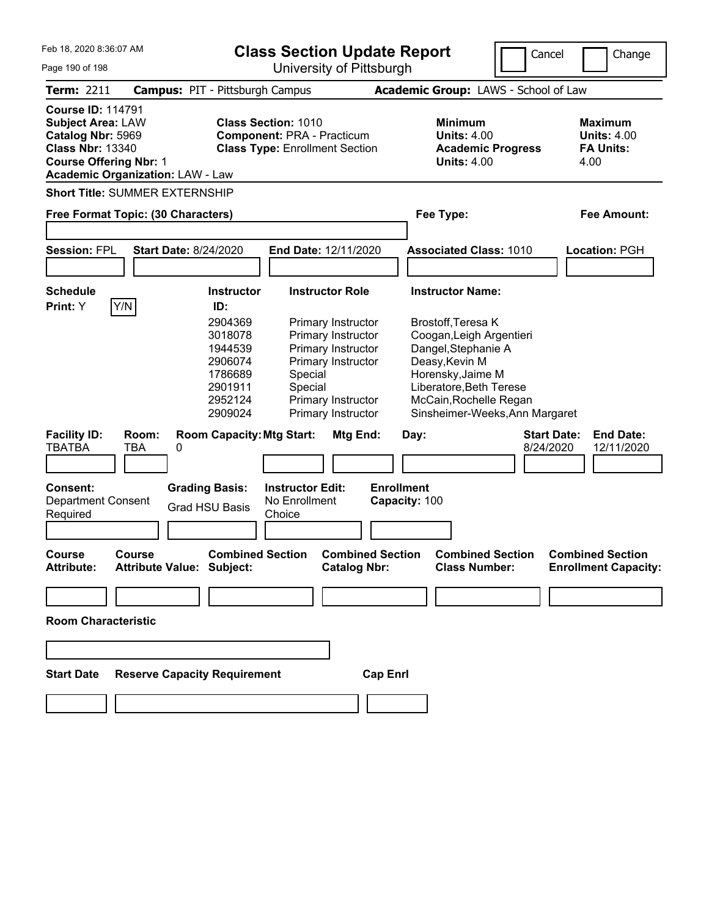| Feb 18, 2020 8:36:07 AM<br><b>Class Section Update Report</b><br>University of Pittsburgh<br>Page 190 of 198                          |                                            |                                                                                      |                                                                            | Cancel                                                                                                                           | Change                                                                                                                                                            |                                      |                                                                                                                  |  |  |
|---------------------------------------------------------------------------------------------------------------------------------------|--------------------------------------------|--------------------------------------------------------------------------------------|----------------------------------------------------------------------------|----------------------------------------------------------------------------------------------------------------------------------|-------------------------------------------------------------------------------------------------------------------------------------------------------------------|--------------------------------------|------------------------------------------------------------------------------------------------------------------|--|--|
| <b>Term: 2211</b>                                                                                                                     | <b>Campus: PIT - Pittsburgh Campus</b>     |                                                                                      |                                                                            |                                                                                                                                  |                                                                                                                                                                   | Academic Group: LAWS - School of Law |                                                                                                                  |  |  |
| <b>Course ID: 114791</b><br><b>Subject Area: LAW</b><br>Catalog Nbr: 5969<br><b>Class Nbr: 13340</b><br><b>Course Offering Nbr: 1</b> | <b>Academic Organization: LAW - Law</b>    | <b>Class Section: 1010</b>                                                           | <b>Component: PRA - Practicum</b><br><b>Class Type: Enrollment Section</b> |                                                                                                                                  | <b>Minimum</b><br><b>Units: 4.00</b><br><b>Units: 4.00</b>                                                                                                        | <b>Academic Progress</b>             | <b>Maximum</b><br><b>Units: 4.00</b><br><b>FA Units:</b><br>4.00                                                 |  |  |
|                                                                                                                                       | <b>Short Title: SUMMER EXTERNSHIP</b>      |                                                                                      |                                                                            |                                                                                                                                  |                                                                                                                                                                   |                                      |                                                                                                                  |  |  |
|                                                                                                                                       | Free Format Topic: (30 Characters)         |                                                                                      |                                                                            |                                                                                                                                  | Fee Type:                                                                                                                                                         |                                      | Fee Amount:                                                                                                      |  |  |
| <b>Session: FPL</b>                                                                                                                   | <b>Start Date: 8/24/2020</b>               |                                                                                      | End Date: 12/11/2020                                                       |                                                                                                                                  | <b>Associated Class: 1010</b>                                                                                                                                     |                                      | <b>Location: PGH</b><br><b>End Date:</b><br>12/11/2020<br><b>Combined Section</b><br><b>Enrollment Capacity:</b> |  |  |
| <b>Schedule</b><br>Print: Y                                                                                                           | Y/N                                        | <b>Instructor</b><br>ID:                                                             | <b>Instructor Role</b>                                                     |                                                                                                                                  | <b>Instructor Name:</b>                                                                                                                                           |                                      |                                                                                                                  |  |  |
|                                                                                                                                       |                                            | 2904369<br>3018078<br>1944539<br>2906074<br>1786689<br>2901911<br>2952124<br>2909024 | Special<br>Special                                                         | Primary Instructor<br>Primary Instructor<br>Primary Instructor<br>Primary Instructor<br>Primary Instructor<br>Primary Instructor | Brostoff, Teresa K<br>Coogan, Leigh Argentieri<br>Dangel, Stephanie A<br>Deasy, Kevin M<br>Horensky, Jaime M<br>Liberatore, Beth Terese<br>McCain, Rochelle Regan | Sinsheimer-Weeks, Ann Margaret       |                                                                                                                  |  |  |
| <b>Facility ID:</b><br><b>TBATBA</b>                                                                                                  | Room:<br><b>TBA</b><br>0                   | <b>Room Capacity: Mtg Start:</b>                                                     |                                                                            | Mtg End:                                                                                                                         | Day:                                                                                                                                                              | <b>Start Date:</b><br>8/24/2020      |                                                                                                                  |  |  |
| <b>Consent:</b><br>Department Consent<br>Required                                                                                     |                                            | <b>Grading Basis:</b><br><b>Grad HSU Basis</b>                                       | <b>Instructor Edit:</b><br>No Enrollment<br>Choice                         |                                                                                                                                  | <b>Enrollment</b><br>Capacity: 100                                                                                                                                |                                      |                                                                                                                  |  |  |
| Course<br><b>Attribute:</b>                                                                                                           | Course<br><b>Attribute Value: Subject:</b> | <b>Combined Section</b>                                                              |                                                                            | <b>Combined Section</b><br><b>Catalog Nbr:</b>                                                                                   | <b>Class Number:</b>                                                                                                                                              | <b>Combined Section</b>              |                                                                                                                  |  |  |
|                                                                                                                                       |                                            |                                                                                      |                                                                            |                                                                                                                                  |                                                                                                                                                                   |                                      |                                                                                                                  |  |  |
| <b>Room Characteristic</b>                                                                                                            |                                            |                                                                                      |                                                                            |                                                                                                                                  |                                                                                                                                                                   |                                      |                                                                                                                  |  |  |
|                                                                                                                                       |                                            |                                                                                      |                                                                            |                                                                                                                                  |                                                                                                                                                                   |                                      |                                                                                                                  |  |  |
| <b>Start Date</b>                                                                                                                     | <b>Reserve Capacity Requirement</b>        |                                                                                      |                                                                            | <b>Cap Enrl</b>                                                                                                                  |                                                                                                                                                                   |                                      |                                                                                                                  |  |  |
|                                                                                                                                       |                                            |                                                                                      |                                                                            |                                                                                                                                  |                                                                                                                                                                   |                                      |                                                                                                                  |  |  |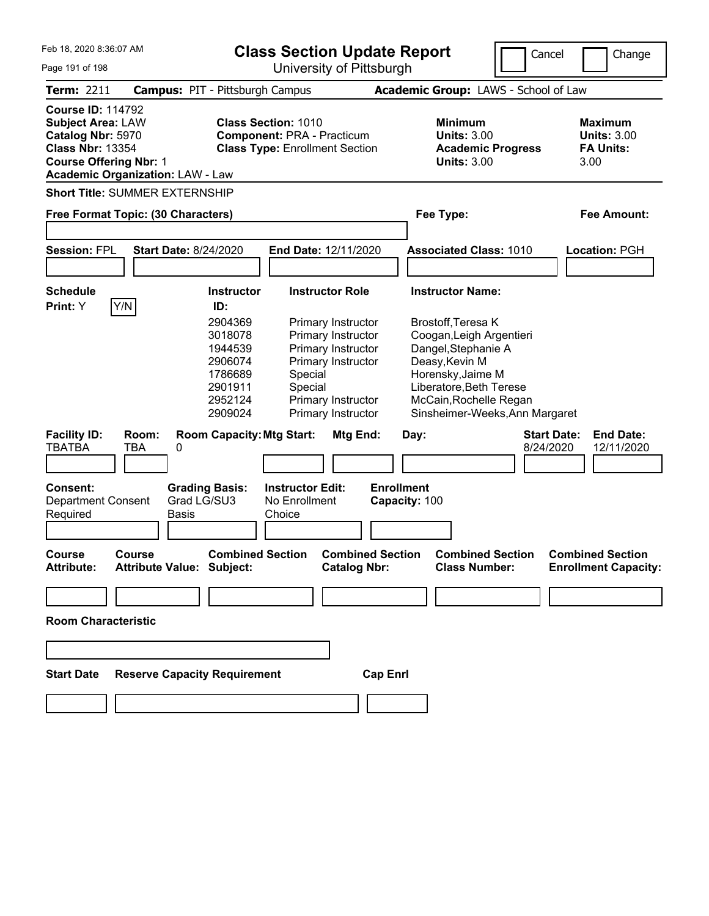| Feb 18, 2020 8:36:07 AM<br><b>Class Section Update Report</b><br>University of Pittsburgh<br>Page 191 of 198                          |                                                   |                                                                                      |                                                                                                          |                                                                                                                                  | Cancel            | Change                                                                                                                                                                                              |                                 |                                                                  |
|---------------------------------------------------------------------------------------------------------------------------------------|---------------------------------------------------|--------------------------------------------------------------------------------------|----------------------------------------------------------------------------------------------------------|----------------------------------------------------------------------------------------------------------------------------------|-------------------|-----------------------------------------------------------------------------------------------------------------------------------------------------------------------------------------------------|---------------------------------|------------------------------------------------------------------|
| <b>Term: 2211</b>                                                                                                                     |                                                   | <b>Campus: PIT - Pittsburgh Campus</b>                                               |                                                                                                          |                                                                                                                                  |                   | Academic Group: LAWS - School of Law                                                                                                                                                                |                                 |                                                                  |
| <b>Course ID: 114792</b><br><b>Subject Area: LAW</b><br>Catalog Nbr: 5970<br><b>Class Nbr: 13354</b><br><b>Course Offering Nbr: 1</b> | <b>Academic Organization: LAW - Law</b>           |                                                                                      | <b>Class Section: 1010</b><br><b>Component: PRA - Practicum</b><br><b>Class Type: Enrollment Section</b> |                                                                                                                                  |                   | <b>Minimum</b><br><b>Units: 3.00</b><br><b>Academic Progress</b><br><b>Units: 3.00</b>                                                                                                              |                                 | <b>Maximum</b><br><b>Units: 3.00</b><br><b>FA Units:</b><br>3.00 |
|                                                                                                                                       | <b>Short Title: SUMMER EXTERNSHIP</b>             |                                                                                      |                                                                                                          |                                                                                                                                  |                   |                                                                                                                                                                                                     |                                 |                                                                  |
|                                                                                                                                       | Free Format Topic: (30 Characters)                |                                                                                      |                                                                                                          |                                                                                                                                  |                   | Fee Type:                                                                                                                                                                                           |                                 | Fee Amount:                                                      |
| <b>Session: FPL</b>                                                                                                                   | <b>Start Date: 8/24/2020</b>                      |                                                                                      | End Date: 12/11/2020                                                                                     |                                                                                                                                  |                   | <b>Associated Class: 1010</b>                                                                                                                                                                       |                                 | Location: PGH                                                    |
| <b>Schedule</b><br>Print: Y                                                                                                           | Y/N                                               | <b>Instructor</b><br>ID:                                                             |                                                                                                          | <b>Instructor Role</b>                                                                                                           |                   | <b>Instructor Name:</b>                                                                                                                                                                             |                                 |                                                                  |
|                                                                                                                                       |                                                   | 2904369<br>3018078<br>1944539<br>2906074<br>1786689<br>2901911<br>2952124<br>2909024 | Special<br>Special                                                                                       | Primary Instructor<br>Primary Instructor<br>Primary Instructor<br>Primary Instructor<br>Primary Instructor<br>Primary Instructor |                   | Brostoff, Teresa K<br>Coogan, Leigh Argentieri<br>Dangel, Stephanie A<br>Deasy, Kevin M<br>Horensky, Jaime M<br>Liberatore, Beth Terese<br>McCain, Rochelle Regan<br>Sinsheimer-Weeks, Ann Margaret |                                 |                                                                  |
| <b>Facility ID:</b><br><b>TBATBA</b>                                                                                                  | Room:<br><b>TBA</b><br>0                          | <b>Room Capacity: Mtg Start:</b>                                                     |                                                                                                          | Mtg End:                                                                                                                         |                   | Day:                                                                                                                                                                                                | <b>Start Date:</b><br>8/24/2020 | <b>End Date:</b><br>12/11/2020                                   |
| <b>Consent:</b><br><b>Department Consent</b><br>Required                                                                              | <b>Basis</b>                                      | <b>Grading Basis:</b><br>Grad LG/SU3                                                 | <b>Instructor Edit:</b><br>No Enrollment<br>Choice                                                       |                                                                                                                                  | <b>Enrollment</b> | Capacity: 100                                                                                                                                                                                       |                                 |                                                                  |
| Course<br><b>Attribute:</b>                                                                                                           | <b>Course</b><br><b>Attribute Value: Subject:</b> | <b>Combined Section</b>                                                              |                                                                                                          | <b>Combined Section</b><br><b>Catalog Nbr:</b>                                                                                   |                   | <b>Combined Section</b><br><b>Class Number:</b>                                                                                                                                                     |                                 | <b>Combined Section</b><br><b>Enrollment Capacity:</b>           |
|                                                                                                                                       |                                                   |                                                                                      |                                                                                                          |                                                                                                                                  |                   |                                                                                                                                                                                                     |                                 |                                                                  |
| <b>Room Characteristic</b>                                                                                                            |                                                   |                                                                                      |                                                                                                          |                                                                                                                                  |                   |                                                                                                                                                                                                     |                                 |                                                                  |
|                                                                                                                                       |                                                   |                                                                                      |                                                                                                          |                                                                                                                                  |                   |                                                                                                                                                                                                     |                                 |                                                                  |
| <b>Start Date</b>                                                                                                                     | <b>Reserve Capacity Requirement</b>               |                                                                                      |                                                                                                          |                                                                                                                                  | <b>Cap Enrl</b>   |                                                                                                                                                                                                     |                                 |                                                                  |
|                                                                                                                                       |                                                   |                                                                                      |                                                                                                          |                                                                                                                                  |                   |                                                                                                                                                                                                     |                                 |                                                                  |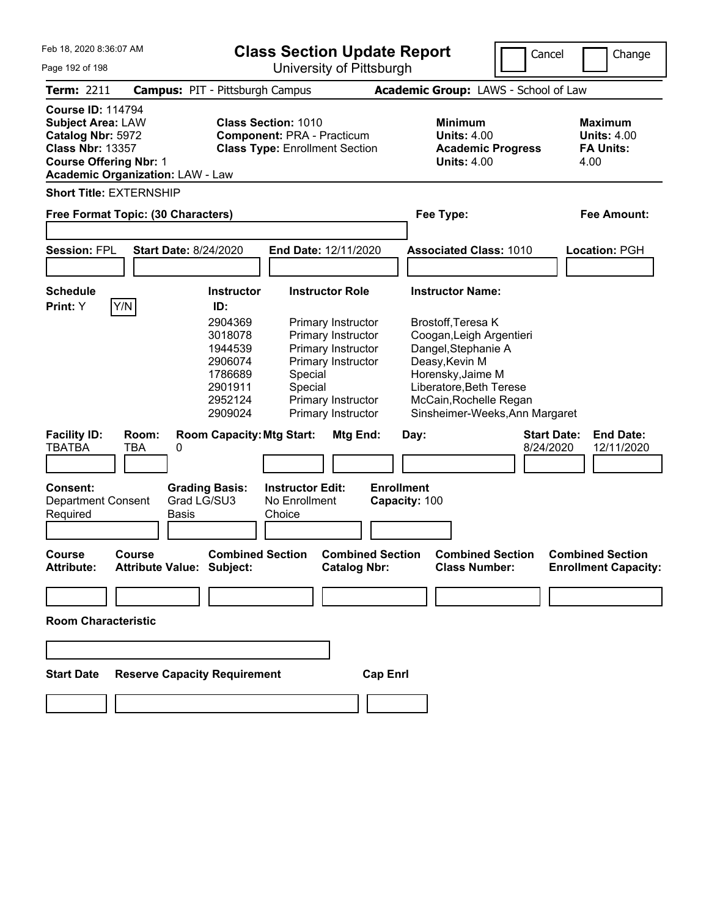| Feb 18, 2020 8:36:07 AM<br>Page 192 of 198                                                                                                                                       |                                    |                                                                                                          | <b>Class Section Update Report</b>                                                       | University of Pittsburgh                       |                                                                                                                                                   | Cancel                                                           | Change                                                 |
|----------------------------------------------------------------------------------------------------------------------------------------------------------------------------------|------------------------------------|----------------------------------------------------------------------------------------------------------|------------------------------------------------------------------------------------------|------------------------------------------------|---------------------------------------------------------------------------------------------------------------------------------------------------|------------------------------------------------------------------|--------------------------------------------------------|
| <b>Term: 2211</b>                                                                                                                                                                |                                    | <b>Campus: PIT - Pittsburgh Campus</b>                                                                   |                                                                                          |                                                | Academic Group: LAWS - School of Law                                                                                                              |                                                                  |                                                        |
| <b>Course ID: 114794</b><br><b>Subject Area: LAW</b><br>Catalog Nbr: 5972<br><b>Class Nbr: 13357</b><br><b>Course Offering Nbr: 1</b><br><b>Academic Organization: LAW - Law</b> |                                    | <b>Class Section: 1010</b><br><b>Component: PRA - Practicum</b><br><b>Class Type: Enrollment Section</b> |                                                                                          |                                                | <b>Minimum</b><br><b>Units: 4.00</b><br><b>Academic Progress</b><br><b>Units: 4.00</b>                                                            | <b>Maximum</b><br><b>Units: 4.00</b><br><b>FA Units:</b><br>4.00 |                                                        |
|                                                                                                                                                                                  | <b>Short Title: EXTERNSHIP</b>     |                                                                                                          |                                                                                          |                                                |                                                                                                                                                   |                                                                  |                                                        |
|                                                                                                                                                                                  | Free Format Topic: (30 Characters) |                                                                                                          |                                                                                          |                                                |                                                                                                                                                   | Fee Type:                                                        |                                                        |
| <b>Session: FPL</b>                                                                                                                                                              |                                    | <b>Start Date: 8/24/2020</b>                                                                             | End Date: 12/11/2020                                                                     |                                                | <b>Associated Class: 1010</b>                                                                                                                     |                                                                  | <b>Location: PGH</b>                                   |
| <b>Schedule</b><br>Print: Y                                                                                                                                                      | Y/N                                | <b>Instructor</b><br>ID:<br>2904369<br>3018078<br>1944539                                                | <b>Instructor Role</b><br>Primary Instructor<br>Primary Instructor<br>Primary Instructor |                                                | <b>Instructor Name:</b><br>Brostoff, Teresa K<br>Coogan, Leigh Argentieri                                                                         |                                                                  |                                                        |
|                                                                                                                                                                                  |                                    | 2906074<br>1786689<br>2901911<br>2952124<br>2909024                                                      | Primary Instructor<br>Special<br>Special<br>Primary Instructor<br>Primary Instructor     |                                                | Dangel, Stephanie A<br>Deasy, Kevin M<br>Horensky, Jaime M<br>Liberatore, Beth Terese<br>McCain, Rochelle Regan<br>Sinsheimer-Weeks, Ann Margaret |                                                                  |                                                        |
| <b>Facility ID:</b><br><b>TBATBA</b>                                                                                                                                             | Room:<br>0<br>TBA                  | <b>Room Capacity: Mtg Start:</b>                                                                         |                                                                                          | Mtg End:                                       | Day:                                                                                                                                              | <b>Start Date:</b><br>8/24/2020                                  | <b>End Date:</b><br>12/11/2020                         |
| Consent:<br><b>Department Consent</b><br>Required                                                                                                                                |                                    | <b>Grading Basis:</b><br>Grad LG/SU3<br>Basis                                                            | <b>Instructor Edit:</b><br>No Enrollment<br>Choice                                       | <b>Enrollment</b>                              | Capacity: 100                                                                                                                                     |                                                                  |                                                        |
| Course<br><b>Attribute:</b>                                                                                                                                                      | Course                             | <b>Combined Section</b><br>Attribute Value: Subject:                                                     |                                                                                          | <b>Combined Section</b><br><b>Catalog Nbr:</b> | <b>Combined Section</b><br><b>Class Number:</b>                                                                                                   |                                                                  | <b>Combined Section</b><br><b>Enrollment Capacity:</b> |
|                                                                                                                                                                                  |                                    |                                                                                                          |                                                                                          |                                                |                                                                                                                                                   |                                                                  |                                                        |
| <b>Room Characteristic</b>                                                                                                                                                       |                                    |                                                                                                          |                                                                                          |                                                |                                                                                                                                                   |                                                                  |                                                        |
|                                                                                                                                                                                  |                                    |                                                                                                          |                                                                                          |                                                |                                                                                                                                                   |                                                                  |                                                        |
| <b>Start Date</b>                                                                                                                                                                |                                    | <b>Reserve Capacity Requirement</b>                                                                      |                                                                                          | <b>Cap Enrl</b>                                |                                                                                                                                                   |                                                                  |                                                        |
|                                                                                                                                                                                  |                                    |                                                                                                          |                                                                                          |                                                |                                                                                                                                                   |                                                                  |                                                        |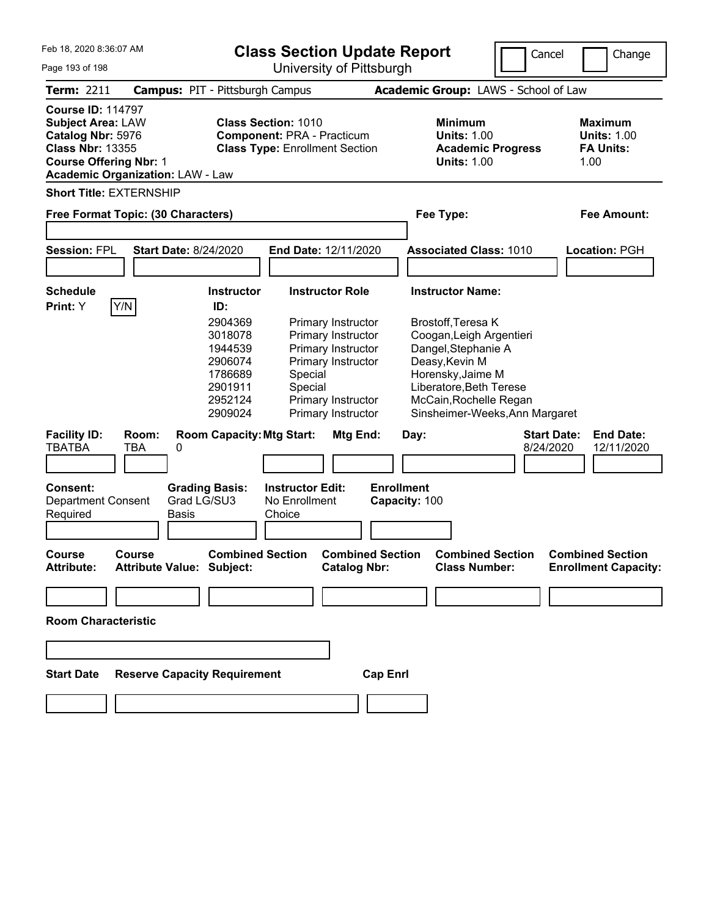| Feb 18, 2020 8:36:07 AM<br>Page 193 of 198                                                                                            |                                         |                                                                                                          | <b>Class Section Update Report</b><br>University of Pittsburgh                                                                                         |                                                |                                                                                                                                                                                                     | Cancel                          | Change                                                           |
|---------------------------------------------------------------------------------------------------------------------------------------|-----------------------------------------|----------------------------------------------------------------------------------------------------------|--------------------------------------------------------------------------------------------------------------------------------------------------------|------------------------------------------------|-----------------------------------------------------------------------------------------------------------------------------------------------------------------------------------------------------|---------------------------------|------------------------------------------------------------------|
| <b>Term: 2211</b>                                                                                                                     |                                         | <b>Campus: PIT - Pittsburgh Campus</b>                                                                   |                                                                                                                                                        |                                                | Academic Group: LAWS - School of Law                                                                                                                                                                |                                 |                                                                  |
| <b>Course ID: 114797</b><br><b>Subject Area: LAW</b><br>Catalog Nbr: 5976<br><b>Class Nbr: 13355</b><br><b>Course Offering Nbr: 1</b> | <b>Academic Organization: LAW - Law</b> | <b>Class Section: 1010</b><br><b>Component: PRA - Practicum</b><br><b>Class Type: Enrollment Section</b> |                                                                                                                                                        |                                                | <b>Minimum</b><br><b>Units: 1.00</b><br><b>Academic Progress</b><br><b>Units: 1.00</b>                                                                                                              |                                 | <b>Maximum</b><br><b>Units: 1.00</b><br><b>FA Units:</b><br>1.00 |
|                                                                                                                                       | <b>Short Title: EXTERNSHIP</b>          |                                                                                                          |                                                                                                                                                        |                                                |                                                                                                                                                                                                     |                                 |                                                                  |
|                                                                                                                                       | Free Format Topic: (30 Characters)      |                                                                                                          |                                                                                                                                                        |                                                |                                                                                                                                                                                                     | Fee Type:                       |                                                                  |
| <b>Session: FPL</b>                                                                                                                   |                                         | <b>Start Date: 8/24/2020</b><br>End Date: 12/11/2020                                                     |                                                                                                                                                        |                                                | <b>Associated Class: 1010</b>                                                                                                                                                                       | <b>Location: PGH</b>            |                                                                  |
| <b>Schedule</b><br>Print: Y                                                                                                           | Y/N                                     | <b>Instructor</b><br>ID:                                                                                 | <b>Instructor Role</b>                                                                                                                                 |                                                | <b>Instructor Name:</b>                                                                                                                                                                             |                                 |                                                                  |
|                                                                                                                                       |                                         | 2904369<br>3018078<br>1944539<br>2906074<br>1786689<br>2901911<br>2952124<br>2909024                     | Primary Instructor<br>Primary Instructor<br>Primary Instructor<br>Primary Instructor<br>Special<br>Special<br>Primary Instructor<br>Primary Instructor |                                                | Brostoff, Teresa K<br>Coogan, Leigh Argentieri<br>Dangel, Stephanie A<br>Deasy, Kevin M<br>Horensky, Jaime M<br>Liberatore, Beth Terese<br>McCain, Rochelle Regan<br>Sinsheimer-Weeks, Ann Margaret |                                 |                                                                  |
| <b>Facility ID:</b><br><b>TBATBA</b>                                                                                                  | Room:<br><b>TBA</b><br>0                | <b>Room Capacity: Mtg Start:</b>                                                                         |                                                                                                                                                        | Mtg End:                                       | Day:                                                                                                                                                                                                | <b>Start Date:</b><br>8/24/2020 | <b>End Date:</b><br>12/11/2020                                   |
| <b>Consent:</b><br>Department Consent<br>Required                                                                                     | Basis                                   | <b>Grading Basis:</b><br>Grad LG/SU3                                                                     | <b>Instructor Edit:</b><br>No Enrollment<br>Choice                                                                                                     | <b>Enrollment</b>                              | Capacity: 100                                                                                                                                                                                       |                                 |                                                                  |
| Course<br><b>Attribute:</b>                                                                                                           | <b>Course</b>                           | <b>Combined Section</b><br>Attribute Value: Subject:                                                     |                                                                                                                                                        | <b>Combined Section</b><br><b>Catalog Nbr:</b> | <b>Combined Section</b><br><b>Class Number:</b>                                                                                                                                                     |                                 | <b>Combined Section</b><br><b>Enrollment Capacity:</b>           |
|                                                                                                                                       |                                         |                                                                                                          |                                                                                                                                                        |                                                |                                                                                                                                                                                                     |                                 |                                                                  |
| <b>Room Characteristic</b>                                                                                                            |                                         |                                                                                                          |                                                                                                                                                        |                                                |                                                                                                                                                                                                     |                                 |                                                                  |
|                                                                                                                                       |                                         |                                                                                                          |                                                                                                                                                        |                                                |                                                                                                                                                                                                     |                                 |                                                                  |
| <b>Start Date</b>                                                                                                                     |                                         | <b>Reserve Capacity Requirement</b>                                                                      |                                                                                                                                                        | <b>Cap Enrl</b>                                |                                                                                                                                                                                                     |                                 |                                                                  |
|                                                                                                                                       |                                         |                                                                                                          |                                                                                                                                                        |                                                |                                                                                                                                                                                                     |                                 |                                                                  |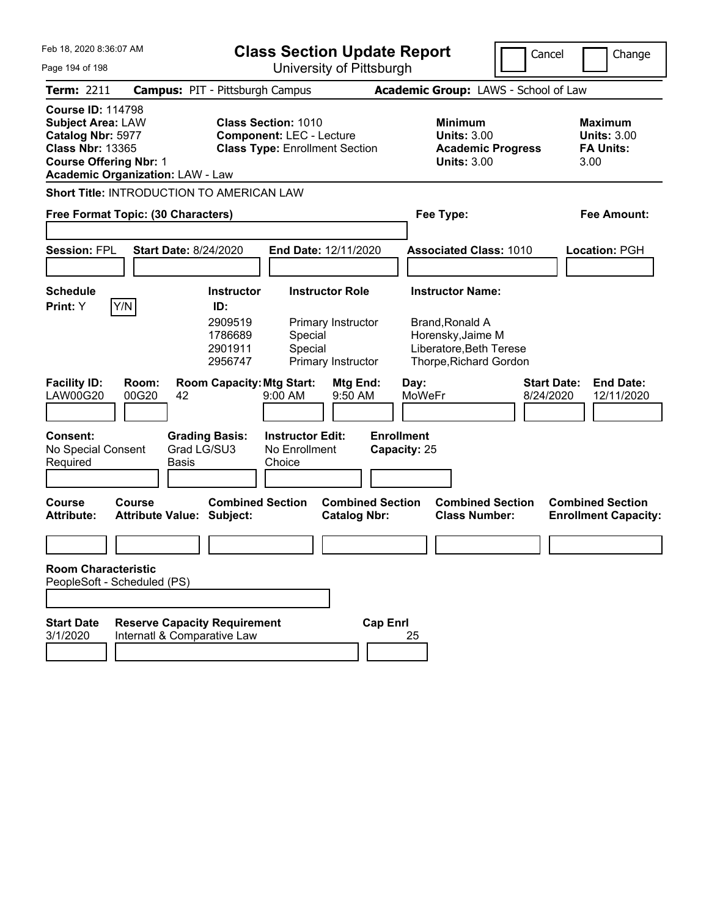| Feb 18, 2020 8:36:07 AM<br>Page 194 of 198                                                                                                                                       |                                               | <b>Class Section Update Report</b><br>University of Pittsburgh                                         |                                                    |                                                |                                                                                        |                                                                                                                      | Cancel                          | Change                                                           |  |
|----------------------------------------------------------------------------------------------------------------------------------------------------------------------------------|-----------------------------------------------|--------------------------------------------------------------------------------------------------------|----------------------------------------------------|------------------------------------------------|----------------------------------------------------------------------------------------|----------------------------------------------------------------------------------------------------------------------|---------------------------------|------------------------------------------------------------------|--|
| Term: 2211                                                                                                                                                                       |                                               | <b>Campus: PIT - Pittsburgh Campus</b>                                                                 |                                                    |                                                |                                                                                        | Academic Group: LAWS - School of Law                                                                                 |                                 |                                                                  |  |
| <b>Course ID: 114798</b><br><b>Subject Area: LAW</b><br>Catalog Nbr: 5977<br><b>Class Nbr: 13365</b><br><b>Course Offering Nbr: 1</b><br><b>Academic Organization: LAW - Law</b> |                                               | <b>Class Section: 1010</b><br><b>Component: LEC - Lecture</b><br><b>Class Type: Enrollment Section</b> |                                                    |                                                | <b>Minimum</b><br><b>Units: 3.00</b><br><b>Academic Progress</b><br><b>Units: 3.00</b> |                                                                                                                      |                                 | <b>Maximum</b><br><b>Units: 3.00</b><br><b>FA Units:</b><br>3.00 |  |
| <b>Short Title: INTRODUCTION TO AMERICAN LAW</b>                                                                                                                                 |                                               |                                                                                                        |                                                    |                                                |                                                                                        |                                                                                                                      |                                 |                                                                  |  |
| Free Format Topic: (30 Characters)                                                                                                                                               |                                               |                                                                                                        |                                                    |                                                |                                                                                        | Fee Type:                                                                                                            |                                 | <b>Fee Amount:</b>                                               |  |
| <b>Session: FPL</b>                                                                                                                                                              | <b>Start Date: 8/24/2020</b>                  | End Date: 12/11/2020                                                                                   |                                                    |                                                | <b>Associated Class: 1010</b>                                                          |                                                                                                                      |                                 | Location: PGH                                                    |  |
| <b>Schedule</b><br>Y/N<br>Print: Y                                                                                                                                               |                                               | <b>Instructor</b><br>ID:<br>2909519<br>1786689<br>2901911<br>2956747                                   | <b>Instructor Role</b><br>Special<br>Special       | Primary Instructor<br>Primary Instructor       |                                                                                        | <b>Instructor Name:</b><br>Brand, Ronald A<br>Horensky, Jaime M<br>Liberatore, Beth Terese<br>Thorpe, Richard Gordon |                                 |                                                                  |  |
| <b>Facility ID:</b><br><b>LAW00G20</b>                                                                                                                                           | Room:<br>00G20<br>42                          | <b>Room Capacity: Mtg Start:</b>                                                                       | 9:00 AM                                            | Mtg End:<br>9:50 AM                            | Day:<br><b>MoWeFr</b>                                                                  |                                                                                                                      | <b>Start Date:</b><br>8/24/2020 | <b>End Date:</b><br>12/11/2020                                   |  |
| <b>Consent:</b><br>No Special Consent<br>Required                                                                                                                                | <b>Grading Basis:</b><br>Grad LG/SU3<br>Basis |                                                                                                        | <b>Instructor Edit:</b><br>No Enrollment<br>Choice |                                                | <b>Enrollment</b><br>Capacity: 25                                                      |                                                                                                                      |                                 |                                                                  |  |
| <b>Course</b><br><b>Attribute:</b>                                                                                                                                               | Course<br><b>Attribute Value: Subject:</b>    | <b>Combined Section</b>                                                                                |                                                    | <b>Combined Section</b><br><b>Catalog Nbr:</b> |                                                                                        | <b>Combined Section</b><br><b>Class Number:</b>                                                                      |                                 | <b>Combined Section</b><br><b>Enrollment Capacity:</b>           |  |
|                                                                                                                                                                                  |                                               |                                                                                                        |                                                    |                                                |                                                                                        |                                                                                                                      |                                 |                                                                  |  |
| <b>Room Characteristic</b><br>PeopleSoft - Scheduled (PS)<br><b>Start Date</b>                                                                                                   | <b>Reserve Capacity Requirement</b>           |                                                                                                        |                                                    | <b>Cap Enrl</b>                                |                                                                                        |                                                                                                                      |                                 |                                                                  |  |
| 3/1/2020                                                                                                                                                                         | Internatl & Comparative Law                   |                                                                                                        |                                                    |                                                | 25                                                                                     |                                                                                                                      |                                 |                                                                  |  |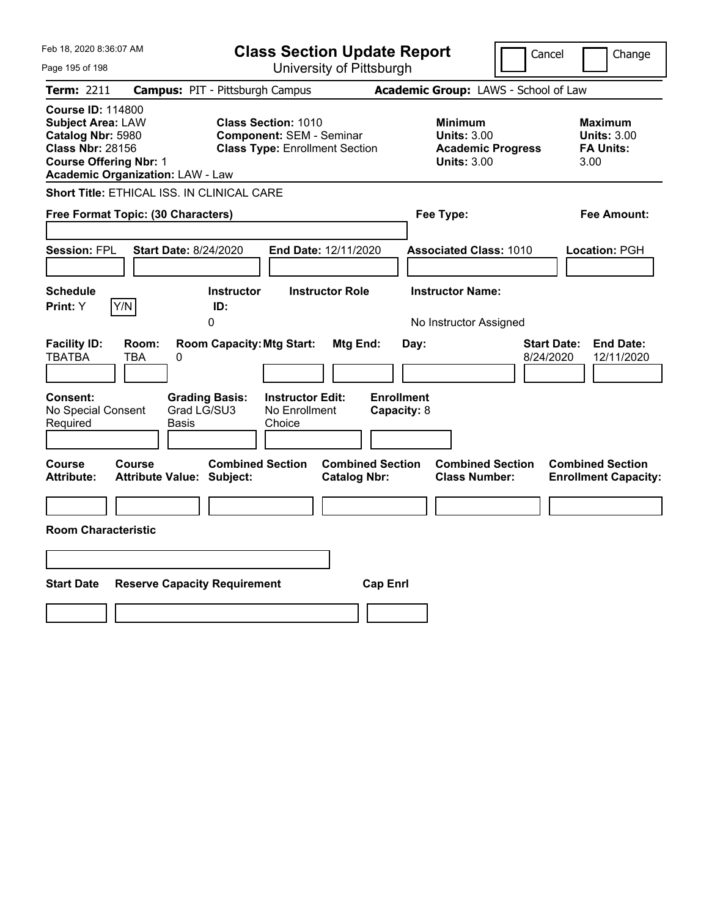| Feb 18, 2020 8:36:07 AM<br>Page 195 of 198                                                                                                                                       | <b>Class Section Update Report</b><br>University of Pittsburgh                                                                             |                                                                                        | Cancel<br>Change                                                  |
|----------------------------------------------------------------------------------------------------------------------------------------------------------------------------------|--------------------------------------------------------------------------------------------------------------------------------------------|----------------------------------------------------------------------------------------|-------------------------------------------------------------------|
| Term: 2211                                                                                                                                                                       | <b>Campus: PIT - Pittsburgh Campus</b>                                                                                                     | Academic Group: LAWS - School of Law                                                   |                                                                   |
| <b>Course ID: 114800</b><br><b>Subject Area: LAW</b><br>Catalog Nbr: 5980<br><b>Class Nbr: 28156</b><br><b>Course Offering Nbr: 1</b><br><b>Academic Organization: LAW - Law</b> | <b>Class Section: 1010</b><br><b>Component: SEM - Seminar</b><br><b>Class Type: Enrollment Section</b>                                     | <b>Minimum</b><br><b>Units: 3.00</b><br><b>Academic Progress</b><br><b>Units: 3.00</b> | Maximum<br><b>Units: 3.00</b><br><b>FA Units:</b><br>3.00         |
| Short Title: ETHICAL ISS. IN CLINICAL CARE                                                                                                                                       |                                                                                                                                            |                                                                                        |                                                                   |
| Free Format Topic: (30 Characters)                                                                                                                                               |                                                                                                                                            | Fee Type:                                                                              | Fee Amount:                                                       |
| <b>Session: FPL</b><br><b>Start Date: 8/24/2020</b>                                                                                                                              | <b>End Date: 12/11/2020</b>                                                                                                                | <b>Associated Class: 1010</b>                                                          | Location: PGH                                                     |
| <b>Schedule</b><br>Y/N<br>Print: Y                                                                                                                                               | <b>Instructor</b><br><b>Instructor Role</b><br>ID:                                                                                         | <b>Instructor Name:</b>                                                                |                                                                   |
|                                                                                                                                                                                  | 0                                                                                                                                          | No Instructor Assigned                                                                 |                                                                   |
| <b>Facility ID:</b><br>Room:<br><b>TBATBA</b><br>TBA<br>0<br><b>Consent:</b><br>No Special Consent<br>Required<br>Basis                                                          | <b>Room Capacity: Mtg Start:</b><br>Mtg End:<br><b>Instructor Edit:</b><br><b>Grading Basis:</b><br>Grad LG/SU3<br>No Enrollment<br>Choice | Day:<br><b>Enrollment</b><br>Capacity: 8                                               | <b>Start Date:</b><br><b>End Date:</b><br>8/24/2020<br>12/11/2020 |
| Course<br><b>Course</b><br><b>Attribute Value: Subject:</b><br>Attribute:                                                                                                        | <b>Combined Section</b><br><b>Combined Section</b><br><b>Catalog Nbr:</b>                                                                  | <b>Combined Section</b><br><b>Class Number:</b>                                        | <b>Combined Section</b><br><b>Enrollment Capacity:</b>            |
|                                                                                                                                                                                  |                                                                                                                                            |                                                                                        |                                                                   |
| <b>Room Characteristic</b>                                                                                                                                                       |                                                                                                                                            |                                                                                        |                                                                   |
|                                                                                                                                                                                  |                                                                                                                                            |                                                                                        |                                                                   |
| <b>Start Date</b><br><b>Reserve Capacity Requirement</b>                                                                                                                         | <b>Cap Enrl</b>                                                                                                                            |                                                                                        |                                                                   |
|                                                                                                                                                                                  |                                                                                                                                            |                                                                                        |                                                                   |
|                                                                                                                                                                                  |                                                                                                                                            |                                                                                        |                                                                   |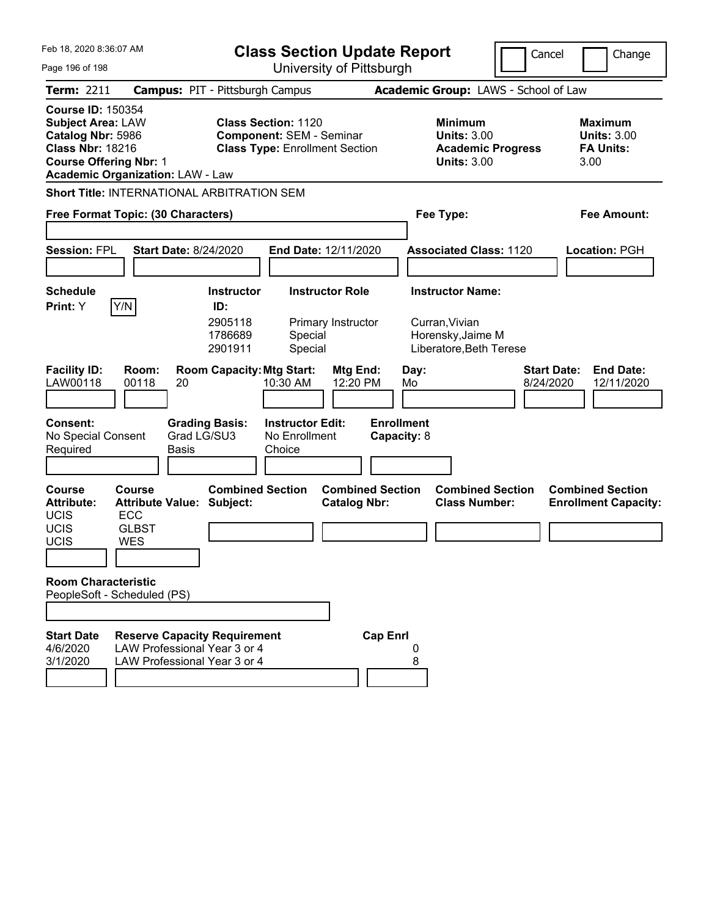| Feb 18, 2020 8:36:07 AM                                                                                                                                                          |                                                                                                     |                                                                                                        | <b>Class Section Update Report</b>                 |                                                                                        |                                                                | Cancel                                                           | Change                                                 |
|----------------------------------------------------------------------------------------------------------------------------------------------------------------------------------|-----------------------------------------------------------------------------------------------------|--------------------------------------------------------------------------------------------------------|----------------------------------------------------|----------------------------------------------------------------------------------------|----------------------------------------------------------------|------------------------------------------------------------------|--------------------------------------------------------|
| Page 196 of 198                                                                                                                                                                  |                                                                                                     |                                                                                                        | University of Pittsburgh                           |                                                                                        |                                                                |                                                                  |                                                        |
| Term: 2211                                                                                                                                                                       | <b>Campus: PIT - Pittsburgh Campus</b>                                                              |                                                                                                        |                                                    |                                                                                        | Academic Group: LAWS - School of Law                           |                                                                  |                                                        |
| <b>Course ID: 150354</b><br><b>Subject Area: LAW</b><br>Catalog Nbr: 5986<br><b>Class Nbr: 18216</b><br><b>Course Offering Nbr: 1</b><br><b>Academic Organization: LAW - Law</b> |                                                                                                     | <b>Class Section: 1120</b><br><b>Component: SEM - Seminar</b><br><b>Class Type: Enrollment Section</b> |                                                    | <b>Minimum</b><br><b>Units: 3.00</b><br><b>Academic Progress</b><br><b>Units: 3.00</b> |                                                                | <b>Maximum</b><br><b>Units: 3.00</b><br><b>FA Units:</b><br>3.00 |                                                        |
| <b>Short Title: INTERNATIONAL ARBITRATION SEM</b>                                                                                                                                |                                                                                                     |                                                                                                        |                                                    |                                                                                        |                                                                |                                                                  |                                                        |
| Free Format Topic: (30 Characters)                                                                                                                                               |                                                                                                     |                                                                                                        |                                                    |                                                                                        | Fee Type:                                                      |                                                                  | Fee Amount:                                            |
| <b>Session: FPL</b>                                                                                                                                                              | <b>Start Date: 8/24/2020</b>                                                                        |                                                                                                        | End Date: 12/11/2020                               |                                                                                        | <b>Associated Class: 1120</b>                                  |                                                                  | Location: PGH                                          |
| <b>Schedule</b><br>Y/N<br>Print: Y                                                                                                                                               |                                                                                                     | <b>Instructor</b><br>ID:                                                                               | <b>Instructor Role</b>                             |                                                                                        | <b>Instructor Name:</b>                                        |                                                                  |                                                        |
|                                                                                                                                                                                  |                                                                                                     | 2905118<br>1786689<br>2901911                                                                          | Primary Instructor<br>Special<br>Special           |                                                                                        | Curran, Vivian<br>Horensky, Jaime M<br>Liberatore, Beth Terese |                                                                  |                                                        |
| <b>Facility ID:</b><br>LAW00118                                                                                                                                                  | Room:<br>00118<br>20                                                                                | <b>Room Capacity: Mtg Start:</b>                                                                       | 10:30 AM                                           | Mtg End:<br>12:20 PM                                                                   | Day:<br>Mo                                                     | <b>Start Date:</b><br>8/24/2020                                  | <b>End Date:</b><br>12/11/2020                         |
| <b>Consent:</b><br>No Special Consent<br>Required                                                                                                                                | Basis                                                                                               | <b>Grading Basis:</b><br>Grad LG/SU3                                                                   | <b>Instructor Edit:</b><br>No Enrollment<br>Choice |                                                                                        | <b>Enrollment</b><br>Capacity: 8                               |                                                                  |                                                        |
| <b>Course</b><br><b>Attribute:</b><br><b>UCIS</b><br><b>UCIS</b><br>UCIS                                                                                                         | Course<br><b>Attribute Value: Subject:</b><br><b>ECC</b><br><b>GLBST</b><br><b>WES</b>              | <b>Combined Section</b>                                                                                |                                                    | <b>Combined Section</b><br><b>Catalog Nbr:</b>                                         | <b>Class Number:</b>                                           | <b>Combined Section</b>                                          | <b>Combined Section</b><br><b>Enrollment Capacity:</b> |
| <b>Room Characteristic</b><br>PeopleSoft - Scheduled (PS)                                                                                                                        |                                                                                                     |                                                                                                        |                                                    |                                                                                        |                                                                |                                                                  |                                                        |
| <b>Start Date</b><br>4/6/2020<br>3/1/2020                                                                                                                                        | <b>Reserve Capacity Requirement</b><br>LAW Professional Year 3 or 4<br>LAW Professional Year 3 or 4 |                                                                                                        |                                                    | <b>Cap Enrl</b>                                                                        | 0<br>8                                                         |                                                                  |                                                        |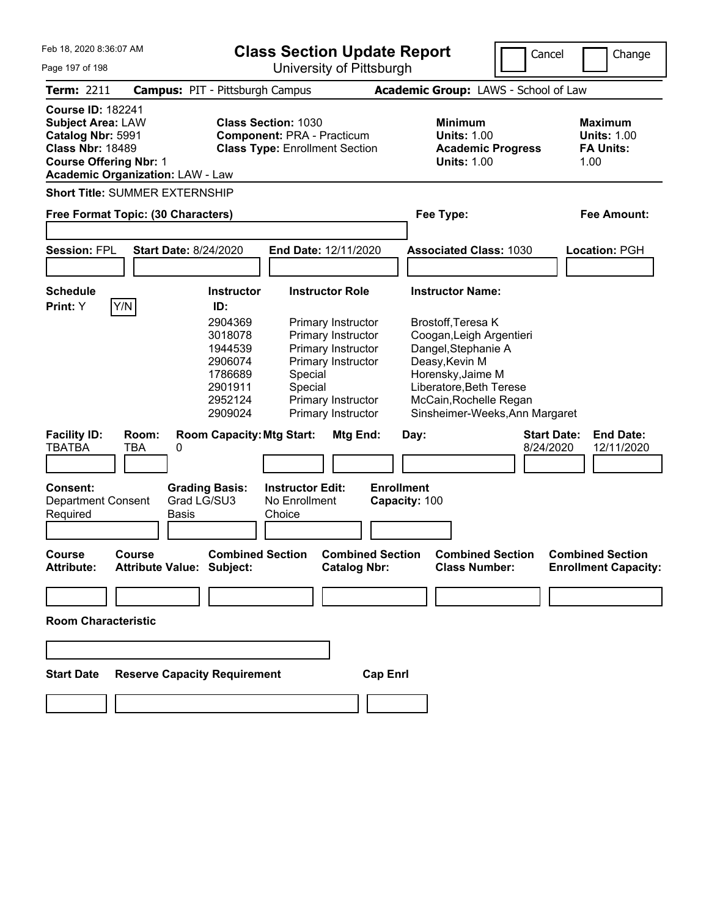| Feb 18, 2020 8:36:07 AM<br>Page 197 of 198                                                                                            |                     |                                                                                      | <b>Class Section Update Report</b><br>University of Pittsburgh                                           |                                                                                                                                  |                                                                                                                                                                                                     | Cancel                          | Change                                                           |
|---------------------------------------------------------------------------------------------------------------------------------------|---------------------|--------------------------------------------------------------------------------------|----------------------------------------------------------------------------------------------------------|----------------------------------------------------------------------------------------------------------------------------------|-----------------------------------------------------------------------------------------------------------------------------------------------------------------------------------------------------|---------------------------------|------------------------------------------------------------------|
| <b>Term: 2211</b>                                                                                                                     |                     | <b>Campus: PIT - Pittsburgh Campus</b>                                               |                                                                                                          |                                                                                                                                  | Academic Group: LAWS - School of Law                                                                                                                                                                |                                 |                                                                  |
| <b>Course ID: 182241</b><br><b>Subject Area: LAW</b><br>Catalog Nbr: 5991<br><b>Class Nbr: 18489</b><br><b>Course Offering Nbr: 1</b> |                     | <b>Academic Organization: LAW - Law</b>                                              | <b>Class Section: 1030</b><br><b>Component: PRA - Practicum</b><br><b>Class Type: Enrollment Section</b> |                                                                                                                                  | <b>Minimum</b><br><b>Units: 1.00</b><br><b>Academic Progress</b><br><b>Units: 1.00</b>                                                                                                              |                                 | <b>Maximum</b><br><b>Units: 1.00</b><br><b>FA Units:</b><br>1.00 |
|                                                                                                                                       |                     | <b>Short Title: SUMMER EXTERNSHIP</b>                                                |                                                                                                          |                                                                                                                                  |                                                                                                                                                                                                     |                                 |                                                                  |
|                                                                                                                                       |                     | Free Format Topic: (30 Characters)                                                   |                                                                                                          |                                                                                                                                  | Fee Type:<br>Fee Amount:                                                                                                                                                                            |                                 |                                                                  |
| <b>Session: FPL</b>                                                                                                                   |                     | <b>Start Date: 8/24/2020</b>                                                         | End Date: 12/11/2020                                                                                     |                                                                                                                                  | <b>Associated Class: 1030</b>                                                                                                                                                                       |                                 | Location: PGH                                                    |
| <b>Schedule</b><br>Print: Y                                                                                                           | Y/N                 | <b>Instructor</b><br>ID:                                                             | <b>Instructor Role</b>                                                                                   |                                                                                                                                  | <b>Instructor Name:</b>                                                                                                                                                                             |                                 |                                                                  |
|                                                                                                                                       |                     | 2904369<br>3018078<br>1944539<br>2906074<br>1786689<br>2901911<br>2952124<br>2909024 | Special<br>Special                                                                                       | Primary Instructor<br>Primary Instructor<br>Primary Instructor<br>Primary Instructor<br>Primary Instructor<br>Primary Instructor | Brostoff, Teresa K<br>Coogan, Leigh Argentieri<br>Dangel, Stephanie A<br>Deasy, Kevin M<br>Horensky, Jaime M<br>Liberatore, Beth Terese<br>McCain, Rochelle Regan<br>Sinsheimer-Weeks, Ann Margaret |                                 |                                                                  |
| <b>Facility ID:</b><br><b>TBATBA</b>                                                                                                  | Room:<br><b>TBA</b> | <b>Room Capacity: Mtg Start:</b><br>0                                                |                                                                                                          | Mtg End:                                                                                                                         | Day:                                                                                                                                                                                                | <b>Start Date:</b><br>8/24/2020 | <b>End Date:</b><br>12/11/2020                                   |
| <b>Consent:</b><br><b>Department Consent</b><br>Required                                                                              |                     | <b>Grading Basis:</b><br>Grad LG/SU3<br><b>Basis</b>                                 | <b>Instructor Edit:</b><br>No Enrollment<br>Choice                                                       | <b>Enrollment</b>                                                                                                                | Capacity: 100                                                                                                                                                                                       |                                 |                                                                  |
| <b>Course</b><br><b>Attribute:</b>                                                                                                    | Course              | <b>Combined Section</b><br><b>Attribute Value: Subject:</b>                          |                                                                                                          | <b>Combined Section</b><br><b>Catalog Nbr:</b>                                                                                   | <b>Combined Section</b><br><b>Class Number:</b>                                                                                                                                                     |                                 | <b>Combined Section</b><br><b>Enrollment Capacity:</b>           |
|                                                                                                                                       |                     |                                                                                      |                                                                                                          |                                                                                                                                  |                                                                                                                                                                                                     |                                 |                                                                  |
| <b>Room Characteristic</b>                                                                                                            |                     |                                                                                      |                                                                                                          |                                                                                                                                  |                                                                                                                                                                                                     |                                 |                                                                  |
|                                                                                                                                       |                     |                                                                                      |                                                                                                          |                                                                                                                                  |                                                                                                                                                                                                     |                                 |                                                                  |
| <b>Start Date</b>                                                                                                                     |                     | <b>Reserve Capacity Requirement</b>                                                  |                                                                                                          | <b>Cap Enrl</b>                                                                                                                  |                                                                                                                                                                                                     |                                 |                                                                  |
|                                                                                                                                       |                     |                                                                                      |                                                                                                          |                                                                                                                                  |                                                                                                                                                                                                     |                                 |                                                                  |